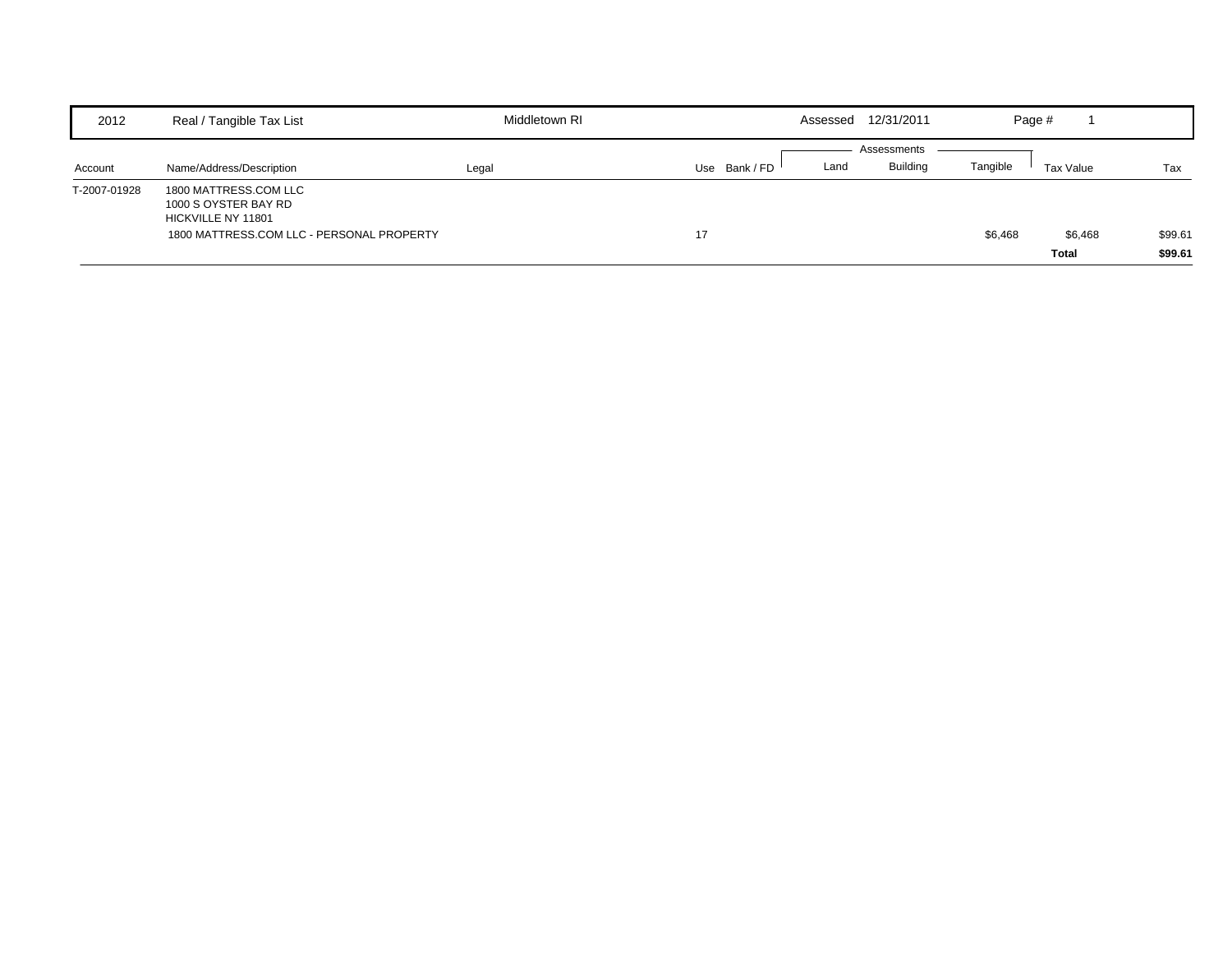| 2012         | Real / Tangible Tax List                                                                                         | Middletown RI |             | Assessed | 12/31/2011                     |          | Page #       |         |                    |
|--------------|------------------------------------------------------------------------------------------------------------------|---------------|-------------|----------|--------------------------------|----------|--------------|---------|--------------------|
| Account      | Name/Address/Description                                                                                         | Legal         | Use Bank/FD | Land     | Assessments<br><b>Building</b> | Tangible | Tax Value    |         | Tax                |
| T-2007-01928 | 1800 MATTRESS.COM LLC<br>1000 S OYSTER BAY RD<br>HICKVILLE NY 11801<br>1800 MATTRESS.COM LLC - PERSONAL PROPERTY |               | 17          |          |                                | \$6,468  | <b>Total</b> | \$6,468 | \$99.61<br>\$99.61 |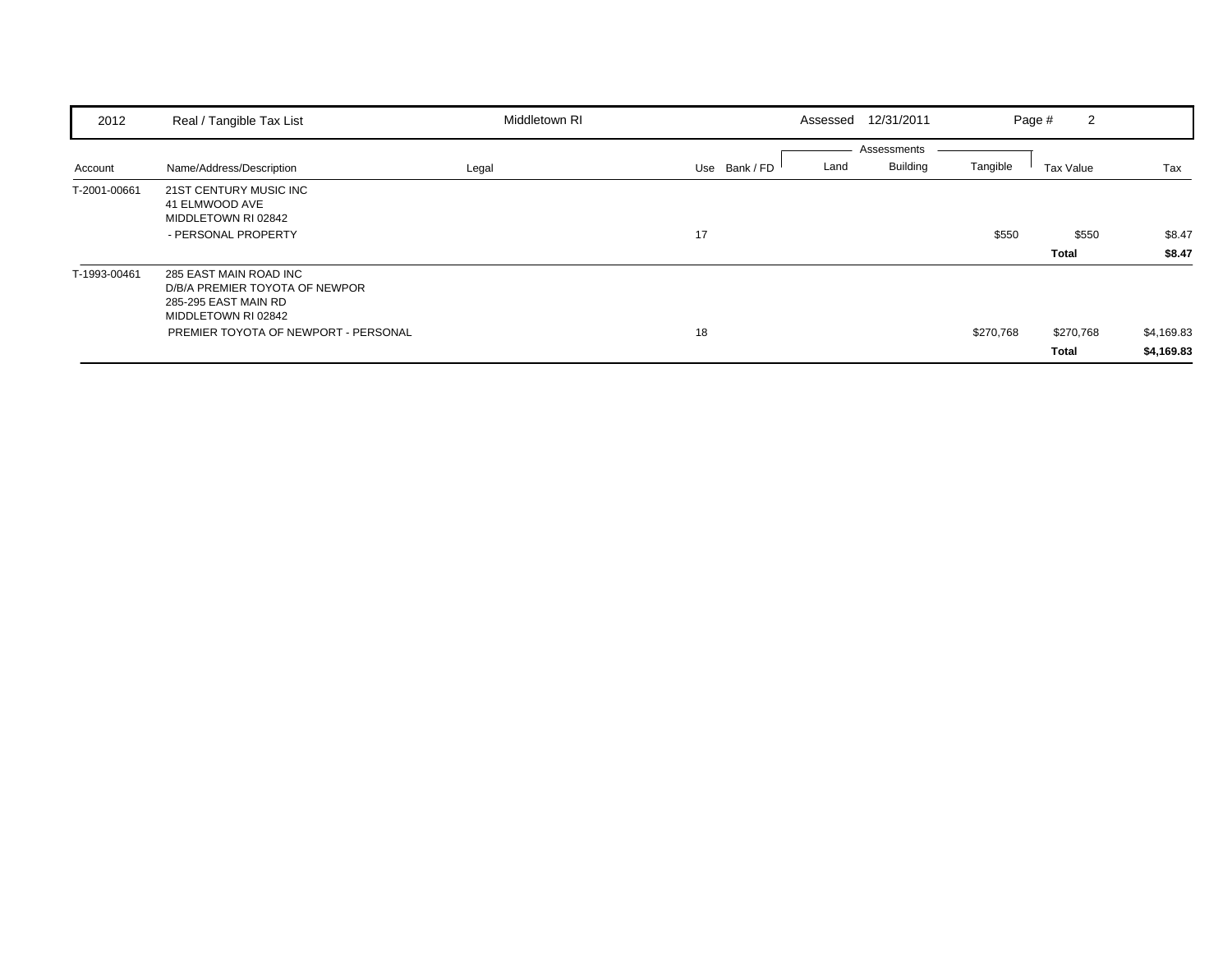| 2012         | Real / Tangible Tax List                                                                                | Middletown RI | Assessed              | 12/31/2011                     |           | 2<br>Page #  |            |
|--------------|---------------------------------------------------------------------------------------------------------|---------------|-----------------------|--------------------------------|-----------|--------------|------------|
| Account      | Name/Address/Description                                                                                | Legal         | Use Bank / FD<br>Land | Assessments<br><b>Building</b> | Tangible  | Tax Value    | Tax        |
| T-2001-00661 | 21ST CENTURY MUSIC INC<br>41 ELMWOOD AVE<br>MIDDLETOWN RI 02842<br>- PERSONAL PROPERTY                  |               | 17                    |                                | \$550     | \$550        | \$8.47     |
|              |                                                                                                         |               |                       |                                |           | Total        | \$8.47     |
| T-1993-00461 | 285 EAST MAIN ROAD INC<br>D/B/A PREMIER TOYOTA OF NEWPOR<br>285-295 EAST MAIN RD<br>MIDDLETOWN RI 02842 |               |                       |                                |           |              |            |
|              | PREMIER TOYOTA OF NEWPORT - PERSONAL                                                                    |               | 18                    |                                | \$270,768 | \$270,768    | \$4,169.83 |
|              |                                                                                                         |               |                       |                                |           | <b>Total</b> | \$4,169.83 |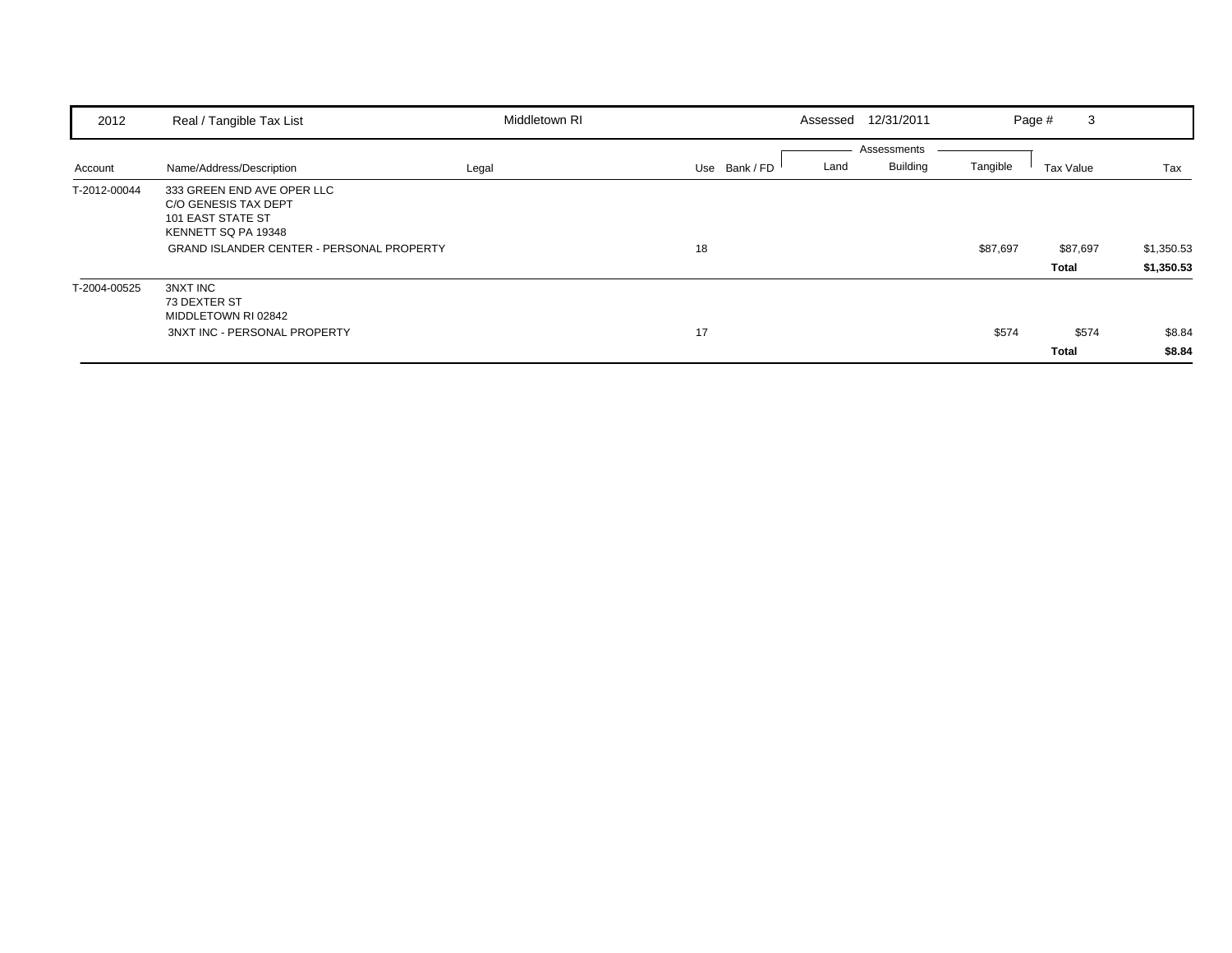| 2012         | Real / Tangible Tax List                                                                                                                           | Middletown RI | Assessed              | 12/31/2011                                 | 3<br>Page #           |                          |
|--------------|----------------------------------------------------------------------------------------------------------------------------------------------------|---------------|-----------------------|--------------------------------------------|-----------------------|--------------------------|
| Account      | Name/Address/Description                                                                                                                           | Legal         | Use Bank / FD<br>Land | Assessments<br><b>Building</b><br>Tangible | Tax Value             | Tax                      |
| T-2012-00044 | 333 GREEN END AVE OPER LLC<br>C/O GENESIS TAX DEPT<br>101 EAST STATE ST<br>KENNETT SQ PA 19348<br><b>GRAND ISLANDER CENTER - PERSONAL PROPERTY</b> |               | 18                    | \$87,697                                   | \$87,697<br>Total     | \$1,350.53<br>\$1,350.53 |
| T-2004-00525 | 3NXT INC<br>73 DEXTER ST<br>MIDDLETOWN RI 02842<br>3NXT INC - PERSONAL PROPERTY                                                                    |               | 17                    | \$574                                      | \$574<br><b>Total</b> | \$8.84<br>\$8.84         |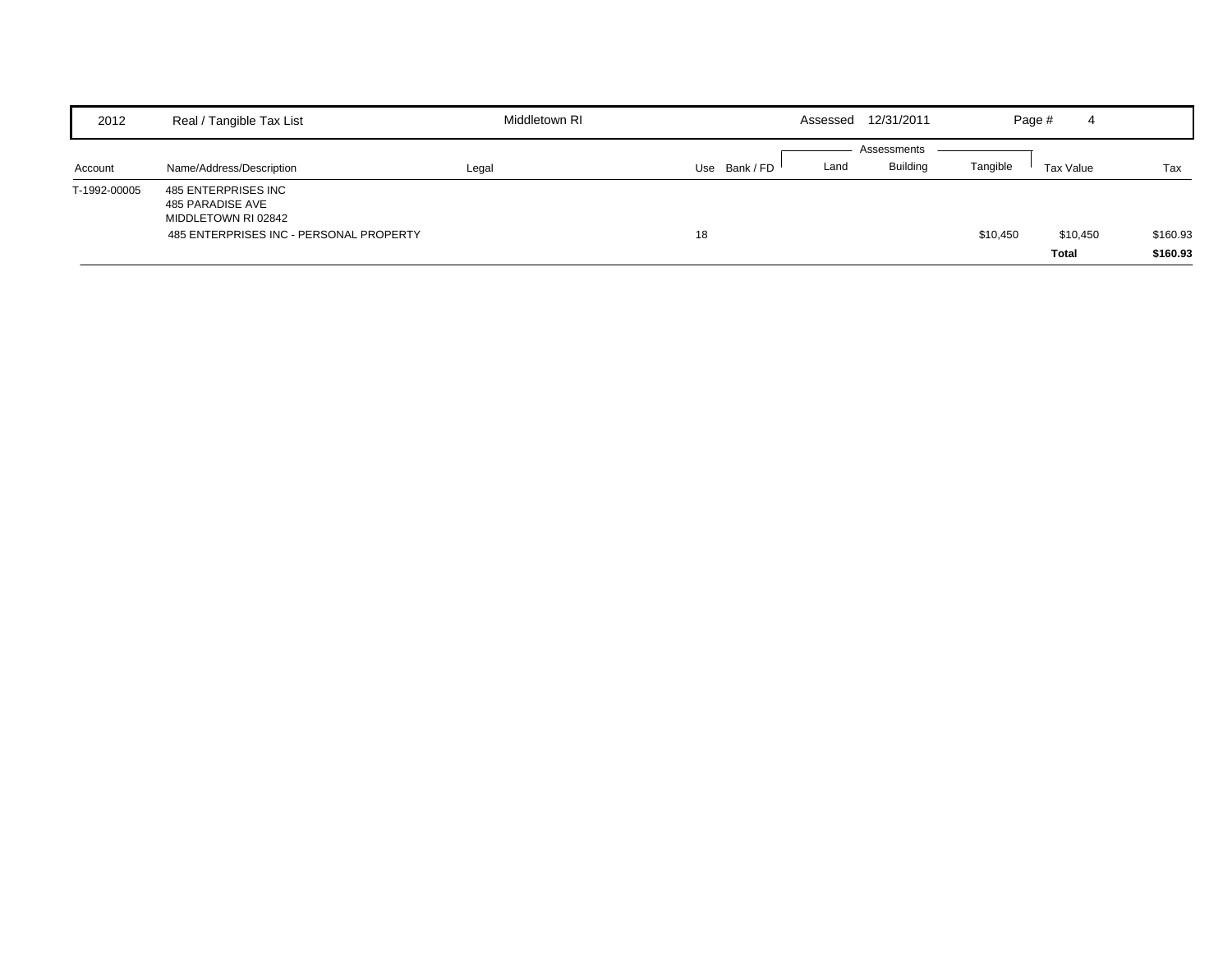| 2012         | Real / Tangible Tax List                                       | Middletown RI |             | Assessed | 12/31/2011      |          | Page #<br>4              |                      |
|--------------|----------------------------------------------------------------|---------------|-------------|----------|-----------------|----------|--------------------------|----------------------|
|              |                                                                |               |             |          | Assessments     |          |                          |                      |
| Account      | Name/Address/Description                                       | Legal         | Use Bank/FD | Land     | <b>Building</b> | Tangible | Tax Value                | Tax                  |
| T-1992-00005 | 485 ENTERPRISES INC<br>485 PARADISE AVE<br>MIDDLETOWN RI 02842 |               |             |          |                 |          |                          |                      |
|              | 485 ENTERPRISES INC - PERSONAL PROPERTY                        |               | 18          |          |                 | \$10,450 | \$10,450<br><b>Total</b> | \$160.93<br>\$160.93 |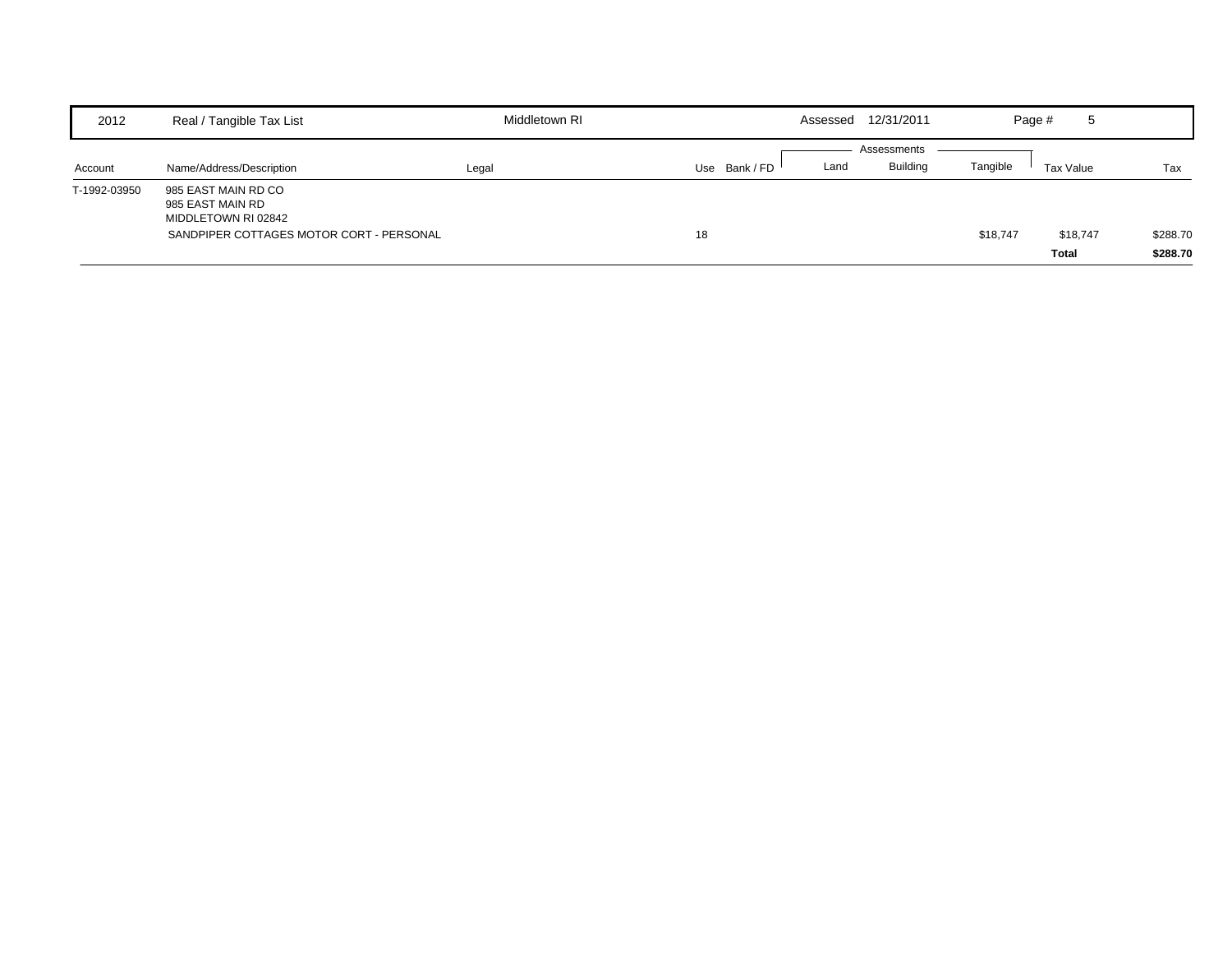| 2012         | Real / Tangible Tax List                                                                                   | Middletown RI |               | Assessed | 12/31/2011                     |          | Page #<br>5       |                      |
|--------------|------------------------------------------------------------------------------------------------------------|---------------|---------------|----------|--------------------------------|----------|-------------------|----------------------|
| Account      | Name/Address/Description                                                                                   | Legal         | Use Bank / FD | Land     | Assessments<br><b>Building</b> | Tangible | Tax Value         | Tax                  |
| T-1992-03950 | 985 EAST MAIN RD CO<br>985 EAST MAIN RD<br>MIDDLETOWN RI 02842<br>SANDPIPER COTTAGES MOTOR CORT - PERSONAL |               | 18            |          |                                | \$18,747 | \$18,747<br>Total | \$288.70<br>\$288.70 |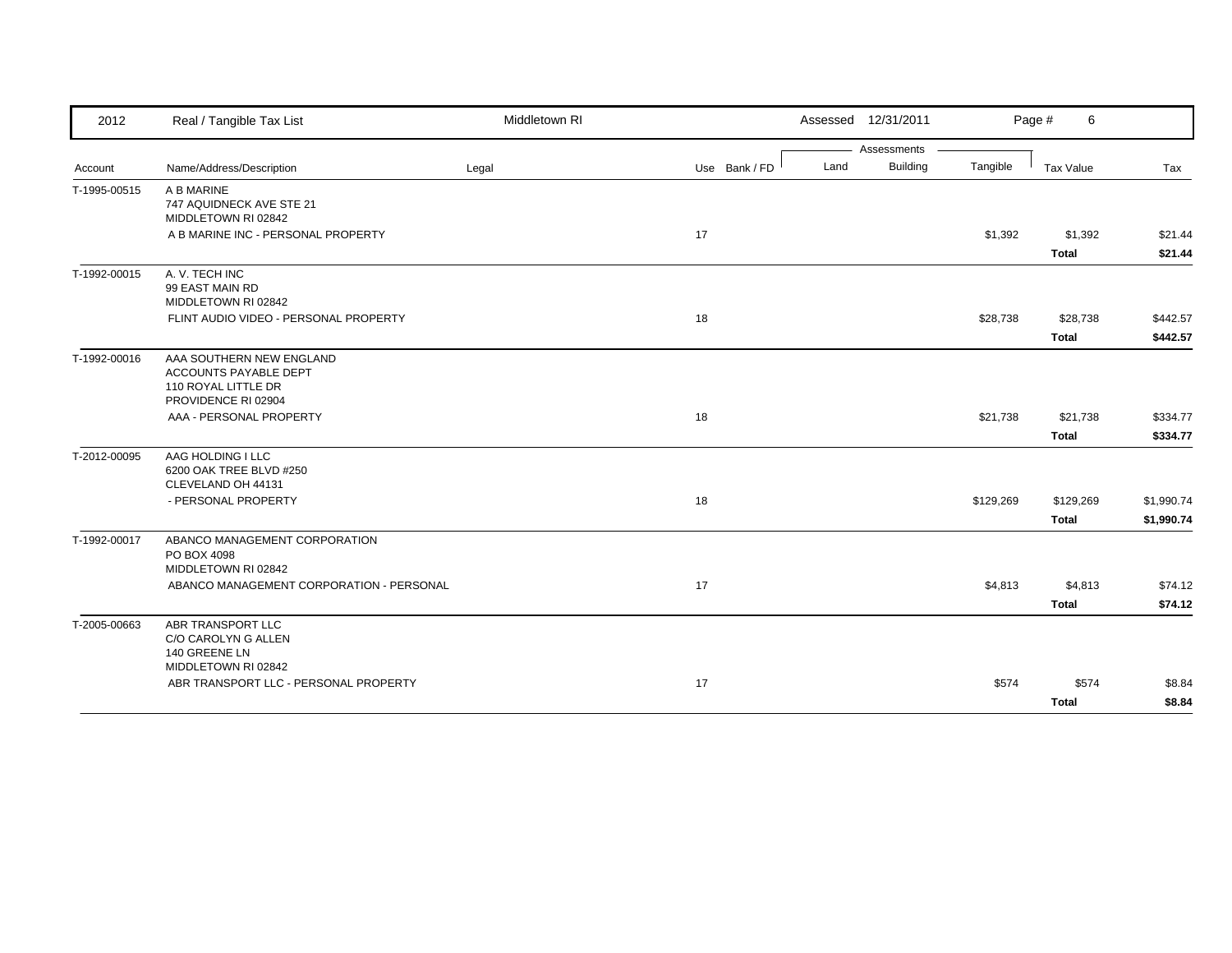| 2012         | Real / Tangible Tax List                                                 | Middletown RI |               | Assessed 12/31/2011 |                         |           | Page #<br>6               |                          |
|--------------|--------------------------------------------------------------------------|---------------|---------------|---------------------|-------------------------|-----------|---------------------------|--------------------------|
|              |                                                                          |               |               | Land                | Assessments<br>Building | Tangible  |                           |                          |
| Account      | Name/Address/Description                                                 | Legal         | Use Bank / FD |                     |                         |           | Tax Value                 | Tax                      |
| T-1995-00515 | A B MARINE<br>747 AQUIDNECK AVE STE 21<br>MIDDLETOWN RI 02842            |               |               |                     |                         |           |                           |                          |
|              | A B MARINE INC - PERSONAL PROPERTY                                       |               | 17            |                     |                         | \$1,392   | \$1,392<br><b>Total</b>   | \$21.44<br>\$21.44       |
| T-1992-00015 | A. V. TECH INC<br>99 EAST MAIN RD<br>MIDDLETOWN RI 02842                 |               |               |                     |                         |           |                           |                          |
|              | FLINT AUDIO VIDEO - PERSONAL PROPERTY                                    |               | 18            |                     |                         | \$28,738  | \$28,738                  | \$442.57                 |
|              |                                                                          |               |               |                     |                         |           | <b>Total</b>              | \$442.57                 |
| T-1992-00016 | AAA SOUTHERN NEW ENGLAND<br>ACCOUNTS PAYABLE DEPT<br>110 ROYAL LITTLE DR |               |               |                     |                         |           |                           |                          |
|              | PROVIDENCE RI 02904<br>AAA - PERSONAL PROPERTY                           |               | 18            |                     |                         | \$21,738  | \$21,738                  | \$334.77                 |
|              |                                                                          |               |               |                     |                         |           | <b>Total</b>              | \$334.77                 |
| T-2012-00095 | AAG HOLDING I LLC                                                        |               |               |                     |                         |           |                           |                          |
|              | 6200 OAK TREE BLVD #250<br>CLEVELAND OH 44131                            |               |               |                     |                         |           |                           |                          |
|              | - PERSONAL PROPERTY                                                      |               | 18            |                     |                         | \$129,269 | \$129,269<br><b>Total</b> | \$1,990.74<br>\$1,990.74 |
| T-1992-00017 | ABANCO MANAGEMENT CORPORATION<br>PO BOX 4098<br>MIDDLETOWN RI 02842      |               |               |                     |                         |           |                           |                          |
|              | ABANCO MANAGEMENT CORPORATION - PERSONAL                                 |               | 17            |                     |                         | \$4,813   | \$4,813<br><b>Total</b>   | \$74.12<br>\$74.12       |
| T-2005-00663 | ABR TRANSPORT LLC<br>C/O CAROLYN G ALLEN<br>140 GREENE LN                |               |               |                     |                         |           |                           |                          |
|              | MIDDLETOWN RI 02842<br>ABR TRANSPORT LLC - PERSONAL PROPERTY             |               | 17            |                     |                         | \$574     | \$574                     | \$8.84                   |
|              |                                                                          |               |               |                     |                         |           | <b>Total</b>              | \$8.84                   |
|              |                                                                          |               |               |                     |                         |           |                           |                          |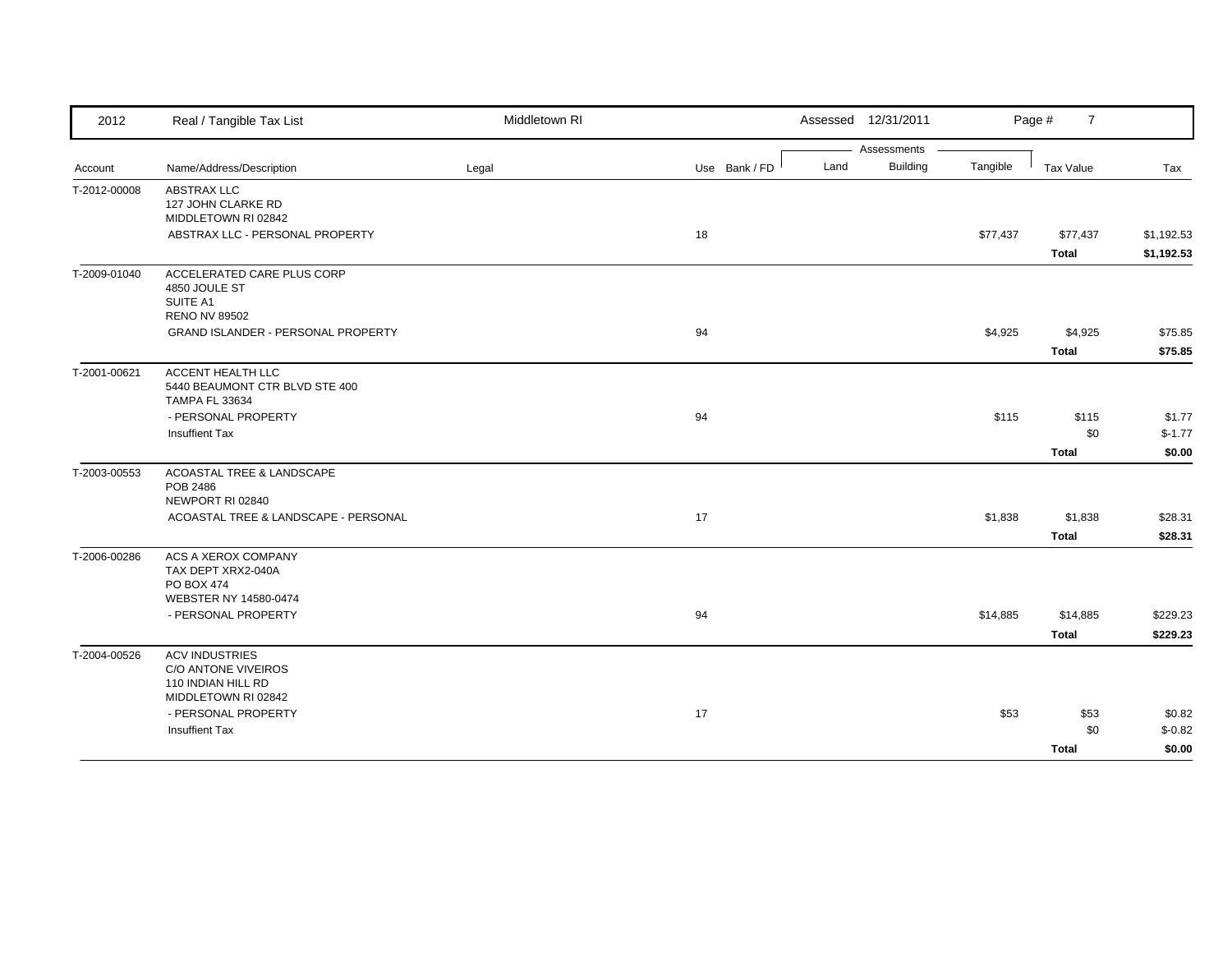| Assessments<br><b>Building</b><br>Use Bank / FD<br>Land<br>Tangible<br>Name/Address/Description<br>Tax Value<br>Tax<br>Legal<br>Account<br><b>ABSTRAX LLC</b><br>127 JOHN CLARKE RD<br>MIDDLETOWN RI 02842<br>ABSTRAX LLC - PERSONAL PROPERTY<br>18<br>\$77,437<br>\$77,437<br><b>Total</b><br>T-2009-01040<br>ACCELERATED CARE PLUS CORP<br>4850 JOULE ST<br>SUITE A1<br><b>RENO NV 89502</b><br>94<br>\$4,925<br>\$4,925<br><b>GRAND ISLANDER - PERSONAL PROPERTY</b><br>Total<br>ACCENT HEALTH LLC<br>5440 BEAUMONT CTR BLVD STE 400<br><b>TAMPA FL 33634</b><br>- PERSONAL PROPERTY<br>94<br>\$115<br>\$115<br>\$0<br>Insuffient Tax<br><b>Total</b><br>ACOASTAL TREE & LANDSCAPE<br>T-2003-00553<br>POB 2486<br>NEWPORT RI 02840<br>ACOASTAL TREE & LANDSCAPE - PERSONAL<br>17<br>\$1,838<br>\$1,838<br>Total<br>ACS A XEROX COMPANY<br>T-2006-00286<br>TAX DEPT XRX2-040A<br><b>PO BOX 474</b><br>WEBSTER NY 14580-0474<br>- PERSONAL PROPERTY<br>94<br>\$14,885<br>\$14,885<br>Total<br><b>ACV INDUSTRIES</b><br>C/O ANTONE VIVEIROS<br>110 INDIAN HILL RD<br>MIDDLETOWN RI 02842<br>- PERSONAL PROPERTY<br>17<br>\$53<br>\$53<br>\$0<br><b>Insuffient Tax</b><br><b>Total</b> | 2012         | Real / Tangible Tax List | Middletown RI | Assessed 12/31/2011 | Page #<br>$\overline{7}$ |  |
|---------------------------------------------------------------------------------------------------------------------------------------------------------------------------------------------------------------------------------------------------------------------------------------------------------------------------------------------------------------------------------------------------------------------------------------------------------------------------------------------------------------------------------------------------------------------------------------------------------------------------------------------------------------------------------------------------------------------------------------------------------------------------------------------------------------------------------------------------------------------------------------------------------------------------------------------------------------------------------------------------------------------------------------------------------------------------------------------------------------------------------------------------------------------------------------|--------------|--------------------------|---------------|---------------------|--------------------------|--|
|                                                                                                                                                                                                                                                                                                                                                                                                                                                                                                                                                                                                                                                                                                                                                                                                                                                                                                                                                                                                                                                                                                                                                                                       |              |                          |               |                     |                          |  |
|                                                                                                                                                                                                                                                                                                                                                                                                                                                                                                                                                                                                                                                                                                                                                                                                                                                                                                                                                                                                                                                                                                                                                                                       |              |                          |               |                     |                          |  |
| \$1,192.53<br>\$1,192.53<br>\$75.85<br>\$75.85                                                                                                                                                                                                                                                                                                                                                                                                                                                                                                                                                                                                                                                                                                                                                                                                                                                                                                                                                                                                                                                                                                                                        | T-2012-00008 |                          |               |                     |                          |  |
|                                                                                                                                                                                                                                                                                                                                                                                                                                                                                                                                                                                                                                                                                                                                                                                                                                                                                                                                                                                                                                                                                                                                                                                       |              |                          |               |                     |                          |  |
|                                                                                                                                                                                                                                                                                                                                                                                                                                                                                                                                                                                                                                                                                                                                                                                                                                                                                                                                                                                                                                                                                                                                                                                       |              |                          |               |                     |                          |  |
|                                                                                                                                                                                                                                                                                                                                                                                                                                                                                                                                                                                                                                                                                                                                                                                                                                                                                                                                                                                                                                                                                                                                                                                       |              |                          |               |                     |                          |  |
|                                                                                                                                                                                                                                                                                                                                                                                                                                                                                                                                                                                                                                                                                                                                                                                                                                                                                                                                                                                                                                                                                                                                                                                       |              |                          |               |                     |                          |  |
|                                                                                                                                                                                                                                                                                                                                                                                                                                                                                                                                                                                                                                                                                                                                                                                                                                                                                                                                                                                                                                                                                                                                                                                       |              |                          |               |                     |                          |  |
|                                                                                                                                                                                                                                                                                                                                                                                                                                                                                                                                                                                                                                                                                                                                                                                                                                                                                                                                                                                                                                                                                                                                                                                       |              |                          |               |                     |                          |  |
|                                                                                                                                                                                                                                                                                                                                                                                                                                                                                                                                                                                                                                                                                                                                                                                                                                                                                                                                                                                                                                                                                                                                                                                       |              |                          |               |                     |                          |  |
|                                                                                                                                                                                                                                                                                                                                                                                                                                                                                                                                                                                                                                                                                                                                                                                                                                                                                                                                                                                                                                                                                                                                                                                       |              |                          |               |                     |                          |  |
|                                                                                                                                                                                                                                                                                                                                                                                                                                                                                                                                                                                                                                                                                                                                                                                                                                                                                                                                                                                                                                                                                                                                                                                       |              |                          |               |                     |                          |  |
| \$1.77<br>$$-1.77$<br>\$0.00<br>\$28.31<br>\$28.31<br>\$229.23<br>\$229.23<br>\$0.82<br>$$-0.82$<br>\$0.00                                                                                                                                                                                                                                                                                                                                                                                                                                                                                                                                                                                                                                                                                                                                                                                                                                                                                                                                                                                                                                                                            | T-2001-00621 |                          |               |                     |                          |  |
|                                                                                                                                                                                                                                                                                                                                                                                                                                                                                                                                                                                                                                                                                                                                                                                                                                                                                                                                                                                                                                                                                                                                                                                       |              |                          |               |                     |                          |  |
|                                                                                                                                                                                                                                                                                                                                                                                                                                                                                                                                                                                                                                                                                                                                                                                                                                                                                                                                                                                                                                                                                                                                                                                       |              |                          |               |                     |                          |  |
|                                                                                                                                                                                                                                                                                                                                                                                                                                                                                                                                                                                                                                                                                                                                                                                                                                                                                                                                                                                                                                                                                                                                                                                       |              |                          |               |                     |                          |  |
|                                                                                                                                                                                                                                                                                                                                                                                                                                                                                                                                                                                                                                                                                                                                                                                                                                                                                                                                                                                                                                                                                                                                                                                       |              |                          |               |                     |                          |  |
|                                                                                                                                                                                                                                                                                                                                                                                                                                                                                                                                                                                                                                                                                                                                                                                                                                                                                                                                                                                                                                                                                                                                                                                       |              |                          |               |                     |                          |  |
|                                                                                                                                                                                                                                                                                                                                                                                                                                                                                                                                                                                                                                                                                                                                                                                                                                                                                                                                                                                                                                                                                                                                                                                       |              |                          |               |                     |                          |  |
|                                                                                                                                                                                                                                                                                                                                                                                                                                                                                                                                                                                                                                                                                                                                                                                                                                                                                                                                                                                                                                                                                                                                                                                       |              |                          |               |                     |                          |  |
|                                                                                                                                                                                                                                                                                                                                                                                                                                                                                                                                                                                                                                                                                                                                                                                                                                                                                                                                                                                                                                                                                                                                                                                       |              |                          |               |                     |                          |  |
|                                                                                                                                                                                                                                                                                                                                                                                                                                                                                                                                                                                                                                                                                                                                                                                                                                                                                                                                                                                                                                                                                                                                                                                       |              |                          |               |                     |                          |  |
|                                                                                                                                                                                                                                                                                                                                                                                                                                                                                                                                                                                                                                                                                                                                                                                                                                                                                                                                                                                                                                                                                                                                                                                       |              |                          |               |                     |                          |  |
|                                                                                                                                                                                                                                                                                                                                                                                                                                                                                                                                                                                                                                                                                                                                                                                                                                                                                                                                                                                                                                                                                                                                                                                       |              |                          |               |                     |                          |  |
|                                                                                                                                                                                                                                                                                                                                                                                                                                                                                                                                                                                                                                                                                                                                                                                                                                                                                                                                                                                                                                                                                                                                                                                       |              |                          |               |                     |                          |  |
|                                                                                                                                                                                                                                                                                                                                                                                                                                                                                                                                                                                                                                                                                                                                                                                                                                                                                                                                                                                                                                                                                                                                                                                       |              |                          |               |                     |                          |  |
|                                                                                                                                                                                                                                                                                                                                                                                                                                                                                                                                                                                                                                                                                                                                                                                                                                                                                                                                                                                                                                                                                                                                                                                       |              |                          |               |                     |                          |  |
|                                                                                                                                                                                                                                                                                                                                                                                                                                                                                                                                                                                                                                                                                                                                                                                                                                                                                                                                                                                                                                                                                                                                                                                       |              |                          |               |                     |                          |  |
|                                                                                                                                                                                                                                                                                                                                                                                                                                                                                                                                                                                                                                                                                                                                                                                                                                                                                                                                                                                                                                                                                                                                                                                       | T-2004-00526 |                          |               |                     |                          |  |
|                                                                                                                                                                                                                                                                                                                                                                                                                                                                                                                                                                                                                                                                                                                                                                                                                                                                                                                                                                                                                                                                                                                                                                                       |              |                          |               |                     |                          |  |
|                                                                                                                                                                                                                                                                                                                                                                                                                                                                                                                                                                                                                                                                                                                                                                                                                                                                                                                                                                                                                                                                                                                                                                                       |              |                          |               |                     |                          |  |
|                                                                                                                                                                                                                                                                                                                                                                                                                                                                                                                                                                                                                                                                                                                                                                                                                                                                                                                                                                                                                                                                                                                                                                                       |              |                          |               |                     |                          |  |
|                                                                                                                                                                                                                                                                                                                                                                                                                                                                                                                                                                                                                                                                                                                                                                                                                                                                                                                                                                                                                                                                                                                                                                                       |              |                          |               |                     |                          |  |
|                                                                                                                                                                                                                                                                                                                                                                                                                                                                                                                                                                                                                                                                                                                                                                                                                                                                                                                                                                                                                                                                                                                                                                                       |              |                          |               |                     |                          |  |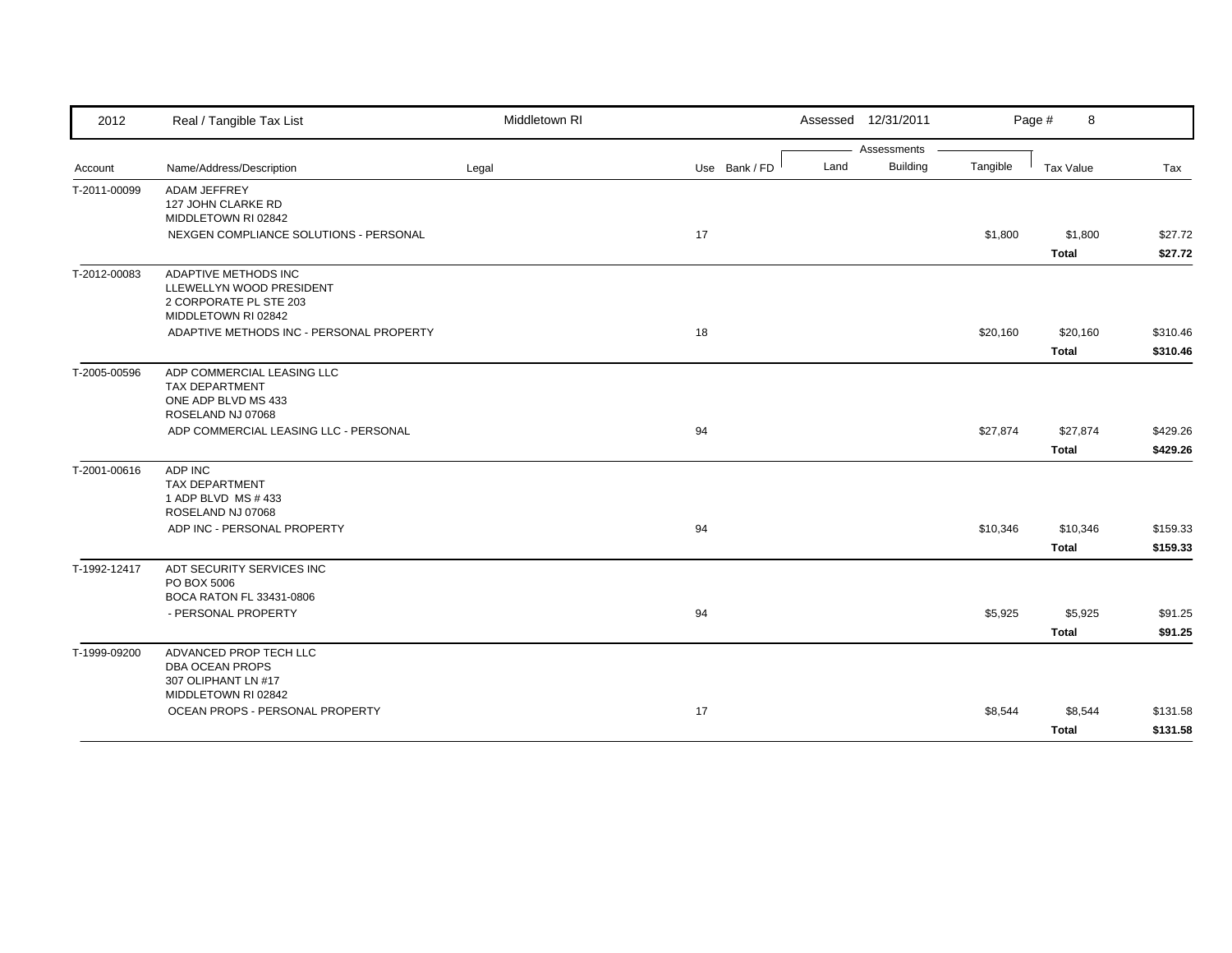| 2012         | Real / Tangible Tax List                                                                          | Middletown RI |               | Assessed 12/31/2011 |                 |          | Page #<br>8  |          |
|--------------|---------------------------------------------------------------------------------------------------|---------------|---------------|---------------------|-----------------|----------|--------------|----------|
|              |                                                                                                   |               |               |                     | Assessments     |          |              |          |
| Account      | Name/Address/Description                                                                          | Legal         | Use Bank / FD | Land                | <b>Building</b> | Tangible | Tax Value    | Tax      |
| T-2011-00099 | <b>ADAM JEFFREY</b><br>127 JOHN CLARKE RD<br>MIDDLETOWN RI 02842                                  |               |               |                     |                 |          |              |          |
|              | NEXGEN COMPLIANCE SOLUTIONS - PERSONAL                                                            |               | 17            |                     |                 | \$1,800  | \$1,800      | \$27.72  |
|              |                                                                                                   |               |               |                     |                 |          | Total        | \$27.72  |
| T-2012-00083 | ADAPTIVE METHODS INC<br>LLEWELLYN WOOD PRESIDENT<br>2 CORPORATE PL STE 203<br>MIDDLETOWN RI 02842 |               |               |                     |                 |          |              |          |
|              | ADAPTIVE METHODS INC - PERSONAL PROPERTY                                                          |               | 18            |                     |                 | \$20,160 | \$20,160     | \$310.46 |
|              |                                                                                                   |               |               |                     |                 |          | <b>Total</b> | \$310.46 |
| T-2005-00596 | ADP COMMERCIAL LEASING LLC<br><b>TAX DEPARTMENT</b><br>ONE ADP BLVD MS 433<br>ROSELAND NJ 07068   |               |               |                     |                 |          |              |          |
|              | ADP COMMERCIAL LEASING LLC - PERSONAL                                                             |               | 94            |                     |                 | \$27,874 | \$27,874     | \$429.26 |
|              |                                                                                                   |               |               |                     |                 |          | Total        | \$429.26 |
|              | ADP INC                                                                                           |               |               |                     |                 |          |              |          |
| T-2001-00616 | <b>TAX DEPARTMENT</b><br>1 ADP BLVD MS # 433<br>ROSELAND NJ 07068                                 |               |               |                     |                 |          |              |          |
|              | ADP INC - PERSONAL PROPERTY                                                                       |               | 94            |                     |                 | \$10,346 | \$10,346     | \$159.33 |
|              |                                                                                                   |               |               |                     |                 |          | <b>Total</b> | \$159.33 |
| T-1992-12417 | ADT SECURITY SERVICES INC<br>PO BOX 5006<br>BOCA RATON FL 33431-0806                              |               |               |                     |                 |          |              |          |
|              | - PERSONAL PROPERTY                                                                               |               | 94            |                     |                 | \$5,925  | \$5,925      | \$91.25  |
|              |                                                                                                   |               |               |                     |                 |          | <b>Total</b> | \$91.25  |
| T-1999-09200 | ADVANCED PROP TECH LLC<br>DBA OCEAN PROPS<br>307 OLIPHANT LN #17<br>MIDDLETOWN RI 02842           |               |               |                     |                 |          |              |          |
|              | OCEAN PROPS - PERSONAL PROPERTY                                                                   |               | 17            |                     |                 | \$8,544  | \$8,544      | \$131.58 |
|              |                                                                                                   |               |               |                     |                 |          | <b>Total</b> | \$131.58 |
|              |                                                                                                   |               |               |                     |                 |          |              |          |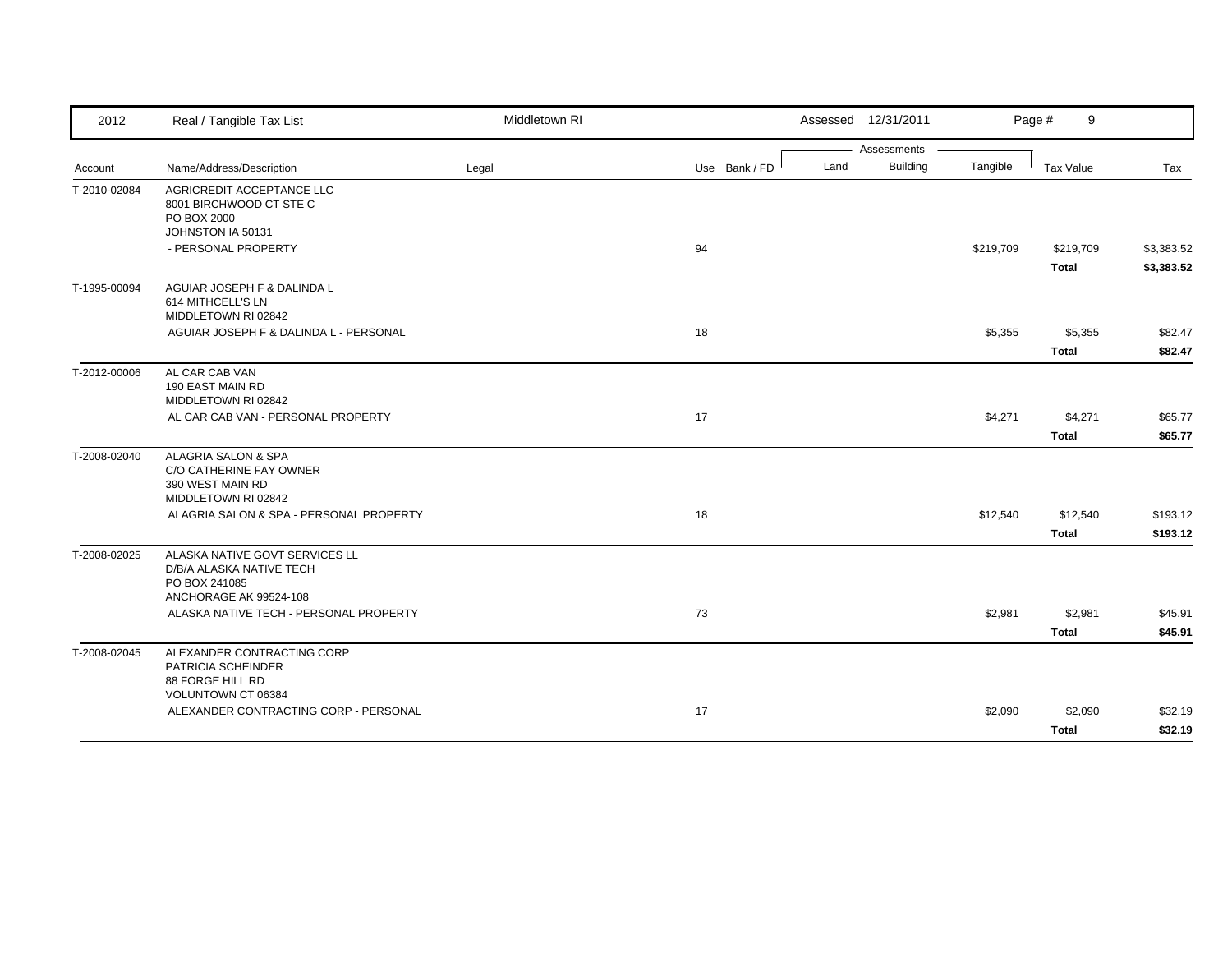| 2012         | Real / Tangible Tax List                                                                              | Middletown RI |               | Assessed 12/31/2011     |           | Page #<br>9      |            |
|--------------|-------------------------------------------------------------------------------------------------------|---------------|---------------|-------------------------|-----------|------------------|------------|
|              |                                                                                                       |               |               | Assessments             |           |                  |            |
| Account      | Name/Address/Description                                                                              | Legal         | Use Bank / FD | <b>Building</b><br>Land | Tangible  | <b>Tax Value</b> | Tax        |
| T-2010-02084 | AGRICREDIT ACCEPTANCE LLC<br>8001 BIRCHWOOD CT STE C<br>PO BOX 2000<br>JOHNSTON IA 50131              |               |               |                         |           |                  |            |
|              | - PERSONAL PROPERTY                                                                                   |               | 94            |                         | \$219,709 | \$219,709        | \$3,383.52 |
|              |                                                                                                       |               |               |                         |           | <b>Total</b>     | \$3,383.52 |
| T-1995-00094 | AGUIAR JOSEPH F & DALINDA L<br>614 MITHCELL'S LN<br>MIDDLETOWN RI 02842                               |               |               |                         |           |                  |            |
|              | AGUIAR JOSEPH F & DALINDA L - PERSONAL                                                                |               | 18            |                         | \$5,355   | \$5,355          | \$82.47    |
|              |                                                                                                       |               |               |                         |           | <b>Total</b>     | \$82.47    |
| T-2012-00006 | AL CAR CAB VAN<br>190 EAST MAIN RD<br>MIDDLETOWN RI 02842                                             |               |               |                         |           |                  |            |
|              | AL CAR CAB VAN - PERSONAL PROPERTY                                                                    |               | 17            |                         | \$4,271   | \$4,271          | \$65.77    |
|              |                                                                                                       |               |               |                         |           | <b>Total</b>     | \$65.77    |
| T-2008-02040 | ALAGRIA SALON & SPA<br>C/O CATHERINE FAY OWNER<br>390 WEST MAIN RD<br>MIDDLETOWN RI 02842             |               |               |                         |           |                  |            |
|              | ALAGRIA SALON & SPA - PERSONAL PROPERTY                                                               |               | 18            |                         | \$12,540  | \$12,540         | \$193.12   |
|              |                                                                                                       |               |               |                         |           | <b>Total</b>     | \$193.12   |
| T-2008-02025 | ALASKA NATIVE GOVT SERVICES LL<br>D/B/A ALASKA NATIVE TECH<br>PO BOX 241085<br>ANCHORAGE AK 99524-108 |               |               |                         |           |                  |            |
|              | ALASKA NATIVE TECH - PERSONAL PROPERTY                                                                |               | 73            |                         | \$2,981   | \$2,981          | \$45.91    |
|              |                                                                                                       |               |               |                         |           | <b>Total</b>     | \$45.91    |
| T-2008-02045 | ALEXANDER CONTRACTING CORP<br>PATRICIA SCHEINDER<br>88 FORGE HILL RD<br>VOLUNTOWN CT 06384            |               |               |                         |           |                  |            |
|              | ALEXANDER CONTRACTING CORP - PERSONAL                                                                 |               | 17            |                         | \$2,090   | \$2,090          | \$32.19    |
|              |                                                                                                       |               |               |                         |           | <b>Total</b>     | \$32.19    |
|              |                                                                                                       |               |               |                         |           |                  |            |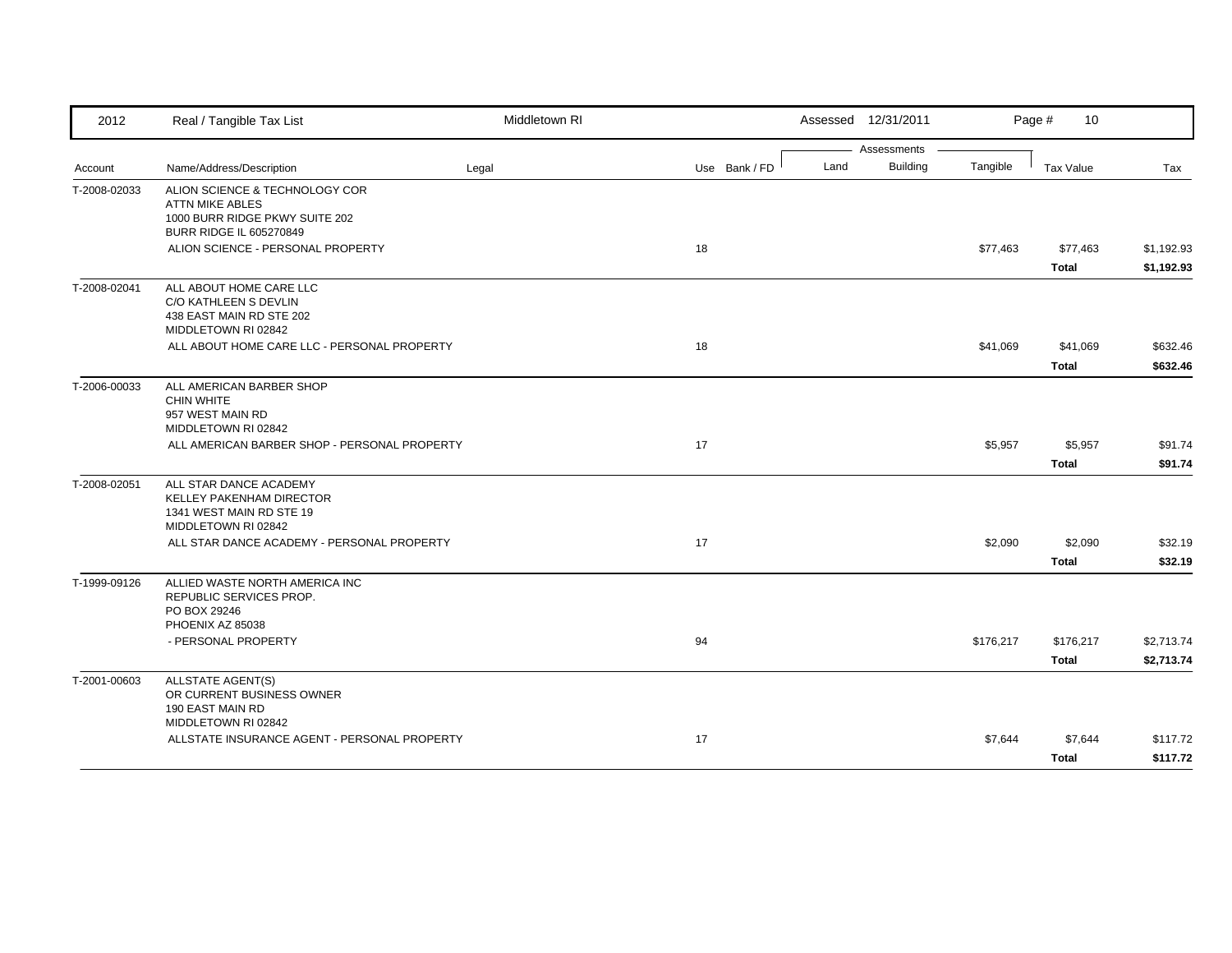| 2012         | Real / Tangible Tax List                                                                                                                                          | Middletown RI |               |      | Assessed 12/31/2011            |           | Page #<br>10             |                          |
|--------------|-------------------------------------------------------------------------------------------------------------------------------------------------------------------|---------------|---------------|------|--------------------------------|-----------|--------------------------|--------------------------|
| Account      | Name/Address/Description                                                                                                                                          | Legal         | Use Bank / FD | Land | Assessments<br><b>Building</b> | Tangible  | <b>Tax Value</b>         | Tax                      |
| T-2008-02033 | ALION SCIENCE & TECHNOLOGY COR<br><b>ATTN MIKE ABLES</b><br>1000 BURR RIDGE PKWY SUITE 202<br><b>BURR RIDGE IL 605270849</b><br>ALION SCIENCE - PERSONAL PROPERTY |               | 18            |      |                                | \$77,463  | \$77,463                 | \$1,192.93               |
|              |                                                                                                                                                                   |               |               |      |                                |           | <b>Total</b>             | \$1,192.93               |
| T-2008-02041 | ALL ABOUT HOME CARE LLC<br>C/O KATHLEEN S DEVLIN<br>438 EAST MAIN RD STE 202<br>MIDDLETOWN RI 02842                                                               |               |               |      |                                |           |                          |                          |
|              | ALL ABOUT HOME CARE LLC - PERSONAL PROPERTY                                                                                                                       |               | 18            |      |                                | \$41,069  | \$41,069<br><b>Total</b> | \$632.46<br>\$632.46     |
| T-2006-00033 | ALL AMERICAN BARBER SHOP<br><b>CHIN WHITE</b><br>957 WEST MAIN RD<br>MIDDLETOWN RI 02842                                                                          |               |               |      |                                |           |                          |                          |
|              | ALL AMERICAN BARBER SHOP - PERSONAL PROPERTY                                                                                                                      |               | 17            |      |                                | \$5,957   | \$5,957<br><b>Total</b>  | \$91.74<br>\$91.74       |
| T-2008-02051 | ALL STAR DANCE ACADEMY<br>KELLEY PAKENHAM DIRECTOR<br>1341 WEST MAIN RD STE 19<br>MIDDLETOWN RI 02842                                                             |               |               |      |                                |           |                          |                          |
|              | ALL STAR DANCE ACADEMY - PERSONAL PROPERTY                                                                                                                        |               | 17            |      |                                | \$2,090   | \$2,090<br><b>Total</b>  | \$32.19<br>\$32.19       |
| T-1999-09126 | ALLIED WASTE NORTH AMERICA INC<br>REPUBLIC SERVICES PROP.<br>PO BOX 29246<br>PHOENIX AZ 85038                                                                     |               |               |      |                                |           |                          |                          |
|              | - PERSONAL PROPERTY                                                                                                                                               |               | 94            |      |                                | \$176,217 | \$176,217<br>Total       | \$2,713.74<br>\$2,713.74 |
| T-2001-00603 | <b>ALLSTATE AGENT(S)</b><br>OR CURRENT BUSINESS OWNER<br>190 EAST MAIN RD<br>MIDDLETOWN RI 02842                                                                  |               |               |      |                                |           |                          |                          |
|              | ALLSTATE INSURANCE AGENT - PERSONAL PROPERTY                                                                                                                      |               | 17            |      |                                | \$7,644   | \$7,644<br><b>Total</b>  | \$117.72<br>\$117.72     |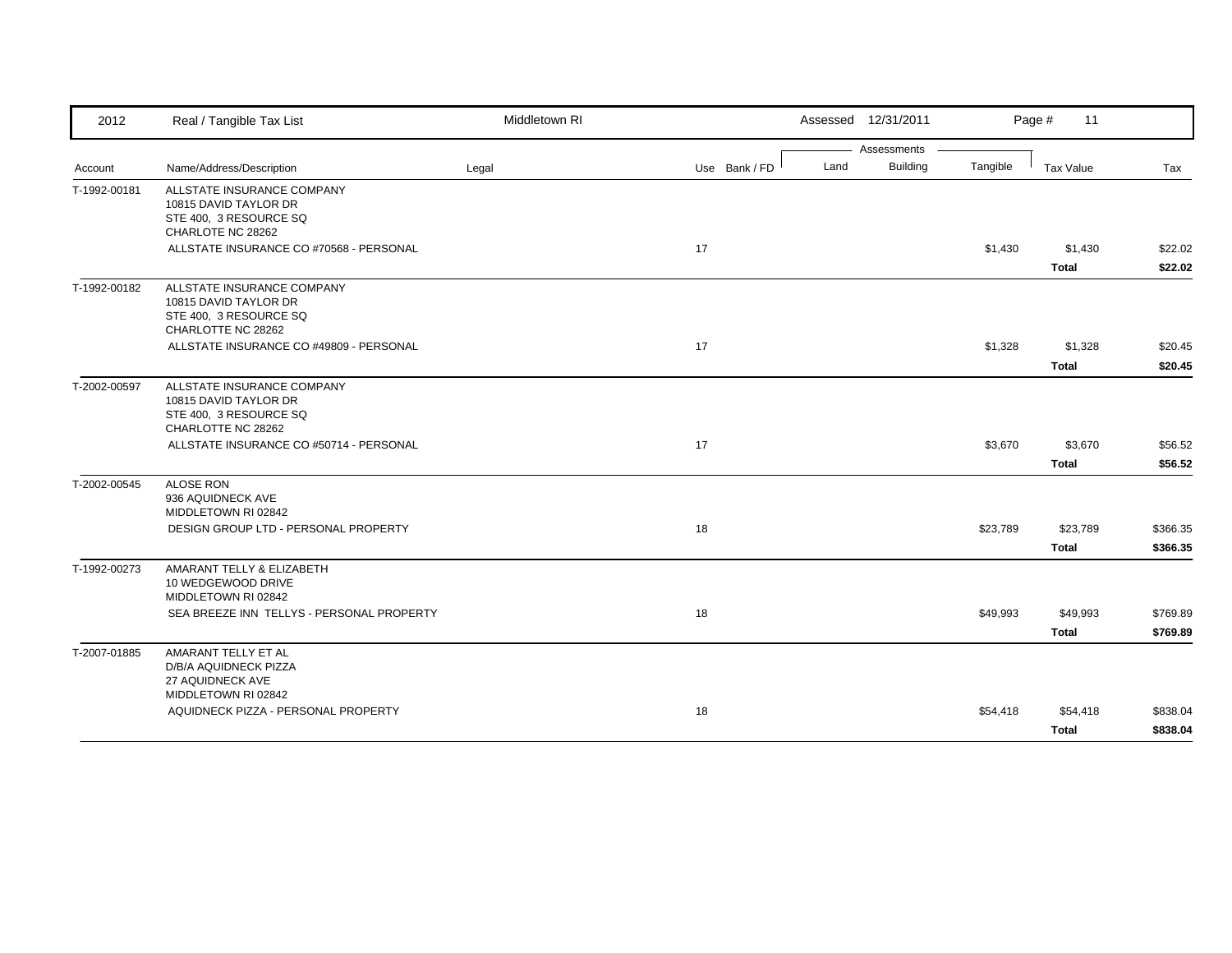| 2012         | Real / Tangible Tax List                                                                            | Middletown RI |               | Assessed 12/31/2011     |          | Page #<br>11     |          |
|--------------|-----------------------------------------------------------------------------------------------------|---------------|---------------|-------------------------|----------|------------------|----------|
|              |                                                                                                     |               |               | Assessments             |          |                  |          |
| Account      | Name/Address/Description                                                                            | Legal         | Use Bank / FD | <b>Building</b><br>Land | Tangible | <b>Tax Value</b> | Tax      |
| T-1992-00181 | ALLSTATE INSURANCE COMPANY<br>10815 DAVID TAYLOR DR<br>STE 400, 3 RESOURCE SQ<br>CHARLOTE NC 28262  |               |               |                         |          |                  |          |
|              | ALLSTATE INSURANCE CO #70568 - PERSONAL                                                             |               | 17            |                         | \$1,430  | \$1,430          | \$22.02  |
|              |                                                                                                     |               |               |                         |          | <b>Total</b>     | \$22.02  |
| T-1992-00182 | ALLSTATE INSURANCE COMPANY<br>10815 DAVID TAYLOR DR<br>STE 400, 3 RESOURCE SQ<br>CHARLOTTE NC 28262 |               |               |                         |          |                  |          |
|              | ALLSTATE INSURANCE CO #49809 - PERSONAL                                                             |               | 17            |                         | \$1,328  | \$1,328          | \$20.45  |
|              |                                                                                                     |               |               |                         |          | <b>Total</b>     | \$20.45  |
| T-2002-00597 | ALLSTATE INSURANCE COMPANY<br>10815 DAVID TAYLOR DR<br>STE 400, 3 RESOURCE SQ<br>CHARLOTTE NC 28262 |               |               |                         |          |                  |          |
|              | ALLSTATE INSURANCE CO #50714 - PERSONAL                                                             |               | 17            |                         | \$3,670  | \$3,670          | \$56.52  |
|              |                                                                                                     |               |               |                         |          | <b>Total</b>     | \$56.52  |
| T-2002-00545 | <b>ALOSE RON</b><br>936 AQUIDNECK AVE<br>MIDDLETOWN RI 02842                                        |               |               |                         |          |                  |          |
|              | DESIGN GROUP LTD - PERSONAL PROPERTY                                                                |               | 18            |                         | \$23,789 | \$23,789         | \$366.35 |
|              |                                                                                                     |               |               |                         |          | <b>Total</b>     | \$366.35 |
| T-1992-00273 | AMARANT TELLY & ELIZABETH<br>10 WEDGEWOOD DRIVE<br>MIDDLETOWN RI 02842                              |               |               |                         |          |                  |          |
|              | SEA BREEZE INN TELLYS - PERSONAL PROPERTY                                                           |               | 18            |                         | \$49,993 | \$49,993         | \$769.89 |
|              |                                                                                                     |               |               |                         |          | <b>Total</b>     | \$769.89 |
| T-2007-01885 | AMARANT TELLY ET AL<br>D/B/A AQUIDNECK PIZZA<br>27 AQUIDNECK AVE<br>MIDDLETOWN RI 02842             |               |               |                         |          |                  |          |
|              | AQUIDNECK PIZZA - PERSONAL PROPERTY                                                                 |               | 18            |                         | \$54,418 | \$54,418         | \$838.04 |
|              |                                                                                                     |               |               |                         |          | <b>Total</b>     | \$838.04 |
|              |                                                                                                     |               |               |                         |          |                  |          |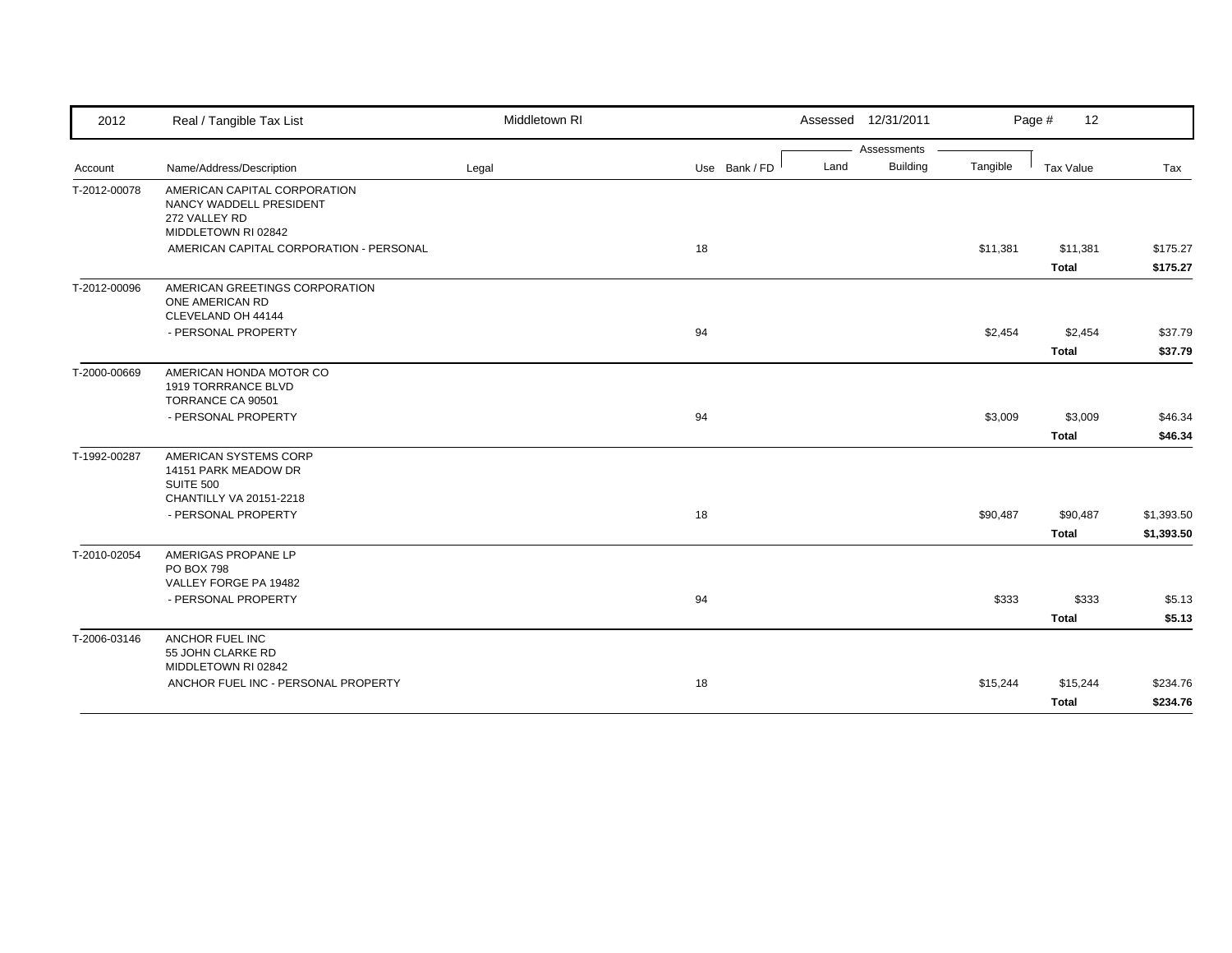| 2012         | Real / Tangible Tax List                                                                        | Middletown RI |               |      | Assessed 12/31/2011 |          | Page #<br>12             |                          |
|--------------|-------------------------------------------------------------------------------------------------|---------------|---------------|------|---------------------|----------|--------------------------|--------------------------|
|              |                                                                                                 |               |               |      | Assessments         |          |                          |                          |
| Account      | Name/Address/Description                                                                        | Legal         | Use Bank / FD | Land | <b>Building</b>     | Tangible | Tax Value                | Tax                      |
| T-2012-00078 | AMERICAN CAPITAL CORPORATION<br>NANCY WADDELL PRESIDENT<br>272 VALLEY RD<br>MIDDLETOWN RI 02842 |               |               |      |                     |          |                          |                          |
|              | AMERICAN CAPITAL CORPORATION - PERSONAL                                                         |               | 18            |      |                     | \$11,381 | \$11,381                 | \$175.27                 |
|              |                                                                                                 |               |               |      |                     |          | <b>Total</b>             | \$175.27                 |
| T-2012-00096 | AMERICAN GREETINGS CORPORATION<br>ONE AMERICAN RD<br>CLEVELAND OH 44144                         |               |               |      |                     |          |                          |                          |
|              | - PERSONAL PROPERTY                                                                             |               | 94            |      |                     | \$2,454  | \$2,454                  | \$37.79                  |
|              |                                                                                                 |               |               |      |                     |          | <b>Total</b>             | \$37.79                  |
| T-2000-00669 | AMERICAN HONDA MOTOR CO<br>1919 TORRRANCE BLVD<br>TORRANCE CA 90501                             |               |               |      |                     |          |                          |                          |
|              | - PERSONAL PROPERTY                                                                             |               | 94            |      |                     | \$3,009  | \$3,009                  | \$46.34                  |
|              |                                                                                                 |               |               |      |                     |          | <b>Total</b>             | \$46.34                  |
| T-1992-00287 | AMERICAN SYSTEMS CORP<br>14151 PARK MEADOW DR<br><b>SUITE 500</b>                               |               |               |      |                     |          |                          |                          |
|              | CHANTILLY VA 20151-2218                                                                         |               |               |      |                     |          |                          |                          |
|              | - PERSONAL PROPERTY                                                                             |               | 18            |      |                     | \$90,487 | \$90,487<br><b>Total</b> | \$1,393.50<br>\$1,393.50 |
| T-2010-02054 | AMERIGAS PROPANE LP<br><b>PO BOX 798</b>                                                        |               |               |      |                     |          |                          |                          |
|              | VALLEY FORGE PA 19482<br>- PERSONAL PROPERTY                                                    |               |               |      |                     |          |                          |                          |
|              |                                                                                                 |               | 94            |      |                     | \$333    | \$333<br><b>Total</b>    | \$5.13<br>\$5.13         |
| T-2006-03146 | ANCHOR FUEL INC                                                                                 |               |               |      |                     |          |                          |                          |
|              | 55 JOHN CLARKE RD<br>MIDDLETOWN RI 02842                                                        |               |               |      |                     |          |                          |                          |
|              | ANCHOR FUEL INC - PERSONAL PROPERTY                                                             |               | 18            |      |                     | \$15,244 | \$15,244                 | \$234.76                 |
|              |                                                                                                 |               |               |      |                     |          | <b>Total</b>             | \$234.76                 |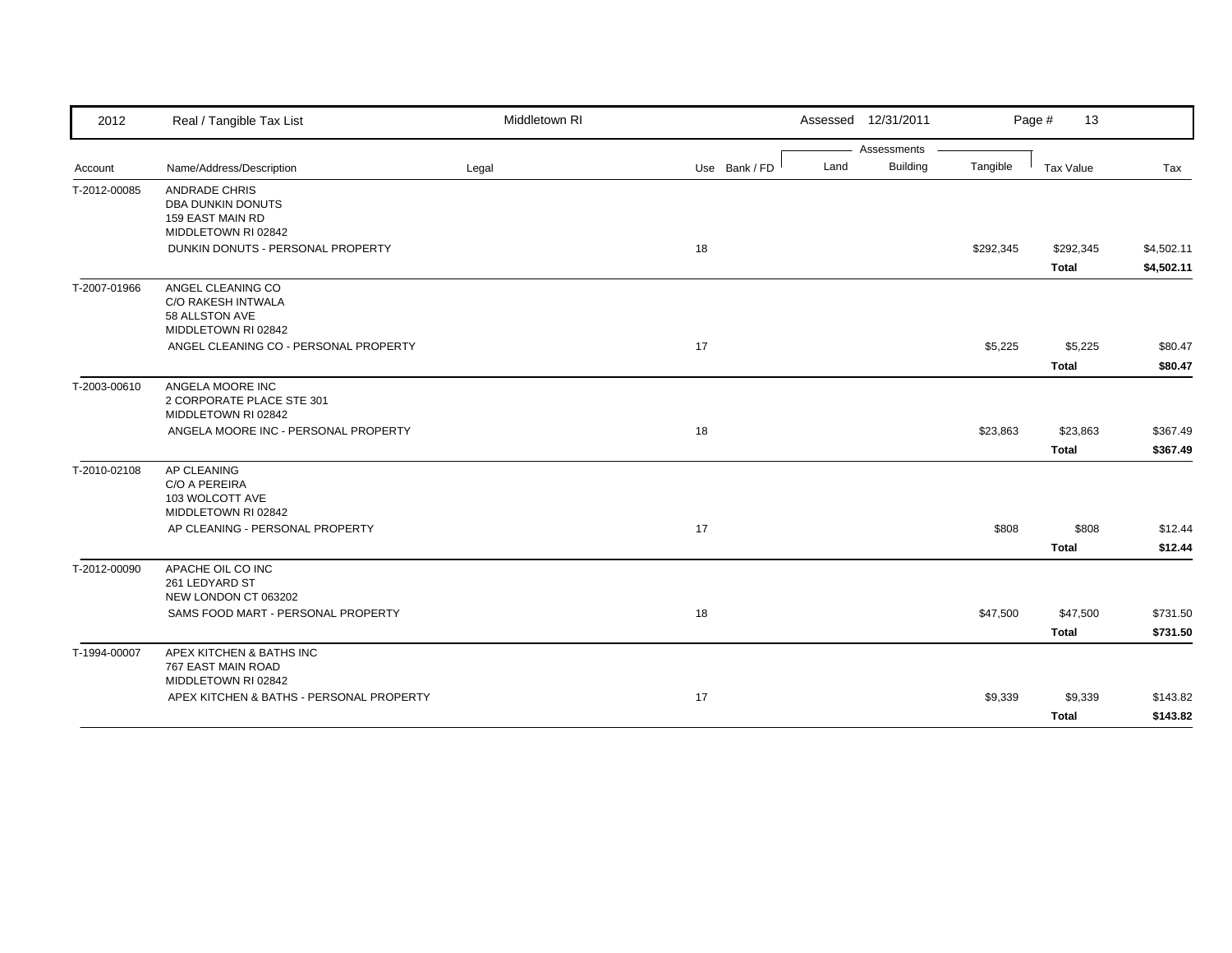| 2012         | Real / Tangible Tax List                                                         | Middletown RI |               | Assessed 12/31/2011     |           | Page #<br>13              |                          |
|--------------|----------------------------------------------------------------------------------|---------------|---------------|-------------------------|-----------|---------------------------|--------------------------|
|              |                                                                                  |               |               | Assessments             |           |                           |                          |
| Account      | Name/Address/Description                                                         | Legal         | Use Bank / FD | <b>Building</b><br>Land | Tangible  | Tax Value                 | Tax                      |
| T-2012-00085 | <b>ANDRADE CHRIS</b><br>DBA DUNKIN DONUTS<br>159 EAST MAIN RD                    |               |               |                         |           |                           |                          |
|              | MIDDLETOWN RI 02842                                                              |               |               |                         |           |                           |                          |
|              | DUNKIN DONUTS - PERSONAL PROPERTY                                                |               | 18            |                         | \$292,345 | \$292,345<br><b>Total</b> | \$4,502.11<br>\$4,502.11 |
| T-2007-01966 | ANGEL CLEANING CO<br>C/O RAKESH INTWALA<br>58 ALLSTON AVE<br>MIDDLETOWN RI 02842 |               |               |                         |           |                           |                          |
|              | ANGEL CLEANING CO - PERSONAL PROPERTY                                            |               | 17            |                         | \$5,225   | \$5,225                   | \$80.47                  |
|              |                                                                                  |               |               |                         |           | <b>Total</b>              | \$80.47                  |
| T-2003-00610 | ANGELA MOORE INC<br>2 CORPORATE PLACE STE 301<br>MIDDLETOWN RI 02842             |               |               |                         |           |                           |                          |
|              | ANGELA MOORE INC - PERSONAL PROPERTY                                             |               | 18            |                         | \$23,863  | \$23,863                  | \$367.49                 |
|              |                                                                                  |               |               |                         |           | <b>Total</b>              | \$367.49                 |
| T-2010-02108 | AP CLEANING<br>C/O A PEREIRA<br>103 WOLCOTT AVE<br>MIDDLETOWN RI 02842           |               |               |                         |           |                           |                          |
|              | AP CLEANING - PERSONAL PROPERTY                                                  |               | 17            |                         | \$808     | \$808                     | \$12.44                  |
|              |                                                                                  |               |               |                         |           | <b>Total</b>              | \$12.44                  |
| T-2012-00090 | APACHE OIL CO INC<br>261 LEDYARD ST<br>NEW LONDON CT 063202                      |               |               |                         |           |                           |                          |
|              | SAMS FOOD MART - PERSONAL PROPERTY                                               |               | 18            |                         | \$47,500  | \$47,500                  | \$731.50                 |
|              |                                                                                  |               |               |                         |           | <b>Total</b>              | \$731.50                 |
| T-1994-00007 | APEX KITCHEN & BATHS INC<br>767 EAST MAIN ROAD<br>MIDDLETOWN RI 02842            |               |               |                         |           |                           |                          |
|              | APEX KITCHEN & BATHS - PERSONAL PROPERTY                                         |               | 17            |                         | \$9,339   | \$9,339                   | \$143.82                 |
|              |                                                                                  |               |               |                         |           | <b>Total</b>              | \$143.82                 |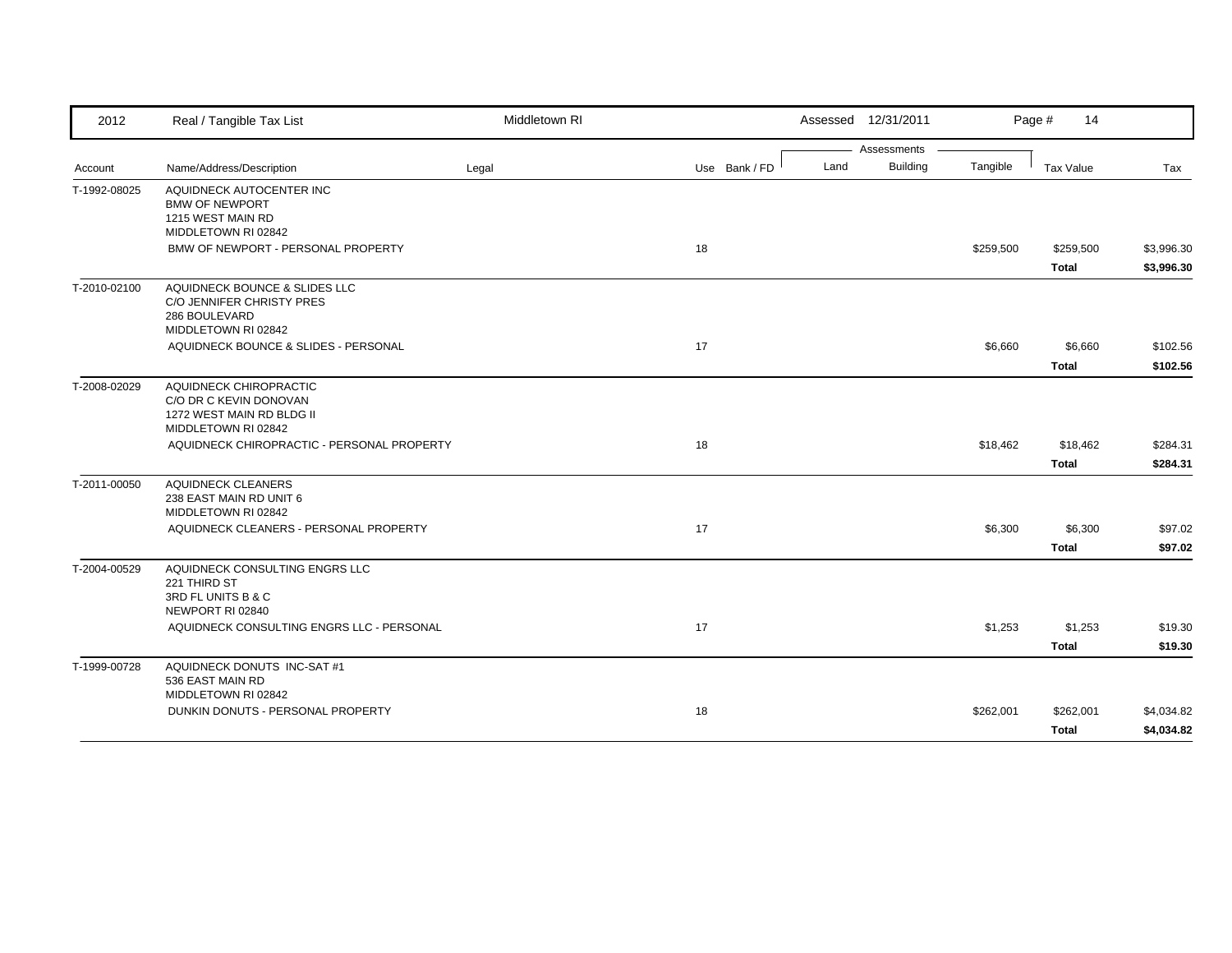| Assessments<br><b>Building</b><br>Land<br>Tangible<br>Name/Address/Description<br>Use Bank / FD<br><b>Tax Value</b><br>Legal<br>Tax<br>Account<br>T-1992-08025<br>AQUIDNECK AUTOCENTER INC<br><b>BMW OF NEWPORT</b><br>1215 WEST MAIN RD<br>MIDDLETOWN RI 02842<br>BMW OF NEWPORT - PERSONAL PROPERTY<br>18<br>\$259,500<br>\$259,500<br>Total<br>AQUIDNECK BOUNCE & SLIDES LLC<br>T-2010-02100<br>C/O JENNIFER CHRISTY PRES<br>286 BOULEVARD<br>MIDDLETOWN RI 02842<br>AQUIDNECK BOUNCE & SLIDES - PERSONAL<br>17<br>\$6,660<br>\$6,660<br><b>Total</b><br>AQUIDNECK CHIROPRACTIC<br>T-2008-02029<br>C/O DR C KEVIN DONOVAN<br>1272 WEST MAIN RD BLDG II<br>MIDDLETOWN RI 02842<br>AQUIDNECK CHIROPRACTIC - PERSONAL PROPERTY<br>18<br>\$18,462<br>\$18,462<br><b>Total</b><br>T-2011-00050<br><b>AQUIDNECK CLEANERS</b><br>238 EAST MAIN RD UNIT 6<br>MIDDLETOWN RI 02842<br>AQUIDNECK CLEANERS - PERSONAL PROPERTY<br>17<br>\$6,300<br>\$6,300<br><b>Total</b><br>T-2004-00529<br>AQUIDNECK CONSULTING ENGRS LLC<br>221 THIRD ST<br>3RD FL UNITS B & C<br>NEWPORT RI 02840<br>AQUIDNECK CONSULTING ENGRS LLC - PERSONAL<br>17<br>\$1,253<br>\$1,253<br><b>Total</b><br>AQUIDNECK DONUTS INC-SAT #1<br>T-1999-00728 | 2012 | Real / Tangible Tax List | Middletown RI |  | Assessed 12/31/2011 | Page #<br>14 |            |
|-----------------------------------------------------------------------------------------------------------------------------------------------------------------------------------------------------------------------------------------------------------------------------------------------------------------------------------------------------------------------------------------------------------------------------------------------------------------------------------------------------------------------------------------------------------------------------------------------------------------------------------------------------------------------------------------------------------------------------------------------------------------------------------------------------------------------------------------------------------------------------------------------------------------------------------------------------------------------------------------------------------------------------------------------------------------------------------------------------------------------------------------------------------------------------------------------------------------------|------|--------------------------|---------------|--|---------------------|--------------|------------|
|                                                                                                                                                                                                                                                                                                                                                                                                                                                                                                                                                                                                                                                                                                                                                                                                                                                                                                                                                                                                                                                                                                                                                                                                                       |      |                          |               |  |                     |              |            |
|                                                                                                                                                                                                                                                                                                                                                                                                                                                                                                                                                                                                                                                                                                                                                                                                                                                                                                                                                                                                                                                                                                                                                                                                                       |      |                          |               |  |                     |              |            |
|                                                                                                                                                                                                                                                                                                                                                                                                                                                                                                                                                                                                                                                                                                                                                                                                                                                                                                                                                                                                                                                                                                                                                                                                                       |      |                          |               |  |                     |              |            |
|                                                                                                                                                                                                                                                                                                                                                                                                                                                                                                                                                                                                                                                                                                                                                                                                                                                                                                                                                                                                                                                                                                                                                                                                                       |      |                          |               |  |                     |              | \$3,996.30 |
|                                                                                                                                                                                                                                                                                                                                                                                                                                                                                                                                                                                                                                                                                                                                                                                                                                                                                                                                                                                                                                                                                                                                                                                                                       |      |                          |               |  |                     |              | \$3,996.30 |
|                                                                                                                                                                                                                                                                                                                                                                                                                                                                                                                                                                                                                                                                                                                                                                                                                                                                                                                                                                                                                                                                                                                                                                                                                       |      |                          |               |  |                     |              |            |
|                                                                                                                                                                                                                                                                                                                                                                                                                                                                                                                                                                                                                                                                                                                                                                                                                                                                                                                                                                                                                                                                                                                                                                                                                       |      |                          |               |  |                     |              | \$102.56   |
|                                                                                                                                                                                                                                                                                                                                                                                                                                                                                                                                                                                                                                                                                                                                                                                                                                                                                                                                                                                                                                                                                                                                                                                                                       |      |                          |               |  |                     |              | \$102.56   |
|                                                                                                                                                                                                                                                                                                                                                                                                                                                                                                                                                                                                                                                                                                                                                                                                                                                                                                                                                                                                                                                                                                                                                                                                                       |      |                          |               |  |                     |              |            |
|                                                                                                                                                                                                                                                                                                                                                                                                                                                                                                                                                                                                                                                                                                                                                                                                                                                                                                                                                                                                                                                                                                                                                                                                                       |      |                          |               |  |                     |              | \$284.31   |
|                                                                                                                                                                                                                                                                                                                                                                                                                                                                                                                                                                                                                                                                                                                                                                                                                                                                                                                                                                                                                                                                                                                                                                                                                       |      |                          |               |  |                     |              | \$284.31   |
|                                                                                                                                                                                                                                                                                                                                                                                                                                                                                                                                                                                                                                                                                                                                                                                                                                                                                                                                                                                                                                                                                                                                                                                                                       |      |                          |               |  |                     |              |            |
|                                                                                                                                                                                                                                                                                                                                                                                                                                                                                                                                                                                                                                                                                                                                                                                                                                                                                                                                                                                                                                                                                                                                                                                                                       |      |                          |               |  |                     |              | \$97.02    |
|                                                                                                                                                                                                                                                                                                                                                                                                                                                                                                                                                                                                                                                                                                                                                                                                                                                                                                                                                                                                                                                                                                                                                                                                                       |      |                          |               |  |                     |              | \$97.02    |
|                                                                                                                                                                                                                                                                                                                                                                                                                                                                                                                                                                                                                                                                                                                                                                                                                                                                                                                                                                                                                                                                                                                                                                                                                       |      |                          |               |  |                     |              |            |
|                                                                                                                                                                                                                                                                                                                                                                                                                                                                                                                                                                                                                                                                                                                                                                                                                                                                                                                                                                                                                                                                                                                                                                                                                       |      |                          |               |  |                     |              | \$19.30    |
|                                                                                                                                                                                                                                                                                                                                                                                                                                                                                                                                                                                                                                                                                                                                                                                                                                                                                                                                                                                                                                                                                                                                                                                                                       |      |                          |               |  |                     |              | \$19.30    |
| MIDDLETOWN RI 02842                                                                                                                                                                                                                                                                                                                                                                                                                                                                                                                                                                                                                                                                                                                                                                                                                                                                                                                                                                                                                                                                                                                                                                                                   |      | 536 EAST MAIN RD         |               |  |                     |              |            |
| DUNKIN DONUTS - PERSONAL PROPERTY<br>18<br>\$262,001<br>\$262,001                                                                                                                                                                                                                                                                                                                                                                                                                                                                                                                                                                                                                                                                                                                                                                                                                                                                                                                                                                                                                                                                                                                                                     |      |                          |               |  |                     |              | \$4,034.82 |
| Total                                                                                                                                                                                                                                                                                                                                                                                                                                                                                                                                                                                                                                                                                                                                                                                                                                                                                                                                                                                                                                                                                                                                                                                                                 |      |                          |               |  |                     |              | \$4,034.82 |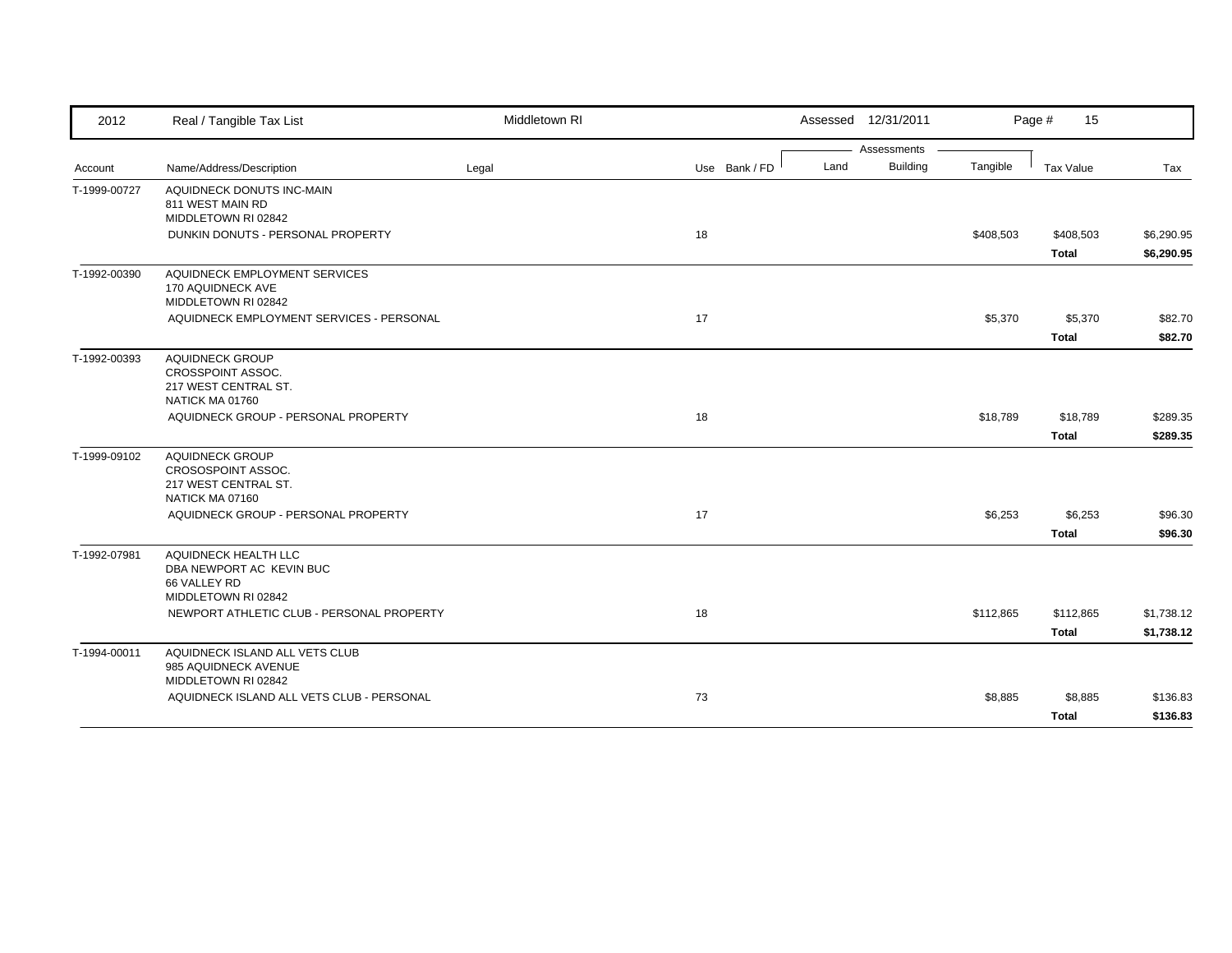| 2012         | Real / Tangible Tax List                                                                | Middletown RI |               | Assessed 12/31/2011 |                 |           | Page #<br>15              |                          |
|--------------|-----------------------------------------------------------------------------------------|---------------|---------------|---------------------|-----------------|-----------|---------------------------|--------------------------|
|              |                                                                                         |               |               |                     | Assessments     |           |                           |                          |
| Account      | Name/Address/Description                                                                | Legal         | Use Bank / FD | Land                | <b>Building</b> | Tangible  | <b>Tax Value</b>          | Tax                      |
| T-1999-00727 | AQUIDNECK DONUTS INC-MAIN<br>811 WEST MAIN RD<br>MIDDLETOWN RI 02842                    |               |               |                     |                 |           |                           |                          |
|              | DUNKIN DONUTS - PERSONAL PROPERTY                                                       |               | 18            |                     |                 | \$408,503 | \$408,503<br><b>Total</b> | \$6,290.95<br>\$6,290.95 |
| T-1992-00390 | AQUIDNECK EMPLOYMENT SERVICES<br>170 AQUIDNECK AVE<br>MIDDLETOWN RI 02842               |               |               |                     |                 |           |                           |                          |
|              | AQUIDNECK EMPLOYMENT SERVICES - PERSONAL                                                |               | 17            |                     |                 | \$5,370   | \$5,370<br><b>Total</b>   | \$82.70<br>\$82.70       |
| T-1992-00393 | <b>AQUIDNECK GROUP</b><br>CROSSPOINT ASSOC.<br>217 WEST CENTRAL ST.<br>NATICK MA 01760  |               |               |                     |                 |           |                           |                          |
|              | AQUIDNECK GROUP - PERSONAL PROPERTY                                                     |               | 18            |                     |                 | \$18,789  | \$18,789<br><b>Total</b>  | \$289.35<br>\$289.35     |
| T-1999-09102 | <b>AQUIDNECK GROUP</b><br>CROSOSPOINT ASSOC.<br>217 WEST CENTRAL ST.<br>NATICK MA 07160 |               |               |                     |                 |           |                           |                          |
|              | AQUIDNECK GROUP - PERSONAL PROPERTY                                                     |               | 17            |                     |                 | \$6,253   | \$6,253<br><b>Total</b>   | \$96.30<br>\$96.30       |
| T-1992-07981 | AQUIDNECK HEALTH LLC<br>DBA NEWPORT AC KEVIN BUC<br>66 VALLEY RD<br>MIDDLETOWN RI 02842 |               |               |                     |                 |           |                           |                          |
|              | NEWPORT ATHLETIC CLUB - PERSONAL PROPERTY                                               |               | 18            |                     |                 | \$112,865 | \$112,865<br><b>Total</b> | \$1,738.12<br>\$1,738.12 |
| T-1994-00011 | AQUIDNECK ISLAND ALL VETS CLUB<br>985 AQUIDNECK AVENUE<br>MIDDLETOWN RI 02842           |               |               |                     |                 |           |                           |                          |
|              | AQUIDNECK ISLAND ALL VETS CLUB - PERSONAL                                               |               | 73            |                     |                 | \$8,885   | \$8,885<br><b>Total</b>   | \$136.83<br>\$136.83     |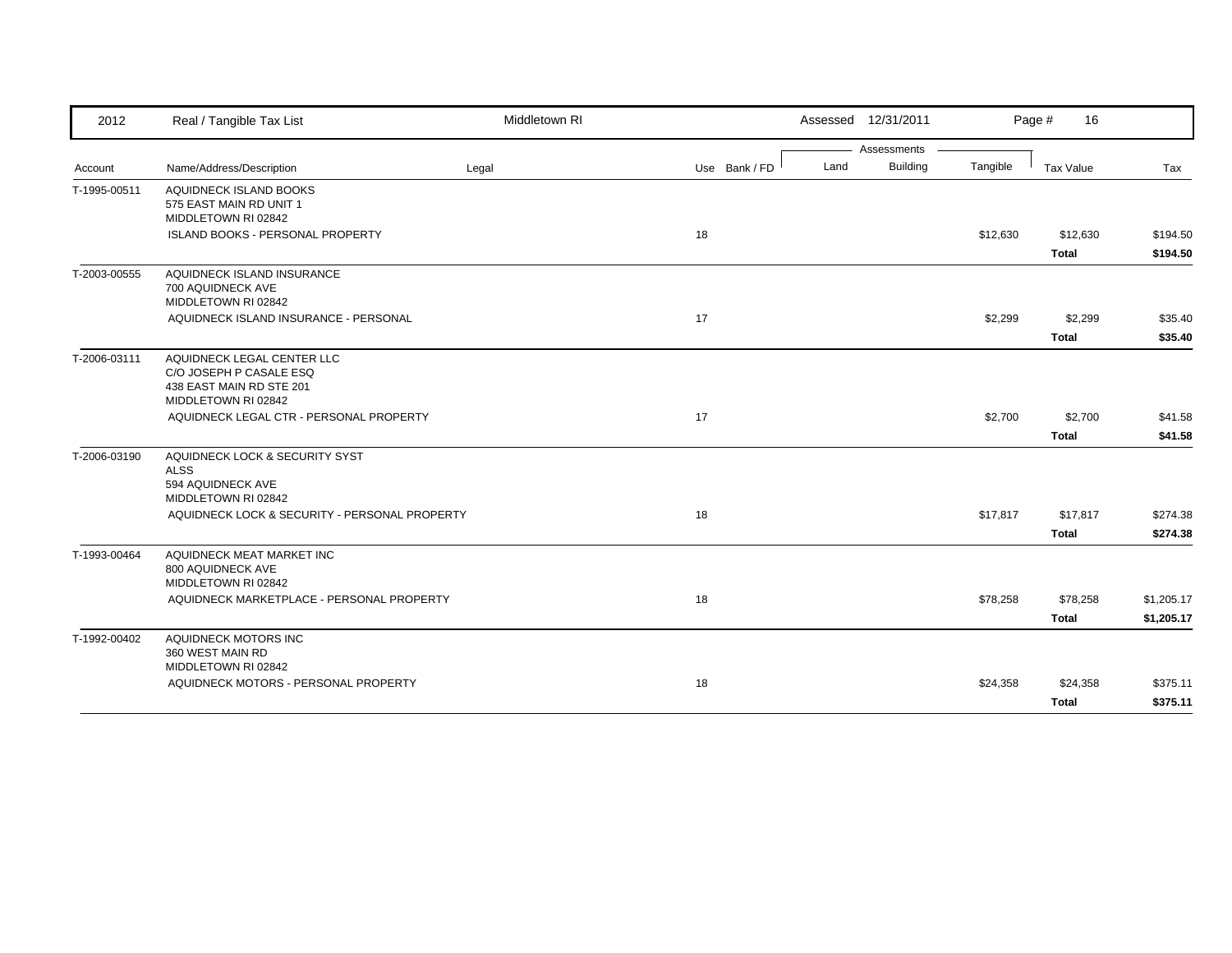| 2012         | Real / Tangible Tax List                                                                                 | Middletown RI |               |      | Assessed 12/31/2011 |          | Page #<br>16      |                      |
|--------------|----------------------------------------------------------------------------------------------------------|---------------|---------------|------|---------------------|----------|-------------------|----------------------|
|              |                                                                                                          |               |               |      | Assessments         |          |                   |                      |
| Account      | Name/Address/Description                                                                                 | Legal         | Use Bank / FD | Land | <b>Building</b>     | Tangible | Tax Value         | Tax                  |
| T-1995-00511 | AQUIDNECK ISLAND BOOKS<br>575 EAST MAIN RD UNIT 1<br>MIDDLETOWN RI 02842                                 |               |               |      |                     |          |                   |                      |
|              | ISLAND BOOKS - PERSONAL PROPERTY                                                                         |               | 18            |      |                     | \$12,630 | \$12,630<br>Total | \$194.50<br>\$194.50 |
| T-2003-00555 | AQUIDNECK ISLAND INSURANCE<br>700 AQUIDNECK AVE<br>MIDDLETOWN RI 02842                                   |               |               |      |                     |          |                   |                      |
|              | AQUIDNECK ISLAND INSURANCE - PERSONAL                                                                    |               | 17            |      |                     | \$2,299  | \$2,299           | \$35.40              |
|              |                                                                                                          |               |               |      |                     |          | <b>Total</b>      | \$35.40              |
| T-2006-03111 | AQUIDNECK LEGAL CENTER LLC<br>C/O JOSEPH P CASALE ESQ<br>438 EAST MAIN RD STE 201<br>MIDDLETOWN RI 02842 |               |               |      |                     |          |                   |                      |
|              | AQUIDNECK LEGAL CTR - PERSONAL PROPERTY                                                                  |               | 17            |      |                     | \$2,700  | \$2,700           | \$41.58              |
|              |                                                                                                          |               |               |      |                     |          | <b>Total</b>      | \$41.58              |
| T-2006-03190 | AQUIDNECK LOCK & SECURITY SYST<br><b>ALSS</b><br>594 AQUIDNECK AVE<br>MIDDLETOWN RI 02842                |               |               |      |                     |          |                   |                      |
|              | AQUIDNECK LOCK & SECURITY - PERSONAL PROPERTY                                                            |               | 18            |      |                     | \$17,817 | \$17,817          | \$274.38             |
|              |                                                                                                          |               |               |      |                     |          | Total             | \$274.38             |
| T-1993-00464 | AQUIDNECK MEAT MARKET INC<br>800 AQUIDNECK AVE<br>MIDDLETOWN RI 02842                                    |               |               |      |                     |          |                   |                      |
|              | AQUIDNECK MARKETPLACE - PERSONAL PROPERTY                                                                |               | 18            |      |                     | \$78,258 | \$78,258          | \$1,205.17           |
|              |                                                                                                          |               |               |      |                     |          | Total             | \$1,205.17           |
| T-1992-00402 | AQUIDNECK MOTORS INC<br>360 WEST MAIN RD<br>MIDDLETOWN RI 02842                                          |               |               |      |                     |          |                   |                      |
|              | AQUIDNECK MOTORS - PERSONAL PROPERTY                                                                     |               | 18            |      |                     | \$24,358 | \$24,358          | \$375.11             |
|              |                                                                                                          |               |               |      |                     |          | <b>Total</b>      | \$375.11             |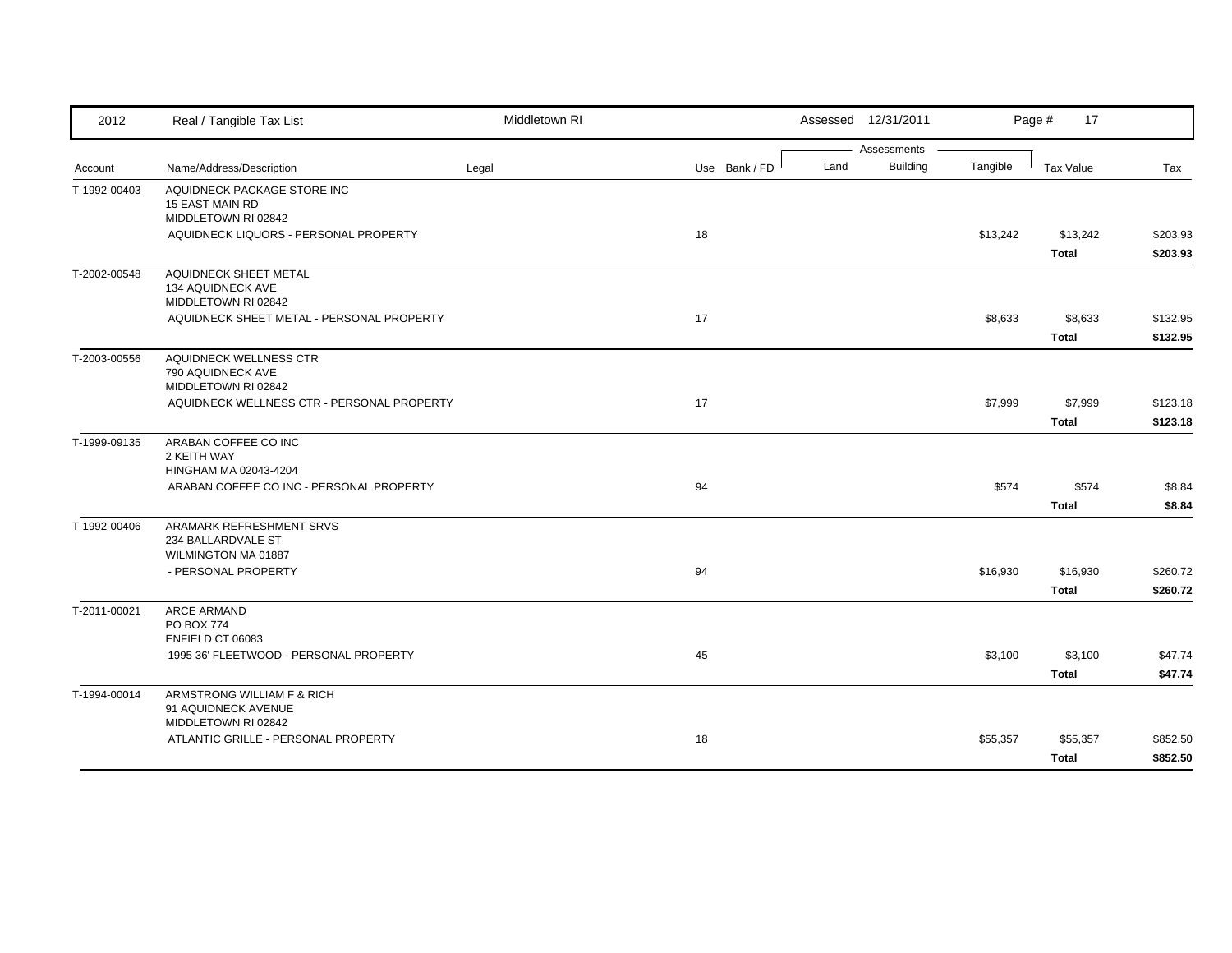| 2012         | Real / Tangible Tax List                                                                                              | Middletown RI |               |      | Assessed 12/31/2011            |          | Page #<br>17             |                      |
|--------------|-----------------------------------------------------------------------------------------------------------------------|---------------|---------------|------|--------------------------------|----------|--------------------------|----------------------|
| Account      | Name/Address/Description                                                                                              | Legal         | Use Bank / FD | Land | Assessments<br><b>Building</b> | Tangible | <b>Tax Value</b>         | Tax                  |
| T-1992-00403 | AQUIDNECK PACKAGE STORE INC<br><b>15 EAST MAIN RD</b><br>MIDDLETOWN RI 02842<br>AQUIDNECK LIQUORS - PERSONAL PROPERTY |               | 18            |      |                                | \$13,242 | \$13,242<br><b>Total</b> | \$203.93<br>\$203.93 |
| T-2002-00548 | AQUIDNECK SHEET METAL<br>134 AQUIDNECK AVE<br>MIDDLETOWN RI 02842<br>AQUIDNECK SHEET METAL - PERSONAL PROPERTY        |               | 17            |      |                                | \$8,633  | \$8,633<br><b>Total</b>  | \$132.95<br>\$132.95 |
| T-2003-00556 | AQUIDNECK WELLNESS CTR<br>790 AQUIDNECK AVE<br>MIDDLETOWN RI 02842<br>AQUIDNECK WELLNESS CTR - PERSONAL PROPERTY      |               | 17            |      |                                | \$7,999  | \$7,999<br><b>Total</b>  | \$123.18<br>\$123.18 |
| T-1999-09135 | ARABAN COFFEE CO INC<br>2 KEITH WAY<br>HINGHAM MA 02043-4204<br>ARABAN COFFEE CO INC - PERSONAL PROPERTY              |               | 94            |      |                                | \$574    | \$574<br><b>Total</b>    | \$8.84<br>\$8.84     |
| T-1992-00406 | ARAMARK REFRESHMENT SRVS<br>234 BALLARDVALE ST<br>WILMINGTON MA 01887<br>- PERSONAL PROPERTY                          |               | 94            |      |                                | \$16,930 | \$16,930<br><b>Total</b> | \$260.72<br>\$260.72 |
| T-2011-00021 | ARCE ARMAND<br><b>PO BOX 774</b><br>ENFIELD CT 06083<br>1995 36' FLEETWOOD - PERSONAL PROPERTY                        |               | 45            |      |                                | \$3,100  | \$3,100<br>Total         | \$47.74<br>\$47.74   |
| T-1994-00014 | ARMSTRONG WILLIAM F & RICH<br>91 AQUIDNECK AVENUE<br>MIDDLETOWN RI 02842<br>ATLANTIC GRILLE - PERSONAL PROPERTY       |               | 18            |      |                                | \$55,357 | \$55,357<br><b>Total</b> | \$852.50<br>\$852.50 |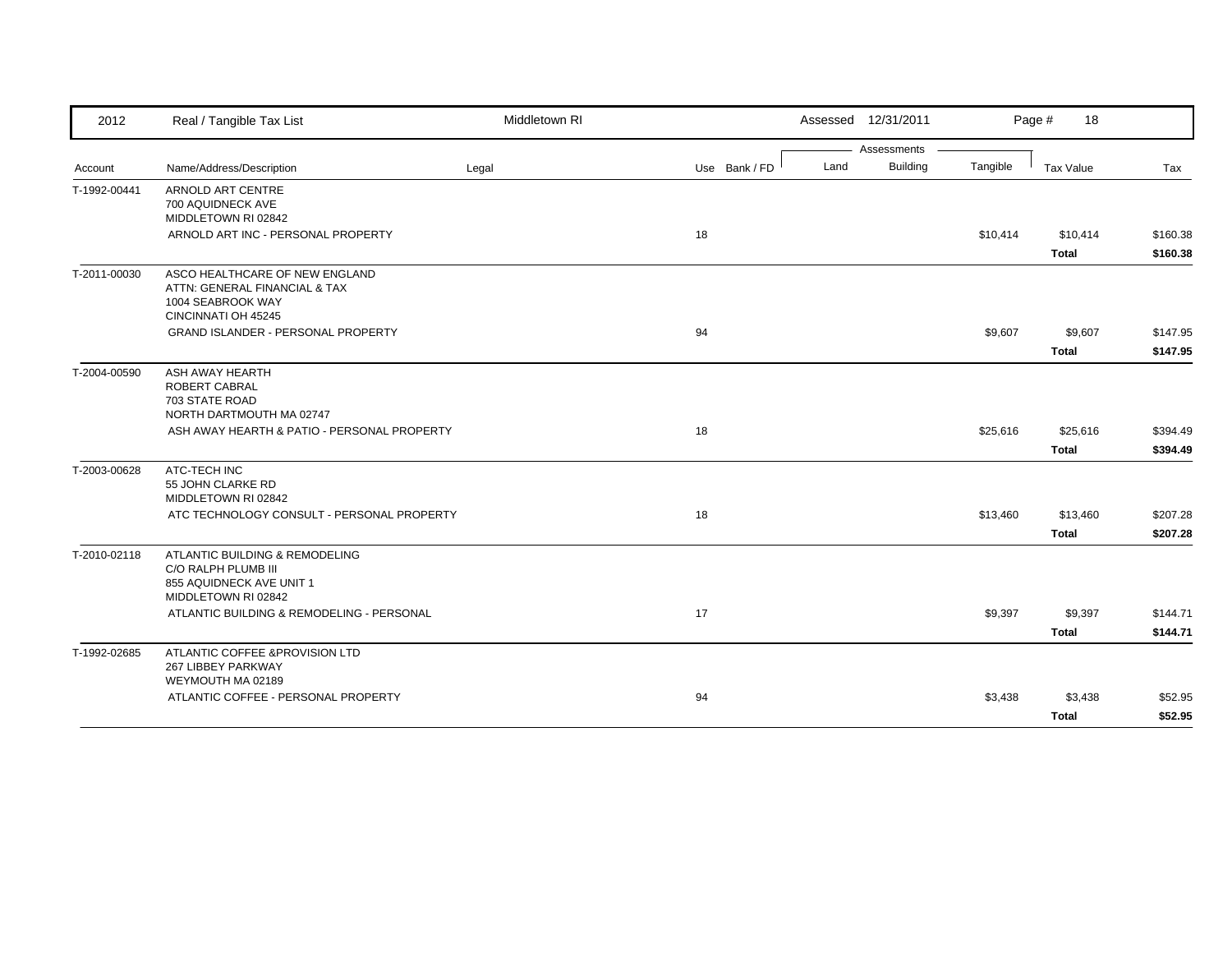| 2012         | Real / Tangible Tax List                                          | Middletown RI |               |      | Assessed 12/31/2011 |          | Page #<br>18 |          |
|--------------|-------------------------------------------------------------------|---------------|---------------|------|---------------------|----------|--------------|----------|
|              |                                                                   |               |               |      | Assessments         |          |              |          |
| Account      | Name/Address/Description                                          | Legal         | Use Bank / FD | Land | <b>Building</b>     | Tangible | Tax Value    | Tax      |
| T-1992-00441 | ARNOLD ART CENTRE                                                 |               |               |      |                     |          |              |          |
|              | 700 AQUIDNECK AVE                                                 |               |               |      |                     |          |              |          |
|              | MIDDLETOWN RI 02842                                               |               |               |      |                     |          |              |          |
|              | ARNOLD ART INC - PERSONAL PROPERTY                                |               | 18            |      |                     | \$10,414 | \$10,414     | \$160.38 |
|              |                                                                   |               |               |      |                     |          | <b>Total</b> | \$160.38 |
| T-2011-00030 | ASCO HEALTHCARE OF NEW ENGLAND                                    |               |               |      |                     |          |              |          |
|              | ATTN: GENERAL FINANCIAL & TAX                                     |               |               |      |                     |          |              |          |
|              | 1004 SEABROOK WAY                                                 |               |               |      |                     |          |              |          |
|              | CINCINNATI OH 45245<br>GRAND ISLANDER - PERSONAL PROPERTY         |               | 94            |      |                     | \$9,607  | \$9,607      | \$147.95 |
|              |                                                                   |               |               |      |                     |          |              |          |
|              |                                                                   |               |               |      |                     |          | <b>Total</b> | \$147.95 |
| T-2004-00590 | ASH AWAY HEARTH                                                   |               |               |      |                     |          |              |          |
|              | <b>ROBERT CABRAL</b>                                              |               |               |      |                     |          |              |          |
|              | 703 STATE ROAD<br>NORTH DARTMOUTH MA 02747                        |               |               |      |                     |          |              |          |
|              | ASH AWAY HEARTH & PATIO - PERSONAL PROPERTY                       |               | 18            |      |                     | \$25,616 | \$25,616     | \$394.49 |
|              |                                                                   |               |               |      |                     |          |              |          |
|              |                                                                   |               |               |      |                     |          | <b>Total</b> | \$394.49 |
| T-2003-00628 | ATC-TECH INC                                                      |               |               |      |                     |          |              |          |
|              | 55 JOHN CLARKE RD                                                 |               |               |      |                     |          |              |          |
|              | MIDDLETOWN RI 02842<br>ATC TECHNOLOGY CONSULT - PERSONAL PROPERTY |               | 18            |      |                     | \$13,460 | \$13,460     | \$207.28 |
|              |                                                                   |               |               |      |                     |          |              |          |
|              |                                                                   |               |               |      |                     |          | <b>Total</b> | \$207.28 |
| T-2010-02118 | ATLANTIC BUILDING & REMODELING                                    |               |               |      |                     |          |              |          |
|              | C/O RALPH PLUMB III<br>855 AQUIDNECK AVE UNIT 1                   |               |               |      |                     |          |              |          |
|              | MIDDLETOWN RI 02842                                               |               |               |      |                     |          |              |          |
|              | ATLANTIC BUILDING & REMODELING - PERSONAL                         |               | 17            |      |                     | \$9,397  | \$9,397      | \$144.71 |
|              |                                                                   |               |               |      |                     |          |              |          |
|              |                                                                   |               |               |      |                     |          | <b>Total</b> | \$144.71 |
| T-1992-02685 | ATLANTIC COFFEE & PROVISION LTD                                   |               |               |      |                     |          |              |          |
|              | 267 LIBBEY PARKWAY<br>WEYMOUTH MA 02189                           |               |               |      |                     |          |              |          |
|              | ATLANTIC COFFEE - PERSONAL PROPERTY                               |               | 94            |      |                     | \$3,438  | \$3,438      | \$52.95  |
|              |                                                                   |               |               |      |                     |          |              |          |
|              |                                                                   |               |               |      |                     |          | Total        | \$52.95  |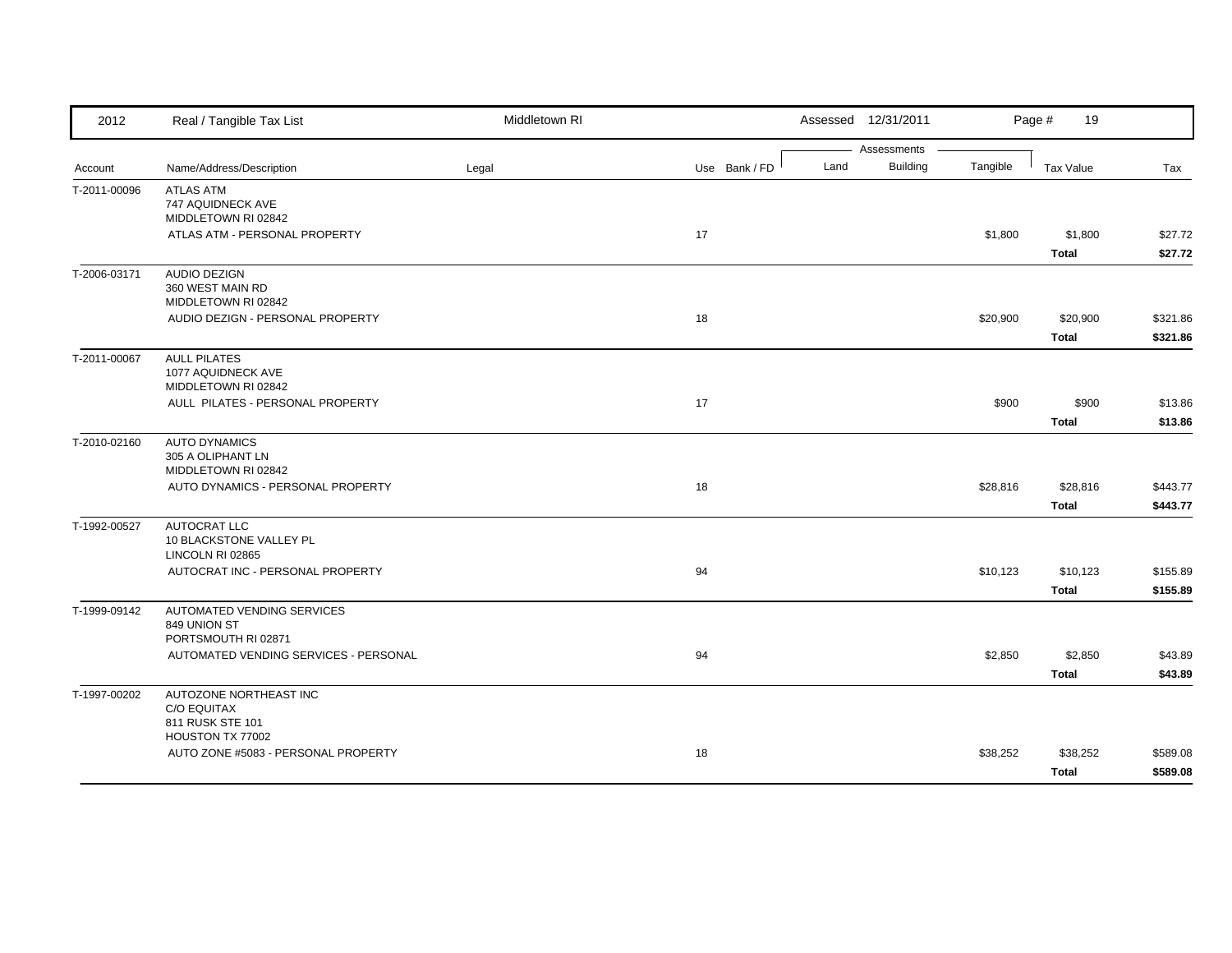| Assessments<br>Building<br>Land<br>Tangible<br>Name/Address/Description<br>Use Bank / FD<br><b>Tax Value</b><br>Legal<br>Tax<br>Account<br>T-2011-00096<br><b>ATLAS ATM</b><br>747 AQUIDNECK AVE<br>MIDDLETOWN RI 02842<br>ATLAS ATM - PERSONAL PROPERTY<br>17<br>\$1,800<br>\$1,800<br><b>Total</b><br><b>AUDIO DEZIGN</b><br>T-2006-03171<br>360 WEST MAIN RD<br>MIDDLETOWN RI 02842<br>AUDIO DEZIGN - PERSONAL PROPERTY<br>18<br>\$20,900<br>\$20,900<br><b>Total</b><br><b>AULL PILATES</b><br>T-2011-00067<br>1077 AQUIDNECK AVE<br>MIDDLETOWN RI 02842<br>AULL PILATES - PERSONAL PROPERTY<br>\$900<br>\$900<br>17<br><b>Total</b><br>T-2010-02160<br><b>AUTO DYNAMICS</b><br>305 A OLIPHANT LN<br>MIDDLETOWN RI 02842<br>AUTO DYNAMICS - PERSONAL PROPERTY<br>18<br>\$28,816<br>\$28,816<br><b>Total</b><br>AUTOCRAT LLC<br>T-1992-00527<br>10 BLACKSTONE VALLEY PL<br>LINCOLN RI 02865<br>AUTOCRAT INC - PERSONAL PROPERTY<br>94<br>\$10,123<br>\$10,123<br><b>Total</b><br>AUTOMATED VENDING SERVICES<br>T-1999-09142<br>849 UNION ST<br>PORTSMOUTH RI 02871<br>AUTOMATED VENDING SERVICES - PERSONAL<br>94<br>\$2,850<br>\$2,850<br><b>Total</b><br>AUTOZONE NORTHEAST INC<br>T-1997-00202<br><b>C/O EQUITAX</b><br>811 RUSK STE 101<br>HOUSTON TX 77002<br>AUTO ZONE #5083 - PERSONAL PROPERTY<br>\$38,252<br>18<br>\$38,252<br><b>Total</b> | 2012 | Real / Tangible Tax List | Middletown RI | Assessed 12/31/2011 | Page #<br>19 |  |
|---------------------------------------------------------------------------------------------------------------------------------------------------------------------------------------------------------------------------------------------------------------------------------------------------------------------------------------------------------------------------------------------------------------------------------------------------------------------------------------------------------------------------------------------------------------------------------------------------------------------------------------------------------------------------------------------------------------------------------------------------------------------------------------------------------------------------------------------------------------------------------------------------------------------------------------------------------------------------------------------------------------------------------------------------------------------------------------------------------------------------------------------------------------------------------------------------------------------------------------------------------------------------------------------------------------------------------------------------------|------|--------------------------|---------------|---------------------|--------------|--|
|                                                                                                                                                                                                                                                                                                                                                                                                                                                                                                                                                                                                                                                                                                                                                                                                                                                                                                                                                                                                                                                                                                                                                                                                                                                                                                                                                         |      |                          |               |                     |              |  |
|                                                                                                                                                                                                                                                                                                                                                                                                                                                                                                                                                                                                                                                                                                                                                                                                                                                                                                                                                                                                                                                                                                                                                                                                                                                                                                                                                         |      |                          |               |                     |              |  |
| \$27.72<br>\$27.72<br>\$321.86                                                                                                                                                                                                                                                                                                                                                                                                                                                                                                                                                                                                                                                                                                                                                                                                                                                                                                                                                                                                                                                                                                                                                                                                                                                                                                                          |      |                          |               |                     |              |  |
|                                                                                                                                                                                                                                                                                                                                                                                                                                                                                                                                                                                                                                                                                                                                                                                                                                                                                                                                                                                                                                                                                                                                                                                                                                                                                                                                                         |      |                          |               |                     |              |  |
|                                                                                                                                                                                                                                                                                                                                                                                                                                                                                                                                                                                                                                                                                                                                                                                                                                                                                                                                                                                                                                                                                                                                                                                                                                                                                                                                                         |      |                          |               |                     |              |  |
|                                                                                                                                                                                                                                                                                                                                                                                                                                                                                                                                                                                                                                                                                                                                                                                                                                                                                                                                                                                                                                                                                                                                                                                                                                                                                                                                                         |      |                          |               |                     |              |  |
|                                                                                                                                                                                                                                                                                                                                                                                                                                                                                                                                                                                                                                                                                                                                                                                                                                                                                                                                                                                                                                                                                                                                                                                                                                                                                                                                                         |      |                          |               |                     |              |  |
|                                                                                                                                                                                                                                                                                                                                                                                                                                                                                                                                                                                                                                                                                                                                                                                                                                                                                                                                                                                                                                                                                                                                                                                                                                                                                                                                                         |      |                          |               |                     |              |  |
|                                                                                                                                                                                                                                                                                                                                                                                                                                                                                                                                                                                                                                                                                                                                                                                                                                                                                                                                                                                                                                                                                                                                                                                                                                                                                                                                                         |      |                          |               |                     |              |  |
| \$321.86<br>\$13.86<br>\$13.86<br>\$443.77<br>\$443.77<br>\$155.89<br>\$155.89<br>\$43.89<br>\$43.89<br>\$589.08<br>\$589.08                                                                                                                                                                                                                                                                                                                                                                                                                                                                                                                                                                                                                                                                                                                                                                                                                                                                                                                                                                                                                                                                                                                                                                                                                            |      |                          |               |                     |              |  |
|                                                                                                                                                                                                                                                                                                                                                                                                                                                                                                                                                                                                                                                                                                                                                                                                                                                                                                                                                                                                                                                                                                                                                                                                                                                                                                                                                         |      |                          |               |                     |              |  |
|                                                                                                                                                                                                                                                                                                                                                                                                                                                                                                                                                                                                                                                                                                                                                                                                                                                                                                                                                                                                                                                                                                                                                                                                                                                                                                                                                         |      |                          |               |                     |              |  |
|                                                                                                                                                                                                                                                                                                                                                                                                                                                                                                                                                                                                                                                                                                                                                                                                                                                                                                                                                                                                                                                                                                                                                                                                                                                                                                                                                         |      |                          |               |                     |              |  |
|                                                                                                                                                                                                                                                                                                                                                                                                                                                                                                                                                                                                                                                                                                                                                                                                                                                                                                                                                                                                                                                                                                                                                                                                                                                                                                                                                         |      |                          |               |                     |              |  |
|                                                                                                                                                                                                                                                                                                                                                                                                                                                                                                                                                                                                                                                                                                                                                                                                                                                                                                                                                                                                                                                                                                                                                                                                                                                                                                                                                         |      |                          |               |                     |              |  |
|                                                                                                                                                                                                                                                                                                                                                                                                                                                                                                                                                                                                                                                                                                                                                                                                                                                                                                                                                                                                                                                                                                                                                                                                                                                                                                                                                         |      |                          |               |                     |              |  |
|                                                                                                                                                                                                                                                                                                                                                                                                                                                                                                                                                                                                                                                                                                                                                                                                                                                                                                                                                                                                                                                                                                                                                                                                                                                                                                                                                         |      |                          |               |                     |              |  |
|                                                                                                                                                                                                                                                                                                                                                                                                                                                                                                                                                                                                                                                                                                                                                                                                                                                                                                                                                                                                                                                                                                                                                                                                                                                                                                                                                         |      |                          |               |                     |              |  |
|                                                                                                                                                                                                                                                                                                                                                                                                                                                                                                                                                                                                                                                                                                                                                                                                                                                                                                                                                                                                                                                                                                                                                                                                                                                                                                                                                         |      |                          |               |                     |              |  |
|                                                                                                                                                                                                                                                                                                                                                                                                                                                                                                                                                                                                                                                                                                                                                                                                                                                                                                                                                                                                                                                                                                                                                                                                                                                                                                                                                         |      |                          |               |                     |              |  |
|                                                                                                                                                                                                                                                                                                                                                                                                                                                                                                                                                                                                                                                                                                                                                                                                                                                                                                                                                                                                                                                                                                                                                                                                                                                                                                                                                         |      |                          |               |                     |              |  |
|                                                                                                                                                                                                                                                                                                                                                                                                                                                                                                                                                                                                                                                                                                                                                                                                                                                                                                                                                                                                                                                                                                                                                                                                                                                                                                                                                         |      |                          |               |                     |              |  |
|                                                                                                                                                                                                                                                                                                                                                                                                                                                                                                                                                                                                                                                                                                                                                                                                                                                                                                                                                                                                                                                                                                                                                                                                                                                                                                                                                         |      |                          |               |                     |              |  |
|                                                                                                                                                                                                                                                                                                                                                                                                                                                                                                                                                                                                                                                                                                                                                                                                                                                                                                                                                                                                                                                                                                                                                                                                                                                                                                                                                         |      |                          |               |                     |              |  |
|                                                                                                                                                                                                                                                                                                                                                                                                                                                                                                                                                                                                                                                                                                                                                                                                                                                                                                                                                                                                                                                                                                                                                                                                                                                                                                                                                         |      |                          |               |                     |              |  |
|                                                                                                                                                                                                                                                                                                                                                                                                                                                                                                                                                                                                                                                                                                                                                                                                                                                                                                                                                                                                                                                                                                                                                                                                                                                                                                                                                         |      |                          |               |                     |              |  |
|                                                                                                                                                                                                                                                                                                                                                                                                                                                                                                                                                                                                                                                                                                                                                                                                                                                                                                                                                                                                                                                                                                                                                                                                                                                                                                                                                         |      |                          |               |                     |              |  |
|                                                                                                                                                                                                                                                                                                                                                                                                                                                                                                                                                                                                                                                                                                                                                                                                                                                                                                                                                                                                                                                                                                                                                                                                                                                                                                                                                         |      |                          |               |                     |              |  |
|                                                                                                                                                                                                                                                                                                                                                                                                                                                                                                                                                                                                                                                                                                                                                                                                                                                                                                                                                                                                                                                                                                                                                                                                                                                                                                                                                         |      |                          |               |                     |              |  |
|                                                                                                                                                                                                                                                                                                                                                                                                                                                                                                                                                                                                                                                                                                                                                                                                                                                                                                                                                                                                                                                                                                                                                                                                                                                                                                                                                         |      |                          |               |                     |              |  |
|                                                                                                                                                                                                                                                                                                                                                                                                                                                                                                                                                                                                                                                                                                                                                                                                                                                                                                                                                                                                                                                                                                                                                                                                                                                                                                                                                         |      |                          |               |                     |              |  |
|                                                                                                                                                                                                                                                                                                                                                                                                                                                                                                                                                                                                                                                                                                                                                                                                                                                                                                                                                                                                                                                                                                                                                                                                                                                                                                                                                         |      |                          |               |                     |              |  |
|                                                                                                                                                                                                                                                                                                                                                                                                                                                                                                                                                                                                                                                                                                                                                                                                                                                                                                                                                                                                                                                                                                                                                                                                                                                                                                                                                         |      |                          |               |                     |              |  |
|                                                                                                                                                                                                                                                                                                                                                                                                                                                                                                                                                                                                                                                                                                                                                                                                                                                                                                                                                                                                                                                                                                                                                                                                                                                                                                                                                         |      |                          |               |                     |              |  |
|                                                                                                                                                                                                                                                                                                                                                                                                                                                                                                                                                                                                                                                                                                                                                                                                                                                                                                                                                                                                                                                                                                                                                                                                                                                                                                                                                         |      |                          |               |                     |              |  |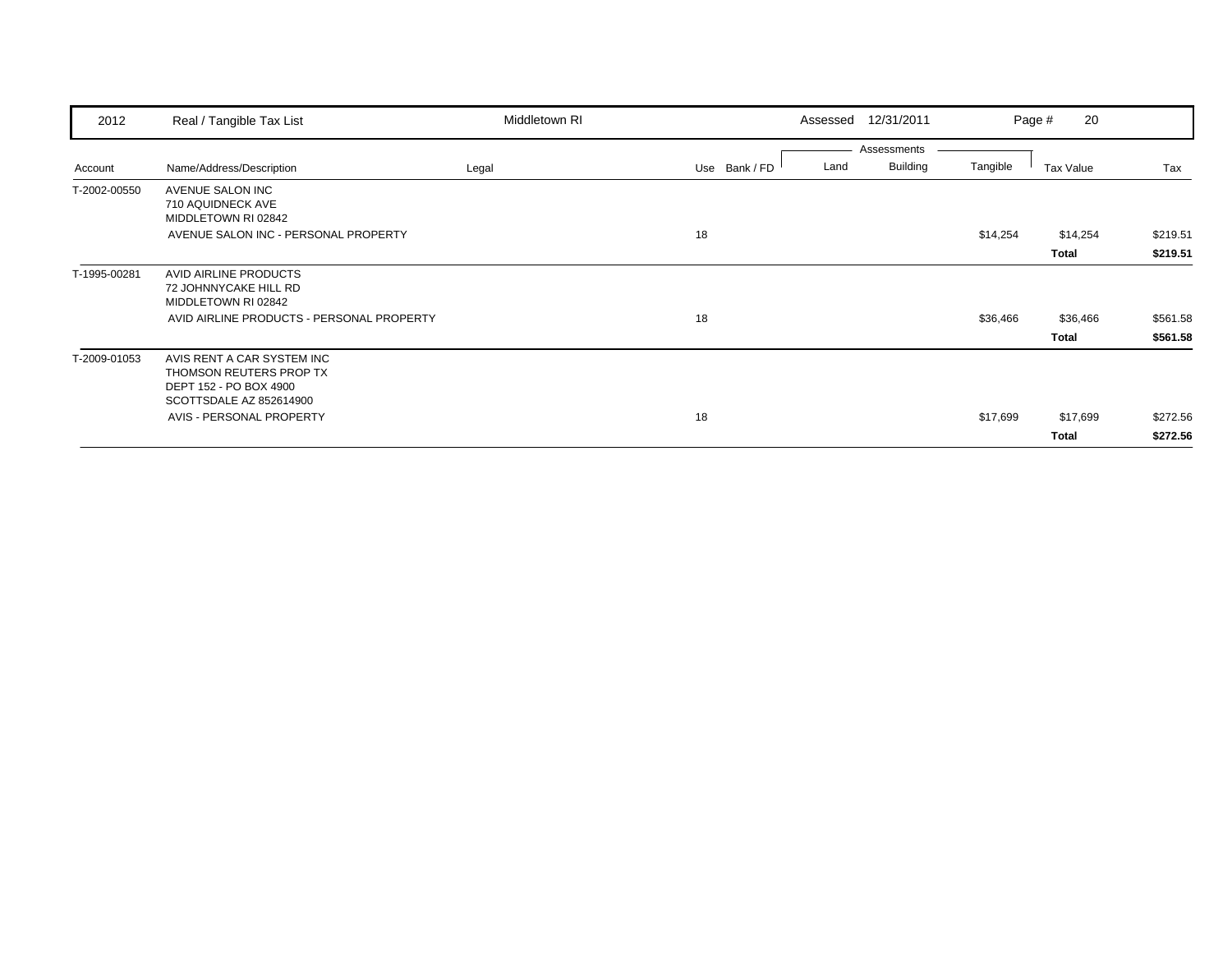| 2012         | Real / Tangible Tax List                                                                                   | Middletown RI | 12/31/2011<br>Assessed                                  |          | 20<br>Page # |          |
|--------------|------------------------------------------------------------------------------------------------------------|---------------|---------------------------------------------------------|----------|--------------|----------|
| Account      | Name/Address/Description                                                                                   | Legal         | Assessments<br><b>Building</b><br>Use Bank / FD<br>Land | Tangible | Tax Value    | Tax      |
| T-2002-00550 | AVENUE SALON INC<br>710 AQUIDNECK AVE<br>MIDDLETOWN RI 02842                                               |               |                                                         |          |              |          |
|              | AVENUE SALON INC - PERSONAL PROPERTY                                                                       |               | 18                                                      | \$14,254 | \$14,254     | \$219.51 |
|              |                                                                                                            |               |                                                         |          | Total        | \$219.51 |
| T-1995-00281 | AVID AIRLINE PRODUCTS<br>72 JOHNNYCAKE HILL RD<br>MIDDLETOWN RI 02842                                      |               |                                                         |          |              |          |
|              | AVID AIRLINE PRODUCTS - PERSONAL PROPERTY                                                                  |               | 18                                                      | \$36,466 | \$36,466     | \$561.58 |
|              |                                                                                                            |               |                                                         |          | <b>Total</b> | \$561.58 |
| T-2009-01053 | AVIS RENT A CAR SYSTEM INC<br>THOMSON REUTERS PROP TX<br>DEPT 152 - PO BOX 4900<br>SCOTTSDALE AZ 852614900 |               |                                                         |          |              |          |
|              | AVIS - PERSONAL PROPERTY                                                                                   |               | 18                                                      | \$17,699 | \$17,699     | \$272.56 |
|              |                                                                                                            |               |                                                         |          | Total        | \$272.56 |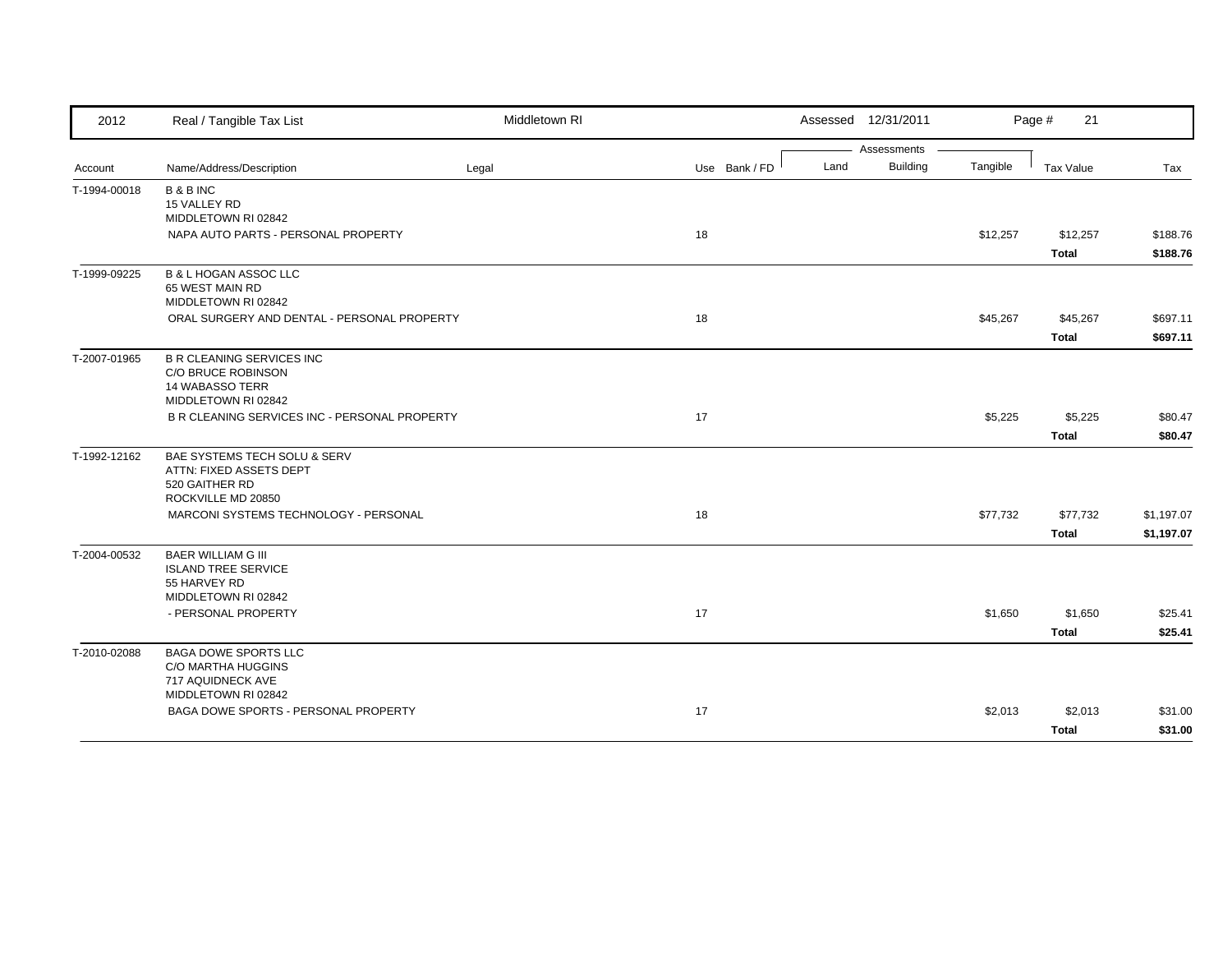| 2012         | Real / Tangible Tax List                                   | Middletown RI |               |      | Assessed 12/31/2011 |          | Page #<br>21 |            |
|--------------|------------------------------------------------------------|---------------|---------------|------|---------------------|----------|--------------|------------|
|              |                                                            |               |               |      | Assessments         |          |              |            |
| Account      | Name/Address/Description                                   | Legal         | Use Bank / FD | Land | <b>Building</b>     | Tangible | Tax Value    | Tax        |
| T-1994-00018 | <b>B&amp;BINC</b>                                          |               |               |      |                     |          |              |            |
|              | 15 VALLEY RD                                               |               |               |      |                     |          |              |            |
|              | MIDDLETOWN RI 02842<br>NAPA AUTO PARTS - PERSONAL PROPERTY |               | 18            |      |                     | \$12,257 | \$12,257     | \$188.76   |
|              |                                                            |               |               |      |                     |          | <b>Total</b> | \$188.76   |
| T-1999-09225 | <b>B &amp; L HOGAN ASSOC LLC</b>                           |               |               |      |                     |          |              |            |
|              | 65 WEST MAIN RD                                            |               |               |      |                     |          |              |            |
|              | MIDDLETOWN RI 02842                                        |               |               |      |                     |          |              |            |
|              | ORAL SURGERY AND DENTAL - PERSONAL PROPERTY                |               | 18            |      |                     | \$45,267 | \$45,267     | \$697.11   |
|              |                                                            |               |               |      |                     |          | <b>Total</b> | \$697.11   |
| T-2007-01965 | <b>B R CLEANING SERVICES INC</b>                           |               |               |      |                     |          |              |            |
|              | C/O BRUCE ROBINSON                                         |               |               |      |                     |          |              |            |
|              | <b>14 WABASSO TERR</b><br>MIDDLETOWN RI 02842              |               |               |      |                     |          |              |            |
|              | B R CLEANING SERVICES INC - PERSONAL PROPERTY              |               | 17            |      |                     | \$5,225  | \$5,225      | \$80.47    |
|              |                                                            |               |               |      |                     |          | <b>Total</b> | \$80.47    |
| T-1992-12162 | BAE SYSTEMS TECH SOLU & SERV                               |               |               |      |                     |          |              |            |
|              | ATTN: FIXED ASSETS DEPT                                    |               |               |      |                     |          |              |            |
|              | 520 GAITHER RD                                             |               |               |      |                     |          |              |            |
|              | ROCKVILLE MD 20850                                         |               |               |      |                     |          |              |            |
|              | MARCONI SYSTEMS TECHNOLOGY - PERSONAL                      |               | 18            |      |                     | \$77,732 | \$77,732     | \$1,197.07 |
|              |                                                            |               |               |      |                     |          | <b>Total</b> | \$1,197.07 |
| T-2004-00532 | <b>BAER WILLIAM G III</b>                                  |               |               |      |                     |          |              |            |
|              | <b>ISLAND TREE SERVICE</b>                                 |               |               |      |                     |          |              |            |
|              | 55 HARVEY RD<br>MIDDLETOWN RI 02842                        |               |               |      |                     |          |              |            |
|              | - PERSONAL PROPERTY                                        |               | 17            |      |                     | \$1,650  | \$1,650      | \$25.41    |
|              |                                                            |               |               |      |                     |          | <b>Total</b> | \$25.41    |
|              |                                                            |               |               |      |                     |          |              |            |
| T-2010-02088 | <b>BAGA DOWE SPORTS LLC</b><br>C/O MARTHA HUGGINS          |               |               |      |                     |          |              |            |
|              | 717 AQUIDNECK AVE                                          |               |               |      |                     |          |              |            |
|              | MIDDLETOWN RI 02842                                        |               |               |      |                     |          |              |            |
|              | BAGA DOWE SPORTS - PERSONAL PROPERTY                       |               | 17            |      |                     | \$2,013  | \$2,013      | \$31.00    |
|              |                                                            |               |               |      |                     |          | <b>Total</b> | \$31.00    |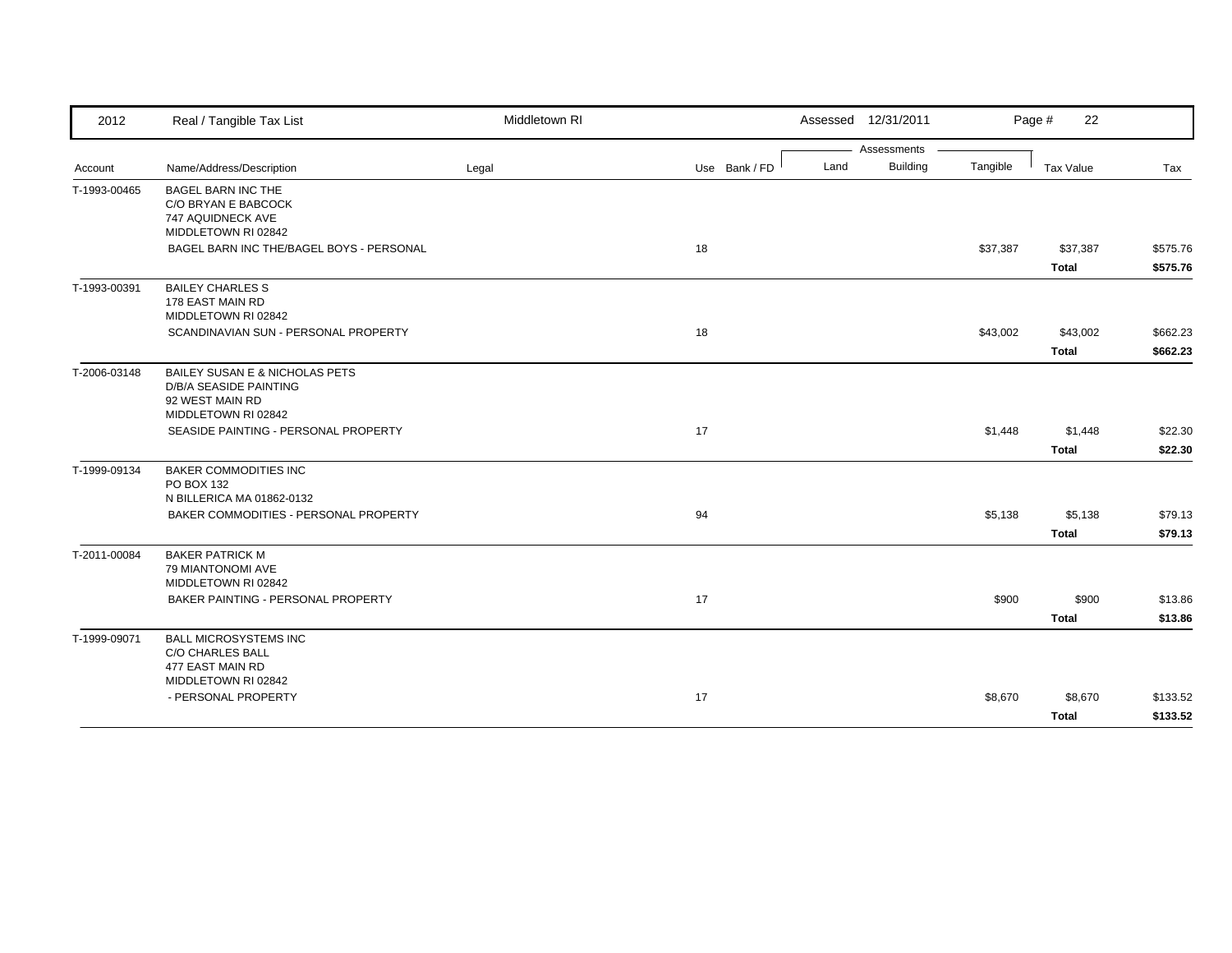| 2012         | Real / Tangible Tax List                    | Middletown RI |               | Assessed 12/31/2011     |          | 22<br>Page # |          |
|--------------|---------------------------------------------|---------------|---------------|-------------------------|----------|--------------|----------|
|              |                                             |               |               | Assessments             |          |              |          |
| Account      | Name/Address/Description                    | Legal         | Use Bank / FD | Land<br><b>Building</b> | Tangible | Tax Value    | Tax      |
| T-1993-00465 | <b>BAGEL BARN INC THE</b>                   |               |               |                         |          |              |          |
|              | C/O BRYAN E BABCOCK                         |               |               |                         |          |              |          |
|              | 747 AQUIDNECK AVE<br>MIDDLETOWN RI 02842    |               |               |                         |          |              |          |
|              | BAGEL BARN INC THE/BAGEL BOYS - PERSONAL    |               | 18            |                         | \$37,387 | \$37,387     | \$575.76 |
|              |                                             |               |               |                         |          | Total        | \$575.76 |
|              |                                             |               |               |                         |          |              |          |
| T-1993-00391 | <b>BAILEY CHARLES S</b><br>178 EAST MAIN RD |               |               |                         |          |              |          |
|              | MIDDLETOWN RI 02842                         |               |               |                         |          |              |          |
|              | SCANDINAVIAN SUN - PERSONAL PROPERTY        |               | 18            |                         | \$43,002 | \$43,002     | \$662.23 |
|              |                                             |               |               |                         |          | <b>Total</b> | \$662.23 |
| T-2006-03148 | BAILEY SUSAN E & NICHOLAS PETS              |               |               |                         |          |              |          |
|              | D/B/A SEASIDE PAINTING                      |               |               |                         |          |              |          |
|              | 92 WEST MAIN RD                             |               |               |                         |          |              |          |
|              | MIDDLETOWN RI 02842                         |               |               |                         |          |              |          |
|              | SEASIDE PAINTING - PERSONAL PROPERTY        |               | 17            |                         | \$1,448  | \$1,448      | \$22.30  |
|              |                                             |               |               |                         |          | <b>Total</b> | \$22.30  |
| T-1999-09134 | <b>BAKER COMMODITIES INC</b>                |               |               |                         |          |              |          |
|              | PO BOX 132                                  |               |               |                         |          |              |          |
|              | N BILLERICA MA 01862-0132                   |               |               |                         |          |              |          |
|              | BAKER COMMODITIES - PERSONAL PROPERTY       |               | 94            |                         | \$5,138  | \$5,138      | \$79.13  |
|              |                                             |               |               |                         |          | <b>Total</b> | \$79.13  |
| T-2011-00084 | <b>BAKER PATRICK M</b>                      |               |               |                         |          |              |          |
|              | 79 MIANTONOMI AVE                           |               |               |                         |          |              |          |
|              | MIDDLETOWN RI 02842                         |               |               |                         |          |              |          |
|              | BAKER PAINTING - PERSONAL PROPERTY          |               | 17            |                         | \$900    | \$900        | \$13.86  |
|              |                                             |               |               |                         |          | <b>Total</b> | \$13.86  |
| T-1999-09071 | <b>BALL MICROSYSTEMS INC</b>                |               |               |                         |          |              |          |
|              | <b>C/O CHARLES BALL</b>                     |               |               |                         |          |              |          |
|              | 477 EAST MAIN RD<br>MIDDLETOWN RI 02842     |               |               |                         |          |              |          |
|              | - PERSONAL PROPERTY                         |               | 17            |                         | \$8,670  | \$8,670      | \$133.52 |
|              |                                             |               |               |                         |          |              |          |
|              |                                             |               |               |                         |          | <b>Total</b> | \$133.52 |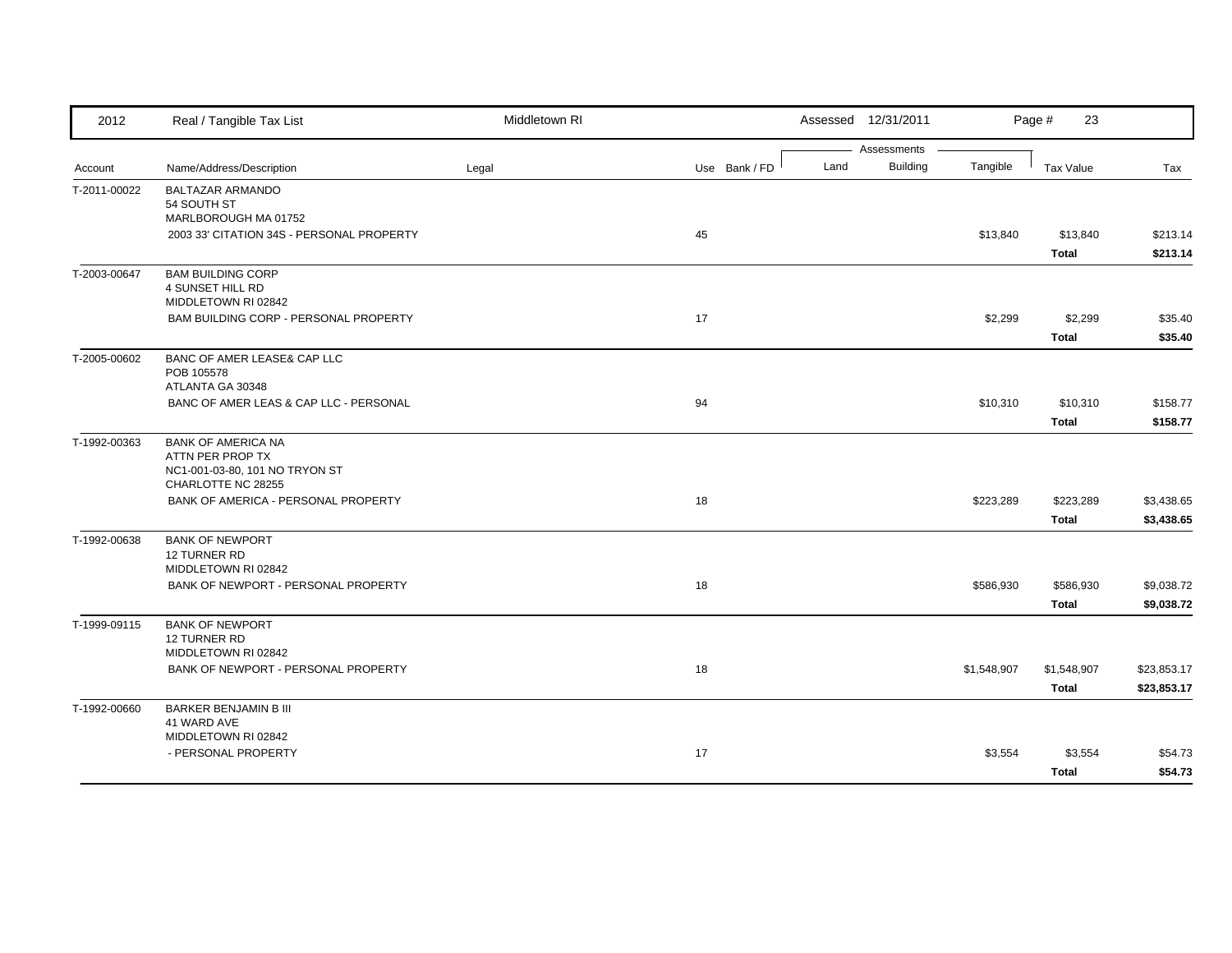| 2012         | Real / Tangible Tax List                  | Middletown RI |               | Assessed 12/31/2011 |                                |             | Page #<br>23     |             |
|--------------|-------------------------------------------|---------------|---------------|---------------------|--------------------------------|-------------|------------------|-------------|
|              |                                           |               |               | Land                | Assessments<br><b>Building</b> | Tangible    |                  |             |
| Account      | Name/Address/Description                  | Legal         | Use Bank / FD |                     |                                |             | <b>Tax Value</b> | Tax         |
| T-2011-00022 | <b>BALTAZAR ARMANDO</b><br>54 SOUTH ST    |               |               |                     |                                |             |                  |             |
|              | MARLBOROUGH MA 01752                      |               |               |                     |                                |             |                  |             |
|              | 2003 33' CITATION 34S - PERSONAL PROPERTY |               | 45            |                     |                                | \$13,840    | \$13,840         | \$213.14    |
|              |                                           |               |               |                     |                                |             | <b>Total</b>     | \$213.14    |
| T-2003-00647 | <b>BAM BUILDING CORP</b>                  |               |               |                     |                                |             |                  |             |
|              | 4 SUNSET HILL RD                          |               |               |                     |                                |             |                  |             |
|              | MIDDLETOWN RI 02842                       |               |               |                     |                                |             |                  |             |
|              | BAM BUILDING CORP - PERSONAL PROPERTY     |               | 17            |                     |                                | \$2,299     | \$2,299          | \$35.40     |
|              |                                           |               |               |                     |                                |             | <b>Total</b>     | \$35.40     |
| T-2005-00602 | BANC OF AMER LEASE& CAP LLC               |               |               |                     |                                |             |                  |             |
|              | POB 105578<br>ATLANTA GA 30348            |               |               |                     |                                |             |                  |             |
|              | BANC OF AMER LEAS & CAP LLC - PERSONAL    |               | 94            |                     |                                | \$10,310    | \$10,310         | \$158.77    |
|              |                                           |               |               |                     |                                |             | <b>Total</b>     | \$158.77    |
| T-1992-00363 | <b>BANK OF AMERICA NA</b>                 |               |               |                     |                                |             |                  |             |
|              | ATTN PER PROP TX                          |               |               |                     |                                |             |                  |             |
|              | NC1-001-03-80, 101 NO TRYON ST            |               |               |                     |                                |             |                  |             |
|              | CHARLOTTE NC 28255                        |               |               |                     |                                |             |                  |             |
|              | BANK OF AMERICA - PERSONAL PROPERTY       |               | 18            |                     |                                | \$223,289   | \$223,289        | \$3,438.65  |
|              |                                           |               |               |                     |                                |             | <b>Total</b>     | \$3,438.65  |
| T-1992-00638 | <b>BANK OF NEWPORT</b><br>12 TURNER RD    |               |               |                     |                                |             |                  |             |
|              | MIDDLETOWN RI 02842                       |               |               |                     |                                |             |                  |             |
|              | BANK OF NEWPORT - PERSONAL PROPERTY       |               | 18            |                     |                                | \$586,930   | \$586,930        | \$9,038.72  |
|              |                                           |               |               |                     |                                |             | <b>Total</b>     | \$9,038.72  |
| T-1999-09115 | <b>BANK OF NEWPORT</b>                    |               |               |                     |                                |             |                  |             |
|              | <b>12 TURNER RD</b>                       |               |               |                     |                                |             |                  |             |
|              | MIDDLETOWN RI 02842                       |               |               |                     |                                |             |                  |             |
|              | BANK OF NEWPORT - PERSONAL PROPERTY       |               | 18            |                     |                                | \$1,548,907 | \$1,548,907      | \$23,853.17 |
|              |                                           |               |               |                     |                                |             | <b>Total</b>     | \$23,853.17 |
| T-1992-00660 | <b>BARKER BENJAMIN B III</b>              |               |               |                     |                                |             |                  |             |
|              | 41 WARD AVE<br>MIDDLETOWN RI 02842        |               |               |                     |                                |             |                  |             |
|              | - PERSONAL PROPERTY                       |               | 17            |                     |                                | \$3,554     | \$3,554          | \$54.73     |
|              |                                           |               |               |                     |                                |             | <b>Total</b>     | \$54.73     |
|              |                                           |               |               |                     |                                |             |                  |             |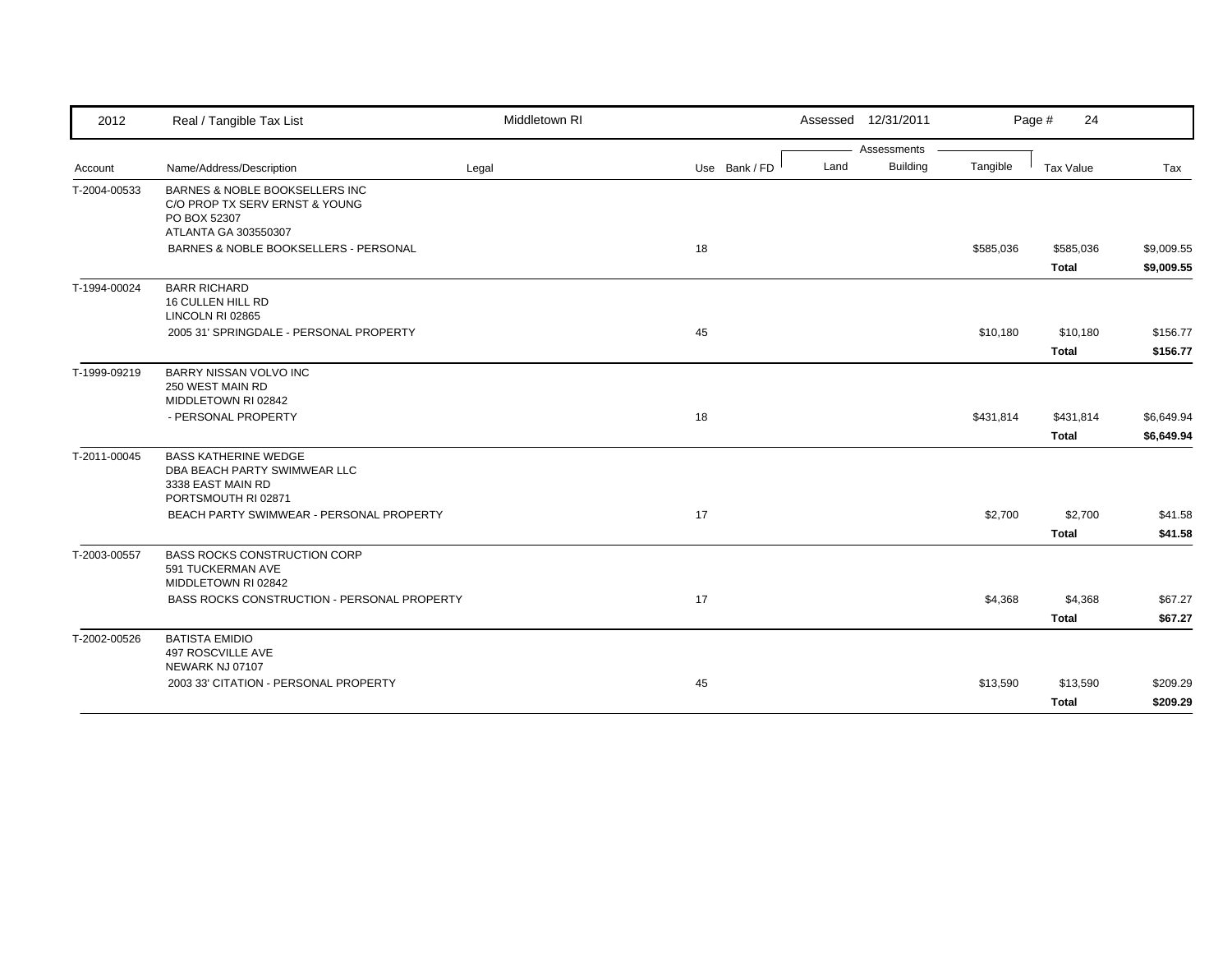| 2012         | Real / Tangible Tax List                                                                                 | Middletown RI |               |      | Assessed 12/31/2011 |           | Page #<br>24     |            |
|--------------|----------------------------------------------------------------------------------------------------------|---------------|---------------|------|---------------------|-----------|------------------|------------|
|              |                                                                                                          |               |               |      | Assessments         |           |                  |            |
| Account      | Name/Address/Description                                                                                 | Legal         | Use Bank / FD | Land | <b>Building</b>     | Tangible  | <b>Tax Value</b> | Tax        |
| T-2004-00533 | BARNES & NOBLE BOOKSELLERS INC<br>C/O PROP TX SERV ERNST & YOUNG<br>PO BOX 52307<br>ATLANTA GA 303550307 |               |               |      |                     |           |                  |            |
|              | BARNES & NOBLE BOOKSELLERS - PERSONAL                                                                    |               | 18            |      |                     | \$585,036 | \$585,036        | \$9,009.55 |
|              |                                                                                                          |               |               |      |                     |           | <b>Total</b>     | \$9,009.55 |
| T-1994-00024 | <b>BARR RICHARD</b><br>16 CULLEN HILL RD<br>LINCOLN RI 02865                                             |               |               |      |                     |           |                  |            |
|              | 2005 31' SPRINGDALE - PERSONAL PROPERTY                                                                  |               | 45            |      |                     | \$10,180  | \$10,180         | \$156.77   |
|              |                                                                                                          |               |               |      |                     |           | <b>Total</b>     | \$156.77   |
| T-1999-09219 | BARRY NISSAN VOLVO INC<br>250 WEST MAIN RD<br>MIDDLETOWN RI 02842                                        |               |               |      |                     |           |                  |            |
|              | - PERSONAL PROPERTY                                                                                      |               | 18            |      |                     | \$431,814 | \$431,814        | \$6,649.94 |
|              |                                                                                                          |               |               |      |                     |           | <b>Total</b>     | \$6,649.94 |
| T-2011-00045 | <b>BASS KATHERINE WEDGE</b><br>DBA BEACH PARTY SWIMWEAR LLC<br>3338 EAST MAIN RD<br>PORTSMOUTH RI 02871  |               |               |      |                     |           |                  |            |
|              | BEACH PARTY SWIMWEAR - PERSONAL PROPERTY                                                                 |               | 17            |      |                     | \$2,700   | \$2,700          | \$41.58    |
|              |                                                                                                          |               |               |      |                     |           | <b>Total</b>     | \$41.58    |
| T-2003-00557 | <b>BASS ROCKS CONSTRUCTION CORP</b><br>591 TUCKERMAN AVE<br>MIDDLETOWN RI 02842                          |               |               |      |                     |           |                  |            |
|              | <b>BASS ROCKS CONSTRUCTION - PERSONAL PROPERTY</b>                                                       |               | 17            |      |                     | \$4,368   | \$4,368          | \$67.27    |
|              |                                                                                                          |               |               |      |                     |           | Total            | \$67.27    |
| T-2002-00526 | <b>BATISTA EMIDIO</b><br>497 ROSCVILLE AVE<br>NEWARK NJ 07107                                            |               |               |      |                     |           |                  |            |
|              | 2003 33' CITATION - PERSONAL PROPERTY                                                                    |               | 45            |      |                     | \$13,590  | \$13,590         | \$209.29   |
|              |                                                                                                          |               |               |      |                     |           | <b>Total</b>     | \$209.29   |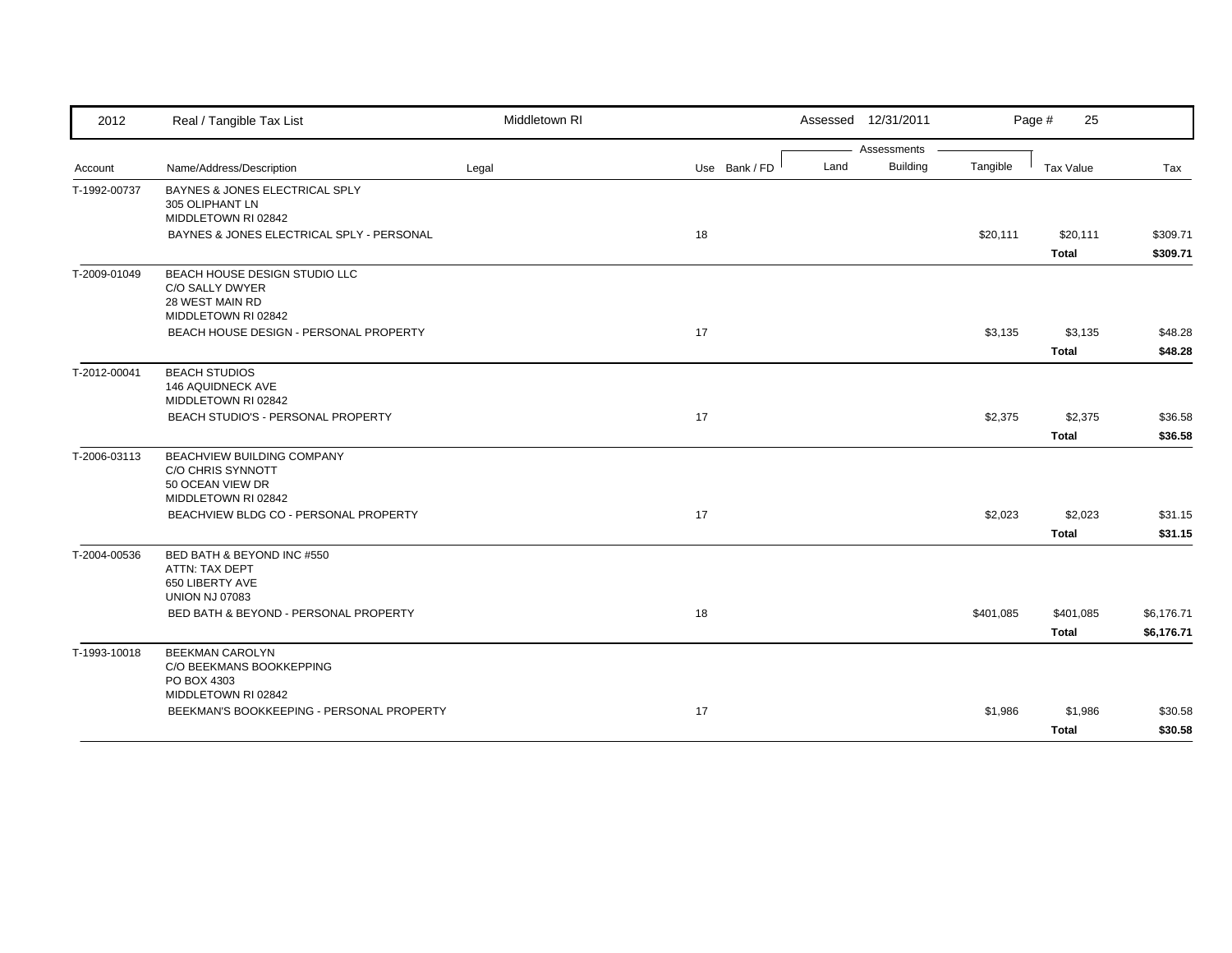| Assessments<br><b>Building</b><br>Land<br>Tangible<br>Name/Address/Description<br>Legal<br>Use Bank / FD<br><b>Tax Value</b><br>Tax<br>Account<br>BAYNES & JONES ELECTRICAL SPLY<br>T-1992-00737<br>305 OLIPHANT LN<br>MIDDLETOWN RI 02842<br>BAYNES & JONES ELECTRICAL SPLY - PERSONAL<br>18<br>\$20,111<br>\$20,111<br><b>Total</b><br>BEACH HOUSE DESIGN STUDIO LLC<br>T-2009-01049<br>C/O SALLY DWYER<br>28 WEST MAIN RD<br>MIDDLETOWN RI 02842<br>BEACH HOUSE DESIGN - PERSONAL PROPERTY<br>17<br>\$3,135<br>\$3,135<br><b>Total</b><br>T-2012-00041<br><b>BEACH STUDIOS</b><br>146 AQUIDNECK AVE<br>MIDDLETOWN RI 02842<br>17<br>BEACH STUDIO'S - PERSONAL PROPERTY<br>\$2,375<br>\$2,375<br>\$36.58<br><b>Total</b><br>\$36.58<br>BEACHVIEW BUILDING COMPANY<br>T-2006-03113<br><b>C/O CHRIS SYNNOTT</b><br>50 OCEAN VIEW DR<br>MIDDLETOWN RI 02842<br>BEACHVIEW BLDG CO - PERSONAL PROPERTY<br>17<br>\$2,023<br>\$2,023<br>\$31.15<br><b>Total</b><br>\$31.15<br>T-2004-00536<br>BED BATH & BEYOND INC #550<br>ATTN: TAX DEPT<br>650 LIBERTY AVE<br><b>UNION NJ 07083</b><br>BED BATH & BEYOND - PERSONAL PROPERTY<br>18<br>\$401,085<br>\$401,085<br><b>Total</b><br>T-1993-10018<br><b>BEEKMAN CAROLYN</b><br>C/O BEEKMANS BOOKKEPPING<br>PO BOX 4303<br>MIDDLETOWN RI 02842<br>BEEKMAN'S BOOKKEEPING - PERSONAL PROPERTY<br>17<br>\$1,986<br>\$1,986 | 2012 | Real / Tangible Tax List | Middletown RI | Assessed 12/31/2011 | Page #<br>25 |            |
|-----------------------------------------------------------------------------------------------------------------------------------------------------------------------------------------------------------------------------------------------------------------------------------------------------------------------------------------------------------------------------------------------------------------------------------------------------------------------------------------------------------------------------------------------------------------------------------------------------------------------------------------------------------------------------------------------------------------------------------------------------------------------------------------------------------------------------------------------------------------------------------------------------------------------------------------------------------------------------------------------------------------------------------------------------------------------------------------------------------------------------------------------------------------------------------------------------------------------------------------------------------------------------------------------------------------------------------------------------------------|------|--------------------------|---------------|---------------------|--------------|------------|
|                                                                                                                                                                                                                                                                                                                                                                                                                                                                                                                                                                                                                                                                                                                                                                                                                                                                                                                                                                                                                                                                                                                                                                                                                                                                                                                                                                 |      |                          |               |                     |              |            |
|                                                                                                                                                                                                                                                                                                                                                                                                                                                                                                                                                                                                                                                                                                                                                                                                                                                                                                                                                                                                                                                                                                                                                                                                                                                                                                                                                                 |      |                          |               |                     |              |            |
|                                                                                                                                                                                                                                                                                                                                                                                                                                                                                                                                                                                                                                                                                                                                                                                                                                                                                                                                                                                                                                                                                                                                                                                                                                                                                                                                                                 |      |                          |               |                     |              |            |
|                                                                                                                                                                                                                                                                                                                                                                                                                                                                                                                                                                                                                                                                                                                                                                                                                                                                                                                                                                                                                                                                                                                                                                                                                                                                                                                                                                 |      |                          |               |                     |              | \$309.71   |
|                                                                                                                                                                                                                                                                                                                                                                                                                                                                                                                                                                                                                                                                                                                                                                                                                                                                                                                                                                                                                                                                                                                                                                                                                                                                                                                                                                 |      |                          |               |                     |              | \$309.71   |
|                                                                                                                                                                                                                                                                                                                                                                                                                                                                                                                                                                                                                                                                                                                                                                                                                                                                                                                                                                                                                                                                                                                                                                                                                                                                                                                                                                 |      |                          |               |                     |              |            |
|                                                                                                                                                                                                                                                                                                                                                                                                                                                                                                                                                                                                                                                                                                                                                                                                                                                                                                                                                                                                                                                                                                                                                                                                                                                                                                                                                                 |      |                          |               |                     |              | \$48.28    |
|                                                                                                                                                                                                                                                                                                                                                                                                                                                                                                                                                                                                                                                                                                                                                                                                                                                                                                                                                                                                                                                                                                                                                                                                                                                                                                                                                                 |      |                          |               |                     |              | \$48.28    |
|                                                                                                                                                                                                                                                                                                                                                                                                                                                                                                                                                                                                                                                                                                                                                                                                                                                                                                                                                                                                                                                                                                                                                                                                                                                                                                                                                                 |      |                          |               |                     |              |            |
|                                                                                                                                                                                                                                                                                                                                                                                                                                                                                                                                                                                                                                                                                                                                                                                                                                                                                                                                                                                                                                                                                                                                                                                                                                                                                                                                                                 |      |                          |               |                     |              |            |
|                                                                                                                                                                                                                                                                                                                                                                                                                                                                                                                                                                                                                                                                                                                                                                                                                                                                                                                                                                                                                                                                                                                                                                                                                                                                                                                                                                 |      |                          |               |                     |              |            |
|                                                                                                                                                                                                                                                                                                                                                                                                                                                                                                                                                                                                                                                                                                                                                                                                                                                                                                                                                                                                                                                                                                                                                                                                                                                                                                                                                                 |      |                          |               |                     |              |            |
|                                                                                                                                                                                                                                                                                                                                                                                                                                                                                                                                                                                                                                                                                                                                                                                                                                                                                                                                                                                                                                                                                                                                                                                                                                                                                                                                                                 |      |                          |               |                     |              |            |
|                                                                                                                                                                                                                                                                                                                                                                                                                                                                                                                                                                                                                                                                                                                                                                                                                                                                                                                                                                                                                                                                                                                                                                                                                                                                                                                                                                 |      |                          |               |                     |              |            |
|                                                                                                                                                                                                                                                                                                                                                                                                                                                                                                                                                                                                                                                                                                                                                                                                                                                                                                                                                                                                                                                                                                                                                                                                                                                                                                                                                                 |      |                          |               |                     |              | \$6,176.71 |
|                                                                                                                                                                                                                                                                                                                                                                                                                                                                                                                                                                                                                                                                                                                                                                                                                                                                                                                                                                                                                                                                                                                                                                                                                                                                                                                                                                 |      |                          |               |                     |              | \$6,176.71 |
|                                                                                                                                                                                                                                                                                                                                                                                                                                                                                                                                                                                                                                                                                                                                                                                                                                                                                                                                                                                                                                                                                                                                                                                                                                                                                                                                                                 |      |                          |               |                     |              |            |
|                                                                                                                                                                                                                                                                                                                                                                                                                                                                                                                                                                                                                                                                                                                                                                                                                                                                                                                                                                                                                                                                                                                                                                                                                                                                                                                                                                 |      |                          |               |                     |              | \$30.58    |
|                                                                                                                                                                                                                                                                                                                                                                                                                                                                                                                                                                                                                                                                                                                                                                                                                                                                                                                                                                                                                                                                                                                                                                                                                                                                                                                                                                 |      |                          |               |                     | <b>Total</b> | \$30.58    |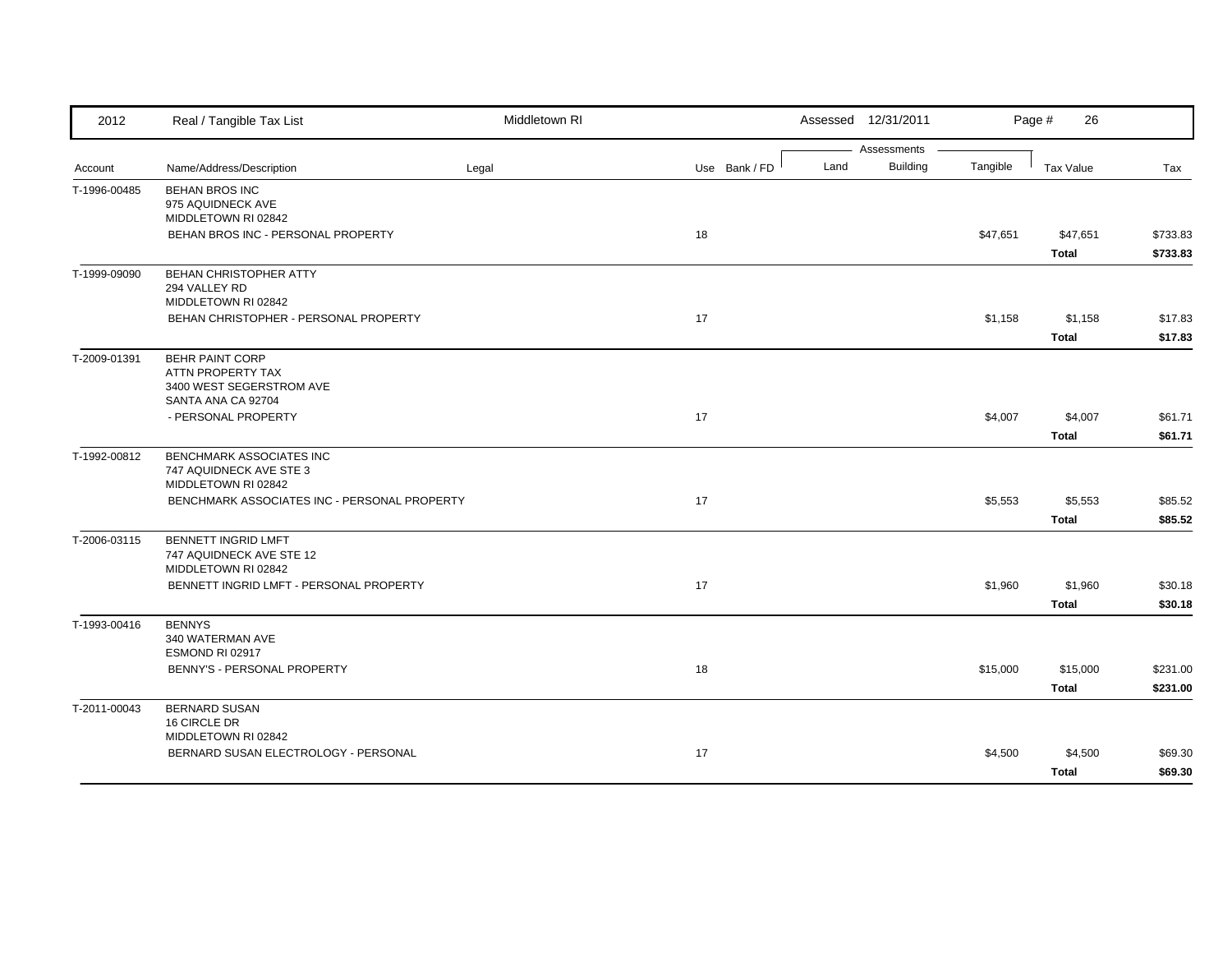| 2012         | Real / Tangible Tax List                                     | Middletown RI |               |      | Assessed 12/31/2011            |          | 26<br>Page # |          |
|--------------|--------------------------------------------------------------|---------------|---------------|------|--------------------------------|----------|--------------|----------|
| Account      | Name/Address/Description                                     | Legal         | Use Bank / FD | Land | Assessments<br><b>Building</b> | Tangible | Tax Value    | Tax      |
|              |                                                              |               |               |      |                                |          |              |          |
| T-1996-00485 | <b>BEHAN BROS INC</b><br>975 AQUIDNECK AVE                   |               |               |      |                                |          |              |          |
|              | MIDDLETOWN RI 02842                                          |               |               |      |                                |          |              |          |
|              | BEHAN BROS INC - PERSONAL PROPERTY                           |               | 18            |      |                                | \$47,651 | \$47,651     | \$733.83 |
|              |                                                              |               |               |      |                                |          | Total        | \$733.83 |
| T-1999-09090 | <b>BEHAN CHRISTOPHER ATTY</b>                                |               |               |      |                                |          |              |          |
|              | 294 VALLEY RD                                                |               |               |      |                                |          |              |          |
|              | MIDDLETOWN RI 02842<br>BEHAN CHRISTOPHER - PERSONAL PROPERTY |               | 17            |      |                                | \$1,158  | \$1,158      | \$17.83  |
|              |                                                              |               |               |      |                                |          | <b>Total</b> | \$17.83  |
| T-2009-01391 | <b>BEHR PAINT CORP</b>                                       |               |               |      |                                |          |              |          |
|              | ATTN PROPERTY TAX                                            |               |               |      |                                |          |              |          |
|              | 3400 WEST SEGERSTROM AVE                                     |               |               |      |                                |          |              |          |
|              | SANTA ANA CA 92704                                           |               |               |      |                                |          |              |          |
|              | - PERSONAL PROPERTY                                          |               | 17            |      |                                | \$4,007  | \$4,007      | \$61.71  |
|              |                                                              |               |               |      |                                |          | Total        | \$61.71  |
| T-1992-00812 | BENCHMARK ASSOCIATES INC                                     |               |               |      |                                |          |              |          |
|              | 747 AQUIDNECK AVE STE 3<br>MIDDLETOWN RI 02842               |               |               |      |                                |          |              |          |
|              | BENCHMARK ASSOCIATES INC - PERSONAL PROPERTY                 |               | 17            |      |                                | \$5,553  | \$5,553      | \$85.52  |
|              |                                                              |               |               |      |                                |          | <b>Total</b> | \$85.52  |
| T-2006-03115 | <b>BENNETT INGRID LMFT</b>                                   |               |               |      |                                |          |              |          |
|              | 747 AQUIDNECK AVE STE 12                                     |               |               |      |                                |          |              |          |
|              | MIDDLETOWN RI 02842                                          |               |               |      |                                |          |              |          |
|              | BENNETT INGRID LMFT - PERSONAL PROPERTY                      |               | 17            |      |                                | \$1,960  | \$1,960      | \$30.18  |
|              |                                                              |               |               |      |                                |          | <b>Total</b> | \$30.18  |
| T-1993-00416 | <b>BENNYS</b>                                                |               |               |      |                                |          |              |          |
|              | 340 WATERMAN AVE                                             |               |               |      |                                |          |              |          |
|              | ESMOND RI 02917<br>BENNY'S - PERSONAL PROPERTY               |               | 18            |      |                                | \$15,000 | \$15,000     | \$231.00 |
|              |                                                              |               |               |      |                                |          | Total        | \$231.00 |
|              |                                                              |               |               |      |                                |          |              |          |
| T-2011-00043 | <b>BERNARD SUSAN</b><br>16 CIRCLE DR                         |               |               |      |                                |          |              |          |
|              | MIDDLETOWN RI 02842                                          |               |               |      |                                |          |              |          |
|              | BERNARD SUSAN ELECTROLOGY - PERSONAL                         |               | 17            |      |                                | \$4,500  | \$4,500      | \$69.30  |
|              |                                                              |               |               |      |                                |          | <b>Total</b> | \$69.30  |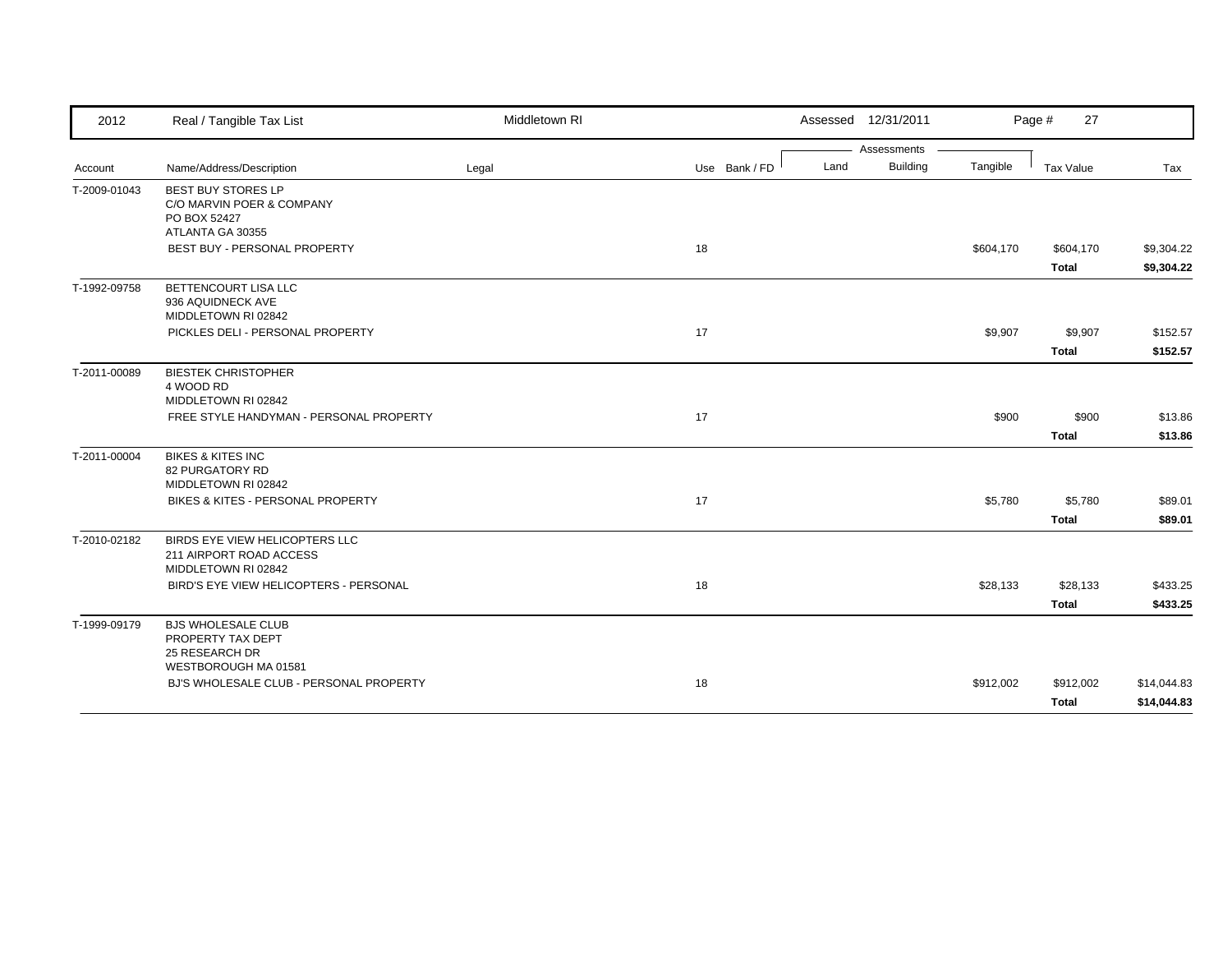| 2012         | Real / Tangible Tax List                                                                   | Middletown RI |               |      | Assessed 12/31/2011 |           | Page #<br>27     |                    |
|--------------|--------------------------------------------------------------------------------------------|---------------|---------------|------|---------------------|-----------|------------------|--------------------|
|              |                                                                                            |               |               |      | Assessments         |           |                  |                    |
| Account      | Name/Address/Description                                                                   | Legal         | Use Bank / FD | Land | <b>Building</b>     | Tangible  | Tax Value        | Tax                |
| T-2009-01043 | <b>BEST BUY STORES LP</b><br>C/O MARVIN POER & COMPANY<br>PO BOX 52427<br>ATLANTA GA 30355 |               |               |      |                     |           |                  |                    |
|              | BEST BUY - PERSONAL PROPERTY                                                               |               | 18            |      |                     | \$604,170 | \$604,170        | \$9,304.22         |
|              |                                                                                            |               |               |      |                     |           | <b>Total</b>     | \$9,304.22         |
| T-1992-09758 | BETTENCOURT LISA LLC<br>936 AQUIDNECK AVE<br>MIDDLETOWN RI 02842                           |               |               |      |                     |           |                  |                    |
|              | PICKLES DELI - PERSONAL PROPERTY                                                           |               | 17            |      |                     | \$9,907   | \$9,907          | \$152.57           |
|              |                                                                                            |               |               |      |                     |           | <b>Total</b>     | \$152.57           |
| T-2011-00089 | <b>BIESTEK CHRISTOPHER</b><br>4 WOOD RD<br>MIDDLETOWN RI 02842                             |               |               |      |                     |           |                  |                    |
|              | FREE STYLE HANDYMAN - PERSONAL PROPERTY                                                    |               | 17            |      |                     | \$900     | \$900            | \$13.86            |
|              |                                                                                            |               |               |      |                     |           | Total            | \$13.86            |
| T-2011-00004 | <b>BIKES &amp; KITES INC</b><br><b>82 PURGATORY RD</b><br>MIDDLETOWN RI 02842              |               |               |      |                     |           |                  |                    |
|              | BIKES & KITES - PERSONAL PROPERTY                                                          |               | 17            |      |                     | \$5,780   | \$5,780<br>Total | \$89.01<br>\$89.01 |
| T-2010-02182 | BIRDS EYE VIEW HELICOPTERS LLC<br>211 AIRPORT ROAD ACCESS<br>MIDDLETOWN RI 02842           |               |               |      |                     |           |                  |                    |
|              | BIRD'S EYE VIEW HELICOPTERS - PERSONAL                                                     |               | 18            |      |                     | \$28,133  | \$28,133         | \$433.25           |
|              |                                                                                            |               |               |      |                     |           | <b>Total</b>     | \$433.25           |
| T-1999-09179 | <b>BJS WHOLESALE CLUB</b><br>PROPERTY TAX DEPT<br>25 RESEARCH DR                           |               |               |      |                     |           |                  |                    |
|              | WESTBOROUGH MA 01581<br>BJ'S WHOLESALE CLUB - PERSONAL PROPERTY                            |               | 18            |      |                     | \$912,002 | \$912,002        | \$14,044.83        |
|              |                                                                                            |               |               |      |                     |           | <b>Total</b>     | \$14,044.83        |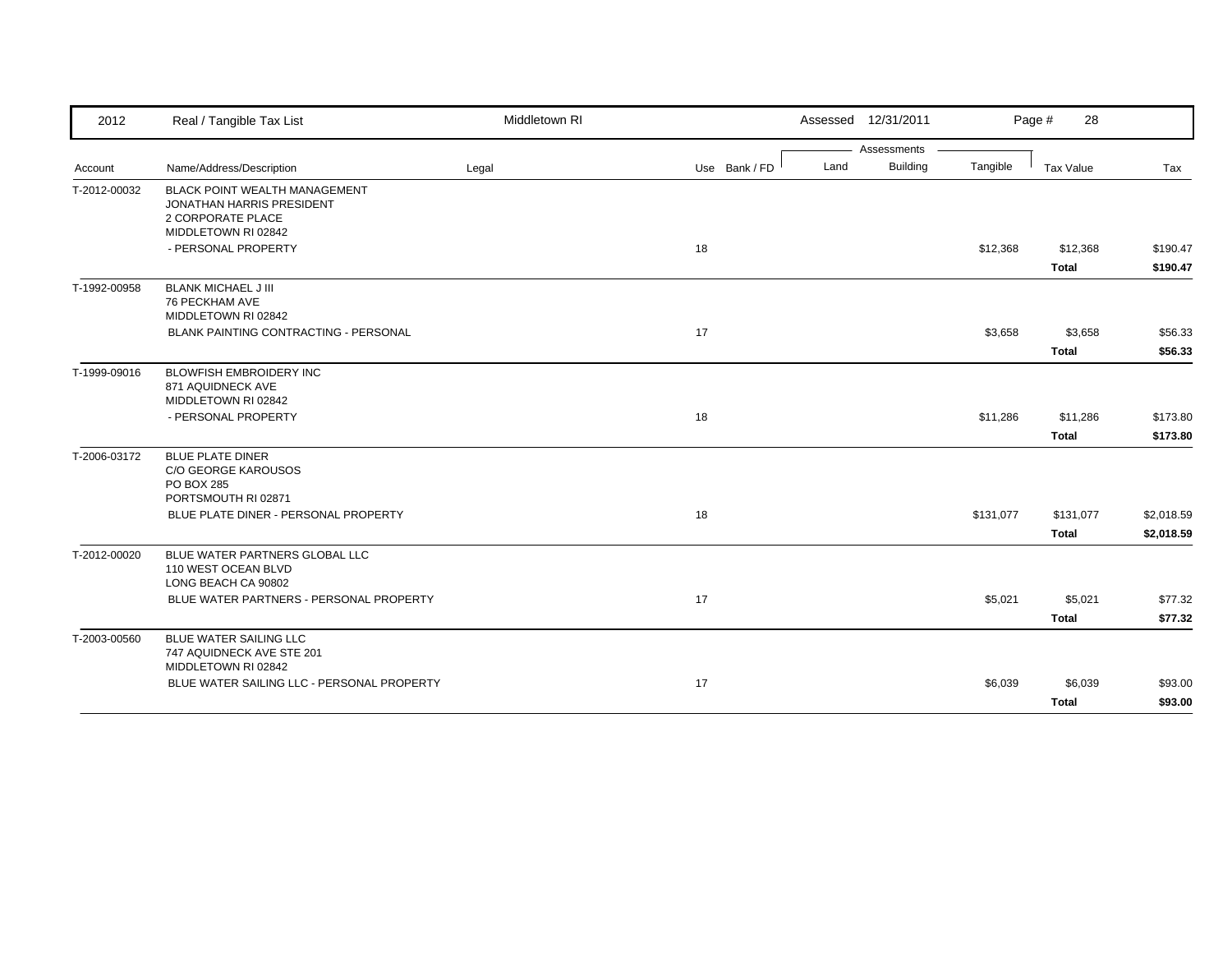| 2012         | Real / Tangible Tax List                                                                                             | Middletown RI |               |      | Assessed 12/31/2011 |           | Page #<br>28              |                          |
|--------------|----------------------------------------------------------------------------------------------------------------------|---------------|---------------|------|---------------------|-----------|---------------------------|--------------------------|
|              |                                                                                                                      |               |               |      | Assessments         |           |                           |                          |
| Account      | Name/Address/Description                                                                                             | Legal         | Use Bank / FD | Land | <b>Building</b>     | Tangible  | Tax Value                 | Tax                      |
| T-2012-00032 | <b>BLACK POINT WEALTH MANAGEMENT</b><br><b>JONATHAN HARRIS PRESIDENT</b><br>2 CORPORATE PLACE<br>MIDDLETOWN RI 02842 |               |               |      |                     |           |                           |                          |
|              | - PERSONAL PROPERTY                                                                                                  |               | 18            |      |                     | \$12,368  | \$12,368<br><b>Total</b>  | \$190.47<br>\$190.47     |
| T-1992-00958 | <b>BLANK MICHAEL J III</b><br>76 PECKHAM AVE<br>MIDDLETOWN RI 02842                                                  |               |               |      |                     |           |                           |                          |
|              | <b>BLANK PAINTING CONTRACTING - PERSONAL</b>                                                                         |               | 17            |      |                     | \$3,658   | \$3,658                   | \$56.33                  |
|              |                                                                                                                      |               |               |      |                     |           | <b>Total</b>              | \$56.33                  |
| T-1999-09016 | <b>BLOWFISH EMBROIDERY INC</b><br>871 AQUIDNECK AVE<br>MIDDLETOWN RI 02842                                           |               |               |      |                     |           |                           |                          |
|              | - PERSONAL PROPERTY                                                                                                  |               | 18            |      |                     | \$11,286  | \$11,286                  | \$173.80                 |
|              |                                                                                                                      |               |               |      |                     |           | Total                     | \$173.80                 |
| T-2006-03172 | <b>BLUE PLATE DINER</b><br>C/O GEORGE KAROUSOS<br><b>PO BOX 285</b><br>PORTSMOUTH RI 02871                           |               |               |      |                     |           |                           |                          |
|              | BLUE PLATE DINER - PERSONAL PROPERTY                                                                                 |               | 18            |      |                     | \$131,077 | \$131,077<br><b>Total</b> | \$2,018.59<br>\$2,018.59 |
| T-2012-00020 | BLUE WATER PARTNERS GLOBAL LLC<br>110 WEST OCEAN BLVD<br>LONG BEACH CA 90802                                         |               |               |      |                     |           |                           |                          |
|              | BLUE WATER PARTNERS - PERSONAL PROPERTY                                                                              |               | 17            |      |                     | \$5,021   | \$5,021<br><b>Total</b>   | \$77.32<br>\$77.32       |
| T-2003-00560 | BLUE WATER SAILING LLC<br>747 AQUIDNECK AVE STE 201<br>MIDDLETOWN RI 02842                                           |               |               |      |                     |           |                           |                          |
|              | BLUE WATER SAILING LLC - PERSONAL PROPERTY                                                                           |               | 17            |      |                     | \$6,039   | \$6,039<br><b>Total</b>   | \$93.00<br>\$93.00       |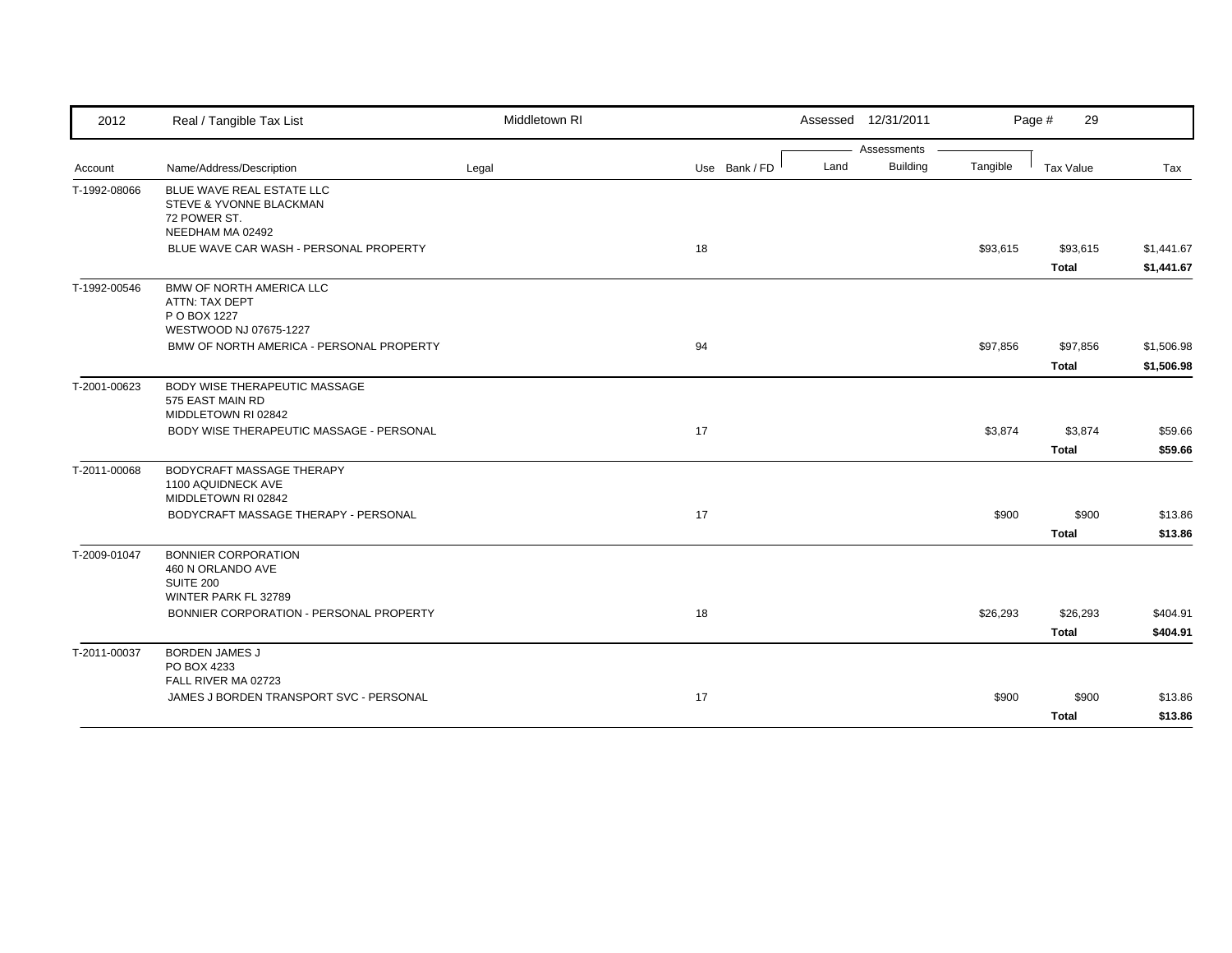| Assessments                                                                                                 | Tax Value<br>Tax                     |
|-------------------------------------------------------------------------------------------------------------|--------------------------------------|
|                                                                                                             |                                      |
| <b>Building</b><br>Land<br>Tangible<br>Name/Address/Description<br>Use Bank / FD<br>Legal<br>Account        |                                      |
| BLUE WAVE REAL ESTATE LLC<br>T-1992-08066<br>STEVE & YVONNE BLACKMAN<br>72 POWER ST.<br>NEEDHAM MA 02492    |                                      |
| BLUE WAVE CAR WASH - PERSONAL PROPERTY<br>18<br>\$93,615<br><b>Total</b>                                    | \$93,615<br>\$1,441.67<br>\$1,441.67 |
| <b>BMW OF NORTH AMERICA LLC</b><br>T-1992-00546<br>ATTN: TAX DEPT<br>P O BOX 1227<br>WESTWOOD NJ 07675-1227 |                                      |
| 94<br>BMW OF NORTH AMERICA - PERSONAL PROPERTY<br>\$97,856                                                  | \$97,856<br>\$1,506.98               |
| <b>Total</b>                                                                                                | \$1,506.98                           |
| BODY WISE THERAPEUTIC MASSAGE<br>T-2001-00623<br>575 EAST MAIN RD<br>MIDDLETOWN RI 02842                    |                                      |
| BODY WISE THERAPEUTIC MASSAGE - PERSONAL<br>17<br>\$3,874                                                   | \$3,874<br>\$59.66                   |
| <b>Total</b>                                                                                                | \$59.66                              |
| BODYCRAFT MASSAGE THERAPY<br>T-2011-00068<br>1100 AQUIDNECK AVE<br>MIDDLETOWN RI 02842                      |                                      |
| BODYCRAFT MASSAGE THERAPY - PERSONAL<br>17<br>\$900                                                         | \$900<br>\$13.86                     |
| <b>Total</b>                                                                                                | \$13.86                              |
| T-2009-01047<br><b>BONNIER CORPORATION</b><br>460 N ORLANDO AVE<br><b>SUITE 200</b><br>WINTER PARK FL 32789 |                                      |
| BONNIER CORPORATION - PERSONAL PROPERTY<br>18<br>\$26,293                                                   | \$26,293<br>\$404.91                 |
| <b>Total</b>                                                                                                | \$404.91                             |
| <b>BORDEN JAMES J</b><br>T-2011-00037<br>PO BOX 4233<br>FALL RIVER MA 02723                                 |                                      |
| 17<br>JAMES J BORDEN TRANSPORT SVC - PERSONAL<br>\$900                                                      | \$900<br>\$13.86                     |
| <b>Total</b>                                                                                                | \$13.86                              |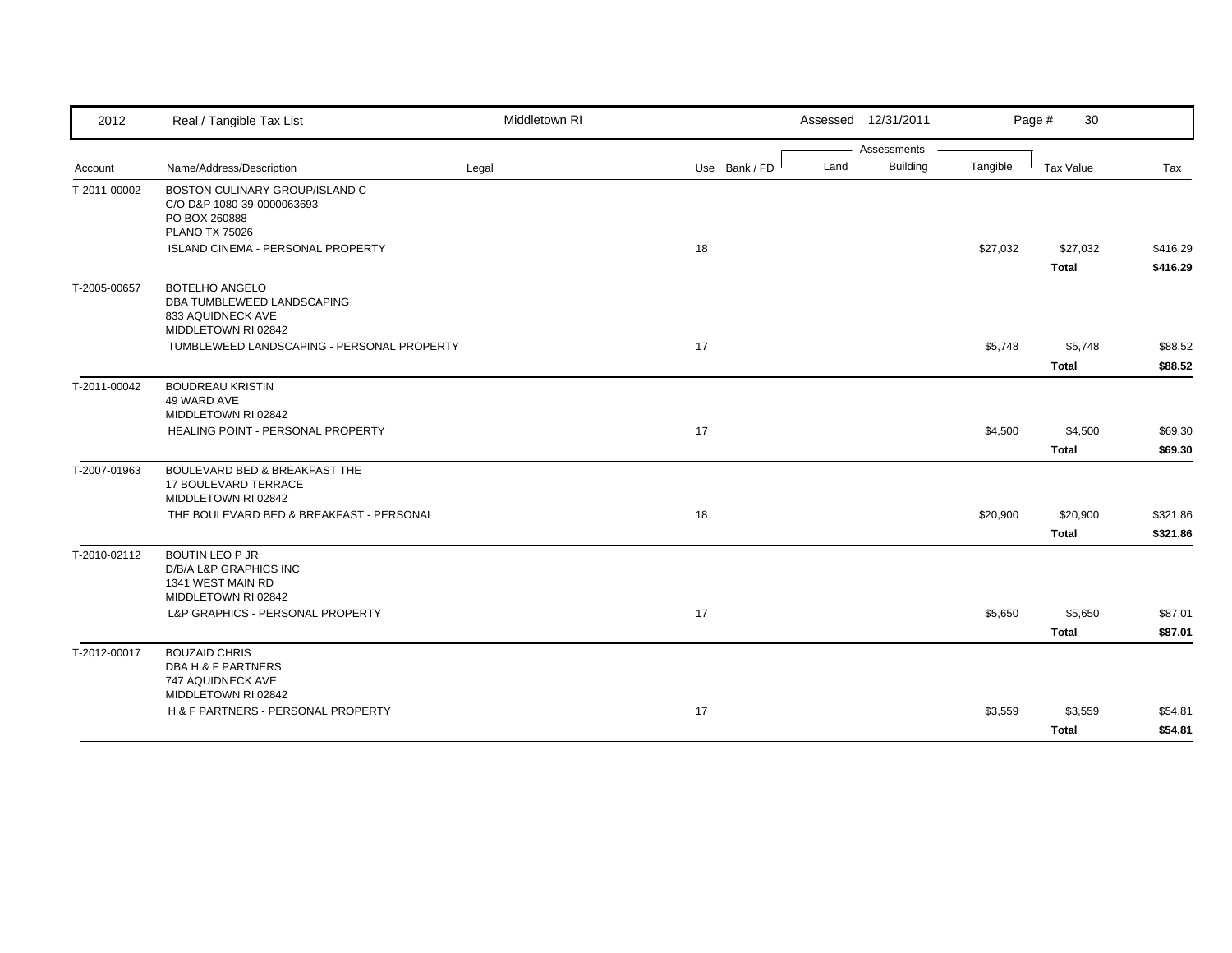| 2012         | Real / Tangible Tax List                                                                               | Middletown RI |               |      | Assessed 12/31/2011 |          | Page #<br>30     |          |
|--------------|--------------------------------------------------------------------------------------------------------|---------------|---------------|------|---------------------|----------|------------------|----------|
|              |                                                                                                        |               |               |      | Assessments         |          |                  |          |
| Account      | Name/Address/Description                                                                               | Legal         | Use Bank / FD | Land | <b>Building</b>     | Tangible | <b>Tax Value</b> | Tax      |
| T-2011-00002 | BOSTON CULINARY GROUP/ISLAND C<br>C/O D&P 1080-39-0000063693<br>PO BOX 260888<br><b>PLANO TX 75026</b> |               |               |      |                     |          |                  |          |
|              | ISLAND CINEMA - PERSONAL PROPERTY                                                                      |               | 18            |      |                     | \$27,032 | \$27,032         | \$416.29 |
|              |                                                                                                        |               |               |      |                     |          | <b>Total</b>     | \$416.29 |
| T-2005-00657 | <b>BOTELHO ANGELO</b><br>DBA TUMBLEWEED LANDSCAPING<br>833 AQUIDNECK AVE<br>MIDDLETOWN RI 02842        |               |               |      |                     |          |                  |          |
|              | TUMBLEWEED LANDSCAPING - PERSONAL PROPERTY                                                             |               | 17            |      |                     | \$5,748  | \$5,748          | \$88.52  |
|              |                                                                                                        |               |               |      |                     |          | <b>Total</b>     | \$88.52  |
| T-2011-00042 | <b>BOUDREAU KRISTIN</b><br>49 WARD AVE<br>MIDDLETOWN RI 02842                                          |               |               |      |                     |          |                  |          |
|              | HEALING POINT - PERSONAL PROPERTY                                                                      |               | 17            |      |                     | \$4,500  | \$4,500          | \$69.30  |
|              |                                                                                                        |               |               |      |                     |          | <b>Total</b>     | \$69.30  |
| T-2007-01963 | BOULEVARD BED & BREAKFAST THE<br><b>17 BOULEVARD TERRACE</b><br>MIDDLETOWN RI 02842                    |               |               |      |                     |          |                  |          |
|              | THE BOULEVARD BED & BREAKFAST - PERSONAL                                                               |               | 18            |      |                     | \$20,900 | \$20,900         | \$321.86 |
|              |                                                                                                        |               |               |      |                     |          | <b>Total</b>     | \$321.86 |
| T-2010-02112 | <b>BOUTIN LEO P JR</b><br>D/B/A L&P GRAPHICS INC<br>1341 WEST MAIN RD<br>MIDDLETOWN RI 02842           |               |               |      |                     |          |                  |          |
|              | L&P GRAPHICS - PERSONAL PROPERTY                                                                       |               | 17            |      |                     | \$5,650  | \$5,650          | \$87.01  |
|              |                                                                                                        |               |               |      |                     |          | <b>Total</b>     | \$87.01  |
| T-2012-00017 | <b>BOUZAID CHRIS</b><br><b>DBA H &amp; F PARTNERS</b><br>747 AQUIDNECK AVE                             |               |               |      |                     |          |                  |          |
|              | MIDDLETOWN RI 02842<br>H & F PARTNERS - PERSONAL PROPERTY                                              |               | 17            |      |                     |          |                  |          |
|              |                                                                                                        |               |               |      |                     | \$3,559  | \$3,559          | \$54.81  |
|              |                                                                                                        |               |               |      |                     |          | <b>Total</b>     | \$54.81  |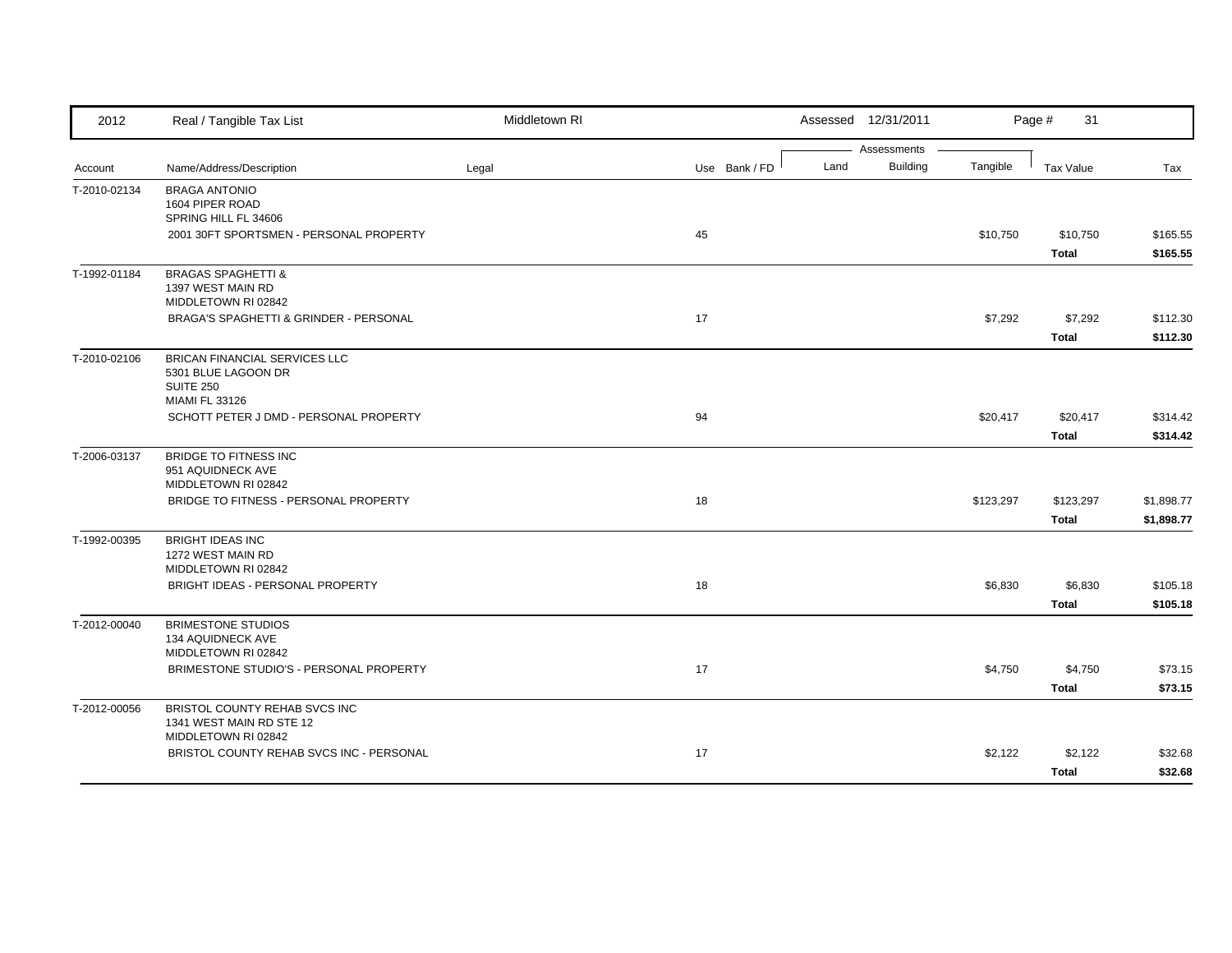| 2012         | Real / Tangible Tax List                                        | Middletown RI |               | Assessed 12/31/2011 |                                |           | Page #<br>31     |            |
|--------------|-----------------------------------------------------------------|---------------|---------------|---------------------|--------------------------------|-----------|------------------|------------|
| Account      | Name/Address/Description                                        | Legal         | Use Bank / FD | Land                | Assessments<br><b>Building</b> | Tangible  | <b>Tax Value</b> | Tax        |
|              |                                                                 |               |               |                     |                                |           |                  |            |
| T-2010-02134 | <b>BRAGA ANTONIO</b><br>1604 PIPER ROAD                         |               |               |                     |                                |           |                  |            |
|              | SPRING HILL FL 34606                                            |               |               |                     |                                |           |                  |            |
|              | 2001 30FT SPORTSMEN - PERSONAL PROPERTY                         |               | 45            |                     |                                | \$10,750  | \$10,750         | \$165.55   |
|              |                                                                 |               |               |                     |                                |           | <b>Total</b>     | \$165.55   |
| T-1992-01184 | <b>BRAGAS SPAGHETTI &amp;</b>                                   |               |               |                     |                                |           |                  |            |
|              | 1397 WEST MAIN RD                                               |               |               |                     |                                |           |                  |            |
|              | MIDDLETOWN RI 02842                                             |               |               |                     |                                |           |                  |            |
|              | BRAGA'S SPAGHETTI & GRINDER - PERSONAL                          |               | 17            |                     |                                | \$7,292   | \$7,292          | \$112.30   |
|              |                                                                 |               |               |                     |                                |           | <b>Total</b>     | \$112.30   |
| T-2010-02106 | BRICAN FINANCIAL SERVICES LLC                                   |               |               |                     |                                |           |                  |            |
|              | 5301 BLUE LAGOON DR<br><b>SUITE 250</b>                         |               |               |                     |                                |           |                  |            |
|              | MIAMI FL 33126                                                  |               |               |                     |                                |           |                  |            |
|              | SCHOTT PETER J DMD - PERSONAL PROPERTY                          |               | 94            |                     |                                | \$20,417  | \$20,417         | \$314.42   |
|              |                                                                 |               |               |                     |                                |           | <b>Total</b>     | \$314.42   |
| T-2006-03137 | <b>BRIDGE TO FITNESS INC</b>                                    |               |               |                     |                                |           |                  |            |
|              | 951 AQUIDNECK AVE                                               |               |               |                     |                                |           |                  |            |
|              | MIDDLETOWN RI 02842                                             |               |               |                     |                                |           |                  |            |
|              | BRIDGE TO FITNESS - PERSONAL PROPERTY                           |               | 18            |                     |                                | \$123,297 | \$123,297        | \$1,898.77 |
|              |                                                                 |               |               |                     |                                |           | <b>Total</b>     | \$1,898.77 |
| T-1992-00395 | <b>BRIGHT IDEAS INC</b>                                         |               |               |                     |                                |           |                  |            |
|              | 1272 WEST MAIN RD<br>MIDDLETOWN RI 02842                        |               |               |                     |                                |           |                  |            |
|              | BRIGHT IDEAS - PERSONAL PROPERTY                                |               | 18            |                     |                                | \$6,830   | \$6,830          | \$105.18   |
|              |                                                                 |               |               |                     |                                |           | <b>Total</b>     | \$105.18   |
| T-2012-00040 | <b>BRIMESTONE STUDIOS</b>                                       |               |               |                     |                                |           |                  |            |
|              | 134 AQUIDNECK AVE                                               |               |               |                     |                                |           |                  |            |
|              | MIDDLETOWN RI 02842                                             |               |               |                     |                                |           |                  |            |
|              | BRIMESTONE STUDIO'S - PERSONAL PROPERTY                         |               | 17            |                     |                                | \$4,750   | \$4,750          | \$73.15    |
|              |                                                                 |               |               |                     |                                |           | <b>Total</b>     | \$73.15    |
| T-2012-00056 | BRISTOL COUNTY REHAB SVCS INC                                   |               |               |                     |                                |           |                  |            |
|              | 1341 WEST MAIN RD STE 12                                        |               |               |                     |                                |           |                  |            |
|              | MIDDLETOWN RI 02842<br>BRISTOL COUNTY REHAB SVCS INC - PERSONAL |               | 17            |                     |                                | \$2,122   |                  |            |
|              |                                                                 |               |               |                     |                                |           | \$2,122          | \$32.68    |
|              |                                                                 |               |               |                     |                                |           | <b>Total</b>     | \$32.68    |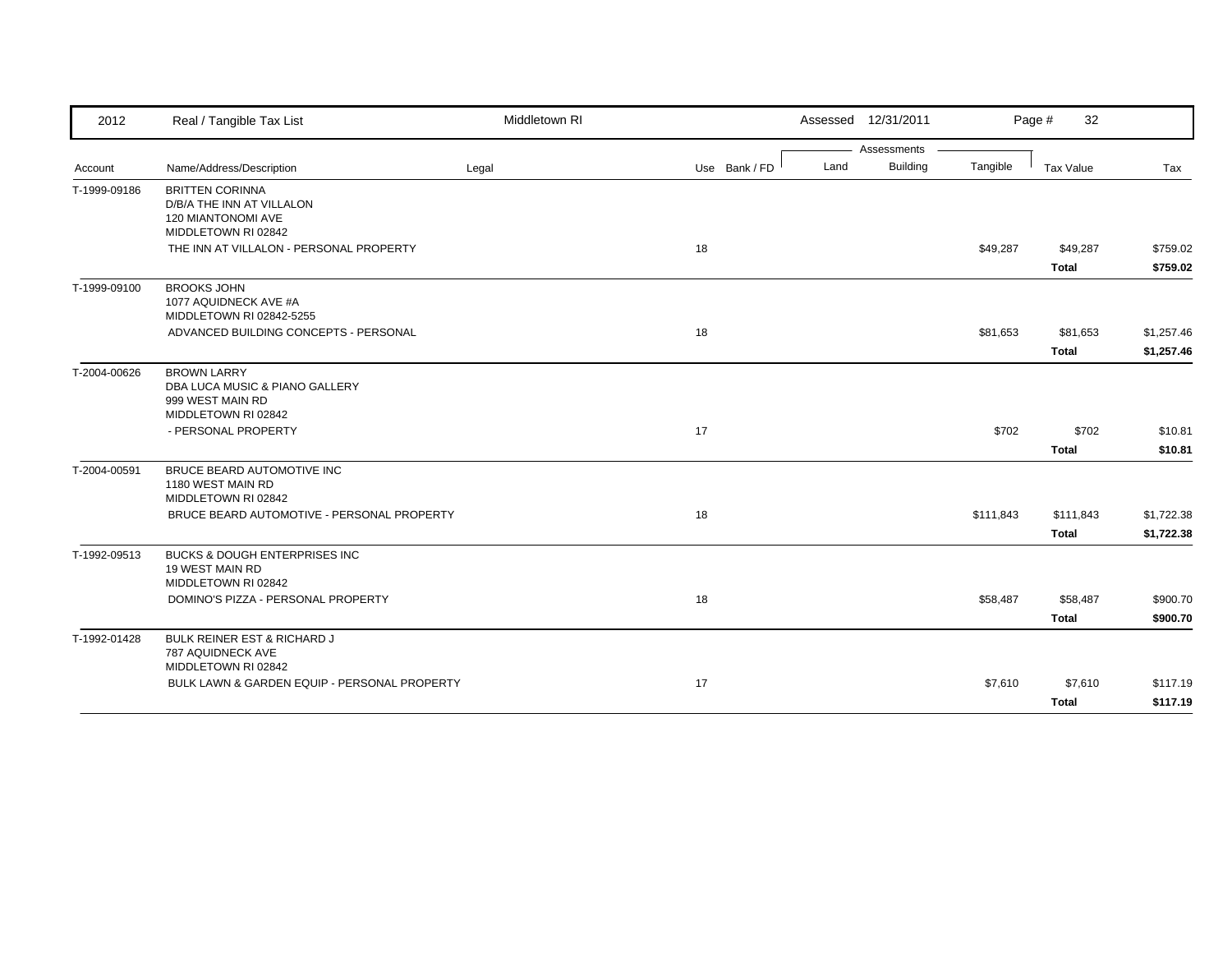| 2012         | Real / Tangible Tax List                                                                         | Middletown RI |               |      | Assessed 12/31/2011 |           | Page #<br>32              |                          |
|--------------|--------------------------------------------------------------------------------------------------|---------------|---------------|------|---------------------|-----------|---------------------------|--------------------------|
|              |                                                                                                  |               |               |      | Assessments         |           |                           |                          |
| Account      | Name/Address/Description                                                                         | Legal         | Use Bank / FD | Land | Building            | Tangible  | Tax Value                 | Tax                      |
| T-1999-09186 | <b>BRITTEN CORINNA</b><br>D/B/A THE INN AT VILLALON<br>120 MIANTONOMI AVE<br>MIDDLETOWN RI 02842 |               |               |      |                     |           |                           |                          |
|              | THE INN AT VILLALON - PERSONAL PROPERTY                                                          |               | 18            |      |                     | \$49,287  | \$49,287<br><b>Total</b>  | \$759.02<br>\$759.02     |
| T-1999-09100 | <b>BROOKS JOHN</b><br>1077 AQUIDNECK AVE #A<br>MIDDLETOWN RI 02842-5255                          |               |               |      |                     |           |                           |                          |
|              | ADVANCED BUILDING CONCEPTS - PERSONAL                                                            |               | 18            |      |                     | \$81,653  | \$81,653<br><b>Total</b>  | \$1,257.46<br>\$1,257.46 |
| T-2004-00626 | <b>BROWN LARRY</b><br>DBA LUCA MUSIC & PIANO GALLERY<br>999 WEST MAIN RD<br>MIDDLETOWN RI 02842  |               |               |      |                     |           |                           |                          |
|              | - PERSONAL PROPERTY                                                                              |               | 17            |      |                     | \$702     | \$702<br><b>Total</b>     | \$10.81<br>\$10.81       |
| T-2004-00591 | BRUCE BEARD AUTOMOTIVE INC<br>1180 WEST MAIN RD<br>MIDDLETOWN RI 02842                           |               |               |      |                     |           |                           |                          |
|              | BRUCE BEARD AUTOMOTIVE - PERSONAL PROPERTY                                                       |               | 18            |      |                     | \$111,843 | \$111,843<br><b>Total</b> | \$1,722.38<br>\$1,722.38 |
| T-1992-09513 | BUCKS & DOUGH ENTERPRISES INC<br>19 WEST MAIN RD<br>MIDDLETOWN RI 02842                          |               |               |      |                     |           |                           |                          |
|              | DOMINO'S PIZZA - PERSONAL PROPERTY                                                               |               | 18            |      |                     | \$58,487  | \$58,487<br><b>Total</b>  | \$900.70<br>\$900.70     |
| T-1992-01428 | BULK REINER EST & RICHARD J<br>787 AQUIDNECK AVE<br>MIDDLETOWN RI 02842                          |               |               |      |                     |           |                           |                          |
|              | BULK LAWN & GARDEN EQUIP - PERSONAL PROPERTY                                                     |               | 17            |      |                     | \$7,610   | \$7,610<br><b>Total</b>   | \$117.19<br>\$117.19     |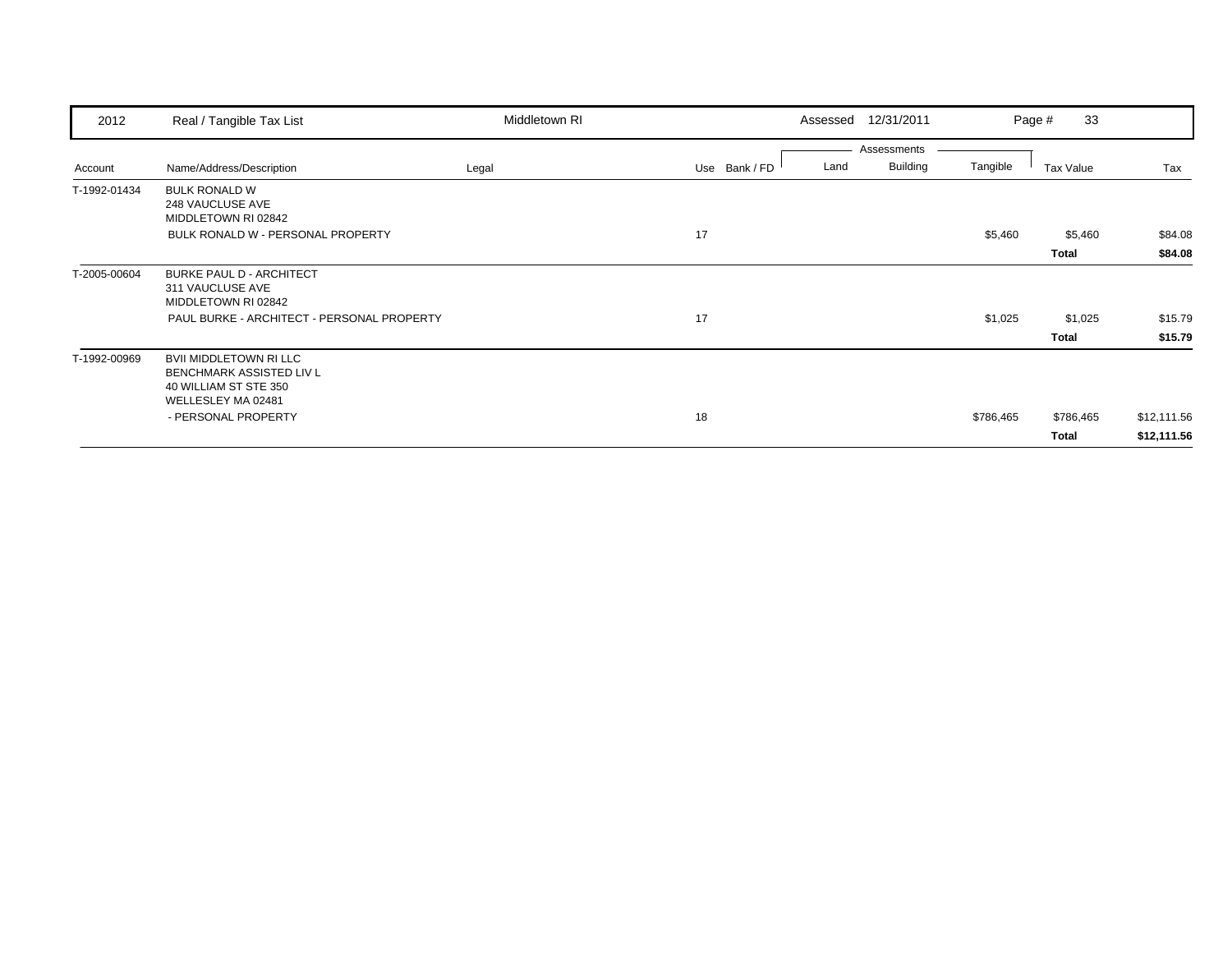| 2012         | Real / Tangible Tax List                                                                                                        | Middletown RI | Assessed      | 12/31/2011                             |           | 33<br>Page #     |                    |
|--------------|---------------------------------------------------------------------------------------------------------------------------------|---------------|---------------|----------------------------------------|-----------|------------------|--------------------|
| Account      | Name/Address/Description                                                                                                        | Legal         | Use Bank / FD | Assessments<br><b>Building</b><br>Land | Tangible  | Tax Value        | Tax                |
| T-1992-01434 | <b>BULK RONALD W</b><br>248 VAUCLUSE AVE<br>MIDDLETOWN RI 02842                                                                 |               |               |                                        |           |                  |                    |
|              | BULK RONALD W - PERSONAL PROPERTY                                                                                               |               | 17            |                                        | \$5,460   | \$5,460<br>Total | \$84.08<br>\$84.08 |
| T-2005-00604 | <b>BURKE PAUL D - ARCHITECT</b><br>311 VAUCLUSE AVE<br>MIDDLETOWN RI 02842<br>PAUL BURKE - ARCHITECT - PERSONAL PROPERTY        |               | 17            |                                        | \$1,025   | \$1,025<br>Total | \$15.79<br>\$15.79 |
| T-1992-00969 | <b>BVII MIDDLETOWN RI LLC</b><br>BENCHMARK ASSISTED LIV L<br>40 WILLIAM ST STE 350<br>WELLESLEY MA 02481<br>- PERSONAL PROPERTY |               | 18            |                                        | \$786,465 | \$786,465        | \$12,111.56        |
|              |                                                                                                                                 |               |               |                                        |           | Total            | \$12,111.56        |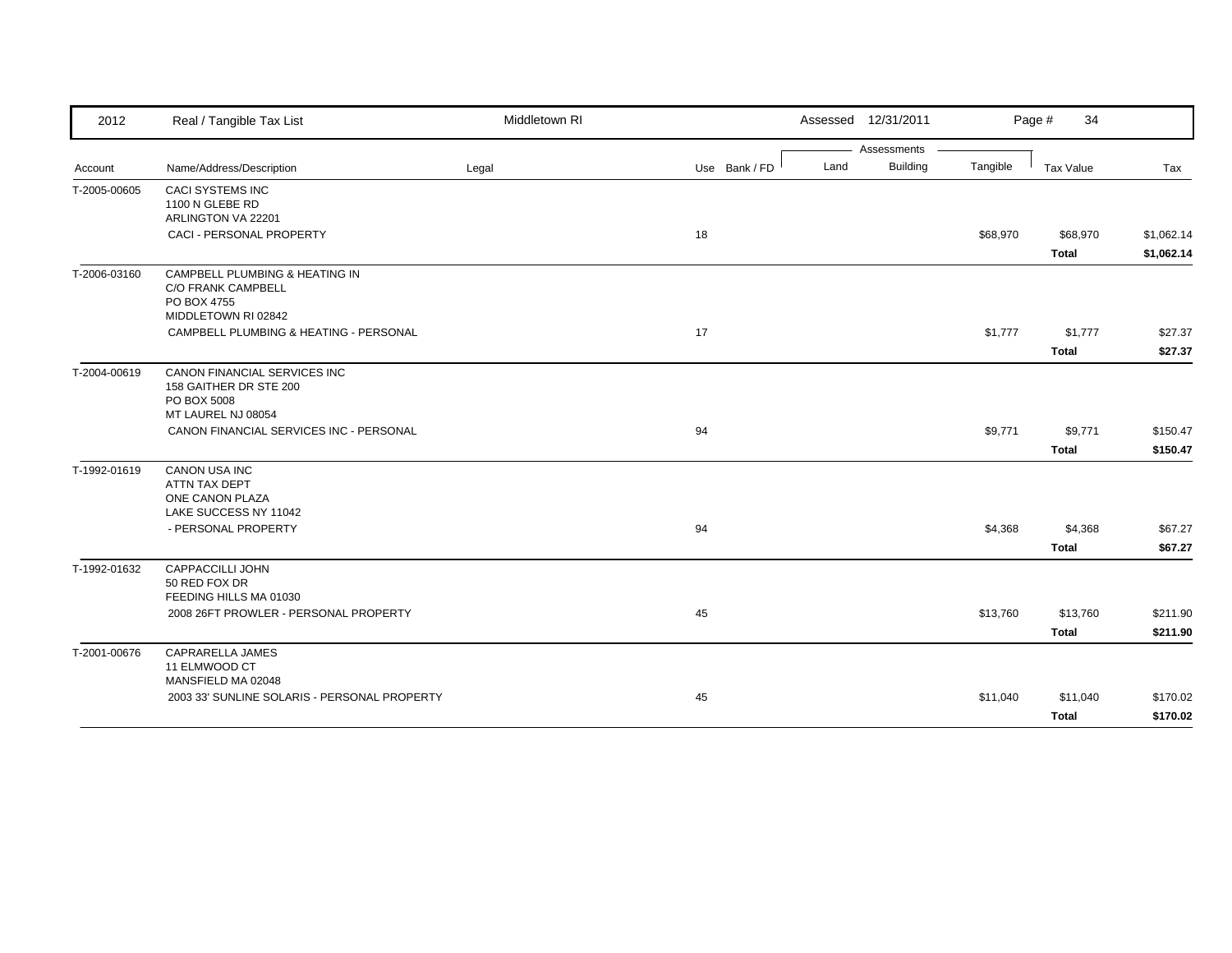| 2012         | Real / Tangible Tax List                     | Middletown RI |               | Assessed 12/31/2011     |          | Page #<br>34 |            |
|--------------|----------------------------------------------|---------------|---------------|-------------------------|----------|--------------|------------|
|              |                                              |               |               | Assessments             |          |              |            |
| Account      | Name/Address/Description                     | Legal         | Use Bank / FD | <b>Building</b><br>Land | Tangible | Tax Value    | Tax        |
| T-2005-00605 | CACI SYSTEMS INC                             |               |               |                         |          |              |            |
|              | 1100 N GLEBE RD                              |               |               |                         |          |              |            |
|              | ARLINGTON VA 22201                           |               |               |                         |          |              |            |
|              | <b>CACI - PERSONAL PROPERTY</b>              |               | 18            |                         | \$68,970 | \$68,970     | \$1,062.14 |
|              |                                              |               |               |                         |          | <b>Total</b> | \$1,062.14 |
| T-2006-03160 | CAMPBELL PLUMBING & HEATING IN               |               |               |                         |          |              |            |
|              | <b>C/O FRANK CAMPBELL</b><br>PO BOX 4755     |               |               |                         |          |              |            |
|              | MIDDLETOWN RI 02842                          |               |               |                         |          |              |            |
|              | CAMPBELL PLUMBING & HEATING - PERSONAL       |               | 17            |                         | \$1,777  | \$1,777      | \$27.37    |
|              |                                              |               |               |                         |          | <b>Total</b> | \$27.37    |
| T-2004-00619 | CANON FINANCIAL SERVICES INC                 |               |               |                         |          |              |            |
|              | 158 GAITHER DR STE 200                       |               |               |                         |          |              |            |
|              | PO BOX 5008                                  |               |               |                         |          |              |            |
|              | MT LAUREL NJ 08054                           |               |               |                         |          |              |            |
|              | CANON FINANCIAL SERVICES INC - PERSONAL      |               | 94            |                         | \$9,771  | \$9,771      | \$150.47   |
|              |                                              |               |               |                         |          | <b>Total</b> | \$150.47   |
| T-1992-01619 | <b>CANON USA INC</b>                         |               |               |                         |          |              |            |
|              | ATTN TAX DEPT                                |               |               |                         |          |              |            |
|              | ONE CANON PLAZA<br>LAKE SUCCESS NY 11042     |               |               |                         |          |              |            |
|              | - PERSONAL PROPERTY                          |               | 94            |                         | \$4,368  | \$4,368      | \$67.27    |
|              |                                              |               |               |                         |          |              |            |
|              |                                              |               |               |                         |          | <b>Total</b> | \$67.27    |
| T-1992-01632 | CAPPACCILLI JOHN                             |               |               |                         |          |              |            |
|              | 50 RED FOX DR<br>FEEDING HILLS MA 01030      |               |               |                         |          |              |            |
|              | 2008 26FT PROWLER - PERSONAL PROPERTY        |               | 45            |                         | \$13,760 | \$13,760     | \$211.90   |
|              |                                              |               |               |                         |          | <b>Total</b> | \$211.90   |
|              | <b>CAPRARELLA JAMES</b>                      |               |               |                         |          |              |            |
| T-2001-00676 | 11 ELMWOOD CT                                |               |               |                         |          |              |            |
|              | MANSFIELD MA 02048                           |               |               |                         |          |              |            |
|              | 2003 33' SUNLINE SOLARIS - PERSONAL PROPERTY |               | 45            |                         | \$11,040 | \$11,040     | \$170.02   |
|              |                                              |               |               |                         |          | <b>Total</b> | \$170.02   |
|              |                                              |               |               |                         |          |              |            |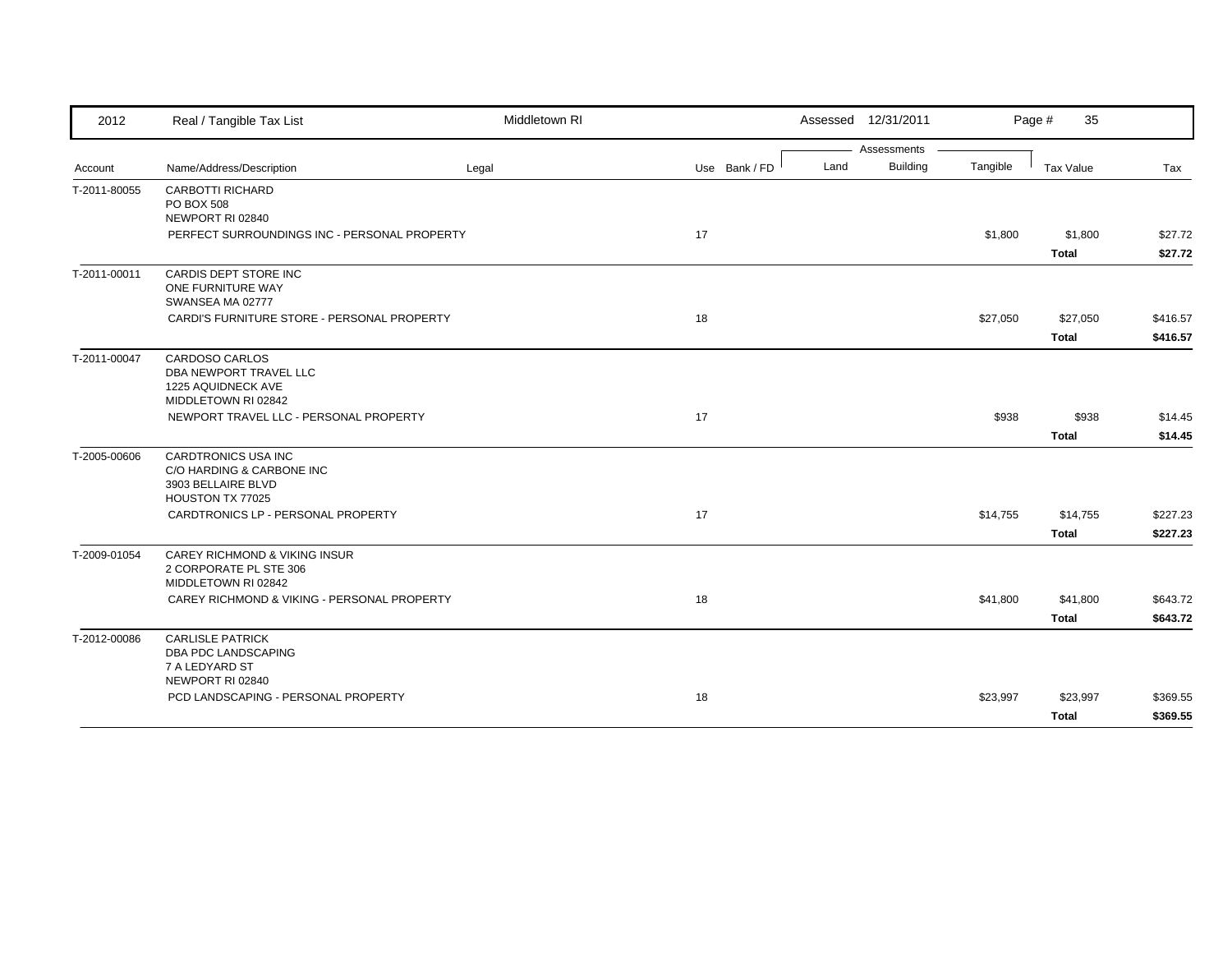| 2012         | Real / Tangible Tax List                      | Middletown RI |               |      | Assessed 12/31/2011 |          | Page #<br>35 |          |
|--------------|-----------------------------------------------|---------------|---------------|------|---------------------|----------|--------------|----------|
|              |                                               |               |               |      | Assessments         |          |              |          |
| Account      | Name/Address/Description                      | Legal         | Use Bank / FD | Land | Building            | Tangible | Tax Value    | Tax      |
| T-2011-80055 | <b>CARBOTTI RICHARD</b>                       |               |               |      |                     |          |              |          |
|              | PO BOX 508<br>NEWPORT RI 02840                |               |               |      |                     |          |              |          |
|              | PERFECT SURROUNDINGS INC - PERSONAL PROPERTY  |               | 17            |      |                     | \$1,800  | \$1,800      | \$27.72  |
|              |                                               |               |               |      |                     |          | <b>Total</b> | \$27.72  |
|              |                                               |               |               |      |                     |          |              |          |
| T-2011-00011 | CARDIS DEPT STORE INC<br>ONE FURNITURE WAY    |               |               |      |                     |          |              |          |
|              | SWANSEA MA 02777                              |               |               |      |                     |          |              |          |
|              | CARDI'S FURNITURE STORE - PERSONAL PROPERTY   |               | 18            |      |                     | \$27,050 | \$27,050     | \$416.57 |
|              |                                               |               |               |      |                     |          | <b>Total</b> | \$416.57 |
|              |                                               |               |               |      |                     |          |              |          |
| T-2011-00047 | CARDOSO CARLOS<br>DBA NEWPORT TRAVEL LLC      |               |               |      |                     |          |              |          |
|              | 1225 AQUIDNECK AVE                            |               |               |      |                     |          |              |          |
|              | MIDDLETOWN RI 02842                           |               |               |      |                     |          |              |          |
|              | NEWPORT TRAVEL LLC - PERSONAL PROPERTY        |               | 17            |      |                     | \$938    | \$938        | \$14.45  |
|              |                                               |               |               |      |                     |          | <b>Total</b> | \$14.45  |
| T-2005-00606 | CARDTRONICS USA INC                           |               |               |      |                     |          |              |          |
|              | C/O HARDING & CARBONE INC                     |               |               |      |                     |          |              |          |
|              | 3903 BELLAIRE BLVD                            |               |               |      |                     |          |              |          |
|              | HOUSTON TX 77025                              |               |               |      |                     |          |              |          |
|              | CARDTRONICS LP - PERSONAL PROPERTY            |               | 17            |      |                     | \$14,755 | \$14,755     | \$227.23 |
|              |                                               |               |               |      |                     |          | Total        | \$227.23 |
| T-2009-01054 | CAREY RICHMOND & VIKING INSUR                 |               |               |      |                     |          |              |          |
|              | 2 CORPORATE PL STE 306<br>MIDDLETOWN RI 02842 |               |               |      |                     |          |              |          |
|              | CAREY RICHMOND & VIKING - PERSONAL PROPERTY   |               |               |      |                     |          |              |          |
|              |                                               |               | 18            |      |                     | \$41,800 | \$41,800     | \$643.72 |
|              |                                               |               |               |      |                     |          | <b>Total</b> | \$643.72 |
| T-2012-00086 | <b>CARLISLE PATRICK</b>                       |               |               |      |                     |          |              |          |
|              | DBA PDC LANDSCAPING<br>7 A LEDYARD ST         |               |               |      |                     |          |              |          |
|              | NEWPORT RI 02840                              |               |               |      |                     |          |              |          |
|              | PCD LANDSCAPING - PERSONAL PROPERTY           |               | 18            |      |                     | \$23,997 | \$23,997     | \$369.55 |
|              |                                               |               |               |      |                     |          | <b>Total</b> | \$369.55 |
|              |                                               |               |               |      |                     |          |              |          |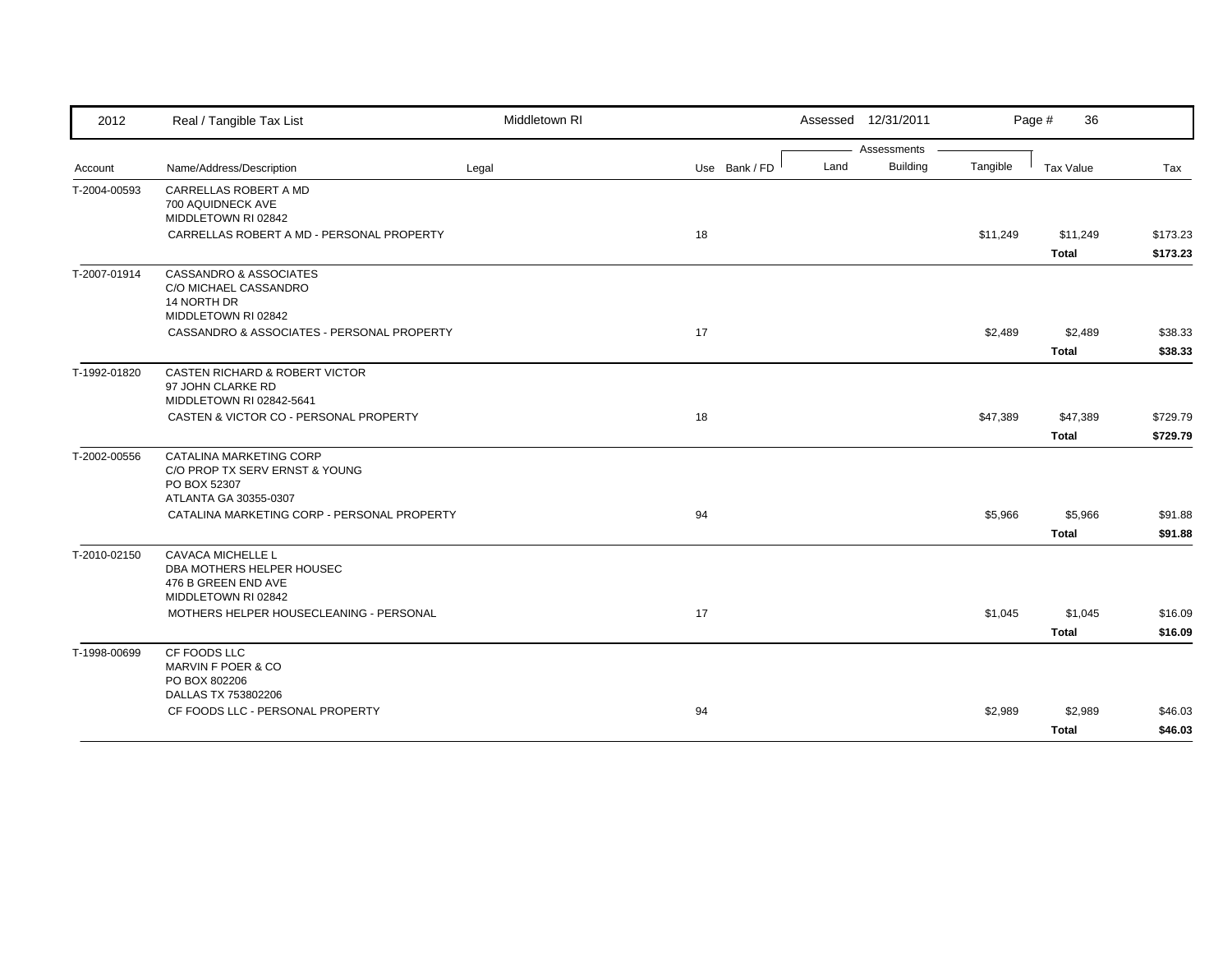| 2012         | Real / Tangible Tax List                                                                           | Middletown RI |               |      | Assessed 12/31/2011 |          | Page #<br>36      |                      |
|--------------|----------------------------------------------------------------------------------------------------|---------------|---------------|------|---------------------|----------|-------------------|----------------------|
|              |                                                                                                    |               |               |      | Assessments         |          |                   |                      |
| Account      | Name/Address/Description                                                                           | Legal         | Use Bank / FD | Land | <b>Building</b>     | Tangible | Tax Value         | Tax                  |
| T-2004-00593 | CARRELLAS ROBERT A MD<br>700 AQUIDNECK AVE<br>MIDDLETOWN RI 02842                                  |               |               |      |                     |          |                   |                      |
|              | CARRELLAS ROBERT A MD - PERSONAL PROPERTY                                                          |               | 18            |      |                     | \$11,249 | \$11,249<br>Total | \$173.23<br>\$173.23 |
| T-2007-01914 | CASSANDRO & ASSOCIATES<br>C/O MICHAEL CASSANDRO<br>14 NORTH DR<br>MIDDLETOWN RI 02842              |               |               |      |                     |          |                   |                      |
|              | CASSANDRO & ASSOCIATES - PERSONAL PROPERTY                                                         |               | 17            |      |                     | \$2,489  | \$2,489           | \$38.33              |
|              |                                                                                                    |               |               |      |                     |          | <b>Total</b>      | \$38.33              |
| T-1992-01820 | CASTEN RICHARD & ROBERT VICTOR<br>97 JOHN CLARKE RD<br>MIDDLETOWN RI 02842-5641                    |               |               |      |                     |          |                   |                      |
|              | CASTEN & VICTOR CO - PERSONAL PROPERTY                                                             |               | 18            |      |                     | \$47,389 | \$47,389          | \$729.79             |
|              |                                                                                                    |               |               |      |                     |          | <b>Total</b>      | \$729.79             |
| T-2002-00556 | CATALINA MARKETING CORP<br>C/O PROP TX SERV ERNST & YOUNG<br>PO BOX 52307<br>ATLANTA GA 30355-0307 |               |               |      |                     |          |                   |                      |
|              | CATALINA MARKETING CORP - PERSONAL PROPERTY                                                        |               | 94            |      |                     | \$5,966  | \$5,966           | \$91.88              |
|              |                                                                                                    |               |               |      |                     |          | <b>Total</b>      | \$91.88              |
| T-2010-02150 | CAVACA MICHELLE L<br>DBA MOTHERS HELPER HOUSEC<br>476 B GREEN END AVE<br>MIDDLETOWN RI 02842       |               |               |      |                     |          |                   |                      |
|              | MOTHERS HELPER HOUSECLEANING - PERSONAL                                                            |               | 17            |      |                     | \$1,045  | \$1,045           | \$16.09              |
|              |                                                                                                    |               |               |      |                     |          | <b>Total</b>      | \$16.09              |
| T-1998-00699 | CF FOODS LLC<br>MARVIN F POER & CO<br>PO BOX 802206                                                |               |               |      |                     |          |                   |                      |
|              | DALLAS TX 753802206<br>CF FOODS LLC - PERSONAL PROPERTY                                            |               | 94            |      |                     | \$2,989  | \$2,989           | \$46.03              |
|              |                                                                                                    |               |               |      |                     |          | <b>Total</b>      | \$46.03              |
|              |                                                                                                    |               |               |      |                     |          |                   |                      |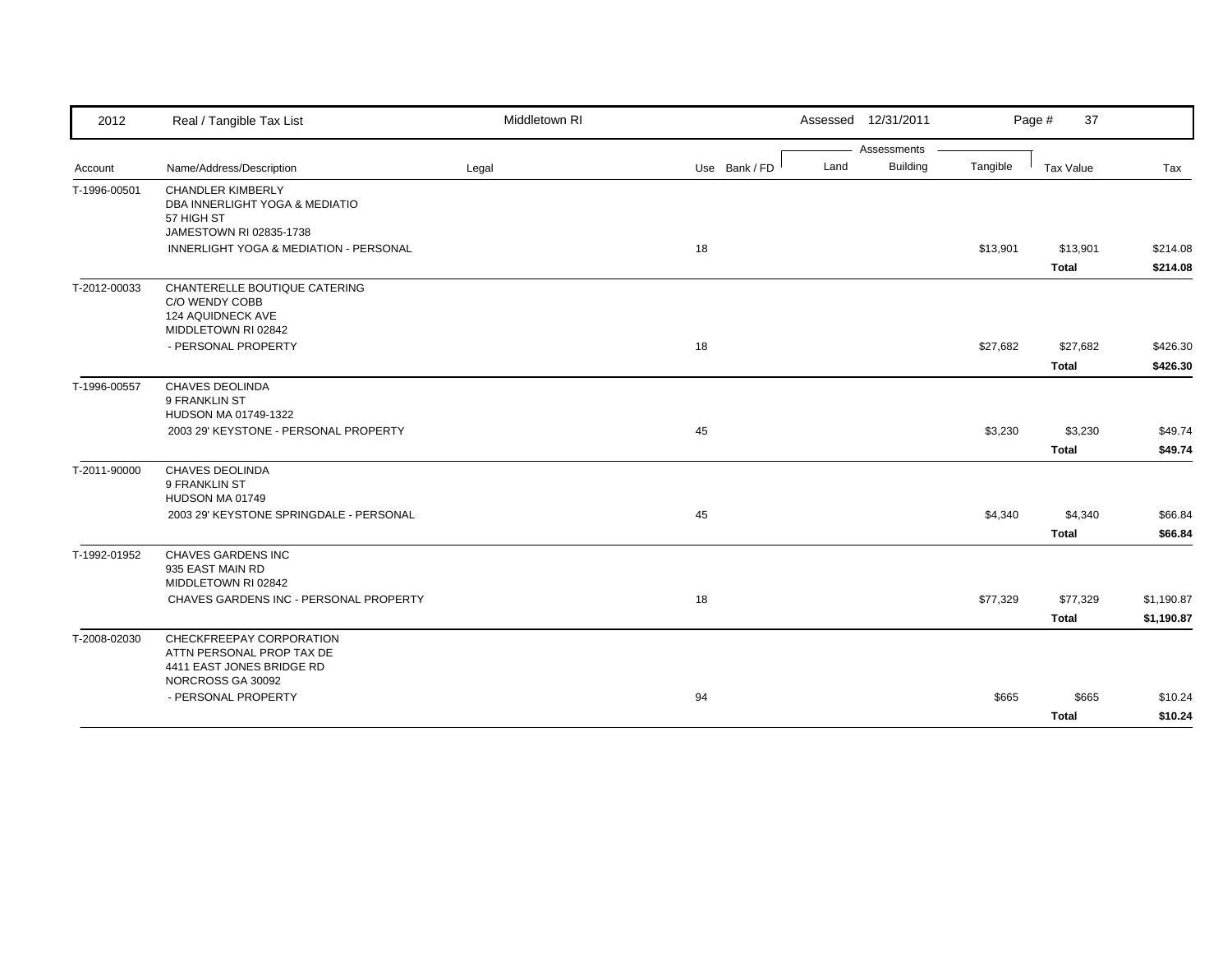| 2012         | Real / Tangible Tax List                                                                    | Middletown RI |               | Assessed 12/31/2011     |          | Page #<br>37     |            |
|--------------|---------------------------------------------------------------------------------------------|---------------|---------------|-------------------------|----------|------------------|------------|
|              |                                                                                             |               |               | Assessments             |          |                  |            |
| Account      | Name/Address/Description                                                                    | Legal         | Use Bank / FD | <b>Building</b><br>Land | Tangible | <b>Tax Value</b> | Tax        |
| T-1996-00501 | <b>CHANDLER KIMBERLY</b><br>DBA INNERLIGHT YOGA & MEDIATIO<br>57 HIGH ST                    |               |               |                         |          |                  |            |
|              | JAMESTOWN RI 02835-1738                                                                     |               |               |                         |          |                  |            |
|              | INNERLIGHT YOGA & MEDIATION - PERSONAL                                                      |               | 18            |                         | \$13,901 | \$13,901         | \$214.08   |
|              |                                                                                             |               |               |                         |          | <b>Total</b>     | \$214.08   |
| T-2012-00033 | CHANTERELLE BOUTIQUE CATERING<br>C/O WENDY COBB<br>124 AQUIDNECK AVE<br>MIDDLETOWN RI 02842 |               |               |                         |          |                  |            |
|              | - PERSONAL PROPERTY                                                                         |               | 18            |                         | \$27,682 | \$27,682         | \$426.30   |
|              |                                                                                             |               |               |                         |          | <b>Total</b>     | \$426.30   |
| T-1996-00557 | <b>CHAVES DEOLINDA</b><br>9 FRANKLIN ST<br>HUDSON MA 01749-1322                             |               |               |                         |          |                  |            |
|              | 2003 29' KEYSTONE - PERSONAL PROPERTY                                                       |               | 45            |                         | \$3,230  | \$3,230          | \$49.74    |
|              |                                                                                             |               |               |                         |          | <b>Total</b>     | \$49.74    |
| T-2011-90000 | <b>CHAVES DEOLINDA</b><br>9 FRANKLIN ST<br>HUDSON MA 01749                                  |               |               |                         |          |                  |            |
|              | 2003 29' KEYSTONE SPRINGDALE - PERSONAL                                                     |               | 45            |                         | \$4,340  | \$4,340          | \$66.84    |
|              |                                                                                             |               |               |                         |          | <b>Total</b>     | \$66.84    |
| T-1992-01952 | CHAVES GARDENS INC<br>935 EAST MAIN RD<br>MIDDLETOWN RI 02842                               |               |               |                         |          |                  |            |
|              | CHAVES GARDENS INC - PERSONAL PROPERTY                                                      |               | 18            |                         | \$77,329 | \$77,329         | \$1,190.87 |
|              |                                                                                             |               |               |                         |          | <b>Total</b>     | \$1,190.87 |
| T-2008-02030 | CHECKFREEPAY CORPORATION<br>ATTN PERSONAL PROP TAX DE<br>4411 EAST JONES BRIDGE RD          |               |               |                         |          |                  |            |
|              | NORCROSS GA 30092                                                                           |               |               |                         |          |                  |            |
|              | - PERSONAL PROPERTY                                                                         |               | 94            |                         | \$665    | \$665            | \$10.24    |
|              |                                                                                             |               |               |                         |          | <b>Total</b>     | \$10.24    |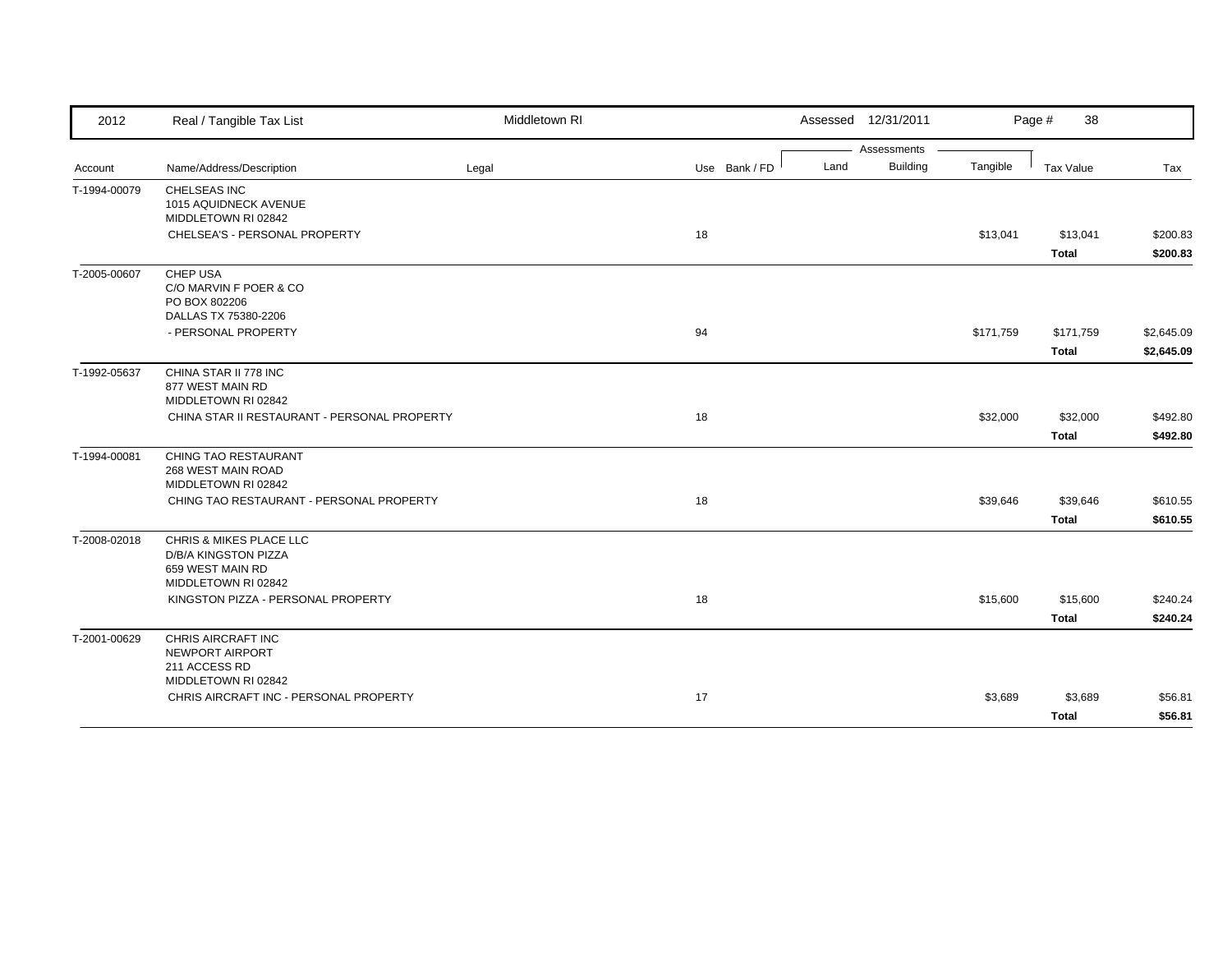| 2012         | Real / Tangible Tax List                     | Middletown RI |               |      | Assessed 12/31/2011 |           | 38<br>Page #     |            |
|--------------|----------------------------------------------|---------------|---------------|------|---------------------|-----------|------------------|------------|
|              |                                              |               |               |      | Assessments         |           |                  |            |
| Account      | Name/Address/Description                     | Legal         | Use Bank / FD | Land | <b>Building</b>     | Tangible  | <b>Tax Value</b> | Tax        |
| T-1994-00079 | CHELSEAS INC                                 |               |               |      |                     |           |                  |            |
|              | 1015 AQUIDNECK AVENUE                        |               |               |      |                     |           |                  |            |
|              | MIDDLETOWN RI 02842                          |               |               |      |                     |           |                  |            |
|              | CHELSEA'S - PERSONAL PROPERTY                |               | 18            |      |                     | \$13,041  | \$13,041         | \$200.83   |
|              |                                              |               |               |      |                     |           | <b>Total</b>     | \$200.83   |
| T-2005-00607 | CHEP USA                                     |               |               |      |                     |           |                  |            |
|              | C/O MARVIN F POER & CO<br>PO BOX 802206      |               |               |      |                     |           |                  |            |
|              | DALLAS TX 75380-2206                         |               |               |      |                     |           |                  |            |
|              | - PERSONAL PROPERTY                          |               | 94            |      |                     | \$171,759 | \$171,759        | \$2,645.09 |
|              |                                              |               |               |      |                     |           | Total            | \$2,645.09 |
| T-1992-05637 | CHINA STAR II 778 INC                        |               |               |      |                     |           |                  |            |
|              | 877 WEST MAIN RD                             |               |               |      |                     |           |                  |            |
|              | MIDDLETOWN RI 02842                          |               |               |      |                     |           |                  |            |
|              | CHINA STAR II RESTAURANT - PERSONAL PROPERTY |               | 18            |      |                     | \$32,000  | \$32,000         | \$492.80   |
|              |                                              |               |               |      |                     |           | <b>Total</b>     | \$492.80   |
| T-1994-00081 | CHING TAO RESTAURANT                         |               |               |      |                     |           |                  |            |
|              | 268 WEST MAIN ROAD                           |               |               |      |                     |           |                  |            |
|              | MIDDLETOWN RI 02842                          |               |               |      |                     |           |                  |            |
|              | CHING TAO RESTAURANT - PERSONAL PROPERTY     |               | 18            |      |                     | \$39,646  | \$39,646         | \$610.55   |
|              |                                              |               |               |      |                     |           | <b>Total</b>     | \$610.55   |
| T-2008-02018 | CHRIS & MIKES PLACE LLC                      |               |               |      |                     |           |                  |            |
|              | D/B/A KINGSTON PIZZA<br>659 WEST MAIN RD     |               |               |      |                     |           |                  |            |
|              | MIDDLETOWN RI 02842                          |               |               |      |                     |           |                  |            |
|              | KINGSTON PIZZA - PERSONAL PROPERTY           |               | 18            |      |                     | \$15,600  | \$15,600         | \$240.24   |
|              |                                              |               |               |      |                     |           | <b>Total</b>     | \$240.24   |
| T-2001-00629 | CHRIS AIRCRAFT INC                           |               |               |      |                     |           |                  |            |
|              | NEWPORT AIRPORT                              |               |               |      |                     |           |                  |            |
|              | 211 ACCESS RD                                |               |               |      |                     |           |                  |            |
|              | MIDDLETOWN RI 02842                          |               |               |      |                     |           |                  |            |
|              | CHRIS AIRCRAFT INC - PERSONAL PROPERTY       |               | 17            |      |                     | \$3,689   | \$3,689          | \$56.81    |
|              |                                              |               |               |      |                     |           | <b>Total</b>     | \$56.81    |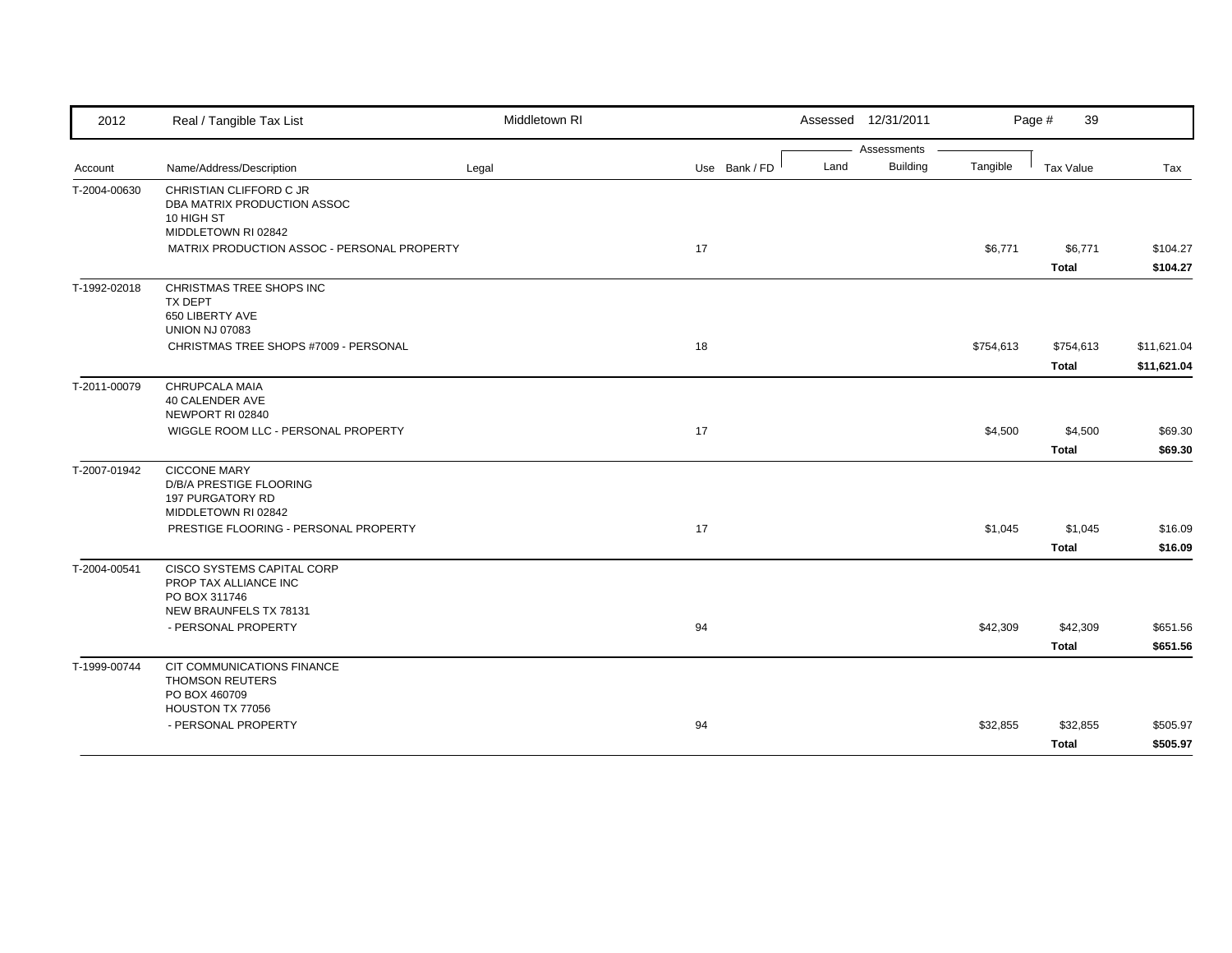| 2012         | Real / Tangible Tax List                               | Middletown RI |               | Assessed 12/31/2011 |                 |           | Page #<br>39     |             |
|--------------|--------------------------------------------------------|---------------|---------------|---------------------|-----------------|-----------|------------------|-------------|
|              |                                                        |               |               |                     | Assessments     |           |                  |             |
| Account      | Name/Address/Description                               | Legal         | Use Bank / FD | Land                | <b>Building</b> | Tangible  | <b>Tax Value</b> | Tax         |
| T-2004-00630 | CHRISTIAN CLIFFORD C JR<br>DBA MATRIX PRODUCTION ASSOC |               |               |                     |                 |           |                  |             |
|              | 10 HIGH ST                                             |               |               |                     |                 |           |                  |             |
|              | MIDDLETOWN RI 02842                                    |               |               |                     |                 |           |                  |             |
|              | MATRIX PRODUCTION ASSOC - PERSONAL PROPERTY            |               | 17            |                     |                 | \$6,771   | \$6,771          | \$104.27    |
|              |                                                        |               |               |                     |                 |           | <b>Total</b>     | \$104.27    |
| T-1992-02018 | CHRISTMAS TREE SHOPS INC                               |               |               |                     |                 |           |                  |             |
|              | <b>TX DEPT</b>                                         |               |               |                     |                 |           |                  |             |
|              | 650 LIBERTY AVE<br><b>UNION NJ 07083</b>               |               |               |                     |                 |           |                  |             |
|              | CHRISTMAS TREE SHOPS #7009 - PERSONAL                  |               | 18            |                     |                 | \$754,613 | \$754,613        | \$11,621.04 |
|              |                                                        |               |               |                     |                 |           | Total            | \$11,621.04 |
| T-2011-00079 | CHRUPCALA MAIA                                         |               |               |                     |                 |           |                  |             |
|              | 40 CALENDER AVE                                        |               |               |                     |                 |           |                  |             |
|              | NEWPORT RI 02840                                       |               |               |                     |                 |           |                  |             |
|              | WIGGLE ROOM LLC - PERSONAL PROPERTY                    |               | 17            |                     |                 | \$4,500   | \$4,500          | \$69.30     |
|              |                                                        |               |               |                     |                 |           | <b>Total</b>     | \$69.30     |
| T-2007-01942 | <b>CICCONE MARY</b><br>D/B/A PRESTIGE FLOORING         |               |               |                     |                 |           |                  |             |
|              | 197 PURGATORY RD                                       |               |               |                     |                 |           |                  |             |
|              | MIDDLETOWN RI 02842                                    |               |               |                     |                 |           |                  |             |
|              | PRESTIGE FLOORING - PERSONAL PROPERTY                  |               | 17            |                     |                 | \$1,045   | \$1,045          | \$16.09     |
|              |                                                        |               |               |                     |                 |           | <b>Total</b>     | \$16.09     |
| T-2004-00541 | CISCO SYSTEMS CAPITAL CORP                             |               |               |                     |                 |           |                  |             |
|              | PROP TAX ALLIANCE INC                                  |               |               |                     |                 |           |                  |             |
|              | PO BOX 311746<br>NEW BRAUNFELS TX 78131                |               |               |                     |                 |           |                  |             |
|              | - PERSONAL PROPERTY                                    |               | 94            |                     |                 | \$42,309  | \$42,309         | \$651.56    |
|              |                                                        |               |               |                     |                 |           | <b>Total</b>     | \$651.56    |
| T-1999-00744 | CIT COMMUNICATIONS FINANCE                             |               |               |                     |                 |           |                  |             |
|              | <b>THOMSON REUTERS</b>                                 |               |               |                     |                 |           |                  |             |
|              | PO BOX 460709                                          |               |               |                     |                 |           |                  |             |
|              | HOUSTON TX 77056<br>- PERSONAL PROPERTY                |               | 94            |                     |                 | \$32,855  | \$32,855         | \$505.97    |
|              |                                                        |               |               |                     |                 |           |                  |             |
|              |                                                        |               |               |                     |                 |           | Total            | \$505.97    |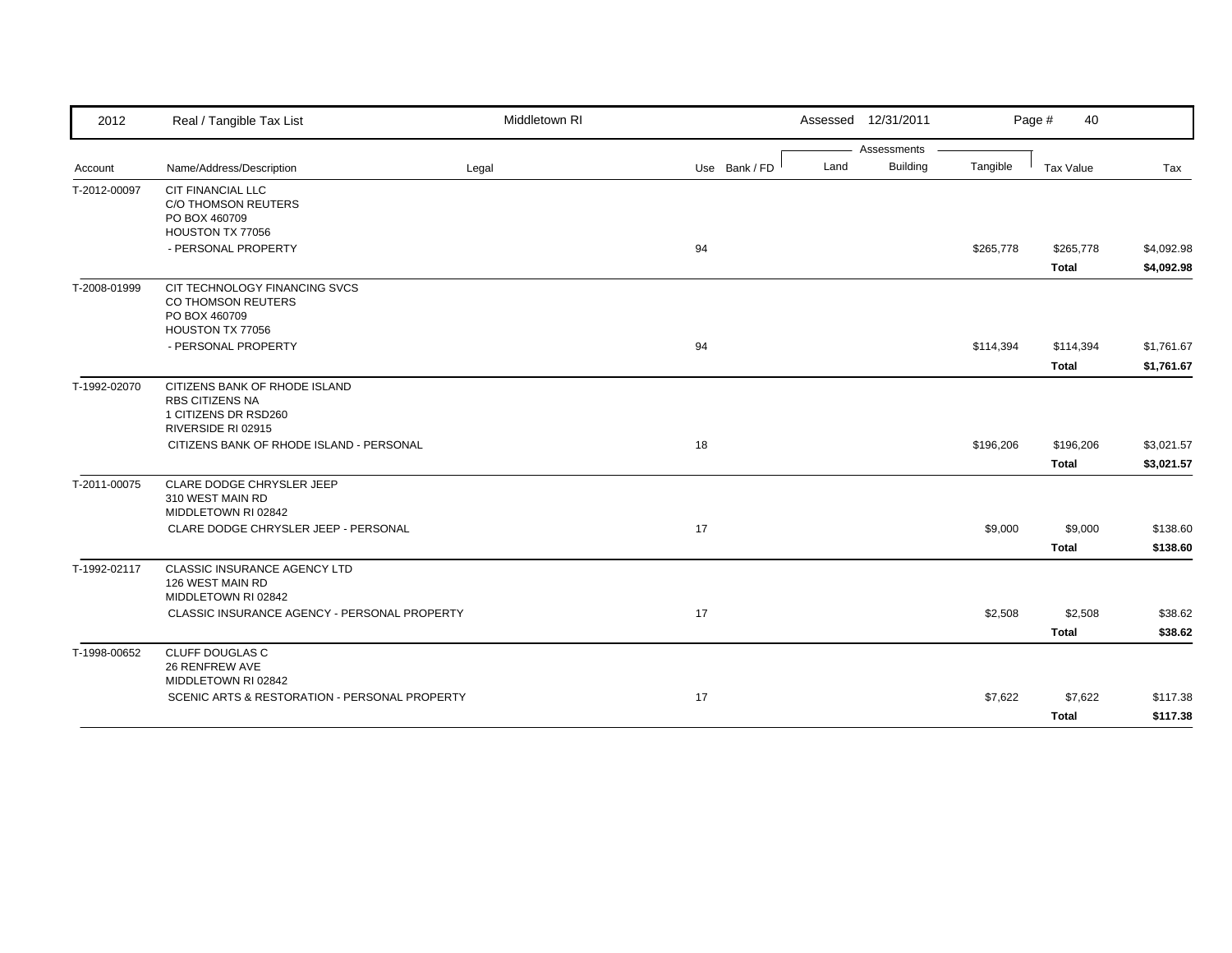| 2012         | Real / Tangible Tax List                                                        | Middletown RI |               |      | Assessed 12/31/2011 |           | Page #<br>40     |                          |
|--------------|---------------------------------------------------------------------------------|---------------|---------------|------|---------------------|-----------|------------------|--------------------------|
|              |                                                                                 |               |               |      | Assessments         |           |                  |                          |
| Account      | Name/Address/Description                                                        | Legal         | Use Bank / FD | Land | <b>Building</b>     | Tangible  | <b>Tax Value</b> | Tax                      |
| T-2012-00097 | <b>CIT FINANCIAL LLC</b><br>C/O THOMSON REUTERS                                 |               |               |      |                     |           |                  |                          |
|              | PO BOX 460709                                                                   |               |               |      |                     |           |                  |                          |
|              | HOUSTON TX 77056<br>- PERSONAL PROPERTY                                         |               | 94            |      |                     | \$265,778 | \$265,778        |                          |
|              |                                                                                 |               |               |      |                     |           | <b>Total</b>     | \$4,092.98<br>\$4,092.98 |
| T-2008-01999 | CIT TECHNOLOGY FINANCING SVCS<br>CO THOMSON REUTERS<br>PO BOX 460709            |               |               |      |                     |           |                  |                          |
|              | HOUSTON TX 77056<br>- PERSONAL PROPERTY                                         |               | 94            |      |                     | \$114,394 | \$114,394        | \$1,761.67               |
|              |                                                                                 |               |               |      |                     |           | <b>Total</b>     | \$1,761.67               |
| T-1992-02070 | CITIZENS BANK OF RHODE ISLAND<br><b>RBS CITIZENS NA</b><br>1 CITIZENS DR RSD260 |               |               |      |                     |           |                  |                          |
|              | RIVERSIDE RI 02915<br>CITIZENS BANK OF RHODE ISLAND - PERSONAL                  |               | 18            |      |                     | \$196,206 | \$196,206        | \$3,021.57               |
|              |                                                                                 |               |               |      |                     |           | <b>Total</b>     | \$3,021.57               |
| T-2011-00075 | CLARE DODGE CHRYSLER JEEP<br>310 WEST MAIN RD<br>MIDDLETOWN RI 02842            |               |               |      |                     |           |                  |                          |
|              | CLARE DODGE CHRYSLER JEEP - PERSONAL                                            |               | 17            |      |                     | \$9,000   | \$9,000          | \$138.60                 |
|              |                                                                                 |               |               |      |                     |           | <b>Total</b>     | \$138.60                 |
| T-1992-02117 | CLASSIC INSURANCE AGENCY LTD<br>126 WEST MAIN RD<br>MIDDLETOWN RI 02842         |               |               |      |                     |           |                  |                          |
|              | CLASSIC INSURANCE AGENCY - PERSONAL PROPERTY                                    |               | 17            |      |                     | \$2,508   | \$2,508          | \$38.62                  |
|              |                                                                                 |               |               |      |                     |           | <b>Total</b>     | \$38.62                  |
| T-1998-00652 | <b>CLUFF DOUGLAS C</b><br>26 RENFREW AVE<br>MIDDLETOWN RI 02842                 |               |               |      |                     |           |                  |                          |
|              | SCENIC ARTS & RESTORATION - PERSONAL PROPERTY                                   |               | 17            |      |                     | \$7,622   | \$7,622          | \$117.38                 |
|              |                                                                                 |               |               |      |                     |           | <b>Total</b>     | \$117.38                 |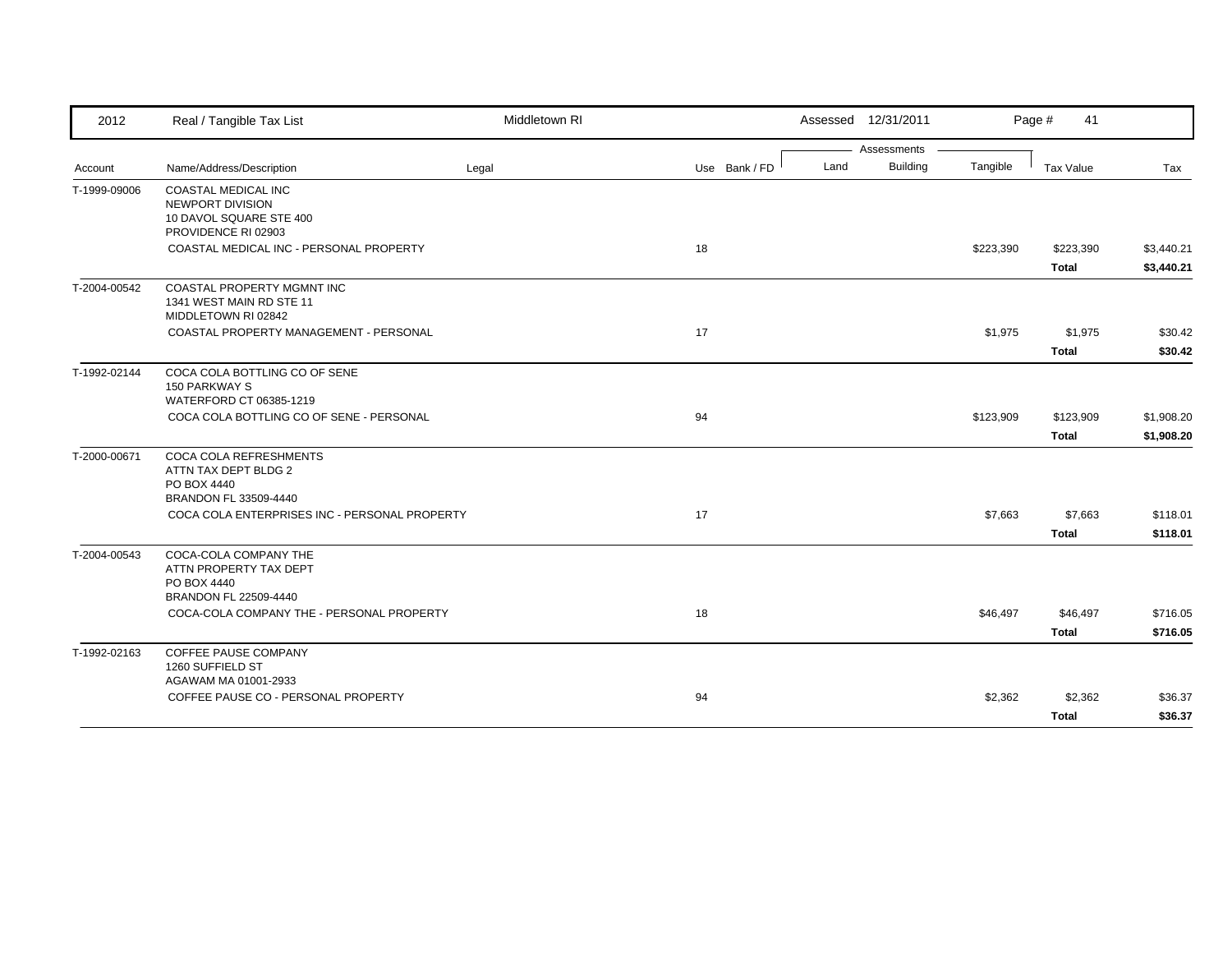| 2012         | Real / Tangible Tax List                                                      | Middletown RI |               |      | Assessed 12/31/2011 |           | Page #<br>41              |                          |
|--------------|-------------------------------------------------------------------------------|---------------|---------------|------|---------------------|-----------|---------------------------|--------------------------|
|              |                                                                               |               |               |      | Assessments         |           |                           |                          |
| Account      | Name/Address/Description                                                      | Legal         | Use Bank / FD | Land | <b>Building</b>     | Tangible  | Tax Value                 | Tax                      |
| T-1999-09006 | COASTAL MEDICAL INC<br>NEWPORT DIVISION                                       |               |               |      |                     |           |                           |                          |
|              | 10 DAVOL SQUARE STE 400<br>PROVIDENCE RI 02903                                |               |               |      |                     |           |                           |                          |
|              | COASTAL MEDICAL INC - PERSONAL PROPERTY                                       |               | 18            |      |                     | \$223,390 | \$223,390<br><b>Total</b> | \$3,440.21<br>\$3,440.21 |
| T-2004-00542 | COASTAL PROPERTY MGMNT INC<br>1341 WEST MAIN RD STE 11<br>MIDDLETOWN RI 02842 |               |               |      |                     |           |                           |                          |
|              | COASTAL PROPERTY MANAGEMENT - PERSONAL                                        |               | 17            |      |                     | \$1,975   | \$1,975                   | \$30.42                  |
|              |                                                                               |               |               |      |                     |           | <b>Total</b>              | \$30.42                  |
| T-1992-02144 | COCA COLA BOTTLING CO OF SENE<br>150 PARKWAY S<br>WATERFORD CT 06385-1219     |               |               |      |                     |           |                           |                          |
|              | COCA COLA BOTTLING CO OF SENE - PERSONAL                                      |               | 94            |      |                     | \$123,909 | \$123,909                 | \$1,908.20               |
|              |                                                                               |               |               |      |                     |           | <b>Total</b>              | \$1,908.20               |
| T-2000-00671 | <b>COCA COLA REFRESHMENTS</b><br>ATTN TAX DEPT BLDG 2                         |               |               |      |                     |           |                           |                          |
|              | PO BOX 4440                                                                   |               |               |      |                     |           |                           |                          |
|              | BRANDON FL 33509-4440                                                         |               |               |      |                     |           |                           |                          |
|              | COCA COLA ENTERPRISES INC - PERSONAL PROPERTY                                 |               | 17            |      |                     | \$7,663   | \$7,663<br><b>Total</b>   | \$118.01<br>\$118.01     |
| T-2004-00543 | COCA-COLA COMPANY THE<br>ATTN PROPERTY TAX DEPT                               |               |               |      |                     |           |                           |                          |
|              | PO BOX 4440                                                                   |               |               |      |                     |           |                           |                          |
|              | BRANDON FL 22509-4440                                                         |               |               |      |                     |           |                           |                          |
|              | COCA-COLA COMPANY THE - PERSONAL PROPERTY                                     |               | 18            |      |                     | \$46,497  | \$46,497<br><b>Total</b>  | \$716.05<br>\$716.05     |
| T-1992-02163 | <b>COFFEE PAUSE COMPANY</b>                                                   |               |               |      |                     |           |                           |                          |
|              | 1260 SUFFIELD ST                                                              |               |               |      |                     |           |                           |                          |
|              | AGAWAM MA 01001-2933                                                          |               |               |      |                     |           |                           |                          |
|              | COFFEE PAUSE CO - PERSONAL PROPERTY                                           |               | 94            |      |                     | \$2,362   | \$2,362                   | \$36.37                  |
|              |                                                                               |               |               |      |                     |           | <b>Total</b>              | \$36.37                  |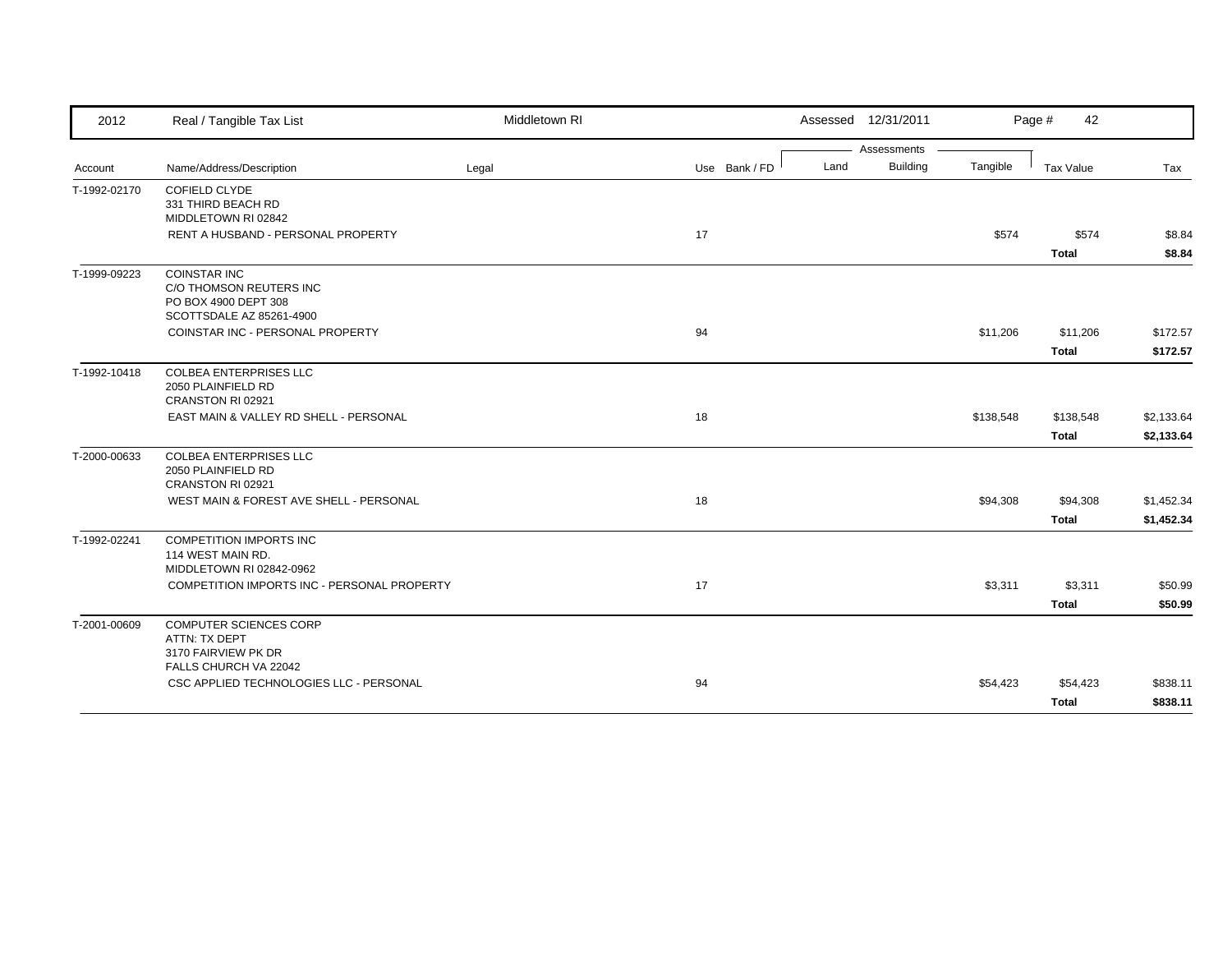| 2012         | Real / Tangible Tax List                                                                           | Middletown RI |               |      | Assessed 12/31/2011 |           | Page #<br>42             |                          |
|--------------|----------------------------------------------------------------------------------------------------|---------------|---------------|------|---------------------|-----------|--------------------------|--------------------------|
|              |                                                                                                    |               |               |      | Assessments         |           |                          |                          |
| Account      | Name/Address/Description                                                                           | Legal         | Use Bank / FD | Land | <b>Building</b>     | Tangible  | Tax Value                | Tax                      |
| T-1992-02170 | <b>COFIELD CLYDE</b><br>331 THIRD BEACH RD<br>MIDDLETOWN RI 02842                                  |               |               |      |                     |           |                          |                          |
|              | RENT A HUSBAND - PERSONAL PROPERTY                                                                 |               | 17            |      |                     | \$574     | \$574<br><b>Total</b>    | \$8.84<br>\$8.84         |
| T-1999-09223 | <b>COINSTAR INC</b><br>C/O THOMSON REUTERS INC<br>PO BOX 4900 DEPT 308<br>SCOTTSDALE AZ 85261-4900 |               |               |      |                     |           |                          |                          |
|              | COINSTAR INC - PERSONAL PROPERTY                                                                   |               | 94            |      |                     | \$11,206  | \$11,206<br><b>Total</b> | \$172.57<br>\$172.57     |
| T-1992-10418 | COLBEA ENTERPRISES LLC<br>2050 PLAINFIELD RD<br>CRANSTON RI 02921                                  |               |               |      |                     |           |                          |                          |
|              | EAST MAIN & VALLEY RD SHELL - PERSONAL                                                             |               | 18            |      |                     | \$138,548 | \$138,548<br>Total       | \$2,133.64<br>\$2,133.64 |
| T-2000-00633 | COLBEA ENTERPRISES LLC<br>2050 PLAINFIELD RD<br>CRANSTON RI 02921                                  |               |               |      |                     |           |                          |                          |
|              | WEST MAIN & FOREST AVE SHELL - PERSONAL                                                            |               | 18            |      |                     | \$94,308  | \$94,308<br><b>Total</b> | \$1,452.34<br>\$1,452.34 |
| T-1992-02241 | <b>COMPETITION IMPORTS INC</b><br>114 WEST MAIN RD.<br>MIDDLETOWN RI 02842-0962                    |               |               |      |                     |           |                          |                          |
|              | COMPETITION IMPORTS INC - PERSONAL PROPERTY                                                        |               | 17            |      |                     | \$3,311   | \$3,311<br><b>Total</b>  | \$50.99<br>\$50.99       |
| T-2001-00609 | COMPUTER SCIENCES CORP<br>ATTN: TX DEPT<br>3170 FAIRVIEW PK DR<br>FALLS CHURCH VA 22042            |               |               |      |                     |           |                          |                          |
|              | CSC APPLIED TECHNOLOGIES LLC - PERSONAL                                                            |               | 94            |      |                     | \$54,423  | \$54,423<br><b>Total</b> | \$838.11<br>\$838.11     |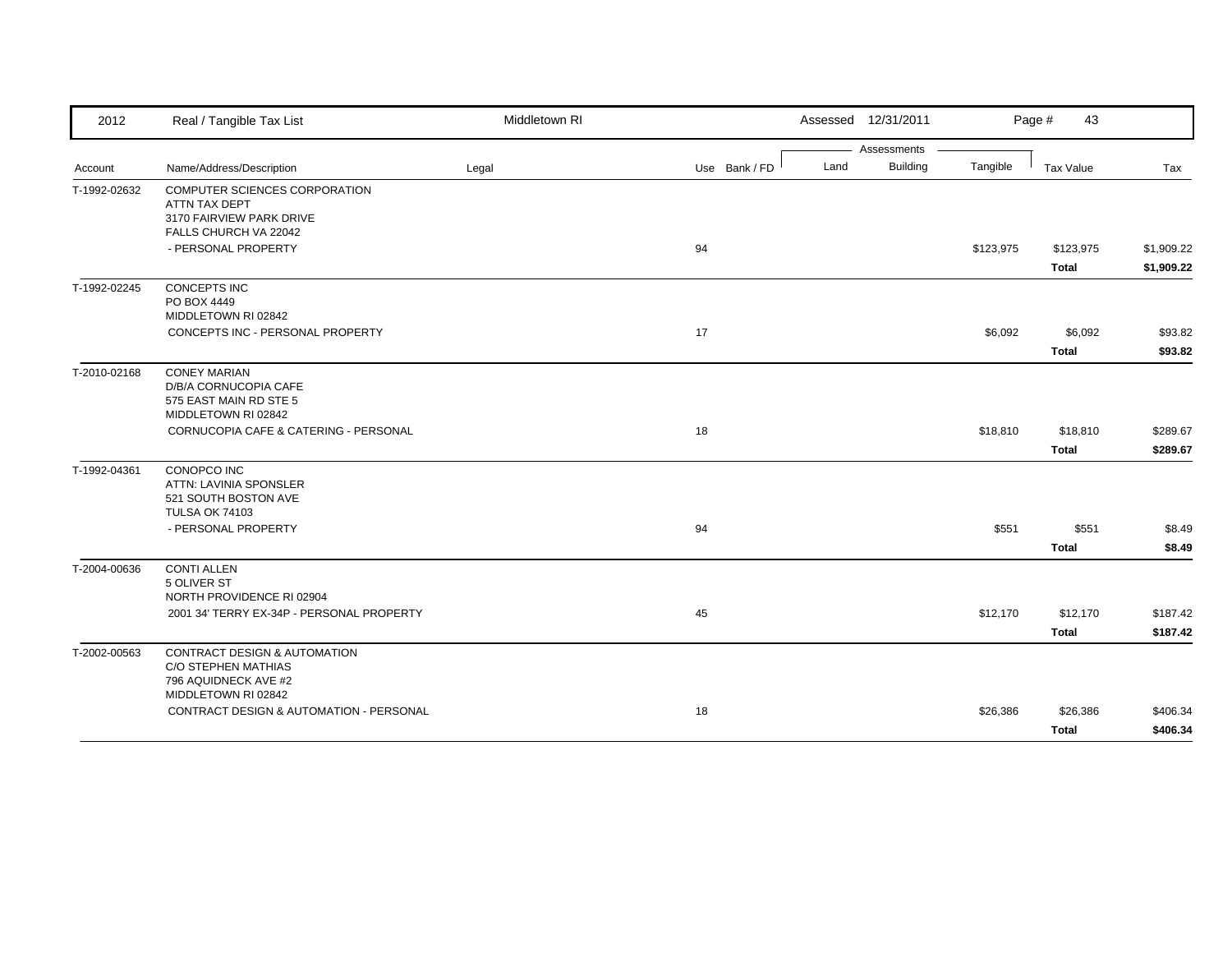| Assessments<br><b>Building</b><br>Land<br>Tangible<br>Name/Address/Description<br>Legal<br>Use Bank / FD<br>Tax Value<br>Tax<br>Account<br>COMPUTER SCIENCES CORPORATION<br>T-1992-02632<br>ATTN TAX DEPT<br>3170 FAIRVIEW PARK DRIVE<br>FALLS CHURCH VA 22042<br>94<br>- PERSONAL PROPERTY<br>\$123,975<br>\$123,975<br>\$1,909.22<br><b>Total</b><br>\$1,909.22<br>T-1992-02245<br><b>CONCEPTS INC</b><br>PO BOX 4449<br>MIDDLETOWN RI 02842<br>CONCEPTS INC - PERSONAL PROPERTY<br>17<br>\$6,092<br>\$6,092<br>\$93.82<br><b>Total</b><br>\$93.82<br>T-2010-02168<br><b>CONEY MARIAN</b><br>D/B/A CORNUCOPIA CAFE<br>575 EAST MAIN RD STE 5<br>MIDDLETOWN RI 02842<br>18<br>CORNUCOPIA CAFE & CATERING - PERSONAL<br>\$18,810<br>\$18,810<br>\$289.67<br>\$289.67<br>Total<br>T-1992-04361<br>CONOPCO INC<br>ATTN: LAVINIA SPONSLER<br>521 SOUTH BOSTON AVE<br><b>TULSA OK 74103</b><br>- PERSONAL PROPERTY<br>94<br>\$551<br>\$551<br>\$8.49<br><b>Total</b><br>\$8.49<br>T-2004-00636<br><b>CONTI ALLEN</b><br>5 OLIVER ST<br>NORTH PROVIDENCE RI 02904<br>2001 34' TERRY EX-34P - PERSONAL PROPERTY<br>45<br>\$12,170<br>\$12,170<br>\$187.42<br><b>Total</b><br>\$187.42<br>T-2002-00563<br>CONTRACT DESIGN & AUTOMATION<br>C/O STEPHEN MATHIAS<br>796 AQUIDNECK AVE #2<br>MIDDLETOWN RI 02842<br>CONTRACT DESIGN & AUTOMATION - PERSONAL<br>18<br>\$26,386<br>\$26,386<br>\$406.34 | 2012 | Real / Tangible Tax List | Middletown RI | Assessed 12/31/2011 | Page #<br>43 |          |
|--------------------------------------------------------------------------------------------------------------------------------------------------------------------------------------------------------------------------------------------------------------------------------------------------------------------------------------------------------------------------------------------------------------------------------------------------------------------------------------------------------------------------------------------------------------------------------------------------------------------------------------------------------------------------------------------------------------------------------------------------------------------------------------------------------------------------------------------------------------------------------------------------------------------------------------------------------------------------------------------------------------------------------------------------------------------------------------------------------------------------------------------------------------------------------------------------------------------------------------------------------------------------------------------------------------------------------------------------------------------------------------------|------|--------------------------|---------------|---------------------|--------------|----------|
|                                                                                                                                                                                                                                                                                                                                                                                                                                                                                                                                                                                                                                                                                                                                                                                                                                                                                                                                                                                                                                                                                                                                                                                                                                                                                                                                                                                            |      |                          |               |                     |              |          |
|                                                                                                                                                                                                                                                                                                                                                                                                                                                                                                                                                                                                                                                                                                                                                                                                                                                                                                                                                                                                                                                                                                                                                                                                                                                                                                                                                                                            |      |                          |               |                     |              |          |
|                                                                                                                                                                                                                                                                                                                                                                                                                                                                                                                                                                                                                                                                                                                                                                                                                                                                                                                                                                                                                                                                                                                                                                                                                                                                                                                                                                                            |      |                          |               |                     |              |          |
|                                                                                                                                                                                                                                                                                                                                                                                                                                                                                                                                                                                                                                                                                                                                                                                                                                                                                                                                                                                                                                                                                                                                                                                                                                                                                                                                                                                            |      |                          |               |                     |              |          |
|                                                                                                                                                                                                                                                                                                                                                                                                                                                                                                                                                                                                                                                                                                                                                                                                                                                                                                                                                                                                                                                                                                                                                                                                                                                                                                                                                                                            |      |                          |               |                     |              |          |
|                                                                                                                                                                                                                                                                                                                                                                                                                                                                                                                                                                                                                                                                                                                                                                                                                                                                                                                                                                                                                                                                                                                                                                                                                                                                                                                                                                                            |      |                          |               |                     |              |          |
|                                                                                                                                                                                                                                                                                                                                                                                                                                                                                                                                                                                                                                                                                                                                                                                                                                                                                                                                                                                                                                                                                                                                                                                                                                                                                                                                                                                            |      |                          |               |                     |              |          |
|                                                                                                                                                                                                                                                                                                                                                                                                                                                                                                                                                                                                                                                                                                                                                                                                                                                                                                                                                                                                                                                                                                                                                                                                                                                                                                                                                                                            |      |                          |               |                     |              |          |
|                                                                                                                                                                                                                                                                                                                                                                                                                                                                                                                                                                                                                                                                                                                                                                                                                                                                                                                                                                                                                                                                                                                                                                                                                                                                                                                                                                                            |      |                          |               |                     |              |          |
|                                                                                                                                                                                                                                                                                                                                                                                                                                                                                                                                                                                                                                                                                                                                                                                                                                                                                                                                                                                                                                                                                                                                                                                                                                                                                                                                                                                            |      |                          |               |                     |              |          |
|                                                                                                                                                                                                                                                                                                                                                                                                                                                                                                                                                                                                                                                                                                                                                                                                                                                                                                                                                                                                                                                                                                                                                                                                                                                                                                                                                                                            |      |                          |               |                     |              |          |
|                                                                                                                                                                                                                                                                                                                                                                                                                                                                                                                                                                                                                                                                                                                                                                                                                                                                                                                                                                                                                                                                                                                                                                                                                                                                                                                                                                                            |      |                          |               |                     |              |          |
|                                                                                                                                                                                                                                                                                                                                                                                                                                                                                                                                                                                                                                                                                                                                                                                                                                                                                                                                                                                                                                                                                                                                                                                                                                                                                                                                                                                            |      |                          |               |                     |              |          |
|                                                                                                                                                                                                                                                                                                                                                                                                                                                                                                                                                                                                                                                                                                                                                                                                                                                                                                                                                                                                                                                                                                                                                                                                                                                                                                                                                                                            |      |                          |               |                     |              |          |
|                                                                                                                                                                                                                                                                                                                                                                                                                                                                                                                                                                                                                                                                                                                                                                                                                                                                                                                                                                                                                                                                                                                                                                                                                                                                                                                                                                                            |      |                          |               |                     |              |          |
|                                                                                                                                                                                                                                                                                                                                                                                                                                                                                                                                                                                                                                                                                                                                                                                                                                                                                                                                                                                                                                                                                                                                                                                                                                                                                                                                                                                            |      |                          |               |                     |              |          |
|                                                                                                                                                                                                                                                                                                                                                                                                                                                                                                                                                                                                                                                                                                                                                                                                                                                                                                                                                                                                                                                                                                                                                                                                                                                                                                                                                                                            |      |                          |               |                     |              |          |
|                                                                                                                                                                                                                                                                                                                                                                                                                                                                                                                                                                                                                                                                                                                                                                                                                                                                                                                                                                                                                                                                                                                                                                                                                                                                                                                                                                                            |      |                          |               |                     |              |          |
|                                                                                                                                                                                                                                                                                                                                                                                                                                                                                                                                                                                                                                                                                                                                                                                                                                                                                                                                                                                                                                                                                                                                                                                                                                                                                                                                                                                            |      |                          |               |                     |              |          |
|                                                                                                                                                                                                                                                                                                                                                                                                                                                                                                                                                                                                                                                                                                                                                                                                                                                                                                                                                                                                                                                                                                                                                                                                                                                                                                                                                                                            |      |                          |               |                     |              |          |
|                                                                                                                                                                                                                                                                                                                                                                                                                                                                                                                                                                                                                                                                                                                                                                                                                                                                                                                                                                                                                                                                                                                                                                                                                                                                                                                                                                                            |      |                          |               |                     | <b>Total</b> | \$406.34 |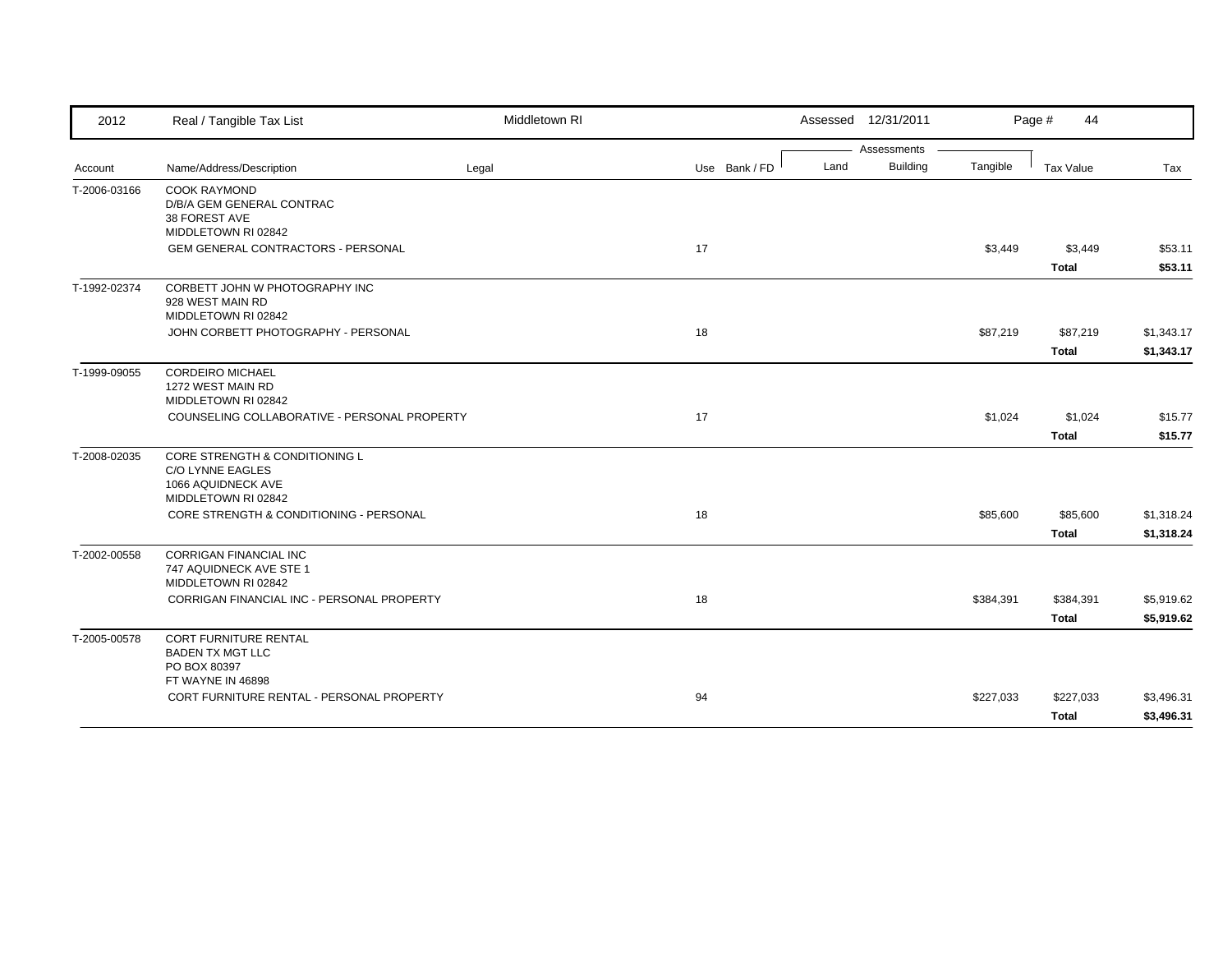| 2012         | Real / Tangible Tax List                                                                        | Middletown RI |               |      | Assessed 12/31/2011 |           | Page #<br>44              |                          |
|--------------|-------------------------------------------------------------------------------------------------|---------------|---------------|------|---------------------|-----------|---------------------------|--------------------------|
|              |                                                                                                 |               |               |      | Assessments         |           |                           |                          |
| Account      | Name/Address/Description                                                                        | Legal         | Use Bank / FD | Land | <b>Building</b>     | Tangible  | <b>Tax Value</b>          | Tax                      |
| T-2006-03166 | <b>COOK RAYMOND</b><br>D/B/A GEM GENERAL CONTRAC<br>38 FOREST AVE<br>MIDDLETOWN RI 02842        |               |               |      |                     |           |                           |                          |
|              | GEM GENERAL CONTRACTORS - PERSONAL                                                              |               | 17            |      |                     | \$3,449   | \$3,449<br><b>Total</b>   | \$53.11<br>\$53.11       |
| T-1992-02374 | CORBETT JOHN W PHOTOGRAPHY INC<br>928 WEST MAIN RD<br>MIDDLETOWN RI 02842                       |               |               |      |                     |           |                           |                          |
|              | JOHN CORBETT PHOTOGRAPHY - PERSONAL                                                             |               | 18            |      |                     | \$87,219  | \$87,219<br><b>Total</b>  | \$1,343.17<br>\$1,343.17 |
| T-1999-09055 | <b>CORDEIRO MICHAEL</b><br>1272 WEST MAIN RD<br>MIDDLETOWN RI 02842                             |               |               |      |                     |           |                           |                          |
|              | COUNSELING COLLABORATIVE - PERSONAL PROPERTY                                                    |               | 17            |      |                     | \$1,024   | \$1,024<br><b>Total</b>   | \$15.77<br>\$15.77       |
| T-2008-02035 | CORE STRENGTH & CONDITIONING L<br>C/O LYNNE EAGLES<br>1066 AQUIDNECK AVE<br>MIDDLETOWN RI 02842 |               |               |      |                     |           |                           |                          |
|              | CORE STRENGTH & CONDITIONING - PERSONAL                                                         |               | 18            |      |                     | \$85,600  | \$85,600<br><b>Total</b>  | \$1,318.24<br>\$1,318.24 |
| T-2002-00558 | <b>CORRIGAN FINANCIAL INC</b><br>747 AQUIDNECK AVE STE 1<br>MIDDLETOWN RI 02842                 |               |               |      |                     |           |                           |                          |
|              | CORRIGAN FINANCIAL INC - PERSONAL PROPERTY                                                      |               | 18            |      |                     | \$384,391 | \$384,391<br>Total        | \$5,919.62<br>\$5,919.62 |
| T-2005-00578 | <b>CORT FURNITURE RENTAL</b><br><b>BADEN TX MGT LLC</b><br>PO BOX 80397<br>FT WAYNE IN 46898    |               |               |      |                     |           |                           |                          |
|              | CORT FURNITURE RENTAL - PERSONAL PROPERTY                                                       |               | 94            |      |                     | \$227,033 | \$227,033<br><b>Total</b> | \$3,496.31<br>\$3,496.31 |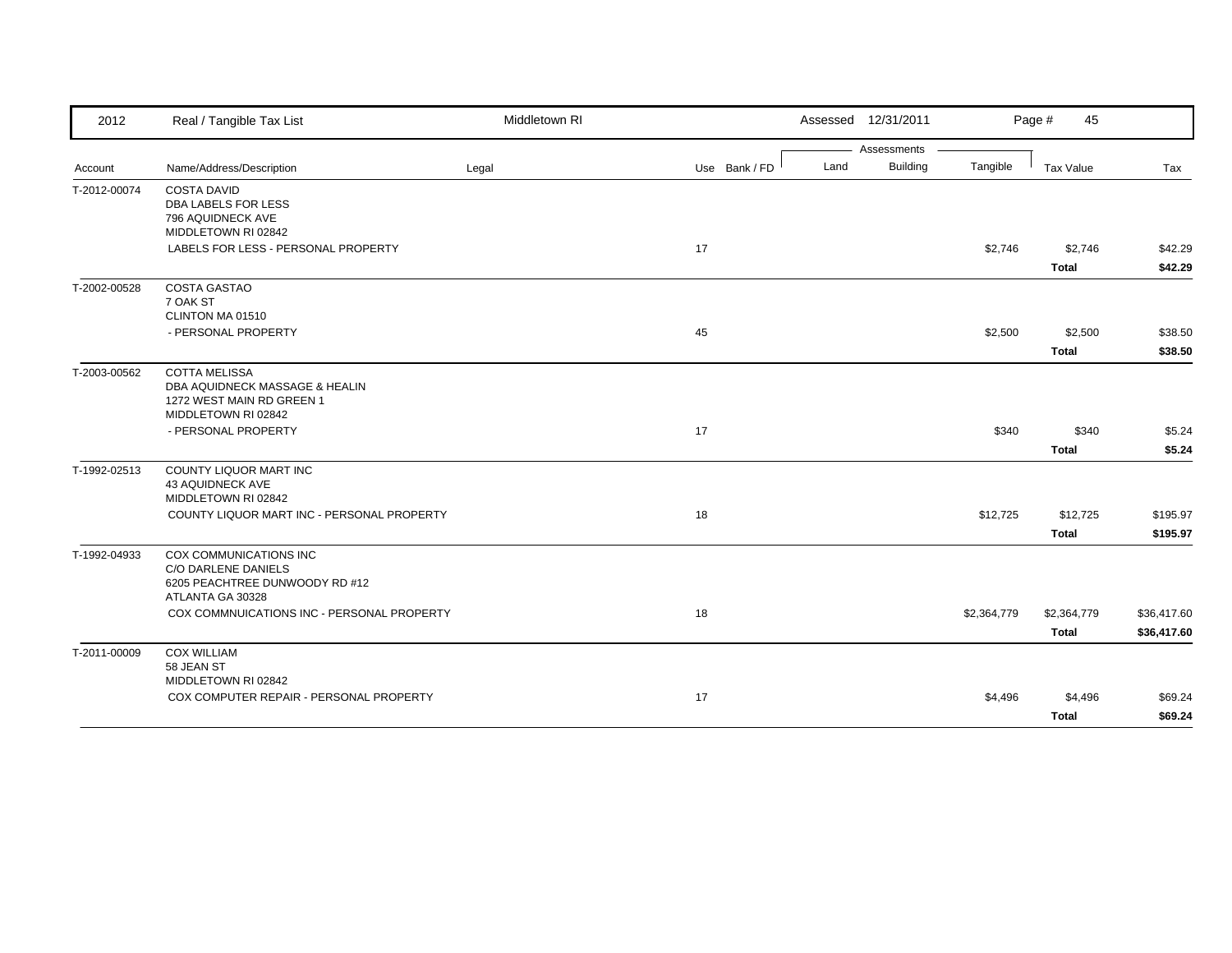| 2012         | Real / Tangible Tax List                                       | Middletown RI |               |      | Assessed 12/31/2011 |             | Page #<br>45 |             |
|--------------|----------------------------------------------------------------|---------------|---------------|------|---------------------|-------------|--------------|-------------|
|              |                                                                |               |               |      | Assessments         |             |              |             |
| Account      | Name/Address/Description                                       | Legal         | Use Bank / FD | Land | <b>Building</b>     | Tangible    | Tax Value    | Tax         |
| T-2012-00074 | <b>COSTA DAVID</b><br>DBA LABELS FOR LESS                      |               |               |      |                     |             |              |             |
|              | 796 AQUIDNECK AVE                                              |               |               |      |                     |             |              |             |
|              | MIDDLETOWN RI 02842                                            |               |               |      |                     |             |              |             |
|              | LABELS FOR LESS - PERSONAL PROPERTY                            |               | 17            |      |                     | \$2,746     | \$2,746      | \$42.29     |
|              |                                                                |               |               |      |                     |             | <b>Total</b> | \$42.29     |
| T-2002-00528 | <b>COSTA GASTAO</b>                                            |               |               |      |                     |             |              |             |
|              | 7 OAK ST                                                       |               |               |      |                     |             |              |             |
|              | CLINTON MA 01510                                               |               |               |      |                     |             |              |             |
|              | - PERSONAL PROPERTY                                            |               | 45            |      |                     | \$2,500     | \$2,500      | \$38.50     |
|              |                                                                |               |               |      |                     |             | <b>Total</b> | \$38.50     |
| T-2003-00562 | <b>COTTA MELISSA</b>                                           |               |               |      |                     |             |              |             |
|              | DBA AQUIDNECK MASSAGE & HEALIN<br>1272 WEST MAIN RD GREEN 1    |               |               |      |                     |             |              |             |
|              | MIDDLETOWN RI 02842                                            |               |               |      |                     |             |              |             |
|              | - PERSONAL PROPERTY                                            |               | 17            |      |                     | \$340       | \$340        | \$5.24      |
|              |                                                                |               |               |      |                     |             | <b>Total</b> | \$5.24      |
|              |                                                                |               |               |      |                     |             |              |             |
| T-1992-02513 | <b>COUNTY LIQUOR MART INC</b><br>43 AQUIDNECK AVE              |               |               |      |                     |             |              |             |
|              | MIDDLETOWN RI 02842                                            |               |               |      |                     |             |              |             |
|              | COUNTY LIQUOR MART INC - PERSONAL PROPERTY                     |               | 18            |      |                     | \$12,725    | \$12,725     | \$195.97    |
|              |                                                                |               |               |      |                     |             | <b>Total</b> | \$195.97    |
| T-1992-04933 | COX COMMUNICATIONS INC                                         |               |               |      |                     |             |              |             |
|              | <b>C/O DARLENE DANIELS</b>                                     |               |               |      |                     |             |              |             |
|              | 6205 PEACHTREE DUNWOODY RD #12<br>ATLANTA GA 30328             |               |               |      |                     |             |              |             |
|              | COX COMMNUICATIONS INC - PERSONAL PROPERTY                     |               | 18            |      |                     |             | \$2,364,779  |             |
|              |                                                                |               |               |      |                     | \$2,364,779 |              | \$36,417.60 |
|              |                                                                |               |               |      |                     |             | <b>Total</b> | \$36,417.60 |
| T-2011-00009 | <b>COX WILLIAM</b>                                             |               |               |      |                     |             |              |             |
|              | 58 JEAN ST                                                     |               |               |      |                     |             |              |             |
|              | MIDDLETOWN RI 02842<br>COX COMPUTER REPAIR - PERSONAL PROPERTY |               | 17            |      |                     | \$4,496     | \$4,496      | \$69.24     |
|              |                                                                |               |               |      |                     |             |              |             |
|              |                                                                |               |               |      |                     |             | <b>Total</b> | \$69.24     |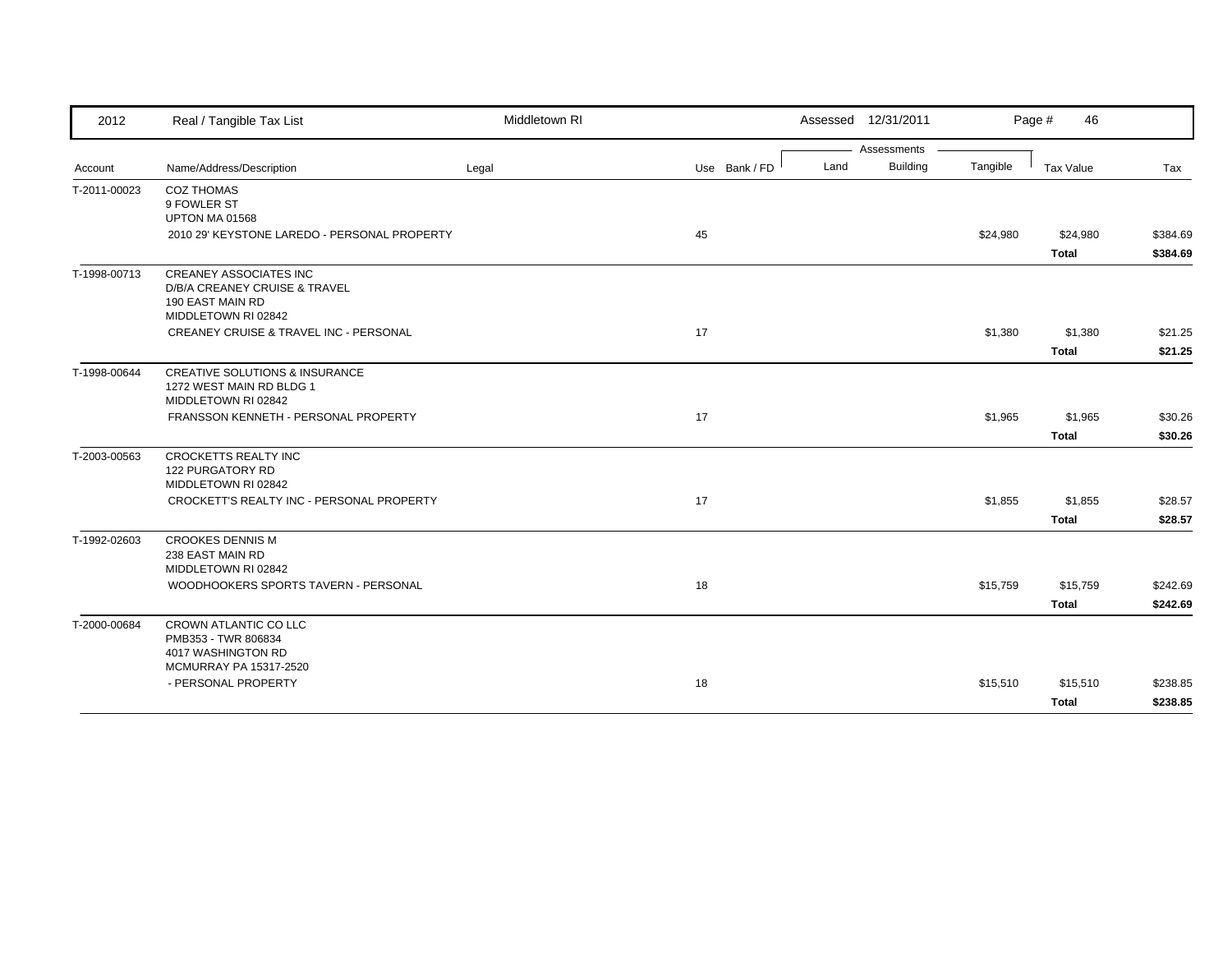| 2012         | Real / Tangible Tax List                                                                                  | Middletown RI |               |      | Assessed 12/31/2011            |          | Page #<br>46             |                      |
|--------------|-----------------------------------------------------------------------------------------------------------|---------------|---------------|------|--------------------------------|----------|--------------------------|----------------------|
|              | Name/Address/Description                                                                                  |               | Use Bank / FD | Land | Assessments<br><b>Building</b> | Tangible | Tax Value                | Tax                  |
| Account      |                                                                                                           | Legal         |               |      |                                |          |                          |                      |
| T-2011-00023 | <b>COZ THOMAS</b><br>9 FOWLER ST<br>UPTON MA 01568                                                        |               |               |      |                                |          |                          |                      |
|              | 2010 29' KEYSTONE LAREDO - PERSONAL PROPERTY                                                              |               | 45            |      |                                | \$24,980 | \$24,980<br><b>Total</b> | \$384.69<br>\$384.69 |
| T-1998-00713 | <b>CREANEY ASSOCIATES INC</b><br>D/B/A CREANEY CRUISE & TRAVEL<br>190 EAST MAIN RD<br>MIDDLETOWN RI 02842 |               |               |      |                                |          |                          |                      |
|              | CREANEY CRUISE & TRAVEL INC - PERSONAL                                                                    |               | 17            |      |                                | \$1,380  | \$1,380                  | \$21.25              |
|              |                                                                                                           |               |               |      |                                |          | <b>Total</b>             | \$21.25              |
| T-1998-00644 | <b>CREATIVE SOLUTIONS &amp; INSURANCE</b><br>1272 WEST MAIN RD BLDG 1<br>MIDDLETOWN RI 02842              |               |               |      |                                |          |                          |                      |
|              | FRANSSON KENNETH - PERSONAL PROPERTY                                                                      |               | 17            |      |                                | \$1,965  | \$1,965                  | \$30.26              |
|              |                                                                                                           |               |               |      |                                |          | <b>Total</b>             | \$30.26              |
| T-2003-00563 | <b>CROCKETTS REALTY INC</b><br>122 PURGATORY RD<br>MIDDLETOWN RI 02842                                    |               |               |      |                                |          |                          |                      |
|              | CROCKETT'S REALTY INC - PERSONAL PROPERTY                                                                 |               | 17            |      |                                | \$1,855  | \$1,855                  | \$28.57              |
|              |                                                                                                           |               |               |      |                                |          | <b>Total</b>             | \$28.57              |
| T-1992-02603 | <b>CROOKES DENNIS M</b><br>238 EAST MAIN RD<br>MIDDLETOWN RI 02842                                        |               |               |      |                                |          |                          |                      |
|              | WOODHOOKERS SPORTS TAVERN - PERSONAL                                                                      |               | 18            |      |                                | \$15,759 | \$15,759                 | \$242.69             |
|              |                                                                                                           |               |               |      |                                |          | <b>Total</b>             | \$242.69             |
| T-2000-00684 | CROWN ATLANTIC CO LLC<br>PMB353 - TWR 806834<br>4017 WASHINGTON RD                                        |               |               |      |                                |          |                          |                      |
|              | <b>MCMURRAY PA 15317-2520</b><br>- PERSONAL PROPERTY                                                      |               | 18            |      |                                | \$15,510 | \$15,510                 | \$238.85             |
|              |                                                                                                           |               |               |      |                                |          | <b>Total</b>             | \$238.85             |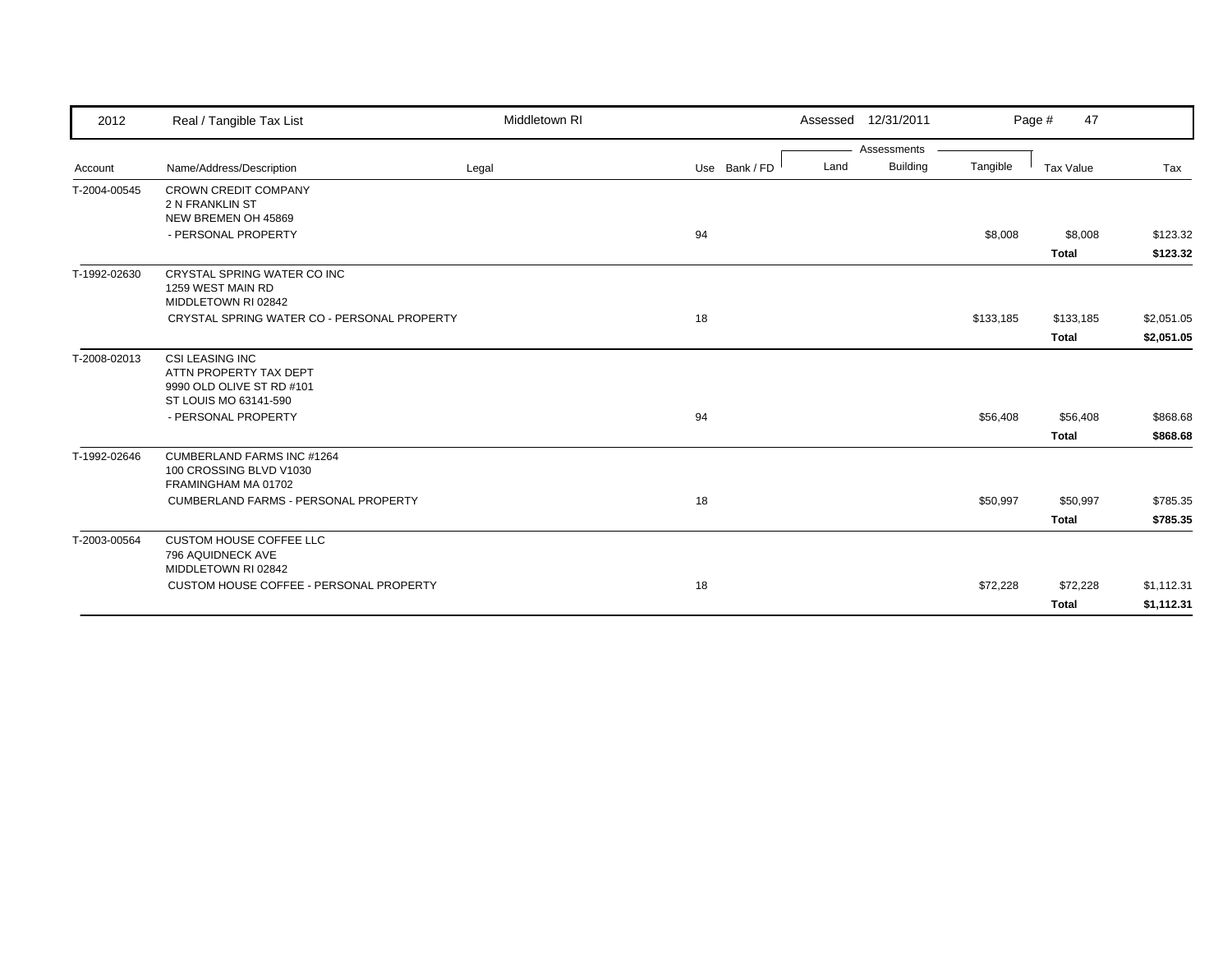| 2012         | Real / Tangible Tax List                                                                               | Middletown RI |               |      | Assessed 12/31/2011 |           | 47<br>Page #             |                          |
|--------------|--------------------------------------------------------------------------------------------------------|---------------|---------------|------|---------------------|-----------|--------------------------|--------------------------|
|              |                                                                                                        |               |               |      | Assessments         |           |                          |                          |
| Account      | Name/Address/Description                                                                               | Legal         | Use Bank / FD | Land | <b>Building</b>     | Tangible  | <b>Tax Value</b>         | Tax                      |
| T-2004-00545 | <b>CROWN CREDIT COMPANY</b><br>2 N FRANKLIN ST<br>NEW BREMEN OH 45869                                  |               |               |      |                     |           |                          |                          |
|              | - PERSONAL PROPERTY                                                                                    |               | 94            |      |                     | \$8,008   | \$8,008                  | \$123.32                 |
|              |                                                                                                        |               |               |      |                     |           | <b>Total</b>             | \$123.32                 |
| T-1992-02630 | CRYSTAL SPRING WATER CO INC<br>1259 WEST MAIN RD<br>MIDDLETOWN RI 02842                                |               |               |      |                     |           |                          |                          |
|              | CRYSTAL SPRING WATER CO - PERSONAL PROPERTY                                                            |               | 18            |      |                     | \$133,185 | \$133,185                | \$2,051.05               |
|              |                                                                                                        |               |               |      |                     |           | <b>Total</b>             | \$2,051.05               |
| T-2008-02013 | <b>CSI LEASING INC</b><br>ATTN PROPERTY TAX DEPT<br>9990 OLD OLIVE ST RD #101<br>ST LOUIS MO 63141-590 |               |               |      |                     |           |                          |                          |
|              | - PERSONAL PROPERTY                                                                                    |               | 94            |      |                     | \$56,408  | \$56,408                 | \$868.68                 |
|              |                                                                                                        |               |               |      |                     |           | <b>Total</b>             | \$868.68                 |
| T-1992-02646 | <b>CUMBERLAND FARMS INC #1264</b><br>100 CROSSING BLVD V1030<br>FRAMINGHAM MA 01702                    |               |               |      |                     |           |                          |                          |
|              | CUMBERLAND FARMS - PERSONAL PROPERTY                                                                   |               | 18            |      |                     | \$50,997  | \$50,997                 | \$785.35                 |
|              |                                                                                                        |               |               |      |                     |           | <b>Total</b>             | \$785.35                 |
| T-2003-00564 | <b>CUSTOM HOUSE COFFEE LLC</b><br>796 AQUIDNECK AVE<br>MIDDLETOWN RI 02842                             |               |               |      |                     |           |                          |                          |
|              | CUSTOM HOUSE COFFEE - PERSONAL PROPERTY                                                                |               | 18            |      |                     | \$72,228  | \$72,228<br><b>Total</b> | \$1,112.31<br>\$1,112.31 |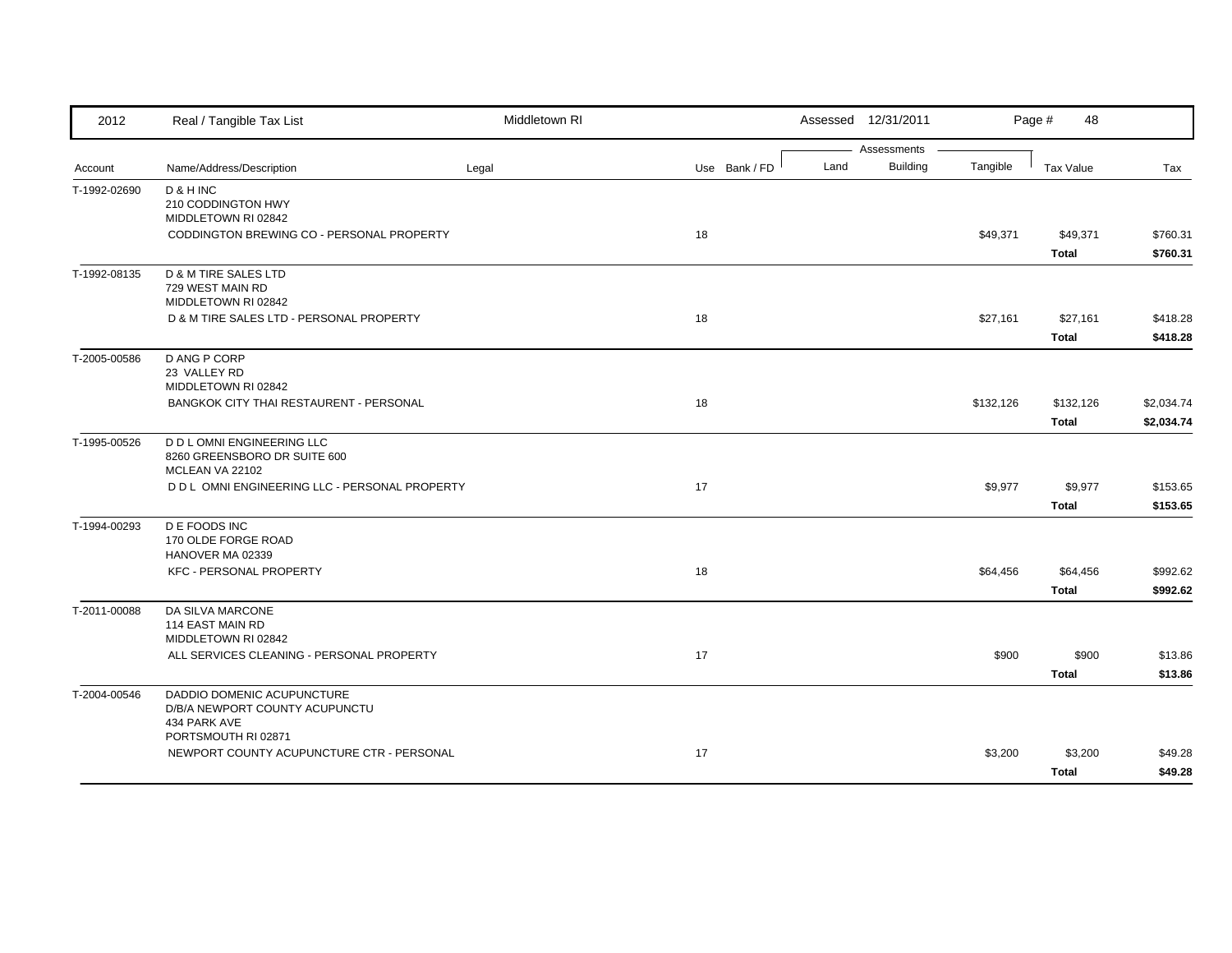| 2012         | Real / Tangible Tax List                                          | Middletown RI |               |      | Assessed 12/31/2011            |           | Page #<br>48 |            |
|--------------|-------------------------------------------------------------------|---------------|---------------|------|--------------------------------|-----------|--------------|------------|
|              | Name/Address/Description                                          |               | Use Bank / FD | Land | Assessments<br><b>Building</b> | Tangible  | Tax Value    | Tax        |
| Account      |                                                                   | Legal         |               |      |                                |           |              |            |
| T-1992-02690 | D & H INC<br>210 CODDINGTON HWY                                   |               |               |      |                                |           |              |            |
|              | MIDDLETOWN RI 02842                                               |               |               |      |                                |           |              |            |
|              | CODDINGTON BREWING CO - PERSONAL PROPERTY                         |               | 18            |      |                                | \$49,371  | \$49,371     | \$760.31   |
|              |                                                                   |               |               |      |                                |           | <b>Total</b> | \$760.31   |
| T-1992-08135 | D & M TIRE SALES LTD                                              |               |               |      |                                |           |              |            |
|              | 729 WEST MAIN RD                                                  |               |               |      |                                |           |              |            |
|              | MIDDLETOWN RI 02842<br>D & M TIRE SALES LTD - PERSONAL PROPERTY   |               | 18            |      |                                | \$27,161  | \$27,161     | \$418.28   |
|              |                                                                   |               |               |      |                                |           |              |            |
|              |                                                                   |               |               |      |                                |           | <b>Total</b> | \$418.28   |
| T-2005-00586 | D ANG P CORP<br>23 VALLEY RD                                      |               |               |      |                                |           |              |            |
|              | MIDDLETOWN RI 02842                                               |               |               |      |                                |           |              |            |
|              | BANGKOK CITY THAI RESTAURENT - PERSONAL                           |               | 18            |      |                                | \$132,126 | \$132,126    | \$2,034.74 |
|              |                                                                   |               |               |      |                                |           | <b>Total</b> | \$2,034.74 |
| T-1995-00526 | D D L OMNI ENGINEERING LLC                                        |               |               |      |                                |           |              |            |
|              | 8260 GREENSBORO DR SUITE 600                                      |               |               |      |                                |           |              |            |
|              | MCLEAN VA 22102<br>D D L OMNI ENGINEERING LLC - PERSONAL PROPERTY |               | 17            |      |                                | \$9,977   | \$9,977      | \$153.65   |
|              |                                                                   |               |               |      |                                |           | <b>Total</b> |            |
|              |                                                                   |               |               |      |                                |           |              | \$153.65   |
| T-1994-00293 | D E FOODS INC<br>170 OLDE FORGE ROAD                              |               |               |      |                                |           |              |            |
|              | HANOVER MA 02339                                                  |               |               |      |                                |           |              |            |
|              | <b>KFC - PERSONAL PROPERTY</b>                                    |               | 18            |      |                                | \$64,456  | \$64,456     | \$992.62   |
|              |                                                                   |               |               |      |                                |           | <b>Total</b> | \$992.62   |
| T-2011-00088 | DA SILVA MARCONE                                                  |               |               |      |                                |           |              |            |
|              | 114 EAST MAIN RD                                                  |               |               |      |                                |           |              |            |
|              | MIDDLETOWN RI 02842<br>ALL SERVICES CLEANING - PERSONAL PROPERTY  |               | 17            |      |                                | \$900     | \$900        | \$13.86    |
|              |                                                                   |               |               |      |                                |           | <b>Total</b> | \$13.86    |
|              |                                                                   |               |               |      |                                |           |              |            |
| T-2004-00546 | DADDIO DOMENIC ACUPUNCTURE<br>D/B/A NEWPORT COUNTY ACUPUNCTU      |               |               |      |                                |           |              |            |
|              | 434 PARK AVE                                                      |               |               |      |                                |           |              |            |
|              | PORTSMOUTH RI 02871                                               |               |               |      |                                |           |              |            |
|              | NEWPORT COUNTY ACUPUNCTURE CTR - PERSONAL                         |               | 17            |      |                                | \$3,200   | \$3,200      | \$49.28    |
|              |                                                                   |               |               |      |                                |           | <b>Total</b> | \$49.28    |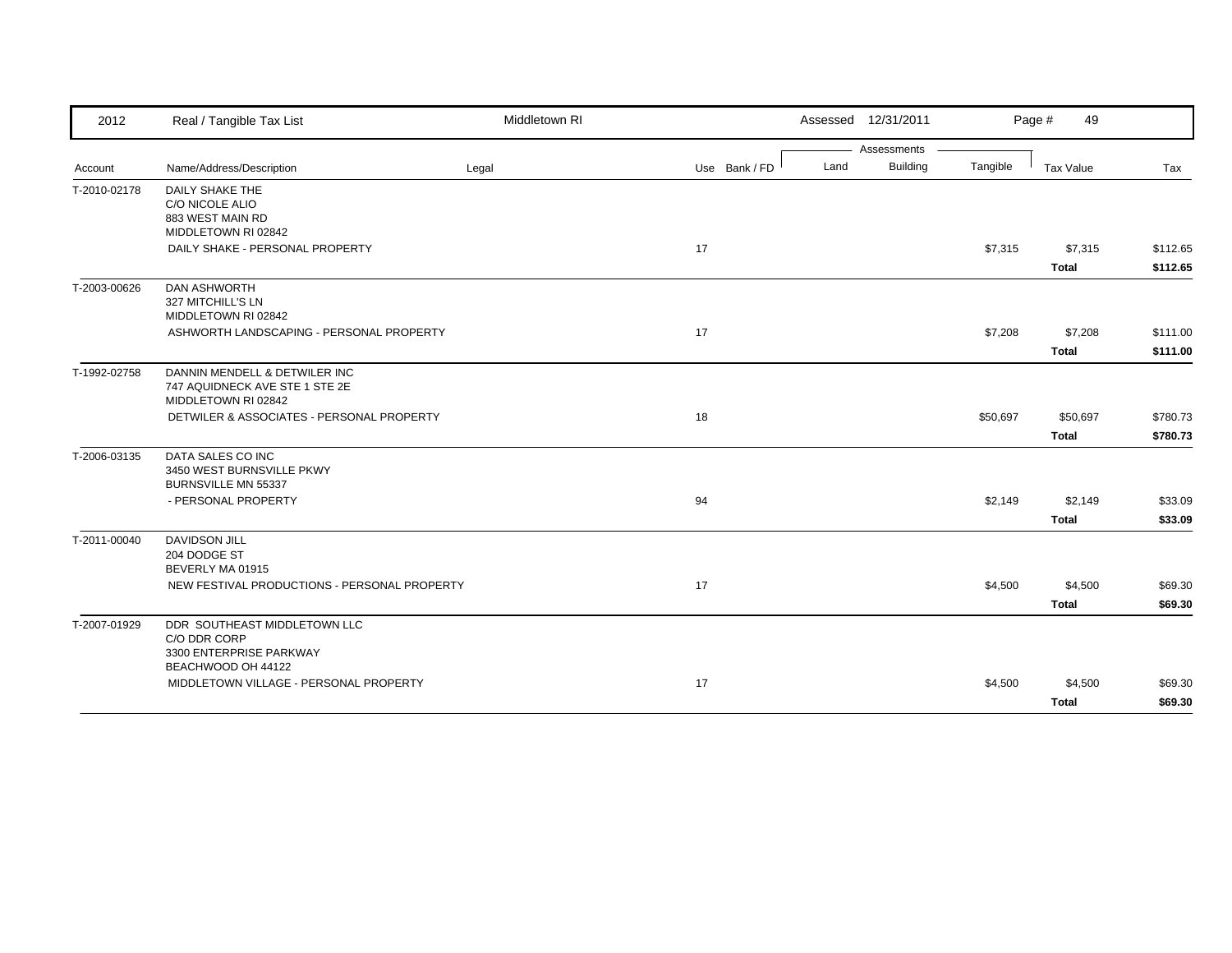| 2012         | Real / Tangible Tax List                                                                      | Middletown RI |               |      | Assessed 12/31/2011 |          | Page #<br>49             |                      |
|--------------|-----------------------------------------------------------------------------------------------|---------------|---------------|------|---------------------|----------|--------------------------|----------------------|
|              |                                                                                               |               |               |      | Assessments         |          |                          |                      |
| Account      | Name/Address/Description                                                                      | Legal         | Use Bank / FD | Land | <b>Building</b>     | Tangible | Tax Value                | Tax                  |
| T-2010-02178 | <b>DAILY SHAKE THE</b><br>C/O NICOLE ALIO<br>883 WEST MAIN RD<br>MIDDLETOWN RI 02842          |               |               |      |                     |          |                          |                      |
|              | DAILY SHAKE - PERSONAL PROPERTY                                                               |               | 17            |      |                     | \$7,315  | \$7,315<br><b>Total</b>  | \$112.65<br>\$112.65 |
| T-2003-00626 | <b>DAN ASHWORTH</b><br>327 MITCHILL'S LN<br>MIDDLETOWN RI 02842                               |               |               |      |                     |          |                          |                      |
|              | ASHWORTH LANDSCAPING - PERSONAL PROPERTY                                                      |               | 17            |      |                     | \$7,208  | \$7,208<br>Total         | \$111.00<br>\$111.00 |
| T-1992-02758 | DANNIN MENDELL & DETWILER INC<br>747 AQUIDNECK AVE STE 1 STE 2E<br>MIDDLETOWN RI 02842        |               |               |      |                     |          |                          |                      |
|              | DETWILER & ASSOCIATES - PERSONAL PROPERTY                                                     |               | 18            |      |                     | \$50,697 | \$50,697<br><b>Total</b> | \$780.73<br>\$780.73 |
| T-2006-03135 | DATA SALES CO INC<br>3450 WEST BURNSVILLE PKWY<br>BURNSVILLE MN 55337                         |               |               |      |                     |          |                          |                      |
|              | - PERSONAL PROPERTY                                                                           |               | 94            |      |                     | \$2,149  | \$2,149<br><b>Total</b>  | \$33.09<br>\$33.09   |
| T-2011-00040 | <b>DAVIDSON JILL</b><br>204 DODGE ST<br>BEVERLY MA 01915                                      |               |               |      |                     |          |                          |                      |
|              | NEW FESTIVAL PRODUCTIONS - PERSONAL PROPERTY                                                  |               | 17            |      |                     | \$4,500  | \$4,500<br><b>Total</b>  | \$69.30<br>\$69.30   |
| T-2007-01929 | DDR SOUTHEAST MIDDLETOWN LLC<br>C/O DDR CORP<br>3300 ENTERPRISE PARKWAY<br>BEACHWOOD OH 44122 |               |               |      |                     |          |                          |                      |
|              | MIDDLETOWN VILLAGE - PERSONAL PROPERTY                                                        |               | 17            |      |                     | \$4,500  | \$4,500<br><b>Total</b>  | \$69.30<br>\$69.30   |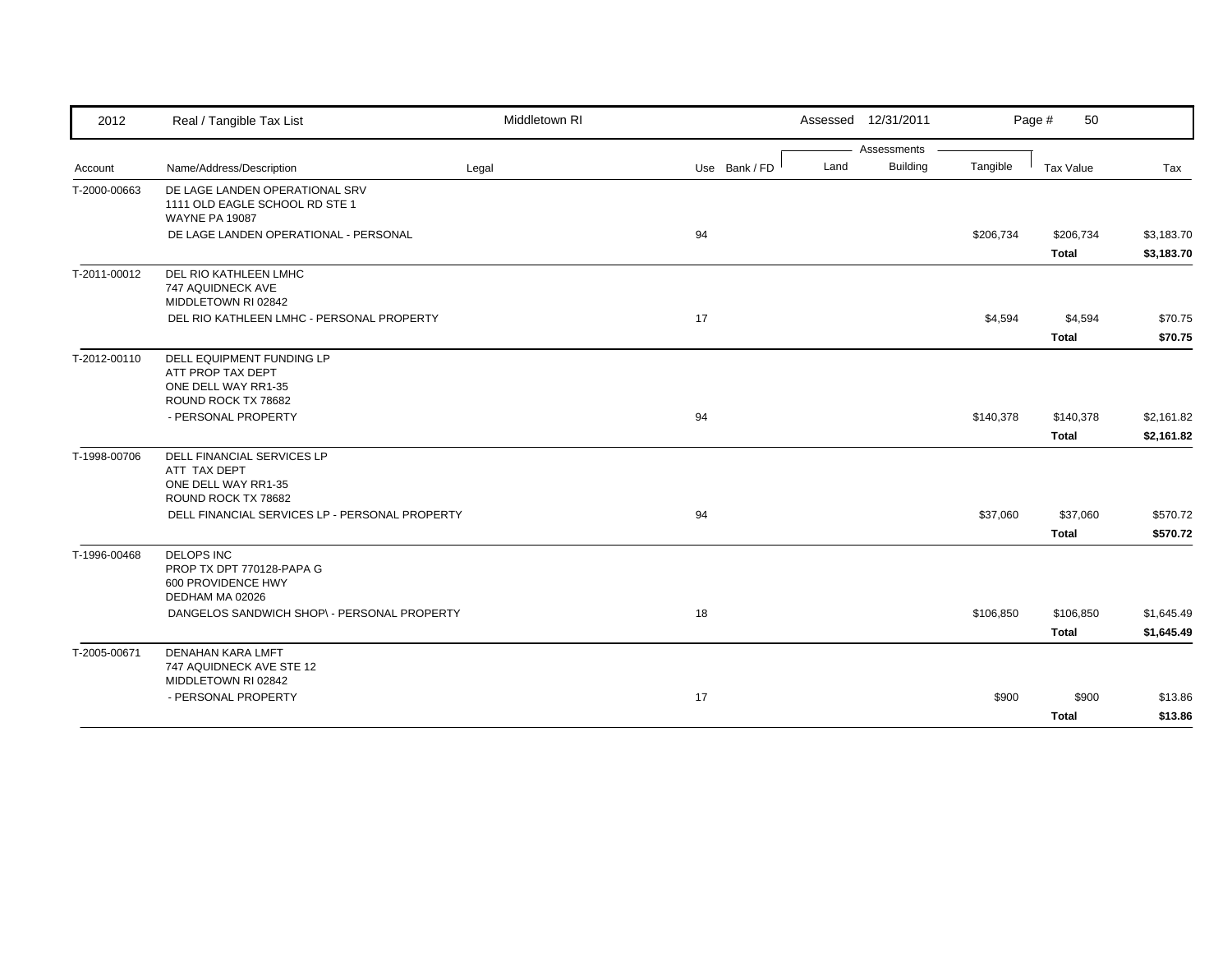| 2012         | Real / Tangible Tax List                                                                     | Middletown RI |               | Assessed 12/31/2011     |           | 50<br>Page # |            |
|--------------|----------------------------------------------------------------------------------------------|---------------|---------------|-------------------------|-----------|--------------|------------|
|              |                                                                                              |               |               | Assessments             |           |              |            |
| Account      | Name/Address/Description                                                                     | Legal         | Use Bank / FD | <b>Building</b><br>Land | Tangible  | Tax Value    | Tax        |
| T-2000-00663 | DE LAGE LANDEN OPERATIONAL SRV<br>1111 OLD EAGLE SCHOOL RD STE 1<br><b>WAYNE PA 19087</b>    |               |               |                         |           |              |            |
|              | DE LAGE LANDEN OPERATIONAL - PERSONAL                                                        |               | 94            |                         | \$206,734 | \$206,734    | \$3,183.70 |
|              |                                                                                              |               |               |                         |           | <b>Total</b> | \$3,183.70 |
| T-2011-00012 | DEL RIO KATHLEEN LMHC<br>747 AQUIDNECK AVE<br>MIDDLETOWN RI 02842                            |               |               |                         |           |              |            |
|              | DEL RIO KATHLEEN LMHC - PERSONAL PROPERTY                                                    |               | 17            |                         | \$4,594   | \$4,594      | \$70.75    |
|              |                                                                                              |               |               |                         |           | <b>Total</b> | \$70.75    |
| T-2012-00110 | DELL EQUIPMENT FUNDING LP<br>ATT PROP TAX DEPT<br>ONE DELL WAY RR1-35<br>ROUND ROCK TX 78682 |               |               |                         |           |              |            |
|              | - PERSONAL PROPERTY                                                                          |               | 94            |                         | \$140,378 | \$140,378    | \$2,161.82 |
|              |                                                                                              |               |               |                         |           | <b>Total</b> | \$2,161.82 |
|              |                                                                                              |               |               |                         |           |              |            |
| T-1998-00706 | DELL FINANCIAL SERVICES LP<br>ATT TAX DEPT                                                   |               |               |                         |           |              |            |
|              | ONE DELL WAY RR1-35                                                                          |               |               |                         |           |              |            |
|              | ROUND ROCK TX 78682                                                                          |               |               |                         |           |              |            |
|              | DELL FINANCIAL SERVICES LP - PERSONAL PROPERTY                                               |               | 94            |                         | \$37,060  | \$37,060     | \$570.72   |
|              |                                                                                              |               |               |                         |           | <b>Total</b> | \$570.72   |
| T-1996-00468 | <b>DELOPS INC</b><br>PROP TX DPT 770128-PAPA G<br>600 PROVIDENCE HWY<br>DEDHAM MA 02026      |               |               |                         |           |              |            |
|              | DANGELOS SANDWICH SHOP\ - PERSONAL PROPERTY                                                  |               | 18            |                         | \$106,850 | \$106,850    | \$1,645.49 |
|              |                                                                                              |               |               |                         |           | <b>Total</b> | \$1,645.49 |
| T-2005-00671 | <b>DENAHAN KARA LMFT</b>                                                                     |               |               |                         |           |              |            |
|              | 747 AQUIDNECK AVE STE 12<br>MIDDLETOWN RI 02842                                              |               |               |                         |           |              |            |
|              | - PERSONAL PROPERTY                                                                          |               | 17            |                         | \$900     | \$900        | \$13.86    |
|              |                                                                                              |               |               |                         |           | <b>Total</b> | \$13.86    |
|              |                                                                                              |               |               |                         |           |              |            |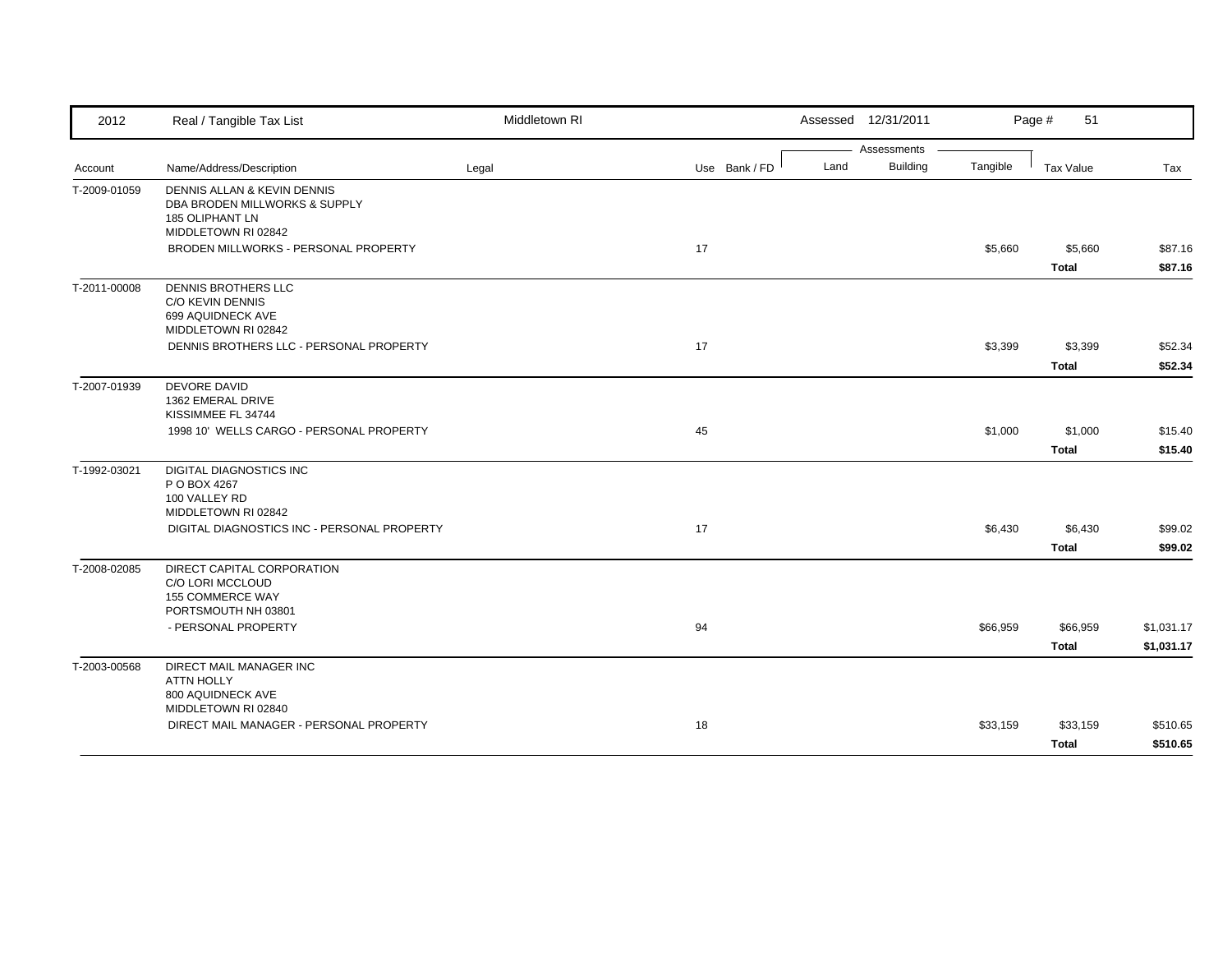| 2012         | Real / Tangible Tax List                                                                                      | Middletown RI |               | Assessed 12/31/2011 |                      | Page #<br>51             |                          |
|--------------|---------------------------------------------------------------------------------------------------------------|---------------|---------------|---------------------|----------------------|--------------------------|--------------------------|
|              |                                                                                                               |               |               |                     | Assessments          |                          |                          |
| Account      | Name/Address/Description                                                                                      | Legal         | Use Bank / FD | Land                | Building<br>Tangible | <b>Tax Value</b>         | Tax                      |
| T-2009-01059 | DENNIS ALLAN & KEVIN DENNIS<br>DBA BRODEN MILLWORKS & SUPPLY<br><b>185 OLIPHANT LN</b><br>MIDDLETOWN RI 02842 |               |               |                     |                      |                          |                          |
|              | BRODEN MILLWORKS - PERSONAL PROPERTY                                                                          |               | 17            |                     | \$5,660              | \$5,660<br><b>Total</b>  | \$87.16<br>\$87.16       |
| T-2011-00008 | DENNIS BROTHERS LLC<br>C/O KEVIN DENNIS<br>699 AQUIDNECK AVE<br>MIDDLETOWN RI 02842                           |               |               |                     |                      |                          |                          |
|              | DENNIS BROTHERS LLC - PERSONAL PROPERTY                                                                       |               | 17            |                     | \$3,399              | \$3,399<br><b>Total</b>  | \$52.34<br>\$52.34       |
| T-2007-01939 | <b>DEVORE DAVID</b><br>1362 EMERAL DRIVE<br>KISSIMMEE FL 34744                                                |               |               |                     |                      |                          |                          |
|              | 1998 10' WELLS CARGO - PERSONAL PROPERTY                                                                      |               | 45            |                     | \$1,000              | \$1,000<br><b>Total</b>  | \$15.40<br>\$15.40       |
| T-1992-03021 | <b>DIGITAL DIAGNOSTICS INC</b><br>P O BOX 4267<br>100 VALLEY RD<br>MIDDLETOWN RI 02842                        |               |               |                     |                      |                          |                          |
|              | DIGITAL DIAGNOSTICS INC - PERSONAL PROPERTY                                                                   |               | 17            |                     | \$6,430              | \$6,430<br><b>Total</b>  | \$99.02<br>\$99.02       |
| T-2008-02085 | DIRECT CAPITAL CORPORATION<br>C/O LORI MCCLOUD<br>155 COMMERCE WAY<br>PORTSMOUTH NH 03801                     |               |               |                     |                      |                          |                          |
|              | - PERSONAL PROPERTY                                                                                           |               | 94            |                     | \$66,959             | \$66,959<br><b>Total</b> | \$1,031.17<br>\$1,031.17 |
| T-2003-00568 | DIRECT MAIL MANAGER INC<br><b>ATTN HOLLY</b><br>800 AQUIDNECK AVE                                             |               |               |                     |                      |                          |                          |
|              | MIDDLETOWN RI 02840<br>DIRECT MAIL MANAGER - PERSONAL PROPERTY                                                |               | 18            |                     | \$33,159             | \$33,159<br>Total        | \$510.65<br>\$510.65     |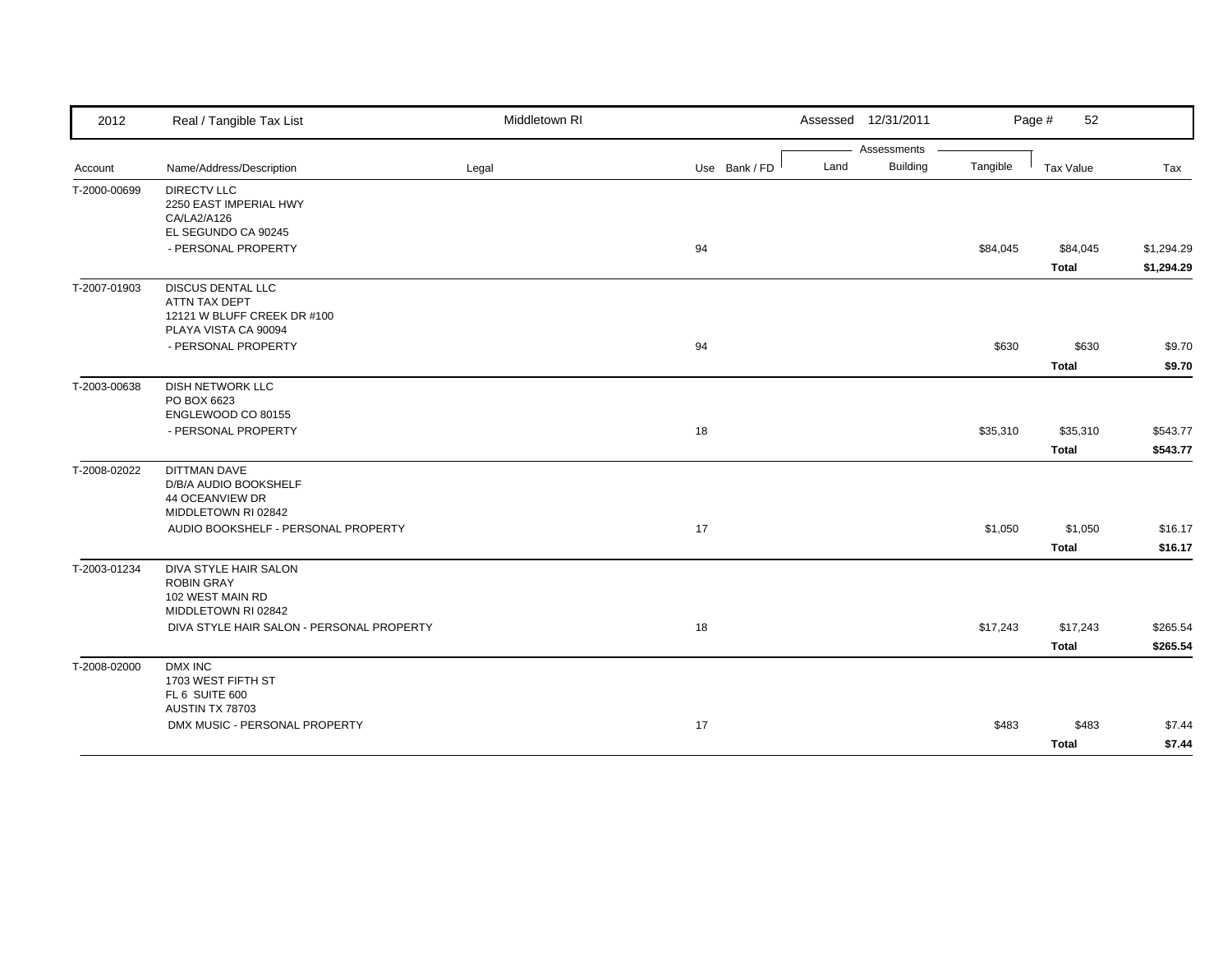| 2012         | Real / Tangible Tax List                     | Middletown RI |               | Assessed 12/31/2011 |          | Page #<br>52 |            |
|--------------|----------------------------------------------|---------------|---------------|---------------------|----------|--------------|------------|
|              |                                              |               |               | Assessments         |          |              |            |
| Account      | Name/Address/Description                     | Legal         | Use Bank / FD | Building<br>Land    | Tangible | Tax Value    | Tax        |
| T-2000-00699 | <b>DIRECTV LLC</b>                           |               |               |                     |          |              |            |
|              | 2250 EAST IMPERIAL HWY<br>CA/LA2/A126        |               |               |                     |          |              |            |
|              | EL SEGUNDO CA 90245                          |               |               |                     |          |              |            |
|              | - PERSONAL PROPERTY                          |               | 94            |                     | \$84,045 | \$84,045     | \$1,294.29 |
|              |                                              |               |               |                     |          | <b>Total</b> | \$1,294.29 |
| T-2007-01903 | <b>DISCUS DENTAL LLC</b>                     |               |               |                     |          |              |            |
|              | ATTN TAX DEPT<br>12121 W BLUFF CREEK DR #100 |               |               |                     |          |              |            |
|              | PLAYA VISTA CA 90094                         |               |               |                     |          |              |            |
|              | - PERSONAL PROPERTY                          |               | 94            |                     | \$630    | \$630        | \$9.70     |
|              |                                              |               |               |                     |          | <b>Total</b> | \$9.70     |
| T-2003-00638 | <b>DISH NETWORK LLC</b>                      |               |               |                     |          |              |            |
|              | PO BOX 6623                                  |               |               |                     |          |              |            |
|              | ENGLEWOOD CO 80155                           |               |               |                     |          |              |            |
|              | - PERSONAL PROPERTY                          |               | 18            |                     | \$35,310 | \$35,310     | \$543.77   |
|              |                                              |               |               |                     |          | <b>Total</b> | \$543.77   |
| T-2008-02022 | <b>DITTMAN DAVE</b>                          |               |               |                     |          |              |            |
|              | D/B/A AUDIO BOOKSHELF<br>44 OCEANVIEW DR     |               |               |                     |          |              |            |
|              | MIDDLETOWN RI 02842                          |               |               |                     |          |              |            |
|              | AUDIO BOOKSHELF - PERSONAL PROPERTY          |               | 17            |                     | \$1,050  | \$1,050      | \$16.17    |
|              |                                              |               |               |                     |          | <b>Total</b> | \$16.17    |
| T-2003-01234 | DIVA STYLE HAIR SALON                        |               |               |                     |          |              |            |
|              | <b>ROBIN GRAY</b><br>102 WEST MAIN RD        |               |               |                     |          |              |            |
|              | MIDDLETOWN RI 02842                          |               |               |                     |          |              |            |
|              | DIVA STYLE HAIR SALON - PERSONAL PROPERTY    |               | 18            |                     | \$17,243 | \$17,243     | \$265.54   |
|              |                                              |               |               |                     |          | <b>Total</b> | \$265.54   |
| T-2008-02000 | DMX INC                                      |               |               |                     |          |              |            |
|              | 1703 WEST FIFTH ST                           |               |               |                     |          |              |            |
|              | FL 6 SUITE 600<br>AUSTIN TX 78703            |               |               |                     |          |              |            |
|              | DMX MUSIC - PERSONAL PROPERTY                |               | 17            |                     | \$483    | \$483        | \$7.44     |
|              |                                              |               |               |                     |          | <b>Total</b> | \$7.44     |
|              |                                              |               |               |                     |          |              |            |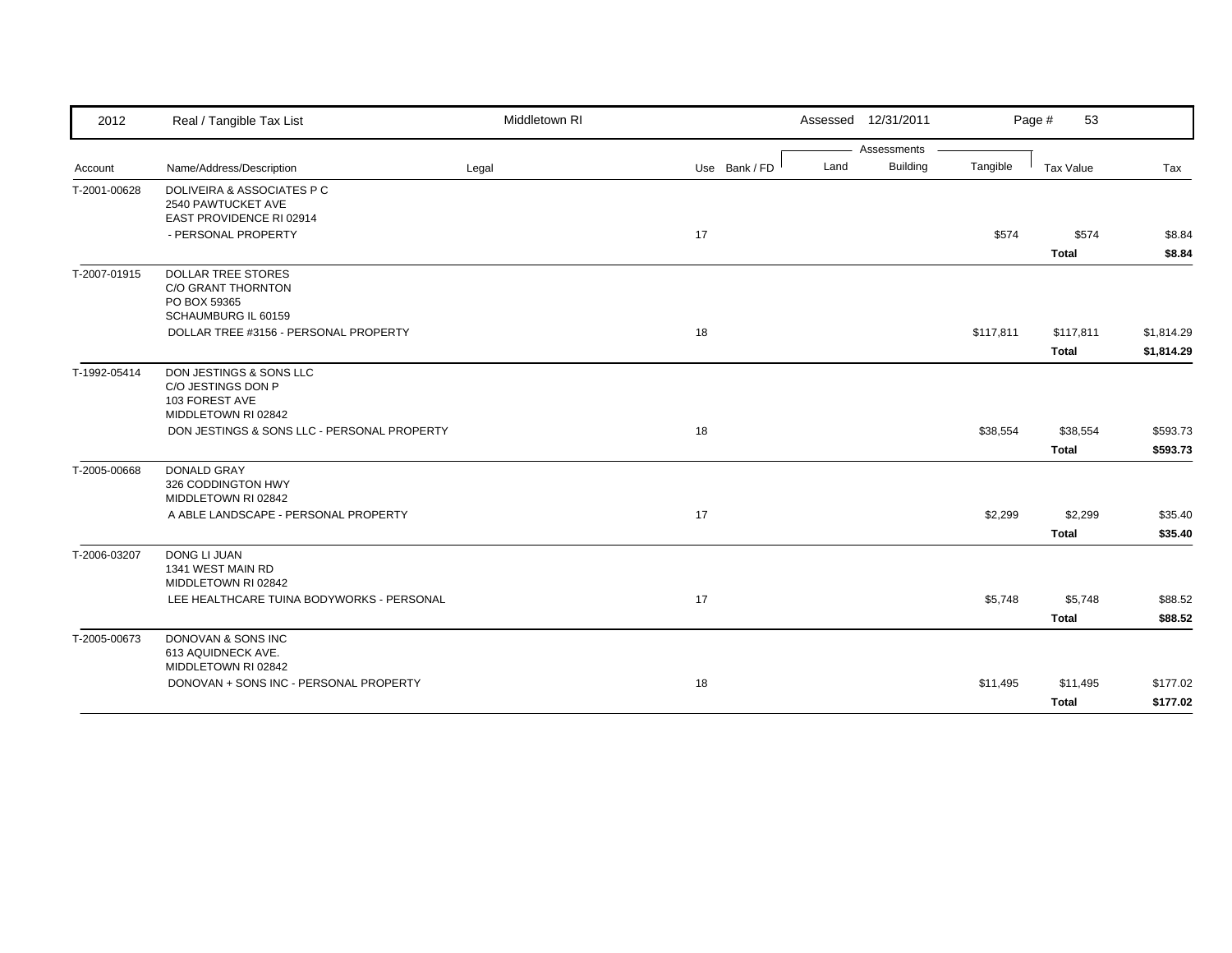| 2012         | Real / Tangible Tax List                                                                      | Middletown RI |               |      | Assessed 12/31/2011 |           | Page #<br>53              |                          |
|--------------|-----------------------------------------------------------------------------------------------|---------------|---------------|------|---------------------|-----------|---------------------------|--------------------------|
|              |                                                                                               |               |               |      | Assessments         |           |                           |                          |
| Account      | Name/Address/Description                                                                      | Legal         | Use Bank / FD | Land | <b>Building</b>     | Tangible  | Tax Value                 | Tax                      |
| T-2001-00628 | <b>DOLIVEIRA &amp; ASSOCIATES P C</b><br>2540 PAWTUCKET AVE<br>EAST PROVIDENCE RI 02914       |               |               |      |                     |           |                           |                          |
|              | - PERSONAL PROPERTY                                                                           |               | 17            |      |                     | \$574     | \$574<br><b>Total</b>     | \$8.84<br>\$8.84         |
| T-2007-01915 | <b>DOLLAR TREE STORES</b><br><b>C/O GRANT THORNTON</b><br>PO BOX 59365<br>SCHAUMBURG IL 60159 |               |               |      |                     |           |                           |                          |
|              | DOLLAR TREE #3156 - PERSONAL PROPERTY                                                         |               | 18            |      |                     | \$117,811 | \$117,811<br><b>Total</b> | \$1,814.29<br>\$1,814.29 |
| T-1992-05414 | DON JESTINGS & SONS LLC<br>C/O JESTINGS DON P<br>103 FOREST AVE<br>MIDDLETOWN RI 02842        |               |               |      |                     |           |                           |                          |
|              | DON JESTINGS & SONS LLC - PERSONAL PROPERTY                                                   |               | 18            |      |                     | \$38,554  | \$38,554<br><b>Total</b>  | \$593.73<br>\$593.73     |
| T-2005-00668 | <b>DONALD GRAY</b><br>326 CODDINGTON HWY<br>MIDDLETOWN RI 02842                               |               |               |      |                     |           |                           |                          |
|              | A ABLE LANDSCAPE - PERSONAL PROPERTY                                                          |               | 17            |      |                     | \$2,299   | \$2,299<br>Total          | \$35.40<br>\$35.40       |
| T-2006-03207 | <b>DONG LI JUAN</b><br>1341 WEST MAIN RD<br>MIDDLETOWN RI 02842                               |               |               |      |                     |           |                           |                          |
|              | LEE HEALTHCARE TUINA BODYWORKS - PERSONAL                                                     |               | 17            |      |                     | \$5,748   | \$5,748<br>Total          | \$88.52<br>\$88.52       |
| T-2005-00673 | DONOVAN & SONS INC<br>613 AQUIDNECK AVE.<br>MIDDLETOWN RI 02842                               |               |               |      |                     |           |                           |                          |
|              | DONOVAN + SONS INC - PERSONAL PROPERTY                                                        |               | 18            |      |                     | \$11,495  | \$11,495<br><b>Total</b>  | \$177.02<br>\$177.02     |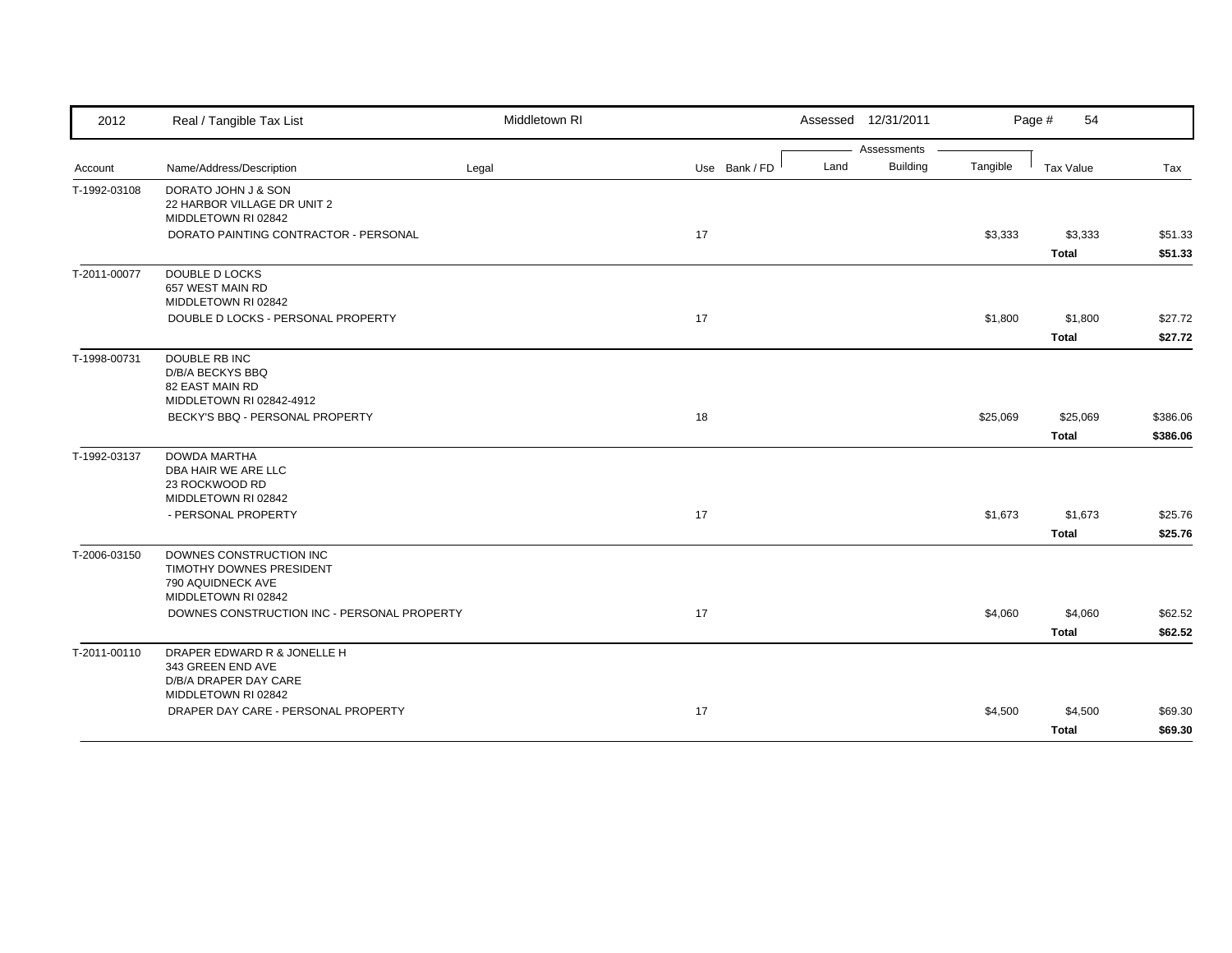| 2012         | Real / Tangible Tax List                                                                        | Middletown RI |               | Assessed 12/31/2011     |          | Page #<br>54 |          |
|--------------|-------------------------------------------------------------------------------------------------|---------------|---------------|-------------------------|----------|--------------|----------|
|              |                                                                                                 |               |               | Assessments             |          |              |          |
| Account      | Name/Address/Description                                                                        | Legal         | Use Bank / FD | <b>Building</b><br>Land | Tangible | Tax Value    | Tax      |
| T-1992-03108 | DORATO JOHN J & SON<br>22 HARBOR VILLAGE DR UNIT 2<br>MIDDLETOWN RI 02842                       |               |               |                         |          |              |          |
|              | DORATO PAINTING CONTRACTOR - PERSONAL                                                           |               | 17            |                         | \$3,333  | \$3,333      | \$51.33  |
|              |                                                                                                 |               |               |                         |          | <b>Total</b> | \$51.33  |
| T-2011-00077 | <b>DOUBLE D LOCKS</b><br>657 WEST MAIN RD<br>MIDDLETOWN RI 02842                                |               |               |                         |          |              |          |
|              | DOUBLE D LOCKS - PERSONAL PROPERTY                                                              |               | 17            |                         | \$1,800  | \$1,800      | \$27.72  |
|              |                                                                                                 |               |               |                         |          | <b>Total</b> | \$27.72  |
| T-1998-00731 | DOUBLE RB INC<br>D/B/A BECKYS BBQ<br>82 EAST MAIN RD                                            |               |               |                         |          |              |          |
|              | MIDDLETOWN RI 02842-4912                                                                        |               |               |                         |          |              |          |
|              | BECKY'S BBQ - PERSONAL PROPERTY                                                                 |               | 18            |                         | \$25,069 | \$25,069     | \$386.06 |
|              |                                                                                                 |               |               |                         |          | <b>Total</b> | \$386.06 |
| T-1992-03137 | <b>DOWDA MARTHA</b><br>DBA HAIR WE ARE LLC<br>23 ROCKWOOD RD<br>MIDDLETOWN RI 02842             |               |               |                         |          |              |          |
|              | - PERSONAL PROPERTY                                                                             |               | 17            |                         | \$1,673  | \$1,673      | \$25.76  |
|              |                                                                                                 |               |               |                         |          | <b>Total</b> | \$25.76  |
| T-2006-03150 | DOWNES CONSTRUCTION INC<br>TIMOTHY DOWNES PRESIDENT<br>790 AQUIDNECK AVE<br>MIDDLETOWN RI 02842 |               |               |                         |          |              |          |
|              | DOWNES CONSTRUCTION INC - PERSONAL PROPERTY                                                     |               | 17            |                         | \$4,060  | \$4,060      | \$62.52  |
|              |                                                                                                 |               |               |                         |          | <b>Total</b> | \$62.52  |
| T-2011-00110 | DRAPER EDWARD R & JONELLE H<br>343 GREEN END AVE<br>D/B/A DRAPER DAY CARE                       |               |               |                         |          |              |          |
|              | MIDDLETOWN RI 02842<br>DRAPER DAY CARE - PERSONAL PROPERTY                                      |               | 17            |                         | \$4,500  | \$4,500      | \$69.30  |
|              |                                                                                                 |               |               |                         |          |              |          |
|              |                                                                                                 |               |               |                         |          | <b>Total</b> | \$69.30  |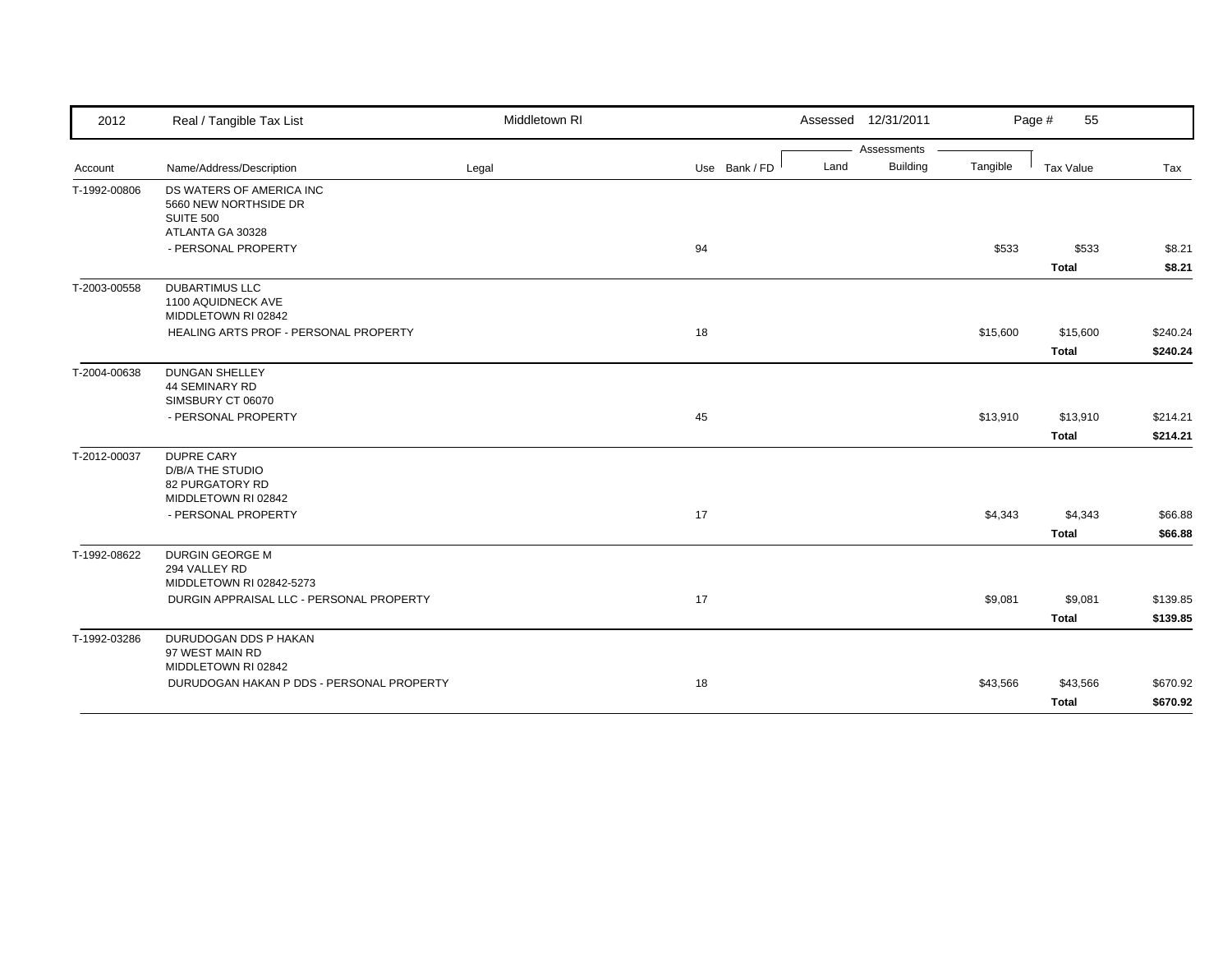| 2012                    | Real / Tangible Tax List                                                               | Middletown RI |               | Assessed 12/31/2011                    |          | Page #<br>55             |                      |
|-------------------------|----------------------------------------------------------------------------------------|---------------|---------------|----------------------------------------|----------|--------------------------|----------------------|
|                         | Name/Address/Description                                                               |               | Use Bank / FD | Assessments<br><b>Building</b><br>Land | Tangible | Tax Value                |                      |
| Account<br>T-1992-00806 | DS WATERS OF AMERICA INC<br>5660 NEW NORTHSIDE DR<br>SUITE 500                         | Legal         |               |                                        |          |                          | Tax                  |
|                         | ATLANTA GA 30328<br>- PERSONAL PROPERTY                                                |               | 94            |                                        | \$533    | \$533<br><b>Total</b>    | \$8.21<br>\$8.21     |
| T-2003-00558            | <b>DUBARTIMUS LLC</b><br>1100 AQUIDNECK AVE<br>MIDDLETOWN RI 02842                     |               |               |                                        |          |                          |                      |
|                         | HEALING ARTS PROF - PERSONAL PROPERTY                                                  |               | 18            |                                        | \$15,600 | \$15,600<br><b>Total</b> | \$240.24<br>\$240.24 |
| T-2004-00638            | <b>DUNGAN SHELLEY</b><br>44 SEMINARY RD<br>SIMSBURY CT 06070                           |               |               |                                        |          |                          |                      |
|                         | - PERSONAL PROPERTY                                                                    |               | 45            |                                        | \$13,910 | \$13,910<br><b>Total</b> | \$214.21<br>\$214.21 |
| T-2012-00037            | <b>DUPRE CARY</b><br><b>D/B/A THE STUDIO</b><br>82 PURGATORY RD<br>MIDDLETOWN RI 02842 |               |               |                                        |          |                          |                      |
|                         | - PERSONAL PROPERTY                                                                    |               | 17            |                                        | \$4,343  | \$4,343<br><b>Total</b>  | \$66.88<br>\$66.88   |
| T-1992-08622            | DURGIN GEORGE M<br>294 VALLEY RD<br>MIDDLETOWN RI 02842-5273                           |               |               |                                        |          |                          |                      |
|                         | DURGIN APPRAISAL LLC - PERSONAL PROPERTY                                               |               | 17            |                                        | \$9,081  | \$9,081<br><b>Total</b>  | \$139.85<br>\$139.85 |
| T-1992-03286            | DURUDOGAN DDS P HAKAN<br>97 WEST MAIN RD<br>MIDDLETOWN RI 02842                        |               |               |                                        |          |                          |                      |
|                         | DURUDOGAN HAKAN P DDS - PERSONAL PROPERTY                                              |               | 18            |                                        | \$43,566 | \$43,566<br>Total        | \$670.92<br>\$670.92 |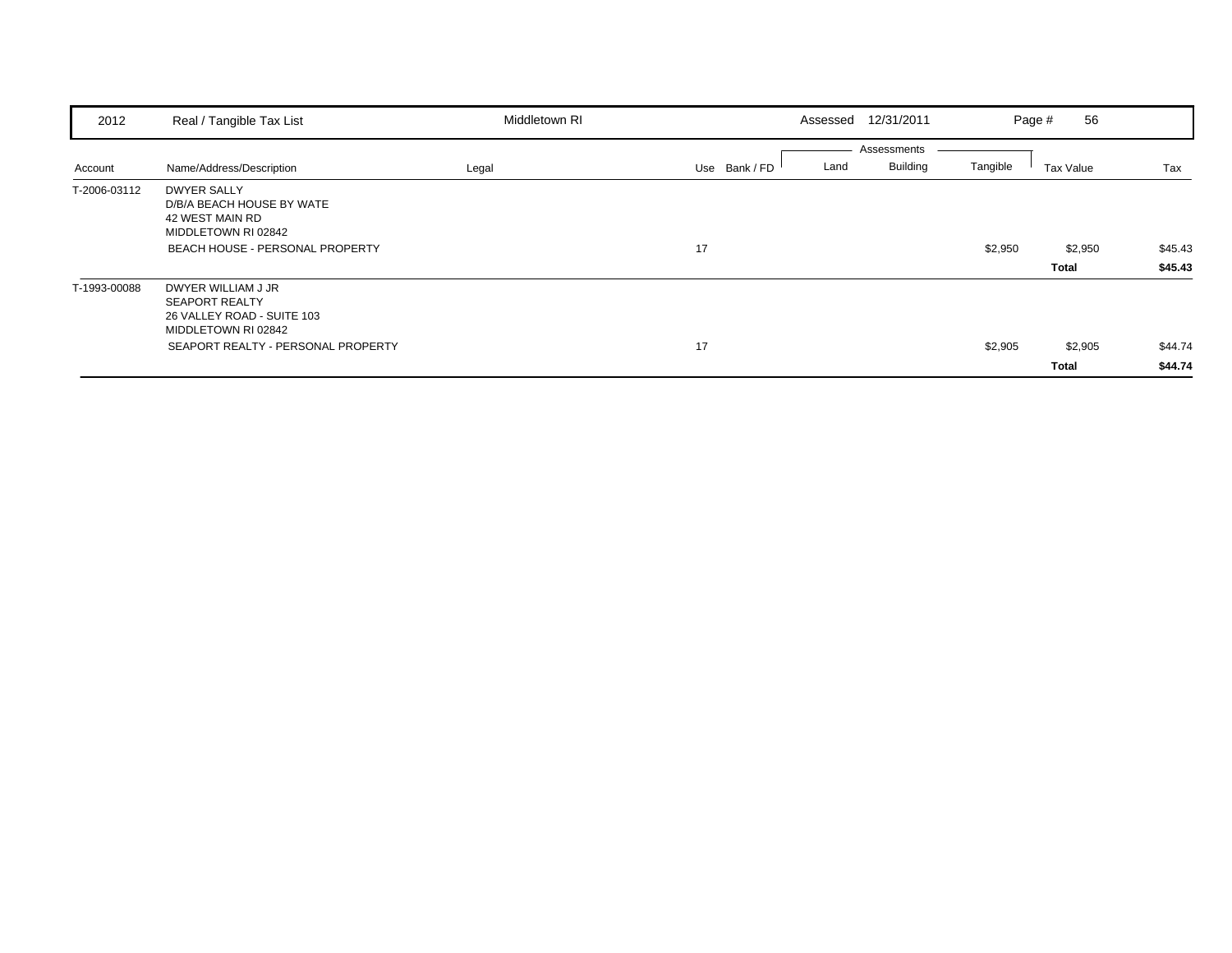| 2012         | Real / Tangible Tax List                                                                         | Middletown RI |                       | Assessed 12/31/2011 |          | 56<br>Page # |         |
|--------------|--------------------------------------------------------------------------------------------------|---------------|-----------------------|---------------------|----------|--------------|---------|
|              |                                                                                                  |               |                       | Assessments         |          |              |         |
| Account      | Name/Address/Description                                                                         | Legal         | Use Bank / FD<br>Land | <b>Building</b>     | Tangible | Tax Value    | Tax     |
| T-2006-03112 | <b>DWYER SALLY</b><br>D/B/A BEACH HOUSE BY WATE<br>42 WEST MAIN RD<br>MIDDLETOWN RI 02842        |               |                       |                     |          |              |         |
|              | <b>BEACH HOUSE - PERSONAL PROPERTY</b>                                                           |               | 17                    |                     | \$2,950  | \$2,950      | \$45.43 |
|              |                                                                                                  |               |                       |                     |          | <b>Total</b> | \$45.43 |
| T-1993-00088 | DWYER WILLIAM J JR<br><b>SEAPORT REALTY</b><br>26 VALLEY ROAD - SUITE 103<br>MIDDLETOWN RI 02842 |               |                       |                     |          |              |         |
|              | SEAPORT REALTY - PERSONAL PROPERTY                                                               |               | 17                    |                     | \$2,905  | \$2,905      | \$44.74 |
|              |                                                                                                  |               |                       |                     |          | <b>Total</b> | \$44.74 |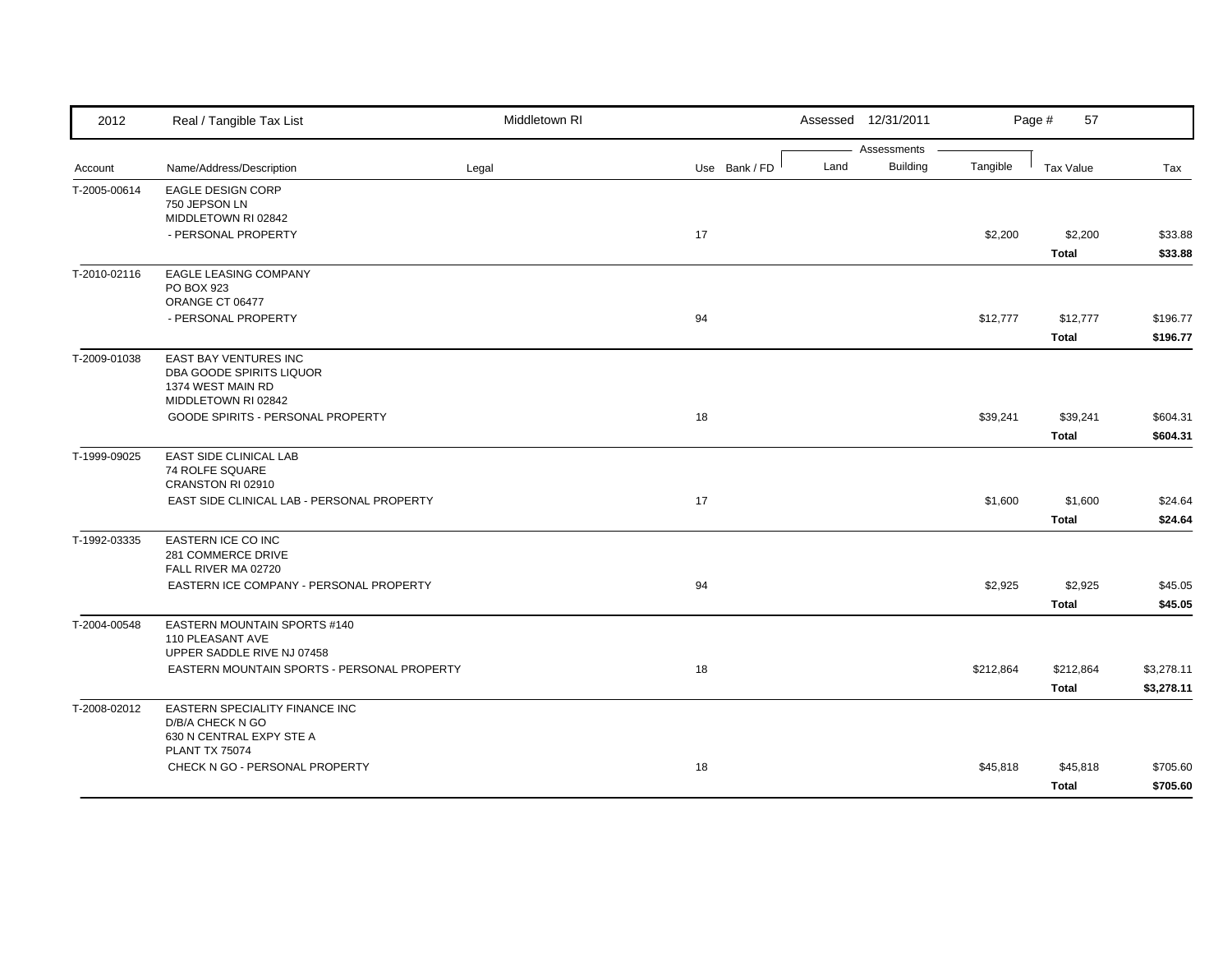| 2012         | Real / Tangible Tax List                                        | Middletown RI |               |      | Assessed 12/31/2011            |           | Page #<br>57 |            |
|--------------|-----------------------------------------------------------------|---------------|---------------|------|--------------------------------|-----------|--------------|------------|
| Account      | Name/Address/Description                                        | Legal         | Use Bank / FD | Land | Assessments<br><b>Building</b> | Tangible  | Tax Value    | Tax        |
| T-2005-00614 | EAGLE DESIGN CORP                                               |               |               |      |                                |           |              |            |
|              | 750 JEPSON LN<br>MIDDLETOWN RI 02842                            |               |               |      |                                |           |              |            |
|              | - PERSONAL PROPERTY                                             |               | 17            |      |                                | \$2,200   | \$2,200      | \$33.88    |
|              |                                                                 |               |               |      |                                |           | <b>Total</b> | \$33.88    |
| T-2010-02116 | EAGLE LEASING COMPANY<br>PO BOX 923                             |               |               |      |                                |           |              |            |
|              | ORANGE CT 06477                                                 |               |               |      |                                |           |              |            |
|              | - PERSONAL PROPERTY                                             |               | 94            |      |                                | \$12,777  | \$12,777     | \$196.77   |
|              |                                                                 |               |               |      |                                |           | <b>Total</b> | \$196.77   |
| T-2009-01038 | EAST BAY VENTURES INC                                           |               |               |      |                                |           |              |            |
|              | DBA GOODE SPIRITS LIQUOR<br>1374 WEST MAIN RD                   |               |               |      |                                |           |              |            |
|              | MIDDLETOWN RI 02842                                             |               |               |      |                                |           |              |            |
|              | GOODE SPIRITS - PERSONAL PROPERTY                               |               | 18            |      |                                | \$39,241  | \$39,241     | \$604.31   |
|              |                                                                 |               |               |      |                                |           | <b>Total</b> | \$604.31   |
| T-1999-09025 | <b>EAST SIDE CLINICAL LAB</b>                                   |               |               |      |                                |           |              |            |
|              | <b>74 ROLFE SQUARE</b>                                          |               |               |      |                                |           |              |            |
|              | CRANSTON RI 02910<br>EAST SIDE CLINICAL LAB - PERSONAL PROPERTY |               | 17            |      |                                | \$1,600   | \$1,600      | \$24.64    |
|              |                                                                 |               |               |      |                                |           | <b>Total</b> | \$24.64    |
| T-1992-03335 | EASTERN ICE CO INC                                              |               |               |      |                                |           |              |            |
|              | 281 COMMERCE DRIVE                                              |               |               |      |                                |           |              |            |
|              | FALL RIVER MA 02720                                             |               |               |      |                                |           |              |            |
|              | EASTERN ICE COMPANY - PERSONAL PROPERTY                         |               | 94            |      |                                | \$2,925   | \$2,925      | \$45.05    |
|              |                                                                 |               |               |      |                                |           | <b>Total</b> | \$45.05    |
| T-2004-00548 | EASTERN MOUNTAIN SPORTS #140<br>110 PLEASANT AVE                |               |               |      |                                |           |              |            |
|              | UPPER SADDLE RIVE NJ 07458                                      |               |               |      |                                |           |              |            |
|              | EASTERN MOUNTAIN SPORTS - PERSONAL PROPERTY                     |               | 18            |      |                                | \$212,864 | \$212,864    | \$3,278.11 |
|              |                                                                 |               |               |      |                                |           | <b>Total</b> | \$3,278.11 |
| T-2008-02012 | EASTERN SPECIALITY FINANCE INC                                  |               |               |      |                                |           |              |            |
|              | D/B/A CHECK N GO<br>630 N CENTRAL EXPY STE A                    |               |               |      |                                |           |              |            |
|              | <b>PLANT TX 75074</b>                                           |               |               |      |                                |           |              |            |
|              | CHECK N GO - PERSONAL PROPERTY                                  |               | 18            |      |                                | \$45,818  | \$45,818     | \$705.60   |
|              |                                                                 |               |               |      |                                |           | <b>Total</b> | \$705.60   |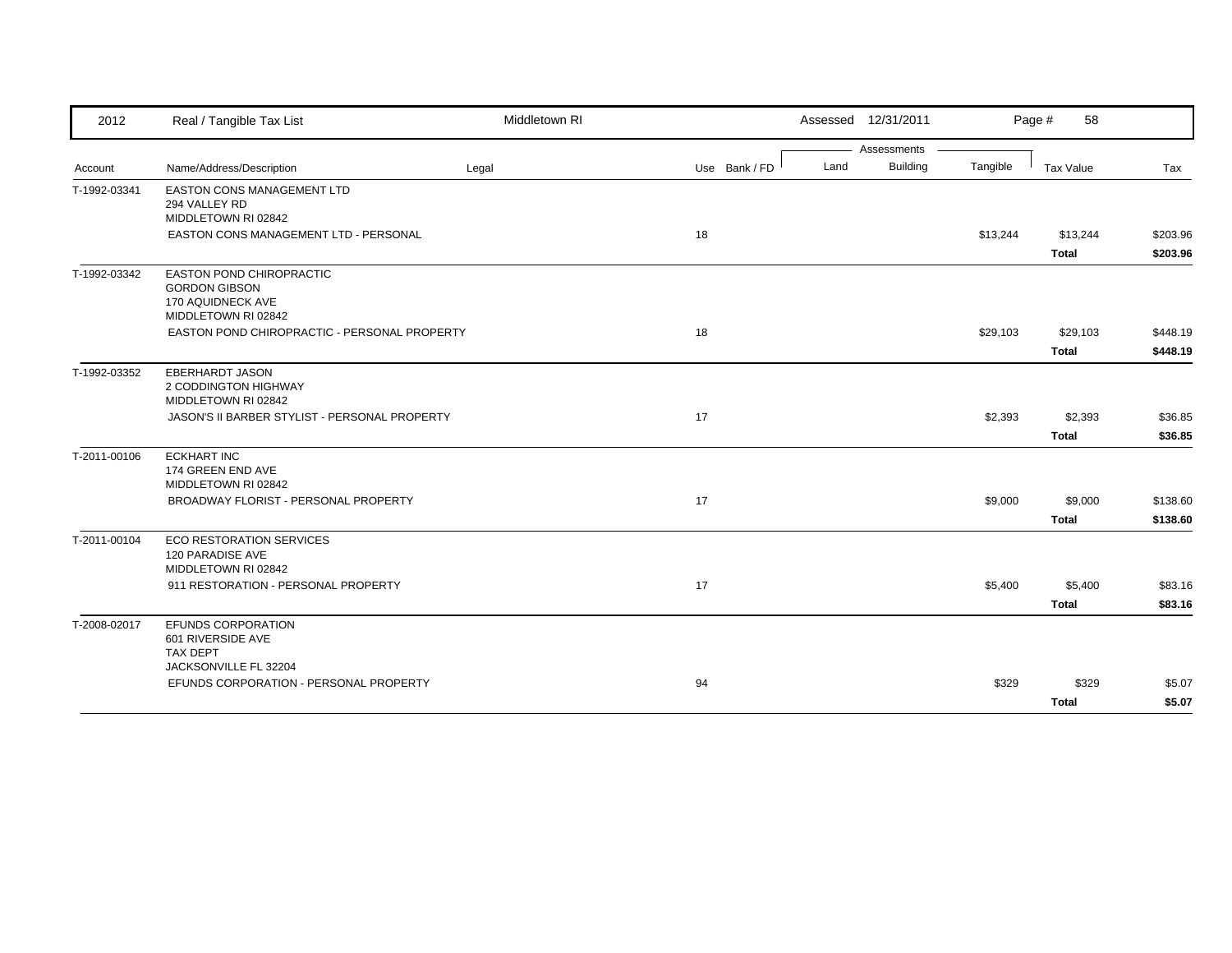| 2012         | Real / Tangible Tax List                                                                     | Middletown RI |               |      | Assessed 12/31/2011 |          | Page #<br>58            |                      |
|--------------|----------------------------------------------------------------------------------------------|---------------|---------------|------|---------------------|----------|-------------------------|----------------------|
|              |                                                                                              |               |               |      | Assessments         |          |                         |                      |
| Account      | Name/Address/Description                                                                     | Legal         | Use Bank / FD | Land | <b>Building</b>     | Tangible | Tax Value               | Tax                  |
| T-1992-03341 | <b>EASTON CONS MANAGEMENT LTD</b><br>294 VALLEY RD<br>MIDDLETOWN RI 02842                    |               |               |      |                     |          |                         |                      |
|              | <b>EASTON CONS MANAGEMENT LTD - PERSONAL</b>                                                 |               | 18            |      |                     | \$13,244 | \$13,244<br>Total       | \$203.96<br>\$203.96 |
| T-1992-03342 | EASTON POND CHIROPRACTIC<br><b>GORDON GIBSON</b><br>170 AQUIDNECK AVE<br>MIDDLETOWN RI 02842 |               |               |      |                     |          |                         |                      |
|              | EASTON POND CHIROPRACTIC - PERSONAL PROPERTY                                                 |               | 18            |      |                     | \$29,103 | \$29,103                | \$448.19             |
|              |                                                                                              |               |               |      |                     |          | <b>Total</b>            | \$448.19             |
| T-1992-03352 | <b>EBERHARDT JASON</b><br>2 CODDINGTON HIGHWAY<br>MIDDLETOWN RI 02842                        |               |               |      |                     |          |                         |                      |
|              | JASON'S II BARBER STYLIST - PERSONAL PROPERTY                                                |               | 17            |      |                     | \$2,393  | \$2,393                 | \$36.85              |
|              |                                                                                              |               |               |      |                     |          | <b>Total</b>            | \$36.85              |
| T-2011-00106 | <b>ECKHART INC</b><br>174 GREEN END AVE<br>MIDDLETOWN RI 02842                               |               |               |      |                     |          |                         |                      |
|              | BROADWAY FLORIST - PERSONAL PROPERTY                                                         |               | 17            |      |                     | \$9,000  | \$9,000<br><b>Total</b> | \$138.60<br>\$138.60 |
| T-2011-00104 | <b>ECO RESTORATION SERVICES</b><br>120 PARADISE AVE<br>MIDDLETOWN RI 02842                   |               |               |      |                     |          |                         |                      |
|              | 911 RESTORATION - PERSONAL PROPERTY                                                          |               | 17            |      |                     | \$5,400  | \$5,400                 | \$83.16              |
|              |                                                                                              |               |               |      |                     |          | <b>Total</b>            | \$83.16              |
| T-2008-02017 | EFUNDS CORPORATION<br>601 RIVERSIDE AVE<br><b>TAX DEPT</b>                                   |               |               |      |                     |          |                         |                      |
|              | JACKSONVILLE FL 32204                                                                        |               |               |      |                     |          |                         |                      |
|              | EFUNDS CORPORATION - PERSONAL PROPERTY                                                       |               | 94            |      |                     | \$329    | \$329                   | \$5.07               |
|              |                                                                                              |               |               |      |                     |          | <b>Total</b>            | \$5.07               |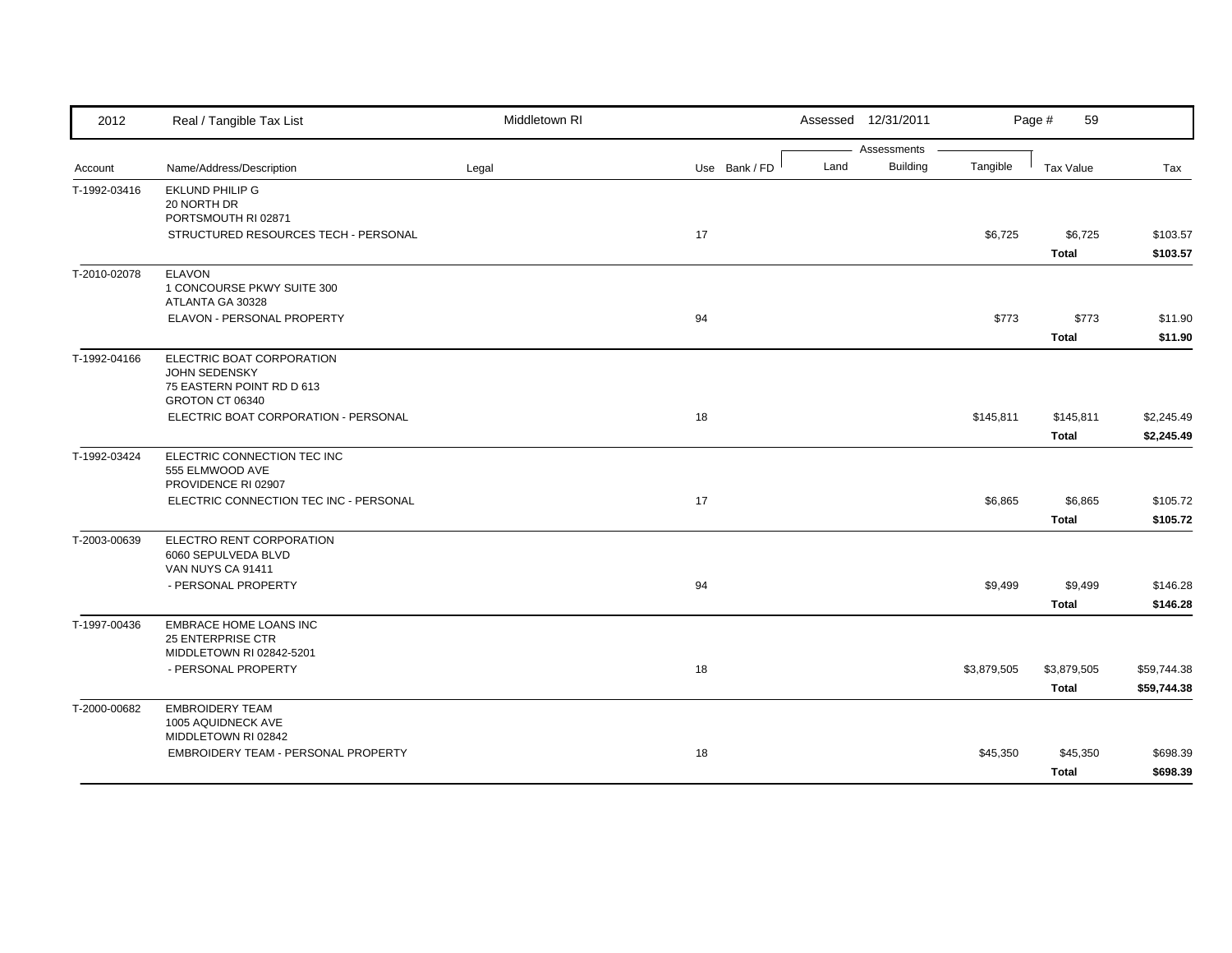| 2012         | Real / Tangible Tax List                                      | Middletown RI |               | Assessed 12/31/2011                    |             | Page #<br>59     |             |
|--------------|---------------------------------------------------------------|---------------|---------------|----------------------------------------|-------------|------------------|-------------|
|              |                                                               |               |               | Assessments<br><b>Building</b><br>Land |             |                  |             |
| Account      | Name/Address/Description                                      | Legal         | Use Bank / FD |                                        | Tangible    | <b>Tax Value</b> | Tax         |
| T-1992-03416 | <b>EKLUND PHILIP G</b>                                        |               |               |                                        |             |                  |             |
|              | 20 NORTH DR<br>PORTSMOUTH RI 02871                            |               |               |                                        |             |                  |             |
|              | STRUCTURED RESOURCES TECH - PERSONAL                          |               | 17            |                                        | \$6,725     | \$6,725          | \$103.57    |
|              |                                                               |               |               |                                        |             | <b>Total</b>     | \$103.57    |
| T-2010-02078 | <b>ELAVON</b>                                                 |               |               |                                        |             |                  |             |
|              | 1 CONCOURSE PKWY SUITE 300<br>ATLANTA GA 30328                |               |               |                                        |             |                  |             |
|              | ELAVON - PERSONAL PROPERTY                                    |               | 94            |                                        | \$773       | \$773            | \$11.90     |
|              |                                                               |               |               |                                        |             | Total            | \$11.90     |
| T-1992-04166 | ELECTRIC BOAT CORPORATION                                     |               |               |                                        |             |                  |             |
|              | <b>JOHN SEDENSKY</b>                                          |               |               |                                        |             |                  |             |
|              | 75 EASTERN POINT RD D 613<br>GROTON CT 06340                  |               |               |                                        |             |                  |             |
|              | ELECTRIC BOAT CORPORATION - PERSONAL                          |               | 18            |                                        | \$145,811   | \$145,811        | \$2,245.49  |
|              |                                                               |               |               |                                        |             | <b>Total</b>     | \$2,245.49  |
| T-1992-03424 | ELECTRIC CONNECTION TEC INC                                   |               |               |                                        |             |                  |             |
|              | 555 ELMWOOD AVE                                               |               |               |                                        |             |                  |             |
|              | PROVIDENCE RI 02907<br>ELECTRIC CONNECTION TEC INC - PERSONAL |               | 17            |                                        | \$6,865     |                  |             |
|              |                                                               |               |               |                                        |             | \$6,865          | \$105.72    |
|              |                                                               |               |               |                                        |             | <b>Total</b>     | \$105.72    |
| T-2003-00639 | ELECTRO RENT CORPORATION<br>6060 SEPULVEDA BLVD               |               |               |                                        |             |                  |             |
|              | VAN NUYS CA 91411                                             |               |               |                                        |             |                  |             |
|              | - PERSONAL PROPERTY                                           |               | 94            |                                        | \$9,499     | \$9,499          | \$146.28    |
|              |                                                               |               |               |                                        |             | <b>Total</b>     | \$146.28    |
| T-1997-00436 | <b>EMBRACE HOME LOANS INC</b>                                 |               |               |                                        |             |                  |             |
|              | 25 ENTERPRISE CTR                                             |               |               |                                        |             |                  |             |
|              | MIDDLETOWN RI 02842-5201                                      |               |               |                                        |             |                  |             |
|              | - PERSONAL PROPERTY                                           |               | 18            |                                        | \$3,879,505 | \$3,879,505      | \$59,744.38 |
|              |                                                               |               |               |                                        |             | <b>Total</b>     | \$59,744.38 |
| T-2000-00682 | <b>EMBROIDERY TEAM</b><br>1005 AQUIDNECK AVE                  |               |               |                                        |             |                  |             |
|              | MIDDLETOWN RI 02842                                           |               |               |                                        |             |                  |             |
|              | EMBROIDERY TEAM - PERSONAL PROPERTY                           |               | 18            |                                        | \$45,350    | \$45,350         | \$698.39    |
|              |                                                               |               |               |                                        |             | <b>Total</b>     | \$698.39    |
|              |                                                               |               |               |                                        |             |                  |             |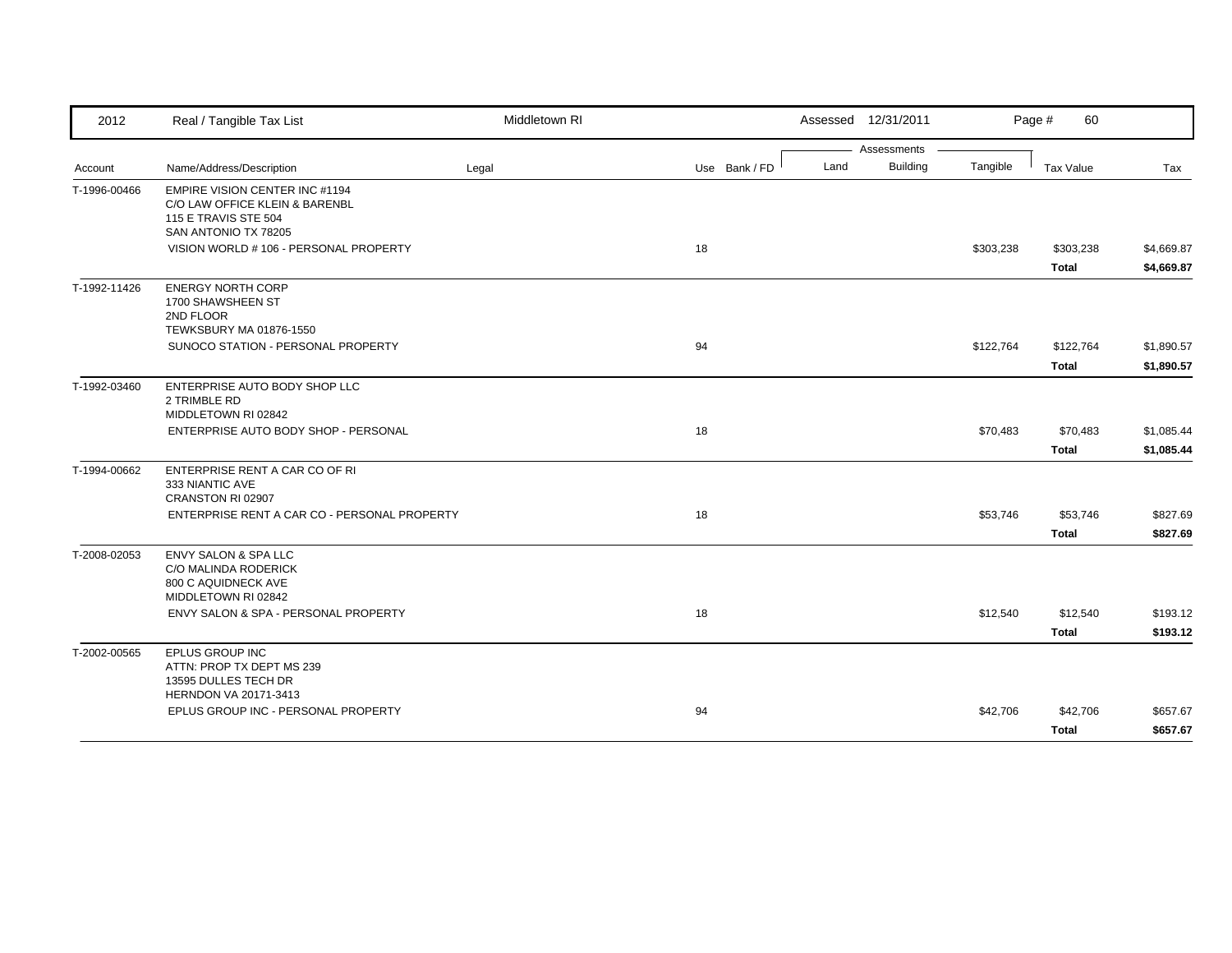| Assessments<br><b>Building</b><br>Land<br>Tangible<br>Name/Address/Description<br>Use Bank / FD<br><b>Tax Value</b><br>Tax<br>Legal<br><b>EMPIRE VISION CENTER INC #1194</b><br>C/O LAW OFFICE KLEIN & BARENBL<br>115 E TRAVIS STE 504<br>SAN ANTONIO TX 78205<br>VISION WORLD #106 - PERSONAL PROPERTY<br>18<br>\$303,238<br>\$303,238<br><b>Total</b><br><b>ENERGY NORTH CORP</b><br>1700 SHAWSHEEN ST<br>2ND FLOOR<br>TEWKSBURY MA 01876-1550<br>SUNOCO STATION - PERSONAL PROPERTY<br>94<br>\$122,764<br>\$122,764<br><b>Total</b><br>ENTERPRISE AUTO BODY SHOP LLC<br>2 TRIMBLE RD<br>MIDDLETOWN RI 02842<br>ENTERPRISE AUTO BODY SHOP - PERSONAL<br>18<br>\$70,483<br>\$70,483<br><b>Total</b><br>ENTERPRISE RENT A CAR CO OF RI<br>333 NIANTIC AVE<br>CRANSTON RI 02907<br>ENTERPRISE RENT A CAR CO - PERSONAL PROPERTY<br>18<br>\$53,746<br>\$53,746<br><b>Total</b><br>ENVY SALON & SPA LLC<br>C/O MALINDA RODERICK<br>800 C AQUIDNECK AVE<br>MIDDLETOWN RI 02842<br>ENVY SALON & SPA - PERSONAL PROPERTY<br>18<br>\$12,540<br>\$12,540<br><b>Total</b><br>EPLUS GROUP INC<br>ATTN: PROP TX DEPT MS 239<br>13595 DULLES TECH DR<br>HERNDON VA 20171-3413<br>EPLUS GROUP INC - PERSONAL PROPERTY<br>94<br>\$42,706<br>\$42,706 | 2012         | Real / Tangible Tax List | Middletown RI | Assessed 12/31/2011 | Page #<br>60 |            |
|----------------------------------------------------------------------------------------------------------------------------------------------------------------------------------------------------------------------------------------------------------------------------------------------------------------------------------------------------------------------------------------------------------------------------------------------------------------------------------------------------------------------------------------------------------------------------------------------------------------------------------------------------------------------------------------------------------------------------------------------------------------------------------------------------------------------------------------------------------------------------------------------------------------------------------------------------------------------------------------------------------------------------------------------------------------------------------------------------------------------------------------------------------------------------------------------------------------------------------------|--------------|--------------------------|---------------|---------------------|--------------|------------|
|                                                                                                                                                                                                                                                                                                                                                                                                                                                                                                                                                                                                                                                                                                                                                                                                                                                                                                                                                                                                                                                                                                                                                                                                                                        |              |                          |               |                     |              |            |
|                                                                                                                                                                                                                                                                                                                                                                                                                                                                                                                                                                                                                                                                                                                                                                                                                                                                                                                                                                                                                                                                                                                                                                                                                                        | Account      |                          |               |                     |              |            |
|                                                                                                                                                                                                                                                                                                                                                                                                                                                                                                                                                                                                                                                                                                                                                                                                                                                                                                                                                                                                                                                                                                                                                                                                                                        | T-1996-00466 |                          |               |                     |              |            |
| \$4,669.87<br>\$1,890.57                                                                                                                                                                                                                                                                                                                                                                                                                                                                                                                                                                                                                                                                                                                                                                                                                                                                                                                                                                                                                                                                                                                                                                                                               |              |                          |               |                     |              | \$4,669.87 |
|                                                                                                                                                                                                                                                                                                                                                                                                                                                                                                                                                                                                                                                                                                                                                                                                                                                                                                                                                                                                                                                                                                                                                                                                                                        |              |                          |               |                     |              |            |
|                                                                                                                                                                                                                                                                                                                                                                                                                                                                                                                                                                                                                                                                                                                                                                                                                                                                                                                                                                                                                                                                                                                                                                                                                                        | T-1992-11426 |                          |               |                     |              |            |
| \$1,890.57<br>\$1,085.44<br>\$1,085.44<br>\$827.69<br>\$827.69<br>\$193.12<br>\$193.12<br>\$657.67                                                                                                                                                                                                                                                                                                                                                                                                                                                                                                                                                                                                                                                                                                                                                                                                                                                                                                                                                                                                                                                                                                                                     |              |                          |               |                     |              |            |
|                                                                                                                                                                                                                                                                                                                                                                                                                                                                                                                                                                                                                                                                                                                                                                                                                                                                                                                                                                                                                                                                                                                                                                                                                                        |              |                          |               |                     |              |            |
|                                                                                                                                                                                                                                                                                                                                                                                                                                                                                                                                                                                                                                                                                                                                                                                                                                                                                                                                                                                                                                                                                                                                                                                                                                        | T-1992-03460 |                          |               |                     |              |            |
|                                                                                                                                                                                                                                                                                                                                                                                                                                                                                                                                                                                                                                                                                                                                                                                                                                                                                                                                                                                                                                                                                                                                                                                                                                        |              |                          |               |                     |              |            |
|                                                                                                                                                                                                                                                                                                                                                                                                                                                                                                                                                                                                                                                                                                                                                                                                                                                                                                                                                                                                                                                                                                                                                                                                                                        |              |                          |               |                     |              |            |
|                                                                                                                                                                                                                                                                                                                                                                                                                                                                                                                                                                                                                                                                                                                                                                                                                                                                                                                                                                                                                                                                                                                                                                                                                                        | T-1994-00662 |                          |               |                     |              |            |
|                                                                                                                                                                                                                                                                                                                                                                                                                                                                                                                                                                                                                                                                                                                                                                                                                                                                                                                                                                                                                                                                                                                                                                                                                                        |              |                          |               |                     |              |            |
|                                                                                                                                                                                                                                                                                                                                                                                                                                                                                                                                                                                                                                                                                                                                                                                                                                                                                                                                                                                                                                                                                                                                                                                                                                        |              |                          |               |                     |              |            |
|                                                                                                                                                                                                                                                                                                                                                                                                                                                                                                                                                                                                                                                                                                                                                                                                                                                                                                                                                                                                                                                                                                                                                                                                                                        | T-2008-02053 |                          |               |                     |              |            |
|                                                                                                                                                                                                                                                                                                                                                                                                                                                                                                                                                                                                                                                                                                                                                                                                                                                                                                                                                                                                                                                                                                                                                                                                                                        |              |                          |               |                     |              |            |
|                                                                                                                                                                                                                                                                                                                                                                                                                                                                                                                                                                                                                                                                                                                                                                                                                                                                                                                                                                                                                                                                                                                                                                                                                                        |              |                          |               |                     |              |            |
|                                                                                                                                                                                                                                                                                                                                                                                                                                                                                                                                                                                                                                                                                                                                                                                                                                                                                                                                                                                                                                                                                                                                                                                                                                        | T-2002-00565 |                          |               |                     |              |            |
|                                                                                                                                                                                                                                                                                                                                                                                                                                                                                                                                                                                                                                                                                                                                                                                                                                                                                                                                                                                                                                                                                                                                                                                                                                        |              |                          |               |                     |              |            |
|                                                                                                                                                                                                                                                                                                                                                                                                                                                                                                                                                                                                                                                                                                                                                                                                                                                                                                                                                                                                                                                                                                                                                                                                                                        |              |                          |               |                     | <b>Total</b> | \$657.67   |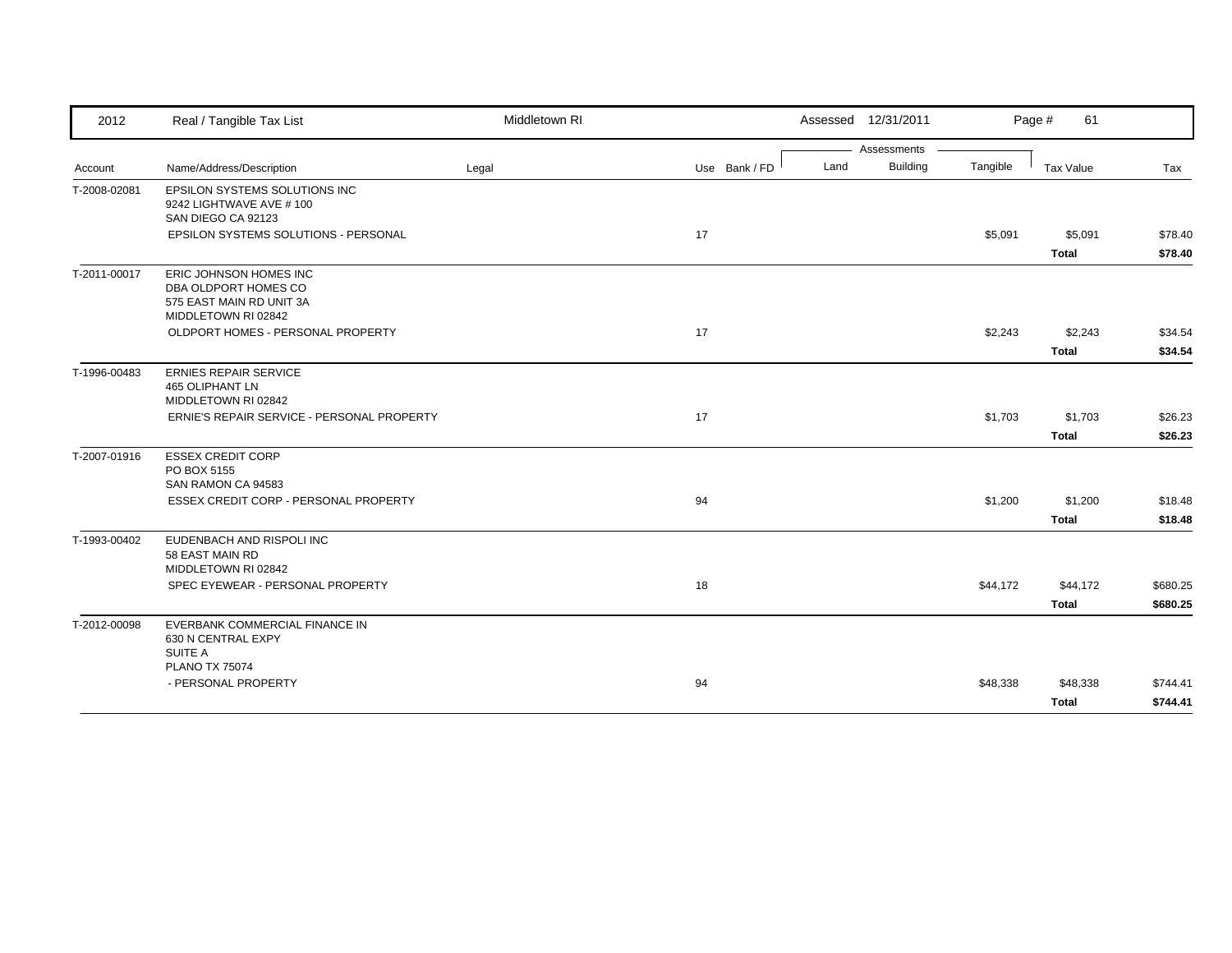| 2012         | Real / Tangible Tax List                                                                          | Middletown RI |               |      | Assessed 12/31/2011 |          | Page #<br>61            |                    |
|--------------|---------------------------------------------------------------------------------------------------|---------------|---------------|------|---------------------|----------|-------------------------|--------------------|
|              |                                                                                                   |               |               |      | Assessments         |          |                         |                    |
| Account      | Name/Address/Description                                                                          | Legal         | Use Bank / FD | Land | <b>Building</b>     | Tangible | <b>Tax Value</b>        | Tax                |
| T-2008-02081 | <b>EPSILON SYSTEMS SOLUTIONS INC</b><br>9242 LIGHTWAVE AVE # 100<br>SAN DIEGO CA 92123            |               |               |      |                     |          |                         |                    |
|              | EPSILON SYSTEMS SOLUTIONS - PERSONAL                                                              |               | 17            |      |                     | \$5,091  | \$5,091<br><b>Total</b> | \$78.40<br>\$78.40 |
| T-2011-00017 | ERIC JOHNSON HOMES INC<br>DBA OLDPORT HOMES CO<br>575 EAST MAIN RD UNIT 3A<br>MIDDLETOWN RI 02842 |               |               |      |                     |          |                         |                    |
|              | OLDPORT HOMES - PERSONAL PROPERTY                                                                 |               | 17            |      |                     | \$2,243  | \$2,243                 | \$34.54            |
|              |                                                                                                   |               |               |      |                     |          | <b>Total</b>            | \$34.54            |
| T-1996-00483 | <b>ERNIES REPAIR SERVICE</b><br><b>465 OLIPHANT LN</b><br>MIDDLETOWN RI 02842                     |               |               |      |                     |          |                         |                    |
|              | ERNIE'S REPAIR SERVICE - PERSONAL PROPERTY                                                        |               | 17            |      |                     | \$1,703  | \$1,703                 | \$26.23            |
|              |                                                                                                   |               |               |      |                     |          | Total                   | \$26.23            |
| T-2007-01916 | <b>ESSEX CREDIT CORP</b><br>PO BOX 5155<br>SAN RAMON CA 94583                                     |               |               |      |                     |          |                         |                    |
|              | ESSEX CREDIT CORP - PERSONAL PROPERTY                                                             |               | 94            |      |                     | \$1,200  | \$1,200                 | \$18.48            |
|              |                                                                                                   |               |               |      |                     |          | <b>Total</b>            | \$18.48            |
| T-1993-00402 | EUDENBACH AND RISPOLI INC<br>58 EAST MAIN RD<br>MIDDLETOWN RI 02842                               |               |               |      |                     |          |                         |                    |
|              | SPEC EYEWEAR - PERSONAL PROPERTY                                                                  |               | 18            |      |                     | \$44,172 | \$44,172                | \$680.25           |
|              |                                                                                                   |               |               |      |                     |          | <b>Total</b>            | \$680.25           |
| T-2012-00098 | EVERBANK COMMERCIAL FINANCE IN<br>630 N CENTRAL EXPY<br><b>SUITE A</b>                            |               |               |      |                     |          |                         |                    |
|              | <b>PLANO TX 75074</b>                                                                             |               |               |      |                     |          |                         |                    |
|              | - PERSONAL PROPERTY                                                                               |               | 94            |      |                     | \$48,338 | \$48,338                | \$744.41           |
|              |                                                                                                   |               |               |      |                     |          | <b>Total</b>            | \$744.41           |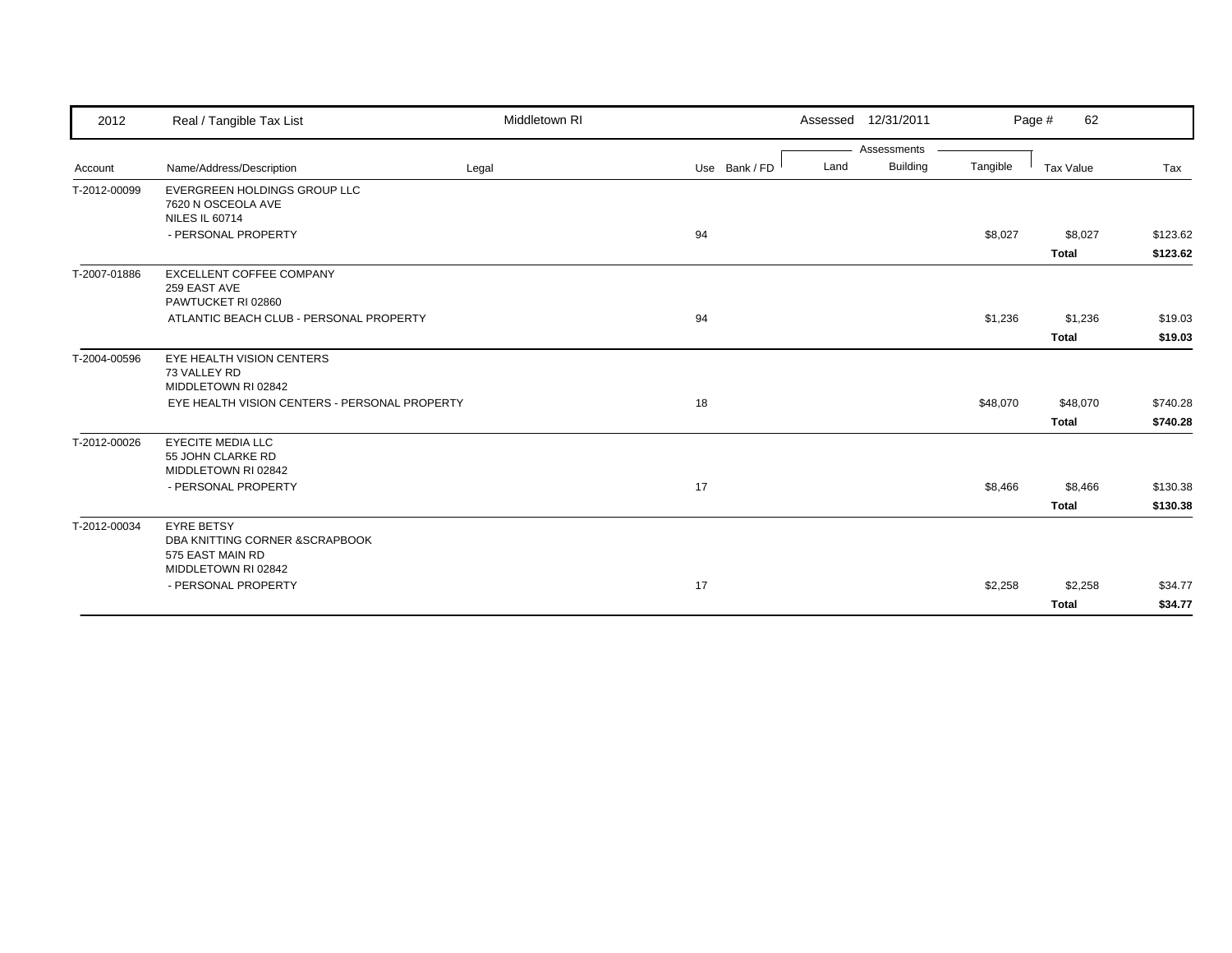| 2012         | Real / Tangible Tax List                                                                        | Middletown RI |               |      | Assessed 12/31/2011 |          | 62<br>Page # |          |
|--------------|-------------------------------------------------------------------------------------------------|---------------|---------------|------|---------------------|----------|--------------|----------|
|              |                                                                                                 |               |               |      | Assessments         |          |              |          |
| Account      | Name/Address/Description                                                                        | Legal         | Use Bank / FD | Land | <b>Building</b>     | Tangible | Tax Value    | Tax      |
| T-2012-00099 | EVERGREEN HOLDINGS GROUP LLC<br>7620 N OSCEOLA AVE<br><b>NILES IL 60714</b>                     |               |               |      |                     |          |              |          |
|              | - PERSONAL PROPERTY                                                                             |               | 94            |      |                     | \$8,027  | \$8,027      | \$123.62 |
|              |                                                                                                 |               |               |      |                     |          | <b>Total</b> | \$123.62 |
| T-2007-01886 | EXCELLENT COFFEE COMPANY<br>259 EAST AVE<br>PAWTUCKET RI 02860                                  |               |               |      |                     |          |              |          |
|              | ATLANTIC BEACH CLUB - PERSONAL PROPERTY                                                         |               | 94            |      |                     | \$1,236  | \$1,236      | \$19.03  |
|              |                                                                                                 |               |               |      |                     |          | <b>Total</b> | \$19.03  |
| T-2004-00596 | EYE HEALTH VISION CENTERS<br>73 VALLEY RD<br>MIDDLETOWN RI 02842                                |               |               |      |                     |          |              |          |
|              | EYE HEALTH VISION CENTERS - PERSONAL PROPERTY                                                   |               | 18            |      |                     | \$48,070 | \$48,070     | \$740.28 |
|              |                                                                                                 |               |               |      |                     |          | <b>Total</b> | \$740.28 |
| T-2012-00026 | <b>EYECITE MEDIA LLC</b><br>55 JOHN CLARKE RD<br>MIDDLETOWN RI 02842                            |               |               |      |                     |          |              |          |
|              | - PERSONAL PROPERTY                                                                             |               | 17            |      |                     | \$8,466  | \$8,466      | \$130.38 |
|              |                                                                                                 |               |               |      |                     |          | <b>Total</b> | \$130.38 |
| T-2012-00034 | <b>EYRE BETSY</b><br>DBA KNITTING CORNER & SCRAPBOOK<br>575 EAST MAIN RD<br>MIDDLETOWN RI 02842 |               |               |      |                     |          |              |          |
|              | - PERSONAL PROPERTY                                                                             |               | 17            |      |                     | \$2,258  | \$2,258      | \$34.77  |
|              |                                                                                                 |               |               |      |                     |          | <b>Total</b> | \$34.77  |
|              |                                                                                                 |               |               |      |                     |          |              |          |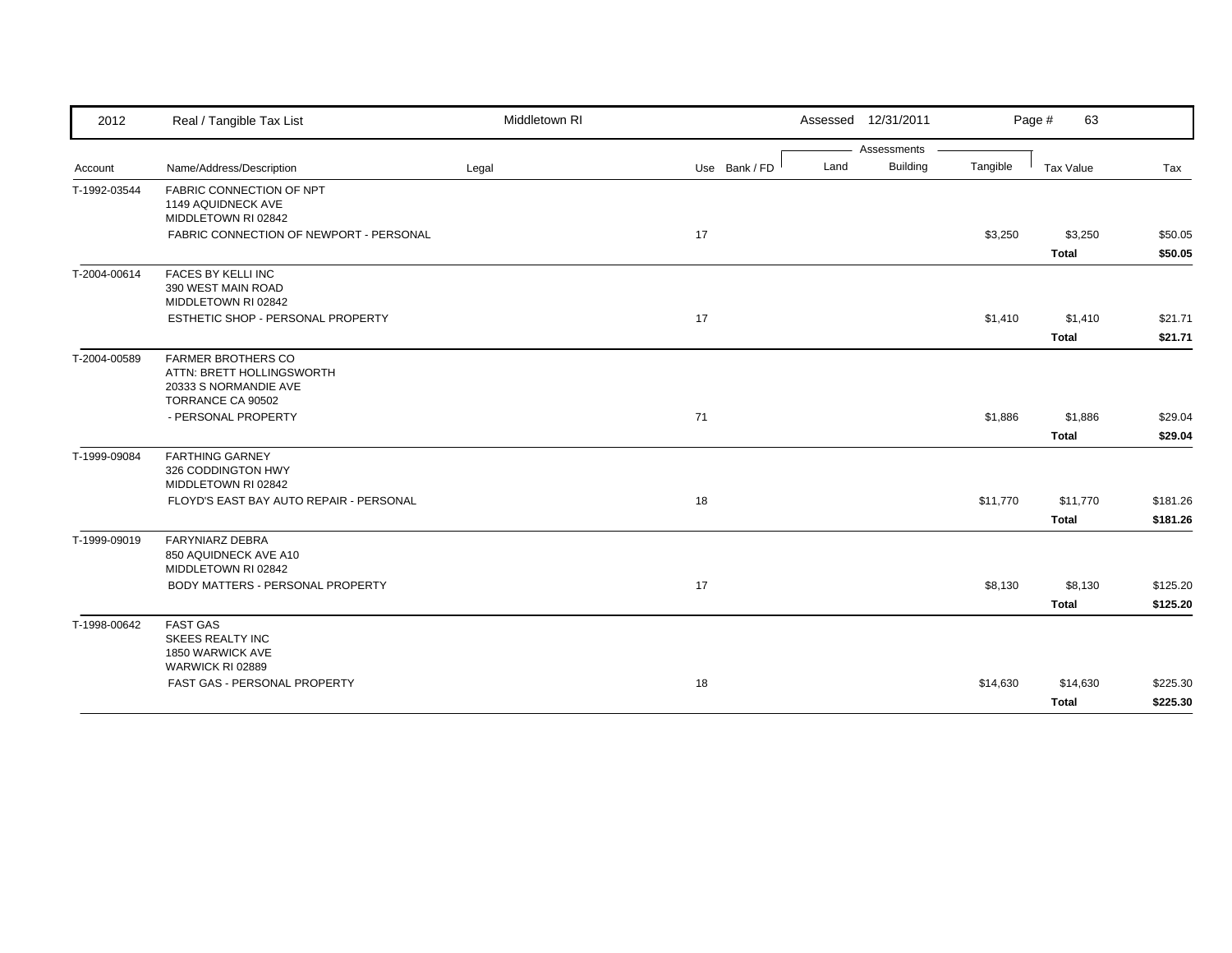| 2012         | Real / Tangible Tax List                                                                             | Middletown RI |               |      | Assessed 12/31/2011 |          | Page #<br>63             |                      |
|--------------|------------------------------------------------------------------------------------------------------|---------------|---------------|------|---------------------|----------|--------------------------|----------------------|
|              |                                                                                                      |               |               |      | Assessments         |          |                          |                      |
| Account      | Name/Address/Description                                                                             | Legal         | Use Bank / FD | Land | <b>Building</b>     | Tangible | <b>Tax Value</b>         | Tax                  |
| T-1992-03544 | FABRIC CONNECTION OF NPT<br>1149 AQUIDNECK AVE<br>MIDDLETOWN RI 02842                                |               |               |      |                     |          |                          |                      |
|              | FABRIC CONNECTION OF NEWPORT - PERSONAL                                                              |               | 17            |      |                     | \$3,250  | \$3,250<br><b>Total</b>  | \$50.05<br>\$50.05   |
| T-2004-00614 | FACES BY KELLI INC<br>390 WEST MAIN ROAD<br>MIDDLETOWN RI 02842                                      |               |               |      |                     |          |                          |                      |
|              | ESTHETIC SHOP - PERSONAL PROPERTY                                                                    |               | 17            |      |                     | \$1,410  | \$1,410                  | \$21.71              |
|              |                                                                                                      |               |               |      |                     |          | <b>Total</b>             | \$21.71              |
| T-2004-00589 | <b>FARMER BROTHERS CO</b><br>ATTN: BRETT HOLLINGSWORTH<br>20333 S NORMANDIE AVE<br>TORRANCE CA 90502 |               |               |      |                     |          |                          |                      |
|              | - PERSONAL PROPERTY                                                                                  |               | 71            |      |                     | \$1,886  | \$1,886                  | \$29.04              |
|              |                                                                                                      |               |               |      |                     |          | <b>Total</b>             | \$29.04              |
| T-1999-09084 | <b>FARTHING GARNEY</b><br>326 CODDINGTON HWY<br>MIDDLETOWN RI 02842                                  |               |               |      |                     |          |                          |                      |
|              | FLOYD'S EAST BAY AUTO REPAIR - PERSONAL                                                              |               | 18            |      |                     | \$11,770 | \$11,770<br><b>Total</b> | \$181.26<br>\$181.26 |
| T-1999-09019 | <b>FARYNIARZ DEBRA</b><br>850 AQUIDNECK AVE A10<br>MIDDLETOWN RI 02842                               |               |               |      |                     |          |                          |                      |
|              | BODY MATTERS - PERSONAL PROPERTY                                                                     |               | 17            |      |                     | \$8,130  | \$8,130                  | \$125.20             |
|              |                                                                                                      |               |               |      |                     |          | <b>Total</b>             | \$125.20             |
| T-1998-00642 | <b>FAST GAS</b><br><b>SKEES REALTY INC</b><br>1850 WARWICK AVE<br>WARWICK RI 02889                   |               |               |      |                     |          |                          |                      |
|              | FAST GAS - PERSONAL PROPERTY                                                                         |               | 18            |      |                     | \$14,630 | \$14,630                 | \$225.30             |
|              |                                                                                                      |               |               |      |                     |          | <b>Total</b>             | \$225.30             |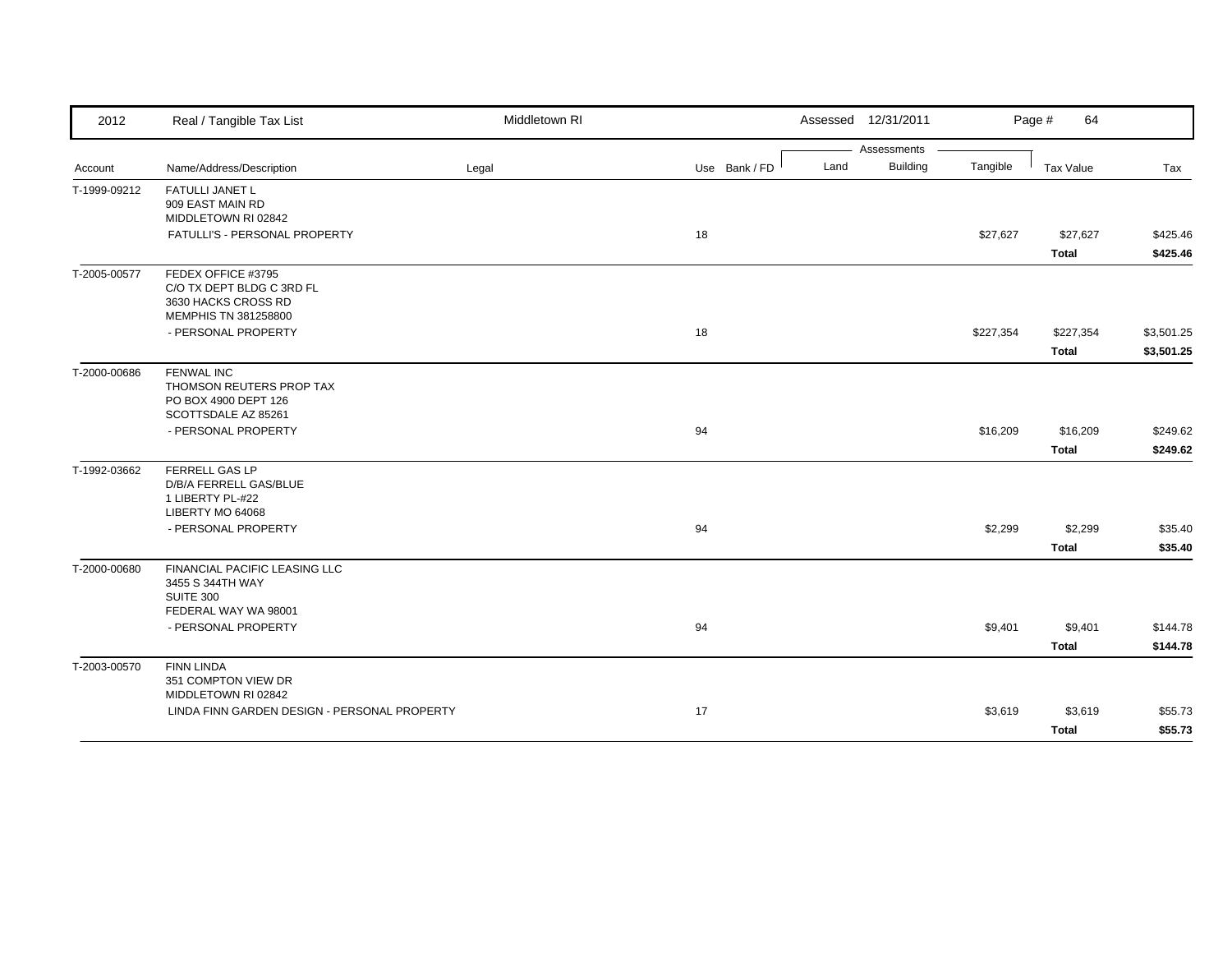| 2012         | Real / Tangible Tax List                                            | Middletown RI |               | Assessed 12/31/2011     |           | Page #<br>64 |            |
|--------------|---------------------------------------------------------------------|---------------|---------------|-------------------------|-----------|--------------|------------|
|              |                                                                     |               |               | Assessments             |           |              |            |
| Account      | Name/Address/Description                                            | Legal         | Use Bank / FD | <b>Building</b><br>Land | Tangible  | Tax Value    | Tax        |
| T-1999-09212 | FATULLI JANET L<br>909 EAST MAIN RD                                 |               |               |                         |           |              |            |
|              | MIDDLETOWN RI 02842                                                 |               |               |                         |           |              |            |
|              | FATULLI'S - PERSONAL PROPERTY                                       |               | 18            |                         | \$27,627  | \$27,627     | \$425.46   |
|              |                                                                     |               |               |                         |           | <b>Total</b> | \$425.46   |
| T-2005-00577 | FEDEX OFFICE #3795                                                  |               |               |                         |           |              |            |
|              | C/O TX DEPT BLDG C 3RD FL<br>3630 HACKS CROSS RD                    |               |               |                         |           |              |            |
|              | MEMPHIS TN 381258800                                                |               |               |                         |           |              |            |
|              | - PERSONAL PROPERTY                                                 |               | 18            |                         | \$227,354 | \$227,354    | \$3,501.25 |
|              |                                                                     |               |               |                         |           | <b>Total</b> | \$3,501.25 |
| T-2000-00686 | <b>FENWAL INC</b>                                                   |               |               |                         |           |              |            |
|              | THOMSON REUTERS PROP TAX                                            |               |               |                         |           |              |            |
|              | PO BOX 4900 DEPT 126<br>SCOTTSDALE AZ 85261                         |               |               |                         |           |              |            |
|              | - PERSONAL PROPERTY                                                 |               | 94            |                         | \$16,209  | \$16,209     | \$249.62   |
|              |                                                                     |               |               |                         |           | <b>Total</b> | \$249.62   |
| T-1992-03662 | FERRELL GAS LP                                                      |               |               |                         |           |              |            |
|              | D/B/A FERRELL GAS/BLUE                                              |               |               |                         |           |              |            |
|              | 1 LIBERTY PL-#22                                                    |               |               |                         |           |              |            |
|              | LIBERTY MO 64068                                                    |               |               |                         |           |              |            |
|              | - PERSONAL PROPERTY                                                 |               | 94            |                         | \$2,299   | \$2,299      | \$35.40    |
|              |                                                                     |               |               |                         |           | <b>Total</b> | \$35.40    |
| T-2000-00680 | FINANCIAL PACIFIC LEASING LLC                                       |               |               |                         |           |              |            |
|              | 3455 S 344TH WAY<br><b>SUITE 300</b>                                |               |               |                         |           |              |            |
|              | FEDERAL WAY WA 98001                                                |               |               |                         |           |              |            |
|              | - PERSONAL PROPERTY                                                 |               | 94            |                         | \$9,401   | \$9,401      | \$144.78   |
|              |                                                                     |               |               |                         |           | <b>Total</b> | \$144.78   |
| T-2003-00570 | <b>FINN LINDA</b>                                                   |               |               |                         |           |              |            |
|              | 351 COMPTON VIEW DR                                                 |               |               |                         |           |              |            |
|              | MIDDLETOWN RI 02842<br>LINDA FINN GARDEN DESIGN - PERSONAL PROPERTY |               | 17            |                         | \$3,619   | \$3,619      | \$55.73    |
|              |                                                                     |               |               |                         |           |              |            |
|              |                                                                     |               |               |                         |           | <b>Total</b> | \$55.73    |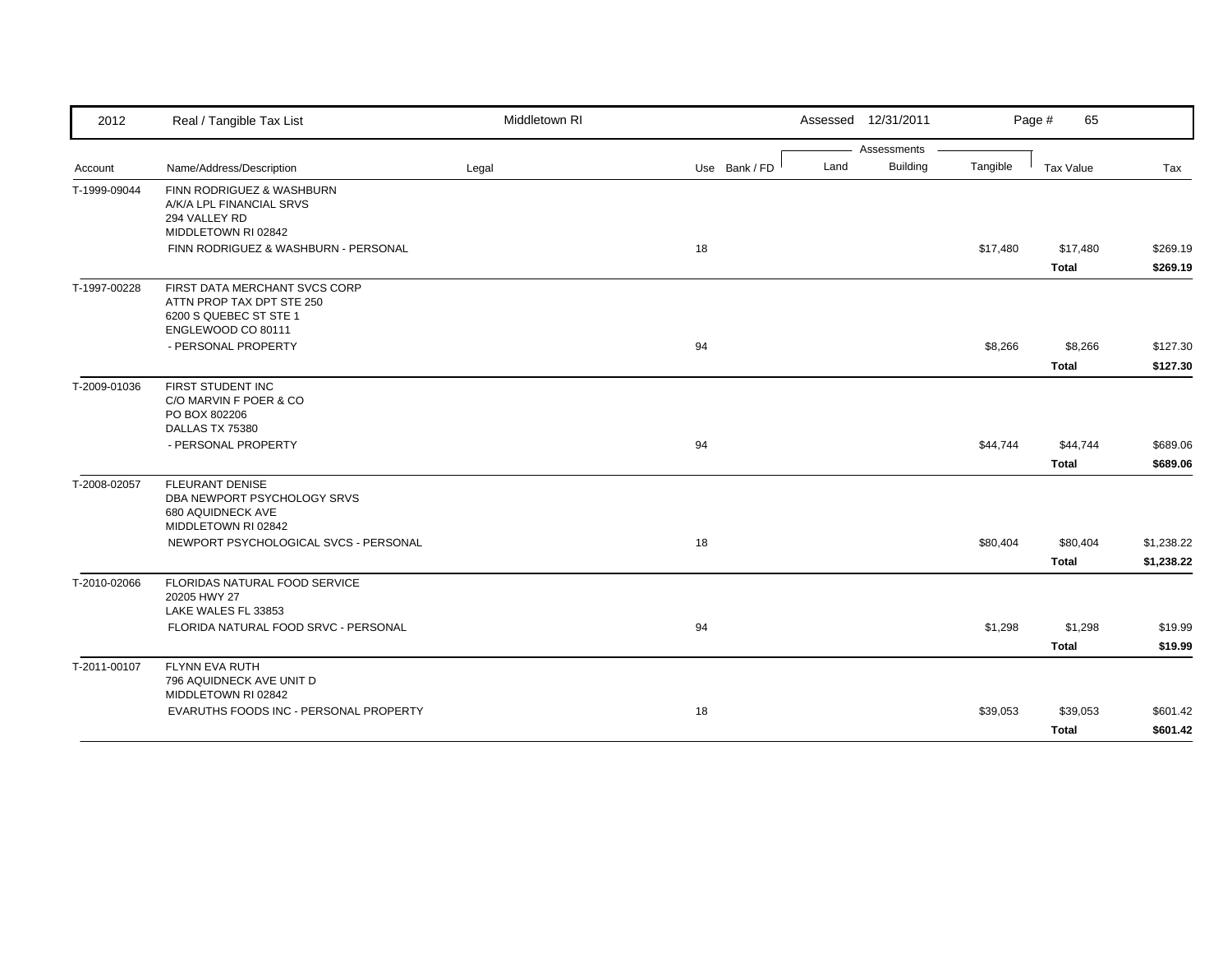| 2012         | Real / Tangible Tax List                                                                                   | Middletown RI |               | Assessed 12/31/2011     |          | 65<br>Page #     |            |
|--------------|------------------------------------------------------------------------------------------------------------|---------------|---------------|-------------------------|----------|------------------|------------|
|              |                                                                                                            |               |               | Assessments             |          |                  |            |
| Account      | Name/Address/Description                                                                                   | Legal         | Use Bank / FD | <b>Building</b><br>Land | Tangible | <b>Tax Value</b> | Tax        |
| T-1999-09044 | FINN RODRIGUEZ & WASHBURN<br>A/K/A LPL FINANCIAL SRVS<br>294 VALLEY RD<br>MIDDLETOWN RI 02842              |               |               |                         |          |                  |            |
|              | FINN RODRIGUEZ & WASHBURN - PERSONAL                                                                       |               | 18            |                         | \$17,480 | \$17,480         | \$269.19   |
|              |                                                                                                            |               |               |                         |          | <b>Total</b>     | \$269.19   |
| T-1997-00228 | FIRST DATA MERCHANT SVCS CORP<br>ATTN PROP TAX DPT STE 250<br>6200 S QUEBEC ST STE 1<br>ENGLEWOOD CO 80111 |               |               |                         |          |                  |            |
|              | - PERSONAL PROPERTY                                                                                        |               | 94            |                         | \$8,266  | \$8,266          | \$127.30   |
|              |                                                                                                            |               |               |                         |          | <b>Total</b>     | \$127.30   |
| T-2009-01036 | FIRST STUDENT INC<br>C/O MARVIN F POER & CO<br>PO BOX 802206<br>DALLAS TX 75380                            |               |               |                         |          |                  |            |
|              | - PERSONAL PROPERTY                                                                                        |               | 94            |                         | \$44,744 | \$44,744         | \$689.06   |
|              |                                                                                                            |               |               |                         |          | <b>Total</b>     | \$689.06   |
| T-2008-02057 | <b>FLEURANT DENISE</b><br>DBA NEWPORT PSYCHOLOGY SRVS<br>680 AQUIDNECK AVE<br>MIDDLETOWN RI 02842          |               |               |                         |          |                  |            |
|              | NEWPORT PSYCHOLOGICAL SVCS - PERSONAL                                                                      |               | 18            |                         | \$80,404 | \$80,404         | \$1,238.22 |
|              |                                                                                                            |               |               |                         |          | <b>Total</b>     | \$1,238.22 |
| T-2010-02066 | FLORIDAS NATURAL FOOD SERVICE<br>20205 HWY 27<br>LAKE WALES FL 33853                                       |               |               |                         |          |                  |            |
|              | FLORIDA NATURAL FOOD SRVC - PERSONAL                                                                       |               | 94            |                         | \$1,298  | \$1,298          | \$19.99    |
|              |                                                                                                            |               |               |                         |          | <b>Total</b>     | \$19.99    |
| T-2011-00107 | <b>FLYNN EVA RUTH</b><br>796 AQUIDNECK AVE UNIT D<br>MIDDLETOWN RI 02842                                   |               |               |                         |          |                  |            |
|              | EVARUTHS FOODS INC - PERSONAL PROPERTY                                                                     |               | 18            |                         | \$39,053 | \$39,053         | \$601.42   |
|              |                                                                                                            |               |               |                         |          | <b>Total</b>     | \$601.42   |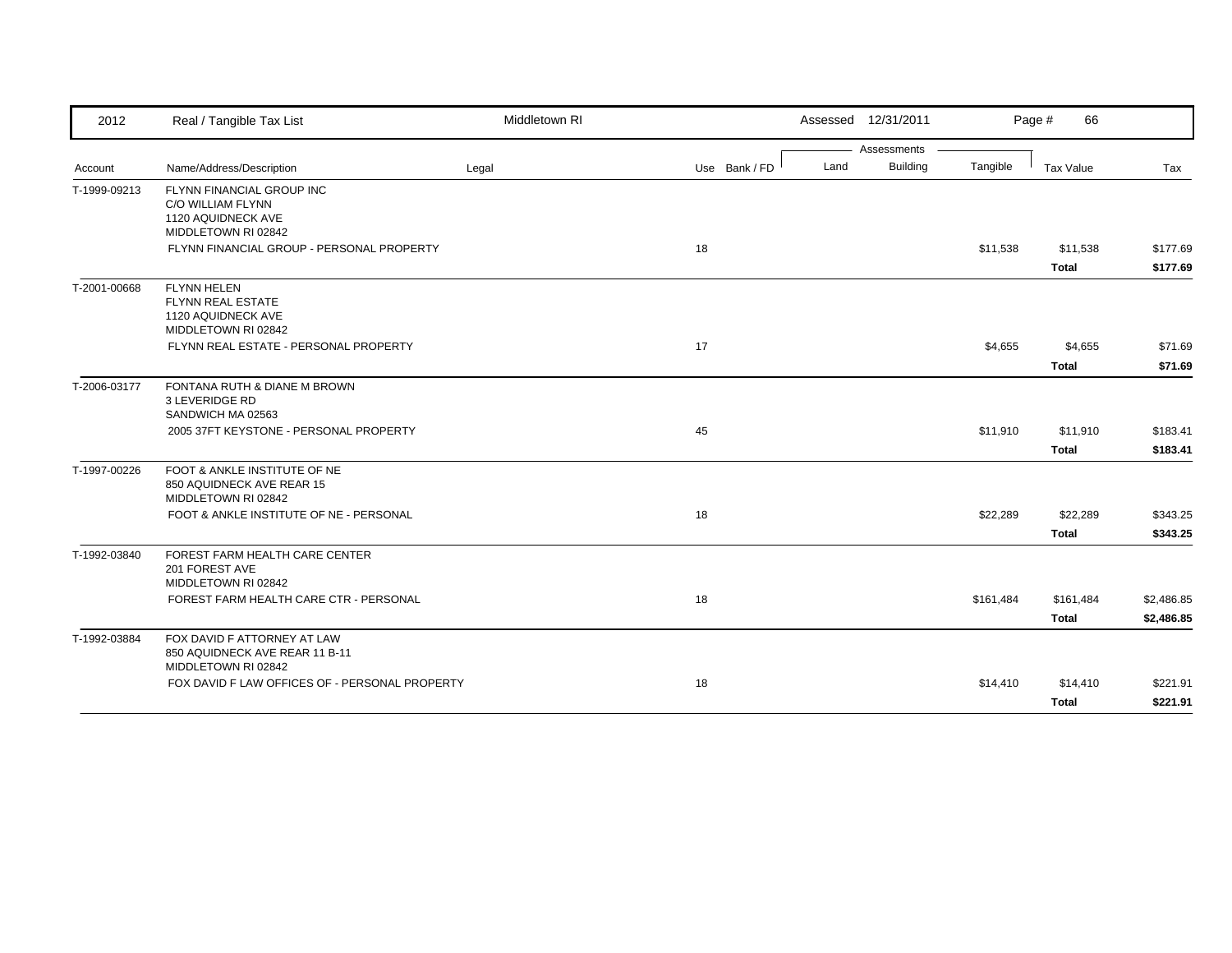| 2012         | Real / Tangible Tax List                                                                    | Middletown RI |               |      | Assessed 12/31/2011 |           | Page #<br>66              |                          |
|--------------|---------------------------------------------------------------------------------------------|---------------|---------------|------|---------------------|-----------|---------------------------|--------------------------|
|              |                                                                                             |               |               |      | Assessments         |           |                           |                          |
| Account      | Name/Address/Description                                                                    | Legal         | Use Bank / FD | Land | <b>Building</b>     | Tangible  | Tax Value                 | Tax                      |
| T-1999-09213 | FLYNN FINANCIAL GROUP INC<br>C/O WILLIAM FLYNN<br>1120 AQUIDNECK AVE<br>MIDDLETOWN RI 02842 |               |               |      |                     |           |                           |                          |
|              | FLYNN FINANCIAL GROUP - PERSONAL PROPERTY                                                   |               | 18            |      |                     | \$11,538  | \$11,538<br><b>Total</b>  | \$177.69<br>\$177.69     |
| T-2001-00668 | <b>FLYNN HELEN</b><br>FLYNN REAL ESTATE<br>1120 AQUIDNECK AVE<br>MIDDLETOWN RI 02842        |               |               |      |                     |           |                           |                          |
|              | FLYNN REAL ESTATE - PERSONAL PROPERTY                                                       |               | 17            |      |                     | \$4,655   | \$4,655<br><b>Total</b>   | \$71.69<br>\$71.69       |
| T-2006-03177 | FONTANA RUTH & DIANE M BROWN<br>3 LEVERIDGE RD<br>SANDWICH MA 02563                         |               |               |      |                     |           |                           |                          |
|              | 2005 37FT KEYSTONE - PERSONAL PROPERTY                                                      |               | 45            |      |                     | \$11,910  | \$11,910<br><b>Total</b>  | \$183.41<br>\$183.41     |
| T-1997-00226 | FOOT & ANKLE INSTITUTE OF NE<br>850 AQUIDNECK AVE REAR 15<br>MIDDLETOWN RI 02842            |               |               |      |                     |           |                           |                          |
|              | FOOT & ANKLE INSTITUTE OF NE - PERSONAL                                                     |               | 18            |      |                     | \$22,289  | \$22,289<br><b>Total</b>  | \$343.25<br>\$343.25     |
| T-1992-03840 | FOREST FARM HEALTH CARE CENTER<br>201 FOREST AVE<br>MIDDLETOWN RI 02842                     |               |               |      |                     |           |                           |                          |
|              | FOREST FARM HEALTH CARE CTR - PERSONAL                                                      |               | 18            |      |                     | \$161,484 | \$161,484<br><b>Total</b> | \$2,486.85<br>\$2,486.85 |
| T-1992-03884 | FOX DAVID F ATTORNEY AT LAW<br>850 AQUIDNECK AVE REAR 11 B-11<br>MIDDLETOWN RI 02842        |               |               |      |                     |           |                           |                          |
|              | FOX DAVID F LAW OFFICES OF - PERSONAL PROPERTY                                              |               | 18            |      |                     | \$14,410  | \$14,410<br><b>Total</b>  | \$221.91<br>\$221.91     |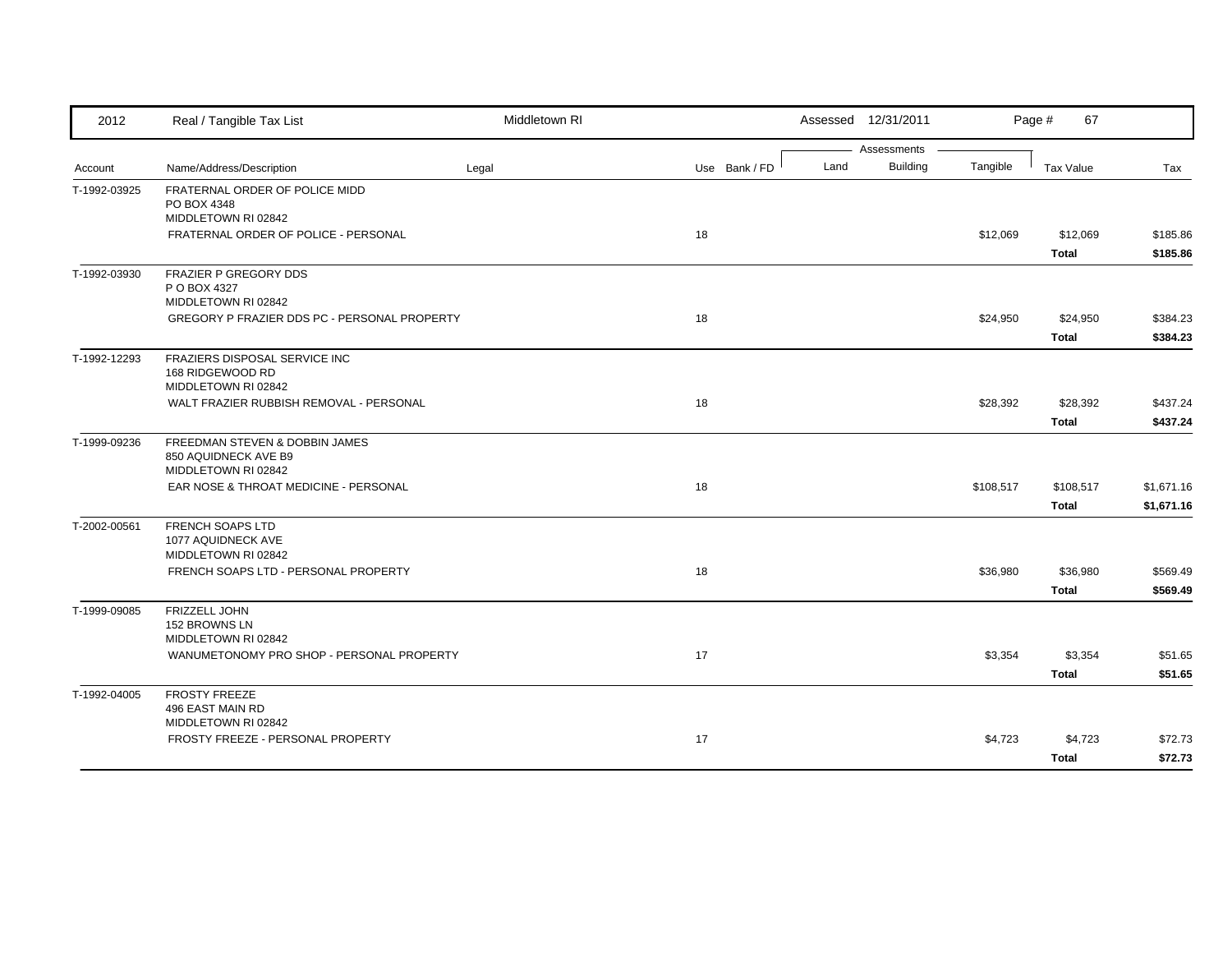| 2012         | Real / Tangible Tax List                                                                                     | Middletown RI |               | Assessed 12/31/2011                    |           | Page #<br>67              |                          |
|--------------|--------------------------------------------------------------------------------------------------------------|---------------|---------------|----------------------------------------|-----------|---------------------------|--------------------------|
| Account      | Name/Address/Description                                                                                     | Legal         | Use Bank / FD | Assessments<br><b>Building</b><br>Land | Tangible  | <b>Tax Value</b>          | Tax                      |
| T-1992-03925 | FRATERNAL ORDER OF POLICE MIDD<br>PO BOX 4348<br>MIDDLETOWN RI 02842<br>FRATERNAL ORDER OF POLICE - PERSONAL |               | 18            |                                        | \$12,069  | \$12,069                  | \$185.86                 |
|              |                                                                                                              |               |               |                                        |           | <b>Total</b>              | \$185.86                 |
| T-1992-03930 | FRAZIER P GREGORY DDS<br>P O BOX 4327<br>MIDDLETOWN RI 02842                                                 |               |               |                                        |           |                           |                          |
|              | GREGORY P FRAZIER DDS PC - PERSONAL PROPERTY                                                                 |               | 18            |                                        | \$24,950  | \$24,950<br><b>Total</b>  | \$384.23<br>\$384.23     |
| T-1992-12293 | FRAZIERS DISPOSAL SERVICE INC<br>168 RIDGEWOOD RD<br>MIDDLETOWN RI 02842                                     |               |               |                                        |           |                           |                          |
|              | WALT FRAZIER RUBBISH REMOVAL - PERSONAL                                                                      |               | 18            |                                        | \$28,392  | \$28,392<br><b>Total</b>  | \$437.24<br>\$437.24     |
| T-1999-09236 | FREEDMAN STEVEN & DOBBIN JAMES<br>850 AQUIDNECK AVE B9<br>MIDDLETOWN RI 02842                                |               |               |                                        |           |                           |                          |
|              | EAR NOSE & THROAT MEDICINE - PERSONAL                                                                        |               | 18            |                                        | \$108,517 | \$108,517<br><b>Total</b> | \$1,671.16<br>\$1,671.16 |
| T-2002-00561 | <b>FRENCH SOAPS LTD</b><br>1077 AQUIDNECK AVE<br>MIDDLETOWN RI 02842                                         |               |               |                                        |           |                           |                          |
|              | FRENCH SOAPS LTD - PERSONAL PROPERTY                                                                         |               | 18            |                                        | \$36,980  | \$36,980<br><b>Total</b>  | \$569.49<br>\$569.49     |
| T-1999-09085 | FRIZZELL JOHN<br>152 BROWNS LN<br>MIDDLETOWN RI 02842                                                        |               |               |                                        |           |                           |                          |
|              | WANUMETONOMY PRO SHOP - PERSONAL PROPERTY                                                                    |               | 17            |                                        | \$3,354   | \$3,354<br><b>Total</b>   | \$51.65<br>\$51.65       |
| T-1992-04005 | <b>FROSTY FREEZE</b><br>496 EAST MAIN RD<br>MIDDLETOWN RI 02842                                              |               |               |                                        |           |                           |                          |
|              | FROSTY FREEZE - PERSONAL PROPERTY                                                                            |               | 17            |                                        | \$4,723   | \$4,723<br><b>Total</b>   | \$72.73<br>\$72.73       |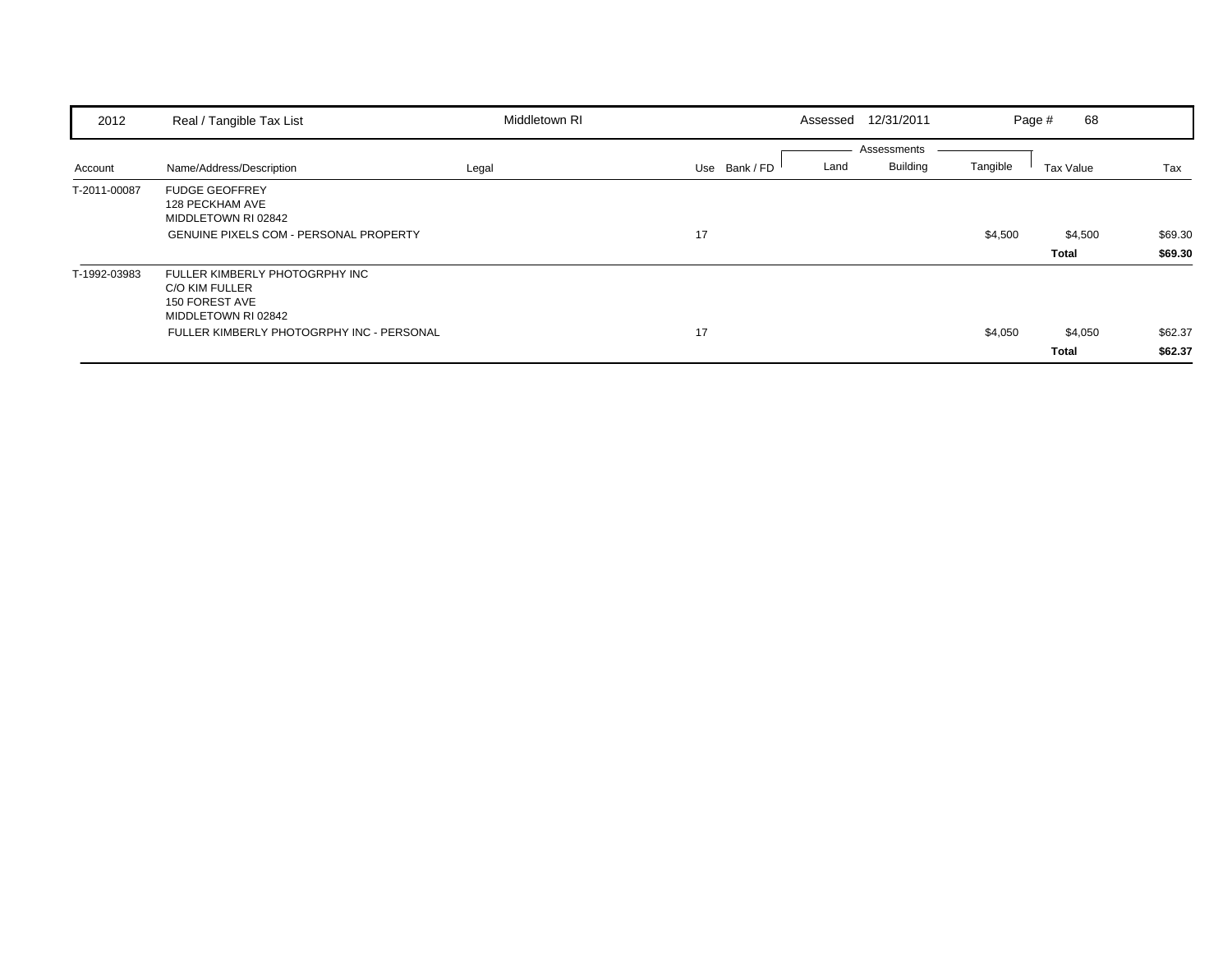| 2012         | Real / Tangible Tax List                                                                  | Middletown RI | Assessed              | 12/31/2011                     | Page #   | 68           |         |
|--------------|-------------------------------------------------------------------------------------------|---------------|-----------------------|--------------------------------|----------|--------------|---------|
| Account      | Name/Address/Description                                                                  | Legal         | Use Bank / FD<br>Land | Assessments<br><b>Building</b> | Tangible | Tax Value    | Tax     |
| T-2011-00087 | <b>FUDGE GEOFFREY</b><br>128 PECKHAM AVE<br>MIDDLETOWN RI 02842                           |               |                       |                                |          |              |         |
|              | <b>GENUINE PIXELS COM - PERSONAL PROPERTY</b>                                             |               | 17                    |                                | \$4,500  | \$4,500      | \$69.30 |
|              |                                                                                           |               |                       |                                |          | Total        | \$69.30 |
| T-1992-03983 | FULLER KIMBERLY PHOTOGRPHY INC<br>C/O KIM FULLER<br>150 FOREST AVE<br>MIDDLETOWN RI 02842 |               |                       |                                |          |              |         |
|              | FULLER KIMBERLY PHOTOGRPHY INC - PERSONAL                                                 |               | 17                    |                                | \$4,050  | \$4,050      | \$62.37 |
|              |                                                                                           |               |                       |                                |          | <b>Total</b> | \$62.37 |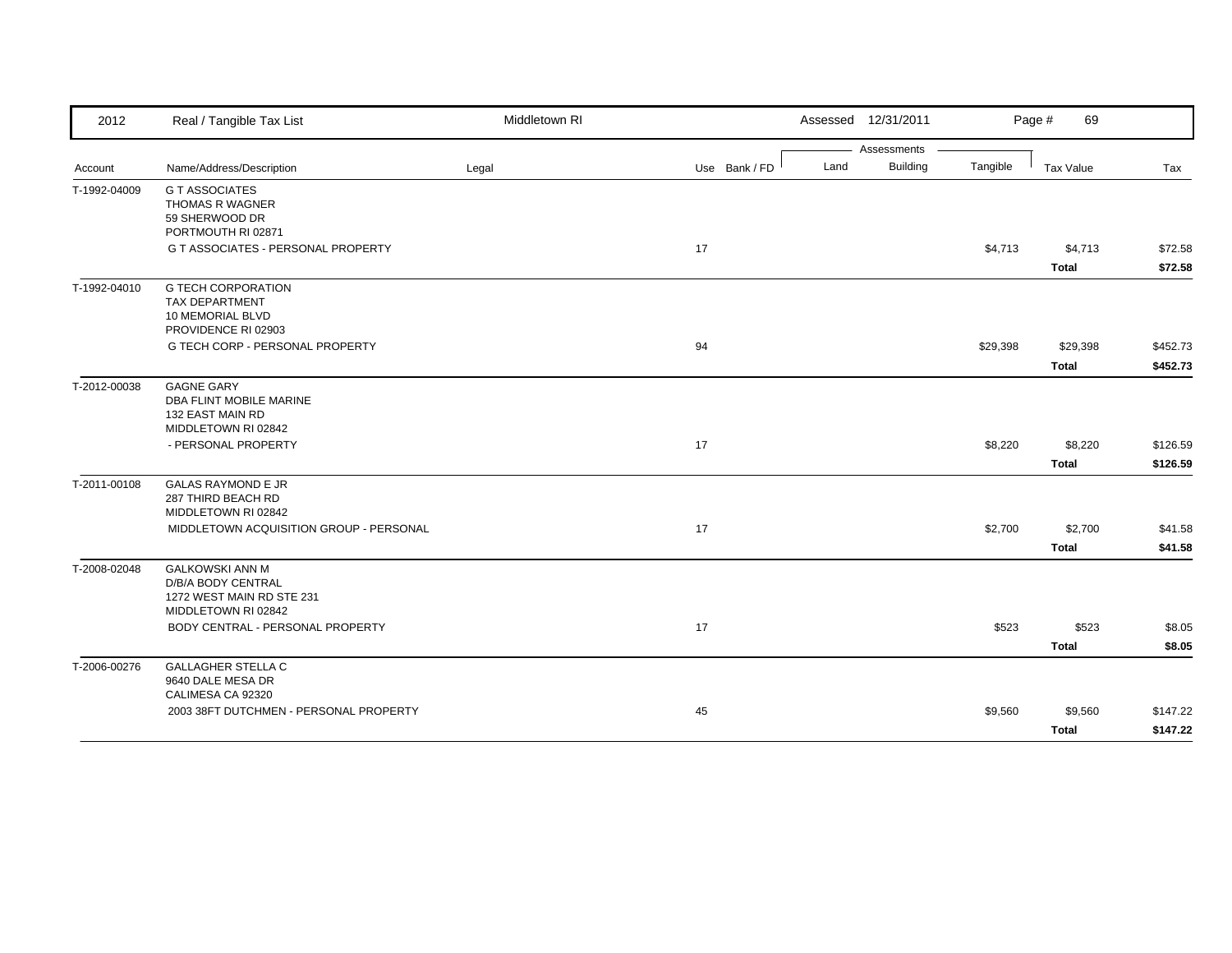| 2012         | Real / Tangible Tax List                                                                         | Middletown RI |               | Assessed 12/31/2011     |          | Page #<br>69             |                      |
|--------------|--------------------------------------------------------------------------------------------------|---------------|---------------|-------------------------|----------|--------------------------|----------------------|
|              |                                                                                                  |               |               | Assessments             |          |                          |                      |
| Account      | Name/Address/Description                                                                         | Legal         | Use Bank / FD | <b>Building</b><br>Land | Tangible | Tax Value                | Tax                  |
| T-1992-04009 | <b>G T ASSOCIATES</b><br><b>THOMAS R WAGNER</b><br>59 SHERWOOD DR<br>PORTMOUTH RI 02871          |               |               |                         |          |                          |                      |
|              | G T ASSOCIATES - PERSONAL PROPERTY                                                               |               | 17            |                         | \$4,713  | \$4,713<br><b>Total</b>  | \$72.58<br>\$72.58   |
| T-1992-04010 | <b>G TECH CORPORATION</b><br><b>TAX DEPARTMENT</b><br>10 MEMORIAL BLVD<br>PROVIDENCE RI 02903    |               |               |                         |          |                          |                      |
|              | <b>G TECH CORP - PERSONAL PROPERTY</b>                                                           |               | 94            |                         | \$29,398 | \$29,398<br><b>Total</b> | \$452.73<br>\$452.73 |
| T-2012-00038 | <b>GAGNE GARY</b><br><b>DBA FLINT MOBILE MARINE</b><br>132 EAST MAIN RD<br>MIDDLETOWN RI 02842   |               |               |                         |          |                          |                      |
|              | - PERSONAL PROPERTY                                                                              |               | 17            |                         | \$8,220  | \$8,220<br><b>Total</b>  | \$126.59<br>\$126.59 |
| T-2011-00108 | <b>GALAS RAYMOND E JR</b><br>287 THIRD BEACH RD<br>MIDDLETOWN RI 02842                           |               |               |                         |          |                          |                      |
|              | MIDDLETOWN ACQUISITION GROUP - PERSONAL                                                          |               | 17            |                         | \$2,700  | \$2,700<br><b>Total</b>  | \$41.58<br>\$41.58   |
| T-2008-02048 | <b>GALKOWSKI ANN M</b><br>D/B/A BODY CENTRAL<br>1272 WEST MAIN RD STE 231<br>MIDDLETOWN RI 02842 |               |               |                         |          |                          |                      |
|              | BODY CENTRAL - PERSONAL PROPERTY                                                                 |               | 17            |                         | \$523    | \$523<br><b>Total</b>    | \$8.05<br>\$8.05     |
| T-2006-00276 | <b>GALLAGHER STELLA C</b><br>9640 DALE MESA DR<br>CALIMESA CA 92320                              |               |               |                         |          |                          |                      |
|              | 2003 38FT DUTCHMEN - PERSONAL PROPERTY                                                           |               | 45            |                         | \$9,560  | \$9,560<br><b>Total</b>  | \$147.22<br>\$147.22 |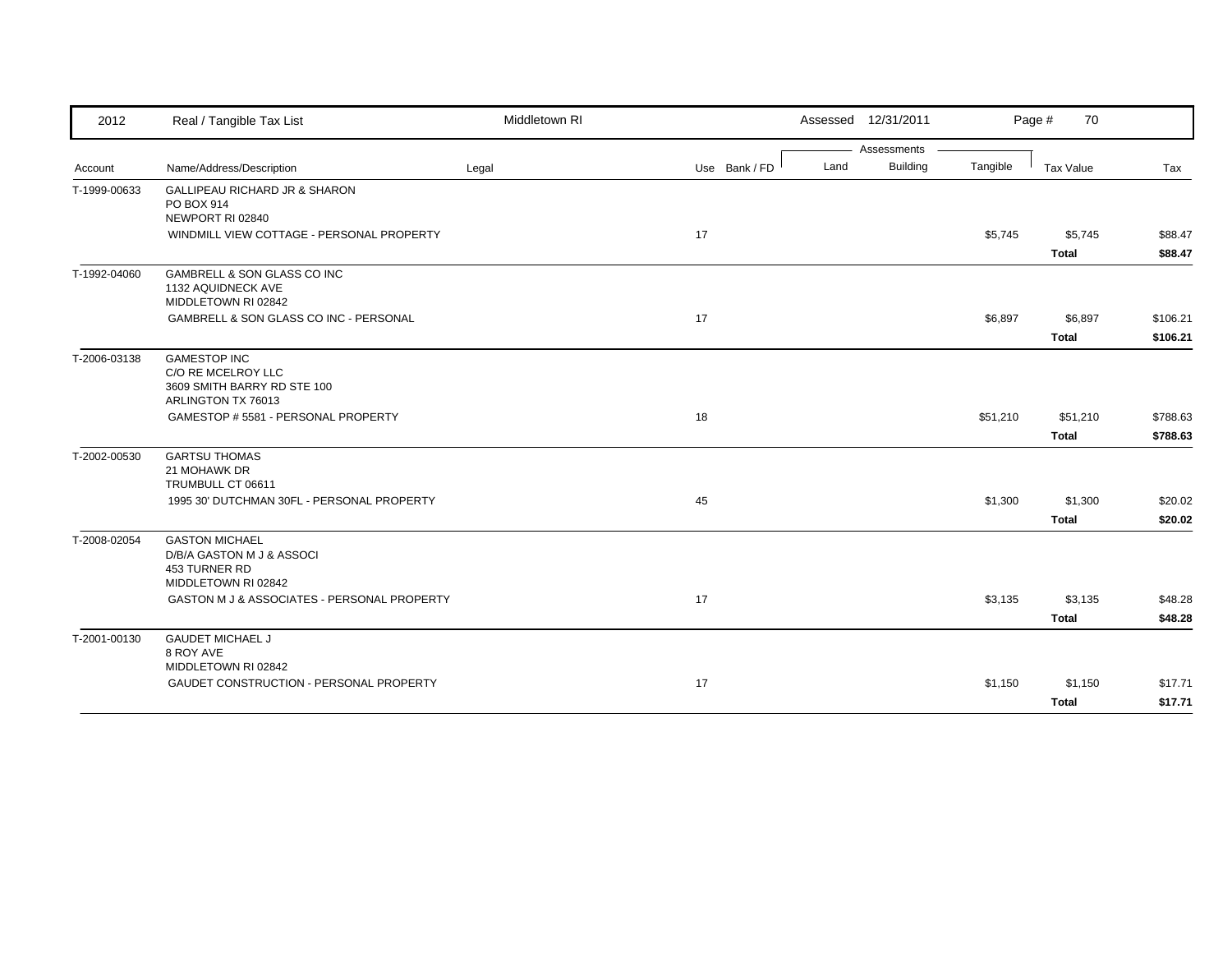| 2012         | Real / Tangible Tax List                                                                       | Middletown RI |               | Assessed 12/31/2011     |          | Page #<br>70     |          |
|--------------|------------------------------------------------------------------------------------------------|---------------|---------------|-------------------------|----------|------------------|----------|
|              |                                                                                                |               |               | Assessments             |          |                  |          |
| Account      | Name/Address/Description                                                                       | Legal         | Use Bank / FD | <b>Building</b><br>Land | Tangible | <b>Tax Value</b> | Tax      |
| T-1999-00633 | GALLIPEAU RICHARD JR & SHARON<br>PO BOX 914<br>NEWPORT RI 02840                                |               |               |                         |          |                  |          |
|              | WINDMILL VIEW COTTAGE - PERSONAL PROPERTY                                                      |               | 17            |                         | \$5,745  | \$5,745          | \$88.47  |
|              |                                                                                                |               |               |                         |          | <b>Total</b>     | \$88.47  |
| T-1992-04060 | <b>GAMBRELL &amp; SON GLASS CO INC</b><br>1132 AQUIDNECK AVE<br>MIDDLETOWN RI 02842            |               |               |                         |          |                  |          |
|              | GAMBRELL & SON GLASS CO INC - PERSONAL                                                         |               | 17            |                         | \$6,897  | \$6,897          | \$106.21 |
|              |                                                                                                |               |               |                         |          | <b>Total</b>     | \$106.21 |
| T-2006-03138 | <b>GAMESTOP INC</b><br>C/O RE MCELROY LLC<br>3609 SMITH BARRY RD STE 100<br>ARLINGTON TX 76013 |               |               |                         |          |                  |          |
|              | GAMESTOP # 5581 - PERSONAL PROPERTY                                                            |               | 18            |                         | \$51,210 | \$51,210         | \$788.63 |
|              |                                                                                                |               |               |                         |          | <b>Total</b>     | \$788.63 |
| T-2002-00530 | <b>GARTSU THOMAS</b><br>21 MOHAWK DR<br>TRUMBULL CT 06611                                      |               |               |                         |          |                  |          |
|              | 1995 30' DUTCHMAN 30FL - PERSONAL PROPERTY                                                     |               | 45            |                         | \$1,300  | \$1,300          | \$20.02  |
|              |                                                                                                |               |               |                         |          | <b>Total</b>     | \$20.02  |
| T-2008-02054 | <b>GASTON MICHAEL</b><br>D/B/A GASTON M J & ASSOCI<br>453 TURNER RD<br>MIDDLETOWN RI 02842     |               |               |                         |          |                  |          |
|              | GASTON M J & ASSOCIATES - PERSONAL PROPERTY                                                    |               | 17            |                         | \$3,135  | \$3,135          | \$48.28  |
|              |                                                                                                |               |               |                         |          | <b>Total</b>     | \$48.28  |
| T-2001-00130 | <b>GAUDET MICHAEL J</b><br>8 ROY AVE<br>MIDDLETOWN RI 02842                                    |               |               |                         |          |                  |          |
|              | GAUDET CONSTRUCTION - PERSONAL PROPERTY                                                        |               | 17            |                         | \$1,150  | \$1,150          | \$17.71  |
|              |                                                                                                |               |               |                         |          | <b>Total</b>     | \$17.71  |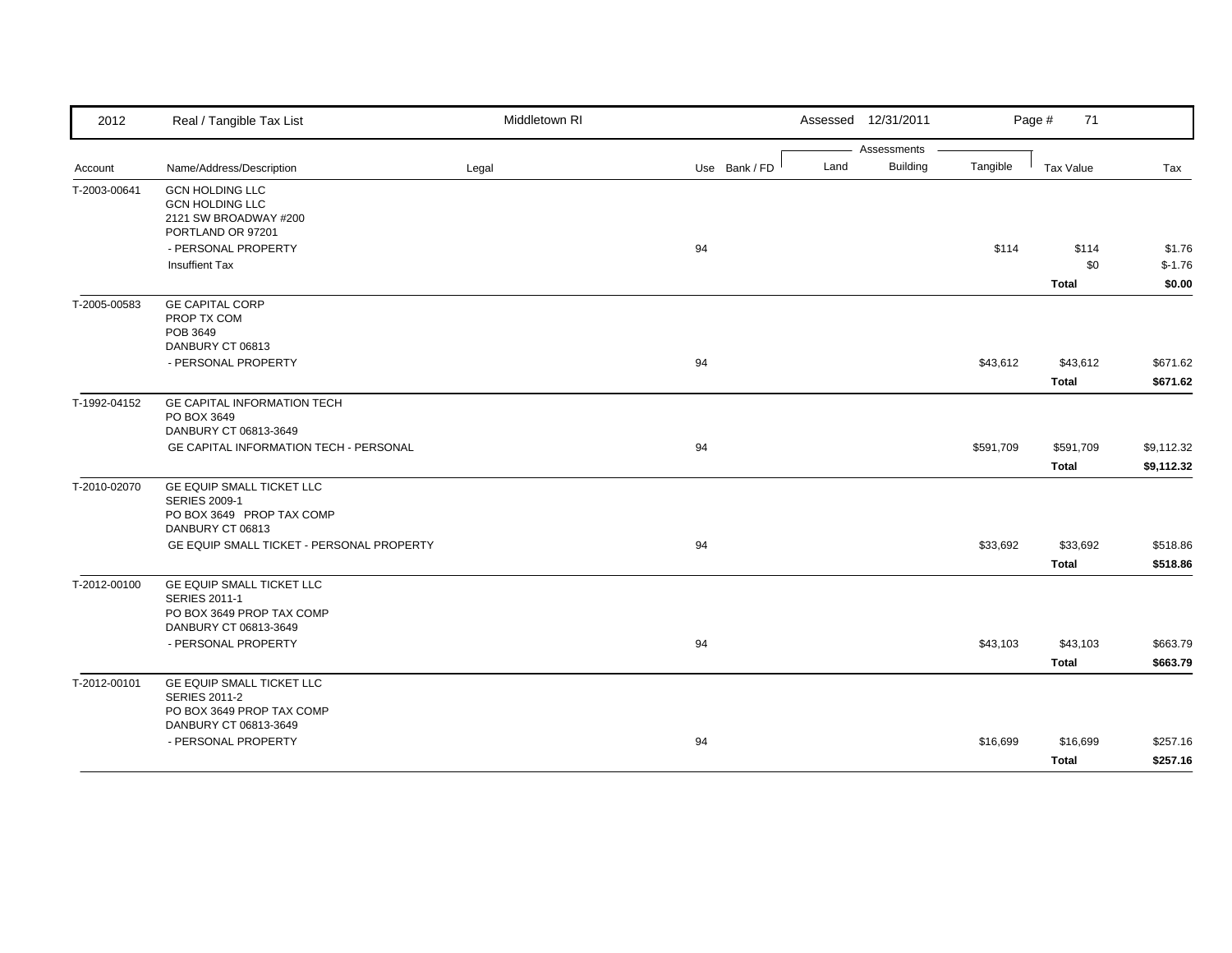| 2012         | Real / Tangible Tax List                                                                                | Middletown RI |               |      | Assessed 12/31/2011            |           | Page #<br>71                 |                              |
|--------------|---------------------------------------------------------------------------------------------------------|---------------|---------------|------|--------------------------------|-----------|------------------------------|------------------------------|
| Account      | Name/Address/Description                                                                                | Legal         | Use Bank / FD | Land | Assessments<br><b>Building</b> | Tangible  | Tax Value                    | Tax                          |
| T-2003-00641 | <b>GCN HOLDING LLC</b><br><b>GCN HOLDING LLC</b><br>2121 SW BROADWAY #200<br>PORTLAND OR 97201          |               |               |      |                                |           |                              |                              |
|              | - PERSONAL PROPERTY<br><b>Insuffient Tax</b>                                                            |               | 94            |      |                                | \$114     | \$114<br>\$0<br><b>Total</b> | \$1.76<br>$$-1.76$<br>\$0.00 |
| T-2005-00583 | <b>GE CAPITAL CORP</b><br>PROP TX COM<br>POB 3649<br>DANBURY CT 06813                                   |               |               |      |                                |           |                              |                              |
|              | - PERSONAL PROPERTY                                                                                     |               | 94            |      |                                | \$43,612  | \$43,612<br><b>Total</b>     | \$671.62<br>\$671.62         |
| T-1992-04152 | GE CAPITAL INFORMATION TECH<br>PO BOX 3649<br>DANBURY CT 06813-3649                                     |               |               |      |                                |           |                              |                              |
|              | GE CAPITAL INFORMATION TECH - PERSONAL                                                                  |               | 94            |      |                                | \$591,709 | \$591,709<br><b>Total</b>    | \$9,112.32<br>\$9,112.32     |
| T-2010-02070 | GE EQUIP SMALL TICKET LLC<br><b>SERIES 2009-1</b><br>PO BOX 3649 PROP TAX COMP<br>DANBURY CT 06813      |               |               |      |                                |           |                              |                              |
|              | GE EQUIP SMALL TICKET - PERSONAL PROPERTY                                                               |               | 94            |      |                                | \$33,692  | \$33,692<br><b>Total</b>     | \$518.86<br>\$518.86         |
| T-2012-00100 | GE EQUIP SMALL TICKET LLC<br><b>SERIES 2011-1</b><br>PO BOX 3649 PROP TAX COMP<br>DANBURY CT 06813-3649 |               |               |      |                                |           |                              |                              |
|              | - PERSONAL PROPERTY                                                                                     |               | 94            |      |                                | \$43,103  | \$43,103<br><b>Total</b>     | \$663.79<br>\$663.79         |
| T-2012-00101 | GE EQUIP SMALL TICKET LLC<br><b>SERIES 2011-2</b><br>PO BOX 3649 PROP TAX COMP                          |               |               |      |                                |           |                              |                              |
|              | DANBURY CT 06813-3649<br>- PERSONAL PROPERTY                                                            |               | 94            |      |                                | \$16,699  | \$16,699<br>Total            | \$257.16<br>\$257.16         |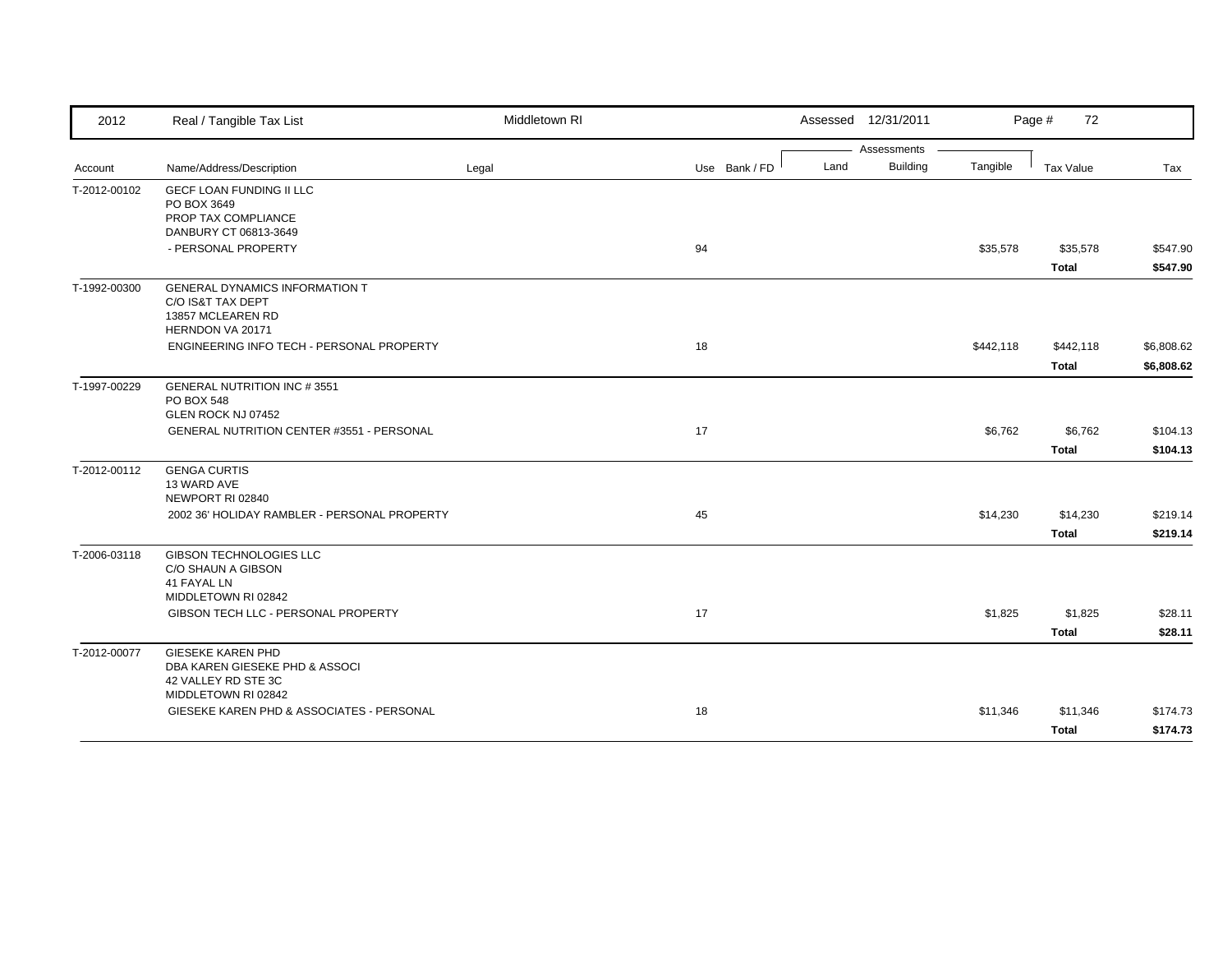| 2012         | Real / Tangible Tax List                         | Middletown RI |               | Assessed 12/31/2011     |           | Page #<br>72     |            |
|--------------|--------------------------------------------------|---------------|---------------|-------------------------|-----------|------------------|------------|
|              |                                                  |               |               | Assessments             |           |                  |            |
| Account      | Name/Address/Description                         | Legal         | Use Bank / FD | <b>Building</b><br>Land | Tangible  | <b>Tax Value</b> | Tax        |
| T-2012-00102 | <b>GECF LOAN FUNDING II LLC</b>                  |               |               |                         |           |                  |            |
|              | PO BOX 3649<br>PROP TAX COMPLIANCE               |               |               |                         |           |                  |            |
|              | DANBURY CT 06813-3649                            |               |               |                         |           |                  |            |
|              | - PERSONAL PROPERTY                              |               | 94            |                         | \$35,578  | \$35,578         | \$547.90   |
|              |                                                  |               |               |                         |           | <b>Total</b>     | \$547.90   |
| T-1992-00300 | <b>GENERAL DYNAMICS INFORMATION T</b>            |               |               |                         |           |                  |            |
|              | C/O IS&T TAX DEPT                                |               |               |                         |           |                  |            |
|              | 13857 MCLEAREN RD<br>HERNDON VA 20171            |               |               |                         |           |                  |            |
|              | ENGINEERING INFO TECH - PERSONAL PROPERTY        |               | 18            |                         | \$442,118 | \$442,118        | \$6,808.62 |
|              |                                                  |               |               |                         |           | <b>Total</b>     | \$6,808.62 |
|              |                                                  |               |               |                         |           |                  |            |
| T-1997-00229 | <b>GENERAL NUTRITION INC #3551</b><br>PO BOX 548 |               |               |                         |           |                  |            |
|              | GLEN ROCK NJ 07452                               |               |               |                         |           |                  |            |
|              | <b>GENERAL NUTRITION CENTER #3551 - PERSONAL</b> |               | 17            |                         | \$6,762   | \$6,762          | \$104.13   |
|              |                                                  |               |               |                         |           | <b>Total</b>     | \$104.13   |
| T-2012-00112 | <b>GENGA CURTIS</b>                              |               |               |                         |           |                  |            |
|              | 13 WARD AVE                                      |               |               |                         |           |                  |            |
|              | NEWPORT RI 02840                                 |               | 45            |                         |           |                  | \$219.14   |
|              | 2002 36' HOLIDAY RAMBLER - PERSONAL PROPERTY     |               |               |                         | \$14,230  | \$14,230         |            |
|              |                                                  |               |               |                         |           | <b>Total</b>     | \$219.14   |
| T-2006-03118 | <b>GIBSON TECHNOLOGIES LLC</b>                   |               |               |                         |           |                  |            |
|              | C/O SHAUN A GIBSON<br>41 FAYAL LN                |               |               |                         |           |                  |            |
|              | MIDDLETOWN RI 02842                              |               |               |                         |           |                  |            |
|              | GIBSON TECH LLC - PERSONAL PROPERTY              |               | 17            |                         | \$1,825   | \$1,825          | \$28.11    |
|              |                                                  |               |               |                         |           | <b>Total</b>     | \$28.11    |
| T-2012-00077 | <b>GIESEKE KAREN PHD</b>                         |               |               |                         |           |                  |            |
|              | DBA KAREN GIESEKE PHD & ASSOCI                   |               |               |                         |           |                  |            |
|              | 42 VALLEY RD STE 3C<br>MIDDLETOWN RI 02842       |               |               |                         |           |                  |            |
|              | GIESEKE KAREN PHD & ASSOCIATES - PERSONAL        |               | 18            |                         | \$11,346  | \$11,346         | \$174.73   |
|              |                                                  |               |               |                         |           |                  |            |
|              |                                                  |               |               |                         |           | <b>Total</b>     | \$174.73   |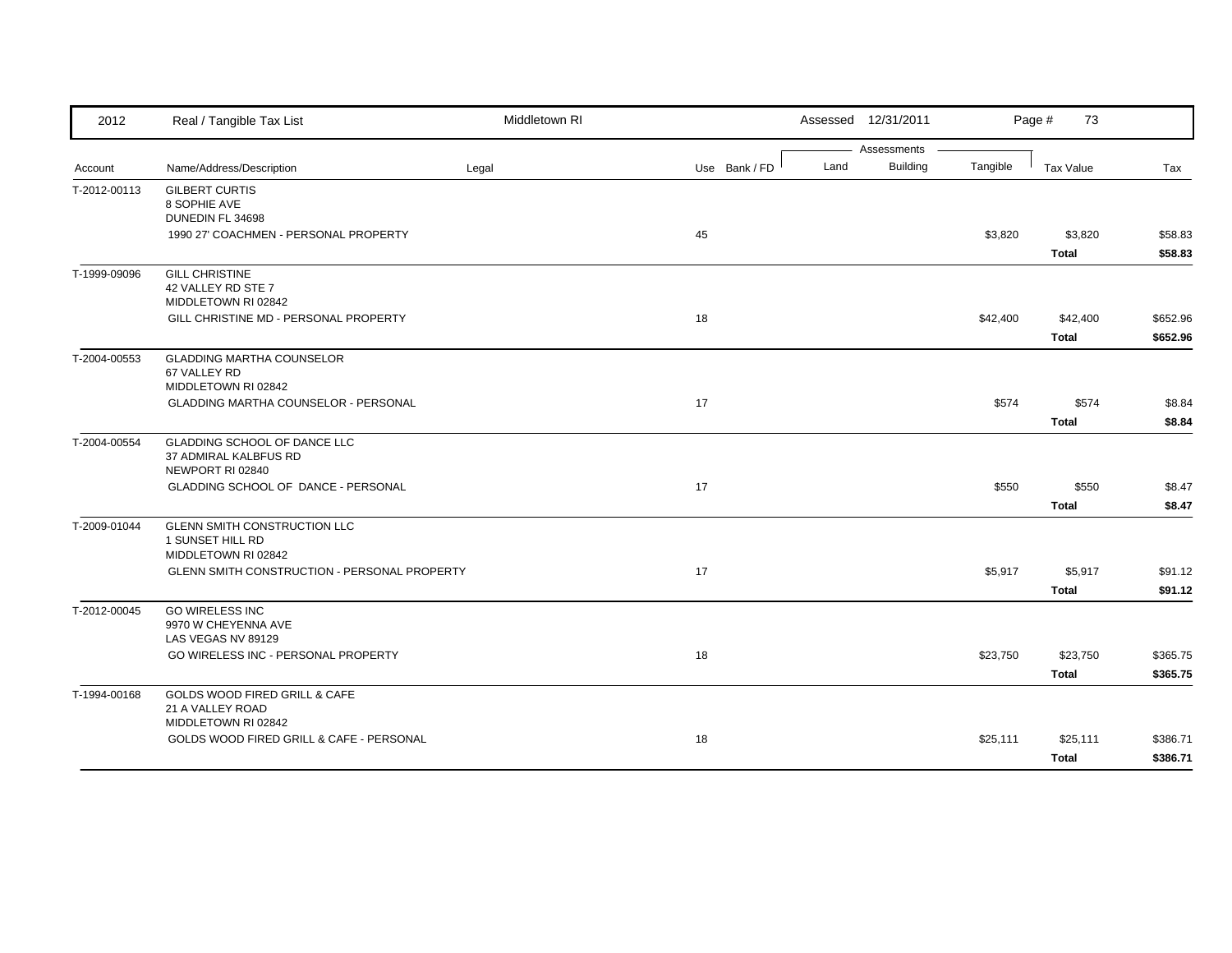| 2012         | Real / Tangible Tax List                                                  | Middletown RI |               |      | Assessed 12/31/2011            |          | Page #<br>73             |                      |
|--------------|---------------------------------------------------------------------------|---------------|---------------|------|--------------------------------|----------|--------------------------|----------------------|
| Account      | Name/Address/Description                                                  | Legal         | Use Bank / FD | Land | Assessments<br><b>Building</b> | Tangible | <b>Tax Value</b>         | Tax                  |
| T-2012-00113 | <b>GILBERT CURTIS</b><br>8 SOPHIE AVE<br>DUNEDIN FL 34698                 |               |               |      |                                |          |                          |                      |
|              | 1990 27' COACHMEN - PERSONAL PROPERTY                                     |               | 45            |      |                                | \$3,820  | \$3,820<br><b>Total</b>  | \$58.83<br>\$58.83   |
| T-1999-09096 | <b>GILL CHRISTINE</b><br>42 VALLEY RD STE 7<br>MIDDLETOWN RI 02842        |               |               |      |                                |          |                          |                      |
|              | GILL CHRISTINE MD - PERSONAL PROPERTY                                     |               | 18            |      |                                | \$42,400 | \$42,400<br><b>Total</b> | \$652.96<br>\$652.96 |
| T-2004-00553 | <b>GLADDING MARTHA COUNSELOR</b><br>67 VALLEY RD<br>MIDDLETOWN RI 02842   |               |               |      |                                |          |                          |                      |
|              | <b>GLADDING MARTHA COUNSELOR - PERSONAL</b>                               |               | 17            |      |                                | \$574    | \$574<br><b>Total</b>    | \$8.84<br>\$8.84     |
| T-2004-00554 | GLADDING SCHOOL OF DANCE LLC<br>37 ADMIRAL KALBFUS RD<br>NEWPORT RI 02840 |               |               |      |                                |          |                          |                      |
|              | GLADDING SCHOOL OF DANCE - PERSONAL                                       |               | 17            |      |                                | \$550    | \$550<br><b>Total</b>    | \$8.47<br>\$8.47     |
| T-2009-01044 | GLENN SMITH CONSTRUCTION LLC<br>1 SUNSET HILL RD<br>MIDDLETOWN RI 02842   |               |               |      |                                |          |                          |                      |
|              | GLENN SMITH CONSTRUCTION - PERSONAL PROPERTY                              |               | 17            |      |                                | \$5,917  | \$5,917<br><b>Total</b>  | \$91.12<br>\$91.12   |
| T-2012-00045 | <b>GO WIRELESS INC</b><br>9970 W CHEYENNA AVE<br>LAS VEGAS NV 89129       |               |               |      |                                |          |                          |                      |
|              | GO WIRELESS INC - PERSONAL PROPERTY                                       |               | 18            |      |                                | \$23,750 | \$23,750<br><b>Total</b> | \$365.75<br>\$365.75 |
| T-1994-00168 | GOLDS WOOD FIRED GRILL & CAFE<br>21 A VALLEY ROAD<br>MIDDLETOWN RI 02842  |               |               |      |                                |          |                          |                      |
|              | GOLDS WOOD FIRED GRILL & CAFE - PERSONAL                                  |               | 18            |      |                                | \$25,111 | \$25,111<br><b>Total</b> | \$386.71<br>\$386.71 |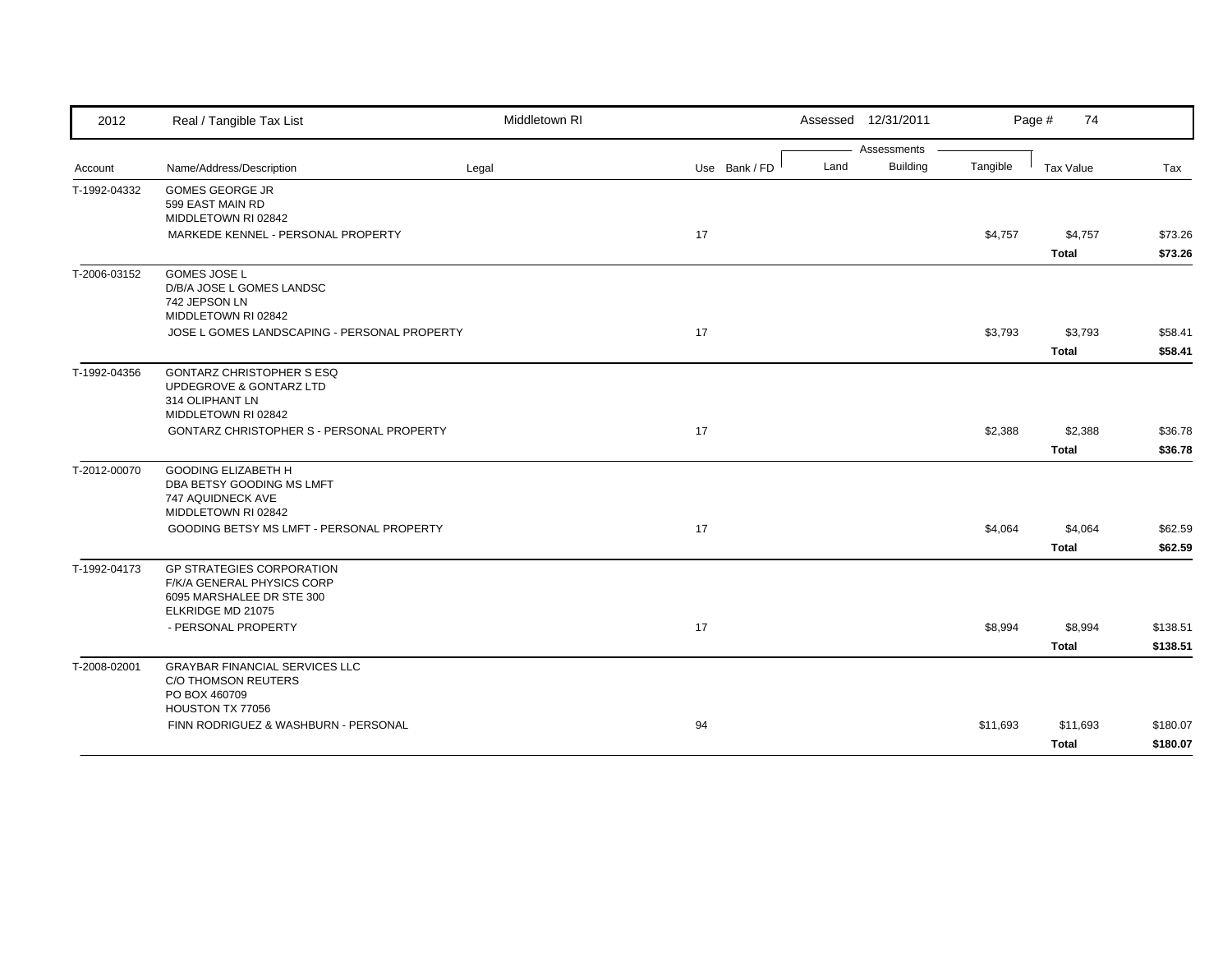| 2012         | Real / Tangible Tax List                                     | Middletown RI |               | Assessed 12/31/2011 |                 |          | Page #<br>74     |          |
|--------------|--------------------------------------------------------------|---------------|---------------|---------------------|-----------------|----------|------------------|----------|
|              |                                                              |               |               |                     | Assessments     |          |                  |          |
| Account      | Name/Address/Description                                     | Legal         | Use Bank / FD | Land                | <b>Building</b> | Tangible | <b>Tax Value</b> | Tax      |
| T-1992-04332 | <b>GOMES GEORGE JR</b>                                       |               |               |                     |                 |          |                  |          |
|              | 599 EAST MAIN RD<br>MIDDLETOWN RI 02842                      |               |               |                     |                 |          |                  |          |
|              | MARKEDE KENNEL - PERSONAL PROPERTY                           |               | 17            |                     |                 | \$4,757  | \$4,757          | \$73.26  |
|              |                                                              |               |               |                     |                 |          | <b>Total</b>     | \$73.26  |
| T-2006-03152 | <b>GOMES JOSE L</b>                                          |               |               |                     |                 |          |                  |          |
|              | D/B/A JOSE L GOMES LANDSC                                    |               |               |                     |                 |          |                  |          |
|              | 742 JEPSON LN<br>MIDDLETOWN RI 02842                         |               |               |                     |                 |          |                  |          |
|              | JOSE L GOMES LANDSCAPING - PERSONAL PROPERTY                 |               | 17            |                     |                 | \$3,793  | \$3,793          | \$58.41  |
|              |                                                              |               |               |                     |                 |          | <b>Total</b>     | \$58.41  |
| T-1992-04356 | <b>GONTARZ CHRISTOPHER S ESQ</b>                             |               |               |                     |                 |          |                  |          |
|              | UPDEGROVE & GONTARZ LTD                                      |               |               |                     |                 |          |                  |          |
|              | 314 OLIPHANT LN                                              |               |               |                     |                 |          |                  |          |
|              | MIDDLETOWN RI 02842                                          |               |               |                     |                 |          |                  |          |
|              | <b>GONTARZ CHRISTOPHER S - PERSONAL PROPERTY</b>             |               | 17            |                     |                 | \$2,388  | \$2,388          | \$36.78  |
|              |                                                              |               |               |                     |                 |          | <b>Total</b>     | \$36.78  |
| T-2012-00070 | <b>GOODING ELIZABETH H</b>                                   |               |               |                     |                 |          |                  |          |
|              | DBA BETSY GOODING MS LMFT<br>747 AQUIDNECK AVE               |               |               |                     |                 |          |                  |          |
|              | MIDDLETOWN RI 02842                                          |               |               |                     |                 |          |                  |          |
|              | GOODING BETSY MS LMFT - PERSONAL PROPERTY                    |               | 17            |                     |                 | \$4,064  | \$4,064          | \$62.59  |
|              |                                                              |               |               |                     |                 |          | <b>Total</b>     | \$62.59  |
| T-1992-04173 | <b>GP STRATEGIES CORPORATION</b>                             |               |               |                     |                 |          |                  |          |
|              | F/K/A GENERAL PHYSICS CORP                                   |               |               |                     |                 |          |                  |          |
|              | 6095 MARSHALEE DR STE 300<br>ELKRIDGE MD 21075               |               |               |                     |                 |          |                  |          |
|              | - PERSONAL PROPERTY                                          |               | 17            |                     |                 | \$8,994  | \$8,994          | \$138.51 |
|              |                                                              |               |               |                     |                 |          |                  |          |
|              |                                                              |               |               |                     |                 |          | <b>Total</b>     | \$138.51 |
| T-2008-02001 | <b>GRAYBAR FINANCIAL SERVICES LLC</b><br>C/O THOMSON REUTERS |               |               |                     |                 |          |                  |          |
|              | PO BOX 460709                                                |               |               |                     |                 |          |                  |          |
|              | HOUSTON TX 77056                                             |               |               |                     |                 |          |                  |          |
|              | FINN RODRIGUEZ & WASHBURN - PERSONAL                         |               | 94            |                     |                 | \$11,693 | \$11,693         | \$180.07 |
|              |                                                              |               |               |                     |                 |          |                  |          |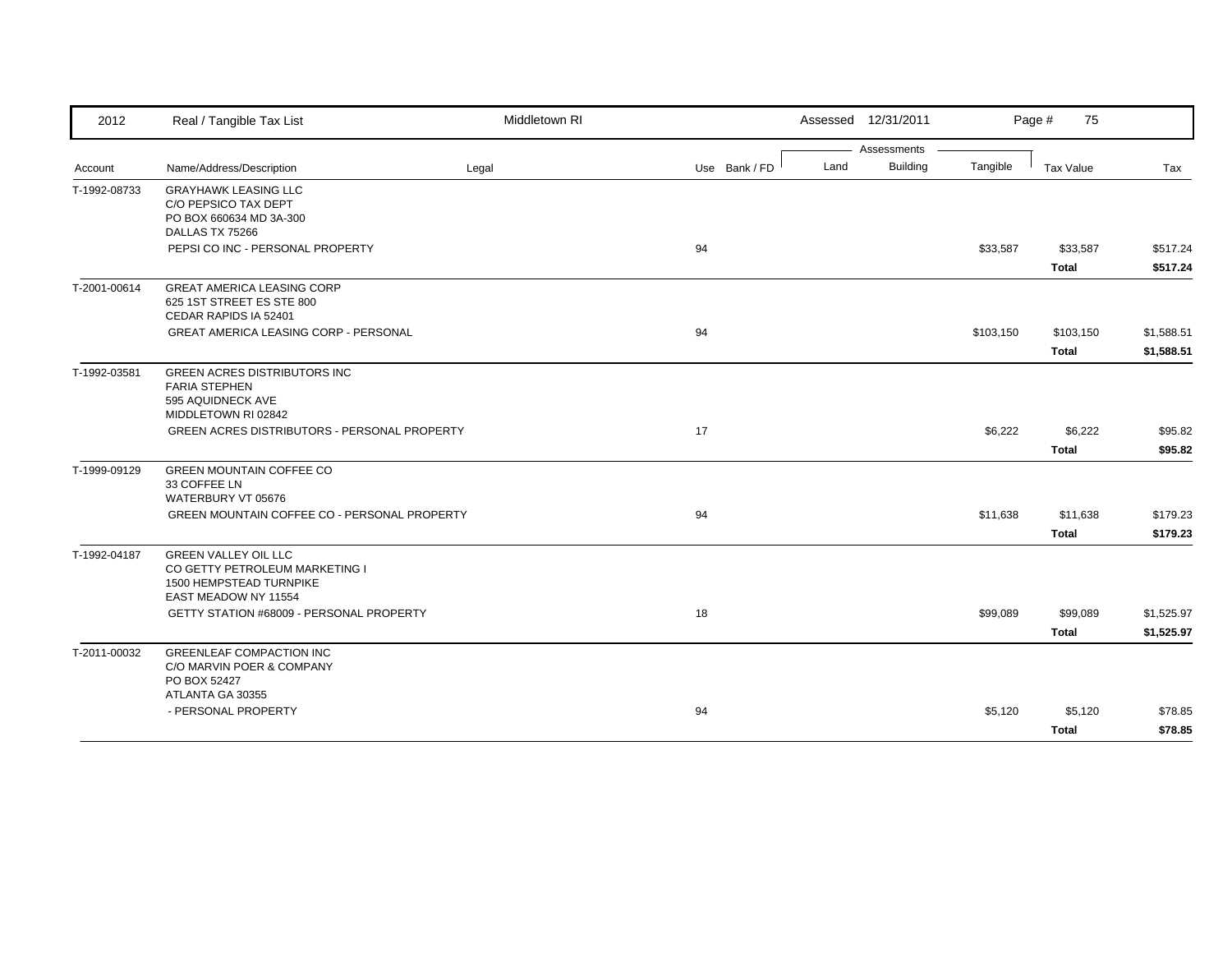| 2012         | Real / Tangible Tax List                                                                                                | Middletown RI |               |      | Assessed 12/31/2011 |           | Page #<br>75     |            |
|--------------|-------------------------------------------------------------------------------------------------------------------------|---------------|---------------|------|---------------------|-----------|------------------|------------|
|              |                                                                                                                         |               |               |      | Assessments         |           |                  |            |
| Account      | Name/Address/Description                                                                                                | Legal         | Use Bank / FD | Land | <b>Building</b>     | Tangible  | <b>Tax Value</b> | Tax        |
| T-1992-08733 | <b>GRAYHAWK LEASING LLC</b><br>C/O PEPSICO TAX DEPT<br>PO BOX 660634 MD 3A-300<br>DALLAS TX 75266                       |               |               |      |                     |           |                  |            |
|              | PEPSI CO INC - PERSONAL PROPERTY                                                                                        |               | 94            |      |                     | \$33,587  | \$33,587         | \$517.24   |
|              |                                                                                                                         |               |               |      |                     |           | <b>Total</b>     | \$517.24   |
| T-2001-00614 | <b>GREAT AMERICA LEASING CORP</b><br>625 1ST STREET ES STE 800<br>CEDAR RAPIDS IA 52401                                 |               |               |      |                     |           |                  |            |
|              | <b>GREAT AMERICA LEASING CORP - PERSONAL</b>                                                                            |               | 94            |      |                     | \$103,150 | \$103,150        | \$1,588.51 |
|              |                                                                                                                         |               |               |      |                     |           | <b>Total</b>     | \$1,588.51 |
| T-1992-03581 | <b>GREEN ACRES DISTRIBUTORS INC</b><br><b>FARIA STEPHEN</b><br>595 AQUIDNECK AVE<br>MIDDLETOWN RI 02842                 |               |               |      |                     |           |                  |            |
|              | GREEN ACRES DISTRIBUTORS - PERSONAL PROPERTY                                                                            |               | 17            |      |                     | \$6,222   | \$6,222          | \$95.82    |
|              |                                                                                                                         |               |               |      |                     |           | <b>Total</b>     | \$95.82    |
| T-1999-09129 | <b>GREEN MOUNTAIN COFFEE CO</b><br>33 COFFEE LN<br>WATERBURY VT 05676                                                   |               |               |      |                     |           |                  |            |
|              | GREEN MOUNTAIN COFFEE CO - PERSONAL PROPERTY                                                                            |               | 94            |      |                     | \$11,638  | \$11,638         | \$179.23   |
|              |                                                                                                                         |               |               |      |                     |           | <b>Total</b>     | \$179.23   |
| T-1992-04187 | <b>GREEN VALLEY OIL LLC</b><br>CO GETTY PETROLEUM MARKETING I<br><b>1500 HEMPSTEAD TURNPIKE</b><br>EAST MEADOW NY 11554 |               |               |      |                     |           |                  |            |
|              | GETTY STATION #68009 - PERSONAL PROPERTY                                                                                |               | 18            |      |                     | \$99,089  | \$99,089         | \$1,525.97 |
|              |                                                                                                                         |               |               |      |                     |           | <b>Total</b>     | \$1,525.97 |
| T-2011-00032 | <b>GREENLEAF COMPACTION INC</b><br>C/O MARVIN POER & COMPANY<br>PO BOX 52427<br>ATLANTA GA 30355                        |               |               |      |                     |           |                  |            |
|              | - PERSONAL PROPERTY                                                                                                     |               | 94            |      |                     | \$5,120   | \$5,120          | \$78.85    |
|              |                                                                                                                         |               |               |      |                     |           | <b>Total</b>     | \$78.85    |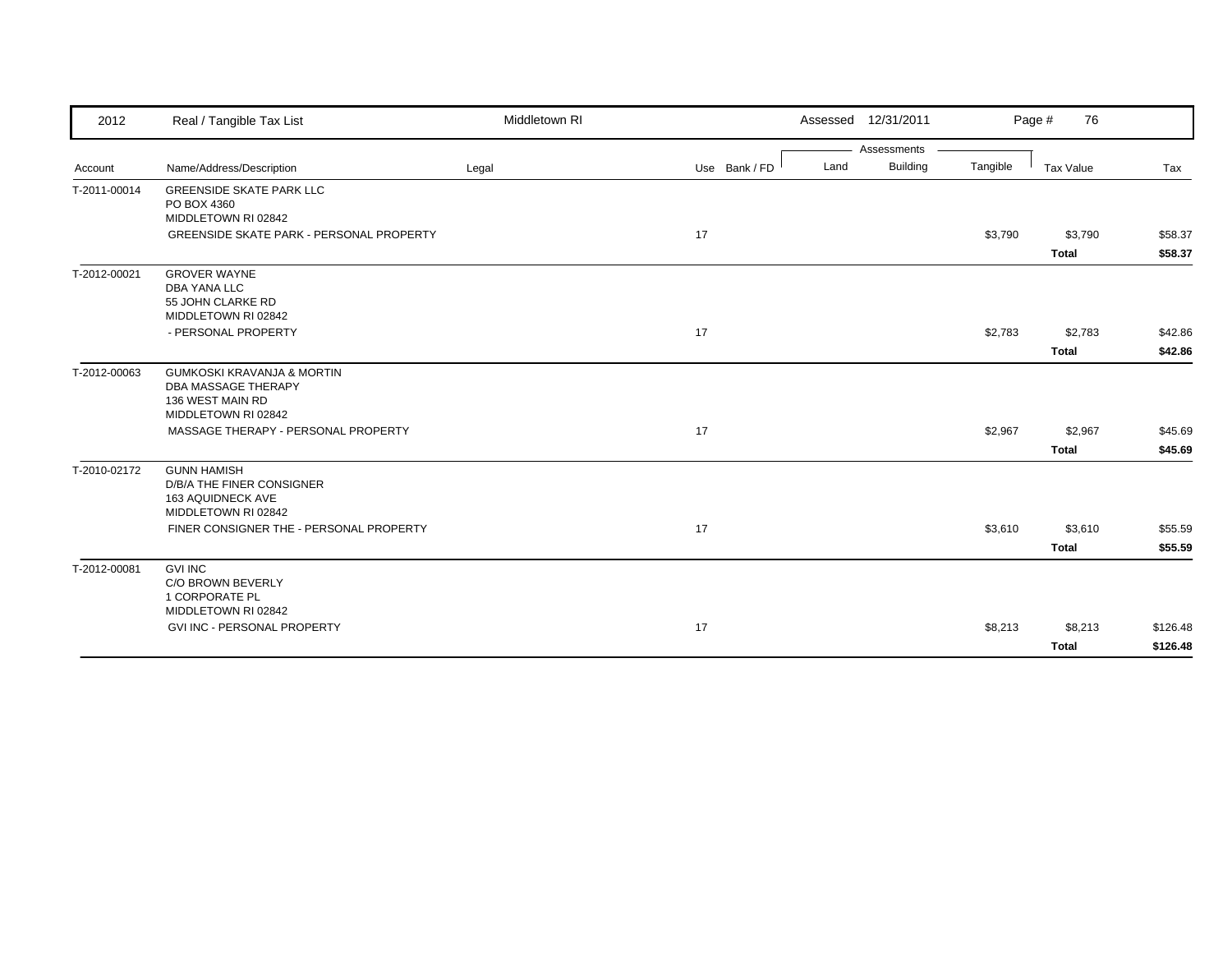| 2012         | Real / Tangible Tax List                              | Middletown RI |               |      | Assessed 12/31/2011 |          | Page #<br>76 |          |
|--------------|-------------------------------------------------------|---------------|---------------|------|---------------------|----------|--------------|----------|
|              |                                                       |               |               |      | Assessments         |          |              |          |
| Account      | Name/Address/Description                              | Legal         | Use Bank / FD | Land | Building            | Tangible | Tax Value    | Tax      |
| T-2011-00014 | <b>GREENSIDE SKATE PARK LLC</b><br>PO BOX 4360        |               |               |      |                     |          |              |          |
|              | MIDDLETOWN RI 02842                                   |               |               |      |                     |          |              |          |
|              | <b>GREENSIDE SKATE PARK - PERSONAL PROPERTY</b>       |               | 17            |      |                     | \$3,790  | \$3,790      | \$58.37  |
|              |                                                       |               |               |      |                     |          | <b>Total</b> | \$58.37  |
| T-2012-00021 | <b>GROVER WAYNE</b>                                   |               |               |      |                     |          |              |          |
|              | <b>DBA YANA LLC</b>                                   |               |               |      |                     |          |              |          |
|              | 55 JOHN CLARKE RD<br>MIDDLETOWN RI 02842              |               |               |      |                     |          |              |          |
|              | - PERSONAL PROPERTY                                   |               | 17            |      |                     | \$2,783  | \$2,783      | \$42.86  |
|              |                                                       |               |               |      |                     |          | <b>Total</b> | \$42.86  |
| T-2012-00063 | <b>GUMKOSKI KRAVANJA &amp; MORTIN</b>                 |               |               |      |                     |          |              |          |
|              | <b>DBA MASSAGE THERAPY</b>                            |               |               |      |                     |          |              |          |
|              | 136 WEST MAIN RD                                      |               |               |      |                     |          |              |          |
|              | MIDDLETOWN RI 02842                                   |               |               |      |                     |          |              |          |
|              | MASSAGE THERAPY - PERSONAL PROPERTY                   |               | 17            |      |                     | \$2,967  | \$2,967      | \$45.69  |
|              |                                                       |               |               |      |                     |          | <b>Total</b> | \$45.69  |
| T-2010-02172 | <b>GUNN HAMISH</b>                                    |               |               |      |                     |          |              |          |
|              | <b>D/B/A THE FINER CONSIGNER</b><br>163 AQUIDNECK AVE |               |               |      |                     |          |              |          |
|              | MIDDLETOWN RI 02842                                   |               |               |      |                     |          |              |          |
|              | FINER CONSIGNER THE - PERSONAL PROPERTY               |               | 17            |      |                     | \$3,610  | \$3,610      | \$55.59  |
|              |                                                       |               |               |      |                     |          | <b>Total</b> | \$55.59  |
| T-2012-00081 | <b>GVI INC</b>                                        |               |               |      |                     |          |              |          |
|              | C/O BROWN BEVERLY                                     |               |               |      |                     |          |              |          |
|              | 1 CORPORATE PL<br>MIDDLETOWN RI 02842                 |               |               |      |                     |          |              |          |
|              | GVI INC - PERSONAL PROPERTY                           |               | 17            |      |                     | \$8,213  | \$8,213      | \$126.48 |
|              |                                                       |               |               |      |                     |          | <b>Total</b> | \$126.48 |
|              |                                                       |               |               |      |                     |          |              |          |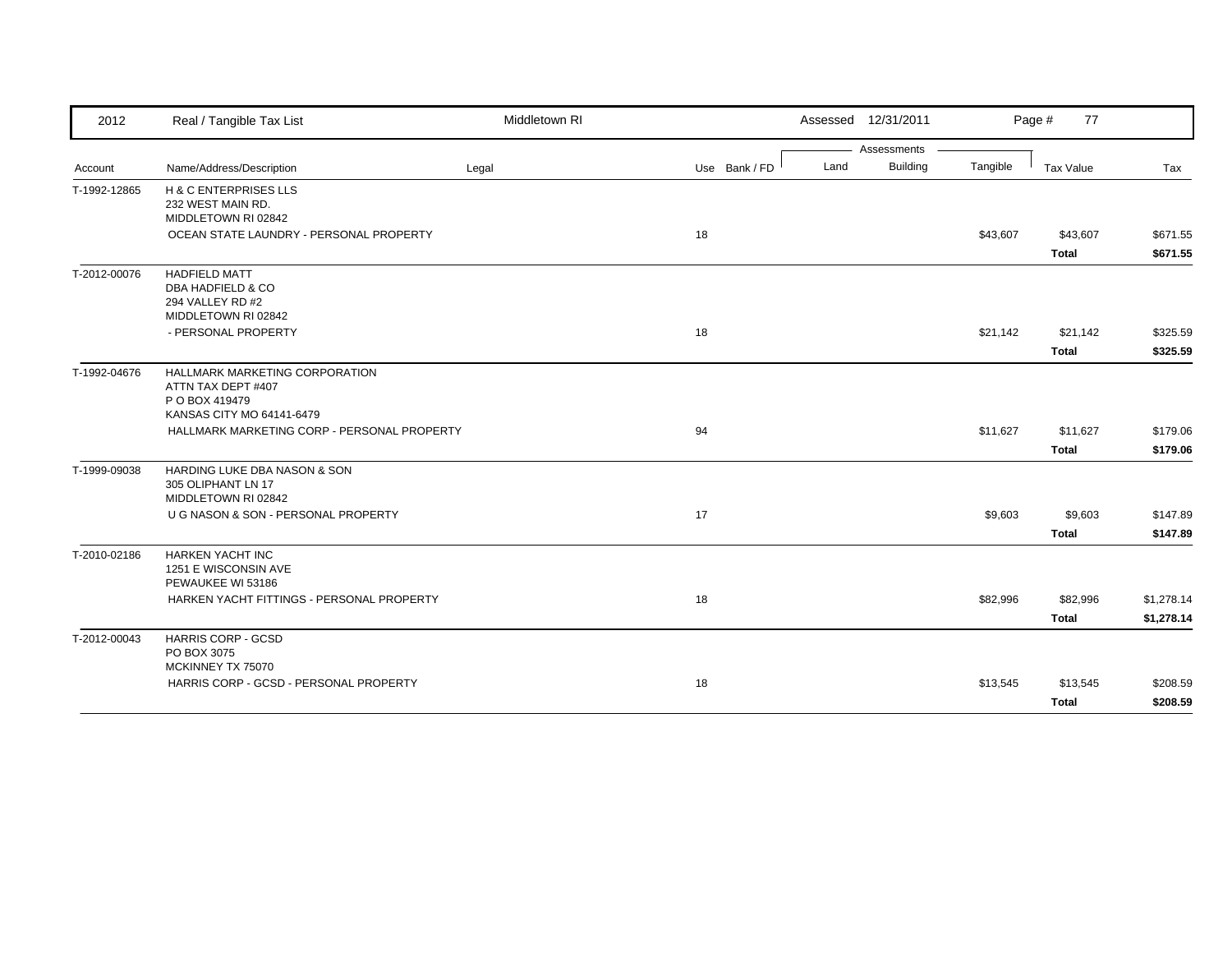| 2012         | Real / Tangible Tax List                                                                            | Middletown RI |               |      | Assessed 12/31/2011 |          | Page #<br>77             |                          |
|--------------|-----------------------------------------------------------------------------------------------------|---------------|---------------|------|---------------------|----------|--------------------------|--------------------------|
|              |                                                                                                     |               |               |      | Assessments         |          |                          |                          |
| Account      | Name/Address/Description                                                                            | Legal         | Use Bank / FD | Land | <b>Building</b>     | Tangible | Tax Value                | Tax                      |
| T-1992-12865 | H & C ENTERPRISES LLS<br>232 WEST MAIN RD.<br>MIDDLETOWN RI 02842                                   |               |               |      |                     |          |                          |                          |
|              | OCEAN STATE LAUNDRY - PERSONAL PROPERTY                                                             |               | 18            |      |                     | \$43,607 | \$43,607<br><b>Total</b> | \$671.55<br>\$671.55     |
| T-2012-00076 | <b>HADFIELD MATT</b><br><b>DBA HADFIELD &amp; CO</b><br>294 VALLEY RD #2<br>MIDDLETOWN RI 02842     |               |               |      |                     |          |                          |                          |
|              | - PERSONAL PROPERTY                                                                                 |               | 18            |      |                     | \$21,142 | \$21,142<br><b>Total</b> | \$325.59<br>\$325.59     |
| T-1992-04676 | HALLMARK MARKETING CORPORATION<br>ATTN TAX DEPT #407<br>P O BOX 419479<br>KANSAS CITY MO 64141-6479 |               |               |      |                     |          |                          |                          |
|              | HALLMARK MARKETING CORP - PERSONAL PROPERTY                                                         |               | 94            |      |                     | \$11,627 | \$11,627<br><b>Total</b> | \$179.06<br>\$179.06     |
| T-1999-09038 | HARDING LUKE DBA NASON & SON<br>305 OLIPHANT LN 17<br>MIDDLETOWN RI 02842                           |               |               |      |                     |          |                          |                          |
|              | U G NASON & SON - PERSONAL PROPERTY                                                                 |               | 17            |      |                     | \$9,603  | \$9,603<br><b>Total</b>  | \$147.89<br>\$147.89     |
| T-2010-02186 | <b>HARKEN YACHT INC</b><br>1251 E WISCONSIN AVE<br>PEWAUKEE WI 53186                                |               |               |      |                     |          |                          |                          |
|              | HARKEN YACHT FITTINGS - PERSONAL PROPERTY                                                           |               | 18            |      |                     | \$82,996 | \$82,996<br><b>Total</b> | \$1,278.14<br>\$1,278.14 |
| T-2012-00043 | <b>HARRIS CORP - GCSD</b><br>PO BOX 3075<br>MCKINNEY TX 75070                                       |               |               |      |                     |          |                          |                          |
|              | HARRIS CORP - GCSD - PERSONAL PROPERTY                                                              |               | 18            |      |                     | \$13,545 | \$13,545<br><b>Total</b> | \$208.59<br>\$208.59     |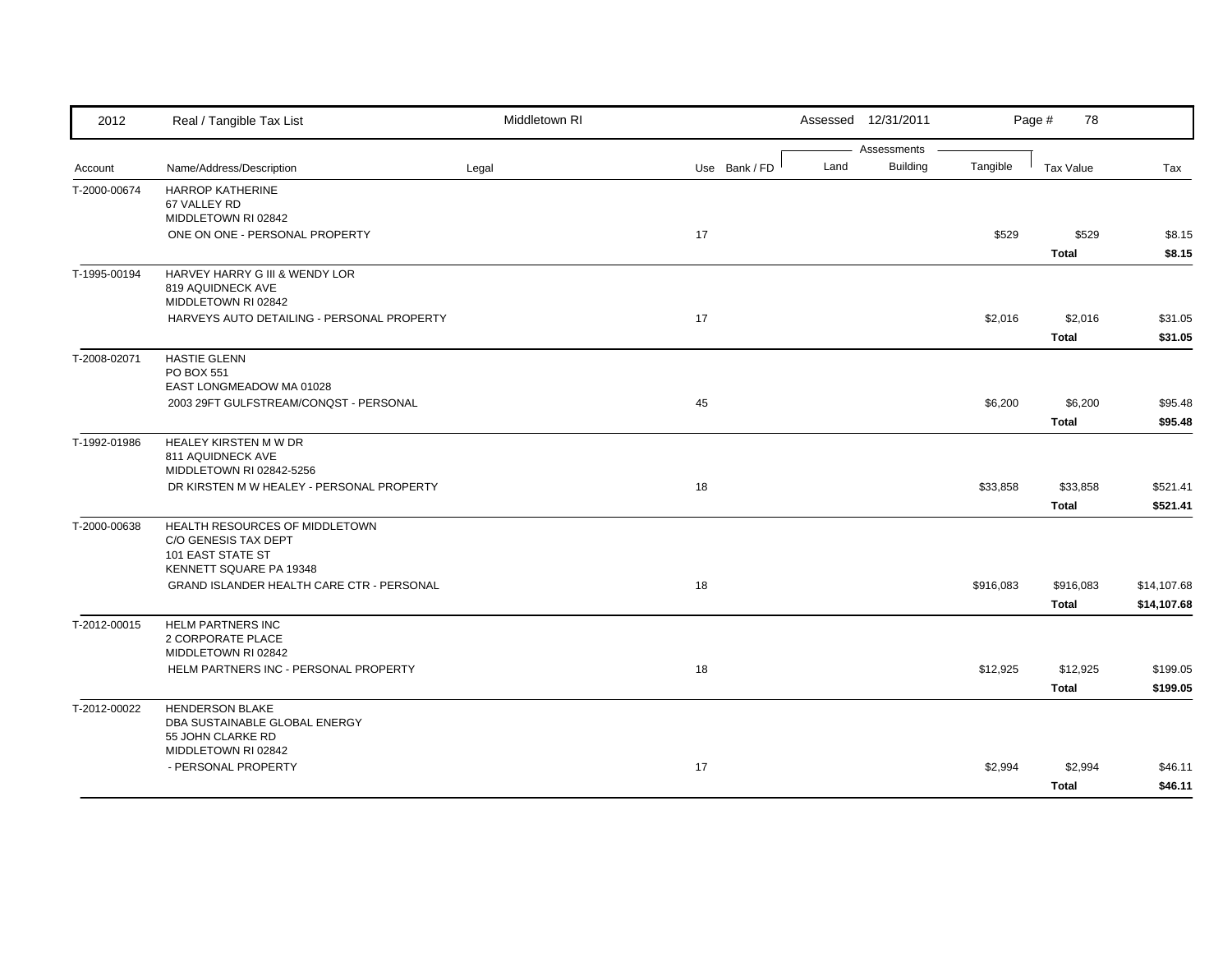| Assessments<br><b>Building</b><br>Tangible<br>Name/Address/Description<br>Use Bank / FD<br>Land<br>Tax Value<br>Tax<br>Legal<br>Account<br><b>HARROP KATHERINE</b><br>T-2000-00674<br>67 VALLEY RD<br>MIDDLETOWN RI 02842<br>ONE ON ONE - PERSONAL PROPERTY<br>17<br>\$529<br>\$529<br>\$8.15<br><b>Total</b><br>HARVEY HARRY G III & WENDY LOR<br>819 AQUIDNECK AVE<br>MIDDLETOWN RI 02842<br>17<br>HARVEYS AUTO DETAILING - PERSONAL PROPERTY<br>\$2,016<br>\$2,016<br><b>Total</b><br><b>HASTIE GLENN</b><br>PO BOX 551<br>EAST LONGMEADOW MA 01028<br>2003 29FT GULFSTREAM/CONQST - PERSONAL<br>45<br>\$6,200<br>\$6,200<br><b>Total</b><br>HEALEY KIRSTEN M W DR<br>811 AQUIDNECK AVE<br>MIDDLETOWN RI 02842-5256<br>DR KIRSTEN M W HEALEY - PERSONAL PROPERTY<br>18<br>\$33,858<br>\$33,858<br><b>Total</b><br>HEALTH RESOURCES OF MIDDLETOWN<br>C/O GENESIS TAX DEPT<br><b>101 EAST STATE ST</b><br>KENNETT SQUARE PA 19348<br>GRAND ISLANDER HEALTH CARE CTR - PERSONAL<br>18<br>\$916,083<br>\$916,083<br><b>Total</b><br><b>HELM PARTNERS INC</b><br>2 CORPORATE PLACE<br>MIDDLETOWN RI 02842<br>HELM PARTNERS INC - PERSONAL PROPERTY<br>18<br>\$12,925<br>\$12,925<br><b>Total</b><br><b>HENDERSON BLAKE</b><br>DBA SUSTAINABLE GLOBAL ENERGY<br>55 JOHN CLARKE RD<br>MIDDLETOWN RI 02842<br>- PERSONAL PROPERTY<br>17<br>\$2,994<br>\$2,994 | 2012         | Real / Tangible Tax List | Middletown RI |  | Assessed 12/31/2011 | Page #<br>78 |         |
|----------------------------------------------------------------------------------------------------------------------------------------------------------------------------------------------------------------------------------------------------------------------------------------------------------------------------------------------------------------------------------------------------------------------------------------------------------------------------------------------------------------------------------------------------------------------------------------------------------------------------------------------------------------------------------------------------------------------------------------------------------------------------------------------------------------------------------------------------------------------------------------------------------------------------------------------------------------------------------------------------------------------------------------------------------------------------------------------------------------------------------------------------------------------------------------------------------------------------------------------------------------------------------------------------------------------------------------------------------|--------------|--------------------------|---------------|--|---------------------|--------------|---------|
|                                                                                                                                                                                                                                                                                                                                                                                                                                                                                                                                                                                                                                                                                                                                                                                                                                                                                                                                                                                                                                                                                                                                                                                                                                                                                                                                                          |              |                          |               |  |                     |              |         |
|                                                                                                                                                                                                                                                                                                                                                                                                                                                                                                                                                                                                                                                                                                                                                                                                                                                                                                                                                                                                                                                                                                                                                                                                                                                                                                                                                          |              |                          |               |  |                     |              |         |
|                                                                                                                                                                                                                                                                                                                                                                                                                                                                                                                                                                                                                                                                                                                                                                                                                                                                                                                                                                                                                                                                                                                                                                                                                                                                                                                                                          |              |                          |               |  |                     |              |         |
|                                                                                                                                                                                                                                                                                                                                                                                                                                                                                                                                                                                                                                                                                                                                                                                                                                                                                                                                                                                                                                                                                                                                                                                                                                                                                                                                                          |              |                          |               |  |                     |              |         |
|                                                                                                                                                                                                                                                                                                                                                                                                                                                                                                                                                                                                                                                                                                                                                                                                                                                                                                                                                                                                                                                                                                                                                                                                                                                                                                                                                          |              |                          |               |  |                     |              |         |
| \$31.05<br>\$31.05<br>\$95.48<br>\$95.48<br>\$521.41<br>\$521.41<br>\$14,107.68<br>\$14,107.68<br>\$199.05<br>\$199.05<br>\$46.11                                                                                                                                                                                                                                                                                                                                                                                                                                                                                                                                                                                                                                                                                                                                                                                                                                                                                                                                                                                                                                                                                                                                                                                                                        |              |                          |               |  |                     |              | \$8.15  |
|                                                                                                                                                                                                                                                                                                                                                                                                                                                                                                                                                                                                                                                                                                                                                                                                                                                                                                                                                                                                                                                                                                                                                                                                                                                                                                                                                          | T-1995-00194 |                          |               |  |                     |              |         |
|                                                                                                                                                                                                                                                                                                                                                                                                                                                                                                                                                                                                                                                                                                                                                                                                                                                                                                                                                                                                                                                                                                                                                                                                                                                                                                                                                          |              |                          |               |  |                     |              |         |
|                                                                                                                                                                                                                                                                                                                                                                                                                                                                                                                                                                                                                                                                                                                                                                                                                                                                                                                                                                                                                                                                                                                                                                                                                                                                                                                                                          |              |                          |               |  |                     |              |         |
|                                                                                                                                                                                                                                                                                                                                                                                                                                                                                                                                                                                                                                                                                                                                                                                                                                                                                                                                                                                                                                                                                                                                                                                                                                                                                                                                                          |              |                          |               |  |                     |              |         |
|                                                                                                                                                                                                                                                                                                                                                                                                                                                                                                                                                                                                                                                                                                                                                                                                                                                                                                                                                                                                                                                                                                                                                                                                                                                                                                                                                          |              |                          |               |  |                     |              |         |
|                                                                                                                                                                                                                                                                                                                                                                                                                                                                                                                                                                                                                                                                                                                                                                                                                                                                                                                                                                                                                                                                                                                                                                                                                                                                                                                                                          | T-2008-02071 |                          |               |  |                     |              |         |
|                                                                                                                                                                                                                                                                                                                                                                                                                                                                                                                                                                                                                                                                                                                                                                                                                                                                                                                                                                                                                                                                                                                                                                                                                                                                                                                                                          |              |                          |               |  |                     |              |         |
|                                                                                                                                                                                                                                                                                                                                                                                                                                                                                                                                                                                                                                                                                                                                                                                                                                                                                                                                                                                                                                                                                                                                                                                                                                                                                                                                                          |              |                          |               |  |                     |              |         |
|                                                                                                                                                                                                                                                                                                                                                                                                                                                                                                                                                                                                                                                                                                                                                                                                                                                                                                                                                                                                                                                                                                                                                                                                                                                                                                                                                          |              |                          |               |  |                     |              |         |
|                                                                                                                                                                                                                                                                                                                                                                                                                                                                                                                                                                                                                                                                                                                                                                                                                                                                                                                                                                                                                                                                                                                                                                                                                                                                                                                                                          | T-1992-01986 |                          |               |  |                     |              |         |
|                                                                                                                                                                                                                                                                                                                                                                                                                                                                                                                                                                                                                                                                                                                                                                                                                                                                                                                                                                                                                                                                                                                                                                                                                                                                                                                                                          |              |                          |               |  |                     |              |         |
|                                                                                                                                                                                                                                                                                                                                                                                                                                                                                                                                                                                                                                                                                                                                                                                                                                                                                                                                                                                                                                                                                                                                                                                                                                                                                                                                                          |              |                          |               |  |                     |              |         |
|                                                                                                                                                                                                                                                                                                                                                                                                                                                                                                                                                                                                                                                                                                                                                                                                                                                                                                                                                                                                                                                                                                                                                                                                                                                                                                                                                          |              |                          |               |  |                     |              |         |
|                                                                                                                                                                                                                                                                                                                                                                                                                                                                                                                                                                                                                                                                                                                                                                                                                                                                                                                                                                                                                                                                                                                                                                                                                                                                                                                                                          |              |                          |               |  |                     |              |         |
|                                                                                                                                                                                                                                                                                                                                                                                                                                                                                                                                                                                                                                                                                                                                                                                                                                                                                                                                                                                                                                                                                                                                                                                                                                                                                                                                                          | T-2000-00638 |                          |               |  |                     |              |         |
|                                                                                                                                                                                                                                                                                                                                                                                                                                                                                                                                                                                                                                                                                                                                                                                                                                                                                                                                                                                                                                                                                                                                                                                                                                                                                                                                                          |              |                          |               |  |                     |              |         |
|                                                                                                                                                                                                                                                                                                                                                                                                                                                                                                                                                                                                                                                                                                                                                                                                                                                                                                                                                                                                                                                                                                                                                                                                                                                                                                                                                          |              |                          |               |  |                     |              |         |
|                                                                                                                                                                                                                                                                                                                                                                                                                                                                                                                                                                                                                                                                                                                                                                                                                                                                                                                                                                                                                                                                                                                                                                                                                                                                                                                                                          |              |                          |               |  |                     |              |         |
|                                                                                                                                                                                                                                                                                                                                                                                                                                                                                                                                                                                                                                                                                                                                                                                                                                                                                                                                                                                                                                                                                                                                                                                                                                                                                                                                                          |              |                          |               |  |                     |              |         |
|                                                                                                                                                                                                                                                                                                                                                                                                                                                                                                                                                                                                                                                                                                                                                                                                                                                                                                                                                                                                                                                                                                                                                                                                                                                                                                                                                          | T-2012-00015 |                          |               |  |                     |              |         |
|                                                                                                                                                                                                                                                                                                                                                                                                                                                                                                                                                                                                                                                                                                                                                                                                                                                                                                                                                                                                                                                                                                                                                                                                                                                                                                                                                          |              |                          |               |  |                     |              |         |
|                                                                                                                                                                                                                                                                                                                                                                                                                                                                                                                                                                                                                                                                                                                                                                                                                                                                                                                                                                                                                                                                                                                                                                                                                                                                                                                                                          |              |                          |               |  |                     |              |         |
|                                                                                                                                                                                                                                                                                                                                                                                                                                                                                                                                                                                                                                                                                                                                                                                                                                                                                                                                                                                                                                                                                                                                                                                                                                                                                                                                                          |              |                          |               |  |                     |              |         |
|                                                                                                                                                                                                                                                                                                                                                                                                                                                                                                                                                                                                                                                                                                                                                                                                                                                                                                                                                                                                                                                                                                                                                                                                                                                                                                                                                          |              |                          |               |  |                     |              |         |
|                                                                                                                                                                                                                                                                                                                                                                                                                                                                                                                                                                                                                                                                                                                                                                                                                                                                                                                                                                                                                                                                                                                                                                                                                                                                                                                                                          | T-2012-00022 |                          |               |  |                     |              |         |
|                                                                                                                                                                                                                                                                                                                                                                                                                                                                                                                                                                                                                                                                                                                                                                                                                                                                                                                                                                                                                                                                                                                                                                                                                                                                                                                                                          |              |                          |               |  |                     |              |         |
|                                                                                                                                                                                                                                                                                                                                                                                                                                                                                                                                                                                                                                                                                                                                                                                                                                                                                                                                                                                                                                                                                                                                                                                                                                                                                                                                                          |              |                          |               |  |                     |              |         |
|                                                                                                                                                                                                                                                                                                                                                                                                                                                                                                                                                                                                                                                                                                                                                                                                                                                                                                                                                                                                                                                                                                                                                                                                                                                                                                                                                          |              |                          |               |  |                     |              |         |
|                                                                                                                                                                                                                                                                                                                                                                                                                                                                                                                                                                                                                                                                                                                                                                                                                                                                                                                                                                                                                                                                                                                                                                                                                                                                                                                                                          |              |                          |               |  |                     | Total        | \$46.11 |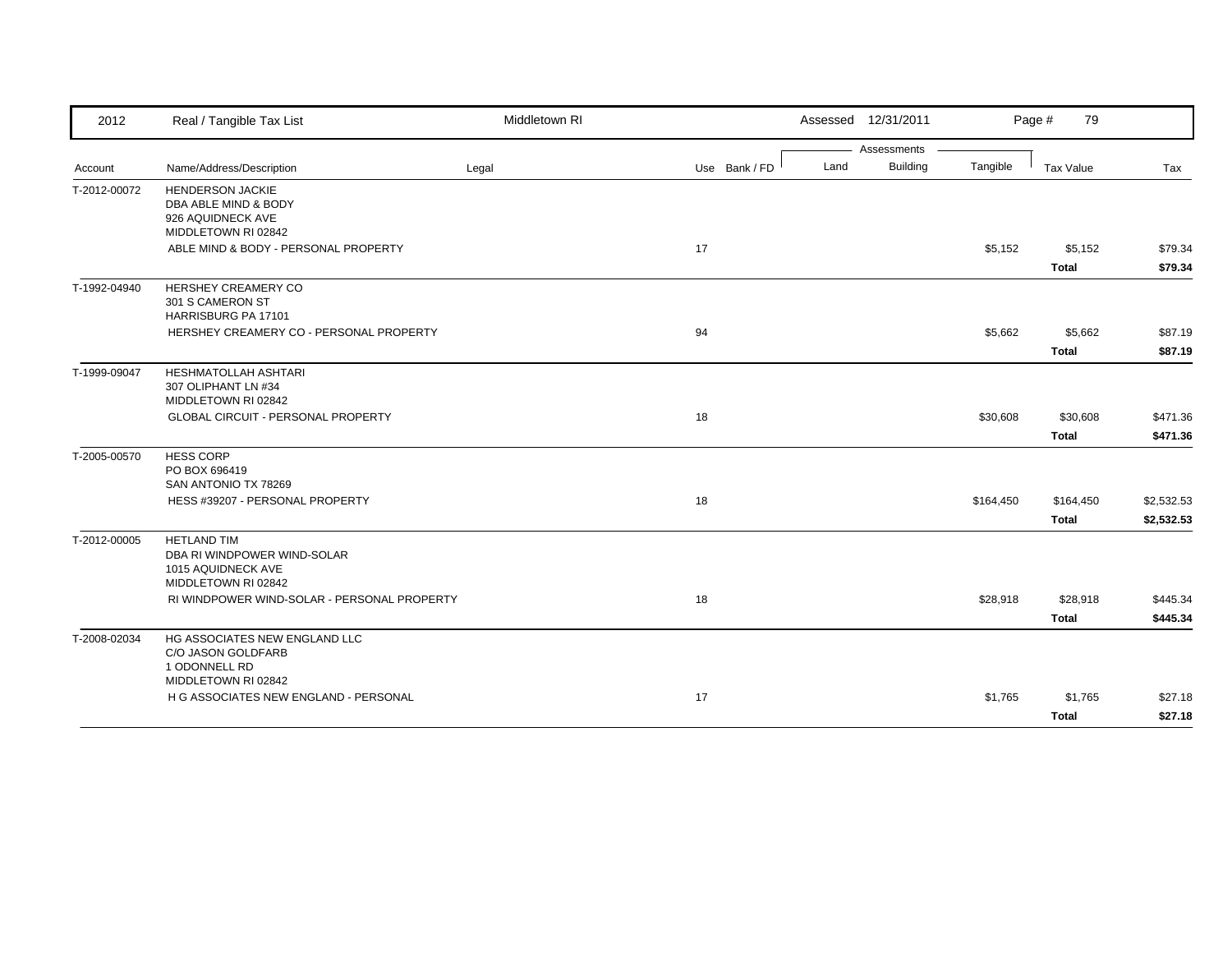| 2012         | Real / Tangible Tax List                                           | Middletown RI |               |      | Assessed 12/31/2011 |           | Page #<br>79     |            |
|--------------|--------------------------------------------------------------------|---------------|---------------|------|---------------------|-----------|------------------|------------|
|              |                                                                    |               |               |      | Assessments         |           |                  |            |
| Account      | Name/Address/Description                                           | Legal         | Use Bank / FD | Land | <b>Building</b>     | Tangible  | <b>Tax Value</b> | Tax        |
| T-2012-00072 | <b>HENDERSON JACKIE</b><br>DBA ABLE MIND & BODY                    |               |               |      |                     |           |                  |            |
|              | 926 AQUIDNECK AVE                                                  |               |               |      |                     |           |                  |            |
|              | MIDDLETOWN RI 02842                                                |               |               |      |                     |           |                  |            |
|              | ABLE MIND & BODY - PERSONAL PROPERTY                               |               | 17            |      |                     | \$5,152   | \$5,152          | \$79.34    |
|              |                                                                    |               |               |      |                     |           | <b>Total</b>     | \$79.34    |
| T-1992-04940 | HERSHEY CREAMERY CO                                                |               |               |      |                     |           |                  |            |
|              | 301 S CAMERON ST                                                   |               |               |      |                     |           |                  |            |
|              | HARRISBURG PA 17101                                                |               |               |      |                     |           |                  |            |
|              | HERSHEY CREAMERY CO - PERSONAL PROPERTY                            |               | 94            |      |                     | \$5,662   | \$5,662          | \$87.19    |
|              |                                                                    |               |               |      |                     |           | <b>Total</b>     | \$87.19    |
| T-1999-09047 | HESHMATOLLAH ASHTARI                                               |               |               |      |                     |           |                  |            |
|              | 307 OLIPHANT LN #34<br>MIDDLETOWN RI 02842                         |               |               |      |                     |           |                  |            |
|              | GLOBAL CIRCUIT - PERSONAL PROPERTY                                 |               | 18            |      |                     | \$30,608  | \$30,608         | \$471.36   |
|              |                                                                    |               |               |      |                     |           | Total            | \$471.36   |
|              |                                                                    |               |               |      |                     |           |                  |            |
| T-2005-00570 | <b>HESS CORP</b><br>PO BOX 696419                                  |               |               |      |                     |           |                  |            |
|              | SAN ANTONIO TX 78269                                               |               |               |      |                     |           |                  |            |
|              | HESS #39207 - PERSONAL PROPERTY                                    |               | 18            |      |                     | \$164,450 | \$164,450        | \$2,532.53 |
|              |                                                                    |               |               |      |                     |           | <b>Total</b>     | \$2,532.53 |
| T-2012-00005 | <b>HETLAND TIM</b>                                                 |               |               |      |                     |           |                  |            |
|              | DBA RI WINDPOWER WIND-SOLAR                                        |               |               |      |                     |           |                  |            |
|              | 1015 AQUIDNECK AVE                                                 |               |               |      |                     |           |                  |            |
|              | MIDDLETOWN RI 02842<br>RI WINDPOWER WIND-SOLAR - PERSONAL PROPERTY |               |               |      |                     |           |                  |            |
|              |                                                                    |               | 18            |      |                     | \$28,918  | \$28,918         | \$445.34   |
|              |                                                                    |               |               |      |                     |           | <b>Total</b>     | \$445.34   |
| T-2008-02034 | HG ASSOCIATES NEW ENGLAND LLC                                      |               |               |      |                     |           |                  |            |
|              | C/O JASON GOLDFARB<br>1 ODONNELL RD                                |               |               |      |                     |           |                  |            |
|              | MIDDLETOWN RI 02842                                                |               |               |      |                     |           |                  |            |
|              | H G ASSOCIATES NEW ENGLAND - PERSONAL                              |               | 17            |      |                     | \$1,765   | \$1,765          | \$27.18    |
|              |                                                                    |               |               |      |                     |           | <b>Total</b>     | \$27.18    |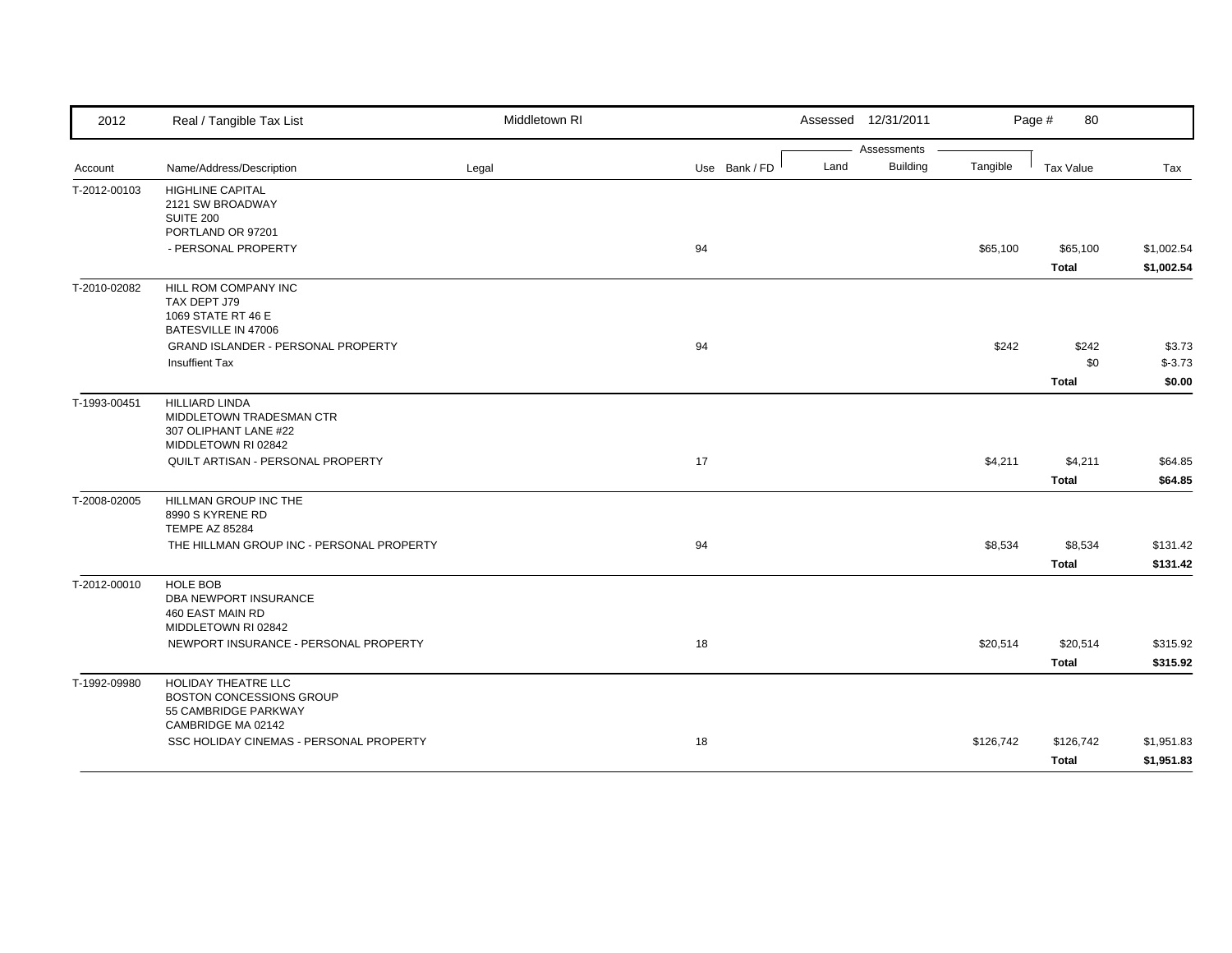| 2012         | Real / Tangible Tax List                                                                             | Middletown RI |               |      | Assessed 12/31/2011            |           | Page #<br>80                 |                               |
|--------------|------------------------------------------------------------------------------------------------------|---------------|---------------|------|--------------------------------|-----------|------------------------------|-------------------------------|
| Account      | Name/Address/Description                                                                             | Legal         | Use Bank / FD | Land | Assessments<br><b>Building</b> | Tangible  | Tax Value                    | Tax                           |
| T-2012-00103 | <b>HIGHLINE CAPITAL</b><br>2121 SW BROADWAY<br>SUITE 200<br>PORTLAND OR 97201                        |               |               |      |                                |           |                              |                               |
|              | - PERSONAL PROPERTY                                                                                  |               | 94            |      |                                | \$65,100  | \$65,100<br><b>Total</b>     | \$1,002.54<br>\$1,002.54      |
| T-2010-02082 | HILL ROM COMPANY INC<br>TAX DEPT J79<br>1069 STATE RT 46 E<br>BATESVILLE IN 47006                    |               |               |      |                                |           |                              |                               |
|              | GRAND ISLANDER - PERSONAL PROPERTY<br><b>Insuffient Tax</b>                                          |               | 94            |      |                                | \$242     | \$242<br>\$0<br><b>Total</b> | \$3.73<br>$$ -3.73$<br>\$0.00 |
| T-1993-00451 | <b>HILLIARD LINDA</b><br>MIDDLETOWN TRADESMAN CTR<br>307 OLIPHANT LANE #22<br>MIDDLETOWN RI 02842    |               |               |      |                                |           |                              |                               |
|              | QUILT ARTISAN - PERSONAL PROPERTY                                                                    |               | 17            |      |                                | \$4,211   | \$4,211<br><b>Total</b>      | \$64.85<br>\$64.85            |
| T-2008-02005 | HILLMAN GROUP INC THE<br>8990 S KYRENE RD<br><b>TEMPE AZ 85284</b>                                   |               |               |      |                                |           |                              |                               |
|              | THE HILLMAN GROUP INC - PERSONAL PROPERTY                                                            |               | 94            |      |                                | \$8,534   | \$8,534<br><b>Total</b>      | \$131.42<br>\$131.42          |
| T-2012-00010 | <b>HOLE BOB</b><br>DBA NEWPORT INSURANCE<br>460 EAST MAIN RD<br>MIDDLETOWN RI 02842                  |               |               |      |                                |           |                              |                               |
|              | NEWPORT INSURANCE - PERSONAL PROPERTY                                                                |               | 18            |      |                                | \$20,514  | \$20,514<br><b>Total</b>     | \$315.92<br>\$315.92          |
| T-1992-09980 | HOLIDAY THEATRE LLC<br><b>BOSTON CONCESSIONS GROUP</b><br>55 CAMBRIDGE PARKWAY<br>CAMBRIDGE MA 02142 |               |               |      |                                |           |                              |                               |
|              | SSC HOLIDAY CINEMAS - PERSONAL PROPERTY                                                              |               | 18            |      |                                | \$126,742 | \$126,742<br>Total           | \$1,951.83<br>\$1,951.83      |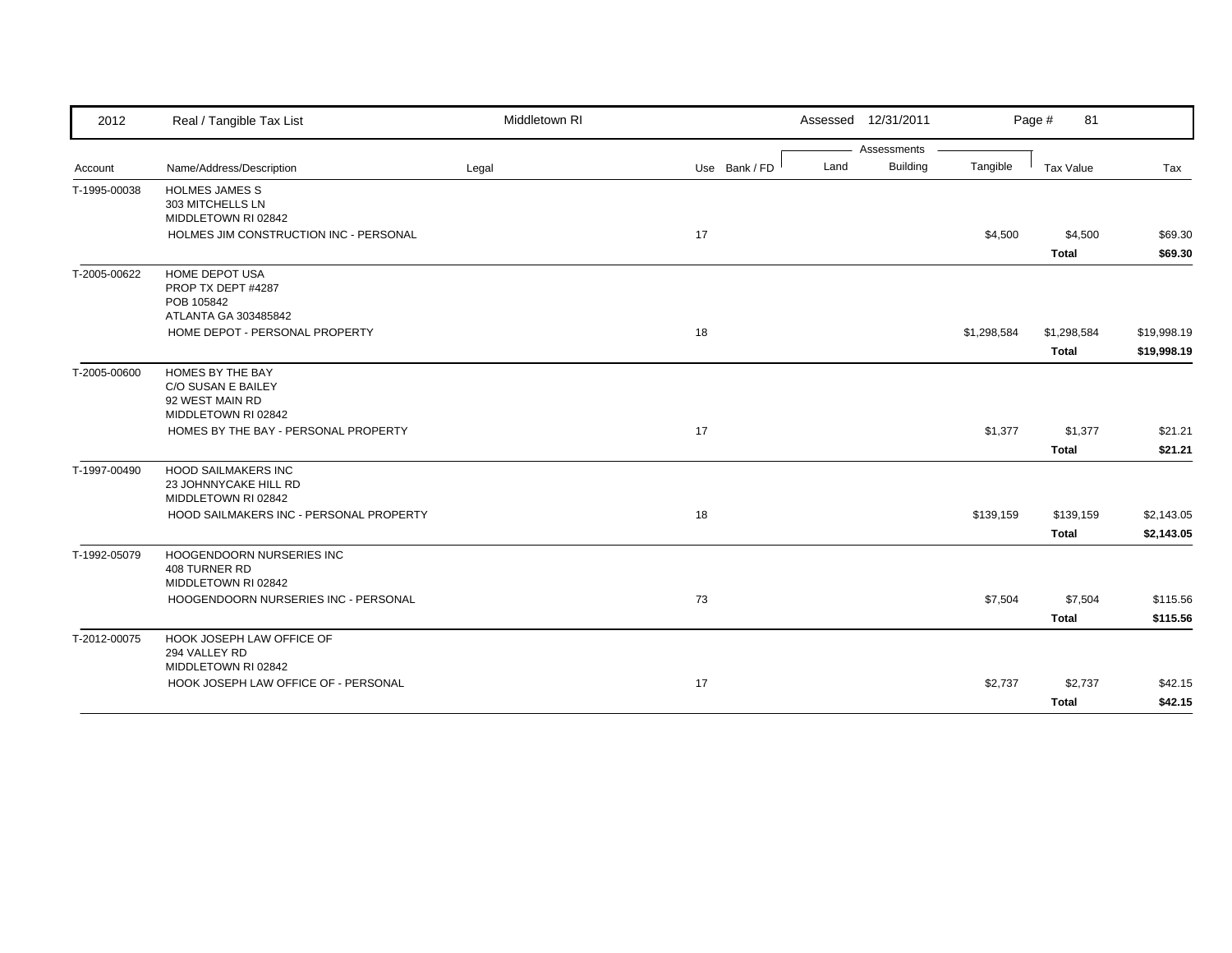| 2012         | Real / Tangible Tax List                                                                                              | Middletown RI |               | Assessed 12/31/2011     |             | Page #<br>81                |                            |
|--------------|-----------------------------------------------------------------------------------------------------------------------|---------------|---------------|-------------------------|-------------|-----------------------------|----------------------------|
|              |                                                                                                                       |               |               | Assessments             |             |                             |                            |
| Account      | Name/Address/Description                                                                                              | Legal         | Use Bank / FD | <b>Building</b><br>Land | Tangible    | <b>Tax Value</b>            | Tax                        |
| T-1995-00038 | <b>HOLMES JAMES S</b><br>303 MITCHELLS LN<br>MIDDLETOWN RI 02842                                                      |               |               |                         |             |                             |                            |
|              | HOLMES JIM CONSTRUCTION INC - PERSONAL                                                                                |               | 17            |                         | \$4,500     | \$4,500<br><b>Total</b>     | \$69.30<br>\$69.30         |
| T-2005-00622 | HOME DEPOT USA<br>PROP TX DEPT #4287<br>POB 105842<br>ATLANTA GA 303485842                                            |               |               |                         |             |                             |                            |
|              | HOME DEPOT - PERSONAL PROPERTY                                                                                        |               | 18            |                         | \$1,298,584 | \$1,298,584<br><b>Total</b> | \$19,998.19<br>\$19,998.19 |
| T-2005-00600 | HOMES BY THE BAY<br>C/O SUSAN E BAILEY<br>92 WEST MAIN RD<br>MIDDLETOWN RI 02842                                      |               |               |                         |             |                             |                            |
|              | HOMES BY THE BAY - PERSONAL PROPERTY                                                                                  |               | 17            |                         | \$1,377     | \$1,377<br><b>Total</b>     | \$21.21<br>\$21.21         |
| T-1997-00490 | <b>HOOD SAILMAKERS INC</b><br>23 JOHNNYCAKE HILL RD<br>MIDDLETOWN RI 02842<br>HOOD SAILMAKERS INC - PERSONAL PROPERTY |               | 18            |                         | \$139,159   | \$139,159                   | \$2,143.05                 |
|              |                                                                                                                       |               |               |                         |             | Total                       | \$2,143.05                 |
| T-1992-05079 | HOOGENDOORN NURSERIES INC<br>408 TURNER RD<br>MIDDLETOWN RI 02842                                                     |               |               |                         |             |                             |                            |
|              | HOOGENDOORN NURSERIES INC - PERSONAL                                                                                  |               | 73            |                         | \$7,504     | \$7,504<br><b>Total</b>     | \$115.56<br>\$115.56       |
| T-2012-00075 | HOOK JOSEPH LAW OFFICE OF<br>294 VALLEY RD<br>MIDDLETOWN RI 02842                                                     |               |               |                         |             |                             |                            |
|              | HOOK JOSEPH LAW OFFICE OF - PERSONAL                                                                                  |               | 17            |                         | \$2,737     | \$2,737<br><b>Total</b>     | \$42.15<br>\$42.15         |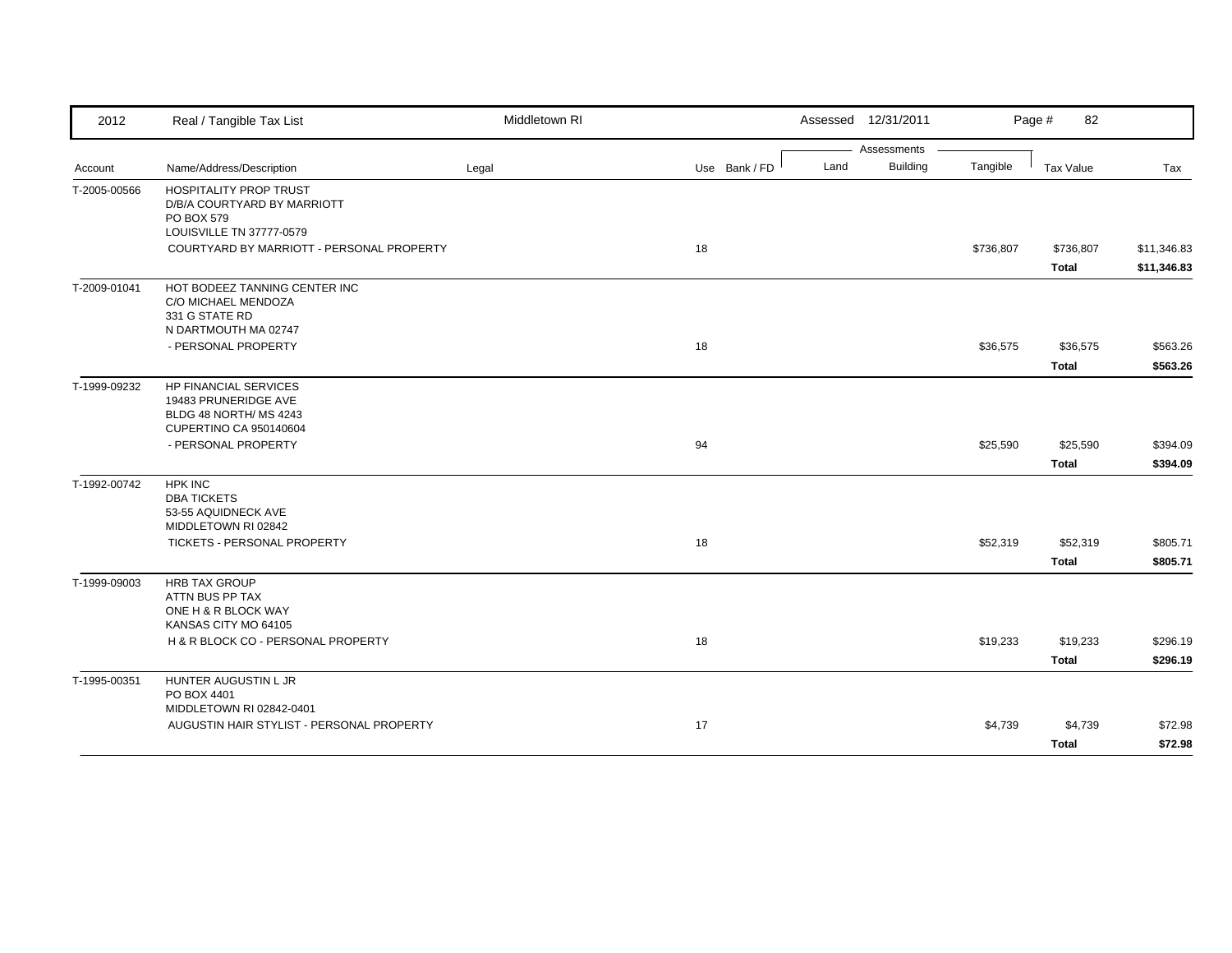| 2012         | Real / Tangible Tax List                                     | Middletown RI |               |      | Assessed 12/31/2011            |           | Page #<br>82     |             |
|--------------|--------------------------------------------------------------|---------------|---------------|------|--------------------------------|-----------|------------------|-------------|
|              |                                                              |               |               |      | Assessments<br><b>Building</b> |           |                  |             |
| Account      | Name/Address/Description                                     | Legal         | Use Bank / FD | Land |                                | Tangible  | <b>Tax Value</b> | Tax         |
| T-2005-00566 | <b>HOSPITALITY PROP TRUST</b><br>D/B/A COURTYARD BY MARRIOTT |               |               |      |                                |           |                  |             |
|              | PO BOX 579                                                   |               |               |      |                                |           |                  |             |
|              | LOUISVILLE TN 37777-0579                                     |               |               |      |                                |           |                  |             |
|              | COURTYARD BY MARRIOTT - PERSONAL PROPERTY                    |               | 18            |      |                                | \$736,807 | \$736,807        | \$11,346.83 |
|              |                                                              |               |               |      |                                |           | <b>Total</b>     | \$11,346.83 |
| T-2009-01041 | HOT BODEEZ TANNING CENTER INC                                |               |               |      |                                |           |                  |             |
|              | C/O MICHAEL MENDOZA                                          |               |               |      |                                |           |                  |             |
|              | 331 G STATE RD<br>N DARTMOUTH MA 02747                       |               |               |      |                                |           |                  |             |
|              | - PERSONAL PROPERTY                                          |               | 18            |      |                                | \$36,575  | \$36,575         | \$563.26    |
|              |                                                              |               |               |      |                                |           | <b>Total</b>     | \$563.26    |
| T-1999-09232 | <b>HP FINANCIAL SERVICES</b>                                 |               |               |      |                                |           |                  |             |
|              | 19483 PRUNERIDGE AVE                                         |               |               |      |                                |           |                  |             |
|              | BLDG 48 NORTH/ MS 4243                                       |               |               |      |                                |           |                  |             |
|              | CUPERTINO CA 950140604                                       |               | 94            |      |                                |           |                  |             |
|              | - PERSONAL PROPERTY                                          |               |               |      |                                | \$25,590  | \$25,590         | \$394.09    |
|              |                                                              |               |               |      |                                |           | <b>Total</b>     | \$394.09    |
| T-1992-00742 | <b>HPK INC</b><br><b>DBA TICKETS</b>                         |               |               |      |                                |           |                  |             |
|              | 53-55 AQUIDNECK AVE                                          |               |               |      |                                |           |                  |             |
|              | MIDDLETOWN RI 02842                                          |               |               |      |                                |           |                  |             |
|              | TICKETS - PERSONAL PROPERTY                                  |               | 18            |      |                                | \$52,319  | \$52,319         | \$805.71    |
|              |                                                              |               |               |      |                                |           | <b>Total</b>     | \$805.71    |
| T-1999-09003 | <b>HRB TAX GROUP</b>                                         |               |               |      |                                |           |                  |             |
|              | ATTN BUS PP TAX                                              |               |               |      |                                |           |                  |             |
|              | ONE H & R BLOCK WAY<br>KANSAS CITY MO 64105                  |               |               |      |                                |           |                  |             |
|              | H & R BLOCK CO - PERSONAL PROPERTY                           |               | 18            |      |                                | \$19,233  | \$19,233         | \$296.19    |
|              |                                                              |               |               |      |                                |           | <b>Total</b>     | \$296.19    |
| T-1995-00351 | HUNTER AUGUSTIN L JR                                         |               |               |      |                                |           |                  |             |
|              | PO BOX 4401                                                  |               |               |      |                                |           |                  |             |
|              | MIDDLETOWN RI 02842-0401                                     |               |               |      |                                |           |                  |             |
|              | AUGUSTIN HAIR STYLIST - PERSONAL PROPERTY                    |               | 17            |      |                                | \$4,739   | \$4,739          | \$72.98     |
|              |                                                              |               |               |      |                                |           | <b>Total</b>     | \$72.98     |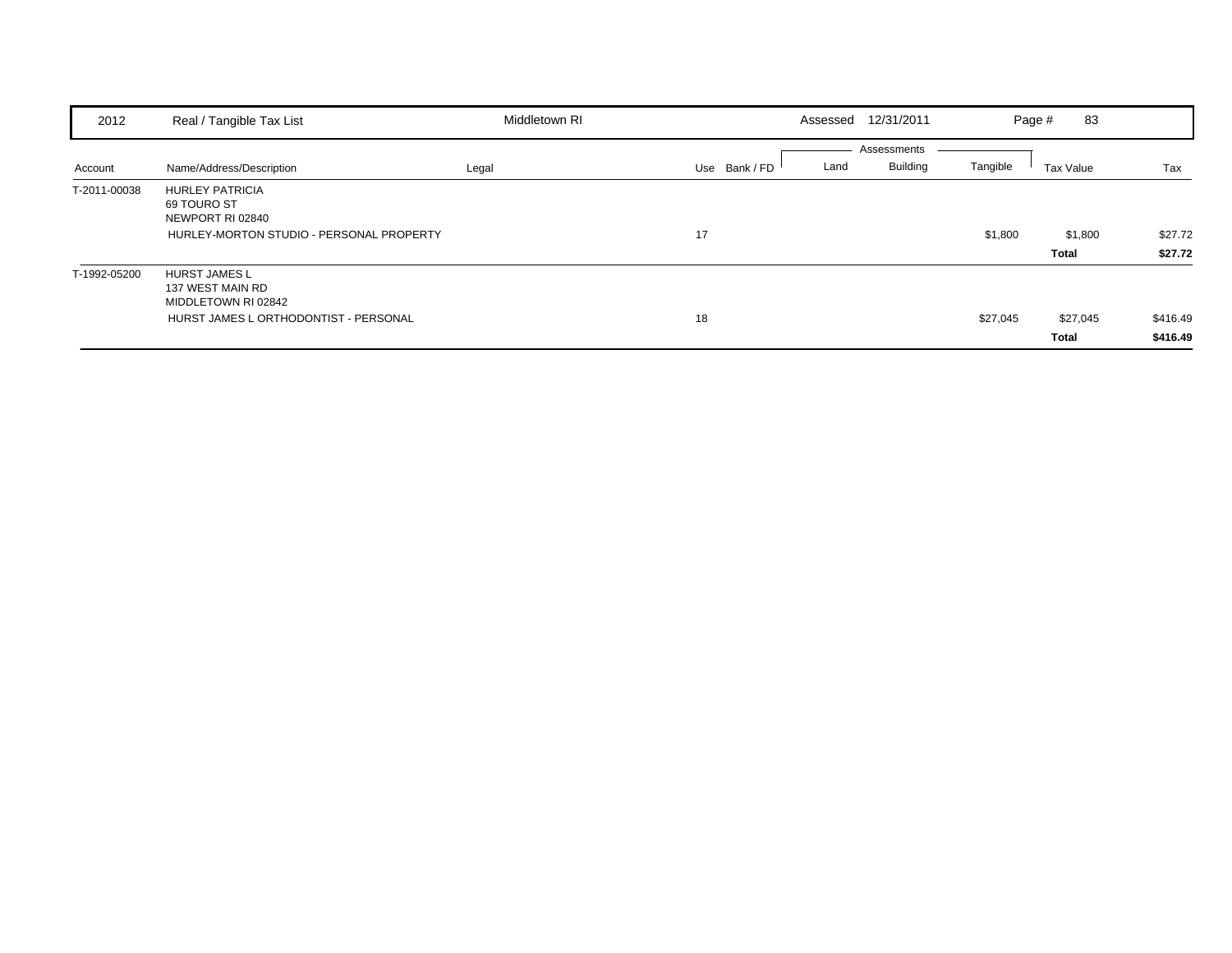| 2012         | Real / Tangible Tax List                                                                                 | Middletown RI | Assessed 12/31/2011   |                                            | 83<br>Page #      |                      |
|--------------|----------------------------------------------------------------------------------------------------------|---------------|-----------------------|--------------------------------------------|-------------------|----------------------|
| Account      | Name/Address/Description                                                                                 | Legal         | Use Bank / FD<br>Land | Assessments<br><b>Building</b><br>Tangible | Tax Value         | Tax                  |
| T-2011-00038 | <b>HURLEY PATRICIA</b><br>69 TOURO ST<br>NEWPORT RI 02840<br>HURLEY-MORTON STUDIO - PERSONAL PROPERTY    |               | 17                    | \$1,800                                    | \$1,800<br>Total  | \$27.72<br>\$27.72   |
| T-1992-05200 | <b>HURST JAMES L</b><br>137 WEST MAIN RD<br>MIDDLETOWN RI 02842<br>HURST JAMES L ORTHODONTIST - PERSONAL |               | 18                    | \$27,045                                   | \$27,045<br>Total | \$416.49<br>\$416.49 |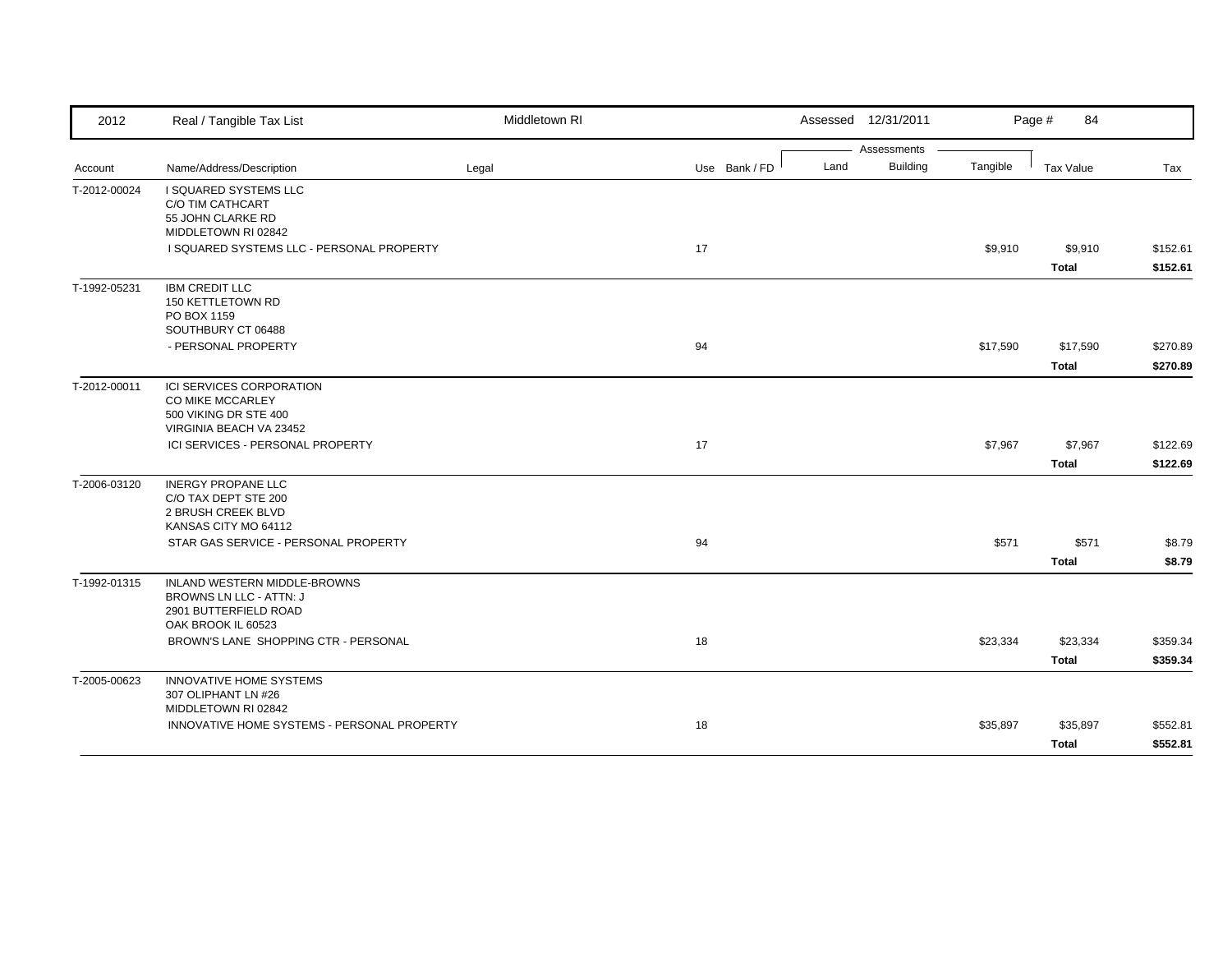| 2012         | Real / Tangible Tax List                    | Middletown RI |               |      | Assessed 12/31/2011 |          | Page #<br>84 |          |
|--------------|---------------------------------------------|---------------|---------------|------|---------------------|----------|--------------|----------|
|              |                                             |               |               |      | Assessments         |          |              |          |
| Account      | Name/Address/Description                    | Legal         | Use Bank / FD | Land | <b>Building</b>     | Tangible | Tax Value    | Tax      |
| T-2012-00024 | <b>I SQUARED SYSTEMS LLC</b>                |               |               |      |                     |          |              |          |
|              | C/O TIM CATHCART<br>55 JOHN CLARKE RD       |               |               |      |                     |          |              |          |
|              | MIDDLETOWN RI 02842                         |               |               |      |                     |          |              |          |
|              | I SQUARED SYSTEMS LLC - PERSONAL PROPERTY   |               | 17            |      |                     | \$9,910  | \$9,910      | \$152.61 |
|              |                                             |               |               |      |                     |          | <b>Total</b> | \$152.61 |
| T-1992-05231 | <b>IBM CREDIT LLC</b>                       |               |               |      |                     |          |              |          |
|              | 150 KETTLETOWN RD<br>PO BOX 1159            |               |               |      |                     |          |              |          |
|              | SOUTHBURY CT 06488                          |               |               |      |                     |          |              |          |
|              | - PERSONAL PROPERTY                         |               | 94            |      |                     | \$17,590 | \$17,590     | \$270.89 |
|              |                                             |               |               |      |                     |          | <b>Total</b> | \$270.89 |
| T-2012-00011 | ICI SERVICES CORPORATION                    |               |               |      |                     |          |              |          |
|              | CO MIKE MCCARLEY                            |               |               |      |                     |          |              |          |
|              | 500 VIKING DR STE 400                       |               |               |      |                     |          |              |          |
|              | VIRGINIA BEACH VA 23452                     |               |               |      |                     |          |              |          |
|              | ICI SERVICES - PERSONAL PROPERTY            |               | 17            |      |                     | \$7,967  | \$7,967      | \$122.69 |
|              |                                             |               |               |      |                     |          | <b>Total</b> | \$122.69 |
| T-2006-03120 | <b>INERGY PROPANE LLC</b>                   |               |               |      |                     |          |              |          |
|              | C/O TAX DEPT STE 200<br>2 BRUSH CREEK BLVD  |               |               |      |                     |          |              |          |
|              | KANSAS CITY MO 64112                        |               |               |      |                     |          |              |          |
|              | STAR GAS SERVICE - PERSONAL PROPERTY        |               | 94            |      |                     | \$571    | \$571        | \$8.79   |
|              |                                             |               |               |      |                     |          | <b>Total</b> | \$8.79   |
| T-1992-01315 | INLAND WESTERN MIDDLE-BROWNS                |               |               |      |                     |          |              |          |
|              | BROWNS LN LLC - ATTN: J                     |               |               |      |                     |          |              |          |
|              | 2901 BUTTERFIELD ROAD                       |               |               |      |                     |          |              |          |
|              | OAK BROOK IL 60523                          |               |               |      |                     |          |              |          |
|              | BROWN'S LANE SHOPPING CTR - PERSONAL        |               | 18            |      |                     | \$23,334 | \$23,334     | \$359.34 |
|              |                                             |               |               |      |                     |          | <b>Total</b> | \$359.34 |
| T-2005-00623 | <b>INNOVATIVE HOME SYSTEMS</b>              |               |               |      |                     |          |              |          |
|              | 307 OLIPHANT LN #26<br>MIDDLETOWN RI 02842  |               |               |      |                     |          |              |          |
|              | INNOVATIVE HOME SYSTEMS - PERSONAL PROPERTY |               | 18            |      |                     | \$35,897 | \$35,897     | \$552.81 |
|              |                                             |               |               |      |                     |          | <b>Total</b> | \$552.81 |
|              |                                             |               |               |      |                     |          |              |          |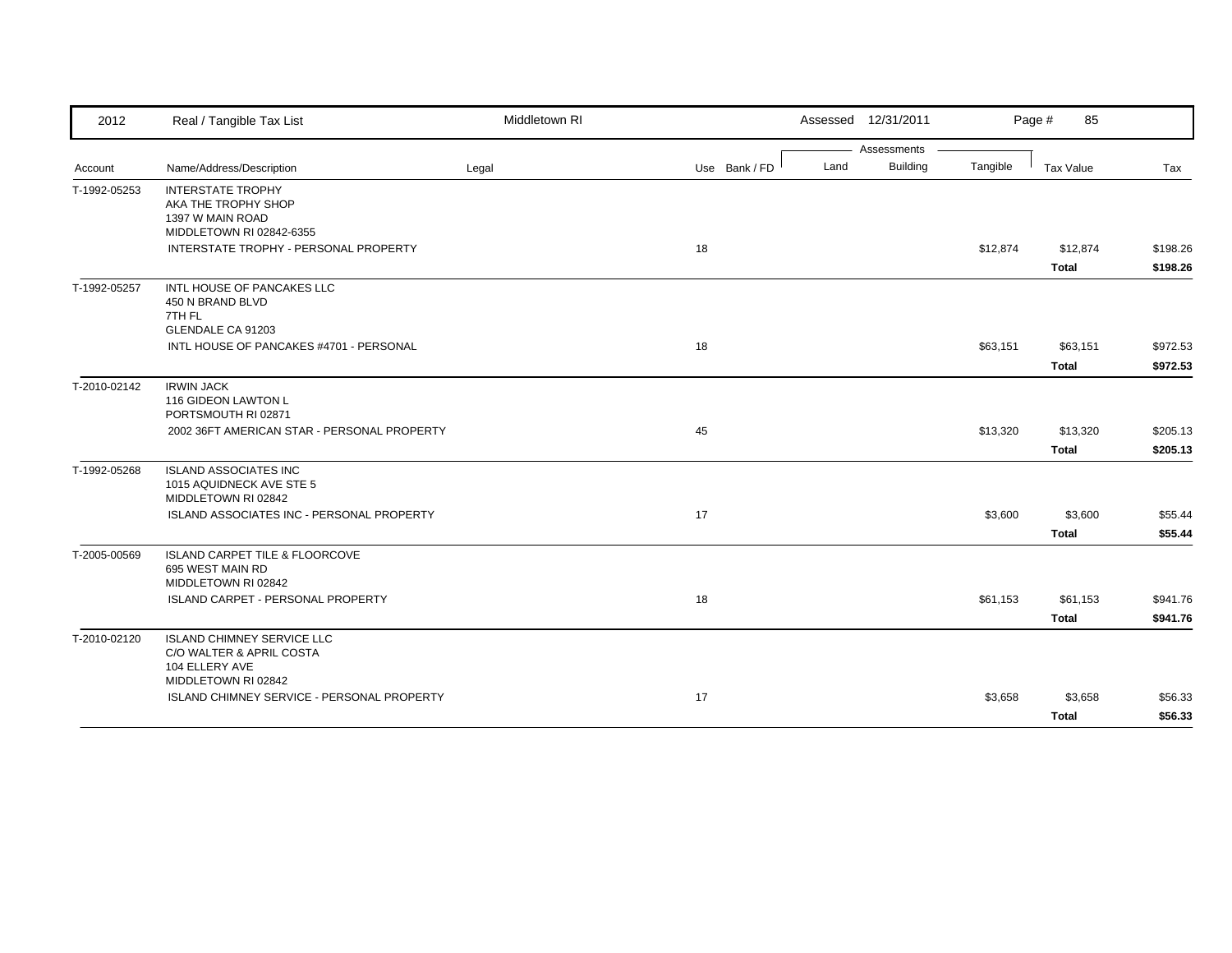| 2012         | Real / Tangible Tax List                                                                               | Middletown RI |               | Assessed 12/31/2011     |          | Page #<br>85             |                      |
|--------------|--------------------------------------------------------------------------------------------------------|---------------|---------------|-------------------------|----------|--------------------------|----------------------|
|              |                                                                                                        |               |               | Assessments             |          |                          |                      |
| Account      | Name/Address/Description                                                                               | Legal         | Use Bank / FD | <b>Building</b><br>Land | Tangible | Tax Value                | Tax                  |
| T-1992-05253 | <b>INTERSTATE TROPHY</b><br>AKA THE TROPHY SHOP<br>1397 W MAIN ROAD<br>MIDDLETOWN RI 02842-6355        |               |               |                         |          |                          |                      |
|              | INTERSTATE TROPHY - PERSONAL PROPERTY                                                                  |               | 18            |                         | \$12,874 | \$12,874<br><b>Total</b> | \$198.26<br>\$198.26 |
| T-1992-05257 | INTL HOUSE OF PANCAKES LLC<br>450 N BRAND BLVD<br>7TH FL<br>GLENDALE CA 91203                          |               |               |                         |          |                          |                      |
|              | INTL HOUSE OF PANCAKES #4701 - PERSONAL                                                                |               | 18            |                         | \$63,151 | \$63,151                 | \$972.53             |
|              |                                                                                                        |               |               |                         |          | <b>Total</b>             | \$972.53             |
| T-2010-02142 | <b>IRWIN JACK</b><br>116 GIDEON LAWTON L<br>PORTSMOUTH RI 02871                                        |               |               |                         |          |                          |                      |
|              | 2002 36FT AMERICAN STAR - PERSONAL PROPERTY                                                            |               | 45            |                         | \$13,320 | \$13,320                 | \$205.13             |
|              |                                                                                                        |               |               |                         |          | <b>Total</b>             | \$205.13             |
| T-1992-05268 | <b>ISLAND ASSOCIATES INC</b><br>1015 AQUIDNECK AVE STE 5<br>MIDDLETOWN RI 02842                        |               |               |                         |          |                          |                      |
|              | ISLAND ASSOCIATES INC - PERSONAL PROPERTY                                                              |               | 17            |                         | \$3,600  | \$3,600                  | \$55.44              |
|              |                                                                                                        |               |               |                         |          | <b>Total</b>             | \$55.44              |
| T-2005-00569 | <b>ISLAND CARPET TILE &amp; FLOORCOVE</b><br>695 WEST MAIN RD<br>MIDDLETOWN RI 02842                   |               |               |                         |          |                          |                      |
|              | ISLAND CARPET - PERSONAL PROPERTY                                                                      |               | 18            |                         | \$61,153 | \$61,153                 | \$941.76             |
|              |                                                                                                        |               |               |                         |          | <b>Total</b>             | \$941.76             |
| T-2010-02120 | <b>ISLAND CHIMNEY SERVICE LLC</b><br>C/O WALTER & APRIL COSTA<br>104 ELLERY AVE<br>MIDDLETOWN RI 02842 |               |               |                         |          |                          |                      |
|              | <b>ISLAND CHIMNEY SERVICE - PERSONAL PROPERTY</b>                                                      |               | 17            |                         | \$3,658  | \$3,658                  | \$56.33              |
|              |                                                                                                        |               |               |                         |          | <b>Total</b>             | \$56.33              |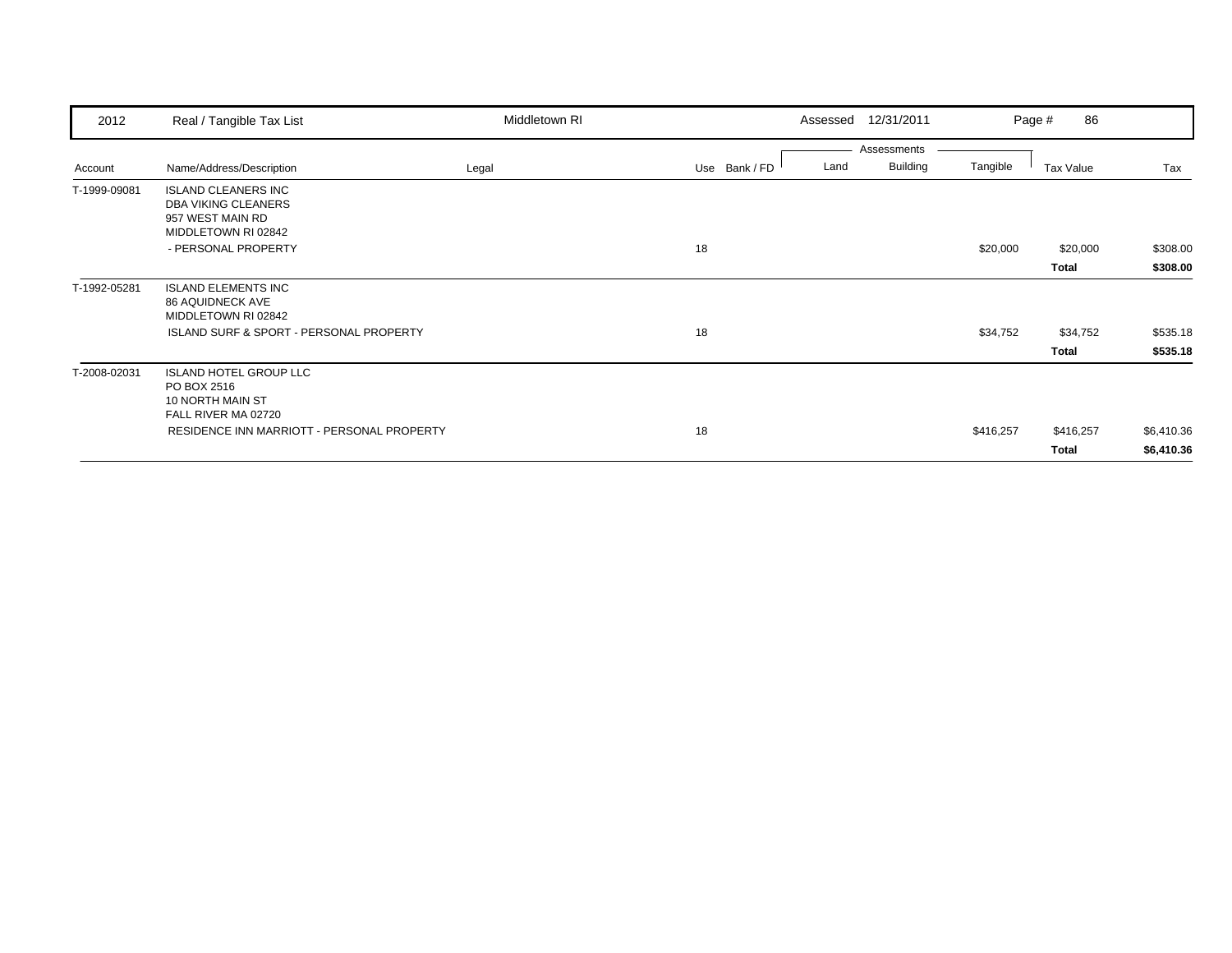| 2012         | Real / Tangible Tax List                                                                            | Middletown RI |               |      | Assessed 12/31/2011 |           | 86<br>Page # |            |
|--------------|-----------------------------------------------------------------------------------------------------|---------------|---------------|------|---------------------|-----------|--------------|------------|
|              |                                                                                                     |               |               |      | Assessments         |           |              |            |
| Account      | Name/Address/Description                                                                            | Legal         | Use Bank / FD | Land | <b>Building</b>     | Tangible  | Tax Value    | Tax        |
| T-1999-09081 | <b>ISLAND CLEANERS INC</b><br><b>DBA VIKING CLEANERS</b><br>957 WEST MAIN RD<br>MIDDLETOWN RI 02842 |               |               |      |                     |           |              |            |
|              | - PERSONAL PROPERTY                                                                                 |               | 18            |      |                     | \$20,000  | \$20,000     | \$308.00   |
|              |                                                                                                     |               |               |      |                     |           | Total        | \$308.00   |
| T-1992-05281 | <b>ISLAND ELEMENTS INC</b><br><b>86 AQUIDNECK AVE</b><br>MIDDLETOWN RI 02842                        |               |               |      |                     |           |              |            |
|              | <b>ISLAND SURF &amp; SPORT - PERSONAL PROPERTY</b>                                                  |               | 18            |      |                     | \$34,752  | \$34,752     | \$535.18   |
|              |                                                                                                     |               |               |      |                     |           | Total        | \$535.18   |
| T-2008-02031 | <b>ISLAND HOTEL GROUP LLC</b><br>PO BOX 2516<br>10 NORTH MAIN ST<br>FALL RIVER MA 02720             |               |               |      |                     |           |              |            |
|              | RESIDENCE INN MARRIOTT - PERSONAL PROPERTY                                                          |               | 18            |      |                     | \$416,257 | \$416,257    | \$6,410.36 |
|              |                                                                                                     |               |               |      |                     |           | Total        | \$6,410.36 |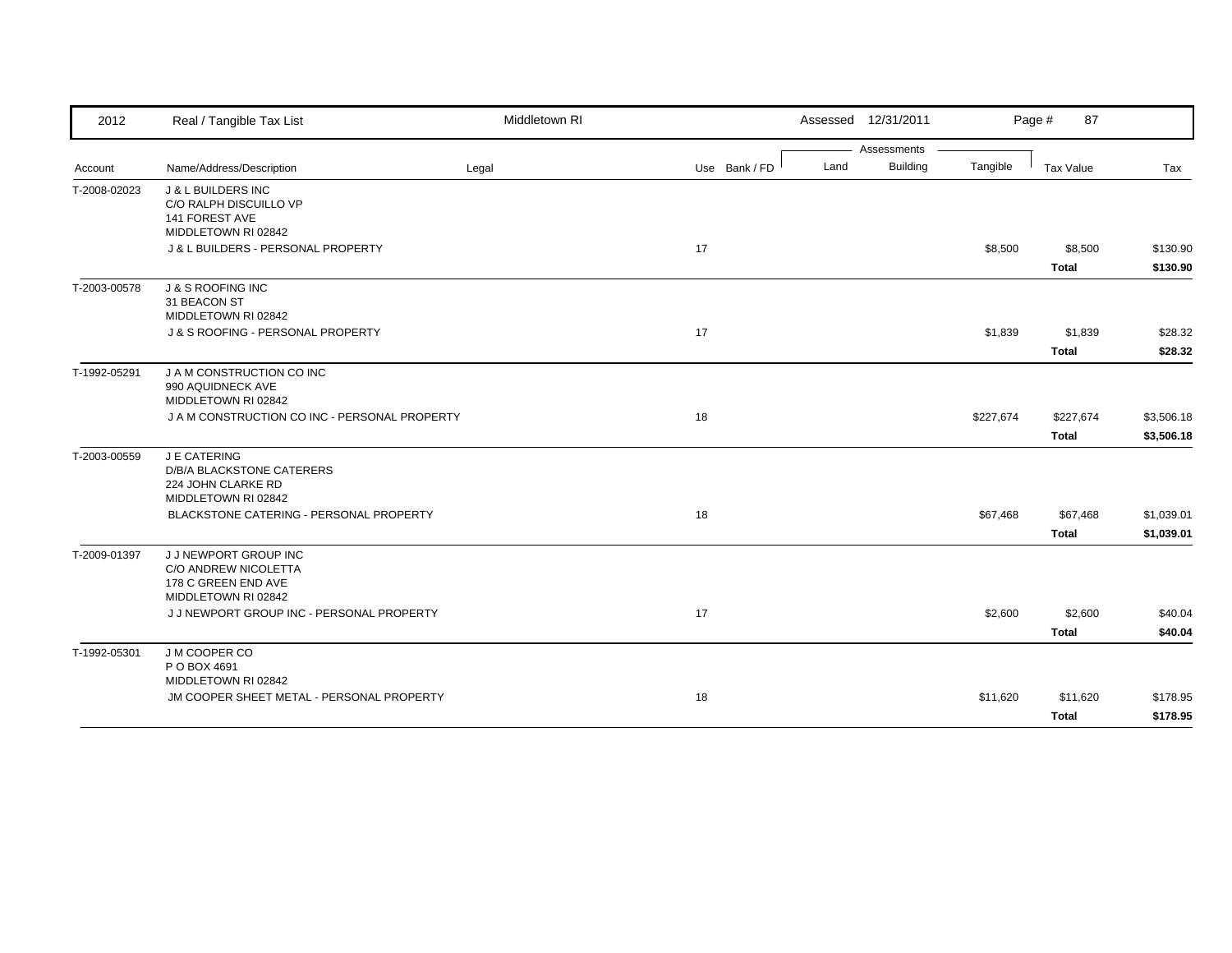| 2012         | Real / Tangible Tax List                                                                         | Middletown RI |               |      | Assessed 12/31/2011 |           | Page #<br>87              |                          |
|--------------|--------------------------------------------------------------------------------------------------|---------------|---------------|------|---------------------|-----------|---------------------------|--------------------------|
|              |                                                                                                  |               |               |      | Assessments         |           |                           |                          |
| Account      | Name/Address/Description                                                                         | Legal         | Use Bank / FD | Land | <b>Building</b>     | Tangible  | <b>Tax Value</b>          | Tax                      |
| T-2008-02023 | <b>J &amp; L BUILDERS INC</b><br>C/O RALPH DISCUILLO VP<br>141 FOREST AVE<br>MIDDLETOWN RI 02842 |               |               |      |                     |           |                           |                          |
|              | J & L BUILDERS - PERSONAL PROPERTY                                                               |               | 17            |      |                     | \$8,500   | \$8,500<br><b>Total</b>   | \$130.90<br>\$130.90     |
| T-2003-00578 | <b>J &amp; S ROOFING INC</b><br>31 BEACON ST<br>MIDDLETOWN RI 02842                              |               |               |      |                     |           |                           |                          |
|              | J & S ROOFING - PERSONAL PROPERTY                                                                |               | 17            |      |                     | \$1,839   | \$1,839<br><b>Total</b>   | \$28.32<br>\$28.32       |
| T-1992-05291 | J A M CONSTRUCTION CO INC<br>990 AQUIDNECK AVE<br>MIDDLETOWN RI 02842                            |               |               |      |                     |           |                           |                          |
|              | J A M CONSTRUCTION CO INC - PERSONAL PROPERTY                                                    |               | 18            |      |                     | \$227,674 | \$227,674<br><b>Total</b> | \$3,506.18<br>\$3,506.18 |
| T-2003-00559 | J E CATERING<br>D/B/A BLACKSTONE CATERERS<br>224 JOHN CLARKE RD<br>MIDDLETOWN RI 02842           |               |               |      |                     |           |                           |                          |
|              | BLACKSTONE CATERING - PERSONAL PROPERTY                                                          |               | 18            |      |                     | \$67,468  | \$67,468<br><b>Total</b>  | \$1,039.01<br>\$1,039.01 |
| T-2009-01397 | J J NEWPORT GROUP INC<br>C/O ANDREW NICOLETTA<br>178 C GREEN END AVE<br>MIDDLETOWN RI 02842      |               |               |      |                     |           |                           |                          |
|              | J J NEWPORT GROUP INC - PERSONAL PROPERTY                                                        |               | 17            |      |                     | \$2,600   | \$2,600<br><b>Total</b>   | \$40.04<br>\$40.04       |
| T-1992-05301 | J M COOPER CO<br>P O BOX 4691<br>MIDDLETOWN RI 02842                                             |               |               |      |                     |           |                           |                          |
|              | JM COOPER SHEET METAL - PERSONAL PROPERTY                                                        |               | 18            |      |                     | \$11,620  | \$11,620<br><b>Total</b>  | \$178.95<br>\$178.95     |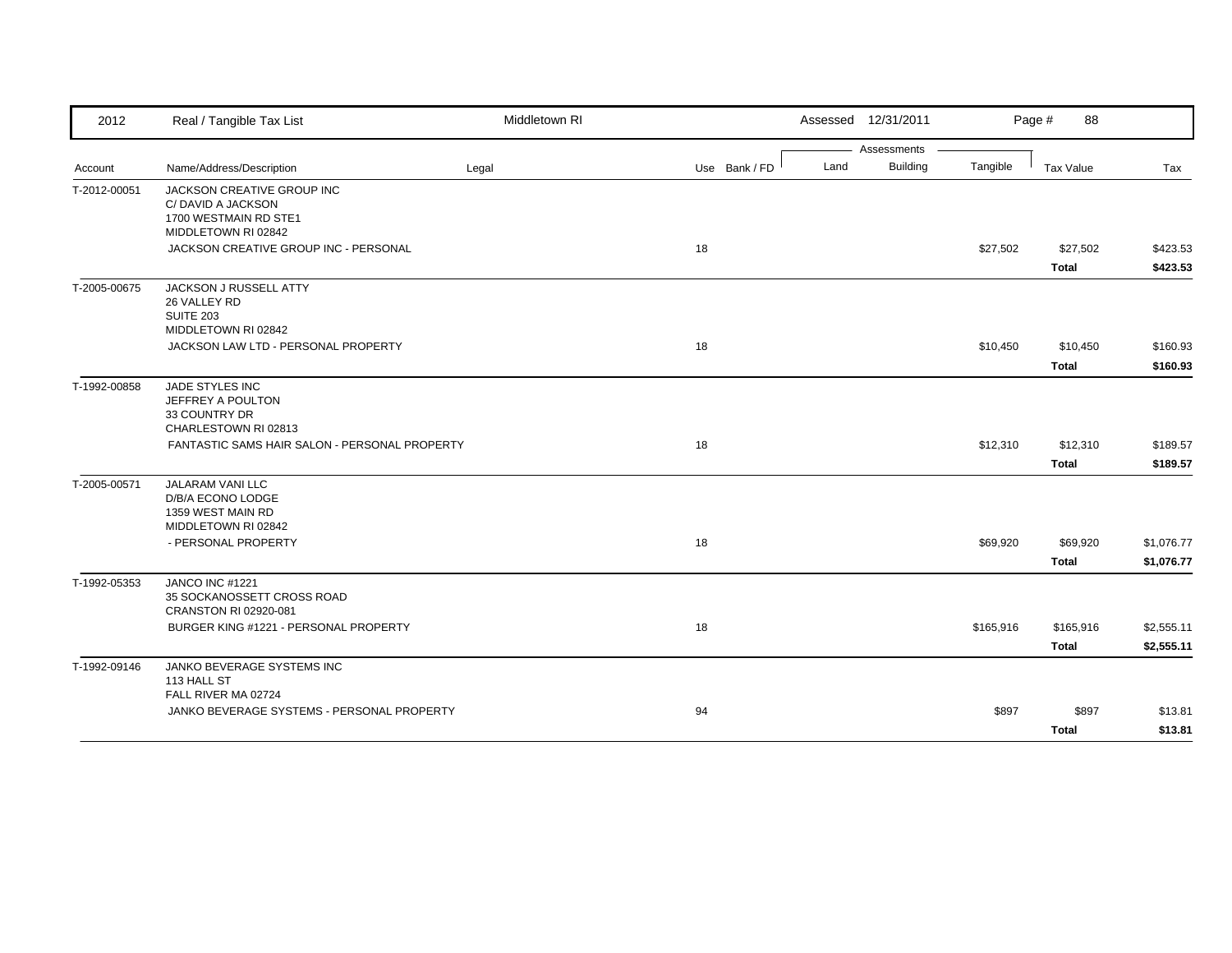| Assessments<br><b>Building</b><br>Land<br>Tangible<br>Name/Address/Description<br>Legal<br>Use Bank / FD<br><b>Tax Value</b><br>Tax<br>JACKSON CREATIVE GROUP INC<br>C/DAVID A JACKSON<br>1700 WESTMAIN RD STE1<br>MIDDLETOWN RI 02842<br>JACKSON CREATIVE GROUP INC - PERSONAL<br>18<br>\$27,502<br>\$27,502<br><b>Total</b><br>JACKSON J RUSSELL ATTY<br>26 VALLEY RD<br><b>SUITE 203</b><br>MIDDLETOWN RI 02842<br>JACKSON LAW LTD - PERSONAL PROPERTY<br>18<br>\$10,450<br>\$10,450<br><b>Total</b><br>JADE STYLES INC<br>JEFFREY A POULTON<br>33 COUNTRY DR<br>CHARLESTOWN RI 02813<br>FANTASTIC SAMS HAIR SALON - PERSONAL PROPERTY<br>18<br>\$12,310<br>\$12,310<br><b>Total</b><br><b>JALARAM VANI LLC</b><br>D/B/A ECONO LODGE<br>1359 WEST MAIN RD<br>MIDDLETOWN RI 02842<br>- PERSONAL PROPERTY<br>18<br>\$69,920<br>\$69,920<br><b>Total</b><br>JANCO INC #1221<br>35 SOCKANOSSETT CROSS ROAD<br>CRANSTON RI 02920-081<br>BURGER KING #1221 - PERSONAL PROPERTY<br>18<br>\$165,916<br>\$165,916<br><b>Total</b><br>JANKO BEVERAGE SYSTEMS INC<br>113 HALL ST<br>FALL RIVER MA 02724<br>JANKO BEVERAGE SYSTEMS - PERSONAL PROPERTY<br>94<br>\$897<br>\$897 | 2012         | Real / Tangible Tax List | Middletown RI | Assessed 12/31/2011 |  | Page #<br>88 |          |
|-----------------------------------------------------------------------------------------------------------------------------------------------------------------------------------------------------------------------------------------------------------------------------------------------------------------------------------------------------------------------------------------------------------------------------------------------------------------------------------------------------------------------------------------------------------------------------------------------------------------------------------------------------------------------------------------------------------------------------------------------------------------------------------------------------------------------------------------------------------------------------------------------------------------------------------------------------------------------------------------------------------------------------------------------------------------------------------------------------------------------------------------------------------------------|--------------|--------------------------|---------------|---------------------|--|--------------|----------|
|                                                                                                                                                                                                                                                                                                                                                                                                                                                                                                                                                                                                                                                                                                                                                                                                                                                                                                                                                                                                                                                                                                                                                                       |              |                          |               |                     |  |              |          |
| \$423.53<br>\$423.53                                                                                                                                                                                                                                                                                                                                                                                                                                                                                                                                                                                                                                                                                                                                                                                                                                                                                                                                                                                                                                                                                                                                                  | Account      |                          |               |                     |  |              |          |
|                                                                                                                                                                                                                                                                                                                                                                                                                                                                                                                                                                                                                                                                                                                                                                                                                                                                                                                                                                                                                                                                                                                                                                       | T-2012-00051 |                          |               |                     |  |              |          |
|                                                                                                                                                                                                                                                                                                                                                                                                                                                                                                                                                                                                                                                                                                                                                                                                                                                                                                                                                                                                                                                                                                                                                                       |              |                          |               |                     |  |              |          |
|                                                                                                                                                                                                                                                                                                                                                                                                                                                                                                                                                                                                                                                                                                                                                                                                                                                                                                                                                                                                                                                                                                                                                                       |              |                          |               |                     |  |              |          |
|                                                                                                                                                                                                                                                                                                                                                                                                                                                                                                                                                                                                                                                                                                                                                                                                                                                                                                                                                                                                                                                                                                                                                                       | T-2005-00675 |                          |               |                     |  |              |          |
| \$160.93<br>\$189.57<br>\$189.57<br>\$1,076.77<br>\$1,076.77<br>\$2,555.11<br>\$2,555.11<br>\$13.81                                                                                                                                                                                                                                                                                                                                                                                                                                                                                                                                                                                                                                                                                                                                                                                                                                                                                                                                                                                                                                                                   |              |                          |               |                     |  |              | \$160.93 |
|                                                                                                                                                                                                                                                                                                                                                                                                                                                                                                                                                                                                                                                                                                                                                                                                                                                                                                                                                                                                                                                                                                                                                                       |              |                          |               |                     |  |              |          |
|                                                                                                                                                                                                                                                                                                                                                                                                                                                                                                                                                                                                                                                                                                                                                                                                                                                                                                                                                                                                                                                                                                                                                                       | T-1992-00858 |                          |               |                     |  |              |          |
|                                                                                                                                                                                                                                                                                                                                                                                                                                                                                                                                                                                                                                                                                                                                                                                                                                                                                                                                                                                                                                                                                                                                                                       |              |                          |               |                     |  |              |          |
|                                                                                                                                                                                                                                                                                                                                                                                                                                                                                                                                                                                                                                                                                                                                                                                                                                                                                                                                                                                                                                                                                                                                                                       |              |                          |               |                     |  |              |          |
|                                                                                                                                                                                                                                                                                                                                                                                                                                                                                                                                                                                                                                                                                                                                                                                                                                                                                                                                                                                                                                                                                                                                                                       | T-2005-00571 |                          |               |                     |  |              |          |
|                                                                                                                                                                                                                                                                                                                                                                                                                                                                                                                                                                                                                                                                                                                                                                                                                                                                                                                                                                                                                                                                                                                                                                       |              |                          |               |                     |  |              |          |
|                                                                                                                                                                                                                                                                                                                                                                                                                                                                                                                                                                                                                                                                                                                                                                                                                                                                                                                                                                                                                                                                                                                                                                       |              |                          |               |                     |  |              |          |
|                                                                                                                                                                                                                                                                                                                                                                                                                                                                                                                                                                                                                                                                                                                                                                                                                                                                                                                                                                                                                                                                                                                                                                       | T-1992-05353 |                          |               |                     |  |              |          |
|                                                                                                                                                                                                                                                                                                                                                                                                                                                                                                                                                                                                                                                                                                                                                                                                                                                                                                                                                                                                                                                                                                                                                                       |              |                          |               |                     |  |              |          |
|                                                                                                                                                                                                                                                                                                                                                                                                                                                                                                                                                                                                                                                                                                                                                                                                                                                                                                                                                                                                                                                                                                                                                                       |              |                          |               |                     |  |              |          |
|                                                                                                                                                                                                                                                                                                                                                                                                                                                                                                                                                                                                                                                                                                                                                                                                                                                                                                                                                                                                                                                                                                                                                                       | T-1992-09146 |                          |               |                     |  |              |          |
|                                                                                                                                                                                                                                                                                                                                                                                                                                                                                                                                                                                                                                                                                                                                                                                                                                                                                                                                                                                                                                                                                                                                                                       |              |                          |               |                     |  |              |          |
|                                                                                                                                                                                                                                                                                                                                                                                                                                                                                                                                                                                                                                                                                                                                                                                                                                                                                                                                                                                                                                                                                                                                                                       |              |                          |               |                     |  | <b>Total</b> | \$13.81  |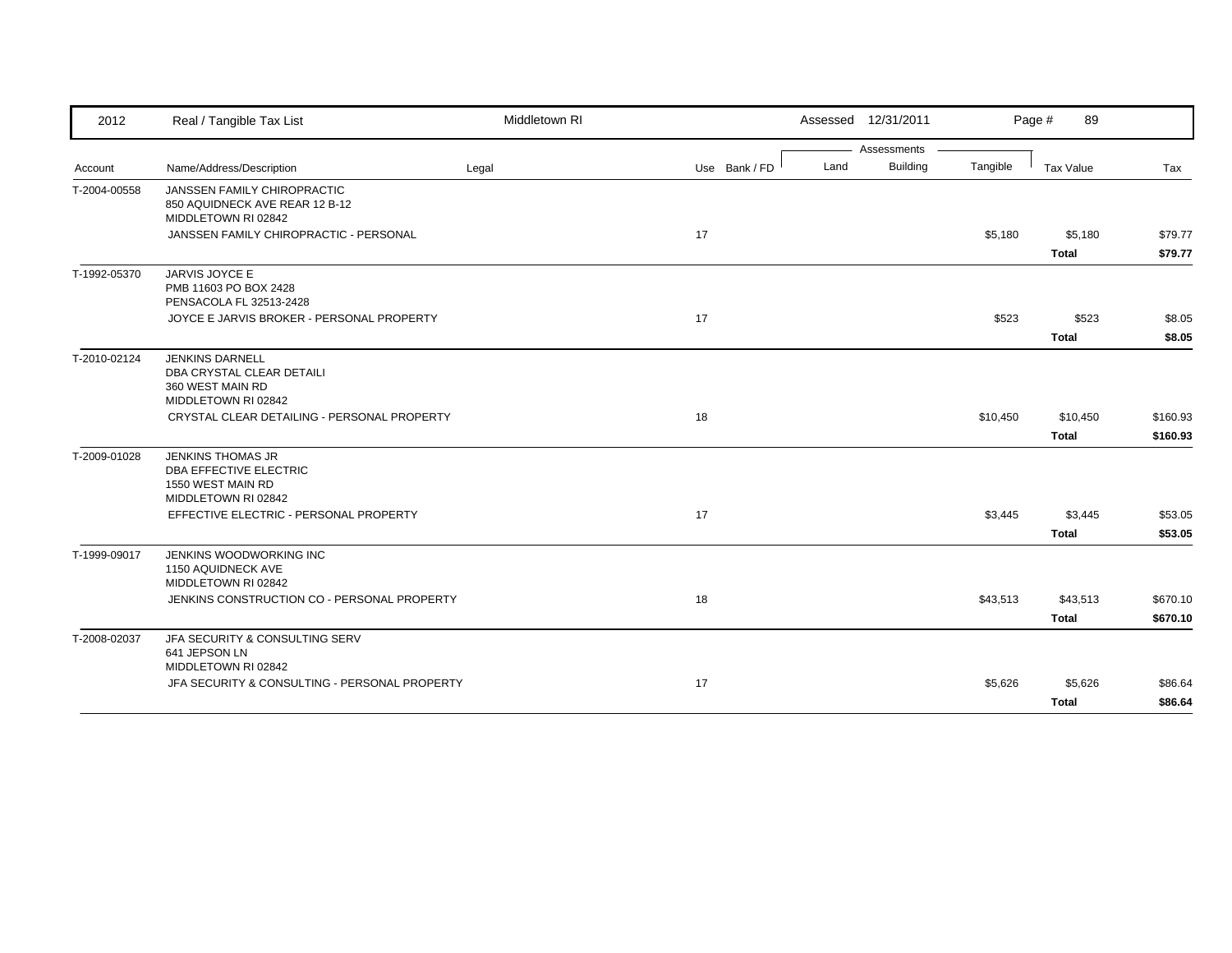| 2012         | Real / Tangible Tax List                                                                              | Middletown RI |               |      | Assessed 12/31/2011 |          | Page #<br>89             |                      |
|--------------|-------------------------------------------------------------------------------------------------------|---------------|---------------|------|---------------------|----------|--------------------------|----------------------|
|              |                                                                                                       |               |               |      | Assessments         |          |                          |                      |
| Account      | Name/Address/Description                                                                              | Legal         | Use Bank / FD | Land | <b>Building</b>     | Tangible | <b>Tax Value</b>         | Tax                  |
| T-2004-00558 | JANSSEN FAMILY CHIROPRACTIC<br>850 AQUIDNECK AVE REAR 12 B-12<br>MIDDLETOWN RI 02842                  |               |               |      |                     |          |                          |                      |
|              | JANSSEN FAMILY CHIROPRACTIC - PERSONAL                                                                |               | 17            |      |                     | \$5,180  | \$5,180<br><b>Total</b>  | \$79.77<br>\$79.77   |
| T-1992-05370 | JARVIS JOYCE E<br>PMB 11603 PO BOX 2428<br>PENSACOLA FL 32513-2428                                    |               |               |      |                     |          |                          |                      |
|              | JOYCE E JARVIS BROKER - PERSONAL PROPERTY                                                             |               | 17            |      |                     | \$523    | \$523<br><b>Total</b>    | \$8.05<br>\$8.05     |
| T-2010-02124 | <b>JENKINS DARNELL</b><br>DBA CRYSTAL CLEAR DETAILI<br>360 WEST MAIN RD<br>MIDDLETOWN RI 02842        |               |               |      |                     |          |                          |                      |
|              | CRYSTAL CLEAR DETAILING - PERSONAL PROPERTY                                                           |               | 18            |      |                     | \$10,450 | \$10,450<br><b>Total</b> | \$160.93<br>\$160.93 |
| T-2009-01028 | <b>JENKINS THOMAS JR</b><br><b>DBA EFFECTIVE ELECTRIC</b><br>1550 WEST MAIN RD<br>MIDDLETOWN RI 02842 |               |               |      |                     |          |                          |                      |
|              | EFFECTIVE ELECTRIC - PERSONAL PROPERTY                                                                |               | 17            |      |                     | \$3,445  | \$3,445<br>Total         | \$53.05<br>\$53.05   |
| T-1999-09017 | JENKINS WOODWORKING INC<br>1150 AQUIDNECK AVE<br>MIDDLETOWN RI 02842                                  |               |               |      |                     |          |                          |                      |
|              | JENKINS CONSTRUCTION CO - PERSONAL PROPERTY                                                           |               | 18            |      |                     | \$43,513 | \$43,513<br><b>Total</b> | \$670.10<br>\$670.10 |
| T-2008-02037 | JFA SECURITY & CONSULTING SERV<br>641 JEPSON LN<br>MIDDLETOWN RI 02842                                |               |               |      |                     |          |                          |                      |
|              | JFA SECURITY & CONSULTING - PERSONAL PROPERTY                                                         |               | 17            |      |                     | \$5,626  | \$5,626<br><b>Total</b>  | \$86.64<br>\$86.64   |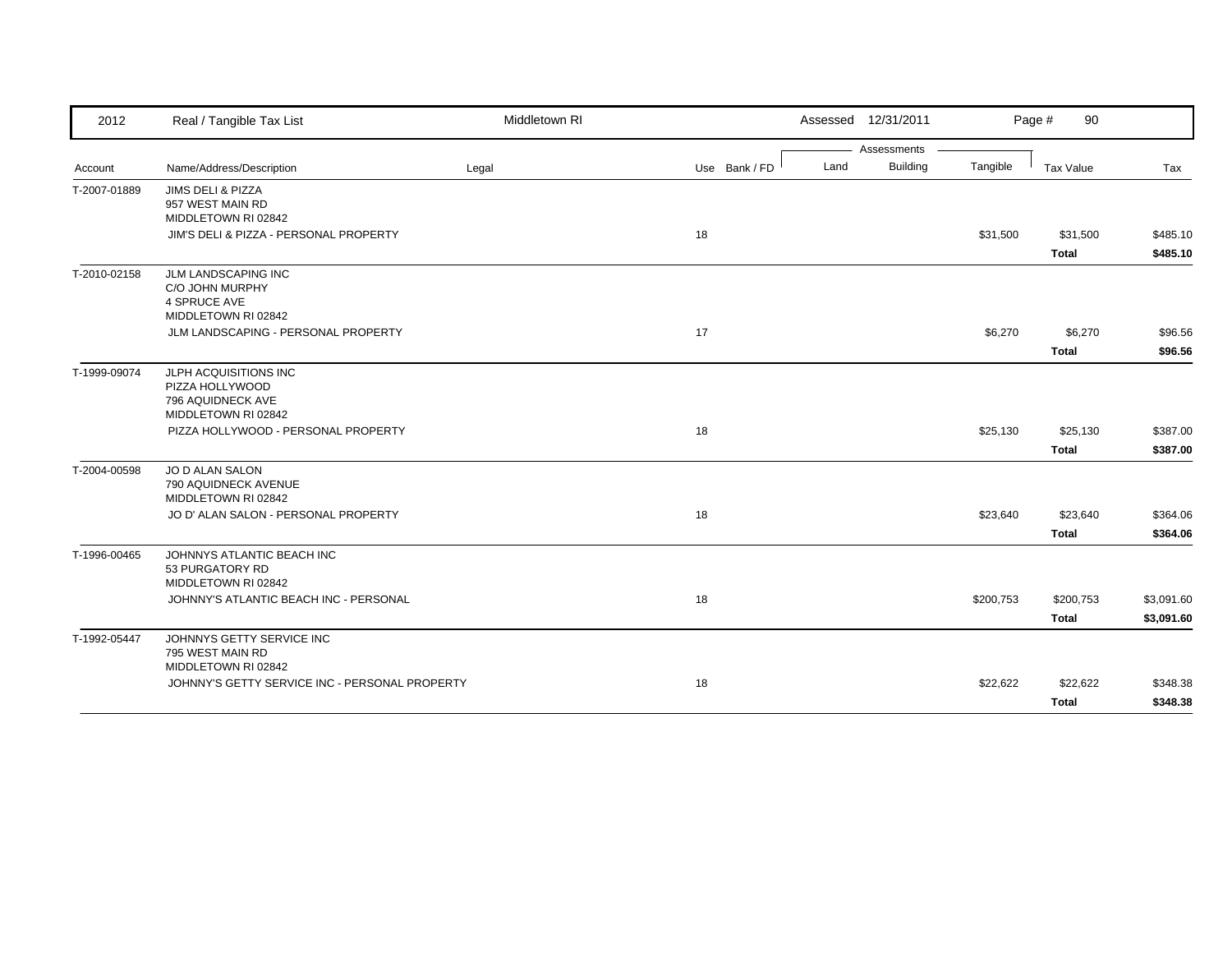| 2012         | Real / Tangible Tax List                                                             | Middletown RI |               |      | Assessed 12/31/2011 |           | Page #<br>90             |                      |
|--------------|--------------------------------------------------------------------------------------|---------------|---------------|------|---------------------|-----------|--------------------------|----------------------|
|              |                                                                                      |               |               |      | Assessments         |           |                          |                      |
| Account      | Name/Address/Description                                                             | Legal         | Use Bank / FD | Land | <b>Building</b>     | Tangible  | Tax Value                | Tax                  |
| T-2007-01889 | JIMS DELI & PIZZA<br>957 WEST MAIN RD<br>MIDDLETOWN RI 02842                         |               |               |      |                     |           |                          |                      |
|              | JIM'S DELI & PIZZA - PERSONAL PROPERTY                                               |               | 18            |      |                     | \$31,500  | \$31,500<br><b>Total</b> | \$485.10<br>\$485.10 |
| T-2010-02158 | <b>JLM LANDSCAPING INC</b><br>C/O JOHN MURPHY<br>4 SPRUCE AVE<br>MIDDLETOWN RI 02842 |               |               |      |                     |           |                          |                      |
|              | JLM LANDSCAPING - PERSONAL PROPERTY                                                  |               | 17            |      |                     | \$6,270   | \$6,270                  | \$96.56              |
|              |                                                                                      |               |               |      |                     |           | <b>Total</b>             | \$96.56              |
| T-1999-09074 | JLPH ACQUISITIONS INC<br>PIZZA HOLLYWOOD<br>796 AQUIDNECK AVE<br>MIDDLETOWN RI 02842 |               |               |      |                     |           |                          |                      |
|              | PIZZA HOLLYWOOD - PERSONAL PROPERTY                                                  |               | 18            |      |                     | \$25,130  | \$25,130                 | \$387.00             |
|              |                                                                                      |               |               |      |                     |           | <b>Total</b>             | \$387.00             |
| T-2004-00598 | JO D ALAN SALON<br>790 AQUIDNECK AVENUE<br>MIDDLETOWN RI 02842                       |               |               |      |                     |           |                          |                      |
|              | JO D' ALAN SALON - PERSONAL PROPERTY                                                 |               | 18            |      |                     | \$23,640  | \$23,640                 | \$364.06             |
|              |                                                                                      |               |               |      |                     |           | <b>Total</b>             | \$364.06             |
| T-1996-00465 | JOHNNYS ATLANTIC BEACH INC<br>53 PURGATORY RD<br>MIDDLETOWN RI 02842                 |               |               |      |                     |           |                          |                      |
|              | JOHNNY'S ATLANTIC BEACH INC - PERSONAL                                               |               | 18            |      |                     | \$200,753 | \$200,753                | \$3,091.60           |
|              |                                                                                      |               |               |      |                     |           | <b>Total</b>             | \$3,091.60           |
| T-1992-05447 | JOHNNYS GETTY SERVICE INC<br>795 WEST MAIN RD<br>MIDDLETOWN RI 02842                 |               |               |      |                     |           |                          |                      |
|              | JOHNNY'S GETTY SERVICE INC - PERSONAL PROPERTY                                       |               | 18            |      |                     | \$22,622  | \$22,622                 | \$348.38             |
|              |                                                                                      |               |               |      |                     |           | <b>Total</b>             | \$348.38             |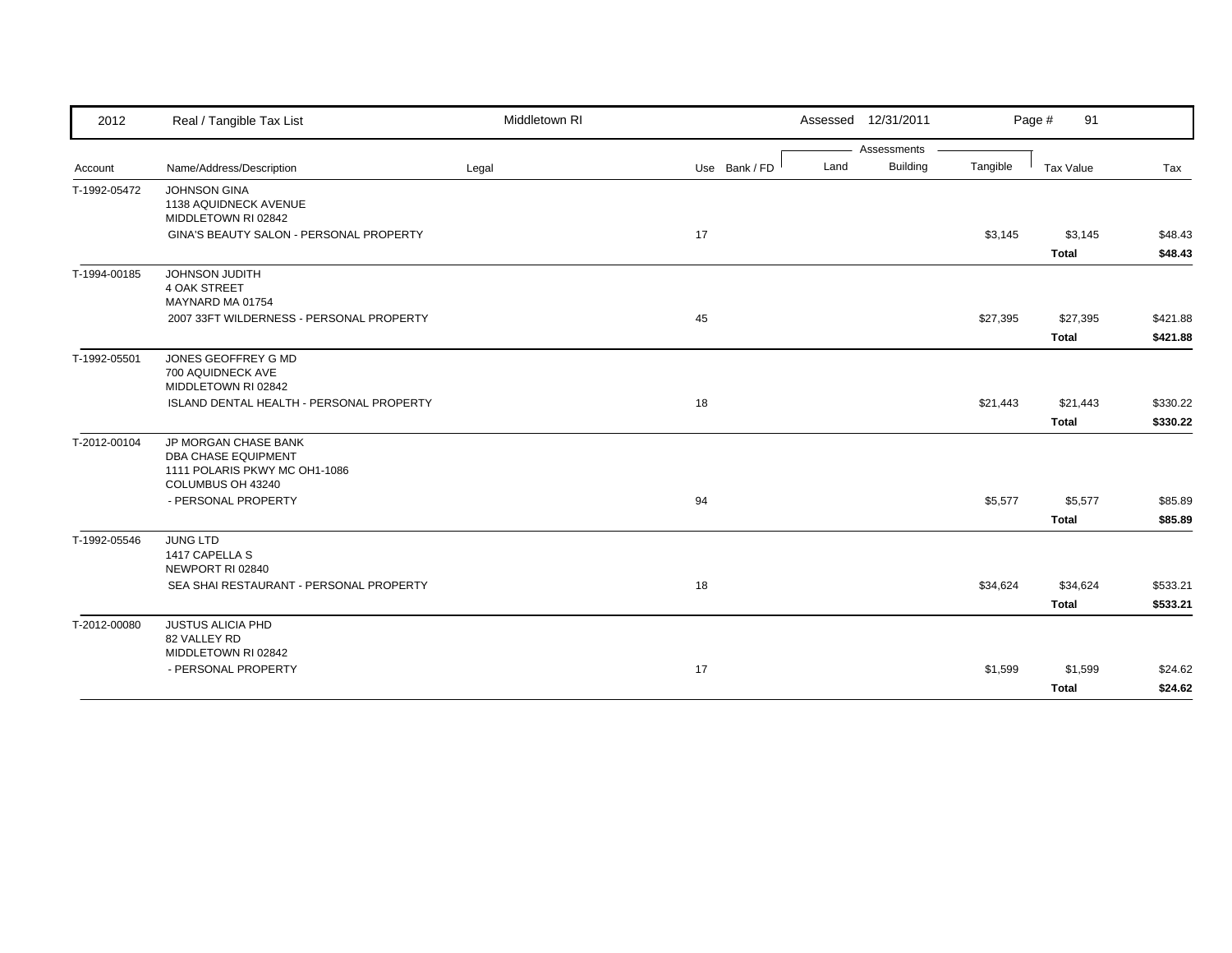| 2012         | Real / Tangible Tax List                                                                                 | Middletown RI |               |      | Assessed 12/31/2011 |          | Page #<br>91             |                      |
|--------------|----------------------------------------------------------------------------------------------------------|---------------|---------------|------|---------------------|----------|--------------------------|----------------------|
|              |                                                                                                          |               |               |      | Assessments         |          |                          |                      |
| Account      | Name/Address/Description                                                                                 | Legal         | Use Bank / FD | Land | Building            | Tangible | Tax Value                | Tax                  |
| T-1992-05472 | <b>JOHNSON GINA</b><br>1138 AQUIDNECK AVENUE<br>MIDDLETOWN RI 02842                                      |               |               |      |                     |          |                          |                      |
|              | GINA'S BEAUTY SALON - PERSONAL PROPERTY                                                                  |               | 17            |      |                     | \$3,145  | \$3,145                  | \$48.43              |
| T-1994-00185 | JOHNSON JUDITH                                                                                           |               |               |      |                     |          | <b>Total</b>             | \$48.43              |
|              | <b>4 OAK STREET</b><br>MAYNARD MA 01754                                                                  |               |               |      |                     |          |                          |                      |
|              | 2007 33FT WILDERNESS - PERSONAL PROPERTY                                                                 |               | 45            |      |                     | \$27,395 | \$27,395<br><b>Total</b> | \$421.88<br>\$421.88 |
| T-1992-05501 | JONES GEOFFREY G MD<br>700 AQUIDNECK AVE<br>MIDDLETOWN RI 02842                                          |               |               |      |                     |          |                          |                      |
|              | ISLAND DENTAL HEALTH - PERSONAL PROPERTY                                                                 |               | 18            |      |                     | \$21,443 | \$21,443                 | \$330.22             |
|              |                                                                                                          |               |               |      |                     |          | <b>Total</b>             | \$330.22             |
| T-2012-00104 | JP MORGAN CHASE BANK<br><b>DBA CHASE EQUIPMENT</b><br>1111 POLARIS PKWY MC OH1-1086<br>COLUMBUS OH 43240 |               |               |      |                     |          |                          |                      |
|              | - PERSONAL PROPERTY                                                                                      |               | 94            |      |                     | \$5,577  | \$5,577                  | \$85.89              |
|              |                                                                                                          |               |               |      |                     |          | <b>Total</b>             | \$85.89              |
| T-1992-05546 | <b>JUNG LTD</b><br>1417 CAPELLA S<br>NEWPORT RI 02840                                                    |               |               |      |                     |          |                          |                      |
|              | SEA SHAI RESTAURANT - PERSONAL PROPERTY                                                                  |               | 18            |      |                     | \$34,624 | \$34,624                 | \$533.21             |
|              |                                                                                                          |               |               |      |                     |          | <b>Total</b>             | \$533.21             |
| T-2012-00080 | <b>JUSTUS ALICIA PHD</b><br>82 VALLEY RD<br>MIDDLETOWN RI 02842                                          |               |               |      |                     |          |                          |                      |
|              | - PERSONAL PROPERTY                                                                                      |               | 17            |      |                     | \$1,599  | \$1,599                  | \$24.62              |
|              |                                                                                                          |               |               |      |                     |          | <b>Total</b>             | \$24.62              |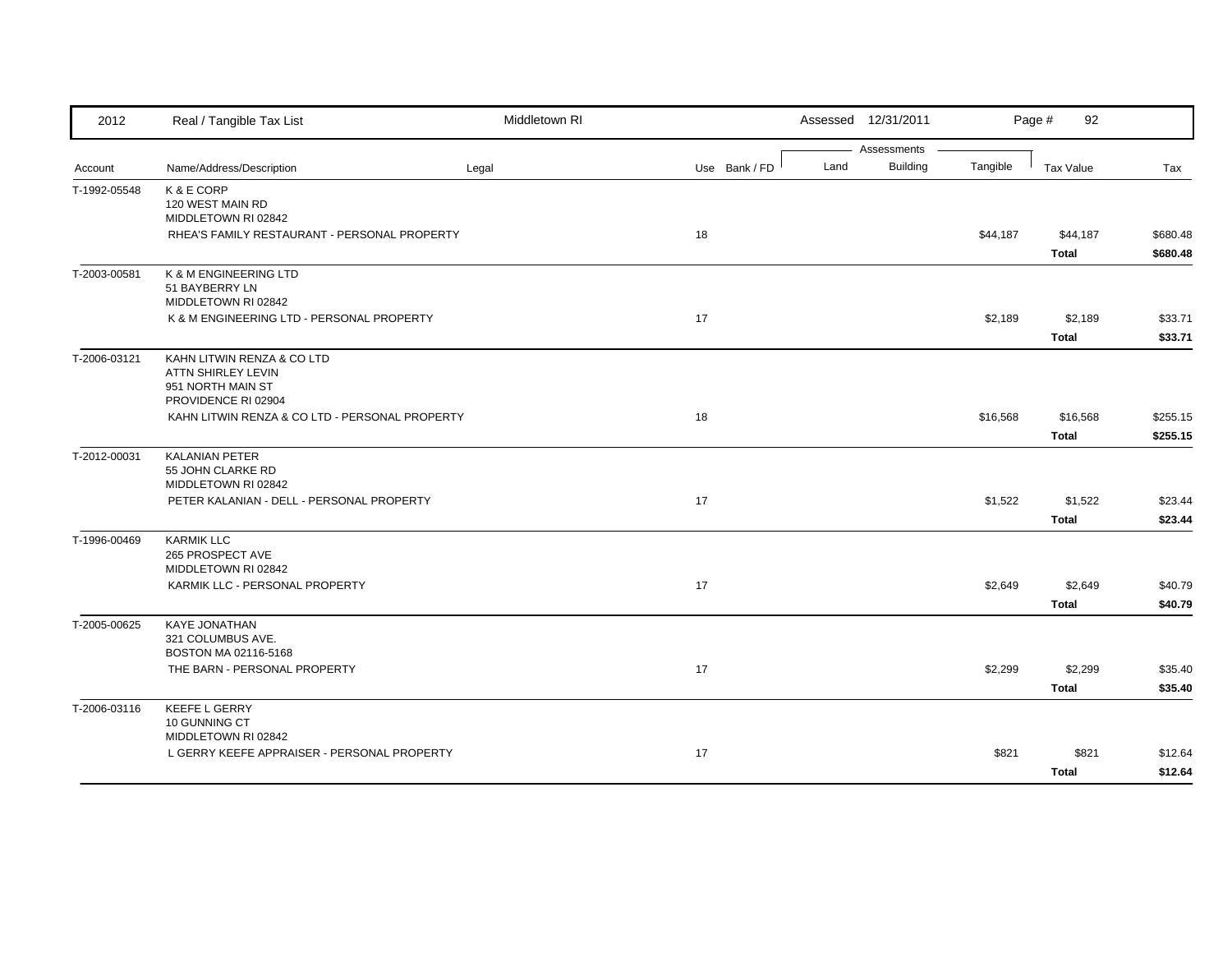| 2012         | Real / Tangible Tax List                       | Middletown RI |               |      | Assessed 12/31/2011            |          | Page #<br>92     |          |
|--------------|------------------------------------------------|---------------|---------------|------|--------------------------------|----------|------------------|----------|
|              | Name/Address/Description                       |               | Use Bank / FD | Land | Assessments<br><b>Building</b> | Tangible | <b>Tax Value</b> | Tax      |
| Account      |                                                | Legal         |               |      |                                |          |                  |          |
| T-1992-05548 | K & E CORP<br>120 WEST MAIN RD                 |               |               |      |                                |          |                  |          |
|              | MIDDLETOWN RI 02842                            |               |               |      |                                |          |                  |          |
|              | RHEA'S FAMILY RESTAURANT - PERSONAL PROPERTY   |               | 18            |      |                                | \$44,187 | \$44,187         | \$680.48 |
|              |                                                |               |               |      |                                |          | <b>Total</b>     | \$680.48 |
| T-2003-00581 | K & M ENGINEERING LTD                          |               |               |      |                                |          |                  |          |
|              | 51 BAYBERRY LN                                 |               |               |      |                                |          |                  |          |
|              | MIDDLETOWN RI 02842                            |               |               |      |                                |          |                  |          |
|              | K & M ENGINEERING LTD - PERSONAL PROPERTY      |               | 17            |      |                                | \$2,189  | \$2,189          | \$33.71  |
|              |                                                |               |               |      |                                |          | <b>Total</b>     | \$33.71  |
| T-2006-03121 | KAHN LITWIN RENZA & CO LTD                     |               |               |      |                                |          |                  |          |
|              | <b>ATTN SHIRLEY LEVIN</b>                      |               |               |      |                                |          |                  |          |
|              | 951 NORTH MAIN ST<br>PROVIDENCE RI 02904       |               |               |      |                                |          |                  |          |
|              | KAHN LITWIN RENZA & CO LTD - PERSONAL PROPERTY |               | 18            |      |                                | \$16,568 | \$16,568         | \$255.15 |
|              |                                                |               |               |      |                                |          | <b>Total</b>     | \$255.15 |
| T-2012-00031 | <b>KALANIAN PETER</b>                          |               |               |      |                                |          |                  |          |
|              | 55 JOHN CLARKE RD                              |               |               |      |                                |          |                  |          |
|              | MIDDLETOWN RI 02842                            |               |               |      |                                |          |                  |          |
|              | PETER KALANIAN - DELL - PERSONAL PROPERTY      |               | 17            |      |                                | \$1,522  | \$1,522          | \$23.44  |
|              |                                                |               |               |      |                                |          | <b>Total</b>     | \$23.44  |
| T-1996-00469 | <b>KARMIK LLC</b>                              |               |               |      |                                |          |                  |          |
|              | 265 PROSPECT AVE<br>MIDDLETOWN RI 02842        |               |               |      |                                |          |                  |          |
|              | KARMIK LLC - PERSONAL PROPERTY                 |               | 17            |      |                                | \$2,649  | \$2,649          | \$40.79  |
|              |                                                |               |               |      |                                |          | <b>Total</b>     | \$40.79  |
|              |                                                |               |               |      |                                |          |                  |          |
| T-2005-00625 | <b>KAYE JONATHAN</b><br>321 COLUMBUS AVE.      |               |               |      |                                |          |                  |          |
|              | BOSTON MA 02116-5168                           |               |               |      |                                |          |                  |          |
|              | THE BARN - PERSONAL PROPERTY                   |               | 17            |      |                                | \$2,299  | \$2,299          | \$35.40  |
|              |                                                |               |               |      |                                |          | <b>Total</b>     | \$35.40  |
| T-2006-03116 | <b>KEEFE L GERRY</b>                           |               |               |      |                                |          |                  |          |
|              | 10 GUNNING CT                                  |               |               |      |                                |          |                  |          |
|              | MIDDLETOWN RI 02842                            |               |               |      |                                |          |                  |          |
|              | L GERRY KEEFE APPRAISER - PERSONAL PROPERTY    |               | 17            |      |                                | \$821    | \$821            | \$12.64  |
|              |                                                |               |               |      |                                |          | <b>Total</b>     | \$12.64  |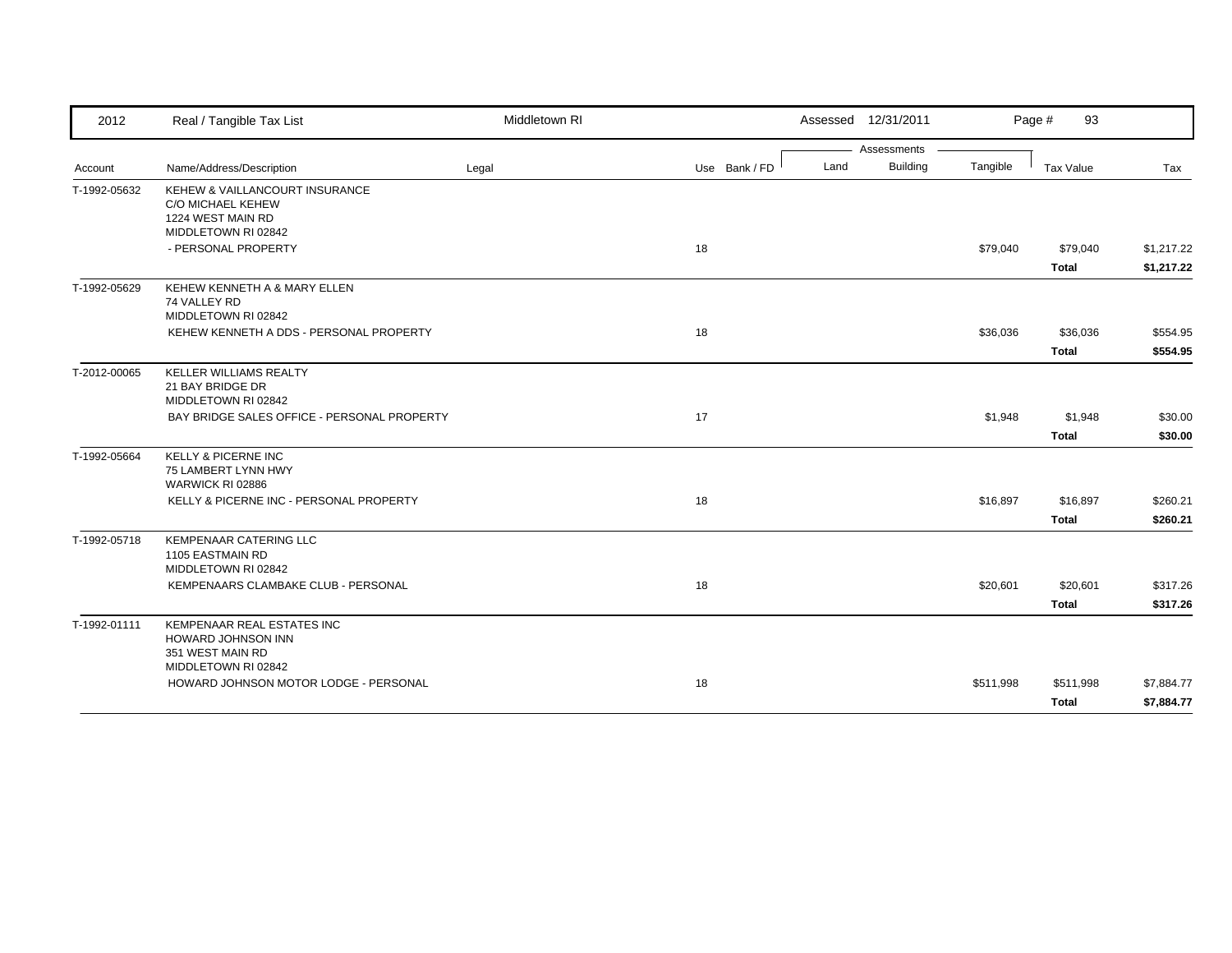| 2012         | Real / Tangible Tax List                                                                        | Middletown RI |               |      | Assessed 12/31/2011 |           | Page #<br>93     |            |
|--------------|-------------------------------------------------------------------------------------------------|---------------|---------------|------|---------------------|-----------|------------------|------------|
|              |                                                                                                 |               |               |      | Assessments         |           |                  |            |
| Account      | Name/Address/Description                                                                        | Legal         | Use Bank / FD | Land | <b>Building</b>     | Tangible  | <b>Tax Value</b> | Tax        |
| T-1992-05632 | KEHEW & VAILLANCOURT INSURANCE<br>C/O MICHAEL KEHEW<br>1224 WEST MAIN RD<br>MIDDLETOWN RI 02842 |               |               |      |                     |           |                  |            |
|              | - PERSONAL PROPERTY                                                                             |               | 18            |      |                     | \$79,040  | \$79,040         | \$1,217.22 |
|              |                                                                                                 |               |               |      |                     |           | <b>Total</b>     | \$1,217.22 |
| T-1992-05629 | KEHEW KENNETH A & MARY ELLEN<br>74 VALLEY RD<br>MIDDLETOWN RI 02842                             |               |               |      |                     |           |                  |            |
|              | KEHEW KENNETH A DDS - PERSONAL PROPERTY                                                         |               | 18            |      |                     | \$36,036  | \$36,036         | \$554.95   |
|              |                                                                                                 |               |               |      |                     |           | Total            | \$554.95   |
| T-2012-00065 | KELLER WILLIAMS REALTY<br>21 BAY BRIDGE DR<br>MIDDLETOWN RI 02842                               |               |               |      |                     |           |                  |            |
|              | BAY BRIDGE SALES OFFICE - PERSONAL PROPERTY                                                     |               | 17            |      |                     | \$1,948   | \$1,948          | \$30.00    |
|              |                                                                                                 |               |               |      |                     |           | <b>Total</b>     | \$30.00    |
| T-1992-05664 | <b>KELLY &amp; PICERNE INC</b><br>75 LAMBERT LYNN HWY<br>WARWICK RI 02886                       |               |               |      |                     |           |                  |            |
|              | KELLY & PICERNE INC - PERSONAL PROPERTY                                                         |               | 18            |      |                     | \$16,897  | \$16,897         | \$260.21   |
|              |                                                                                                 |               |               |      |                     |           | <b>Total</b>     | \$260.21   |
| T-1992-05718 | <b>KEMPENAAR CATERING LLC</b><br>1105 EASTMAIN RD<br>MIDDLETOWN RI 02842                        |               |               |      |                     |           |                  |            |
|              | KEMPENAARS CLAMBAKE CLUB - PERSONAL                                                             |               | 18            |      |                     | \$20,601  | \$20,601         | \$317.26   |
|              |                                                                                                 |               |               |      |                     |           | <b>Total</b>     | \$317.26   |
| T-1992-01111 | KEMPENAAR REAL ESTATES INC<br>HOWARD JOHNSON INN<br>351 WEST MAIN RD                            |               |               |      |                     |           |                  |            |
|              | MIDDLETOWN RI 02842<br>HOWARD JOHNSON MOTOR LODGE - PERSONAL                                    |               | 18            |      |                     | \$511,998 | \$511,998        | \$7,884.77 |
|              |                                                                                                 |               |               |      |                     |           | <b>Total</b>     | \$7,884.77 |
|              |                                                                                                 |               |               |      |                     |           |                  |            |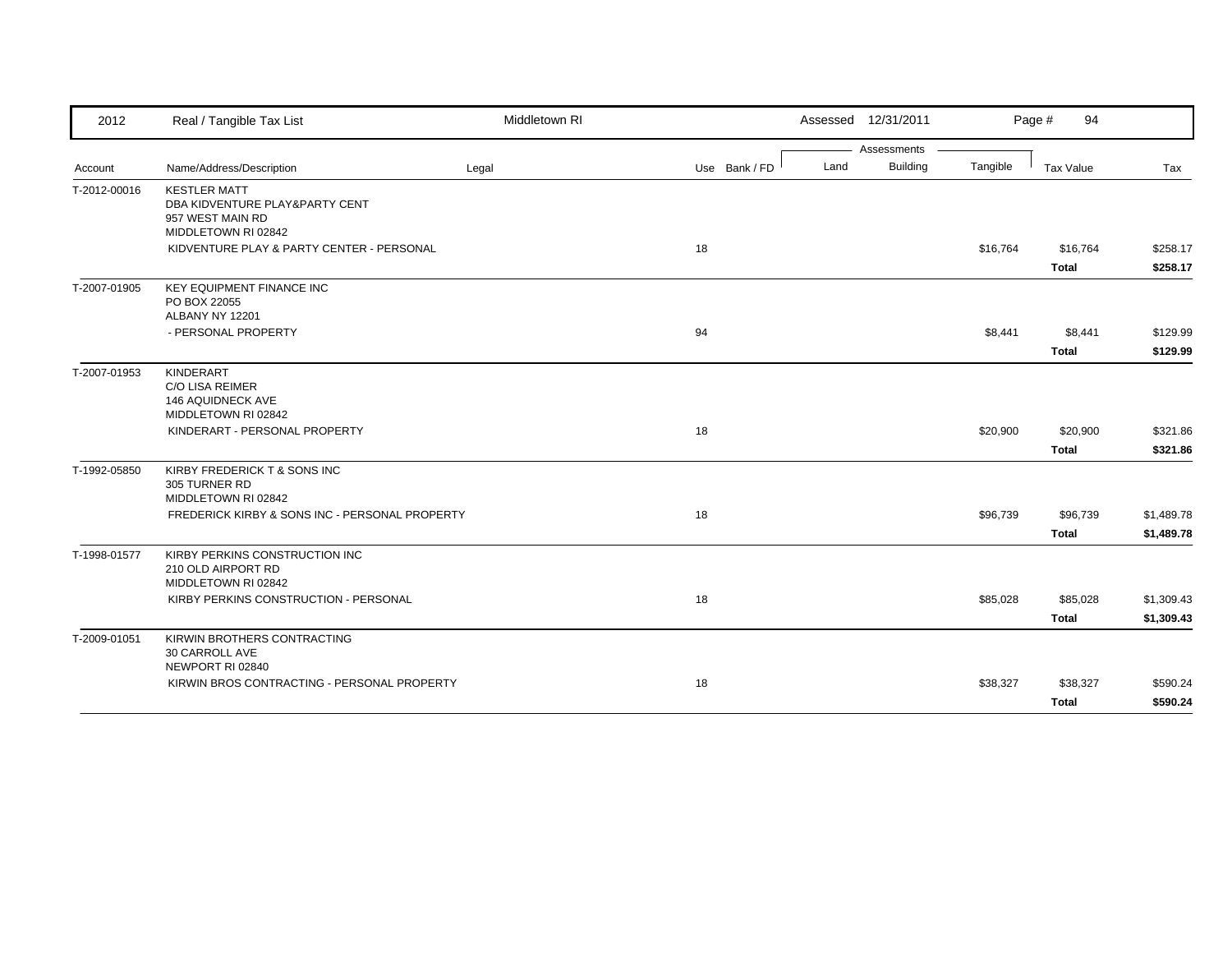| 2012         | Real / Tangible Tax List                                                                         | Middletown RI |               |      | Assessed 12/31/2011 |              | Page #<br>94             |                      |
|--------------|--------------------------------------------------------------------------------------------------|---------------|---------------|------|---------------------|--------------|--------------------------|----------------------|
|              |                                                                                                  |               |               |      | Assessments         |              |                          |                      |
| Account      | Name/Address/Description                                                                         | Legal         | Use Bank / FD | Land | <b>Building</b>     | Tangible     | Tax Value                | Tax                  |
| T-2012-00016 | <b>KESTLER MATT</b><br>DBA KIDVENTURE PLAY&PARTY CENT<br>957 WEST MAIN RD<br>MIDDLETOWN RI 02842 |               |               |      |                     |              |                          |                      |
|              | KIDVENTURE PLAY & PARTY CENTER - PERSONAL                                                        |               | 18            |      |                     | \$16,764     | \$16,764                 | \$258.17             |
|              |                                                                                                  |               |               |      |                     |              | Total                    | \$258.17             |
| T-2007-01905 | KEY EQUIPMENT FINANCE INC<br>PO BOX 22055<br>ALBANY NY 12201                                     |               |               |      |                     |              |                          |                      |
|              | - PERSONAL PROPERTY                                                                              |               | 94            |      |                     | \$8,441      | \$8,441                  | \$129.99             |
|              |                                                                                                  |               |               |      |                     | <b>Total</b> |                          | \$129.99             |
| T-2007-01953 | <b>KINDERART</b><br><b>C/O LISA REIMER</b><br>146 AQUIDNECK AVE<br>MIDDLETOWN RI 02842           |               |               |      |                     |              |                          |                      |
|              | KINDERART - PERSONAL PROPERTY                                                                    |               | 18            |      |                     | \$20,900     | \$20,900                 | \$321.86             |
|              |                                                                                                  |               |               |      |                     |              | Total                    | \$321.86             |
| T-1992-05850 | KIRBY FREDERICK T & SONS INC<br>305 TURNER RD<br>MIDDLETOWN RI 02842                             |               |               |      |                     |              |                          |                      |
|              | FREDERICK KIRBY & SONS INC - PERSONAL PROPERTY                                                   |               | 18            |      |                     | \$96,739     | \$96,739                 | \$1,489.78           |
|              |                                                                                                  |               |               |      |                     |              | Total                    | \$1,489.78           |
| T-1998-01577 | KIRBY PERKINS CONSTRUCTION INC<br>210 OLD AIRPORT RD<br>MIDDLETOWN RI 02842                      |               |               |      |                     |              |                          |                      |
|              | KIRBY PERKINS CONSTRUCTION - PERSONAL                                                            |               | 18            |      |                     | \$85,028     | \$85,028                 | \$1,309.43           |
|              |                                                                                                  |               |               |      |                     |              | <b>Total</b>             | \$1,309.43           |
| T-2009-01051 | KIRWIN BROTHERS CONTRACTING<br>30 CARROLL AVE<br>NEWPORT RI 02840                                |               |               |      |                     |              |                          |                      |
|              | KIRWIN BROS CONTRACTING - PERSONAL PROPERTY                                                      |               | 18            |      |                     | \$38,327     | \$38,327<br><b>Total</b> | \$590.24<br>\$590.24 |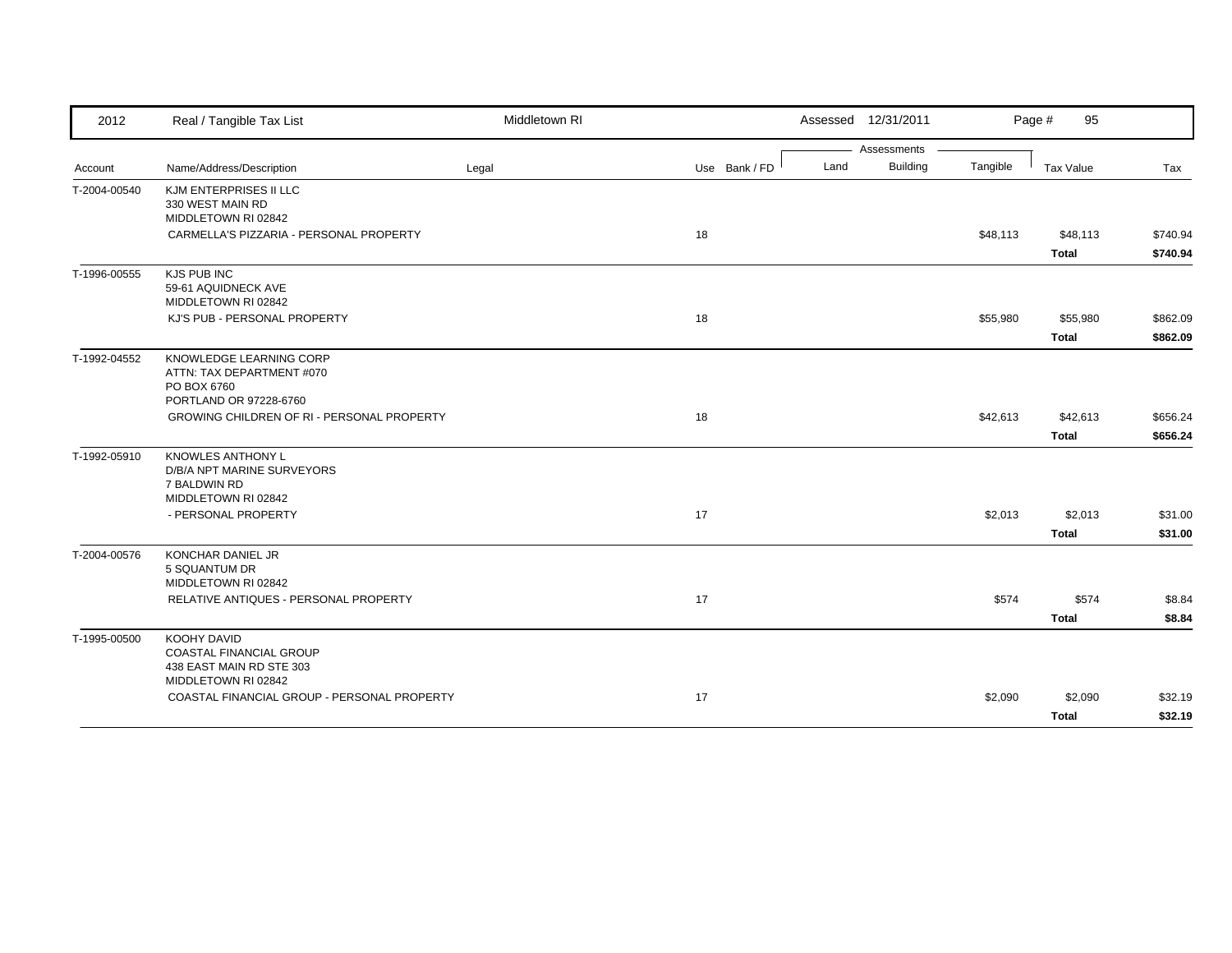| 2012         | Real / Tangible Tax List                    | Middletown RI |               |      | Assessed 12/31/2011 |          | Page #<br>95 |          |
|--------------|---------------------------------------------|---------------|---------------|------|---------------------|----------|--------------|----------|
|              |                                             |               |               |      | Assessments         |          |              |          |
| Account      | Name/Address/Description                    | Legal         | Use Bank / FD | Land | <b>Building</b>     | Tangible | Tax Value    | Tax      |
| T-2004-00540 | KJM ENTERPRISES II LLC<br>330 WEST MAIN RD  |               |               |      |                     |          |              |          |
|              | MIDDLETOWN RI 02842                         |               |               |      |                     |          |              |          |
|              | CARMELLA'S PIZZARIA - PERSONAL PROPERTY     |               | 18            |      |                     | \$48,113 | \$48,113     | \$740.94 |
|              |                                             |               |               |      |                     |          | <b>Total</b> | \$740.94 |
| T-1996-00555 | KJS PUB INC                                 |               |               |      |                     |          |              |          |
|              | 59-61 AQUIDNECK AVE                         |               |               |      |                     |          |              |          |
|              | MIDDLETOWN RI 02842                         |               |               |      |                     |          |              |          |
|              | KJ'S PUB - PERSONAL PROPERTY                |               | 18            |      |                     | \$55,980 | \$55,980     | \$862.09 |
|              |                                             |               |               |      |                     |          | <b>Total</b> | \$862.09 |
| T-1992-04552 | KNOWLEDGE LEARNING CORP                     |               |               |      |                     |          |              |          |
|              | ATTN: TAX DEPARTMENT #070<br>PO BOX 6760    |               |               |      |                     |          |              |          |
|              | PORTLAND OR 97228-6760                      |               |               |      |                     |          |              |          |
|              | GROWING CHILDREN OF RI - PERSONAL PROPERTY  |               | 18            |      |                     | \$42,613 | \$42,613     | \$656.24 |
|              |                                             |               |               |      |                     |          | <b>Total</b> | \$656.24 |
| T-1992-05910 | <b>KNOWLES ANTHONY L</b>                    |               |               |      |                     |          |              |          |
|              | D/B/A NPT MARINE SURVEYORS                  |               |               |      |                     |          |              |          |
|              | 7 BALDWIN RD                                |               |               |      |                     |          |              |          |
|              | MIDDLETOWN RI 02842<br>- PERSONAL PROPERTY  |               | 17            |      |                     | \$2,013  | \$2,013      | \$31.00  |
|              |                                             |               |               |      |                     |          |              |          |
|              |                                             |               |               |      |                     |          | <b>Total</b> | \$31.00  |
| T-2004-00576 | <b>KONCHAR DANIEL JR</b><br>5 SQUANTUM DR   |               |               |      |                     |          |              |          |
|              | MIDDLETOWN RI 02842                         |               |               |      |                     |          |              |          |
|              | RELATIVE ANTIQUES - PERSONAL PROPERTY       |               | 17            |      |                     | \$574    | \$574        | \$8.84   |
|              |                                             |               |               |      |                     |          | <b>Total</b> | \$8.84   |
| T-1995-00500 | KOOHY DAVID                                 |               |               |      |                     |          |              |          |
|              | <b>COASTAL FINANCIAL GROUP</b>              |               |               |      |                     |          |              |          |
|              | 438 EAST MAIN RD STE 303                    |               |               |      |                     |          |              |          |
|              | MIDDLETOWN RI 02842                         |               |               |      |                     |          |              |          |
|              | COASTAL FINANCIAL GROUP - PERSONAL PROPERTY |               | 17            |      |                     | \$2,090  | \$2,090      | \$32.19  |
|              |                                             |               |               |      |                     |          | <b>Total</b> | \$32.19  |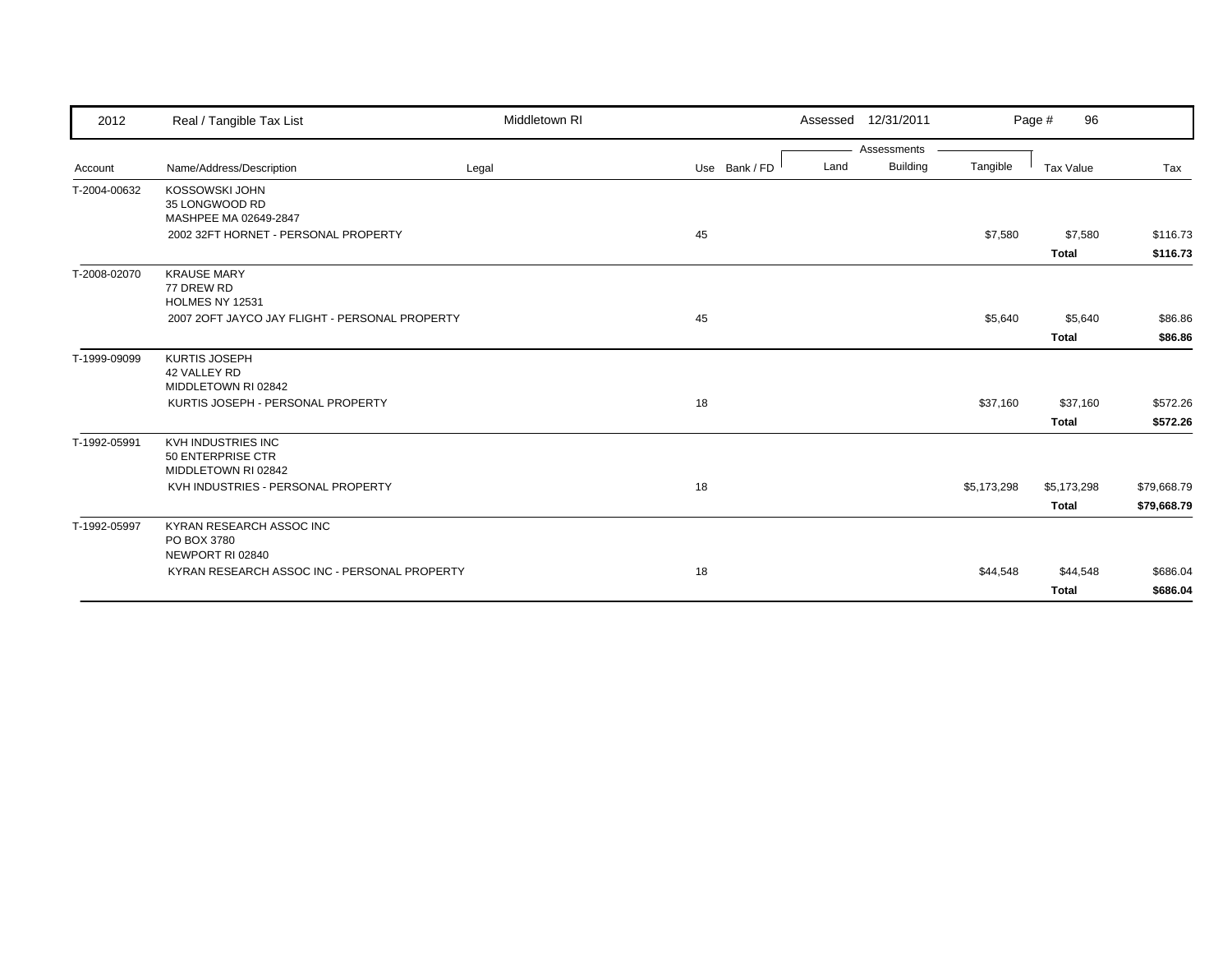| 2012         | Real / Tangible Tax List                                              | Middletown RI |               | Assessed 12/31/2011     |             | 96<br>Page #     |             |
|--------------|-----------------------------------------------------------------------|---------------|---------------|-------------------------|-------------|------------------|-------------|
|              |                                                                       |               |               | Assessments             |             |                  |             |
| Account      | Name/Address/Description                                              | Legal         | Use Bank / FD | <b>Building</b><br>Land | Tangible    | <b>Tax Value</b> | Tax         |
| T-2004-00632 | KOSSOWSKI JOHN<br>35 LONGWOOD RD<br>MASHPEE MA 02649-2847             |               |               |                         |             |                  |             |
|              | 2002 32FT HORNET - PERSONAL PROPERTY                                  |               | 45            |                         | \$7,580     | \$7,580          | \$116.73    |
|              |                                                                       |               |               |                         |             | <b>Total</b>     | \$116.73    |
| T-2008-02070 | <b>KRAUSE MARY</b><br>77 DREW RD<br><b>HOLMES NY 12531</b>            |               |               |                         |             |                  |             |
|              | 2007 2OFT JAYCO JAY FLIGHT - PERSONAL PROPERTY                        |               | 45            |                         | \$5,640     | \$5,640          | \$86.86     |
|              |                                                                       |               |               |                         |             | <b>Total</b>     | \$86.86     |
| T-1999-09099 | <b>KURTIS JOSEPH</b><br>42 VALLEY RD<br>MIDDLETOWN RI 02842           |               |               |                         |             |                  |             |
|              | KURTIS JOSEPH - PERSONAL PROPERTY                                     |               | 18            |                         | \$37,160    | \$37,160         | \$572.26    |
|              |                                                                       |               |               |                         |             | <b>Total</b>     | \$572.26    |
| T-1992-05991 | <b>KVH INDUSTRIES INC</b><br>50 ENTERPRISE CTR<br>MIDDLETOWN RI 02842 |               |               |                         |             |                  |             |
|              | KVH INDUSTRIES - PERSONAL PROPERTY                                    |               | 18            |                         | \$5,173,298 | \$5,173,298      | \$79,668.79 |
|              |                                                                       |               |               |                         |             | <b>Total</b>     | \$79,668.79 |
| T-1992-05997 | KYRAN RESEARCH ASSOC INC<br>PO BOX 3780<br>NEWPORT RI 02840           |               |               |                         |             |                  |             |
|              | KYRAN RESEARCH ASSOC INC - PERSONAL PROPERTY                          |               | 18            |                         | \$44,548    | \$44,548         | \$686.04    |
|              |                                                                       |               |               |                         |             | <b>Total</b>     | \$686.04    |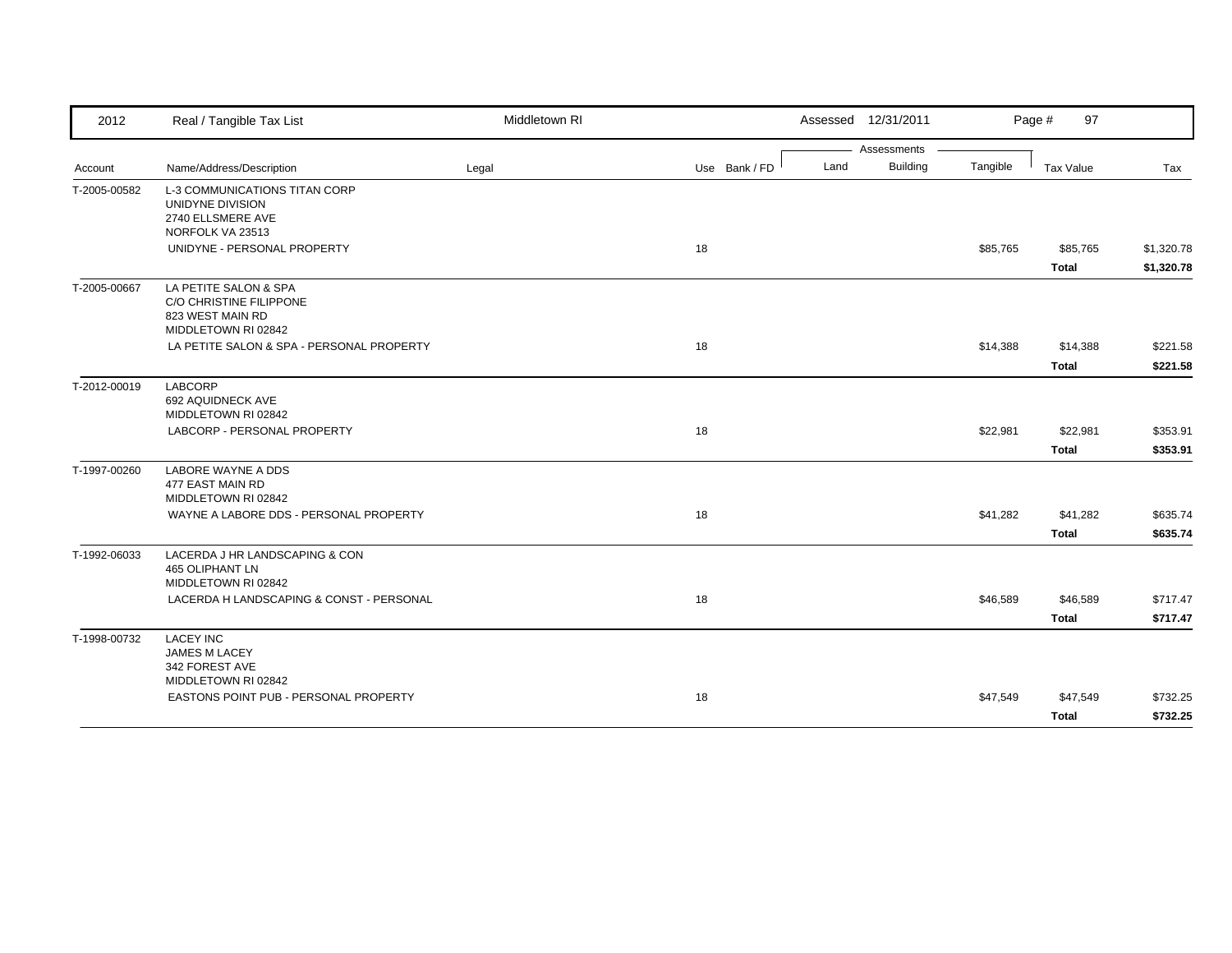| Assessments<br><b>Building</b><br>Land<br>Tangible<br>Name/Address/Description<br>Use Bank / FD<br>Tax Value<br>Legal<br>Tax<br>Account<br><b>L-3 COMMUNICATIONS TITAN CORP</b><br>UNIDYNE DIVISION<br>2740 ELLSMERE AVE<br>NORFOLK VA 23513<br>UNIDYNE - PERSONAL PROPERTY<br>18<br>\$85,765<br>\$85,765<br><b>Total</b><br>LA PETITE SALON & SPA<br>C/O CHRISTINE FILIPPONE<br>823 WEST MAIN RD<br>MIDDLETOWN RI 02842<br>18<br>\$14,388<br>LA PETITE SALON & SPA - PERSONAL PROPERTY<br>\$14,388<br><b>Total</b><br><b>LABCORP</b><br>692 AQUIDNECK AVE<br>MIDDLETOWN RI 02842<br>LABCORP - PERSONAL PROPERTY<br>18<br>\$22,981<br>\$22,981<br><b>Total</b><br><b>LABORE WAYNE A DDS</b><br>477 EAST MAIN RD<br>MIDDLETOWN RI 02842<br>WAYNE A LABORE DDS - PERSONAL PROPERTY<br>18<br>\$41,282<br>\$41,282<br><b>Total</b><br>LACERDA J HR LANDSCAPING & CON<br>465 OLIPHANT LN<br>MIDDLETOWN RI 02842<br>LACERDA H LANDSCAPING & CONST - PERSONAL<br>18<br>\$46,589<br>\$46,589<br><b>Total</b><br><b>LACEY INC</b><br><b>JAMES M LACEY</b><br>342 FOREST AVE<br>MIDDLETOWN RI 02842<br>EASTONS POINT PUB - PERSONAL PROPERTY<br>18<br>\$47,549<br>\$47,549 | 2012         | Real / Tangible Tax List | Middletown RI | Assessed 12/31/2011 | Page #<br>97 |            |
|------------------------------------------------------------------------------------------------------------------------------------------------------------------------------------------------------------------------------------------------------------------------------------------------------------------------------------------------------------------------------------------------------------------------------------------------------------------------------------------------------------------------------------------------------------------------------------------------------------------------------------------------------------------------------------------------------------------------------------------------------------------------------------------------------------------------------------------------------------------------------------------------------------------------------------------------------------------------------------------------------------------------------------------------------------------------------------------------------------------------------------------------------------------|--------------|--------------------------|---------------|---------------------|--------------|------------|
|                                                                                                                                                                                                                                                                                                                                                                                                                                                                                                                                                                                                                                                                                                                                                                                                                                                                                                                                                                                                                                                                                                                                                                  |              |                          |               |                     |              |            |
|                                                                                                                                                                                                                                                                                                                                                                                                                                                                                                                                                                                                                                                                                                                                                                                                                                                                                                                                                                                                                                                                                                                                                                  |              |                          |               |                     |              |            |
|                                                                                                                                                                                                                                                                                                                                                                                                                                                                                                                                                                                                                                                                                                                                                                                                                                                                                                                                                                                                                                                                                                                                                                  | T-2005-00582 |                          |               |                     |              |            |
|                                                                                                                                                                                                                                                                                                                                                                                                                                                                                                                                                                                                                                                                                                                                                                                                                                                                                                                                                                                                                                                                                                                                                                  |              |                          |               |                     |              |            |
| \$1,320.78                                                                                                                                                                                                                                                                                                                                                                                                                                                                                                                                                                                                                                                                                                                                                                                                                                                                                                                                                                                                                                                                                                                                                       |              |                          |               |                     |              | \$1,320.78 |
|                                                                                                                                                                                                                                                                                                                                                                                                                                                                                                                                                                                                                                                                                                                                                                                                                                                                                                                                                                                                                                                                                                                                                                  |              |                          |               |                     |              |            |
| \$221.58                                                                                                                                                                                                                                                                                                                                                                                                                                                                                                                                                                                                                                                                                                                                                                                                                                                                                                                                                                                                                                                                                                                                                         | T-2005-00667 |                          |               |                     |              |            |
| \$221.58<br>\$353.91<br>\$353.91<br>\$635.74<br>\$635.74<br>\$717.47<br>\$717.47<br>\$732.25                                                                                                                                                                                                                                                                                                                                                                                                                                                                                                                                                                                                                                                                                                                                                                                                                                                                                                                                                                                                                                                                     |              |                          |               |                     |              |            |
|                                                                                                                                                                                                                                                                                                                                                                                                                                                                                                                                                                                                                                                                                                                                                                                                                                                                                                                                                                                                                                                                                                                                                                  |              |                          |               |                     |              |            |
|                                                                                                                                                                                                                                                                                                                                                                                                                                                                                                                                                                                                                                                                                                                                                                                                                                                                                                                                                                                                                                                                                                                                                                  | T-2012-00019 |                          |               |                     |              |            |
|                                                                                                                                                                                                                                                                                                                                                                                                                                                                                                                                                                                                                                                                                                                                                                                                                                                                                                                                                                                                                                                                                                                                                                  |              |                          |               |                     |              |            |
|                                                                                                                                                                                                                                                                                                                                                                                                                                                                                                                                                                                                                                                                                                                                                                                                                                                                                                                                                                                                                                                                                                                                                                  |              |                          |               |                     |              |            |
|                                                                                                                                                                                                                                                                                                                                                                                                                                                                                                                                                                                                                                                                                                                                                                                                                                                                                                                                                                                                                                                                                                                                                                  | T-1997-00260 |                          |               |                     |              |            |
|                                                                                                                                                                                                                                                                                                                                                                                                                                                                                                                                                                                                                                                                                                                                                                                                                                                                                                                                                                                                                                                                                                                                                                  |              |                          |               |                     |              |            |
|                                                                                                                                                                                                                                                                                                                                                                                                                                                                                                                                                                                                                                                                                                                                                                                                                                                                                                                                                                                                                                                                                                                                                                  |              |                          |               |                     |              |            |
|                                                                                                                                                                                                                                                                                                                                                                                                                                                                                                                                                                                                                                                                                                                                                                                                                                                                                                                                                                                                                                                                                                                                                                  | T-1992-06033 |                          |               |                     |              |            |
|                                                                                                                                                                                                                                                                                                                                                                                                                                                                                                                                                                                                                                                                                                                                                                                                                                                                                                                                                                                                                                                                                                                                                                  |              |                          |               |                     |              |            |
|                                                                                                                                                                                                                                                                                                                                                                                                                                                                                                                                                                                                                                                                                                                                                                                                                                                                                                                                                                                                                                                                                                                                                                  |              |                          |               |                     |              |            |
|                                                                                                                                                                                                                                                                                                                                                                                                                                                                                                                                                                                                                                                                                                                                                                                                                                                                                                                                                                                                                                                                                                                                                                  | T-1998-00732 |                          |               |                     |              |            |
|                                                                                                                                                                                                                                                                                                                                                                                                                                                                                                                                                                                                                                                                                                                                                                                                                                                                                                                                                                                                                                                                                                                                                                  |              |                          |               |                     |              |            |
|                                                                                                                                                                                                                                                                                                                                                                                                                                                                                                                                                                                                                                                                                                                                                                                                                                                                                                                                                                                                                                                                                                                                                                  |              |                          |               |                     | <b>Total</b> | \$732.25   |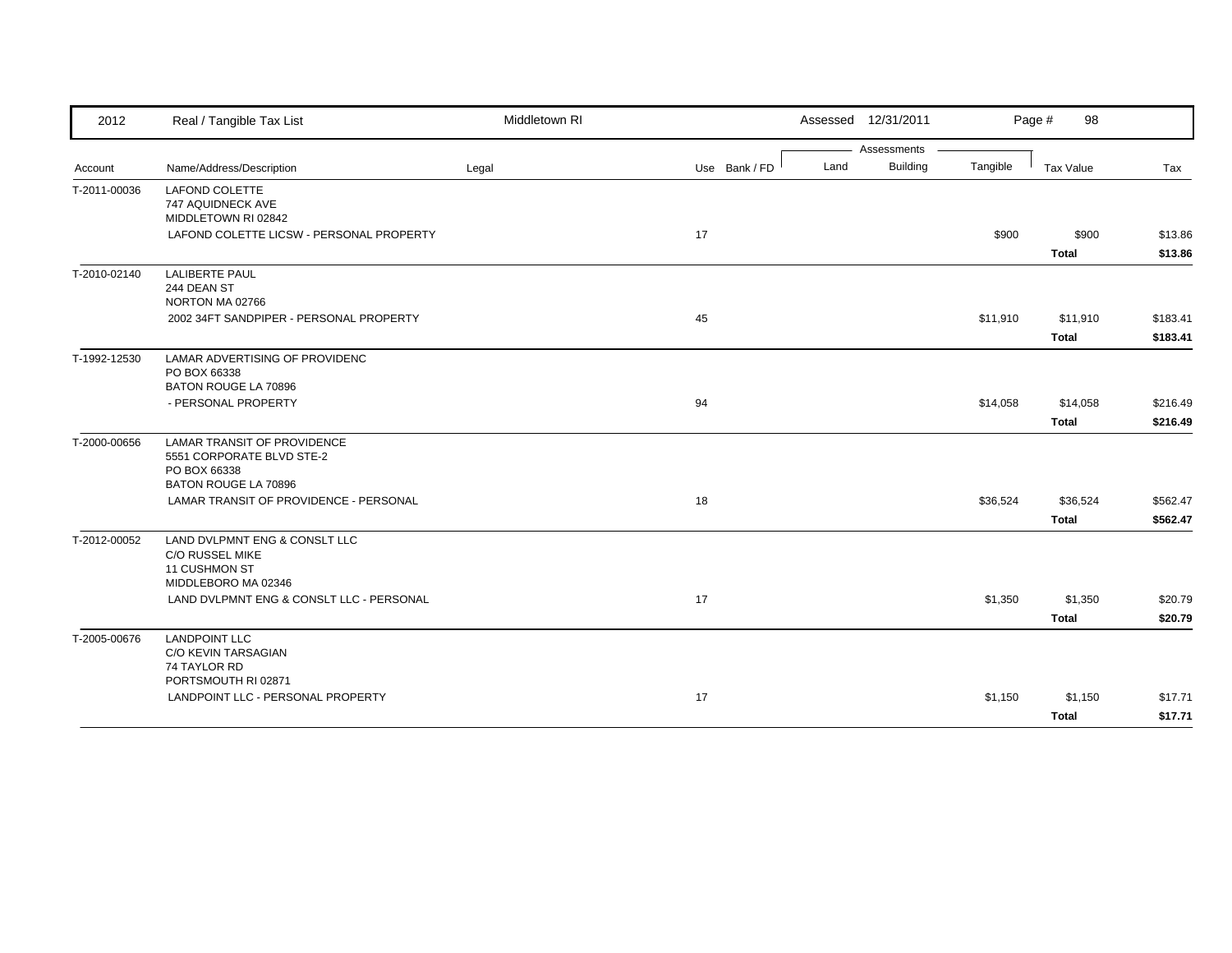| 2012         | Real / Tangible Tax List                                                                        | Middletown RI |               | Assessed 12/31/2011     |          | Page #<br>98 |          |
|--------------|-------------------------------------------------------------------------------------------------|---------------|---------------|-------------------------|----------|--------------|----------|
|              |                                                                                                 |               |               | Assessments             |          |              |          |
| Account      | Name/Address/Description                                                                        | Legal         | Use Bank / FD | <b>Building</b><br>Land | Tangible | Tax Value    | Tax      |
| T-2011-00036 | <b>LAFOND COLETTE</b><br>747 AQUIDNECK AVE<br>MIDDLETOWN RI 02842                               |               |               |                         |          |              |          |
|              | LAFOND COLETTE LICSW - PERSONAL PROPERTY                                                        |               | 17            |                         | \$900    | \$900        | \$13.86  |
|              |                                                                                                 |               |               |                         |          | <b>Total</b> | \$13.86  |
| T-2010-02140 | <b>LALIBERTE PAUL</b><br>244 DEAN ST<br>NORTON MA 02766                                         |               |               |                         |          |              |          |
|              | 2002 34FT SANDPIPER - PERSONAL PROPERTY                                                         |               | 45            |                         | \$11,910 | \$11,910     | \$183.41 |
|              |                                                                                                 |               |               |                         |          | <b>Total</b> | \$183.41 |
| T-1992-12530 | LAMAR ADVERTISING OF PROVIDENC<br>PO BOX 66338<br>BATON ROUGE LA 70896                          |               |               |                         |          |              |          |
|              | - PERSONAL PROPERTY                                                                             |               | 94            |                         | \$14,058 | \$14,058     | \$216.49 |
|              |                                                                                                 |               |               |                         |          | <b>Total</b> | \$216.49 |
| T-2000-00656 | <b>LAMAR TRANSIT OF PROVIDENCE</b><br>5551 CORPORATE BLVD STE-2<br>PO BOX 66338                 |               |               |                         |          |              |          |
|              | <b>BATON ROUGE LA 70896</b>                                                                     |               |               |                         |          |              |          |
|              | LAMAR TRANSIT OF PROVIDENCE - PERSONAL                                                          |               | 18            |                         | \$36,524 | \$36,524     | \$562.47 |
|              |                                                                                                 |               |               |                         |          | <b>Total</b> | \$562.47 |
| T-2012-00052 | LAND DVLPMNT ENG & CONSLT LLC<br><b>C/O RUSSEL MIKE</b><br>11 CUSHMON ST<br>MIDDLEBORO MA 02346 |               |               |                         |          |              |          |
|              | LAND DVLPMNT ENG & CONSLT LLC - PERSONAL                                                        |               | 17            |                         | \$1,350  | \$1,350      | \$20.79  |
|              |                                                                                                 |               |               |                         |          | <b>Total</b> | \$20.79  |
| T-2005-00676 | <b>LANDPOINT LLC</b><br>C/O KEVIN TARSAGIAN<br>74 TAYLOR RD<br>PORTSMOUTH RI 02871              |               |               |                         |          |              |          |
|              | LANDPOINT LLC - PERSONAL PROPERTY                                                               |               | 17            |                         | \$1,150  | \$1,150      | \$17.71  |
|              |                                                                                                 |               |               |                         |          | <b>Total</b> | \$17.71  |
|              |                                                                                                 |               |               |                         |          |              |          |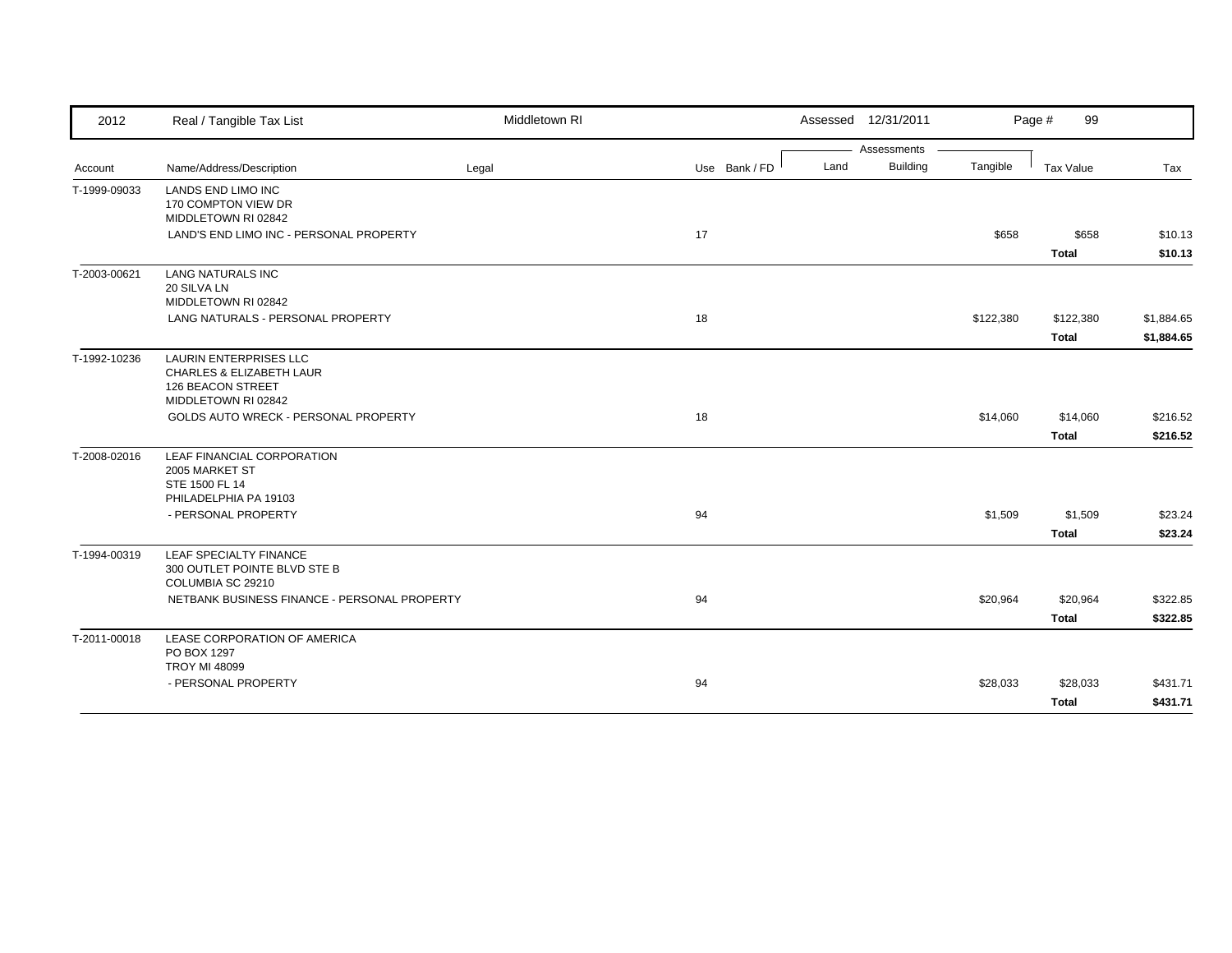| 2012         | Real / Tangible Tax List                                                                       | Middletown RI |               |      | Assessed 12/31/2011            |           | Page #<br>99          |                    |
|--------------|------------------------------------------------------------------------------------------------|---------------|---------------|------|--------------------------------|-----------|-----------------------|--------------------|
|              | Name/Address/Description                                                                       |               | Use Bank / FD | Land | Assessments<br><b>Building</b> | Tangible  | Tax Value             |                    |
| Account      |                                                                                                | Legal         |               |      |                                |           |                       | Tax                |
| T-1999-09033 | <b>LANDS END LIMO INC</b><br>170 COMPTON VIEW DR<br>MIDDLETOWN RI 02842                        |               |               |      |                                |           |                       |                    |
|              | LAND'S END LIMO INC - PERSONAL PROPERTY                                                        |               | 17            |      |                                | \$658     | \$658<br><b>Total</b> | \$10.13<br>\$10.13 |
| T-2003-00621 | <b>LANG NATURALS INC</b><br>20 SILVA LN<br>MIDDLETOWN RI 02842                                 |               |               |      |                                |           |                       |                    |
|              | LANG NATURALS - PERSONAL PROPERTY                                                              |               | 18            |      |                                | \$122,380 | \$122,380             | \$1,884.65         |
|              |                                                                                                |               |               |      |                                |           | <b>Total</b>          | \$1,884.65         |
| T-1992-10236 | LAURIN ENTERPRISES LLC<br>CHARLES & ELIZABETH LAUR<br>126 BEACON STREET<br>MIDDLETOWN RI 02842 |               |               |      |                                |           |                       |                    |
|              | GOLDS AUTO WRECK - PERSONAL PROPERTY                                                           |               | 18            |      |                                | \$14,060  | \$14,060              | \$216.52           |
|              |                                                                                                |               |               |      |                                |           | <b>Total</b>          | \$216.52           |
| T-2008-02016 | LEAF FINANCIAL CORPORATION<br>2005 MARKET ST<br>STE 1500 FL 14                                 |               |               |      |                                |           |                       |                    |
|              | PHILADELPHIA PA 19103<br>- PERSONAL PROPERTY                                                   |               | 94            |      |                                | \$1,509   | \$1,509               | \$23.24            |
|              |                                                                                                |               |               |      |                                |           | <b>Total</b>          | \$23.24            |
| T-1994-00319 | LEAF SPECIALTY FINANCE<br>300 OUTLET POINTE BLVD STE B<br>COLUMBIA SC 29210                    |               |               |      |                                |           |                       |                    |
|              | NETBANK BUSINESS FINANCE - PERSONAL PROPERTY                                                   |               | 94            |      |                                | \$20,964  | \$20,964              | \$322.85           |
|              |                                                                                                |               |               |      |                                |           | <b>Total</b>          | \$322.85           |
| T-2011-00018 | LEASE CORPORATION OF AMERICA<br>PO BOX 1297<br><b>TROY MI 48099</b>                            |               |               |      |                                |           |                       |                    |
|              | - PERSONAL PROPERTY                                                                            |               | 94            |      |                                | \$28,033  | \$28,033              | \$431.71           |
|              |                                                                                                |               |               |      |                                |           | <b>Total</b>          | \$431.71           |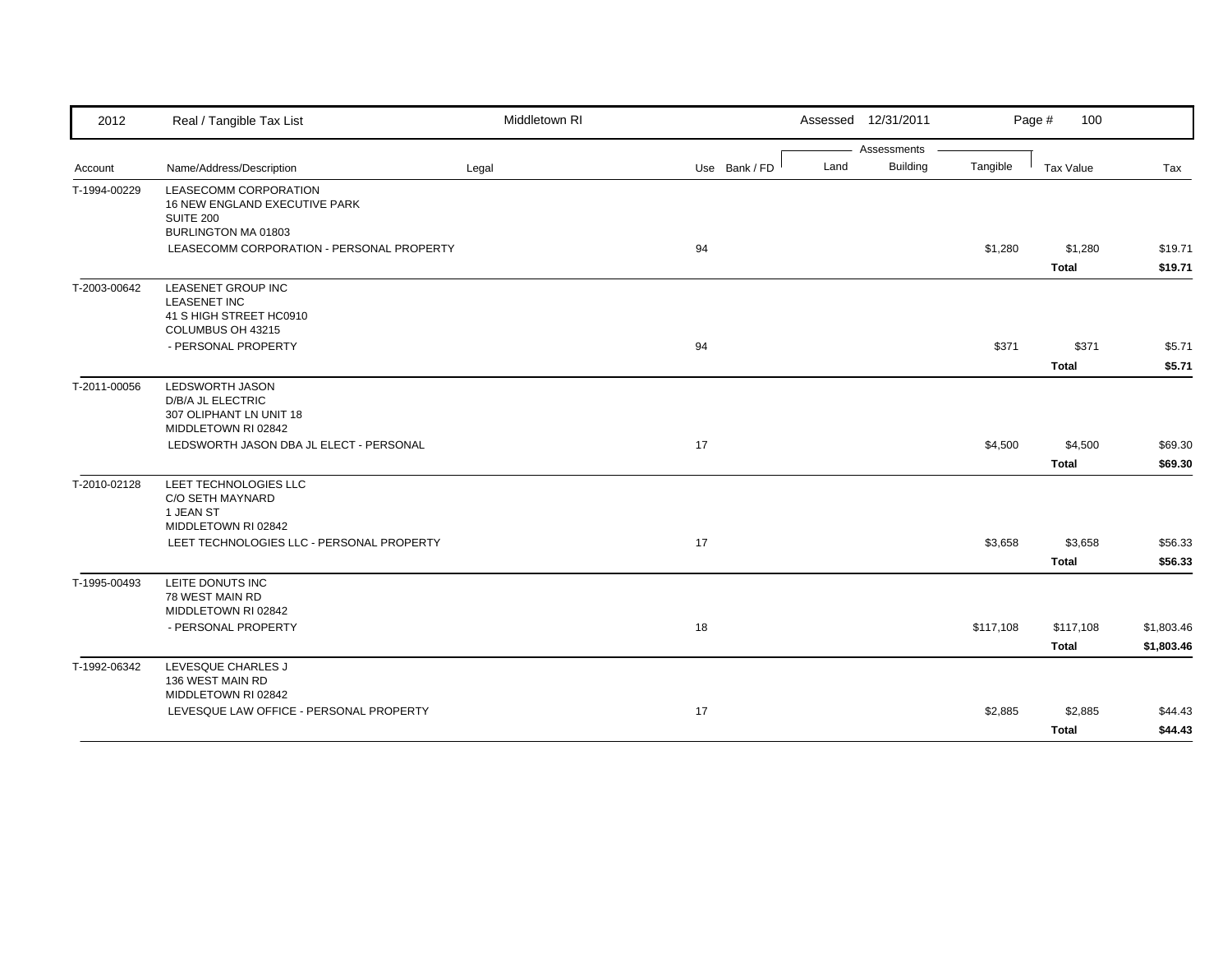| 2012         | Real / Tangible Tax List                                                                         | Middletown RI |               |      | Assessed 12/31/2011 |           | 100<br>Page #             |                          |
|--------------|--------------------------------------------------------------------------------------------------|---------------|---------------|------|---------------------|-----------|---------------------------|--------------------------|
|              |                                                                                                  |               |               |      | Assessments         |           |                           |                          |
| Account      | Name/Address/Description                                                                         | Legal         | Use Bank / FD | Land | Building            | Tangible  | <b>Tax Value</b>          | Tax                      |
| T-1994-00229 | LEASECOMM CORPORATION<br>16 NEW ENGLAND EXECUTIVE PARK<br>SUITE 200<br>BURLINGTON MA 01803       |               |               |      |                     |           |                           |                          |
|              | LEASECOMM CORPORATION - PERSONAL PROPERTY                                                        |               | 94            |      |                     | \$1,280   | \$1,280<br><b>Total</b>   | \$19.71<br>\$19.71       |
| T-2003-00642 | <b>LEASENET GROUP INC</b><br><b>LEASENET INC</b><br>41 S HIGH STREET HC0910<br>COLUMBUS OH 43215 |               |               |      |                     |           |                           |                          |
|              | - PERSONAL PROPERTY                                                                              |               | 94            |      |                     | \$371     | \$371<br><b>Total</b>     | \$5.71<br>\$5.71         |
| T-2011-00056 | <b>LEDSWORTH JASON</b><br>D/B/A JL ELECTRIC<br>307 OLIPHANT LN UNIT 18<br>MIDDLETOWN RI 02842    |               |               |      |                     |           |                           |                          |
|              | LEDSWORTH JASON DBA JL ELECT - PERSONAL                                                          |               | 17            |      |                     | \$4,500   | \$4,500<br><b>Total</b>   | \$69.30<br>\$69.30       |
| T-2010-02128 | LEET TECHNOLOGIES LLC<br>C/O SETH MAYNARD<br>1 JEAN ST<br>MIDDLETOWN RI 02842                    |               |               |      |                     |           |                           |                          |
|              | LEET TECHNOLOGIES LLC - PERSONAL PROPERTY                                                        |               | 17            |      |                     | \$3,658   | \$3,658<br><b>Total</b>   | \$56.33<br>\$56.33       |
| T-1995-00493 | LEITE DONUTS INC<br>78 WEST MAIN RD<br>MIDDLETOWN RI 02842                                       |               |               |      |                     |           |                           |                          |
|              | - PERSONAL PROPERTY                                                                              |               | 18            |      |                     | \$117,108 | \$117,108<br><b>Total</b> | \$1,803.46<br>\$1,803.46 |
| T-1992-06342 | LEVESQUE CHARLES J<br>136 WEST MAIN RD<br>MIDDLETOWN RI 02842                                    |               |               |      |                     |           |                           |                          |
|              | LEVESQUE LAW OFFICE - PERSONAL PROPERTY                                                          |               | 17            |      |                     | \$2,885   | \$2,885<br><b>Total</b>   | \$44.43<br>\$44.43       |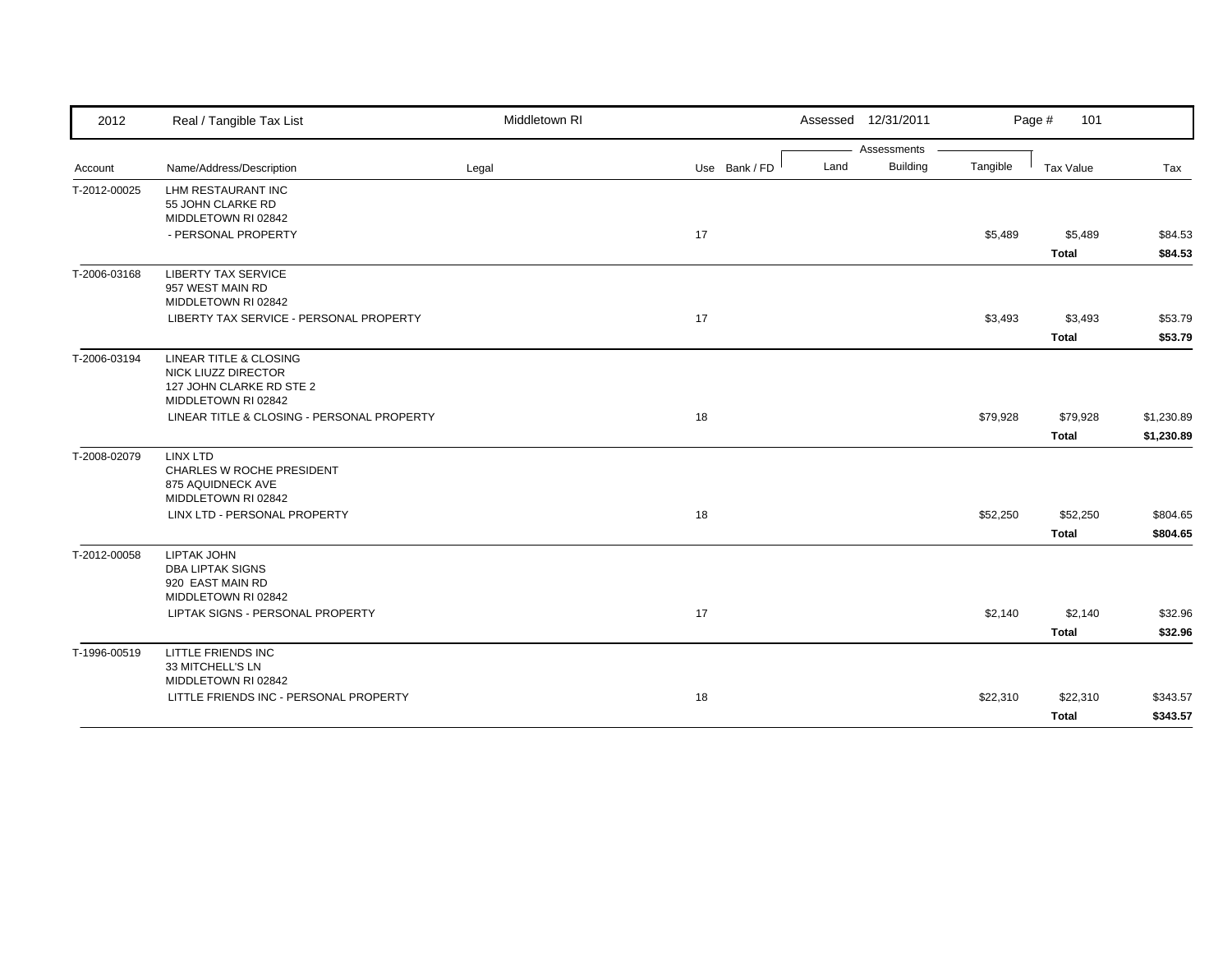| 2012         | Real / Tangible Tax List                       | Middletown RI |               | Assessed 12/31/2011     |          | Page #<br>101 |            |
|--------------|------------------------------------------------|---------------|---------------|-------------------------|----------|---------------|------------|
|              |                                                |               |               | Assessments             |          |               |            |
| Account      | Name/Address/Description                       | Legal         | Use Bank / FD | <b>Building</b><br>Land | Tangible | Tax Value     | Tax        |
| T-2012-00025 | LHM RESTAURANT INC                             |               |               |                         |          |               |            |
|              | 55 JOHN CLARKE RD<br>MIDDLETOWN RI 02842       |               |               |                         |          |               |            |
|              | - PERSONAL PROPERTY                            |               | 17            |                         | \$5,489  | \$5,489       | \$84.53    |
|              |                                                |               |               |                         |          | <b>Total</b>  | \$84.53    |
|              |                                                |               |               |                         |          |               |            |
| T-2006-03168 | <b>LIBERTY TAX SERVICE</b><br>957 WEST MAIN RD |               |               |                         |          |               |            |
|              | MIDDLETOWN RI 02842                            |               |               |                         |          |               |            |
|              | LIBERTY TAX SERVICE - PERSONAL PROPERTY        |               | 17            |                         | \$3,493  | \$3,493       | \$53.79    |
|              |                                                |               |               |                         |          | <b>Total</b>  | \$53.79    |
|              |                                                |               |               |                         |          |               |            |
| T-2006-03194 | LINEAR TITLE & CLOSING<br>NICK LIUZZ DIRECTOR  |               |               |                         |          |               |            |
|              | 127 JOHN CLARKE RD STE 2                       |               |               |                         |          |               |            |
|              | MIDDLETOWN RI 02842                            |               |               |                         |          |               |            |
|              | LINEAR TITLE & CLOSING - PERSONAL PROPERTY     |               | 18            |                         | \$79,928 | \$79,928      | \$1,230.89 |
|              |                                                |               |               |                         |          | <b>Total</b>  | \$1,230.89 |
| T-2008-02079 | <b>LINX LTD</b>                                |               |               |                         |          |               |            |
|              | CHARLES W ROCHE PRESIDENT                      |               |               |                         |          |               |            |
|              | 875 AQUIDNECK AVE                              |               |               |                         |          |               |            |
|              | MIDDLETOWN RI 02842                            |               |               |                         |          |               |            |
|              | LINX LTD - PERSONAL PROPERTY                   |               | 18            |                         | \$52,250 | \$52,250      | \$804.65   |
|              |                                                |               |               |                         |          | <b>Total</b>  | \$804.65   |
| T-2012-00058 | <b>LIPTAK JOHN</b>                             |               |               |                         |          |               |            |
|              | <b>DBA LIPTAK SIGNS</b>                        |               |               |                         |          |               |            |
|              | 920 EAST MAIN RD<br>MIDDLETOWN RI 02842        |               |               |                         |          |               |            |
|              | LIPTAK SIGNS - PERSONAL PROPERTY               |               | 17            |                         | \$2,140  | \$2,140       | \$32.96    |
|              |                                                |               |               |                         |          |               |            |
|              |                                                |               |               |                         |          | <b>Total</b>  | \$32.96    |
| T-1996-00519 | LITTLE FRIENDS INC                             |               |               |                         |          |               |            |
|              | 33 MITCHELL'S LN<br>MIDDLETOWN RI 02842        |               |               |                         |          |               |            |
|              | LITTLE FRIENDS INC - PERSONAL PROPERTY         |               | 18            |                         | \$22,310 | \$22,310      | \$343.57   |
|              |                                                |               |               |                         |          | Total         | \$343.57   |
|              |                                                |               |               |                         |          |               |            |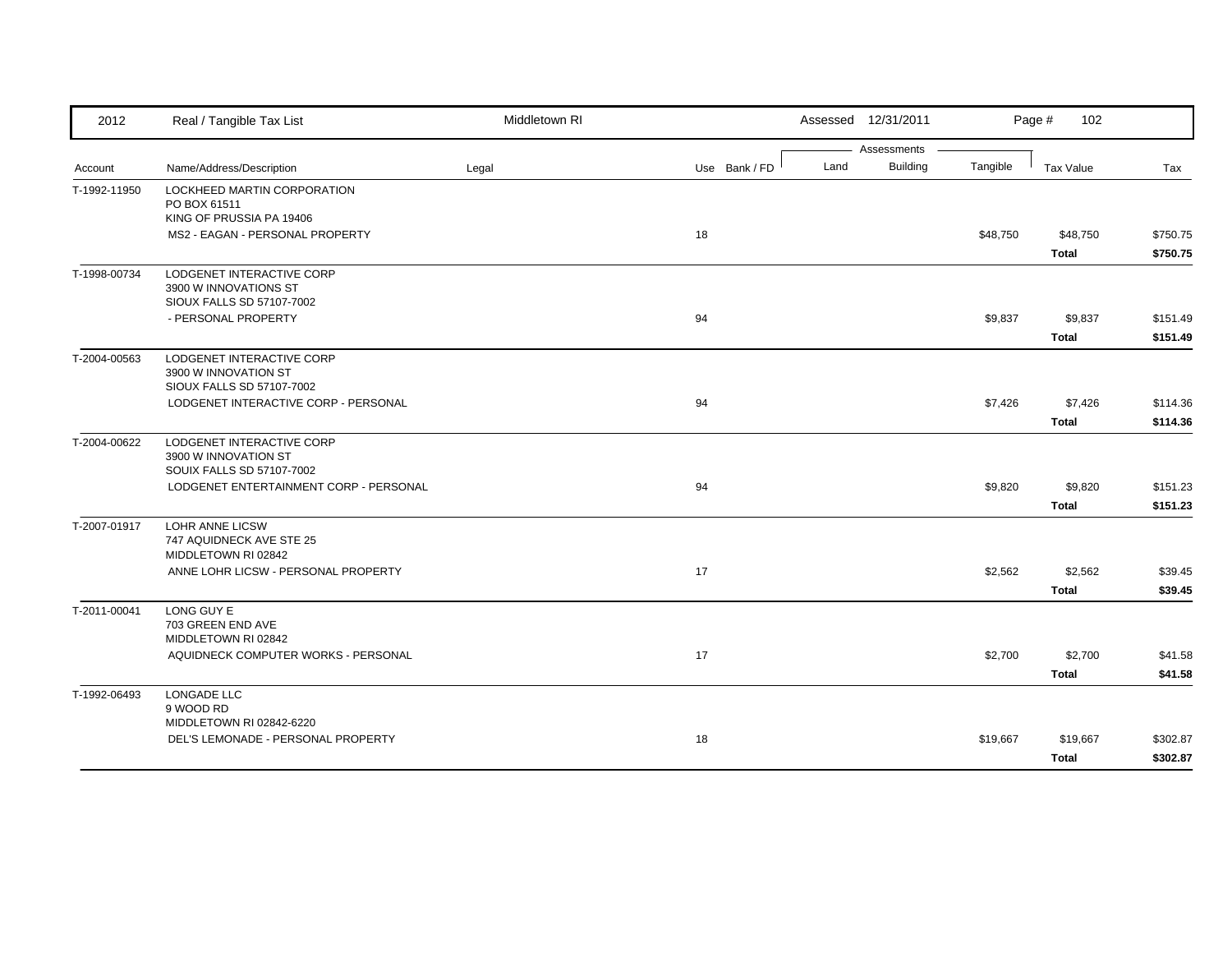| 2012         | Real / Tangible Tax List                                          | Middletown RI |               |      | Assessed 12/31/2011            |          | Page #<br>102 |          |
|--------------|-------------------------------------------------------------------|---------------|---------------|------|--------------------------------|----------|---------------|----------|
|              |                                                                   |               | Use Bank / FD | Land | Assessments<br><b>Building</b> | Tangible |               |          |
| Account      | Name/Address/Description                                          | Legal         |               |      |                                |          | Tax Value     | Tax      |
| T-1992-11950 | LOCKHEED MARTIN CORPORATION<br>PO BOX 61511                       |               |               |      |                                |          |               |          |
|              | KING OF PRUSSIA PA 19406                                          |               |               |      |                                |          |               |          |
|              | MS2 - EAGAN - PERSONAL PROPERTY                                   |               | 18            |      |                                | \$48,750 | \$48,750      | \$750.75 |
|              |                                                                   |               |               |      |                                |          | <b>Total</b>  | \$750.75 |
| T-1998-00734 | LODGENET INTERACTIVE CORP                                         |               |               |      |                                |          |               |          |
|              | 3900 W INNOVATIONS ST<br>SIOUX FALLS SD 57107-7002                |               |               |      |                                |          |               |          |
|              | - PERSONAL PROPERTY                                               |               | 94            |      |                                | \$9,837  | \$9,837       | \$151.49 |
|              |                                                                   |               |               |      |                                |          | <b>Total</b>  | \$151.49 |
| T-2004-00563 | LODGENET INTERACTIVE CORP                                         |               |               |      |                                |          |               |          |
|              | 3900 W INNOVATION ST                                              |               |               |      |                                |          |               |          |
|              | SIOUX FALLS SD 57107-7002<br>LODGENET INTERACTIVE CORP - PERSONAL |               | 94            |      |                                | \$7,426  | \$7,426       | \$114.36 |
|              |                                                                   |               |               |      |                                |          | <b>Total</b>  | \$114.36 |
|              | LODGENET INTERACTIVE CORP                                         |               |               |      |                                |          |               |          |
| T-2004-00622 | 3900 W INNOVATION ST                                              |               |               |      |                                |          |               |          |
|              | SOUIX FALLS SD 57107-7002                                         |               |               |      |                                |          |               |          |
|              | LODGENET ENTERTAINMENT CORP - PERSONAL                            |               | 94            |      |                                | \$9,820  | \$9,820       | \$151.23 |
|              |                                                                   |               |               |      |                                |          | <b>Total</b>  | \$151.23 |
| T-2007-01917 | LOHR ANNE LICSW                                                   |               |               |      |                                |          |               |          |
|              | 747 AQUIDNECK AVE STE 25<br>MIDDLETOWN RI 02842                   |               |               |      |                                |          |               |          |
|              | ANNE LOHR LICSW - PERSONAL PROPERTY                               |               | 17            |      |                                | \$2,562  | \$2,562       | \$39.45  |
|              |                                                                   |               |               |      |                                |          | <b>Total</b>  | \$39.45  |
| T-2011-00041 | LONG GUY E                                                        |               |               |      |                                |          |               |          |
|              | 703 GREEN END AVE                                                 |               |               |      |                                |          |               |          |
|              | MIDDLETOWN RI 02842<br>AQUIDNECK COMPUTER WORKS - PERSONAL        |               | 17            |      |                                | \$2,700  | \$2,700       | \$41.58  |
|              |                                                                   |               |               |      |                                |          | <b>Total</b>  | \$41.58  |
| T-1992-06493 | LONGADE LLC                                                       |               |               |      |                                |          |               |          |
|              | 9 WOOD RD                                                         |               |               |      |                                |          |               |          |
|              | MIDDLETOWN RI 02842-6220                                          |               |               |      |                                |          |               |          |
|              | DEL'S LEMONADE - PERSONAL PROPERTY                                |               | 18            |      |                                | \$19,667 | \$19,667      | \$302.87 |
|              |                                                                   |               |               |      |                                |          | <b>Total</b>  | \$302.87 |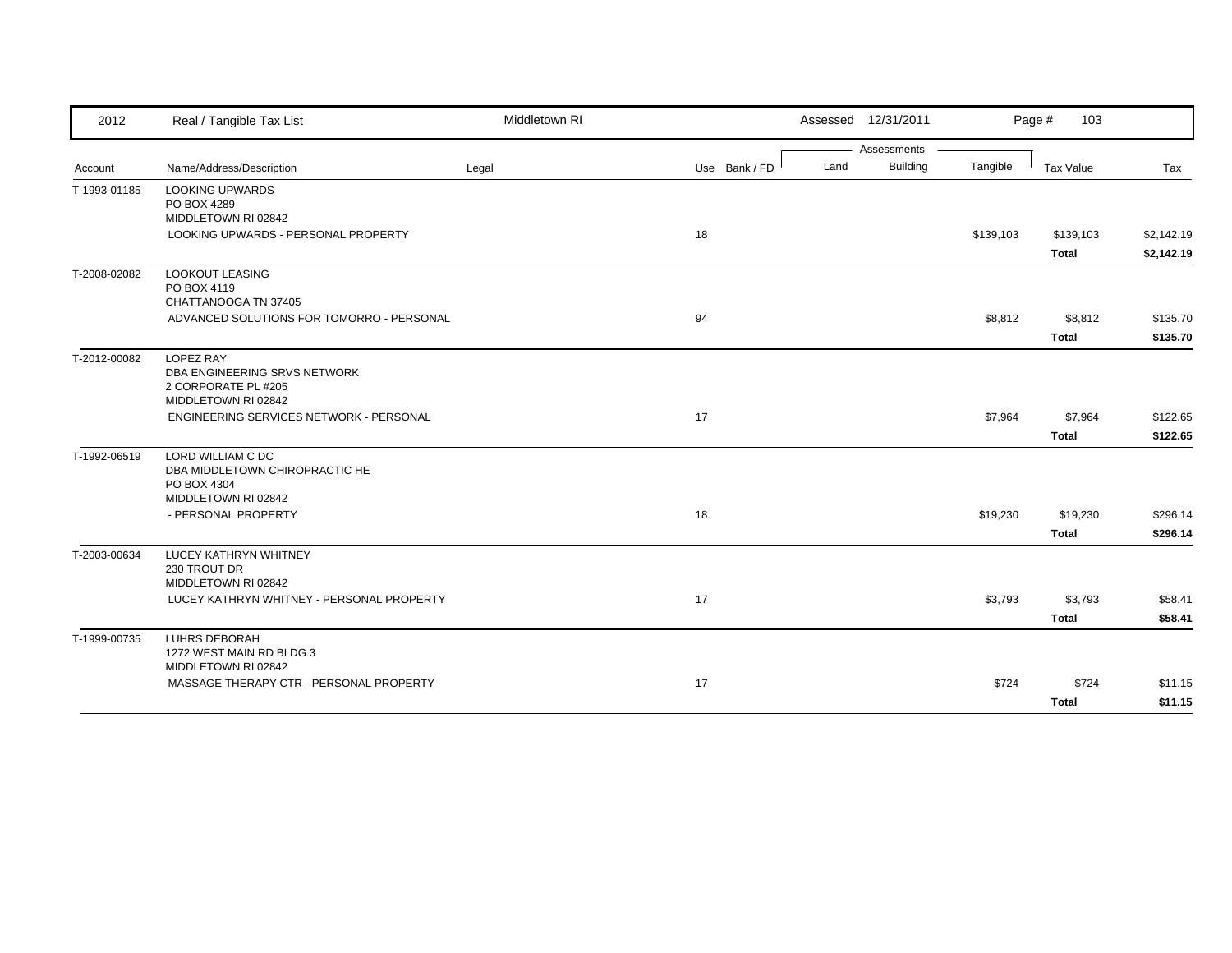| 2012         | Real / Tangible Tax List                                         | Middletown RI |               |      | Assessed 12/31/2011 |           | Page #<br>103 |            |
|--------------|------------------------------------------------------------------|---------------|---------------|------|---------------------|-----------|---------------|------------|
|              |                                                                  |               |               |      | Assessments         |           |               |            |
| Account      | Name/Address/Description                                         | Legal         | Use Bank / FD | Land | Building            | Tangible  | Tax Value     | Tax        |
| T-1993-01185 | <b>LOOKING UPWARDS</b>                                           |               |               |      |                     |           |               |            |
|              | PO BOX 4289<br>MIDDLETOWN RI 02842                               |               |               |      |                     |           |               |            |
|              | LOOKING UPWARDS - PERSONAL PROPERTY                              |               | 18            |      |                     | \$139,103 | \$139,103     | \$2,142.19 |
|              |                                                                  |               |               |      |                     |           | <b>Total</b>  | \$2,142.19 |
| T-2008-02082 | <b>LOOKOUT LEASING</b>                                           |               |               |      |                     |           |               |            |
|              | PO BOX 4119<br>CHATTANOOGA TN 37405                              |               |               |      |                     |           |               |            |
|              | ADVANCED SOLUTIONS FOR TOMORRO - PERSONAL                        |               | 94            |      |                     | \$8,812   | \$8,812       | \$135.70   |
|              |                                                                  |               |               |      |                     |           | Total         | \$135.70   |
| T-2012-00082 | <b>LOPEZ RAY</b>                                                 |               |               |      |                     |           |               |            |
|              | DBA ENGINEERING SRVS NETWORK                                     |               |               |      |                     |           |               |            |
|              | 2 CORPORATE PL #205                                              |               |               |      |                     |           |               |            |
|              | MIDDLETOWN RI 02842                                              |               |               |      |                     |           |               |            |
|              | ENGINEERING SERVICES NETWORK - PERSONAL                          |               | 17            |      |                     | \$7,964   | \$7,964       | \$122.65   |
|              |                                                                  |               |               |      |                     |           | <b>Total</b>  | \$122.65   |
| T-1992-06519 | LORD WILLIAM C DC                                                |               |               |      |                     |           |               |            |
|              | DBA MIDDLETOWN CHIROPRACTIC HE<br>PO BOX 4304                    |               |               |      |                     |           |               |            |
|              | MIDDLETOWN RI 02842                                              |               |               |      |                     |           |               |            |
|              | - PERSONAL PROPERTY                                              |               | 18            |      |                     | \$19,230  | \$19,230      | \$296.14   |
|              |                                                                  |               |               |      |                     |           | Total         | \$296.14   |
| T-2003-00634 | LUCEY KATHRYN WHITNEY                                            |               |               |      |                     |           |               |            |
|              | 230 TROUT DR                                                     |               |               |      |                     |           |               |            |
|              | MIDDLETOWN RI 02842<br>LUCEY KATHRYN WHITNEY - PERSONAL PROPERTY |               | 17            |      |                     | \$3,793   | \$3,793       | \$58.41    |
|              |                                                                  |               |               |      |                     |           | <b>Total</b>  | \$58.41    |
|              |                                                                  |               |               |      |                     |           |               |            |
| T-1999-00735 | <b>LUHRS DEBORAH</b><br>1272 WEST MAIN RD BLDG 3                 |               |               |      |                     |           |               |            |
|              | MIDDLETOWN RI 02842                                              |               |               |      |                     |           |               |            |
|              | MASSAGE THERAPY CTR - PERSONAL PROPERTY                          |               | 17            |      |                     | \$724     | \$724         | \$11.15    |
|              |                                                                  |               |               |      |                     |           | <b>Total</b>  | \$11.15    |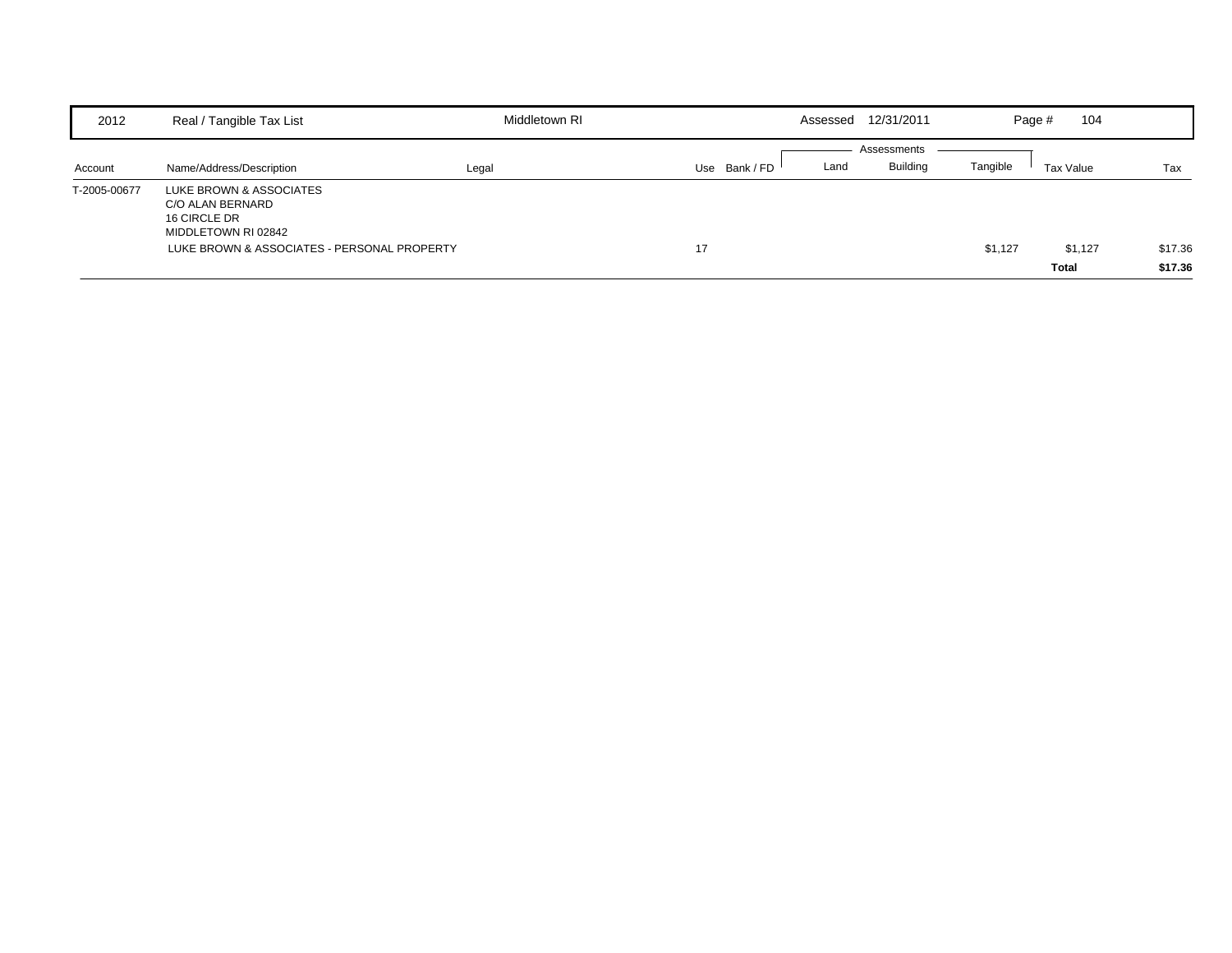| 2012         | Real / Tangible Tax List                                                           | Middletown RI |               | Assessed | 12/31/2011  | Page #   | 104          |         |
|--------------|------------------------------------------------------------------------------------|---------------|---------------|----------|-------------|----------|--------------|---------|
|              |                                                                                    |               |               |          | Assessments |          |              |         |
| Account      | Name/Address/Description                                                           | Legal         | Use Bank / FD | Land     | Building    | Tangible | Tax Value    | Tax     |
| T-2005-00677 | LUKE BROWN & ASSOCIATES<br>C/O ALAN BERNARD<br>16 CIRCLE DR<br>MIDDLETOWN RI 02842 |               |               |          |             |          |              |         |
|              | LUKE BROWN & ASSOCIATES - PERSONAL PROPERTY                                        |               | 17            |          |             | \$1,127  | \$1,127      | \$17.36 |
|              |                                                                                    |               |               |          |             |          | <b>Total</b> | \$17.36 |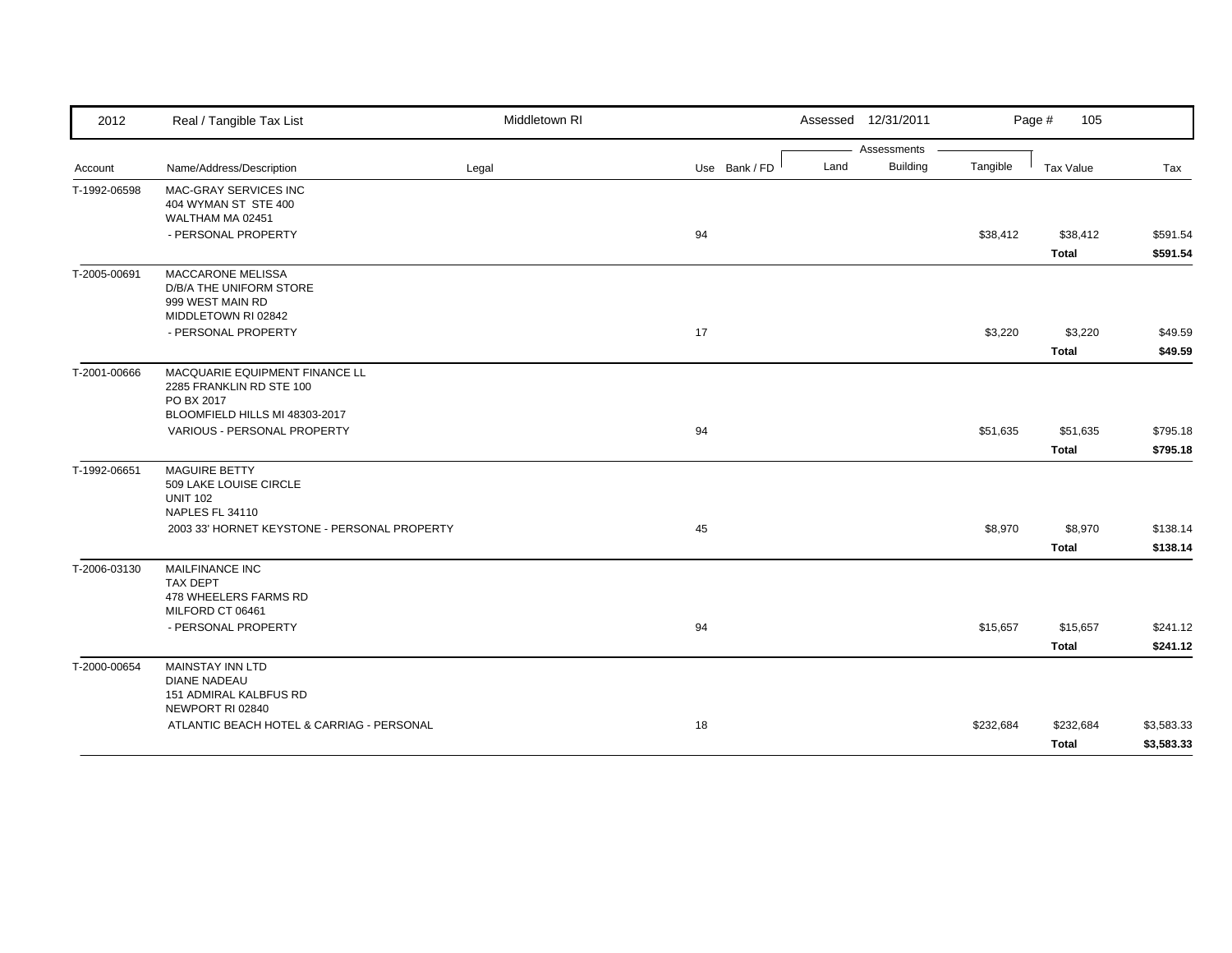| 2012         | Real / Tangible Tax List                                      | Middletown RI |               |      | Assessed 12/31/2011 |           | Page #<br>105    |            |
|--------------|---------------------------------------------------------------|---------------|---------------|------|---------------------|-----------|------------------|------------|
|              |                                                               |               |               |      | Assessments         |           |                  |            |
| Account      | Name/Address/Description                                      | Legal         | Use Bank / FD | Land | <b>Building</b>     | Tangible  | <b>Tax Value</b> | Tax        |
| T-1992-06598 | MAC-GRAY SERVICES INC<br>404 WYMAN ST STE 400                 |               |               |      |                     |           |                  |            |
|              | WALTHAM MA 02451                                              |               |               |      |                     |           |                  |            |
|              | - PERSONAL PROPERTY                                           |               | 94            |      |                     | \$38,412  | \$38,412         | \$591.54   |
|              |                                                               |               |               |      |                     |           | <b>Total</b>     | \$591.54   |
| T-2005-00691 | MACCARONE MELISSA                                             |               |               |      |                     |           |                  |            |
|              | D/B/A THE UNIFORM STORE                                       |               |               |      |                     |           |                  |            |
|              | 999 WEST MAIN RD<br>MIDDLETOWN RI 02842                       |               |               |      |                     |           |                  |            |
|              | - PERSONAL PROPERTY                                           |               | 17            |      |                     | \$3,220   | \$3,220          | \$49.59    |
|              |                                                               |               |               |      |                     |           | <b>Total</b>     | \$49.59    |
| T-2001-00666 | MACQUARIE EQUIPMENT FINANCE LL                                |               |               |      |                     |           |                  |            |
|              | 2285 FRANKLIN RD STE 100                                      |               |               |      |                     |           |                  |            |
|              | PO BX 2017                                                    |               |               |      |                     |           |                  |            |
|              | BLOOMFIELD HILLS MI 48303-2017                                |               |               |      |                     |           |                  |            |
|              | VARIOUS - PERSONAL PROPERTY                                   |               | 94            |      |                     | \$51,635  | \$51,635         | \$795.18   |
|              |                                                               |               |               |      |                     |           | <b>Total</b>     | \$795.18   |
| T-1992-06651 | <b>MAGUIRE BETTY</b>                                          |               |               |      |                     |           |                  |            |
|              | 509 LAKE LOUISE CIRCLE                                        |               |               |      |                     |           |                  |            |
|              | <b>UNIT 102</b><br><b>NAPLES FL 34110</b>                     |               |               |      |                     |           |                  |            |
|              | 2003 33' HORNET KEYSTONE - PERSONAL PROPERTY                  |               | 45            |      |                     | \$8,970   | \$8,970          | \$138.14   |
|              |                                                               |               |               |      |                     |           | <b>Total</b>     | \$138.14   |
| T-2006-03130 | MAILFINANCE INC                                               |               |               |      |                     |           |                  |            |
|              | <b>TAX DEPT</b>                                               |               |               |      |                     |           |                  |            |
|              | 478 WHEELERS FARMS RD                                         |               |               |      |                     |           |                  |            |
|              | MILFORD CT 06461                                              |               |               |      |                     |           |                  |            |
|              | - PERSONAL PROPERTY                                           |               | 94            |      |                     | \$15,657  | \$15,657         | \$241.12   |
|              |                                                               |               |               |      |                     |           | <b>Total</b>     | \$241.12   |
| T-2000-00654 | <b>MAINSTAY INN LTD</b>                                       |               |               |      |                     |           |                  |            |
|              | <b>DIANE NADEAU</b>                                           |               |               |      |                     |           |                  |            |
|              | 151 ADMIRAL KALBFUS RD                                        |               |               |      |                     |           |                  |            |
|              | NEWPORT RI 02840<br>ATLANTIC BEACH HOTEL & CARRIAG - PERSONAL |               | 18            |      |                     | \$232,684 | \$232,684        | \$3,583.33 |
|              |                                                               |               |               |      |                     |           |                  |            |
|              |                                                               |               |               |      |                     |           | <b>Total</b>     | \$3,583.33 |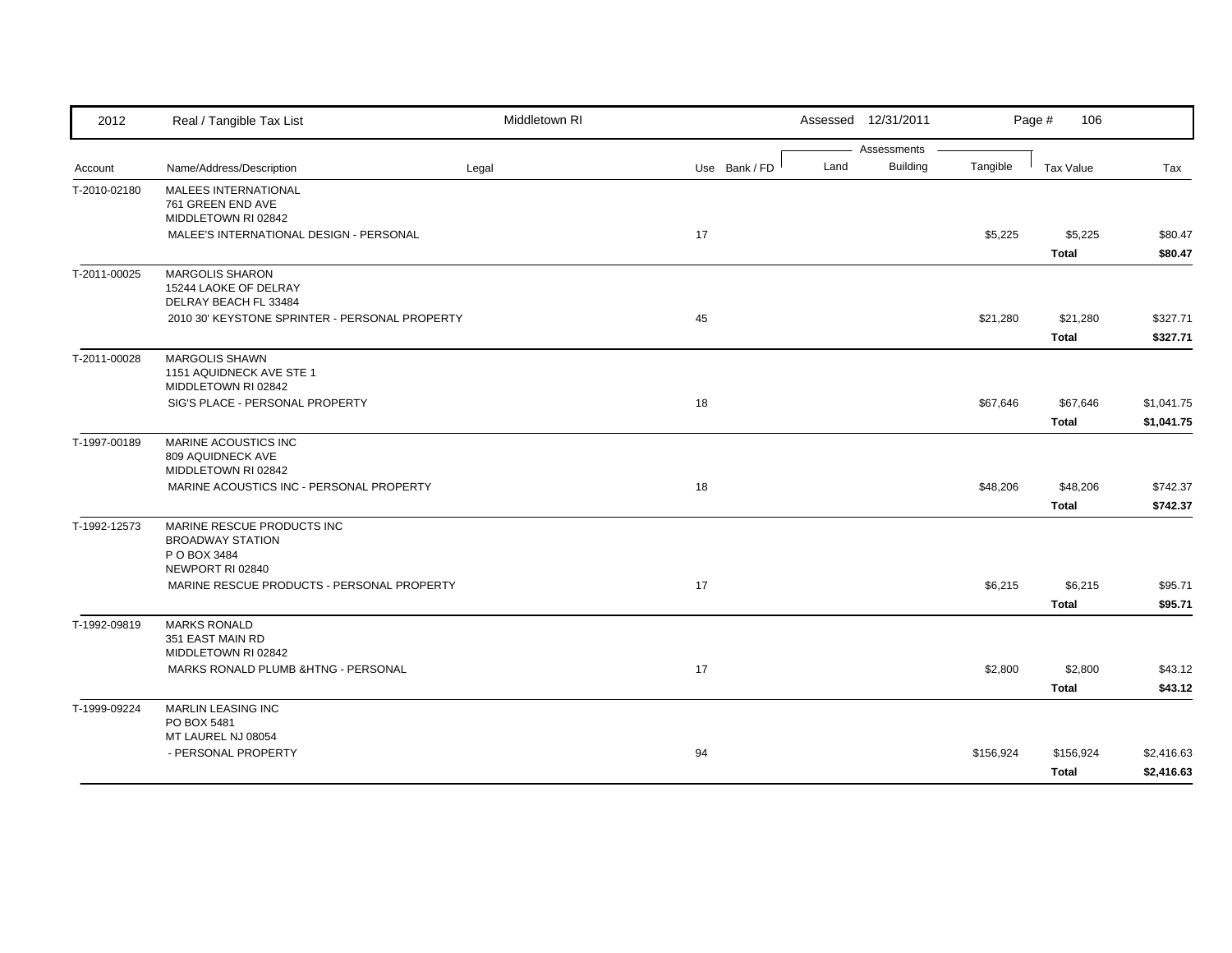| 2012         | Real / Tangible Tax List                                   | Middletown RI |               |      | Assessed 12/31/2011 |           | Page #<br>106 |            |
|--------------|------------------------------------------------------------|---------------|---------------|------|---------------------|-----------|---------------|------------|
|              |                                                            |               |               |      | Assessments         |           |               |            |
| Account      | Name/Address/Description                                   | Legal         | Use Bank / FD | Land | <b>Building</b>     | Tangible  | Tax Value     | Tax        |
| T-2010-02180 | <b>MALEES INTERNATIONAL</b><br>761 GREEN END AVE           |               |               |      |                     |           |               |            |
|              | MIDDLETOWN RI 02842                                        |               |               |      |                     |           |               |            |
|              | MALEE'S INTERNATIONAL DESIGN - PERSONAL                    |               | 17            |      |                     | \$5,225   | \$5,225       | \$80.47    |
|              |                                                            |               |               |      |                     |           | Total         | \$80.47    |
| T-2011-00025 | <b>MARGOLIS SHARON</b>                                     |               |               |      |                     |           |               |            |
|              | 15244 LAOKE OF DELRAY                                      |               |               |      |                     |           |               |            |
|              | DELRAY BEACH FL 33484                                      |               |               |      |                     |           |               |            |
|              | 2010 30' KEYSTONE SPRINTER - PERSONAL PROPERTY             |               | 45            |      |                     | \$21,280  | \$21,280      | \$327.71   |
|              |                                                            |               |               |      |                     |           | <b>Total</b>  | \$327.71   |
| T-2011-00028 | <b>MARGOLIS SHAWN</b><br>1151 AQUIDNECK AVE STE 1          |               |               |      |                     |           |               |            |
|              | MIDDLETOWN RI 02842                                        |               |               |      |                     |           |               |            |
|              | SIG'S PLACE - PERSONAL PROPERTY                            |               | 18            |      |                     | \$67,646  | \$67,646      | \$1,041.75 |
|              |                                                            |               |               |      |                     |           | <b>Total</b>  | \$1,041.75 |
| T-1997-00189 | MARINE ACOUSTICS INC                                       |               |               |      |                     |           |               |            |
|              | 809 AQUIDNECK AVE                                          |               |               |      |                     |           |               |            |
|              | MIDDLETOWN RI 02842                                        |               |               |      |                     |           |               |            |
|              | MARINE ACOUSTICS INC - PERSONAL PROPERTY                   |               | 18            |      |                     | \$48,206  | \$48,206      | \$742.37   |
|              |                                                            |               |               |      |                     |           | <b>Total</b>  | \$742.37   |
| T-1992-12573 | MARINE RESCUE PRODUCTS INC<br><b>BROADWAY STATION</b>      |               |               |      |                     |           |               |            |
|              | P O BOX 3484                                               |               |               |      |                     |           |               |            |
|              | NEWPORT RI 02840                                           |               |               |      |                     |           |               |            |
|              | MARINE RESCUE PRODUCTS - PERSONAL PROPERTY                 |               | 17            |      |                     | \$6,215   | \$6,215       | \$95.71    |
|              |                                                            |               |               |      |                     |           | <b>Total</b>  | \$95.71    |
| T-1992-09819 | <b>MARKS RONALD</b>                                        |               |               |      |                     |           |               |            |
|              | 351 EAST MAIN RD                                           |               |               |      |                     |           |               |            |
|              | MIDDLETOWN RI 02842<br>MARKS RONALD PLUMB &HTNG - PERSONAL |               | 17            |      |                     | \$2,800   | \$2,800       | \$43.12    |
|              |                                                            |               |               |      |                     |           |               | \$43.12    |
|              |                                                            |               |               |      |                     |           | <b>Total</b>  |            |
| T-1999-09224 | <b>MARLIN LEASING INC</b><br>PO BOX 5481                   |               |               |      |                     |           |               |            |
|              | MT LAUREL NJ 08054                                         |               |               |      |                     |           |               |            |
|              | - PERSONAL PROPERTY                                        |               | 94            |      |                     | \$156,924 | \$156,924     | \$2,416.63 |
|              |                                                            |               |               |      |                     |           | <b>Total</b>  | \$2,416.63 |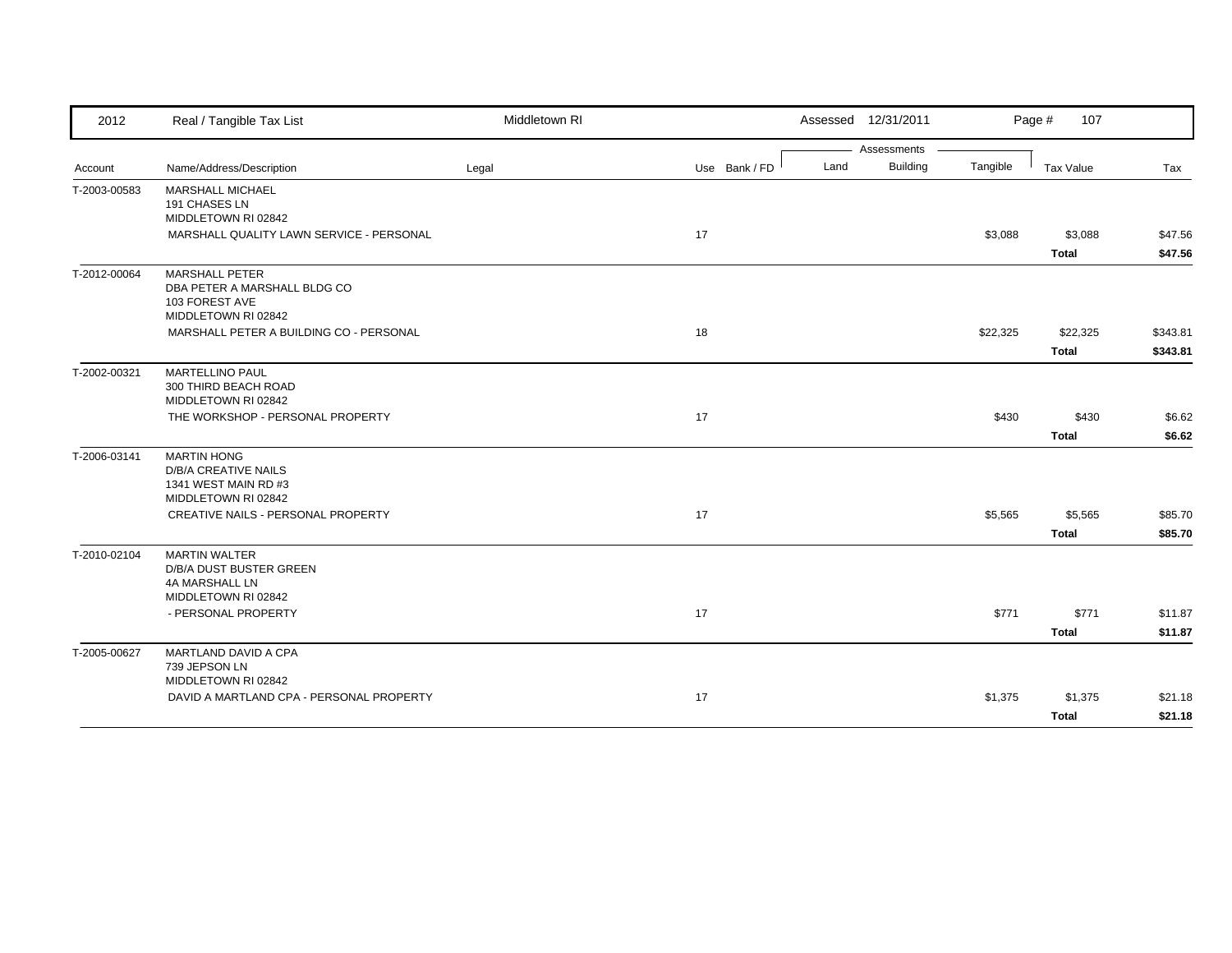| 2012         | Real / Tangible Tax List                            | Middletown RI |               | Assessed 12/31/2011 |          | Page #<br>107 |          |
|--------------|-----------------------------------------------------|---------------|---------------|---------------------|----------|---------------|----------|
|              |                                                     |               |               | Assessments         |          |               |          |
| Account      | Name/Address/Description                            | Legal         | Use Bank / FD | Building<br>Land    | Tangible | Tax Value     | Tax      |
| T-2003-00583 | <b>MARSHALL MICHAEL</b><br>191 CHASES LN            |               |               |                     |          |               |          |
|              | MIDDLETOWN RI 02842                                 |               |               |                     |          |               |          |
|              | MARSHALL QUALITY LAWN SERVICE - PERSONAL            |               | 17            |                     | \$3,088  | \$3,088       | \$47.56  |
|              |                                                     |               |               |                     |          | <b>Total</b>  | \$47.56  |
| T-2012-00064 | <b>MARSHALL PETER</b>                               |               |               |                     |          |               |          |
|              | DBA PETER A MARSHALL BLDG CO<br>103 FOREST AVE      |               |               |                     |          |               |          |
|              | MIDDLETOWN RI 02842                                 |               |               |                     |          |               |          |
|              | MARSHALL PETER A BUILDING CO - PERSONAL             |               | 18            |                     | \$22,325 | \$22,325      | \$343.81 |
|              |                                                     |               |               |                     |          | <b>Total</b>  | \$343.81 |
| T-2002-00321 | <b>MARTELLINO PAUL</b>                              |               |               |                     |          |               |          |
|              | 300 THIRD BEACH ROAD                                |               |               |                     |          |               |          |
|              | MIDDLETOWN RI 02842                                 |               |               |                     |          |               |          |
|              | THE WORKSHOP - PERSONAL PROPERTY                    |               | 17            |                     | \$430    | \$430         | \$6.62   |
|              |                                                     |               |               |                     |          | <b>Total</b>  | \$6.62   |
| T-2006-03141 | <b>MARTIN HONG</b>                                  |               |               |                     |          |               |          |
|              | <b>D/B/A CREATIVE NAILS</b><br>1341 WEST MAIN RD #3 |               |               |                     |          |               |          |
|              | MIDDLETOWN RI 02842                                 |               |               |                     |          |               |          |
|              | CREATIVE NAILS - PERSONAL PROPERTY                  |               | 17            |                     | \$5,565  | \$5,565       | \$85.70  |
|              |                                                     |               |               |                     |          | <b>Total</b>  | \$85.70  |
| T-2010-02104 | <b>MARTIN WALTER</b>                                |               |               |                     |          |               |          |
|              | D/B/A DUST BUSTER GREEN                             |               |               |                     |          |               |          |
|              | 4A MARSHALL LN<br>MIDDLETOWN RI 02842               |               |               |                     |          |               |          |
|              | - PERSONAL PROPERTY                                 |               | 17            |                     | \$771    | \$771         | \$11.87  |
|              |                                                     |               |               |                     |          |               |          |
|              |                                                     |               |               |                     |          | <b>Total</b>  | \$11.87  |
| T-2005-00627 | MARTLAND DAVID A CPA<br>739 JEPSON LN               |               |               |                     |          |               |          |
|              | MIDDLETOWN RI 02842                                 |               |               |                     |          |               |          |
|              | DAVID A MARTLAND CPA - PERSONAL PROPERTY            |               | 17            |                     | \$1,375  | \$1,375       | \$21.18  |
|              |                                                     |               |               |                     |          | <b>Total</b>  | \$21.18  |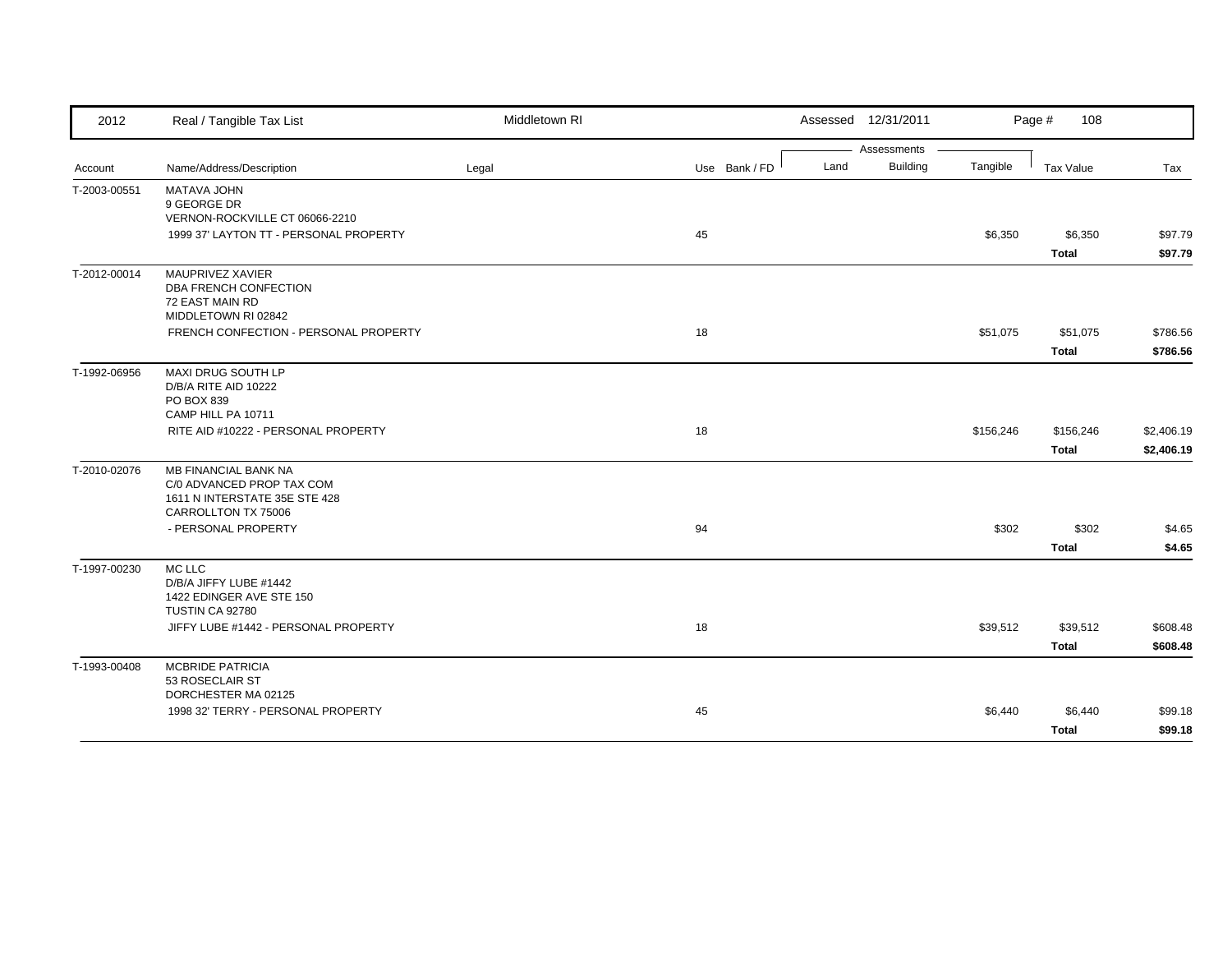| 2012         | Real / Tangible Tax List                             | Middletown RI |               | Assessed 12/31/2011     |           | Page #<br>108    |            |
|--------------|------------------------------------------------------|---------------|---------------|-------------------------|-----------|------------------|------------|
|              |                                                      |               |               | Assessments             |           |                  |            |
| Account      | Name/Address/Description                             | Legal         | Use Bank / FD | <b>Building</b><br>Land | Tangible  | <b>Tax Value</b> | Tax        |
| T-2003-00551 | MATAVA JOHN                                          |               |               |                         |           |                  |            |
|              | 9 GEORGE DR<br>VERNON-ROCKVILLE CT 06066-2210        |               |               |                         |           |                  |            |
|              | 1999 37' LAYTON TT - PERSONAL PROPERTY               |               | 45            |                         | \$6,350   | \$6,350          | \$97.79    |
|              |                                                      |               |               |                         |           | <b>Total</b>     | \$97.79    |
|              |                                                      |               |               |                         |           |                  |            |
| T-2012-00014 | MAUPRIVEZ XAVIER<br>DBA FRENCH CONFECTION            |               |               |                         |           |                  |            |
|              | 72 EAST MAIN RD                                      |               |               |                         |           |                  |            |
|              | MIDDLETOWN RI 02842                                  |               |               |                         |           |                  |            |
|              | FRENCH CONFECTION - PERSONAL PROPERTY                |               | 18            |                         | \$51,075  | \$51,075         | \$786.56   |
|              |                                                      |               |               |                         |           | <b>Total</b>     | \$786.56   |
| T-1992-06956 | MAXI DRUG SOUTH LP                                   |               |               |                         |           |                  |            |
|              | D/B/A RITE AID 10222                                 |               |               |                         |           |                  |            |
|              | PO BOX 839                                           |               |               |                         |           |                  |            |
|              | CAMP HILL PA 10711                                   |               |               |                         |           |                  |            |
|              | RITE AID #10222 - PERSONAL PROPERTY                  |               | 18            |                         | \$156,246 | \$156,246        | \$2,406.19 |
|              |                                                      |               |               |                         |           | <b>Total</b>     | \$2,406.19 |
| T-2010-02076 | <b>MB FINANCIAL BANK NA</b>                          |               |               |                         |           |                  |            |
|              | C/0 ADVANCED PROP TAX COM                            |               |               |                         |           |                  |            |
|              | 1611 N INTERSTATE 35E STE 428<br>CARROLLTON TX 75006 |               |               |                         |           |                  |            |
|              | - PERSONAL PROPERTY                                  |               | 94            |                         | \$302     | \$302            | \$4.65     |
|              |                                                      |               |               |                         |           | <b>Total</b>     | \$4.65     |
|              |                                                      |               |               |                         |           |                  |            |
| T-1997-00230 | MC LLC<br>D/B/A JIFFY LUBE #1442                     |               |               |                         |           |                  |            |
|              | 1422 EDINGER AVE STE 150                             |               |               |                         |           |                  |            |
|              | TUSTIN CA 92780                                      |               |               |                         |           |                  |            |
|              | JIFFY LUBE #1442 - PERSONAL PROPERTY                 |               | 18            |                         | \$39,512  | \$39,512         | \$608.48   |
|              |                                                      |               |               |                         |           | <b>Total</b>     | \$608.48   |
| T-1993-00408 | <b>MCBRIDE PATRICIA</b>                              |               |               |                         |           |                  |            |
|              | 53 ROSECLAIR ST                                      |               |               |                         |           |                  |            |
|              | DORCHESTER MA 02125                                  |               |               |                         |           |                  |            |
|              | 1998 32' TERRY - PERSONAL PROPERTY                   |               | 45            |                         | \$6,440   | \$6,440          | \$99.18    |
|              |                                                      |               |               |                         |           | <b>Total</b>     | \$99.18    |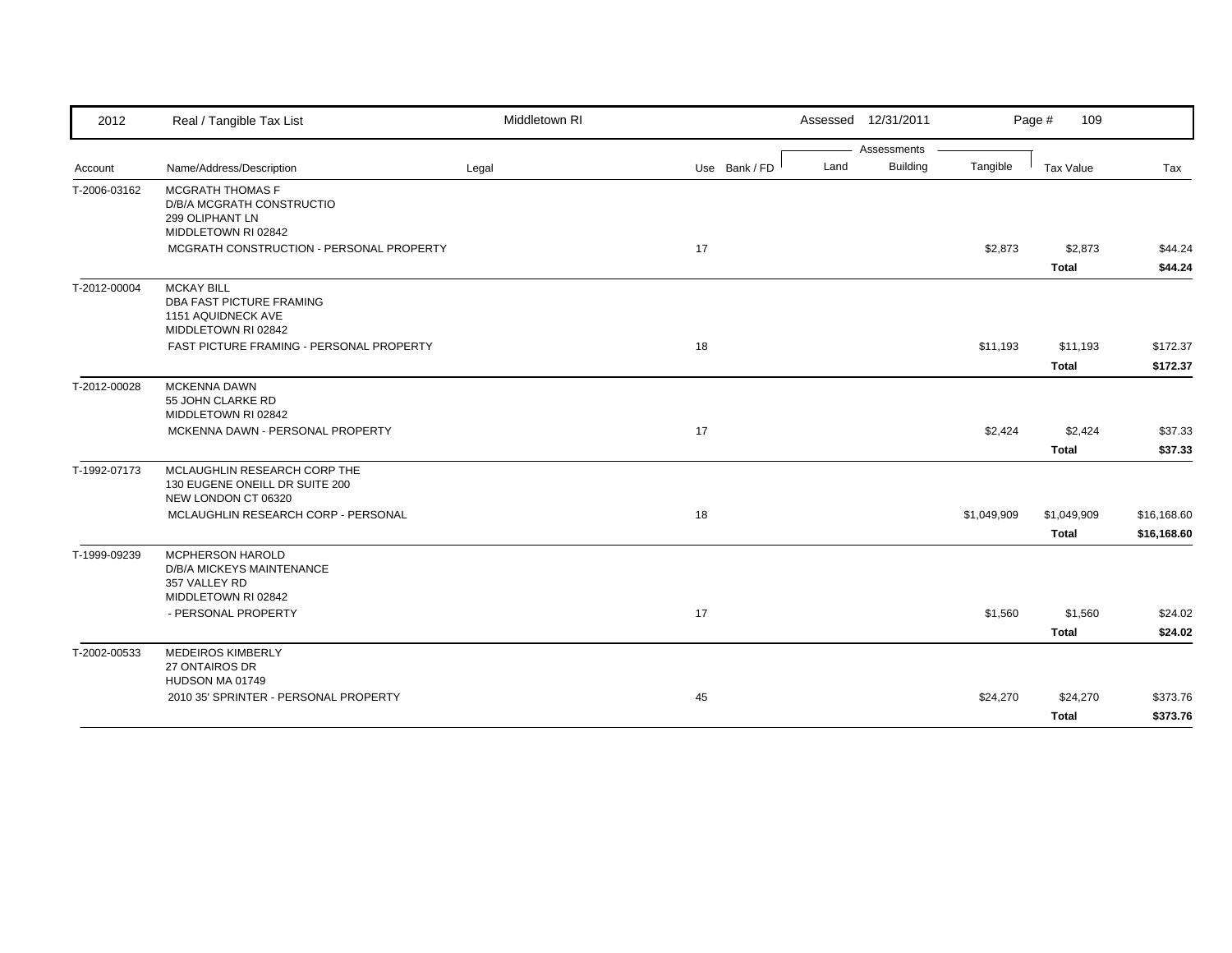| 2012         | Real / Tangible Tax List                                                                     | Middletown RI |               |      | Assessed 12/31/2011 |             | 109<br>Page #            |                            |
|--------------|----------------------------------------------------------------------------------------------|---------------|---------------|------|---------------------|-------------|--------------------------|----------------------------|
|              |                                                                                              |               |               |      | Assessments         |             |                          |                            |
| Account      | Name/Address/Description                                                                     | Legal         | Use Bank / FD | Land | <b>Building</b>     | Tangible    | Tax Value                | Tax                        |
| T-2006-03162 | MCGRATH THOMAS F<br>D/B/A MCGRATH CONSTRUCTIO<br>299 OLIPHANT LN<br>MIDDLETOWN RI 02842      |               |               |      |                     |             |                          |                            |
|              | MCGRATH CONSTRUCTION - PERSONAL PROPERTY                                                     |               | 17            |      |                     | \$2,873     | \$2,873<br><b>Total</b>  | \$44.24<br>\$44.24         |
| T-2012-00004 | <b>MCKAY BILL</b><br>DBA FAST PICTURE FRAMING<br>1151 AQUIDNECK AVE<br>MIDDLETOWN RI 02842   |               |               |      |                     |             |                          |                            |
|              | FAST PICTURE FRAMING - PERSONAL PROPERTY                                                     |               | 18            |      |                     | \$11,193    | \$11,193<br><b>Total</b> | \$172.37<br>\$172.37       |
| T-2012-00028 | <b>MCKENNA DAWN</b><br>55 JOHN CLARKE RD<br>MIDDLETOWN RI 02842                              |               |               |      |                     |             |                          |                            |
|              | MCKENNA DAWN - PERSONAL PROPERTY                                                             |               | 17            |      |                     | \$2,424     | \$2,424<br><b>Total</b>  | \$37.33<br>\$37.33         |
| T-1992-07173 | MCLAUGHLIN RESEARCH CORP THE<br>130 EUGENE ONEILL DR SUITE 200<br>NEW LONDON CT 06320        |               |               |      |                     |             |                          |                            |
|              | MCLAUGHLIN RESEARCH CORP - PERSONAL                                                          |               | 18            |      |                     | \$1,049,909 | \$1,049,909<br>Total     | \$16,168.60<br>\$16,168.60 |
| T-1999-09239 | <b>MCPHERSON HAROLD</b><br>D/B/A MICKEYS MAINTENANCE<br>357 VALLEY RD<br>MIDDLETOWN RI 02842 |               |               |      |                     |             |                          |                            |
|              | - PERSONAL PROPERTY                                                                          |               | 17            |      |                     | \$1,560     | \$1,560<br><b>Total</b>  | \$24.02<br>\$24.02         |
| T-2002-00533 | <b>MEDEIROS KIMBERLY</b><br>27 ONTAIROS DR<br>HUDSON MA 01749                                |               |               |      |                     |             |                          |                            |
|              | 2010 35' SPRINTER - PERSONAL PROPERTY                                                        |               | 45            |      |                     | \$24,270    | \$24,270<br><b>Total</b> | \$373.76<br>\$373.76       |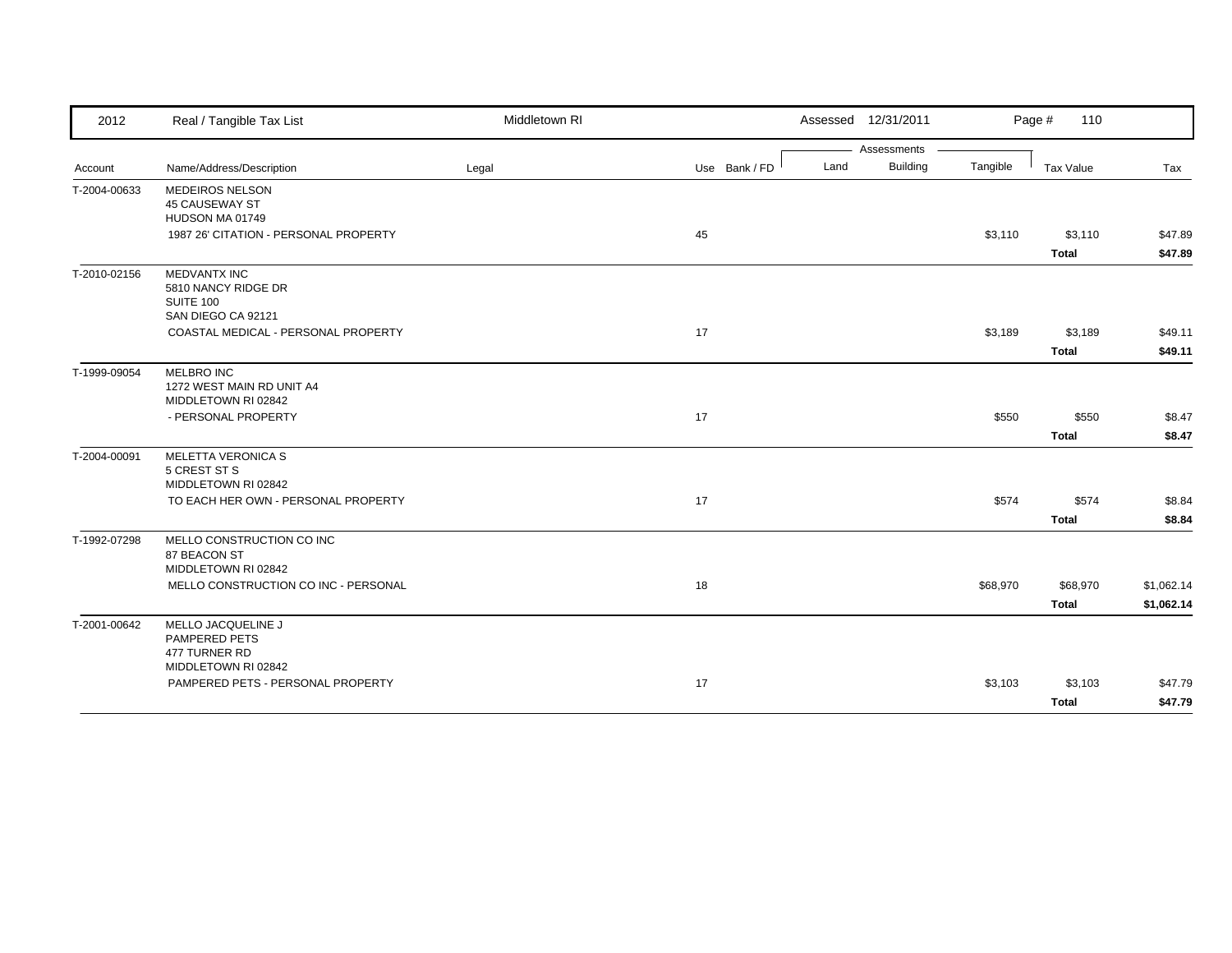| 2012         | Real / Tangible Tax List                                                      | Middletown RI |               | Assessed 12/31/2011     |          | Page #<br>110            |                          |
|--------------|-------------------------------------------------------------------------------|---------------|---------------|-------------------------|----------|--------------------------|--------------------------|
|              |                                                                               |               |               | Assessments             |          |                          |                          |
| Account      | Name/Address/Description                                                      | Legal         | Use Bank / FD | <b>Building</b><br>Land | Tangible | <b>Tax Value</b>         | Tax                      |
| T-2004-00633 | <b>MEDEIROS NELSON</b><br>45 CAUSEWAY ST<br>HUDSON MA 01749                   |               |               |                         |          |                          |                          |
|              | 1987 26' CITATION - PERSONAL PROPERTY                                         |               | 45            |                         | \$3,110  | \$3,110<br><b>Total</b>  | \$47.89<br>\$47.89       |
| T-2010-02156 | <b>MEDVANTX INC</b><br>5810 NANCY RIDGE DR<br>SUITE 100<br>SAN DIEGO CA 92121 |               |               |                         |          |                          |                          |
|              | COASTAL MEDICAL - PERSONAL PROPERTY                                           |               | 17            |                         | \$3,189  | \$3,189                  | \$49.11                  |
|              |                                                                               |               |               |                         |          | <b>Total</b>             | \$49.11                  |
| T-1999-09054 | <b>MELBRO INC</b><br>1272 WEST MAIN RD UNIT A4<br>MIDDLETOWN RI 02842         |               |               |                         |          |                          |                          |
|              | - PERSONAL PROPERTY                                                           |               | 17            |                         | \$550    | \$550                    | \$8.47                   |
|              |                                                                               |               |               |                         |          | <b>Total</b>             | \$8.47                   |
| T-2004-00091 | MELETTA VERONICA S<br>5 CREST ST S<br>MIDDLETOWN RI 02842                     |               |               |                         |          |                          |                          |
|              | TO EACH HER OWN - PERSONAL PROPERTY                                           |               | 17            |                         | \$574    | \$574<br><b>Total</b>    | \$8.84<br>\$8.84         |
| T-1992-07298 | MELLO CONSTRUCTION CO INC<br>87 BEACON ST<br>MIDDLETOWN RI 02842              |               |               |                         |          |                          |                          |
|              | MELLO CONSTRUCTION CO INC - PERSONAL                                          |               | 18            |                         | \$68,970 | \$68,970<br><b>Total</b> | \$1,062.14<br>\$1,062.14 |
| T-2001-00642 | MELLO JACQUELINE J<br>PAMPERED PETS<br>477 TURNER RD                          |               |               |                         |          |                          |                          |
|              | MIDDLETOWN RI 02842<br>PAMPERED PETS - PERSONAL PROPERTY                      |               | 17            |                         | \$3,103  | \$3,103                  | \$47.79                  |
|              |                                                                               |               |               |                         |          | <b>Total</b>             | \$47.79                  |
|              |                                                                               |               |               |                         |          |                          |                          |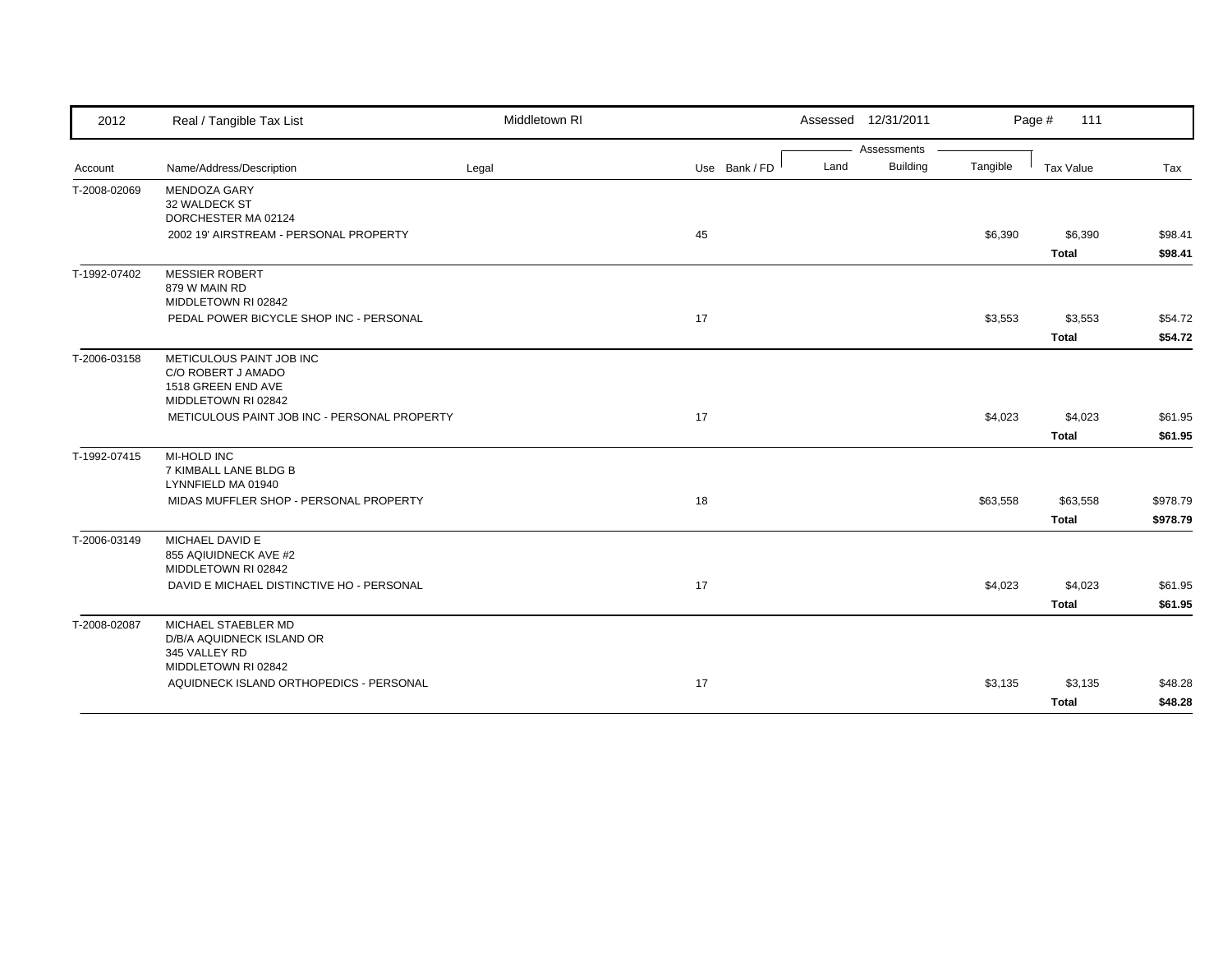| 2012         | Real / Tangible Tax List                                                                    | Middletown RI |               |      | Assessed 12/31/2011 |          | Page #<br>111            |                      |
|--------------|---------------------------------------------------------------------------------------------|---------------|---------------|------|---------------------|----------|--------------------------|----------------------|
|              |                                                                                             |               |               |      | Assessments         |          |                          |                      |
| Account      | Name/Address/Description                                                                    | Legal         | Use Bank / FD | Land | <b>Building</b>     | Tangible | Tax Value                | Tax                  |
| T-2008-02069 | <b>MENDOZA GARY</b><br>32 WALDECK ST<br>DORCHESTER MA 02124                                 |               |               |      |                     |          |                          |                      |
|              | 2002 19' AIRSTREAM - PERSONAL PROPERTY                                                      |               | 45            |      |                     | \$6,390  | \$6,390<br><b>Total</b>  | \$98.41<br>\$98.41   |
| T-1992-07402 | <b>MESSIER ROBERT</b><br>879 W MAIN RD<br>MIDDLETOWN RI 02842                               |               |               |      |                     |          |                          |                      |
|              | PEDAL POWER BICYCLE SHOP INC - PERSONAL                                                     |               | 17            |      |                     | \$3,553  | \$3,553<br><b>Total</b>  | \$54.72<br>\$54.72   |
| T-2006-03158 | METICULOUS PAINT JOB INC<br>C/O ROBERT J AMADO<br>1518 GREEN END AVE<br>MIDDLETOWN RI 02842 |               |               |      |                     |          |                          |                      |
|              | METICULOUS PAINT JOB INC - PERSONAL PROPERTY                                                |               | 17            |      |                     | \$4,023  | \$4,023<br><b>Total</b>  | \$61.95<br>\$61.95   |
| T-1992-07415 | MI-HOLD INC<br>7 KIMBALL LANE BLDG B<br>LYNNFIELD MA 01940                                  |               |               |      |                     |          |                          |                      |
|              | MIDAS MUFFLER SHOP - PERSONAL PROPERTY                                                      |               | 18            |      |                     | \$63,558 | \$63,558<br><b>Total</b> | \$978.79<br>\$978.79 |
| T-2006-03149 | MICHAEL DAVID E<br>855 AQIUIDNECK AVE #2<br>MIDDLETOWN RI 02842                             |               |               |      |                     |          |                          |                      |
|              | DAVID E MICHAEL DISTINCTIVE HO - PERSONAL                                                   |               | 17            |      |                     | \$4,023  | \$4,023<br>Total         | \$61.95<br>\$61.95   |
| T-2008-02087 | MICHAEL STAEBLER MD<br>D/B/A AQUIDNECK ISLAND OR<br>345 VALLEY RD<br>MIDDLETOWN RI 02842    |               |               |      |                     |          |                          |                      |
|              | AQUIDNECK ISLAND ORTHOPEDICS - PERSONAL                                                     |               | 17            |      |                     | \$3,135  | \$3,135<br><b>Total</b>  | \$48.28<br>\$48.28   |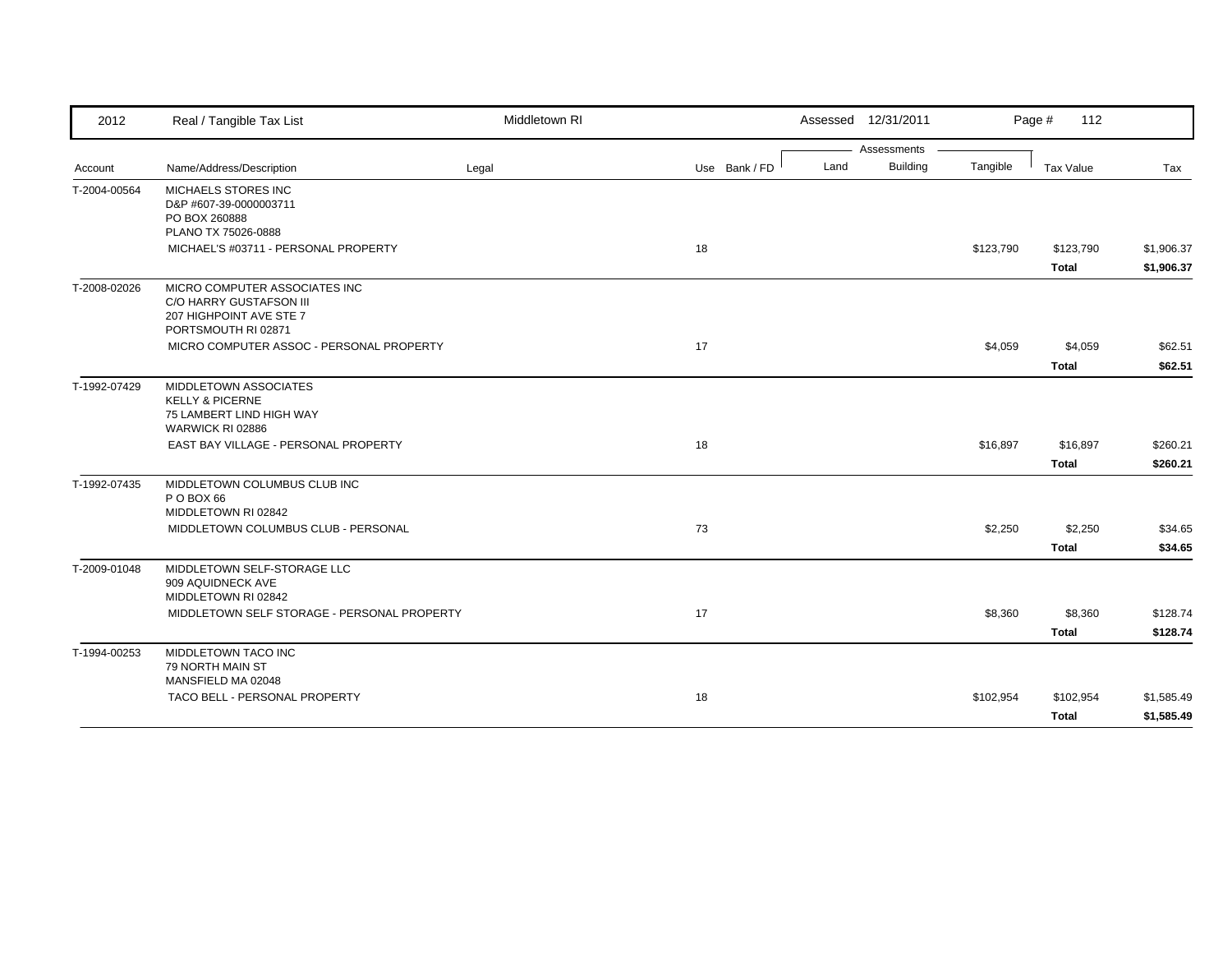| 2012         | Real / Tangible Tax List                                                                                   | Middletown RI |               |      | Assessed 12/31/2011 |           | Page #<br>112             |                          |
|--------------|------------------------------------------------------------------------------------------------------------|---------------|---------------|------|---------------------|-----------|---------------------------|--------------------------|
|              |                                                                                                            |               |               |      | Assessments         |           |                           |                          |
| Account      | Name/Address/Description                                                                                   | Legal         | Use Bank / FD | Land | <b>Building</b>     | Tangible  | <b>Tax Value</b>          | Tax                      |
| T-2004-00564 | <b>MICHAELS STORES INC</b><br>D&P #607-39-0000003711<br>PO BOX 260888                                      |               |               |      |                     |           |                           |                          |
|              | PLANO TX 75026-0888<br>MICHAEL'S #03711 - PERSONAL PROPERTY                                                |               | 18            |      |                     | \$123,790 | \$123,790<br><b>Total</b> | \$1,906.37<br>\$1,906.37 |
| T-2008-02026 | MICRO COMPUTER ASSOCIATES INC<br>C/O HARRY GUSTAFSON III<br>207 HIGHPOINT AVE STE 7<br>PORTSMOUTH RI 02871 |               |               |      |                     |           |                           |                          |
|              | MICRO COMPUTER ASSOC - PERSONAL PROPERTY                                                                   |               | 17            |      |                     | \$4,059   | \$4,059<br><b>Total</b>   | \$62.51<br>\$62.51       |
| T-1992-07429 | MIDDLETOWN ASSOCIATES<br><b>KELLY &amp; PICERNE</b><br>75 LAMBERT LIND HIGH WAY<br>WARWICK RI 02886        |               |               |      |                     |           |                           |                          |
|              | EAST BAY VILLAGE - PERSONAL PROPERTY                                                                       |               | 18            |      |                     | \$16,897  | \$16,897<br><b>Total</b>  | \$260.21<br>\$260.21     |
| T-1992-07435 | MIDDLETOWN COLUMBUS CLUB INC<br>P O BOX 66<br>MIDDLETOWN RI 02842                                          |               |               |      |                     |           |                           |                          |
|              | MIDDLETOWN COLUMBUS CLUB - PERSONAL                                                                        |               | 73            |      |                     | \$2,250   | \$2,250<br><b>Total</b>   | \$34.65<br>\$34.65       |
| T-2009-01048 | MIDDLETOWN SELF-STORAGE LLC<br>909 AQUIDNECK AVE<br>MIDDLETOWN RI 02842                                    |               |               |      |                     |           |                           |                          |
|              | MIDDLETOWN SELF STORAGE - PERSONAL PROPERTY                                                                |               | 17            |      |                     | \$8,360   | \$8,360<br><b>Total</b>   | \$128.74<br>\$128.74     |
| T-1994-00253 | MIDDLETOWN TACO INC<br>79 NORTH MAIN ST<br>MANSFIELD MA 02048                                              |               |               |      |                     |           |                           |                          |
|              | TACO BELL - PERSONAL PROPERTY                                                                              |               | 18            |      |                     | \$102,954 | \$102,954<br><b>Total</b> | \$1,585.49<br>\$1,585.49 |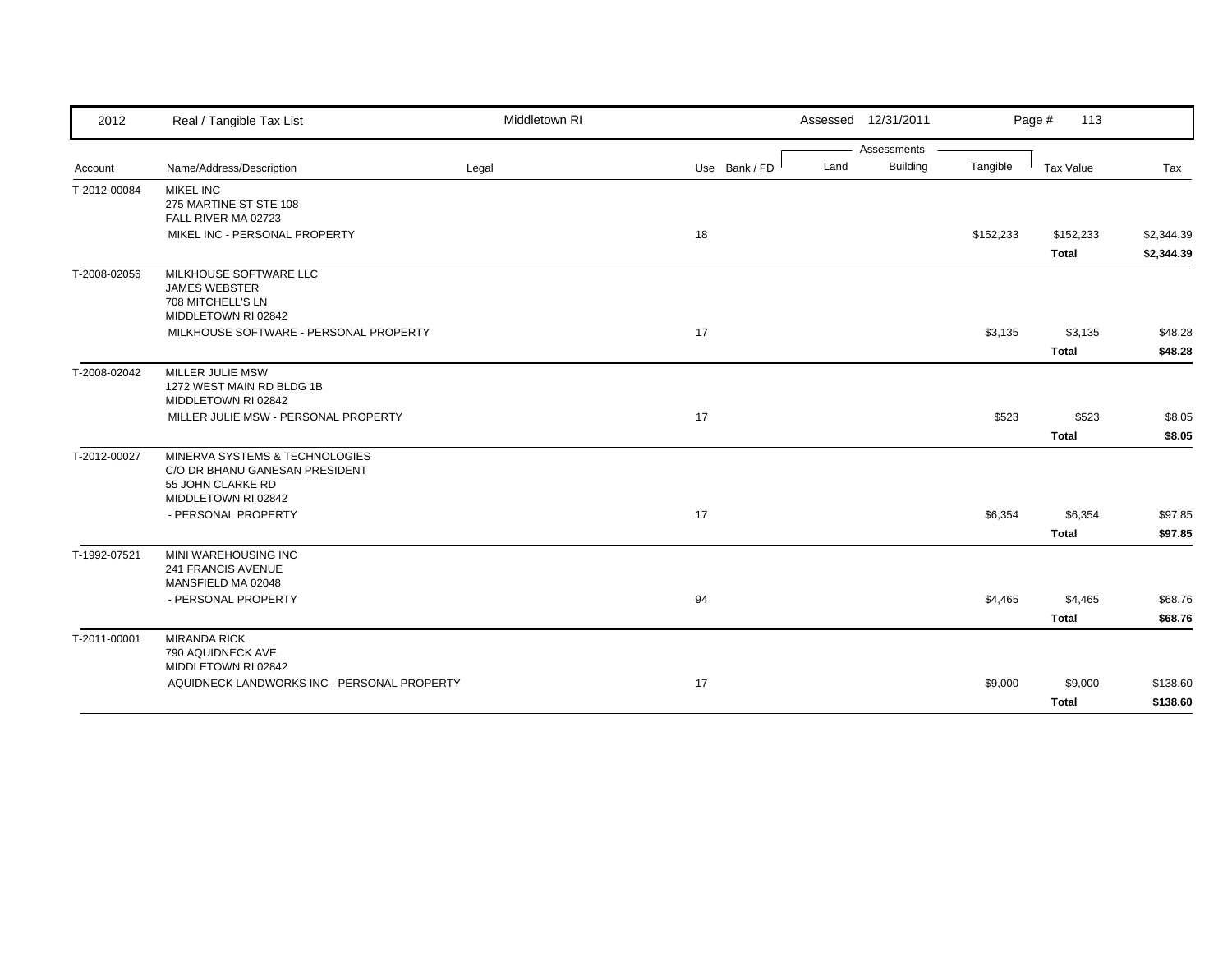| 2012         | Real / Tangible Tax List                            | Middletown RI |               |      | Assessed 12/31/2011 |           | Page #<br>113 |            |
|--------------|-----------------------------------------------------|---------------|---------------|------|---------------------|-----------|---------------|------------|
|              |                                                     |               |               |      | Assessments         |           |               |            |
| Account      | Name/Address/Description                            | Legal         | Use Bank / FD | Land | <b>Building</b>     | Tangible  | Tax Value     | Tax        |
| T-2012-00084 | <b>MIKEL INC</b><br>275 MARTINE ST STE 108          |               |               |      |                     |           |               |            |
|              | FALL RIVER MA 02723                                 |               |               |      |                     |           |               |            |
|              | MIKEL INC - PERSONAL PROPERTY                       |               | 18            |      |                     | \$152,233 | \$152,233     | \$2,344.39 |
|              |                                                     |               |               |      |                     |           | <b>Total</b>  | \$2,344.39 |
| T-2008-02056 | MILKHOUSE SOFTWARE LLC                              |               |               |      |                     |           |               |            |
|              | <b>JAMES WEBSTER</b><br>708 MITCHELL'S LN           |               |               |      |                     |           |               |            |
|              | MIDDLETOWN RI 02842                                 |               |               |      |                     |           |               |            |
|              | MILKHOUSE SOFTWARE - PERSONAL PROPERTY              |               | 17            |      |                     | \$3,135   | \$3,135       | \$48.28    |
|              |                                                     |               |               |      |                     |           | <b>Total</b>  | \$48.28    |
| T-2008-02042 | MILLER JULIE MSW                                    |               |               |      |                     |           |               |            |
|              | 1272 WEST MAIN RD BLDG 1B                           |               |               |      |                     |           |               |            |
|              | MIDDLETOWN RI 02842                                 |               |               |      |                     |           |               |            |
|              | MILLER JULIE MSW - PERSONAL PROPERTY                |               | 17            |      |                     | \$523     | \$523         | \$8.05     |
|              |                                                     |               |               |      |                     |           | <b>Total</b>  | \$8.05     |
| T-2012-00027 | MINERVA SYSTEMS & TECHNOLOGIES                      |               |               |      |                     |           |               |            |
|              | C/O DR BHANU GANESAN PRESIDENT<br>55 JOHN CLARKE RD |               |               |      |                     |           |               |            |
|              | MIDDLETOWN RI 02842                                 |               |               |      |                     |           |               |            |
|              | - PERSONAL PROPERTY                                 |               | 17            |      |                     | \$6,354   | \$6,354       | \$97.85    |
|              |                                                     |               |               |      |                     |           | Total         | \$97.85    |
| T-1992-07521 | MINI WAREHOUSING INC                                |               |               |      |                     |           |               |            |
|              | 241 FRANCIS AVENUE                                  |               |               |      |                     |           |               |            |
|              | MANSFIELD MA 02048                                  |               |               |      |                     |           |               |            |
|              | - PERSONAL PROPERTY                                 |               | 94            |      |                     | \$4,465   | \$4,465       | \$68.76    |
|              |                                                     |               |               |      |                     |           | <b>Total</b>  | \$68.76    |
| T-2011-00001 | <b>MIRANDA RICK</b>                                 |               |               |      |                     |           |               |            |
|              | 790 AQUIDNECK AVE<br>MIDDLETOWN RI 02842            |               |               |      |                     |           |               |            |
|              | AQUIDNECK LANDWORKS INC - PERSONAL PROPERTY         |               | 17            |      |                     | \$9,000   | \$9,000       | \$138.60   |
|              |                                                     |               |               |      |                     |           | <b>Total</b>  | \$138.60   |
|              |                                                     |               |               |      |                     |           |               |            |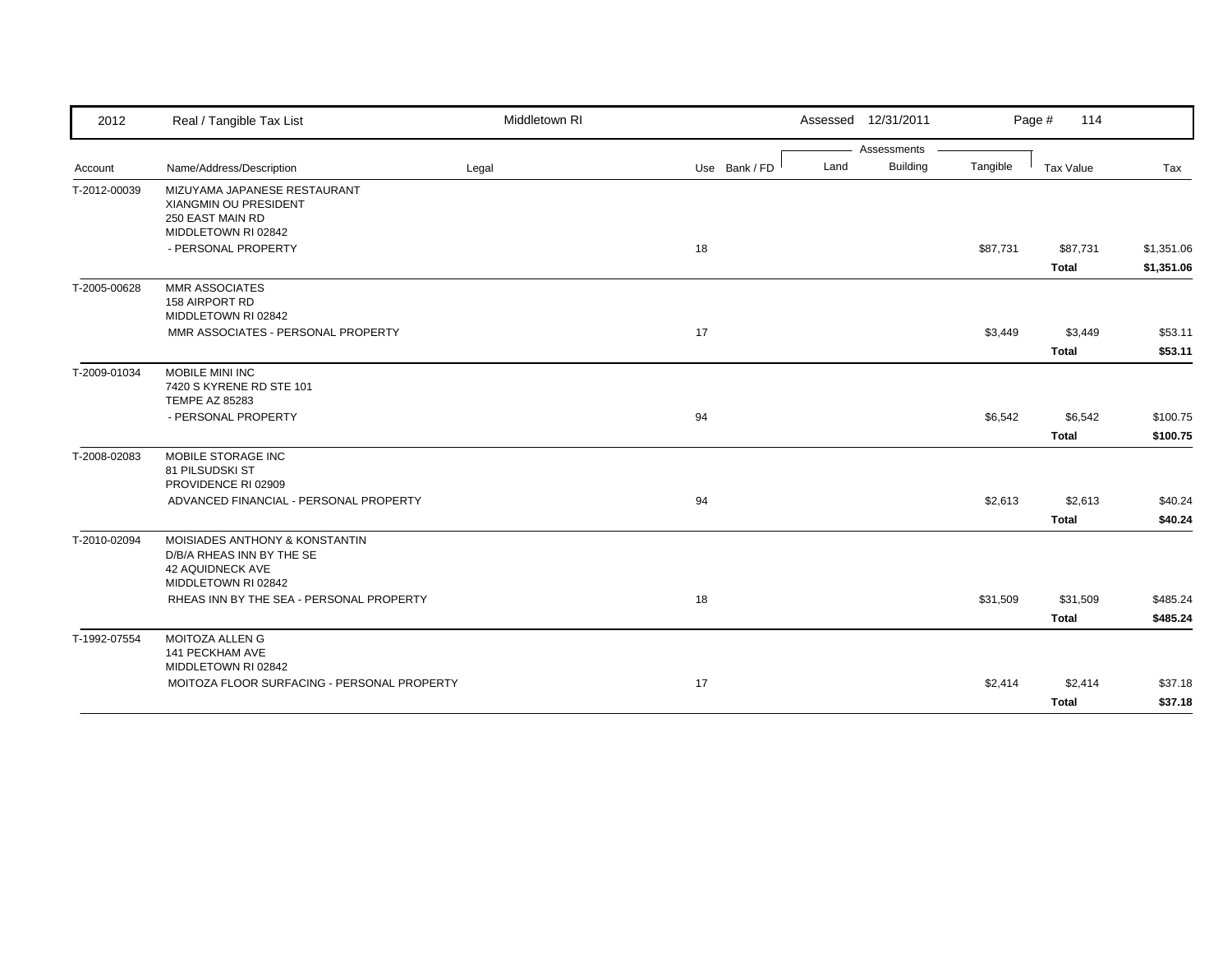| 2012         | Real / Tangible Tax List                                                                                      | Middletown RI |               |      | Assessed 12/31/2011 |          | Page #<br>114            |                          |
|--------------|---------------------------------------------------------------------------------------------------------------|---------------|---------------|------|---------------------|----------|--------------------------|--------------------------|
|              |                                                                                                               |               |               |      | Assessments         |          |                          |                          |
| Account      | Name/Address/Description                                                                                      | Legal         | Use Bank / FD | Land | <b>Building</b>     | Tangible | <b>Tax Value</b>         | Tax                      |
| T-2012-00039 | MIZUYAMA JAPANESE RESTAURANT<br>XIANGMIN OU PRESIDENT<br>250 EAST MAIN RD<br>MIDDLETOWN RI 02842              |               |               |      |                     |          |                          |                          |
|              | - PERSONAL PROPERTY                                                                                           |               | 18            |      |                     | \$87,731 | \$87,731<br><b>Total</b> | \$1,351.06<br>\$1,351.06 |
| T-2005-00628 | <b>MMR ASSOCIATES</b><br>158 AIRPORT RD<br>MIDDLETOWN RI 02842                                                |               |               |      |                     |          |                          |                          |
|              | MMR ASSOCIATES - PERSONAL PROPERTY                                                                            |               | 17            |      |                     | \$3,449  | \$3,449<br><b>Total</b>  | \$53.11<br>\$53.11       |
| T-2009-01034 | MOBILE MINI INC<br>7420 S KYRENE RD STE 101<br><b>TEMPE AZ 85283</b>                                          |               |               |      |                     |          |                          |                          |
|              | - PERSONAL PROPERTY                                                                                           |               | 94            |      |                     | \$6,542  | \$6,542<br><b>Total</b>  | \$100.75<br>\$100.75     |
| T-2008-02083 | MOBILE STORAGE INC<br>81 PILSUDSKI ST<br>PROVIDENCE RI 02909                                                  |               |               |      |                     |          |                          |                          |
|              | ADVANCED FINANCIAL - PERSONAL PROPERTY                                                                        |               | 94            |      |                     | \$2,613  | \$2,613<br><b>Total</b>  | \$40.24<br>\$40.24       |
| T-2010-02094 | MOISIADES ANTHONY & KONSTANTIN<br>D/B/A RHEAS INN BY THE SE<br><b>42 AQUIDNECK AVE</b><br>MIDDLETOWN RI 02842 |               |               |      |                     |          |                          |                          |
|              | RHEAS INN BY THE SEA - PERSONAL PROPERTY                                                                      |               | 18            |      |                     | \$31,509 | \$31,509<br><b>Total</b> | \$485.24<br>\$485.24     |
| T-1992-07554 | <b>MOITOZA ALLEN G</b><br>141 PECKHAM AVE<br>MIDDLETOWN RI 02842                                              |               |               |      |                     |          |                          |                          |
|              | MOITOZA FLOOR SURFACING - PERSONAL PROPERTY                                                                   |               | 17            |      |                     | \$2,414  | \$2,414<br><b>Total</b>  | \$37.18<br>\$37.18       |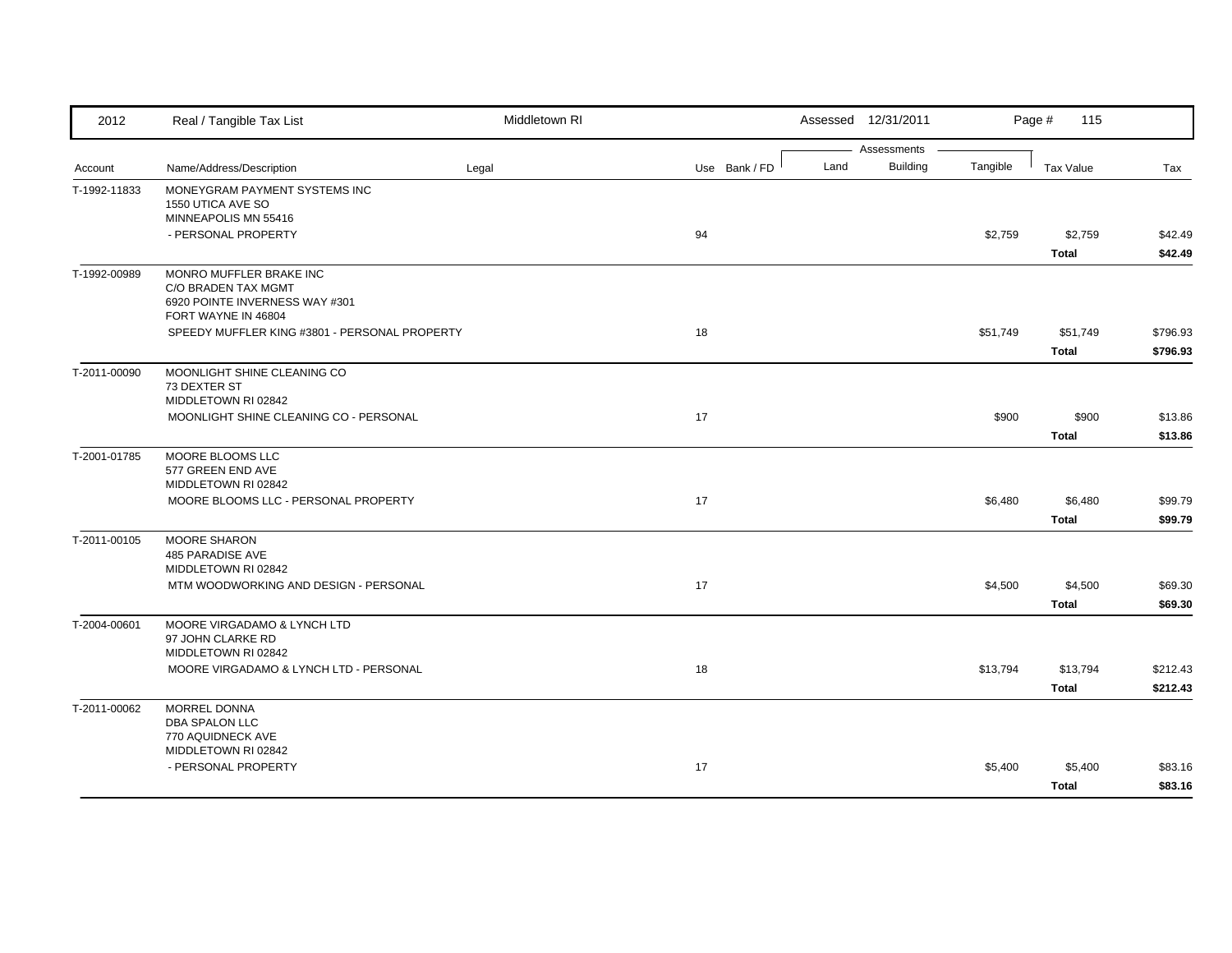| 2012         | Real / Tangible Tax List                                                                                | Middletown RI |               |      | Assessed 12/31/2011            |          | Page #<br>115            |                      |
|--------------|---------------------------------------------------------------------------------------------------------|---------------|---------------|------|--------------------------------|----------|--------------------------|----------------------|
| Account      | Name/Address/Description                                                                                | Legal         | Use Bank / FD | Land | Assessments<br><b>Building</b> | Tangible | Tax Value                | Tax                  |
| T-1992-11833 | MONEYGRAM PAYMENT SYSTEMS INC<br>1550 UTICA AVE SO                                                      |               |               |      |                                |          |                          |                      |
|              | MINNEAPOLIS MN 55416<br>- PERSONAL PROPERTY                                                             |               | 94            |      |                                | \$2,759  | \$2,759<br><b>Total</b>  | \$42.49<br>\$42.49   |
| T-1992-00989 | MONRO MUFFLER BRAKE INC<br>C/O BRADEN TAX MGMT<br>6920 POINTE INVERNESS WAY #301<br>FORT WAYNE IN 46804 |               |               |      |                                |          |                          |                      |
|              | SPEEDY MUFFLER KING #3801 - PERSONAL PROPERTY                                                           |               | 18            |      |                                | \$51,749 | \$51,749<br><b>Total</b> | \$796.93<br>\$796.93 |
| T-2011-00090 | MOONLIGHT SHINE CLEANING CO<br>73 DEXTER ST<br>MIDDLETOWN RI 02842                                      |               |               |      |                                |          |                          |                      |
|              | MOONLIGHT SHINE CLEANING CO - PERSONAL                                                                  |               | 17            |      |                                | \$900    | \$900<br>Total           | \$13.86<br>\$13.86   |
| T-2001-01785 | MOORE BLOOMS LLC<br>577 GREEN END AVE<br>MIDDLETOWN RI 02842                                            |               |               |      |                                |          |                          |                      |
|              | MOORE BLOOMS LLC - PERSONAL PROPERTY                                                                    |               | 17            |      |                                | \$6,480  | \$6,480<br>Total         | \$99.79<br>\$99.79   |
| T-2011-00105 | <b>MOORE SHARON</b><br>485 PARADISE AVE<br>MIDDLETOWN RI 02842                                          |               |               |      |                                |          |                          |                      |
|              | MTM WOODWORKING AND DESIGN - PERSONAL                                                                   |               | 17            |      |                                | \$4,500  | \$4,500<br><b>Total</b>  | \$69.30<br>\$69.30   |
| T-2004-00601 | MOORE VIRGADAMO & LYNCH LTD<br>97 JOHN CLARKE RD<br>MIDDLETOWN RI 02842                                 |               |               |      |                                |          |                          |                      |
|              | MOORE VIRGADAMO & LYNCH LTD - PERSONAL                                                                  |               | 18            |      |                                | \$13,794 | \$13,794<br><b>Total</b> | \$212.43<br>\$212.43 |
| T-2011-00062 | MORREL DONNA<br>DBA SPALON LLC<br>770 AQUIDNECK AVE                                                     |               |               |      |                                |          |                          |                      |
|              | MIDDLETOWN RI 02842<br>- PERSONAL PROPERTY                                                              |               | 17            |      |                                | \$5,400  | \$5,400<br><b>Total</b>  | \$83.16<br>\$83.16   |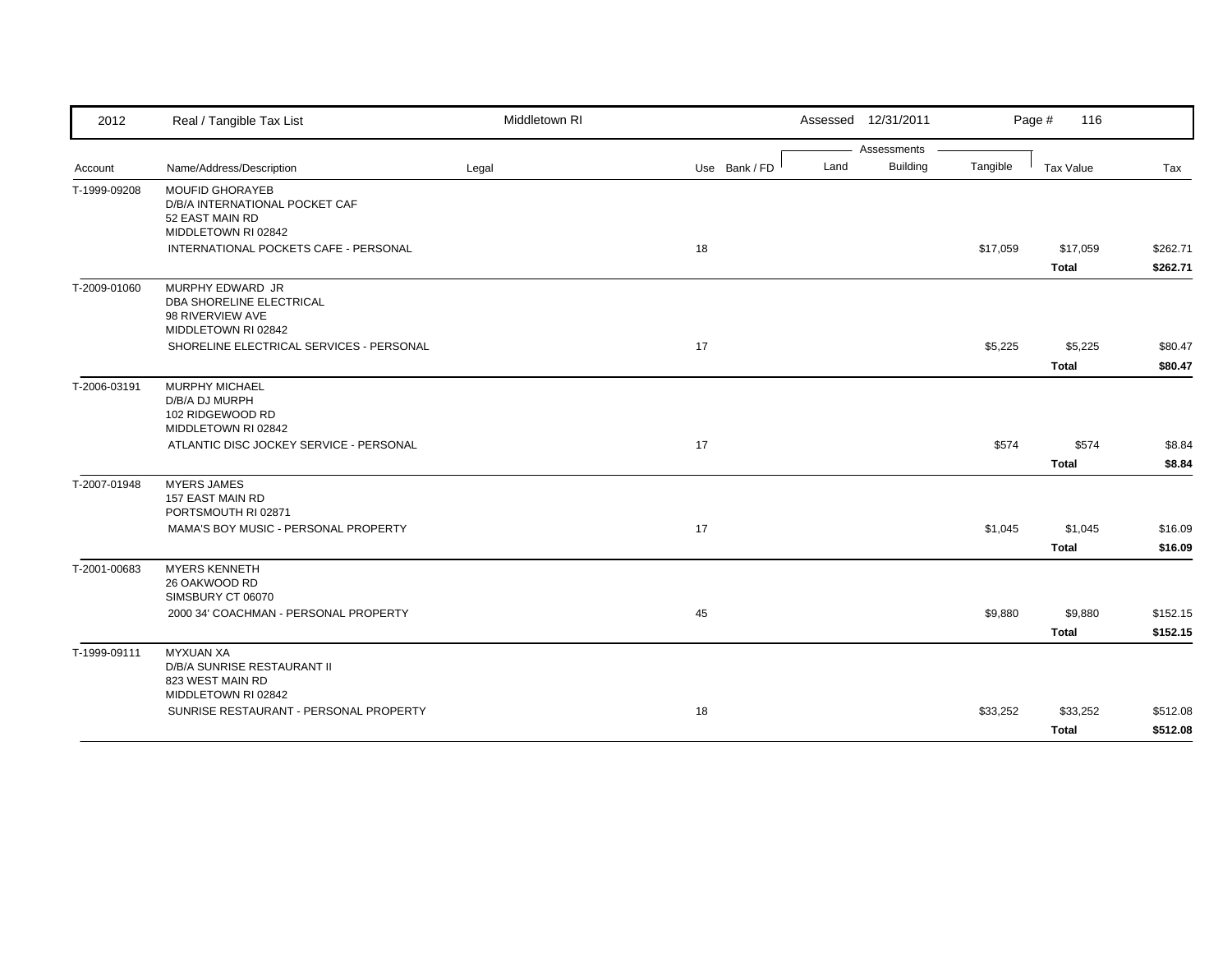| Assessments<br><b>Building</b><br>Land<br>Tangible<br>Name/Address/Description<br>Legal<br>Use Bank / FD<br><b>Tax Value</b><br>Tax<br><b>MOUFID GHORAYEB</b><br>D/B/A INTERNATIONAL POCKET CAF<br>52 EAST MAIN RD<br>MIDDLETOWN RI 02842<br>INTERNATIONAL POCKETS CAFE - PERSONAL<br>18<br>\$17,059<br>\$17,059<br><b>Total</b><br>MURPHY EDWARD JR<br>DBA SHORELINE ELECTRICAL<br>98 RIVERVIEW AVE<br>MIDDLETOWN RI 02842<br>SHORELINE ELECTRICAL SERVICES - PERSONAL<br>17<br>\$5,225<br>\$5,225<br><b>Total</b><br><b>MURPHY MICHAEL</b><br>D/B/A DJ MURPH<br>102 RIDGEWOOD RD<br>MIDDLETOWN RI 02842<br>ATLANTIC DISC JOCKEY SERVICE - PERSONAL<br>17<br>\$574<br>\$574<br><b>Total</b><br><b>MYERS JAMES</b><br>157 EAST MAIN RD<br>PORTSMOUTH RI 02871<br>17<br>\$1,045<br>MAMA'S BOY MUSIC - PERSONAL PROPERTY<br>\$1,045<br><b>Total</b><br><b>MYERS KENNETH</b><br>26 OAKWOOD RD<br>SIMSBURY CT 06070<br>45<br>\$9,880<br>2000 34' COACHMAN - PERSONAL PROPERTY<br>\$9,880<br><b>Total</b><br><b>MYXUAN XA</b><br>D/B/A SUNRISE RESTAURANT II<br>823 WEST MAIN RD<br>MIDDLETOWN RI 02842<br>SUNRISE RESTAURANT - PERSONAL PROPERTY<br>18<br>\$33,252<br>\$33,252 | 2012         | Real / Tangible Tax List | Middletown RI | Assessed 12/31/2011 | Page #<br>116 |          |
|----------------------------------------------------------------------------------------------------------------------------------------------------------------------------------------------------------------------------------------------------------------------------------------------------------------------------------------------------------------------------------------------------------------------------------------------------------------------------------------------------------------------------------------------------------------------------------------------------------------------------------------------------------------------------------------------------------------------------------------------------------------------------------------------------------------------------------------------------------------------------------------------------------------------------------------------------------------------------------------------------------------------------------------------------------------------------------------------------------------------------------------------------------------------------|--------------|--------------------------|---------------|---------------------|---------------|----------|
| \$262.71<br>\$262.71<br>\$80.47                                                                                                                                                                                                                                                                                                                                                                                                                                                                                                                                                                                                                                                                                                                                                                                                                                                                                                                                                                                                                                                                                                                                            |              |                          |               |                     |               |          |
|                                                                                                                                                                                                                                                                                                                                                                                                                                                                                                                                                                                                                                                                                                                                                                                                                                                                                                                                                                                                                                                                                                                                                                            | Account      |                          |               |                     |               |          |
|                                                                                                                                                                                                                                                                                                                                                                                                                                                                                                                                                                                                                                                                                                                                                                                                                                                                                                                                                                                                                                                                                                                                                                            | T-1999-09208 |                          |               |                     |               |          |
|                                                                                                                                                                                                                                                                                                                                                                                                                                                                                                                                                                                                                                                                                                                                                                                                                                                                                                                                                                                                                                                                                                                                                                            |              |                          |               |                     |               |          |
|                                                                                                                                                                                                                                                                                                                                                                                                                                                                                                                                                                                                                                                                                                                                                                                                                                                                                                                                                                                                                                                                                                                                                                            |              |                          |               |                     |               |          |
|                                                                                                                                                                                                                                                                                                                                                                                                                                                                                                                                                                                                                                                                                                                                                                                                                                                                                                                                                                                                                                                                                                                                                                            | T-2009-01060 |                          |               |                     |               |          |
| \$80.47<br>\$8.84<br>\$8.84<br>\$16.09<br>\$16.09<br>\$152.15<br>\$152.15<br>\$512.08                                                                                                                                                                                                                                                                                                                                                                                                                                                                                                                                                                                                                                                                                                                                                                                                                                                                                                                                                                                                                                                                                      |              |                          |               |                     |               |          |
|                                                                                                                                                                                                                                                                                                                                                                                                                                                                                                                                                                                                                                                                                                                                                                                                                                                                                                                                                                                                                                                                                                                                                                            |              |                          |               |                     |               |          |
|                                                                                                                                                                                                                                                                                                                                                                                                                                                                                                                                                                                                                                                                                                                                                                                                                                                                                                                                                                                                                                                                                                                                                                            | T-2006-03191 |                          |               |                     |               |          |
|                                                                                                                                                                                                                                                                                                                                                                                                                                                                                                                                                                                                                                                                                                                                                                                                                                                                                                                                                                                                                                                                                                                                                                            |              |                          |               |                     |               |          |
|                                                                                                                                                                                                                                                                                                                                                                                                                                                                                                                                                                                                                                                                                                                                                                                                                                                                                                                                                                                                                                                                                                                                                                            |              |                          |               |                     |               |          |
|                                                                                                                                                                                                                                                                                                                                                                                                                                                                                                                                                                                                                                                                                                                                                                                                                                                                                                                                                                                                                                                                                                                                                                            | T-2007-01948 |                          |               |                     |               |          |
|                                                                                                                                                                                                                                                                                                                                                                                                                                                                                                                                                                                                                                                                                                                                                                                                                                                                                                                                                                                                                                                                                                                                                                            |              |                          |               |                     |               |          |
|                                                                                                                                                                                                                                                                                                                                                                                                                                                                                                                                                                                                                                                                                                                                                                                                                                                                                                                                                                                                                                                                                                                                                                            |              |                          |               |                     |               |          |
|                                                                                                                                                                                                                                                                                                                                                                                                                                                                                                                                                                                                                                                                                                                                                                                                                                                                                                                                                                                                                                                                                                                                                                            | T-2001-00683 |                          |               |                     |               |          |
|                                                                                                                                                                                                                                                                                                                                                                                                                                                                                                                                                                                                                                                                                                                                                                                                                                                                                                                                                                                                                                                                                                                                                                            |              |                          |               |                     |               |          |
|                                                                                                                                                                                                                                                                                                                                                                                                                                                                                                                                                                                                                                                                                                                                                                                                                                                                                                                                                                                                                                                                                                                                                                            |              |                          |               |                     |               |          |
|                                                                                                                                                                                                                                                                                                                                                                                                                                                                                                                                                                                                                                                                                                                                                                                                                                                                                                                                                                                                                                                                                                                                                                            | T-1999-09111 |                          |               |                     |               |          |
|                                                                                                                                                                                                                                                                                                                                                                                                                                                                                                                                                                                                                                                                                                                                                                                                                                                                                                                                                                                                                                                                                                                                                                            |              |                          |               |                     |               |          |
|                                                                                                                                                                                                                                                                                                                                                                                                                                                                                                                                                                                                                                                                                                                                                                                                                                                                                                                                                                                                                                                                                                                                                                            |              |                          |               |                     | <b>Total</b>  | \$512.08 |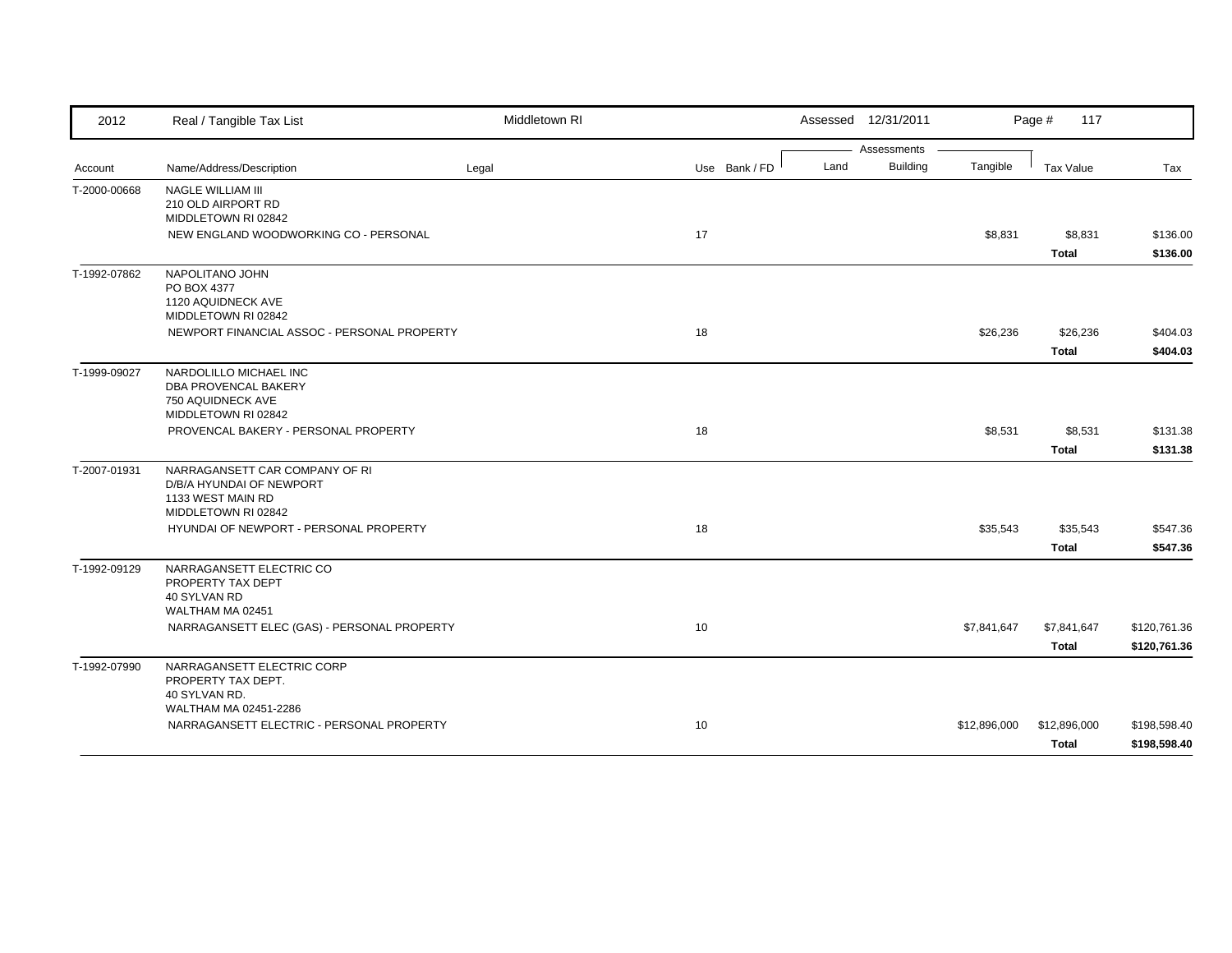| 2012         | Real / Tangible Tax List                         | Middletown RI |               |      | Assessed 12/31/2011 |              | Page #<br>117    |              |
|--------------|--------------------------------------------------|---------------|---------------|------|---------------------|--------------|------------------|--------------|
|              |                                                  |               |               |      | Assessments         |              |                  |              |
| Account      | Name/Address/Description                         | Legal         | Use Bank / FD | Land | Building            | Tangible     | <b>Tax Value</b> | Tax          |
| T-2000-00668 | NAGLE WILLIAM III                                |               |               |      |                     |              |                  |              |
|              | 210 OLD AIRPORT RD<br>MIDDLETOWN RI 02842        |               |               |      |                     |              |                  |              |
|              | NEW ENGLAND WOODWORKING CO - PERSONAL            |               | 17            |      |                     | \$8,831      | \$8,831          | \$136.00     |
|              |                                                  |               |               |      |                     |              | <b>Total</b>     | \$136.00     |
| T-1992-07862 | NAPOLITANO JOHN                                  |               |               |      |                     |              |                  |              |
|              | PO BOX 4377                                      |               |               |      |                     |              |                  |              |
|              | 1120 AQUIDNECK AVE<br>MIDDLETOWN RI 02842        |               |               |      |                     |              |                  |              |
|              | NEWPORT FINANCIAL ASSOC - PERSONAL PROPERTY      |               | 18            |      |                     | \$26,236     | \$26,236         | \$404.03     |
|              |                                                  |               |               |      |                     |              | <b>Total</b>     | \$404.03     |
| T-1999-09027 | NARDOLILLO MICHAEL INC                           |               |               |      |                     |              |                  |              |
|              | DBA PROVENCAL BAKERY                             |               |               |      |                     |              |                  |              |
|              | 750 AQUIDNECK AVE                                |               |               |      |                     |              |                  |              |
|              | MIDDLETOWN RI 02842                              |               |               |      |                     |              |                  |              |
|              | PROVENCAL BAKERY - PERSONAL PROPERTY             |               | 18            |      |                     | \$8,531      | \$8,531          | \$131.38     |
|              |                                                  |               |               |      |                     |              | <b>Total</b>     | \$131.38     |
| T-2007-01931 | NARRAGANSETT CAR COMPANY OF RI                   |               |               |      |                     |              |                  |              |
|              | D/B/A HYUNDAI OF NEWPORT                         |               |               |      |                     |              |                  |              |
|              | 1133 WEST MAIN RD<br>MIDDLETOWN RI 02842         |               |               |      |                     |              |                  |              |
|              | HYUNDAI OF NEWPORT - PERSONAL PROPERTY           |               | 18            |      |                     | \$35,543     | \$35,543         | \$547.36     |
|              |                                                  |               |               |      |                     |              | <b>Total</b>     | \$547.36     |
| T-1992-09129 | NARRAGANSETT ELECTRIC CO                         |               |               |      |                     |              |                  |              |
|              | PROPERTY TAX DEPT                                |               |               |      |                     |              |                  |              |
|              | 40 SYLVAN RD                                     |               |               |      |                     |              |                  |              |
|              | WALTHAM MA 02451                                 |               |               |      |                     |              |                  |              |
|              | NARRAGANSETT ELEC (GAS) - PERSONAL PROPERTY      |               | 10            |      |                     | \$7,841,647  | \$7,841,647      | \$120,761.36 |
|              |                                                  |               |               |      |                     |              | <b>Total</b>     | \$120,761.36 |
| T-1992-07990 | NARRAGANSETT ELECTRIC CORP<br>PROPERTY TAX DEPT. |               |               |      |                     |              |                  |              |
|              | 40 SYLVAN RD.                                    |               |               |      |                     |              |                  |              |
|              | WALTHAM MA 02451-2286                            |               |               |      |                     |              |                  |              |
|              | NARRAGANSETT ELECTRIC - PERSONAL PROPERTY        |               | 10            |      |                     | \$12,896,000 | \$12,896,000     | \$198,598.40 |
|              |                                                  |               |               |      |                     |              | <b>Total</b>     | \$198,598.40 |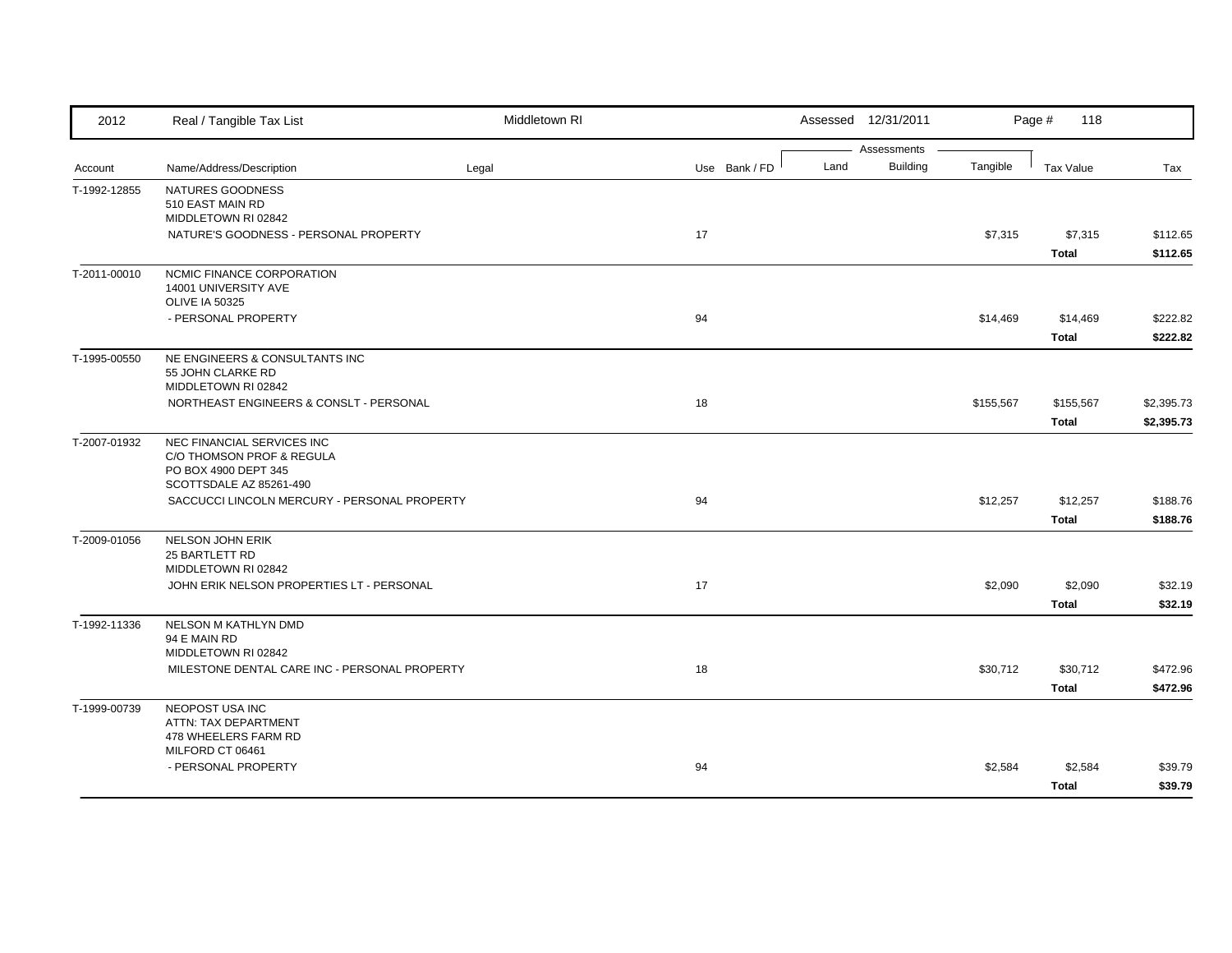| 2012         | Real / Tangible Tax List                                         | Middletown RI |               |      | Assessed 12/31/2011            |           | Page #<br>118             |                          |
|--------------|------------------------------------------------------------------|---------------|---------------|------|--------------------------------|-----------|---------------------------|--------------------------|
| Account      | Name/Address/Description                                         | Legal         | Use Bank / FD | Land | Assessments<br><b>Building</b> | Tangible  | <b>Tax Value</b>          | Tax                      |
| T-1992-12855 | NATURES GOODNESS                                                 |               |               |      |                                |           |                           |                          |
|              | 510 EAST MAIN RD<br>MIDDLETOWN RI 02842                          |               |               |      |                                |           |                           |                          |
|              | NATURE'S GOODNESS - PERSONAL PROPERTY                            |               | 17            |      |                                | \$7,315   | \$7,315                   | \$112.65                 |
| T-2011-00010 | NCMIC FINANCE CORPORATION                                        |               |               |      |                                |           | <b>Total</b>              | \$112.65                 |
|              | 14001 UNIVERSITY AVE<br><b>OLIVE IA 50325</b>                    |               |               |      |                                |           |                           |                          |
|              | - PERSONAL PROPERTY                                              |               | 94            |      |                                | \$14,469  | \$14,469<br><b>Total</b>  | \$222.82<br>\$222.82     |
| T-1995-00550 | NE ENGINEERS & CONSULTANTS INC                                   |               |               |      |                                |           |                           |                          |
|              | 55 JOHN CLARKE RD<br>MIDDLETOWN RI 02842                         |               |               |      |                                |           |                           |                          |
|              | NORTHEAST ENGINEERS & CONSLT - PERSONAL                          |               | 18            |      |                                | \$155,567 | \$155,567<br><b>Total</b> | \$2,395.73<br>\$2,395.73 |
| T-2007-01932 | NEC FINANCIAL SERVICES INC<br>C/O THOMSON PROF & REGULA          |               |               |      |                                |           |                           |                          |
|              | PO BOX 4900 DEPT 345<br>SCOTTSDALE AZ 85261-490                  |               |               |      |                                |           |                           |                          |
|              | SACCUCCI LINCOLN MERCURY - PERSONAL PROPERTY                     |               | 94            |      |                                | \$12,257  | \$12,257<br><b>Total</b>  | \$188.76<br>\$188.76     |
| T-2009-01056 | NELSON JOHN ERIK<br>25 BARTLETT RD                               |               |               |      |                                |           |                           |                          |
|              | MIDDLETOWN RI 02842<br>JOHN ERIK NELSON PROPERTIES LT - PERSONAL |               | 17            |      |                                | \$2,090   | \$2,090<br><b>Total</b>   | \$32.19<br>\$32.19       |
| T-1992-11336 | NELSON M KATHLYN DMD<br>94 E MAIN RD                             |               |               |      |                                |           |                           |                          |
|              | MIDDLETOWN RI 02842                                              |               |               |      |                                |           |                           |                          |
|              | MILESTONE DENTAL CARE INC - PERSONAL PROPERTY                    |               | 18            |      |                                | \$30,712  | \$30,712<br><b>Total</b>  | \$472.96<br>\$472.96     |
| T-1999-00739 | NEOPOST USA INC<br>ATTN: TAX DEPARTMENT<br>478 WHEELERS FARM RD  |               |               |      |                                |           |                           |                          |
|              | MILFORD CT 06461                                                 |               |               |      |                                |           |                           |                          |
|              | - PERSONAL PROPERTY                                              |               | 94            |      |                                | \$2,584   | \$2,584<br><b>Total</b>   | \$39.79<br>\$39.79       |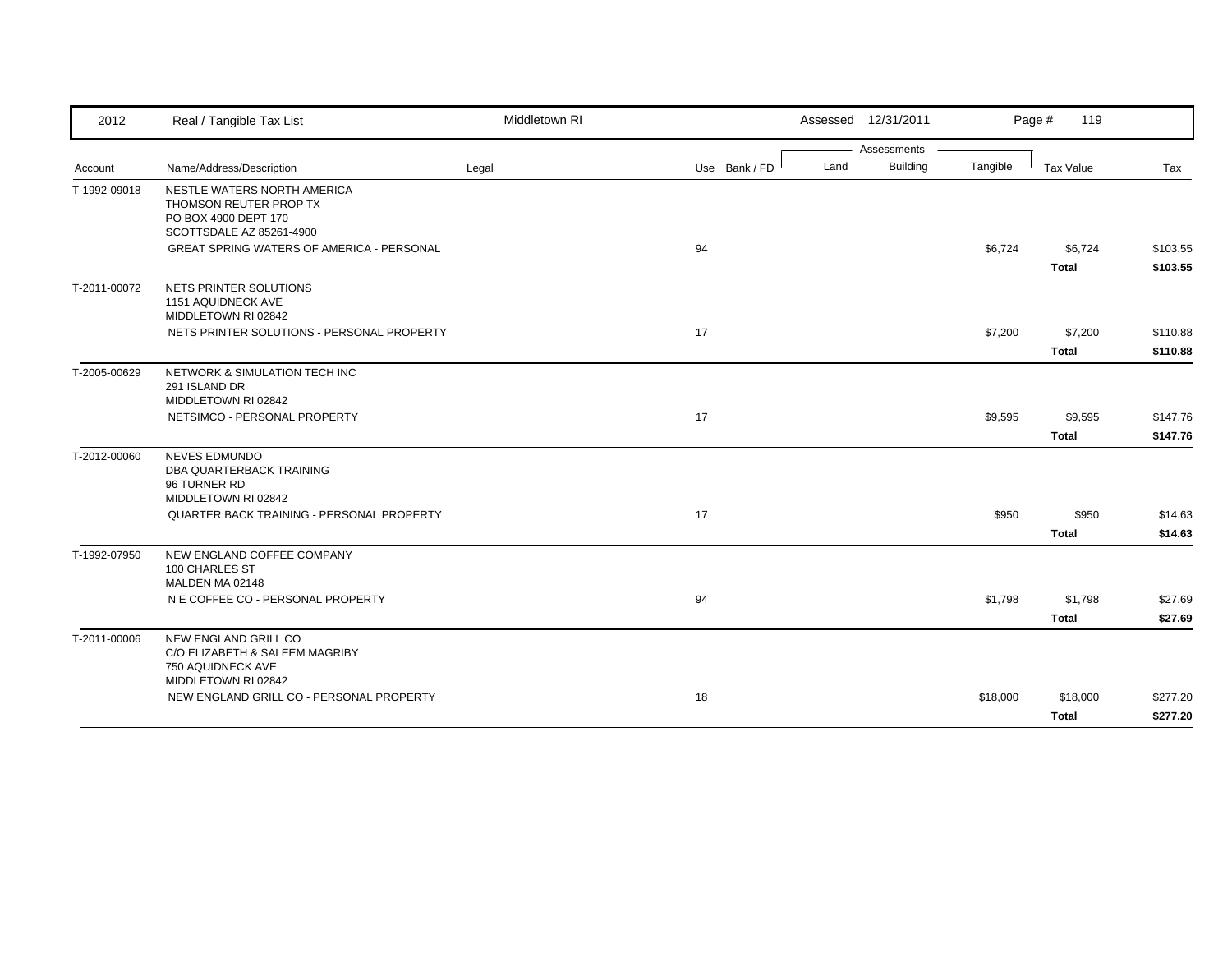| 2012         | Real / Tangible Tax List                                                                | Middletown RI |               | Assessed 12/31/2011     |          | Page #<br>119           |                      |
|--------------|-----------------------------------------------------------------------------------------|---------------|---------------|-------------------------|----------|-------------------------|----------------------|
|              |                                                                                         |               |               | Assessments             |          |                         |                      |
| Account      | Name/Address/Description                                                                | Legal         | Use Bank / FD | <b>Building</b><br>Land | Tangible | <b>Tax Value</b>        | Tax                  |
| T-1992-09018 | NESTLE WATERS NORTH AMERICA<br>THOMSON REUTER PROP TX<br>PO BOX 4900 DEPT 170           |               |               |                         |          |                         |                      |
|              | SCOTTSDALE AZ 85261-4900                                                                |               |               |                         |          |                         |                      |
|              | GREAT SPRING WATERS OF AMERICA - PERSONAL                                               |               | 94            |                         | \$6,724  | \$6,724<br><b>Total</b> | \$103.55<br>\$103.55 |
| T-2011-00072 | NETS PRINTER SOLUTIONS<br>1151 AQUIDNECK AVE<br>MIDDLETOWN RI 02842                     |               |               |                         |          |                         |                      |
|              | NETS PRINTER SOLUTIONS - PERSONAL PROPERTY                                              |               | 17            |                         | \$7,200  | \$7,200                 | \$110.88             |
|              |                                                                                         |               |               |                         |          | <b>Total</b>            | \$110.88             |
| T-2005-00629 | NETWORK & SIMULATION TECH INC<br>291 ISLAND DR<br>MIDDLETOWN RI 02842                   |               |               |                         |          |                         |                      |
|              | NETSIMCO - PERSONAL PROPERTY                                                            |               | 17            |                         | \$9,595  | \$9,595                 | \$147.76             |
|              |                                                                                         |               |               |                         |          | Total                   | \$147.76             |
| T-2012-00060 | <b>NEVES EDMUNDO</b><br>DBA QUARTERBACK TRAINING<br>96 TURNER RD<br>MIDDLETOWN RI 02842 |               |               |                         |          |                         |                      |
|              | QUARTER BACK TRAINING - PERSONAL PROPERTY                                               |               | 17            |                         | \$950    | \$950                   | \$14.63              |
|              |                                                                                         |               |               |                         |          | <b>Total</b>            | \$14.63              |
| T-1992-07950 | NEW ENGLAND COFFEE COMPANY<br>100 CHARLES ST<br>MALDEN MA 02148                         |               |               |                         |          |                         |                      |
|              | N E COFFEE CO - PERSONAL PROPERTY                                                       |               | 94            |                         | \$1,798  | \$1,798                 | \$27.69              |
|              |                                                                                         |               |               |                         |          | <b>Total</b>            | \$27.69              |
| T-2011-00006 | <b>NEW ENGLAND GRILL CO</b><br>C/O ELIZABETH & SALEEM MAGRIBY<br>750 AQUIDNECK AVE      |               |               |                         |          |                         |                      |
|              | MIDDLETOWN RI 02842<br>NEW ENGLAND GRILL CO - PERSONAL PROPERTY                         |               | 18            |                         |          |                         |                      |
|              |                                                                                         |               |               |                         | \$18,000 | \$18,000                | \$277.20             |
|              |                                                                                         |               |               |                         |          | <b>Total</b>            | \$277.20             |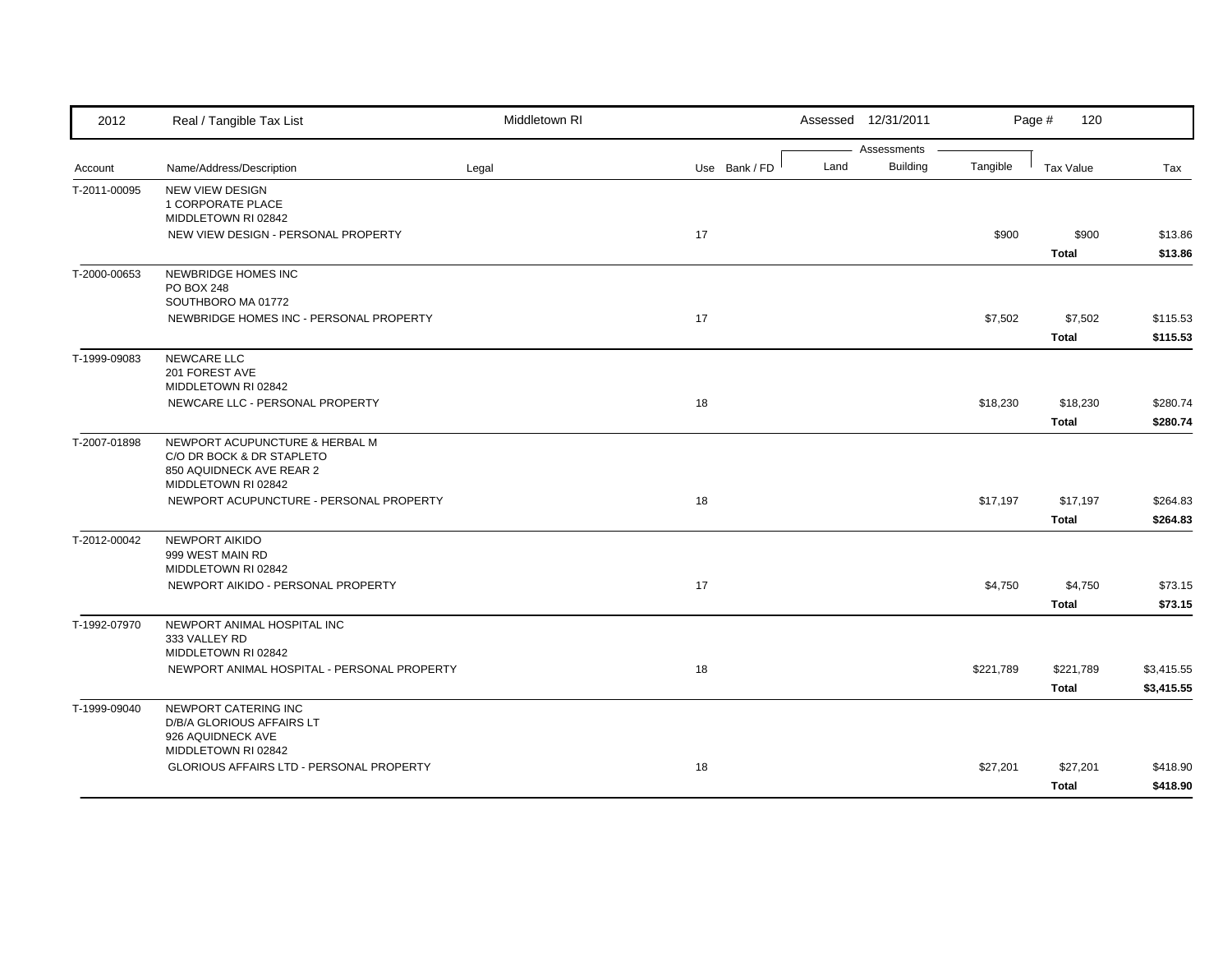| 2012         | Real / Tangible Tax List                                                                      | Middletown RI |               |      | Assessed 12/31/2011            |           | Page #<br>120             |                          |
|--------------|-----------------------------------------------------------------------------------------------|---------------|---------------|------|--------------------------------|-----------|---------------------------|--------------------------|
| Account      | Name/Address/Description                                                                      | Legal         | Use Bank / FD | Land | Assessments<br><b>Building</b> | Tangible  | Tax Value                 | Tax                      |
| T-2011-00095 | NEW VIEW DESIGN<br>1 CORPORATE PLACE<br>MIDDLETOWN RI 02842                                   |               |               |      |                                |           |                           |                          |
|              | NEW VIEW DESIGN - PERSONAL PROPERTY                                                           |               | 17            |      |                                | \$900     | \$900<br><b>Total</b>     | \$13.86<br>\$13.86       |
| T-2000-00653 | NEWBRIDGE HOMES INC<br><b>PO BOX 248</b><br>SOUTHBORO MA 01772                                |               |               |      |                                |           |                           |                          |
|              | NEWBRIDGE HOMES INC - PERSONAL PROPERTY                                                       |               | 17            |      |                                | \$7,502   | \$7,502<br><b>Total</b>   | \$115.53<br>\$115.53     |
| T-1999-09083 | NEWCARE LLC<br>201 FOREST AVE<br>MIDDLETOWN RI 02842                                          |               |               |      |                                |           |                           |                          |
|              | NEWCARE LLC - PERSONAL PROPERTY                                                               |               | 18            |      |                                | \$18,230  | \$18,230<br><b>Total</b>  | \$280.74<br>\$280.74     |
| T-2007-01898 | NEWPORT ACUPUNCTURE & HERBAL M<br>C/O DR BOCK & DR STAPLETO<br>850 AQUIDNECK AVE REAR 2       |               |               |      |                                |           |                           |                          |
|              | MIDDLETOWN RI 02842<br>NEWPORT ACUPUNCTURE - PERSONAL PROPERTY                                |               | 18            |      |                                | \$17,197  | \$17,197<br><b>Total</b>  | \$264.83<br>\$264.83     |
| T-2012-00042 | NEWPORT AIKIDO<br>999 WEST MAIN RD<br>MIDDLETOWN RI 02842                                     |               |               |      |                                |           |                           |                          |
|              | NEWPORT AIKIDO - PERSONAL PROPERTY                                                            |               | 17            |      |                                | \$4,750   | \$4,750<br><b>Total</b>   | \$73.15<br>\$73.15       |
| T-1992-07970 | NEWPORT ANIMAL HOSPITAL INC<br>333 VALLEY RD<br>MIDDLETOWN RI 02842                           |               |               |      |                                |           |                           |                          |
|              | NEWPORT ANIMAL HOSPITAL - PERSONAL PROPERTY                                                   |               | 18            |      |                                | \$221,789 | \$221,789<br><b>Total</b> | \$3,415.55<br>\$3,415.55 |
| T-1999-09040 | NEWPORT CATERING INC<br>D/B/A GLORIOUS AFFAIRS LT<br>926 AQUIDNECK AVE<br>MIDDLETOWN RI 02842 |               |               |      |                                |           |                           |                          |
|              | <b>GLORIOUS AFFAIRS LTD - PERSONAL PROPERTY</b>                                               |               | 18            |      |                                | \$27,201  | \$27,201<br><b>Total</b>  | \$418.90<br>\$418.90     |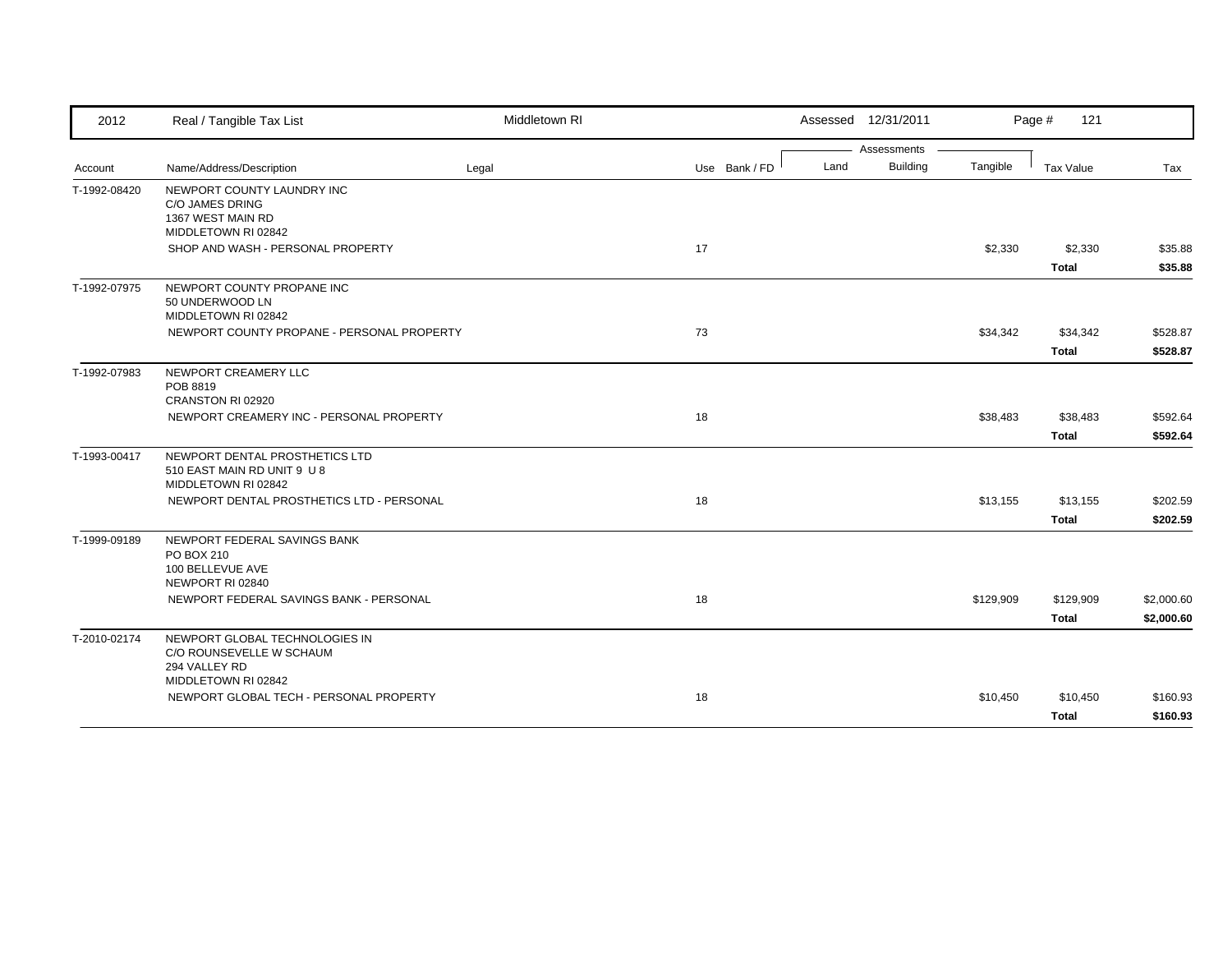| 2012         | Real / Tangible Tax List                      | Middletown RI |               |      | Assessed 12/31/2011 |           | Page #<br>121    |            |
|--------------|-----------------------------------------------|---------------|---------------|------|---------------------|-----------|------------------|------------|
|              |                                               |               |               |      | Assessments         |           |                  |            |
| Account      | Name/Address/Description                      | Legal         | Use Bank / FD | Land | <b>Building</b>     | Tangible  | <b>Tax Value</b> | Tax        |
| T-1992-08420 | NEWPORT COUNTY LAUNDRY INC                    |               |               |      |                     |           |                  |            |
|              | C/O JAMES DRING                               |               |               |      |                     |           |                  |            |
|              | 1367 WEST MAIN RD<br>MIDDLETOWN RI 02842      |               |               |      |                     |           |                  |            |
|              | SHOP AND WASH - PERSONAL PROPERTY             |               | 17            |      |                     | \$2,330   | \$2,330          | \$35.88    |
|              |                                               |               |               |      |                     |           | <b>Total</b>     | \$35.88    |
|              |                                               |               |               |      |                     |           |                  |            |
| T-1992-07975 | NEWPORT COUNTY PROPANE INC<br>50 UNDERWOOD LN |               |               |      |                     |           |                  |            |
|              | MIDDLETOWN RI 02842                           |               |               |      |                     |           |                  |            |
|              | NEWPORT COUNTY PROPANE - PERSONAL PROPERTY    |               | 73            |      |                     | \$34,342  | \$34,342         | \$528.87   |
|              |                                               |               |               |      |                     |           | <b>Total</b>     | \$528.87   |
|              | NEWPORT CREAMERY LLC                          |               |               |      |                     |           |                  |            |
| T-1992-07983 | POB 8819                                      |               |               |      |                     |           |                  |            |
|              | CRANSTON RI 02920                             |               |               |      |                     |           |                  |            |
|              | NEWPORT CREAMERY INC - PERSONAL PROPERTY      |               | 18            |      |                     | \$38,483  | \$38,483         | \$592.64   |
|              |                                               |               |               |      |                     |           | <b>Total</b>     | \$592.64   |
| T-1993-00417 | NEWPORT DENTAL PROSTHETICS LTD                |               |               |      |                     |           |                  |            |
|              | 510 EAST MAIN RD UNIT 9 U 8                   |               |               |      |                     |           |                  |            |
|              | MIDDLETOWN RI 02842                           |               |               |      |                     |           |                  |            |
|              | NEWPORT DENTAL PROSTHETICS LTD - PERSONAL     |               | 18            |      |                     | \$13,155  | \$13,155         | \$202.59   |
|              |                                               |               |               |      |                     |           | <b>Total</b>     | \$202.59   |
| T-1999-09189 | NEWPORT FEDERAL SAVINGS BANK                  |               |               |      |                     |           |                  |            |
|              | PO BOX 210                                    |               |               |      |                     |           |                  |            |
|              | 100 BELLEVUE AVE                              |               |               |      |                     |           |                  |            |
|              | NEWPORT RI 02840                              |               |               |      |                     |           |                  |            |
|              | NEWPORT FEDERAL SAVINGS BANK - PERSONAL       |               | 18            |      |                     | \$129,909 | \$129,909        | \$2,000.60 |
|              |                                               |               |               |      |                     |           | <b>Total</b>     | \$2,000.60 |
| T-2010-02174 | NEWPORT GLOBAL TECHNOLOGIES IN                |               |               |      |                     |           |                  |            |
|              | C/O ROUNSEVELLE W SCHAUM                      |               |               |      |                     |           |                  |            |
|              | 294 VALLEY RD<br>MIDDLETOWN RI 02842          |               |               |      |                     |           |                  |            |
|              | NEWPORT GLOBAL TECH - PERSONAL PROPERTY       |               | 18            |      |                     | \$10,450  | \$10,450         | \$160.93   |
|              |                                               |               |               |      |                     |           | <b>Total</b>     | \$160.93   |
|              |                                               |               |               |      |                     |           |                  |            |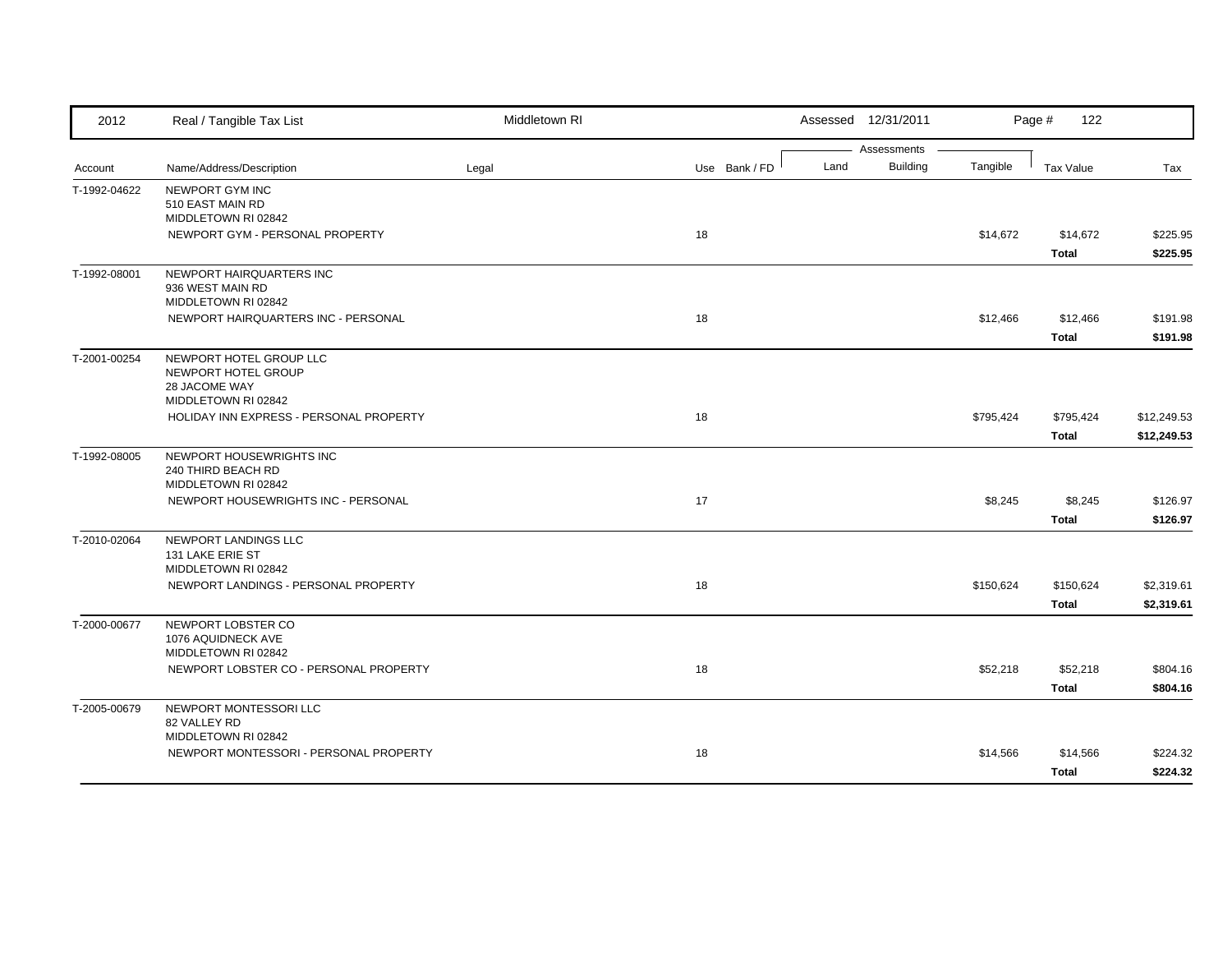| 2012         | Real / Tangible Tax List                                              | Middletown RI |               | Assessed 12/31/2011                    |           | Page #<br>122    |             |
|--------------|-----------------------------------------------------------------------|---------------|---------------|----------------------------------------|-----------|------------------|-------------|
|              | Name/Address/Description                                              |               | Use Bank / FD | Assessments<br><b>Building</b><br>Land | Tangible  | <b>Tax Value</b> | Tax         |
| Account      |                                                                       | Legal         |               |                                        |           |                  |             |
| T-1992-04622 | NEWPORT GYM INC<br>510 EAST MAIN RD                                   |               |               |                                        |           |                  |             |
|              | MIDDLETOWN RI 02842                                                   |               |               |                                        |           |                  |             |
|              | NEWPORT GYM - PERSONAL PROPERTY                                       |               | 18            |                                        | \$14,672  | \$14,672         | \$225.95    |
|              |                                                                       |               |               |                                        |           | <b>Total</b>     | \$225.95    |
| T-1992-08001 | NEWPORT HAIRQUARTERS INC<br>936 WEST MAIN RD<br>MIDDLETOWN RI 02842   |               |               |                                        |           |                  |             |
|              | NEWPORT HAIRQUARTERS INC - PERSONAL                                   |               | 18            |                                        | \$12,466  | \$12,466         | \$191.98    |
|              |                                                                       |               |               |                                        |           | <b>Total</b>     | \$191.98    |
| T-2001-00254 | NEWPORT HOTEL GROUP LLC<br>NEWPORT HOTEL GROUP<br>28 JACOME WAY       |               |               |                                        |           |                  |             |
|              | MIDDLETOWN RI 02842                                                   |               |               |                                        |           |                  |             |
|              | HOLIDAY INN EXPRESS - PERSONAL PROPERTY                               |               | 18            |                                        | \$795,424 | \$795,424        | \$12,249.53 |
|              |                                                                       |               |               |                                        |           | <b>Total</b>     | \$12,249.53 |
| T-1992-08005 | NEWPORT HOUSEWRIGHTS INC<br>240 THIRD BEACH RD<br>MIDDLETOWN RI 02842 |               |               |                                        |           |                  |             |
|              | NEWPORT HOUSEWRIGHTS INC - PERSONAL                                   |               | 17            |                                        | \$8,245   | \$8,245          | \$126.97    |
|              |                                                                       |               |               |                                        |           | <b>Total</b>     | \$126.97    |
| T-2010-02064 | NEWPORT LANDINGS LLC<br>131 LAKE ERIE ST<br>MIDDLETOWN RI 02842       |               |               |                                        |           |                  |             |
|              | NEWPORT LANDINGS - PERSONAL PROPERTY                                  |               | 18            |                                        | \$150,624 | \$150,624        | \$2,319.61  |
|              |                                                                       |               |               |                                        |           | <b>Total</b>     | \$2,319.61  |
| T-2000-00677 | NEWPORT LOBSTER CO                                                    |               |               |                                        |           |                  |             |
|              | 1076 AQUIDNECK AVE                                                    |               |               |                                        |           |                  |             |
|              | MIDDLETOWN RI 02842                                                   |               |               |                                        |           |                  |             |
|              | NEWPORT LOBSTER CO - PERSONAL PROPERTY                                |               | 18            |                                        | \$52,218  | \$52,218         | \$804.16    |
|              |                                                                       |               |               |                                        |           | <b>Total</b>     | \$804.16    |
| T-2005-00679 | NEWPORT MONTESSORI LLC<br>82 VALLEY RD                                |               |               |                                        |           |                  |             |
|              | MIDDLETOWN RI 02842<br>NEWPORT MONTESSORI - PERSONAL PROPERTY         |               | 18            |                                        | \$14,566  | \$14,566         | \$224.32    |
|              |                                                                       |               |               |                                        |           | <b>Total</b>     | \$224.32    |
|              |                                                                       |               |               |                                        |           |                  |             |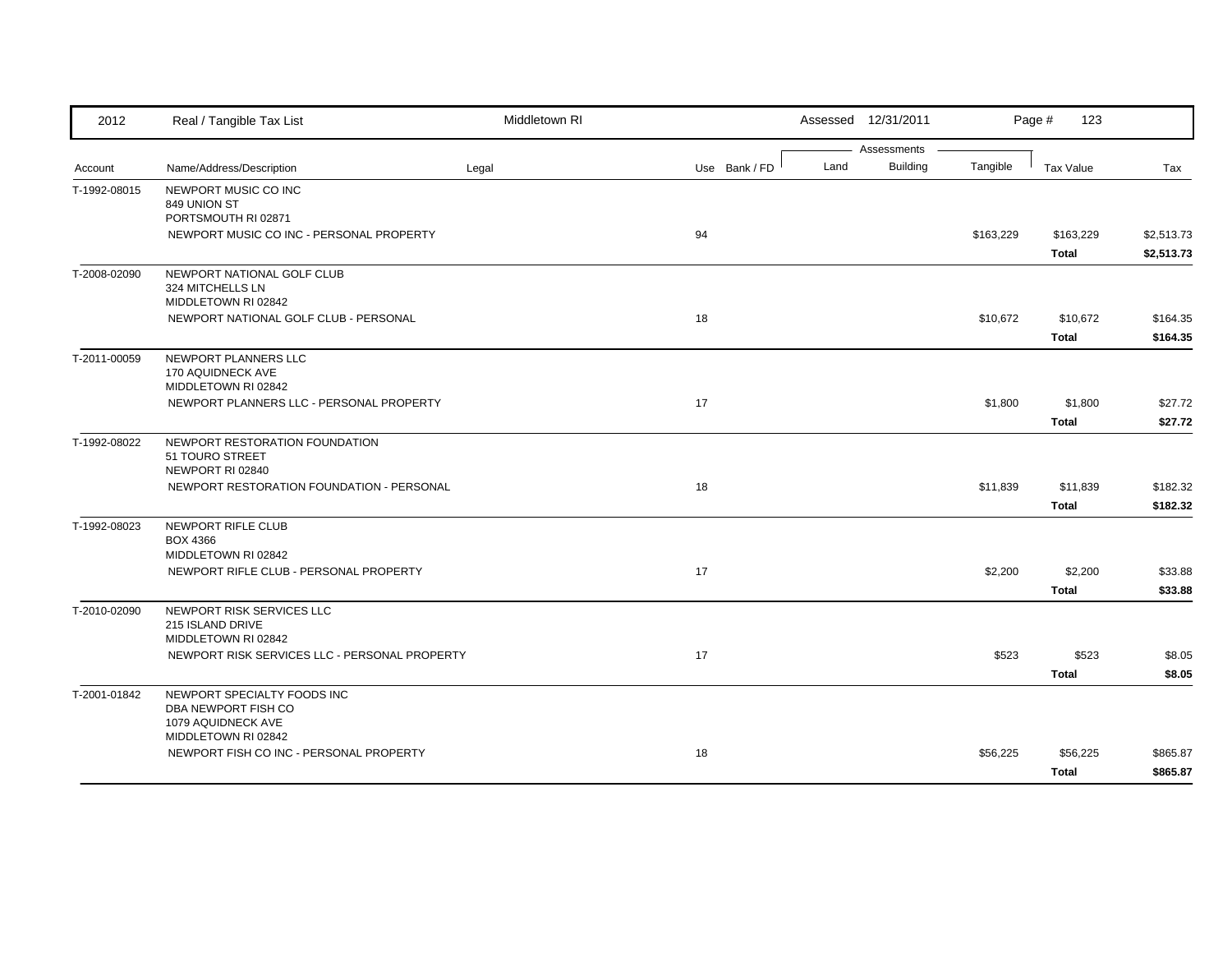| 2012         | Real / Tangible Tax List                                        | Middletown RI |               |      | Assessed 12/31/2011 |           | Page #<br>123    |            |
|--------------|-----------------------------------------------------------------|---------------|---------------|------|---------------------|-----------|------------------|------------|
|              |                                                                 |               |               |      | Assessments         |           |                  |            |
| Account      | Name/Address/Description                                        | Legal         | Use Bank / FD | Land | <b>Building</b>     | Tangible  | <b>Tax Value</b> | Tax        |
| T-1992-08015 | NEWPORT MUSIC CO INC<br>849 UNION ST                            |               |               |      |                     |           |                  |            |
|              | PORTSMOUTH RI 02871                                             |               |               |      |                     |           |                  |            |
|              | NEWPORT MUSIC CO INC - PERSONAL PROPERTY                        |               | 94            |      |                     | \$163,229 | \$163,229        | \$2,513.73 |
|              |                                                                 |               |               |      |                     |           | <b>Total</b>     | \$2,513.73 |
| T-2008-02090 | NEWPORT NATIONAL GOLF CLUB<br>324 MITCHELLS LN                  |               |               |      |                     |           |                  |            |
|              | MIDDLETOWN RI 02842                                             |               |               |      |                     |           |                  |            |
|              | NEWPORT NATIONAL GOLF CLUB - PERSONAL                           |               | 18            |      |                     | \$10,672  | \$10,672         | \$164.35   |
|              |                                                                 |               |               |      |                     |           | <b>Total</b>     | \$164.35   |
| T-2011-00059 | NEWPORT PLANNERS LLC<br>170 AQUIDNECK AVE                       |               |               |      |                     |           |                  |            |
|              | MIDDLETOWN RI 02842<br>NEWPORT PLANNERS LLC - PERSONAL PROPERTY |               | 17            |      |                     | \$1,800   | \$1,800          | \$27.72    |
|              |                                                                 |               |               |      |                     |           | <b>Total</b>     | \$27.72    |
| T-1992-08022 | NEWPORT RESTORATION FOUNDATION                                  |               |               |      |                     |           |                  |            |
|              | 51 TOURO STREET<br>NEWPORT RI 02840                             |               |               |      |                     |           |                  |            |
|              | NEWPORT RESTORATION FOUNDATION - PERSONAL                       |               | 18            |      |                     | \$11,839  | \$11,839         | \$182.32   |
|              |                                                                 |               |               |      |                     |           | <b>Total</b>     | \$182.32   |
| T-1992-08023 | NEWPORT RIFLE CLUB                                              |               |               |      |                     |           |                  |            |
|              | <b>BOX 4366</b>                                                 |               |               |      |                     |           |                  |            |
|              | MIDDLETOWN RI 02842<br>NEWPORT RIFLE CLUB - PERSONAL PROPERTY   |               | 17            |      |                     | \$2,200   | \$2,200          | \$33.88    |
|              |                                                                 |               |               |      |                     |           | <b>Total</b>     | \$33.88    |
| T-2010-02090 | NEWPORT RISK SERVICES LLC                                       |               |               |      |                     |           |                  |            |
|              | 215 ISLAND DRIVE                                                |               |               |      |                     |           |                  |            |
|              | MIDDLETOWN RI 02842                                             |               |               |      |                     |           |                  |            |
|              | NEWPORT RISK SERVICES LLC - PERSONAL PROPERTY                   |               | 17            |      |                     | \$523     | \$523            | \$8.05     |
|              |                                                                 |               |               |      |                     |           | <b>Total</b>     | \$8.05     |
| T-2001-01842 | NEWPORT SPECIALTY FOODS INC                                     |               |               |      |                     |           |                  |            |
|              | DBA NEWPORT FISH CO<br>1079 AQUIDNECK AVE                       |               |               |      |                     |           |                  |            |
|              | MIDDLETOWN RI 02842                                             |               |               |      |                     |           |                  |            |
|              | NEWPORT FISH CO INC - PERSONAL PROPERTY                         |               | 18            |      |                     | \$56,225  | \$56,225         | \$865.87   |
|              |                                                                 |               |               |      |                     |           | <b>Total</b>     | \$865.87   |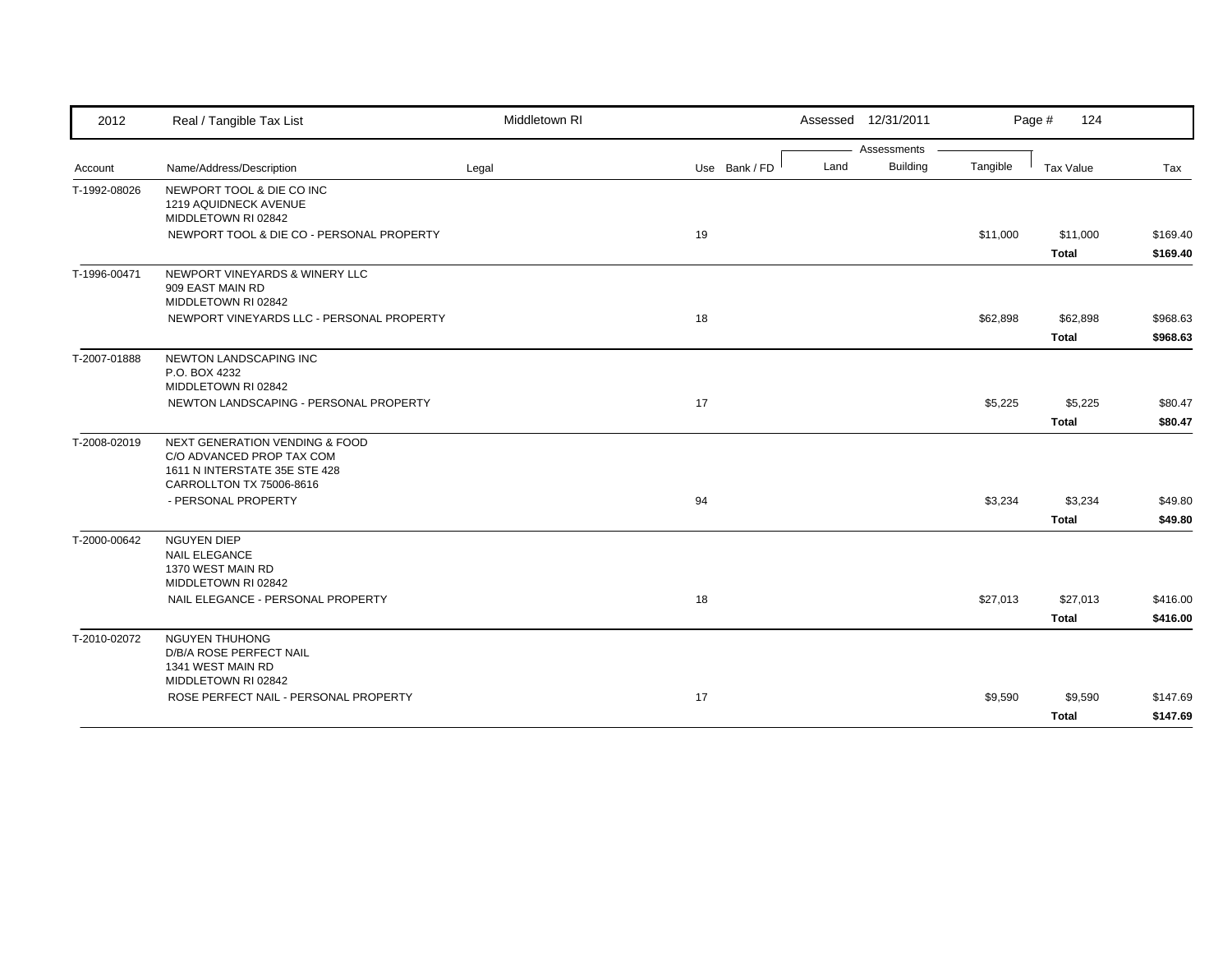| 2012         | Real / Tangible Tax List                                                                                | Middletown RI |               | Assessed 12/31/2011     |          | Page #<br>124    |          |
|--------------|---------------------------------------------------------------------------------------------------------|---------------|---------------|-------------------------|----------|------------------|----------|
|              |                                                                                                         |               |               | Assessments             |          |                  |          |
| Account      | Name/Address/Description                                                                                | Legal         | Use Bank / FD | <b>Building</b><br>Land | Tangible | <b>Tax Value</b> | Tax      |
| T-1992-08026 | NEWPORT TOOL & DIE CO INC<br>1219 AQUIDNECK AVENUE<br>MIDDLETOWN RI 02842                               |               |               |                         |          |                  |          |
|              | NEWPORT TOOL & DIE CO - PERSONAL PROPERTY                                                               |               | 19            |                         | \$11,000 | \$11,000         | \$169.40 |
|              |                                                                                                         |               |               |                         |          | <b>Total</b>     | \$169.40 |
| T-1996-00471 | NEWPORT VINEYARDS & WINERY LLC<br>909 EAST MAIN RD<br>MIDDLETOWN RI 02842                               |               |               |                         |          |                  |          |
|              | NEWPORT VINEYARDS LLC - PERSONAL PROPERTY                                                               |               | 18            |                         | \$62,898 | \$62,898         | \$968.63 |
|              |                                                                                                         |               |               |                         |          | <b>Total</b>     | \$968.63 |
| T-2007-01888 | NEWTON LANDSCAPING INC<br>P.O. BOX 4232<br>MIDDLETOWN RI 02842                                          |               |               |                         |          |                  |          |
|              | NEWTON LANDSCAPING - PERSONAL PROPERTY                                                                  |               | 17            |                         | \$5,225  | \$5,225          | \$80.47  |
|              |                                                                                                         |               |               |                         |          | <b>Total</b>     | \$80.47  |
| T-2008-02019 | <b>NEXT GENERATION VENDING &amp; FOOD</b><br>C/O ADVANCED PROP TAX COM<br>1611 N INTERSTATE 35E STE 428 |               |               |                         |          |                  |          |
|              | CARROLLTON TX 75006-8616<br>- PERSONAL PROPERTY                                                         |               | 94            |                         | \$3,234  | \$3,234          | \$49.80  |
|              |                                                                                                         |               |               |                         |          | <b>Total</b>     | \$49.80  |
| T-2000-00642 | <b>NGUYEN DIEP</b><br><b>NAIL ELEGANCE</b><br>1370 WEST MAIN RD<br>MIDDLETOWN RI 02842                  |               |               |                         |          |                  |          |
|              | NAIL ELEGANCE - PERSONAL PROPERTY                                                                       |               | 18            |                         | \$27,013 | \$27,013         | \$416.00 |
|              |                                                                                                         |               |               |                         |          | <b>Total</b>     | \$416.00 |
| T-2010-02072 | <b>NGUYEN THUHONG</b><br>D/B/A ROSE PERFECT NAIL<br>1341 WEST MAIN RD<br>MIDDLETOWN RI 02842            |               |               |                         |          |                  |          |
|              | ROSE PERFECT NAIL - PERSONAL PROPERTY                                                                   |               | 17            |                         | \$9,590  | \$9,590          | \$147.69 |
|              |                                                                                                         |               |               |                         |          | <b>Total</b>     | \$147.69 |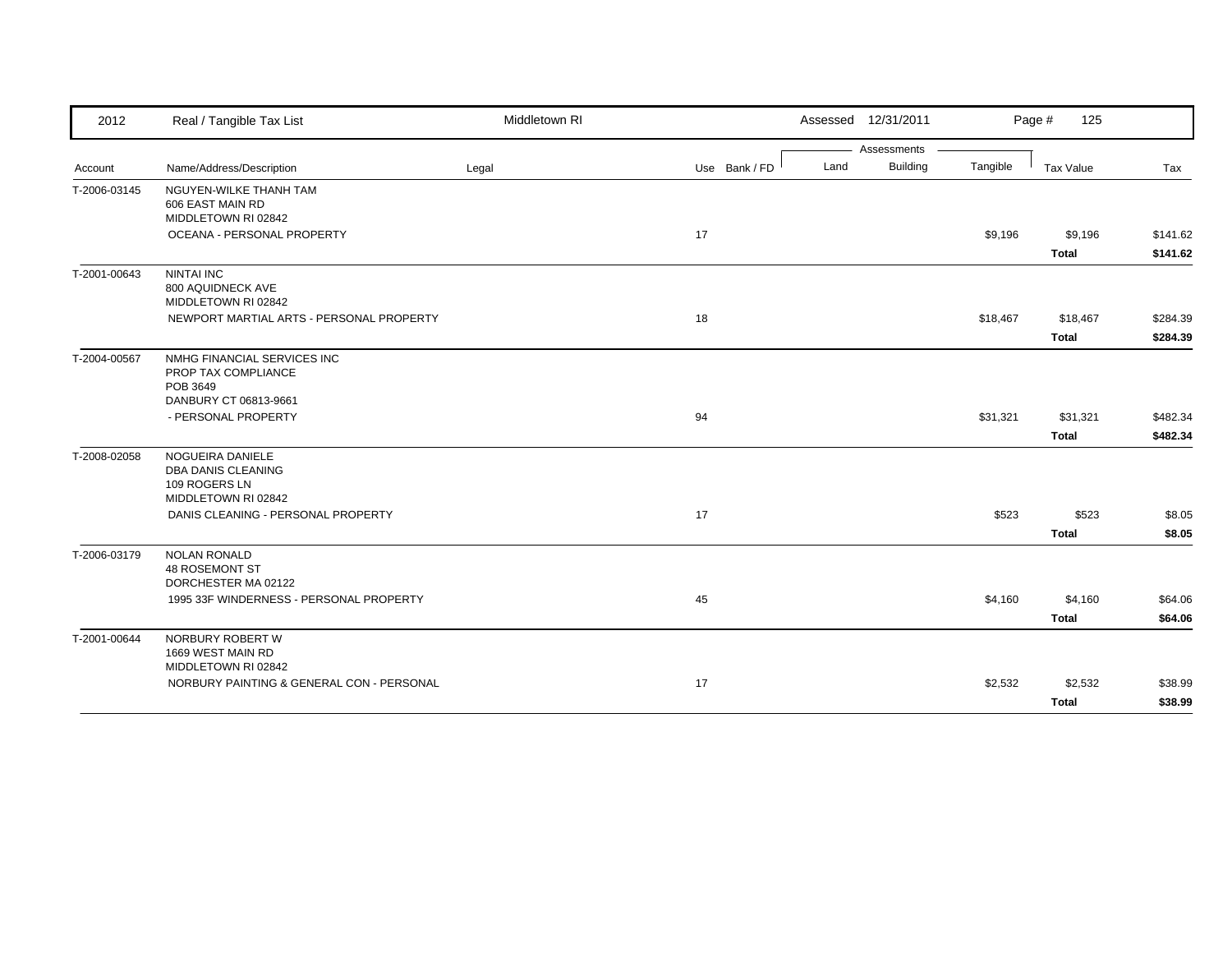| 2012         | Real / Tangible Tax List                                                                | Middletown RI |               |      | Assessed 12/31/2011 |          | Page #<br>125            |                      |
|--------------|-----------------------------------------------------------------------------------------|---------------|---------------|------|---------------------|----------|--------------------------|----------------------|
|              |                                                                                         |               |               |      | Assessments         |          |                          |                      |
| Account      | Name/Address/Description                                                                | Legal         | Use Bank / FD | Land | Building            | Tangible | Tax Value                | Tax                  |
| T-2006-03145 | NGUYEN-WILKE THANH TAM<br>606 EAST MAIN RD<br>MIDDLETOWN RI 02842                       |               |               |      |                     |          |                          |                      |
|              | OCEANA - PERSONAL PROPERTY                                                              |               | 17            |      |                     | \$9,196  | \$9,196<br><b>Total</b>  | \$141.62<br>\$141.62 |
| T-2001-00643 | <b>NINTAI INC</b><br>800 AQUIDNECK AVE<br>MIDDLETOWN RI 02842                           |               |               |      |                     |          |                          |                      |
|              | NEWPORT MARTIAL ARTS - PERSONAL PROPERTY                                                |               | 18            |      |                     | \$18,467 | \$18,467<br><b>Total</b> | \$284.39<br>\$284.39 |
| T-2004-00567 | NMHG FINANCIAL SERVICES INC<br>PROP TAX COMPLIANCE<br>POB 3649<br>DANBURY CT 06813-9661 |               |               |      |                     |          |                          |                      |
|              | - PERSONAL PROPERTY                                                                     |               | 94            |      |                     | \$31,321 | \$31,321<br><b>Total</b> | \$482.34<br>\$482.34 |
| T-2008-02058 | NOGUEIRA DANIELE<br><b>DBA DANIS CLEANING</b><br>109 ROGERS LN<br>MIDDLETOWN RI 02842   |               |               |      |                     |          |                          |                      |
|              | DANIS CLEANING - PERSONAL PROPERTY                                                      |               | 17            |      |                     | \$523    | \$523<br><b>Total</b>    | \$8.05<br>\$8.05     |
| T-2006-03179 | <b>NOLAN RONALD</b><br><b>48 ROSEMONT ST</b><br>DORCHESTER MA 02122                     |               |               |      |                     |          |                          |                      |
|              | 1995 33F WINDERNESS - PERSONAL PROPERTY                                                 |               | 45            |      |                     | \$4,160  | \$4,160<br><b>Total</b>  | \$64.06<br>\$64.06   |
| T-2001-00644 | NORBURY ROBERT W<br>1669 WEST MAIN RD<br>MIDDLETOWN RI 02842                            |               |               |      |                     |          |                          |                      |
|              | NORBURY PAINTING & GENERAL CON - PERSONAL                                               |               | 17            |      |                     | \$2,532  | \$2,532<br><b>Total</b>  | \$38.99<br>\$38.99   |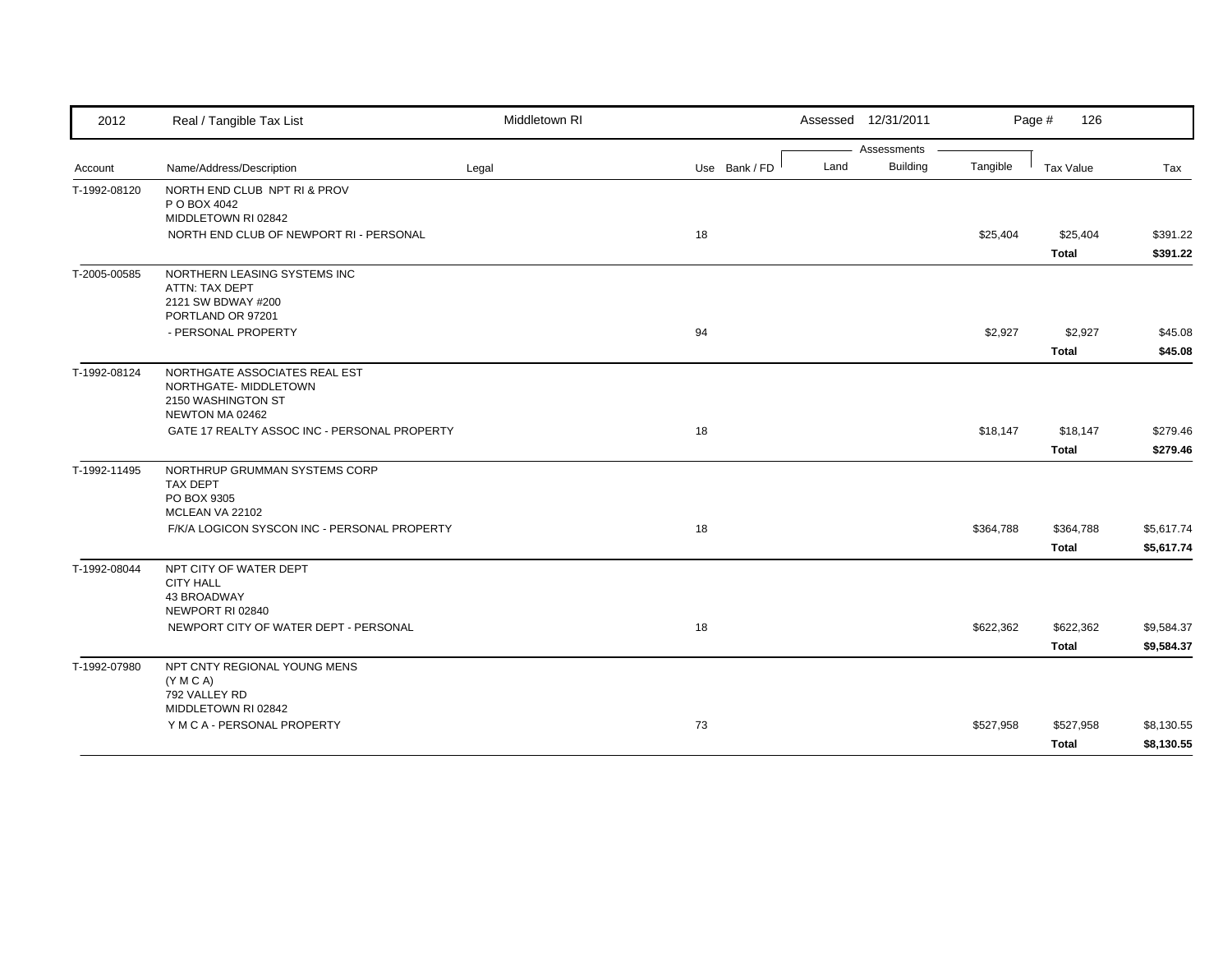| 2012         | Real / Tangible Tax List                                       | Middletown RI |               | Assessed 12/31/2011 |                 |           | Page #<br>126    |            |
|--------------|----------------------------------------------------------------|---------------|---------------|---------------------|-----------------|-----------|------------------|------------|
|              |                                                                |               |               |                     | Assessments     |           |                  |            |
| Account      | Name/Address/Description                                       | Legal         | Use Bank / FD | Land                | <b>Building</b> | Tangible  | <b>Tax Value</b> | Tax        |
| T-1992-08120 | NORTH END CLUB NPT RI & PROV                                   |               |               |                     |                 |           |                  |            |
|              | P O BOX 4042                                                   |               |               |                     |                 |           |                  |            |
|              | MIDDLETOWN RI 02842<br>NORTH END CLUB OF NEWPORT RI - PERSONAL |               | 18            |                     |                 | \$25,404  | \$25,404         | \$391.22   |
|              |                                                                |               |               |                     |                 |           |                  |            |
|              |                                                                |               |               |                     |                 |           | <b>Total</b>     | \$391.22   |
| T-2005-00585 | NORTHERN LEASING SYSTEMS INC<br>ATTN: TAX DEPT                 |               |               |                     |                 |           |                  |            |
|              | 2121 SW BDWAY #200                                             |               |               |                     |                 |           |                  |            |
|              | PORTLAND OR 97201                                              |               |               |                     |                 |           |                  |            |
|              | - PERSONAL PROPERTY                                            |               | 94            |                     |                 | \$2,927   | \$2,927          | \$45.08    |
|              |                                                                |               |               |                     |                 |           | <b>Total</b>     | \$45.08    |
| T-1992-08124 | NORTHGATE ASSOCIATES REAL EST                                  |               |               |                     |                 |           |                  |            |
|              | NORTHGATE- MIDDLETOWN                                          |               |               |                     |                 |           |                  |            |
|              | 2150 WASHINGTON ST                                             |               |               |                     |                 |           |                  |            |
|              | NEWTON MA 02462                                                |               |               |                     |                 |           |                  |            |
|              | GATE 17 REALTY ASSOC INC - PERSONAL PROPERTY                   |               | 18            |                     |                 | \$18,147  | \$18,147         | \$279.46   |
|              |                                                                |               |               |                     |                 |           | <b>Total</b>     | \$279.46   |
| T-1992-11495 | NORTHRUP GRUMMAN SYSTEMS CORP                                  |               |               |                     |                 |           |                  |            |
|              | <b>TAX DEPT</b>                                                |               |               |                     |                 |           |                  |            |
|              | PO BOX 9305<br>MCLEAN VA 22102                                 |               |               |                     |                 |           |                  |            |
|              | F/K/A LOGICON SYSCON INC - PERSONAL PROPERTY                   |               | 18            |                     |                 | \$364,788 | \$364,788        | \$5,617.74 |
|              |                                                                |               |               |                     |                 |           | <b>Total</b>     | \$5,617.74 |
| T-1992-08044 | NPT CITY OF WATER DEPT                                         |               |               |                     |                 |           |                  |            |
|              | <b>CITY HALL</b>                                               |               |               |                     |                 |           |                  |            |
|              | 43 BROADWAY                                                    |               |               |                     |                 |           |                  |            |
|              | NEWPORT RI 02840                                               |               |               |                     |                 |           |                  |            |
|              | NEWPORT CITY OF WATER DEPT - PERSONAL                          |               | 18            |                     |                 | \$622,362 | \$622,362        | \$9,584.37 |
|              |                                                                |               |               |                     |                 |           | <b>Total</b>     | \$9,584.37 |
| T-1992-07980 | NPT CNTY REGIONAL YOUNG MENS                                   |               |               |                     |                 |           |                  |            |
|              | (Y M C A)                                                      |               |               |                     |                 |           |                  |            |
|              | 792 VALLEY RD<br>MIDDLETOWN RI 02842                           |               |               |                     |                 |           |                  |            |
|              | Y M C A - PERSONAL PROPERTY                                    |               | 73            |                     |                 | \$527,958 | \$527,958        | \$8,130.55 |
|              |                                                                |               |               |                     |                 |           |                  |            |
|              |                                                                |               |               |                     |                 |           | <b>Total</b>     | \$8,130.55 |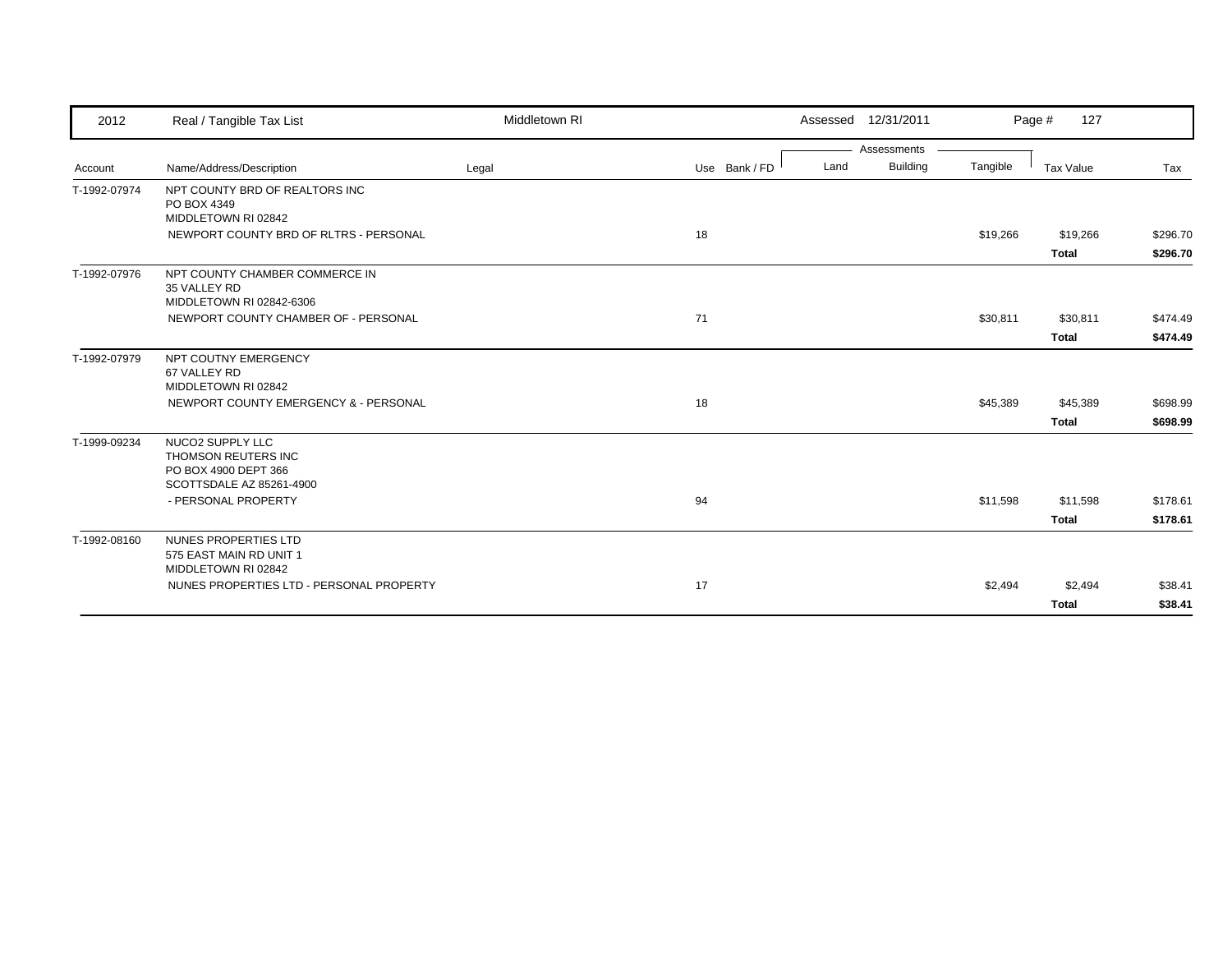| 2012         | Real / Tangible Tax List                                                                    | Middletown RI |               | Assessed 12/31/2011     |          | 127<br>Page # |          |
|--------------|---------------------------------------------------------------------------------------------|---------------|---------------|-------------------------|----------|---------------|----------|
|              |                                                                                             |               |               | Assessments             |          |               |          |
| Account      | Name/Address/Description                                                                    | Legal         | Use Bank / FD | <b>Building</b><br>Land | Tangible | Tax Value     | Tax      |
| T-1992-07974 | NPT COUNTY BRD OF REALTORS INC<br>PO BOX 4349<br>MIDDLETOWN RI 02842                        |               |               |                         |          |               |          |
|              | NEWPORT COUNTY BRD OF RLTRS - PERSONAL                                                      |               | 18            |                         | \$19,266 | \$19,266      | \$296.70 |
|              |                                                                                             |               |               |                         |          | <b>Total</b>  | \$296.70 |
| T-1992-07976 | NPT COUNTY CHAMBER COMMERCE IN<br>35 VALLEY RD<br>MIDDLETOWN RI 02842-6306                  |               |               |                         |          |               |          |
|              | NEWPORT COUNTY CHAMBER OF - PERSONAL                                                        |               | 71            |                         | \$30,811 | \$30,811      | \$474.49 |
|              |                                                                                             |               |               |                         |          | <b>Total</b>  | \$474.49 |
| T-1992-07979 | NPT COUTNY EMERGENCY<br>67 VALLEY RD<br>MIDDLETOWN RI 02842                                 |               |               |                         |          |               |          |
|              | NEWPORT COUNTY EMERGENCY & - PERSONAL                                                       |               | 18            |                         | \$45,389 | \$45,389      | \$698.99 |
|              |                                                                                             |               |               |                         |          | <b>Total</b>  | \$698.99 |
| T-1999-09234 | NUCO2 SUPPLY LLC<br>THOMSON REUTERS INC<br>PO BOX 4900 DEPT 366<br>SCOTTSDALE AZ 85261-4900 |               |               |                         |          |               |          |
|              | - PERSONAL PROPERTY                                                                         |               | 94            |                         | \$11,598 | \$11,598      | \$178.61 |
|              |                                                                                             |               |               |                         |          | <b>Total</b>  | \$178.61 |
| T-1992-08160 | NUNES PROPERTIES LTD<br>575 EAST MAIN RD UNIT 1<br>MIDDLETOWN RI 02842                      |               |               |                         |          |               |          |
|              | NUNES PROPERTIES LTD - PERSONAL PROPERTY                                                    |               | 17            |                         | \$2,494  | \$2,494       | \$38.41  |
|              |                                                                                             |               |               |                         |          | <b>Total</b>  | \$38.41  |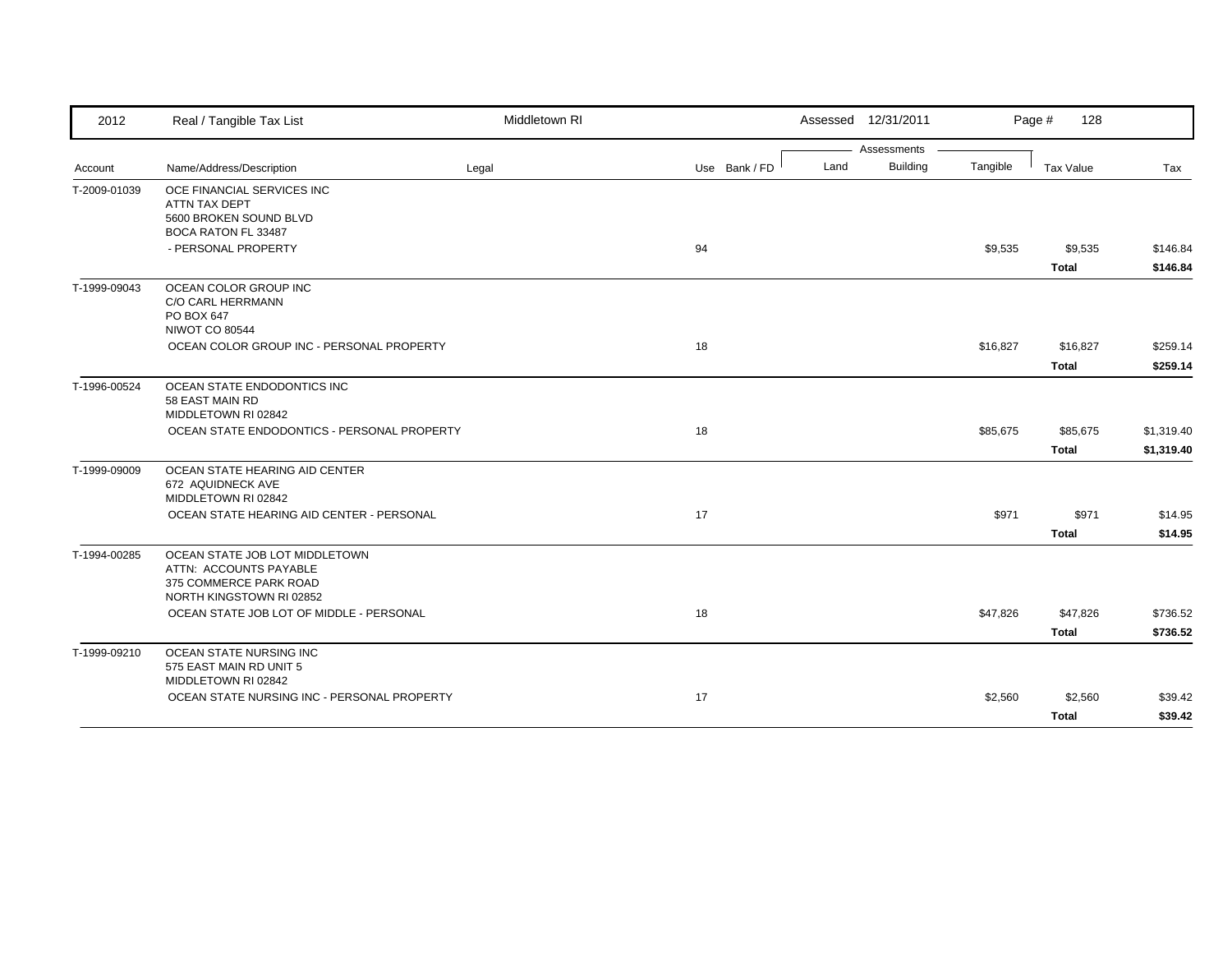| Assessments<br><b>Building</b><br>Land<br>Tangible<br>Name/Address/Description<br>Use Bank / FD<br><b>Tax Value</b><br>Legal<br>Tax<br>OCE FINANCIAL SERVICES INC<br>ATTN TAX DEPT<br>5600 BROKEN SOUND BLVD<br>BOCA RATON FL 33487<br>- PERSONAL PROPERTY<br>94<br>\$9,535<br>\$9,535<br><b>Total</b><br>OCEAN COLOR GROUP INC<br>C/O CARL HERRMANN<br>PO BOX 647<br><b>NIWOT CO 80544</b><br>OCEAN COLOR GROUP INC - PERSONAL PROPERTY<br>18<br>\$16,827<br>\$16,827<br><b>Total</b><br>OCEAN STATE ENDODONTICS INC<br>58 EAST MAIN RD<br>MIDDLETOWN RI 02842<br>OCEAN STATE ENDODONTICS - PERSONAL PROPERTY<br>18<br>\$85,675<br>\$85,675<br><b>Total</b><br>OCEAN STATE HEARING AID CENTER<br>672 AQUIDNECK AVE<br>MIDDLETOWN RI 02842<br>\$971<br>OCEAN STATE HEARING AID CENTER - PERSONAL<br>17<br>\$971<br><b>Total</b><br>OCEAN STATE JOB LOT MIDDLETOWN<br>ATTN: ACCOUNTS PAYABLE<br>375 COMMERCE PARK ROAD<br>NORTH KINGSTOWN RI 02852<br>OCEAN STATE JOB LOT OF MIDDLE - PERSONAL<br>18<br>\$47,826<br>\$47,826<br><b>Total</b><br>OCEAN STATE NURSING INC<br>575 EAST MAIN RD UNIT 5<br>MIDDLETOWN RI 02842<br>17<br>OCEAN STATE NURSING INC - PERSONAL PROPERTY<br>\$2,560<br>\$2,560 | 2012         | Real / Tangible Tax List | Middletown RI |  | Assessed 12/31/2011 | Page #<br>128 |         |
|-----------------------------------------------------------------------------------------------------------------------------------------------------------------------------------------------------------------------------------------------------------------------------------------------------------------------------------------------------------------------------------------------------------------------------------------------------------------------------------------------------------------------------------------------------------------------------------------------------------------------------------------------------------------------------------------------------------------------------------------------------------------------------------------------------------------------------------------------------------------------------------------------------------------------------------------------------------------------------------------------------------------------------------------------------------------------------------------------------------------------------------------------------------------------------------------------------|--------------|--------------------------|---------------|--|---------------------|---------------|---------|
|                                                                                                                                                                                                                                                                                                                                                                                                                                                                                                                                                                                                                                                                                                                                                                                                                                                                                                                                                                                                                                                                                                                                                                                                     |              |                          |               |  |                     |               |         |
|                                                                                                                                                                                                                                                                                                                                                                                                                                                                                                                                                                                                                                                                                                                                                                                                                                                                                                                                                                                                                                                                                                                                                                                                     | Account      |                          |               |  |                     |               |         |
| \$146.84<br>\$146.84                                                                                                                                                                                                                                                                                                                                                                                                                                                                                                                                                                                                                                                                                                                                                                                                                                                                                                                                                                                                                                                                                                                                                                                | T-2009-01039 |                          |               |  |                     |               |         |
|                                                                                                                                                                                                                                                                                                                                                                                                                                                                                                                                                                                                                                                                                                                                                                                                                                                                                                                                                                                                                                                                                                                                                                                                     |              |                          |               |  |                     |               |         |
|                                                                                                                                                                                                                                                                                                                                                                                                                                                                                                                                                                                                                                                                                                                                                                                                                                                                                                                                                                                                                                                                                                                                                                                                     |              |                          |               |  |                     |               |         |
|                                                                                                                                                                                                                                                                                                                                                                                                                                                                                                                                                                                                                                                                                                                                                                                                                                                                                                                                                                                                                                                                                                                                                                                                     |              |                          |               |  |                     |               |         |
| \$259.14<br>\$259.14                                                                                                                                                                                                                                                                                                                                                                                                                                                                                                                                                                                                                                                                                                                                                                                                                                                                                                                                                                                                                                                                                                                                                                                | T-1999-09043 |                          |               |  |                     |               |         |
|                                                                                                                                                                                                                                                                                                                                                                                                                                                                                                                                                                                                                                                                                                                                                                                                                                                                                                                                                                                                                                                                                                                                                                                                     |              |                          |               |  |                     |               |         |
| \$1,319.40<br>\$1,319.40<br>\$14.95<br>\$14.95<br>\$736.52<br>\$736.52<br>\$39.42                                                                                                                                                                                                                                                                                                                                                                                                                                                                                                                                                                                                                                                                                                                                                                                                                                                                                                                                                                                                                                                                                                                   |              |                          |               |  |                     |               |         |
|                                                                                                                                                                                                                                                                                                                                                                                                                                                                                                                                                                                                                                                                                                                                                                                                                                                                                                                                                                                                                                                                                                                                                                                                     | T-1996-00524 |                          |               |  |                     |               |         |
|                                                                                                                                                                                                                                                                                                                                                                                                                                                                                                                                                                                                                                                                                                                                                                                                                                                                                                                                                                                                                                                                                                                                                                                                     |              |                          |               |  |                     |               |         |
|                                                                                                                                                                                                                                                                                                                                                                                                                                                                                                                                                                                                                                                                                                                                                                                                                                                                                                                                                                                                                                                                                                                                                                                                     |              |                          |               |  |                     |               |         |
|                                                                                                                                                                                                                                                                                                                                                                                                                                                                                                                                                                                                                                                                                                                                                                                                                                                                                                                                                                                                                                                                                                                                                                                                     | T-1999-09009 |                          |               |  |                     |               |         |
|                                                                                                                                                                                                                                                                                                                                                                                                                                                                                                                                                                                                                                                                                                                                                                                                                                                                                                                                                                                                                                                                                                                                                                                                     |              |                          |               |  |                     |               |         |
|                                                                                                                                                                                                                                                                                                                                                                                                                                                                                                                                                                                                                                                                                                                                                                                                                                                                                                                                                                                                                                                                                                                                                                                                     |              |                          |               |  |                     |               |         |
|                                                                                                                                                                                                                                                                                                                                                                                                                                                                                                                                                                                                                                                                                                                                                                                                                                                                                                                                                                                                                                                                                                                                                                                                     | T-1994-00285 |                          |               |  |                     |               |         |
|                                                                                                                                                                                                                                                                                                                                                                                                                                                                                                                                                                                                                                                                                                                                                                                                                                                                                                                                                                                                                                                                                                                                                                                                     |              |                          |               |  |                     |               |         |
|                                                                                                                                                                                                                                                                                                                                                                                                                                                                                                                                                                                                                                                                                                                                                                                                                                                                                                                                                                                                                                                                                                                                                                                                     |              |                          |               |  |                     |               |         |
|                                                                                                                                                                                                                                                                                                                                                                                                                                                                                                                                                                                                                                                                                                                                                                                                                                                                                                                                                                                                                                                                                                                                                                                                     | T-1999-09210 |                          |               |  |                     |               |         |
|                                                                                                                                                                                                                                                                                                                                                                                                                                                                                                                                                                                                                                                                                                                                                                                                                                                                                                                                                                                                                                                                                                                                                                                                     |              |                          |               |  |                     |               |         |
|                                                                                                                                                                                                                                                                                                                                                                                                                                                                                                                                                                                                                                                                                                                                                                                                                                                                                                                                                                                                                                                                                                                                                                                                     |              |                          |               |  |                     | <b>Total</b>  | \$39.42 |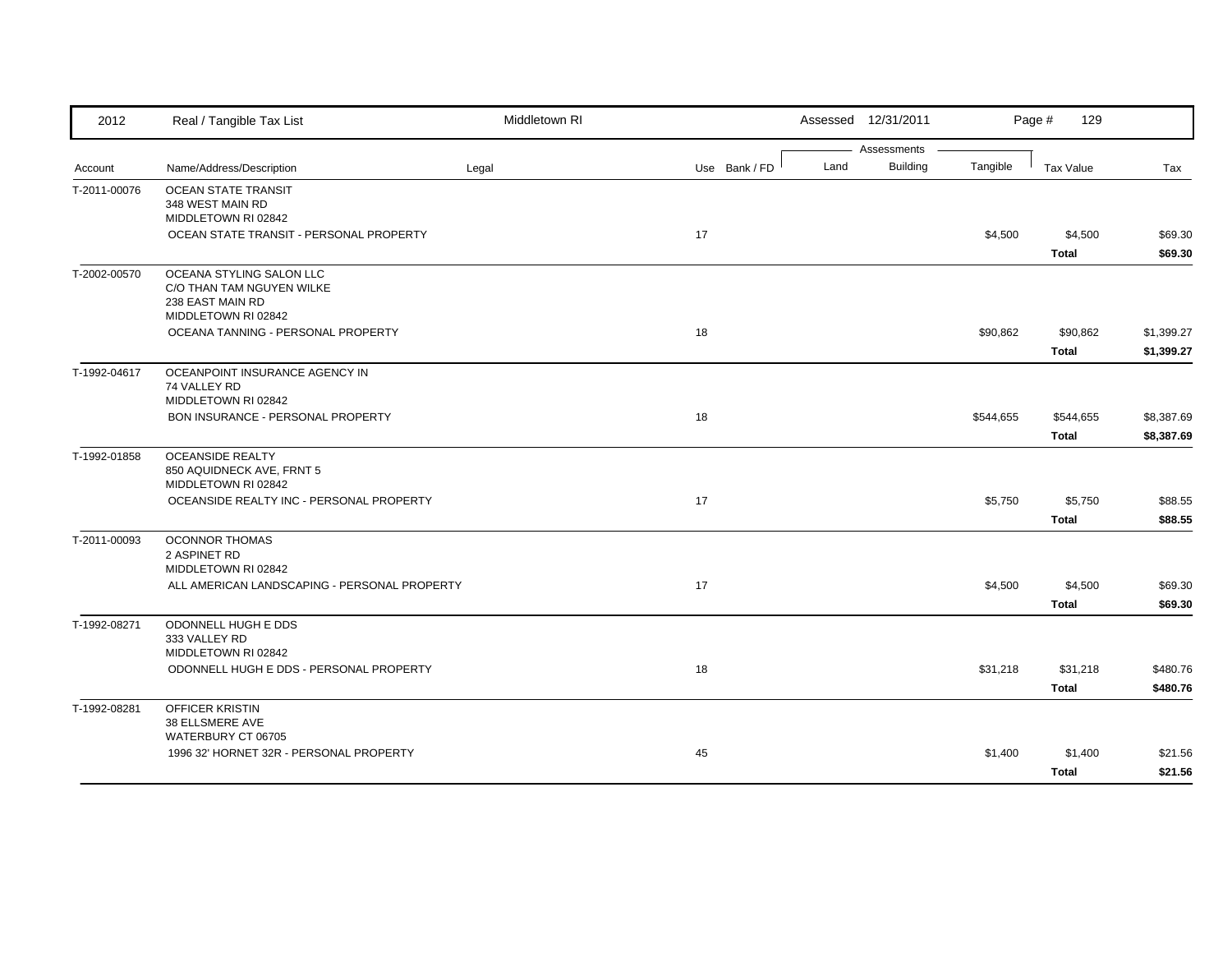| Assessments<br>Building<br>Land<br>Tangible<br>Name/Address/Description<br>Use Bank / FD<br><b>Tax Value</b><br>Legal<br>Tax<br>Account<br>T-2011-00076<br><b>OCEAN STATE TRANSIT</b><br>348 WEST MAIN RD<br>MIDDLETOWN RI 02842<br>OCEAN STATE TRANSIT - PERSONAL PROPERTY<br>17<br>\$4,500<br>\$4,500<br>\$69.30<br>\$69.30<br><b>Total</b><br>OCEANA STYLING SALON LLC<br>T-2002-00570<br>C/O THAN TAM NGUYEN WILKE<br>238 EAST MAIN RD<br>MIDDLETOWN RI 02842<br>OCEANA TANNING - PERSONAL PROPERTY<br>18<br>\$90,862<br>\$90,862<br>\$1,399.27<br><b>Total</b><br>\$1,399.27<br>OCEANPOINT INSURANCE AGENCY IN<br>74 VALLEY RD<br>MIDDLETOWN RI 02842<br>BON INSURANCE - PERSONAL PROPERTY<br>18<br>\$544,655<br>\$544,655<br>\$8,387.69<br>\$8,387.69<br><b>Total</b><br><b>OCEANSIDE REALTY</b><br>850 AQUIDNECK AVE, FRNT 5<br>MIDDLETOWN RI 02842<br>OCEANSIDE REALTY INC - PERSONAL PROPERTY<br>17<br>\$5,750<br>\$5,750<br>\$88.55<br><b>Total</b><br>\$88.55<br><b>OCONNOR THOMAS</b><br>T-2011-00093<br>2 ASPINET RD<br>MIDDLETOWN RI 02842<br>17<br>ALL AMERICAN LANDSCAPING - PERSONAL PROPERTY<br>\$4,500<br>\$4,500<br>\$69.30<br><b>Total</b><br>\$69.30<br>T-1992-08271<br>ODONNELL HUGH E DDS<br>333 VALLEY RD<br>MIDDLETOWN RI 02842<br>ODONNELL HUGH E DDS - PERSONAL PROPERTY<br>18<br>\$31,218<br>\$31,218<br>\$480.76<br>\$480.76<br><b>Total</b><br>OFFICER KRISTIN<br>T-1992-08281<br>38 ELLSMERE AVE<br>WATERBURY CT 06705<br>1996 32' HORNET 32R - PERSONAL PROPERTY<br>\$1,400<br>45<br>\$1,400<br>\$21.56<br>\$21.56<br><b>Total</b> | 2012         | Real / Tangible Tax List | Middletown RI | Assessed 12/31/2011 |  | Page #<br>129 |  |
|---------------------------------------------------------------------------------------------------------------------------------------------------------------------------------------------------------------------------------------------------------------------------------------------------------------------------------------------------------------------------------------------------------------------------------------------------------------------------------------------------------------------------------------------------------------------------------------------------------------------------------------------------------------------------------------------------------------------------------------------------------------------------------------------------------------------------------------------------------------------------------------------------------------------------------------------------------------------------------------------------------------------------------------------------------------------------------------------------------------------------------------------------------------------------------------------------------------------------------------------------------------------------------------------------------------------------------------------------------------------------------------------------------------------------------------------------------------------------------------------------------------------------------------------------------------------|--------------|--------------------------|---------------|---------------------|--|---------------|--|
|                                                                                                                                                                                                                                                                                                                                                                                                                                                                                                                                                                                                                                                                                                                                                                                                                                                                                                                                                                                                                                                                                                                                                                                                                                                                                                                                                                                                                                                                                                                                                                     |              |                          |               |                     |  |               |  |
|                                                                                                                                                                                                                                                                                                                                                                                                                                                                                                                                                                                                                                                                                                                                                                                                                                                                                                                                                                                                                                                                                                                                                                                                                                                                                                                                                                                                                                                                                                                                                                     |              |                          |               |                     |  |               |  |
|                                                                                                                                                                                                                                                                                                                                                                                                                                                                                                                                                                                                                                                                                                                                                                                                                                                                                                                                                                                                                                                                                                                                                                                                                                                                                                                                                                                                                                                                                                                                                                     |              |                          |               |                     |  |               |  |
|                                                                                                                                                                                                                                                                                                                                                                                                                                                                                                                                                                                                                                                                                                                                                                                                                                                                                                                                                                                                                                                                                                                                                                                                                                                                                                                                                                                                                                                                                                                                                                     |              |                          |               |                     |  |               |  |
|                                                                                                                                                                                                                                                                                                                                                                                                                                                                                                                                                                                                                                                                                                                                                                                                                                                                                                                                                                                                                                                                                                                                                                                                                                                                                                                                                                                                                                                                                                                                                                     |              |                          |               |                     |  |               |  |
|                                                                                                                                                                                                                                                                                                                                                                                                                                                                                                                                                                                                                                                                                                                                                                                                                                                                                                                                                                                                                                                                                                                                                                                                                                                                                                                                                                                                                                                                                                                                                                     |              |                          |               |                     |  |               |  |
|                                                                                                                                                                                                                                                                                                                                                                                                                                                                                                                                                                                                                                                                                                                                                                                                                                                                                                                                                                                                                                                                                                                                                                                                                                                                                                                                                                                                                                                                                                                                                                     |              |                          |               |                     |  |               |  |
|                                                                                                                                                                                                                                                                                                                                                                                                                                                                                                                                                                                                                                                                                                                                                                                                                                                                                                                                                                                                                                                                                                                                                                                                                                                                                                                                                                                                                                                                                                                                                                     |              |                          |               |                     |  |               |  |
|                                                                                                                                                                                                                                                                                                                                                                                                                                                                                                                                                                                                                                                                                                                                                                                                                                                                                                                                                                                                                                                                                                                                                                                                                                                                                                                                                                                                                                                                                                                                                                     |              |                          |               |                     |  |               |  |
|                                                                                                                                                                                                                                                                                                                                                                                                                                                                                                                                                                                                                                                                                                                                                                                                                                                                                                                                                                                                                                                                                                                                                                                                                                                                                                                                                                                                                                                                                                                                                                     |              |                          |               |                     |  |               |  |
|                                                                                                                                                                                                                                                                                                                                                                                                                                                                                                                                                                                                                                                                                                                                                                                                                                                                                                                                                                                                                                                                                                                                                                                                                                                                                                                                                                                                                                                                                                                                                                     |              |                          |               |                     |  |               |  |
|                                                                                                                                                                                                                                                                                                                                                                                                                                                                                                                                                                                                                                                                                                                                                                                                                                                                                                                                                                                                                                                                                                                                                                                                                                                                                                                                                                                                                                                                                                                                                                     |              |                          |               |                     |  |               |  |
|                                                                                                                                                                                                                                                                                                                                                                                                                                                                                                                                                                                                                                                                                                                                                                                                                                                                                                                                                                                                                                                                                                                                                                                                                                                                                                                                                                                                                                                                                                                                                                     | T-1992-04617 |                          |               |                     |  |               |  |
|                                                                                                                                                                                                                                                                                                                                                                                                                                                                                                                                                                                                                                                                                                                                                                                                                                                                                                                                                                                                                                                                                                                                                                                                                                                                                                                                                                                                                                                                                                                                                                     |              |                          |               |                     |  |               |  |
|                                                                                                                                                                                                                                                                                                                                                                                                                                                                                                                                                                                                                                                                                                                                                                                                                                                                                                                                                                                                                                                                                                                                                                                                                                                                                                                                                                                                                                                                                                                                                                     |              |                          |               |                     |  |               |  |
|                                                                                                                                                                                                                                                                                                                                                                                                                                                                                                                                                                                                                                                                                                                                                                                                                                                                                                                                                                                                                                                                                                                                                                                                                                                                                                                                                                                                                                                                                                                                                                     |              |                          |               |                     |  |               |  |
|                                                                                                                                                                                                                                                                                                                                                                                                                                                                                                                                                                                                                                                                                                                                                                                                                                                                                                                                                                                                                                                                                                                                                                                                                                                                                                                                                                                                                                                                                                                                                                     |              |                          |               |                     |  |               |  |
|                                                                                                                                                                                                                                                                                                                                                                                                                                                                                                                                                                                                                                                                                                                                                                                                                                                                                                                                                                                                                                                                                                                                                                                                                                                                                                                                                                                                                                                                                                                                                                     | T-1992-01858 |                          |               |                     |  |               |  |
|                                                                                                                                                                                                                                                                                                                                                                                                                                                                                                                                                                                                                                                                                                                                                                                                                                                                                                                                                                                                                                                                                                                                                                                                                                                                                                                                                                                                                                                                                                                                                                     |              |                          |               |                     |  |               |  |
|                                                                                                                                                                                                                                                                                                                                                                                                                                                                                                                                                                                                                                                                                                                                                                                                                                                                                                                                                                                                                                                                                                                                                                                                                                                                                                                                                                                                                                                                                                                                                                     |              |                          |               |                     |  |               |  |
|                                                                                                                                                                                                                                                                                                                                                                                                                                                                                                                                                                                                                                                                                                                                                                                                                                                                                                                                                                                                                                                                                                                                                                                                                                                                                                                                                                                                                                                                                                                                                                     |              |                          |               |                     |  |               |  |
|                                                                                                                                                                                                                                                                                                                                                                                                                                                                                                                                                                                                                                                                                                                                                                                                                                                                                                                                                                                                                                                                                                                                                                                                                                                                                                                                                                                                                                                                                                                                                                     |              |                          |               |                     |  |               |  |
|                                                                                                                                                                                                                                                                                                                                                                                                                                                                                                                                                                                                                                                                                                                                                                                                                                                                                                                                                                                                                                                                                                                                                                                                                                                                                                                                                                                                                                                                                                                                                                     |              |                          |               |                     |  |               |  |
|                                                                                                                                                                                                                                                                                                                                                                                                                                                                                                                                                                                                                                                                                                                                                                                                                                                                                                                                                                                                                                                                                                                                                                                                                                                                                                                                                                                                                                                                                                                                                                     |              |                          |               |                     |  |               |  |
|                                                                                                                                                                                                                                                                                                                                                                                                                                                                                                                                                                                                                                                                                                                                                                                                                                                                                                                                                                                                                                                                                                                                                                                                                                                                                                                                                                                                                                                                                                                                                                     |              |                          |               |                     |  |               |  |
|                                                                                                                                                                                                                                                                                                                                                                                                                                                                                                                                                                                                                                                                                                                                                                                                                                                                                                                                                                                                                                                                                                                                                                                                                                                                                                                                                                                                                                                                                                                                                                     |              |                          |               |                     |  |               |  |
|                                                                                                                                                                                                                                                                                                                                                                                                                                                                                                                                                                                                                                                                                                                                                                                                                                                                                                                                                                                                                                                                                                                                                                                                                                                                                                                                                                                                                                                                                                                                                                     |              |                          |               |                     |  |               |  |
|                                                                                                                                                                                                                                                                                                                                                                                                                                                                                                                                                                                                                                                                                                                                                                                                                                                                                                                                                                                                                                                                                                                                                                                                                                                                                                                                                                                                                                                                                                                                                                     |              |                          |               |                     |  |               |  |
|                                                                                                                                                                                                                                                                                                                                                                                                                                                                                                                                                                                                                                                                                                                                                                                                                                                                                                                                                                                                                                                                                                                                                                                                                                                                                                                                                                                                                                                                                                                                                                     |              |                          |               |                     |  |               |  |
|                                                                                                                                                                                                                                                                                                                                                                                                                                                                                                                                                                                                                                                                                                                                                                                                                                                                                                                                                                                                                                                                                                                                                                                                                                                                                                                                                                                                                                                                                                                                                                     |              |                          |               |                     |  |               |  |
|                                                                                                                                                                                                                                                                                                                                                                                                                                                                                                                                                                                                                                                                                                                                                                                                                                                                                                                                                                                                                                                                                                                                                                                                                                                                                                                                                                                                                                                                                                                                                                     |              |                          |               |                     |  |               |  |
|                                                                                                                                                                                                                                                                                                                                                                                                                                                                                                                                                                                                                                                                                                                                                                                                                                                                                                                                                                                                                                                                                                                                                                                                                                                                                                                                                                                                                                                                                                                                                                     |              |                          |               |                     |  |               |  |
|                                                                                                                                                                                                                                                                                                                                                                                                                                                                                                                                                                                                                                                                                                                                                                                                                                                                                                                                                                                                                                                                                                                                                                                                                                                                                                                                                                                                                                                                                                                                                                     |              |                          |               |                     |  |               |  |
|                                                                                                                                                                                                                                                                                                                                                                                                                                                                                                                                                                                                                                                                                                                                                                                                                                                                                                                                                                                                                                                                                                                                                                                                                                                                                                                                                                                                                                                                                                                                                                     |              |                          |               |                     |  |               |  |
|                                                                                                                                                                                                                                                                                                                                                                                                                                                                                                                                                                                                                                                                                                                                                                                                                                                                                                                                                                                                                                                                                                                                                                                                                                                                                                                                                                                                                                                                                                                                                                     |              |                          |               |                     |  |               |  |
|                                                                                                                                                                                                                                                                                                                                                                                                                                                                                                                                                                                                                                                                                                                                                                                                                                                                                                                                                                                                                                                                                                                                                                                                                                                                                                                                                                                                                                                                                                                                                                     |              |                          |               |                     |  |               |  |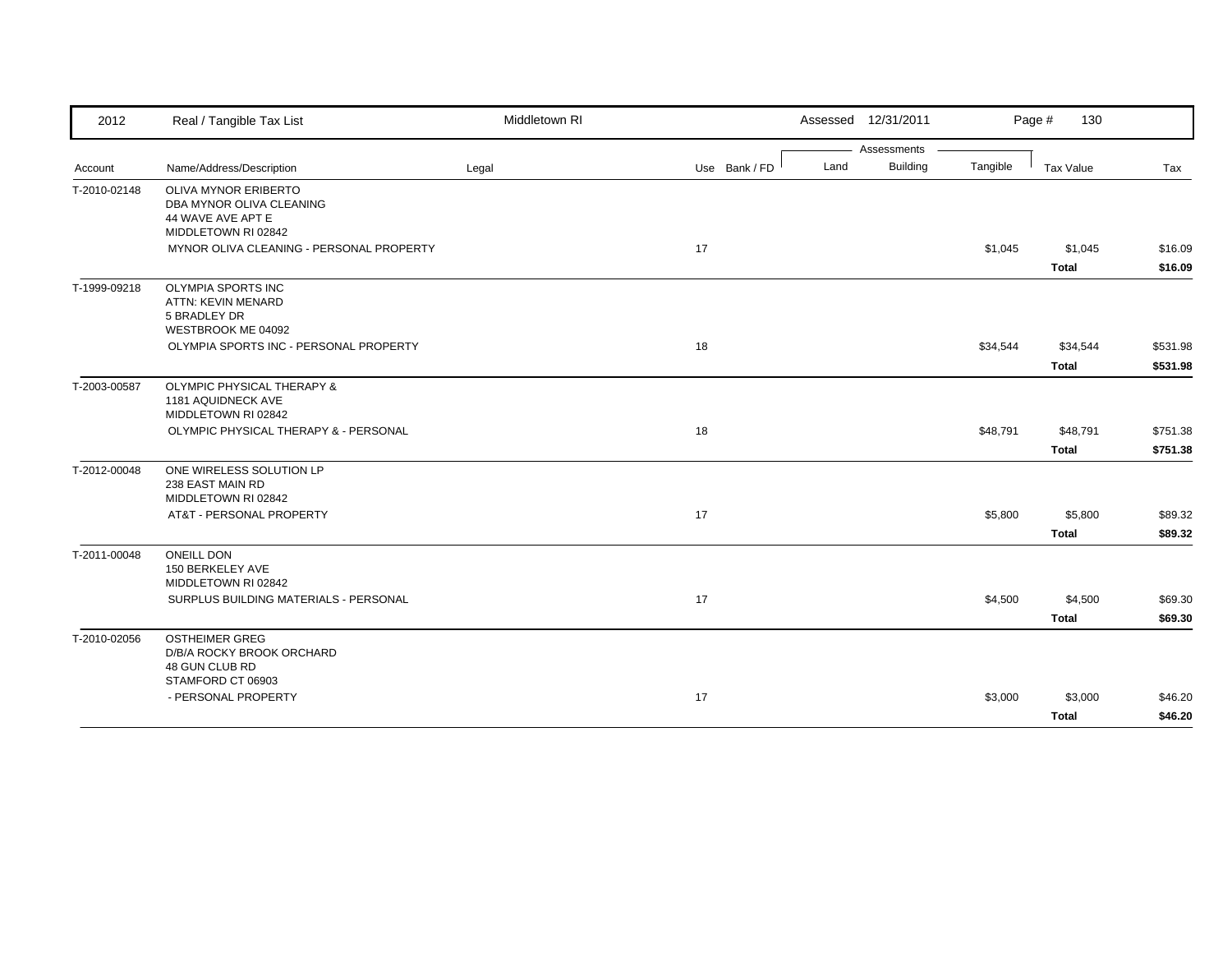| 2012         | Real / Tangible Tax List                      | Middletown RI |               |      | Assessed 12/31/2011 |          | Page #<br>130 |          |
|--------------|-----------------------------------------------|---------------|---------------|------|---------------------|----------|---------------|----------|
|              |                                               |               |               |      | Assessments         |          |               |          |
| Account      | Name/Address/Description                      | Legal         | Use Bank / FD | Land | Building            | Tangible | Tax Value     | Tax      |
| T-2010-02148 | <b>OLIVA MYNOR ERIBERTO</b>                   |               |               |      |                     |          |               |          |
|              | DBA MYNOR OLIVA CLEANING<br>44 WAVE AVE APT E |               |               |      |                     |          |               |          |
|              | MIDDLETOWN RI 02842                           |               |               |      |                     |          |               |          |
|              | MYNOR OLIVA CLEANING - PERSONAL PROPERTY      |               | 17            |      |                     | \$1,045  | \$1,045       | \$16.09  |
|              |                                               |               |               |      |                     |          | Total         | \$16.09  |
| T-1999-09218 | <b>OLYMPIA SPORTS INC</b>                     |               |               |      |                     |          |               |          |
|              | ATTN: KEVIN MENARD                            |               |               |      |                     |          |               |          |
|              | 5 BRADLEY DR                                  |               |               |      |                     |          |               |          |
|              | WESTBROOK ME 04092                            |               |               |      |                     |          |               |          |
|              | OLYMPIA SPORTS INC - PERSONAL PROPERTY        |               | 18            |      |                     | \$34,544 | \$34,544      | \$531.98 |
|              |                                               |               |               |      |                     |          | <b>Total</b>  | \$531.98 |
| T-2003-00587 | <b>OLYMPIC PHYSICAL THERAPY &amp;</b>         |               |               |      |                     |          |               |          |
|              | 1181 AQUIDNECK AVE                            |               |               |      |                     |          |               |          |
|              | MIDDLETOWN RI 02842                           |               |               |      |                     |          |               |          |
|              | OLYMPIC PHYSICAL THERAPY & - PERSONAL         |               | 18            |      |                     | \$48,791 | \$48,791      | \$751.38 |
|              |                                               |               |               |      |                     |          | <b>Total</b>  | \$751.38 |
| T-2012-00048 | ONE WIRELESS SOLUTION LP                      |               |               |      |                     |          |               |          |
|              | 238 EAST MAIN RD                              |               |               |      |                     |          |               |          |
|              | MIDDLETOWN RI 02842                           |               |               |      |                     |          |               |          |
|              | AT&T - PERSONAL PROPERTY                      |               | 17            |      |                     | \$5,800  | \$5,800       | \$89.32  |
|              |                                               |               |               |      |                     |          | <b>Total</b>  | \$89.32  |
| T-2011-00048 | <b>ONEILL DON</b>                             |               |               |      |                     |          |               |          |
|              | 150 BERKELEY AVE                              |               |               |      |                     |          |               |          |
|              | MIDDLETOWN RI 02842                           |               |               |      |                     |          |               |          |
|              | SURPLUS BUILDING MATERIALS - PERSONAL         |               | 17            |      |                     | \$4,500  | \$4,500       | \$69.30  |
|              |                                               |               |               |      |                     |          | Total         | \$69.30  |
| T-2010-02056 | <b>OSTHEIMER GREG</b>                         |               |               |      |                     |          |               |          |
|              | D/B/A ROCKY BROOK ORCHARD<br>48 GUN CLUB RD   |               |               |      |                     |          |               |          |
|              | STAMFORD CT 06903                             |               |               |      |                     |          |               |          |
|              | - PERSONAL PROPERTY                           |               | 17            |      |                     | \$3,000  | \$3,000       | \$46.20  |
|              |                                               |               |               |      |                     |          | <b>Total</b>  | \$46.20  |
|              |                                               |               |               |      |                     |          |               |          |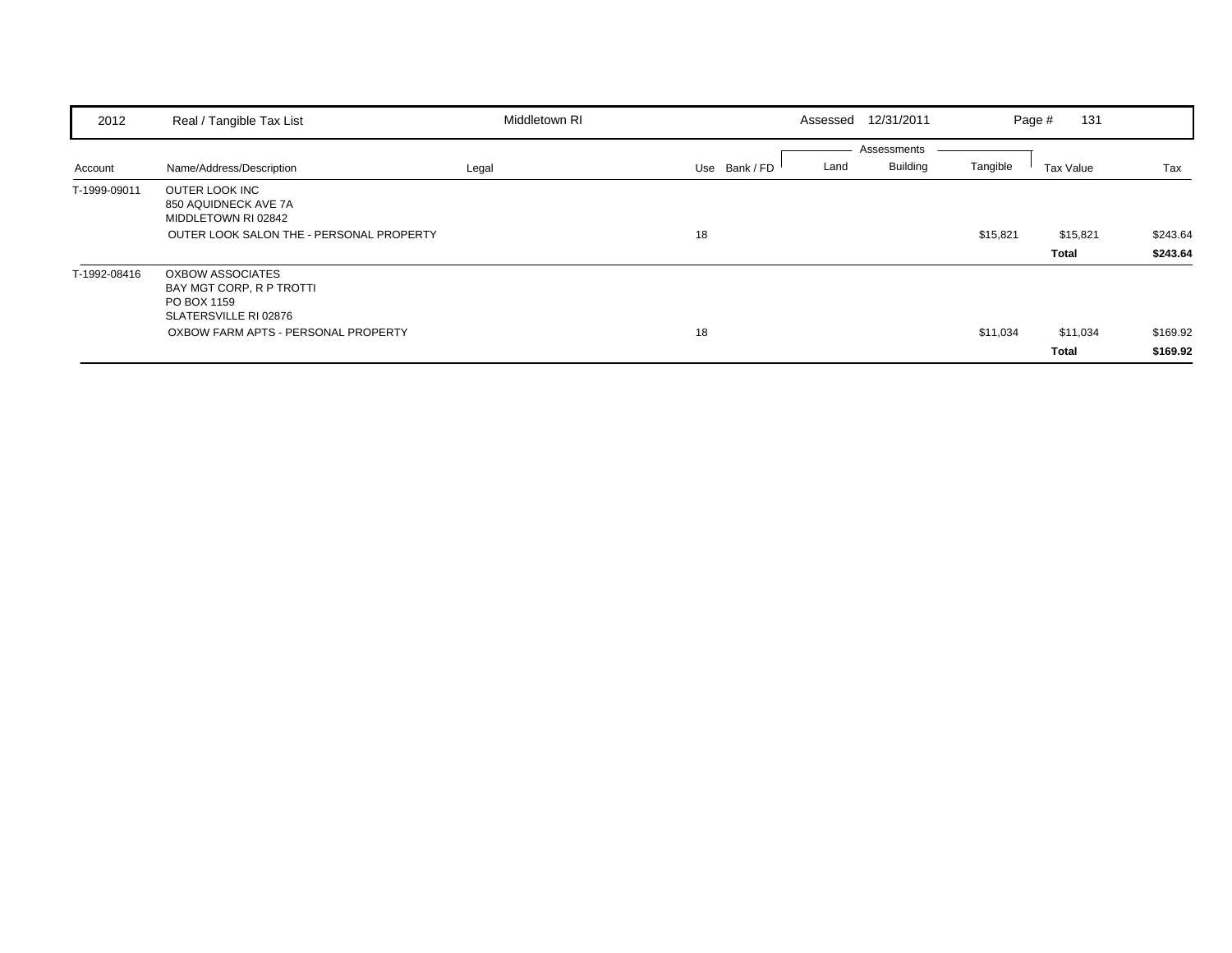| 2012         | Real / Tangible Tax List                                                                                  | Middletown RI |                       | Assessed 12/31/2011            | Page #   | 131       |          |
|--------------|-----------------------------------------------------------------------------------------------------------|---------------|-----------------------|--------------------------------|----------|-----------|----------|
| Account      | Name/Address/Description                                                                                  | Legal         | Land<br>Use Bank / FD | Assessments<br><b>Building</b> | Tangible | Tax Value | Tax      |
| T-1999-09011 | OUTER LOOK INC<br>850 AQUIDNECK AVE 7A<br>MIDDLETOWN RI 02842<br>OUTER LOOK SALON THE - PERSONAL PROPERTY |               | 18                    |                                | \$15,821 | \$15,821  | \$243.64 |
|              |                                                                                                           |               |                       |                                |          | Total     | \$243.64 |
| T-1992-08416 | <b>OXBOW ASSOCIATES</b><br>BAY MGT CORP, R P TROTTI<br>PO BOX 1159<br>SLATERSVILLE RI 02876               |               |                       |                                |          |           |          |
|              | OXBOW FARM APTS - PERSONAL PROPERTY                                                                       |               | 18                    |                                | \$11,034 | \$11,034  | \$169.92 |
|              |                                                                                                           |               |                       |                                |          | Total     | \$169.92 |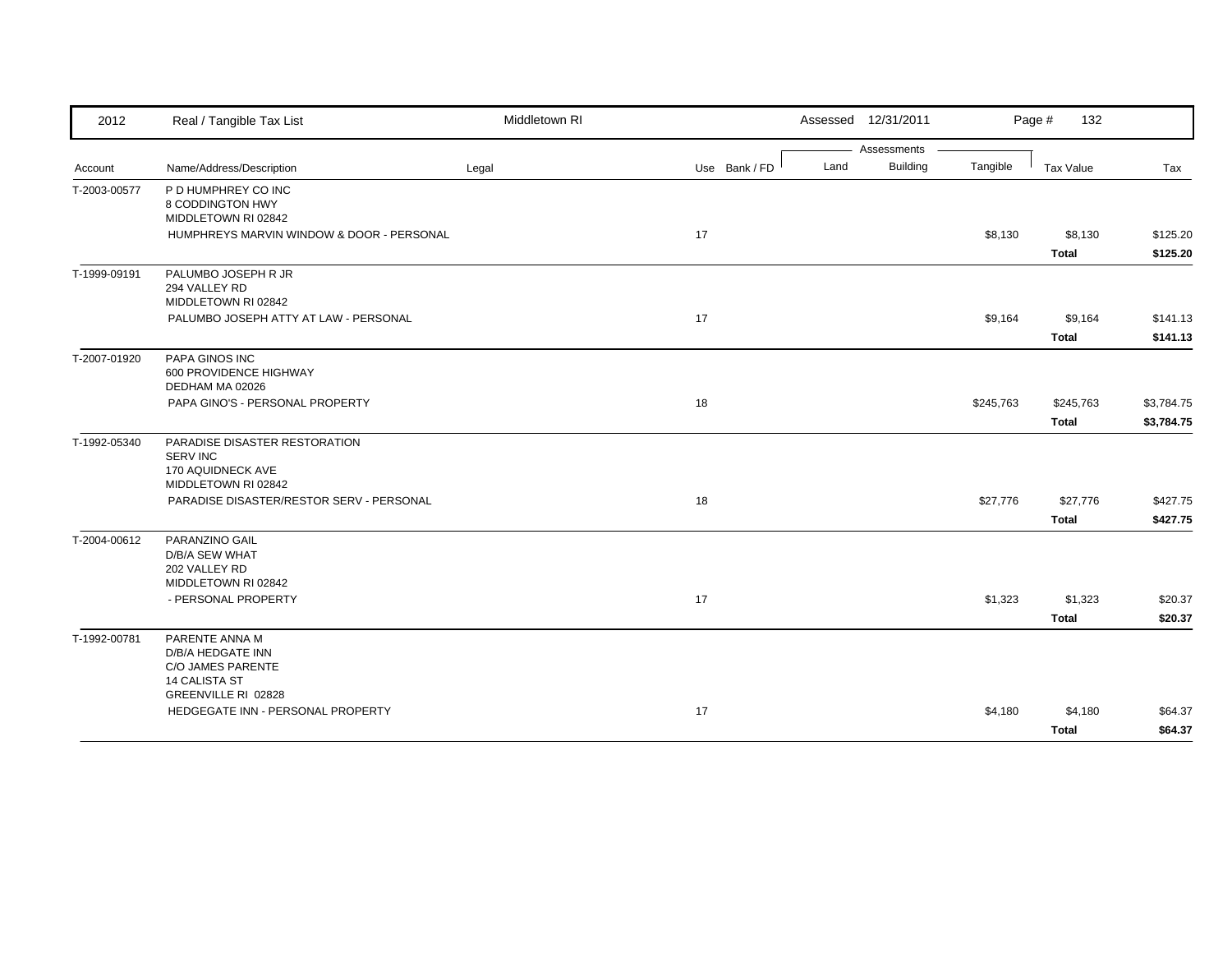| 2012         | Real / Tangible Tax List                                                                                                                            | Middletown RI |               | Assessed 12/31/2011             |           | Page #<br>132             |                          |
|--------------|-----------------------------------------------------------------------------------------------------------------------------------------------------|---------------|---------------|---------------------------------|-----------|---------------------------|--------------------------|
| Account      | Name/Address/Description                                                                                                                            | Legal         | Use Bank / FD | Assessments<br>Building<br>Land | Tangible  | Tax Value                 | Tax                      |
| T-2003-00577 | P D HUMPHREY CO INC<br>8 CODDINGTON HWY<br>MIDDLETOWN RI 02842<br>HUMPHREYS MARVIN WINDOW & DOOR - PERSONAL                                         |               | 17            |                                 | \$8,130   | \$8,130<br>Total          | \$125.20<br>\$125.20     |
| T-1999-09191 | PALUMBO JOSEPH R JR<br>294 VALLEY RD<br>MIDDLETOWN RI 02842<br>PALUMBO JOSEPH ATTY AT LAW - PERSONAL                                                |               | 17            |                                 | \$9,164   | \$9,164<br>Total          | \$141.13<br>\$141.13     |
| T-2007-01920 | PAPA GINOS INC<br>600 PROVIDENCE HIGHWAY<br>DEDHAM MA 02026<br>PAPA GINO'S - PERSONAL PROPERTY                                                      |               | 18            |                                 | \$245,763 | \$245,763<br><b>Total</b> | \$3,784.75<br>\$3,784.75 |
| T-1992-05340 | PARADISE DISASTER RESTORATION<br><b>SERV INC</b><br>170 AQUIDNECK AVE<br>MIDDLETOWN RI 02842<br>PARADISE DISASTER/RESTOR SERV - PERSONAL            |               | 18            |                                 | \$27,776  | \$27,776<br><b>Total</b>  | \$427.75<br>\$427.75     |
| T-2004-00612 | PARANZINO GAIL<br>D/B/A SEW WHAT<br>202 VALLEY RD<br>MIDDLETOWN RI 02842<br>- PERSONAL PROPERTY                                                     |               | 17            |                                 | \$1,323   | \$1,323<br><b>Total</b>   | \$20.37<br>\$20.37       |
| T-1992-00781 | PARENTE ANNA M<br>D/B/A HEDGATE INN<br><b>C/O JAMES PARENTE</b><br><b>14 CALISTA ST</b><br>GREENVILLE RI 02828<br>HEDGEGATE INN - PERSONAL PROPERTY |               | 17            |                                 |           |                           |                          |
|              |                                                                                                                                                     |               |               |                                 | \$4,180   | \$4,180<br><b>Total</b>   | \$64.37<br>\$64.37       |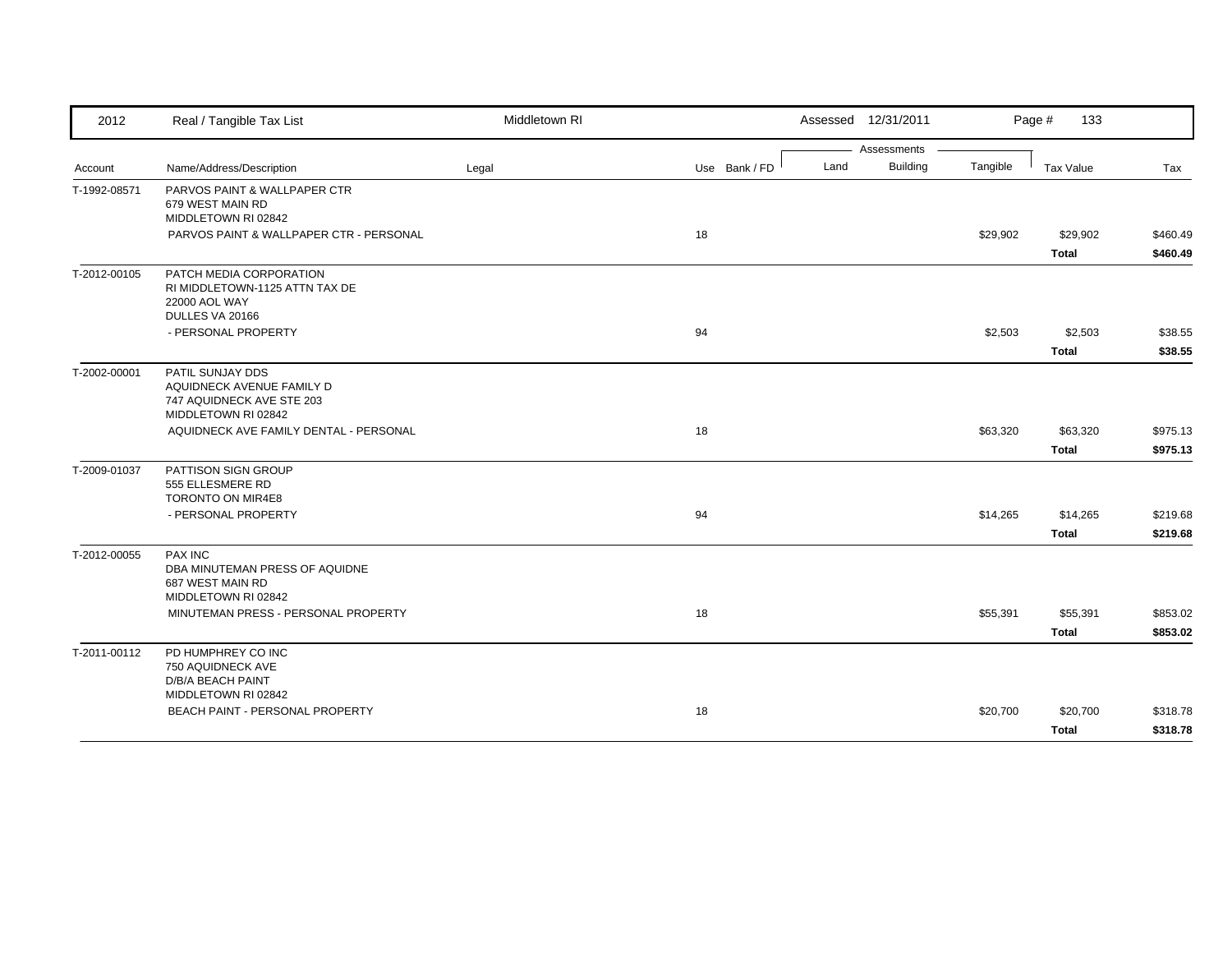| Assessments<br><b>Building</b><br>Land<br>Tangible<br>Name/Address/Description<br>Use Bank / FD<br>Tax Value<br>Tax<br>Legal<br>Account<br>PARVOS PAINT & WALLPAPER CTR<br>T-1992-08571<br>679 WEST MAIN RD<br>MIDDLETOWN RI 02842<br>PARVOS PAINT & WALLPAPER CTR - PERSONAL<br>18<br>\$29,902<br>\$29,902<br><b>Total</b><br>T-2012-00105<br>PATCH MEDIA CORPORATION<br>RI MIDDLETOWN-1125 ATTN TAX DE<br>22000 AOL WAY<br>DULLES VA 20166<br>- PERSONAL PROPERTY<br>94<br>\$2,503<br>\$2,503<br>\$38.55<br><b>Total</b><br>\$38.55<br>PATIL SUNJAY DDS<br>T-2002-00001<br>AQUIDNECK AVENUE FAMILY D<br>747 AQUIDNECK AVE STE 203<br>MIDDLETOWN RI 02842<br>AQUIDNECK AVE FAMILY DENTAL - PERSONAL<br>18<br>\$63,320<br>\$63,320<br>\$975.13<br><b>Total</b><br>\$975.13<br>T-2009-01037<br>PATTISON SIGN GROUP<br>555 ELLESMERE RD<br>TORONTO ON MIR4E8<br>- PERSONAL PROPERTY<br>94<br>\$14,265<br>\$14,265<br><b>Total</b><br>PAX INC<br>T-2012-00055<br>DBA MINUTEMAN PRESS OF AQUIDNE<br>687 WEST MAIN RD<br>MIDDLETOWN RI 02842<br>MINUTEMAN PRESS - PERSONAL PROPERTY<br>18<br>\$55,391<br>\$55,391<br><b>Total</b><br>PD HUMPHREY CO INC<br>T-2011-00112<br>750 AQUIDNECK AVE | 2012 | Real / Tangible Tax List | Middletown RI | Assessed 12/31/2011 | Page #<br>133 |          |
|-----------------------------------------------------------------------------------------------------------------------------------------------------------------------------------------------------------------------------------------------------------------------------------------------------------------------------------------------------------------------------------------------------------------------------------------------------------------------------------------------------------------------------------------------------------------------------------------------------------------------------------------------------------------------------------------------------------------------------------------------------------------------------------------------------------------------------------------------------------------------------------------------------------------------------------------------------------------------------------------------------------------------------------------------------------------------------------------------------------------------------------------------------------------------------------------|------|--------------------------|---------------|---------------------|---------------|----------|
|                                                                                                                                                                                                                                                                                                                                                                                                                                                                                                                                                                                                                                                                                                                                                                                                                                                                                                                                                                                                                                                                                                                                                                                         |      |                          |               |                     |               |          |
|                                                                                                                                                                                                                                                                                                                                                                                                                                                                                                                                                                                                                                                                                                                                                                                                                                                                                                                                                                                                                                                                                                                                                                                         |      |                          |               |                     |               |          |
|                                                                                                                                                                                                                                                                                                                                                                                                                                                                                                                                                                                                                                                                                                                                                                                                                                                                                                                                                                                                                                                                                                                                                                                         |      |                          |               |                     |               |          |
|                                                                                                                                                                                                                                                                                                                                                                                                                                                                                                                                                                                                                                                                                                                                                                                                                                                                                                                                                                                                                                                                                                                                                                                         |      |                          |               |                     |               | \$460.49 |
|                                                                                                                                                                                                                                                                                                                                                                                                                                                                                                                                                                                                                                                                                                                                                                                                                                                                                                                                                                                                                                                                                                                                                                                         |      |                          |               |                     |               | \$460.49 |
|                                                                                                                                                                                                                                                                                                                                                                                                                                                                                                                                                                                                                                                                                                                                                                                                                                                                                                                                                                                                                                                                                                                                                                                         |      |                          |               |                     |               |          |
|                                                                                                                                                                                                                                                                                                                                                                                                                                                                                                                                                                                                                                                                                                                                                                                                                                                                                                                                                                                                                                                                                                                                                                                         |      |                          |               |                     |               |          |
|                                                                                                                                                                                                                                                                                                                                                                                                                                                                                                                                                                                                                                                                                                                                                                                                                                                                                                                                                                                                                                                                                                                                                                                         |      |                          |               |                     |               |          |
|                                                                                                                                                                                                                                                                                                                                                                                                                                                                                                                                                                                                                                                                                                                                                                                                                                                                                                                                                                                                                                                                                                                                                                                         |      |                          |               |                     |               |          |
|                                                                                                                                                                                                                                                                                                                                                                                                                                                                                                                                                                                                                                                                                                                                                                                                                                                                                                                                                                                                                                                                                                                                                                                         |      |                          |               |                     |               |          |
|                                                                                                                                                                                                                                                                                                                                                                                                                                                                                                                                                                                                                                                                                                                                                                                                                                                                                                                                                                                                                                                                                                                                                                                         |      |                          |               |                     |               |          |
|                                                                                                                                                                                                                                                                                                                                                                                                                                                                                                                                                                                                                                                                                                                                                                                                                                                                                                                                                                                                                                                                                                                                                                                         |      |                          |               |                     |               |          |
|                                                                                                                                                                                                                                                                                                                                                                                                                                                                                                                                                                                                                                                                                                                                                                                                                                                                                                                                                                                                                                                                                                                                                                                         |      |                          |               |                     |               | \$219.68 |
|                                                                                                                                                                                                                                                                                                                                                                                                                                                                                                                                                                                                                                                                                                                                                                                                                                                                                                                                                                                                                                                                                                                                                                                         |      |                          |               |                     |               | \$219.68 |
|                                                                                                                                                                                                                                                                                                                                                                                                                                                                                                                                                                                                                                                                                                                                                                                                                                                                                                                                                                                                                                                                                                                                                                                         |      |                          |               |                     |               |          |
|                                                                                                                                                                                                                                                                                                                                                                                                                                                                                                                                                                                                                                                                                                                                                                                                                                                                                                                                                                                                                                                                                                                                                                                         |      |                          |               |                     |               | \$853.02 |
|                                                                                                                                                                                                                                                                                                                                                                                                                                                                                                                                                                                                                                                                                                                                                                                                                                                                                                                                                                                                                                                                                                                                                                                         |      |                          |               |                     |               | \$853.02 |
| MIDDLETOWN RI 02842                                                                                                                                                                                                                                                                                                                                                                                                                                                                                                                                                                                                                                                                                                                                                                                                                                                                                                                                                                                                                                                                                                                                                                     |      | D/B/A BEACH PAINT        |               |                     |               |          |
| BEACH PAINT - PERSONAL PROPERTY<br>18<br>\$20,700<br>\$20,700                                                                                                                                                                                                                                                                                                                                                                                                                                                                                                                                                                                                                                                                                                                                                                                                                                                                                                                                                                                                                                                                                                                           |      |                          |               |                     |               | \$318.78 |
| <b>Total</b>                                                                                                                                                                                                                                                                                                                                                                                                                                                                                                                                                                                                                                                                                                                                                                                                                                                                                                                                                                                                                                                                                                                                                                            |      |                          |               |                     |               | \$318.78 |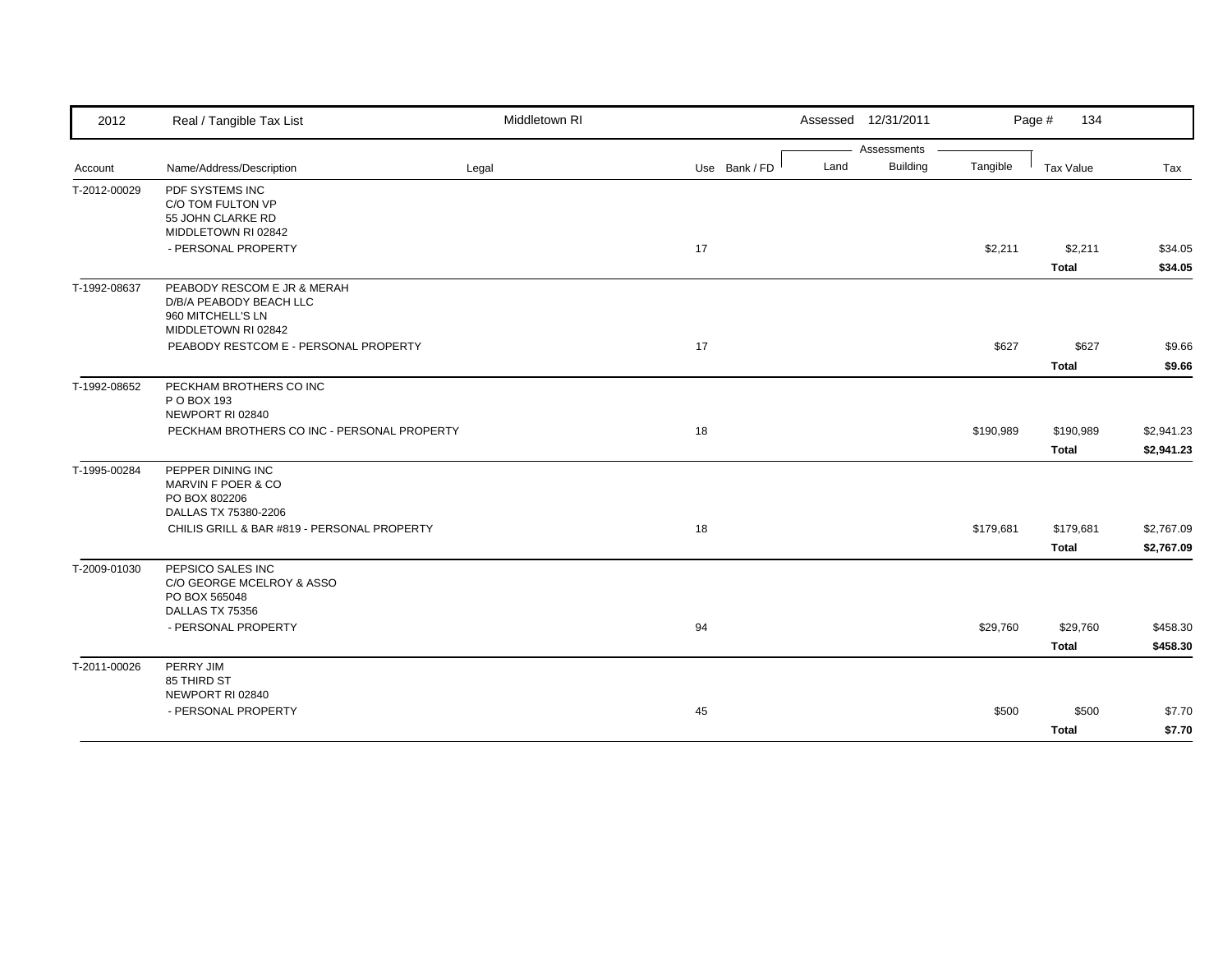| 2012         | Real / Tangible Tax List                    | Middletown RI |               | Assessed 12/31/2011     |           | Page #<br>134 |            |
|--------------|---------------------------------------------|---------------|---------------|-------------------------|-----------|---------------|------------|
|              |                                             |               |               | Assessments             |           |               |            |
| Account      | Name/Address/Description                    | Legal         | Use Bank / FD | <b>Building</b><br>Land | Tangible  | Tax Value     | Tax        |
| T-2012-00029 | PDF SYSTEMS INC                             |               |               |                         |           |               |            |
|              | C/O TOM FULTON VP                           |               |               |                         |           |               |            |
|              | 55 JOHN CLARKE RD<br>MIDDLETOWN RI 02842    |               |               |                         |           |               |            |
|              | - PERSONAL PROPERTY                         |               | 17            |                         | \$2,211   | \$2,211       | \$34.05    |
|              |                                             |               |               |                         |           | <b>Total</b>  | \$34.05    |
| T-1992-08637 | PEABODY RESCOM E JR & MERAH                 |               |               |                         |           |               |            |
|              | D/B/A PEABODY BEACH LLC                     |               |               |                         |           |               |            |
|              | 960 MITCHELL'S LN<br>MIDDLETOWN RI 02842    |               |               |                         |           |               |            |
|              | PEABODY RESTCOM E - PERSONAL PROPERTY       |               | 17            |                         | \$627     | \$627         | \$9.66     |
|              |                                             |               |               |                         |           |               |            |
|              |                                             |               |               |                         |           | <b>Total</b>  | \$9.66     |
| T-1992-08652 | PECKHAM BROTHERS CO INC                     |               |               |                         |           |               |            |
|              | P O BOX 193<br>NEWPORT RI 02840             |               |               |                         |           |               |            |
|              | PECKHAM BROTHERS CO INC - PERSONAL PROPERTY |               | 18            |                         | \$190,989 | \$190,989     | \$2,941.23 |
|              |                                             |               |               |                         |           | <b>Total</b>  | \$2,941.23 |
|              |                                             |               |               |                         |           |               |            |
| T-1995-00284 | PEPPER DINING INC<br>MARVIN F POER & CO     |               |               |                         |           |               |            |
|              | PO BOX 802206                               |               |               |                         |           |               |            |
|              | DALLAS TX 75380-2206                        |               |               |                         |           |               |            |
|              | CHILIS GRILL & BAR #819 - PERSONAL PROPERTY |               | 18            |                         | \$179,681 | \$179,681     | \$2,767.09 |
|              |                                             |               |               |                         |           | <b>Total</b>  | \$2,767.09 |
| T-2009-01030 | PEPSICO SALES INC                           |               |               |                         |           |               |            |
|              | C/O GEORGE MCELROY & ASSO                   |               |               |                         |           |               |            |
|              | PO BOX 565048                               |               |               |                         |           |               |            |
|              | DALLAS TX 75356<br>- PERSONAL PROPERTY      |               |               |                         |           |               |            |
|              |                                             |               | 94            |                         | \$29,760  | \$29,760      | \$458.30   |
|              |                                             |               |               |                         |           | <b>Total</b>  | \$458.30   |
| T-2011-00026 | PERRY JIM                                   |               |               |                         |           |               |            |
|              | 85 THIRD ST<br>NEWPORT RI 02840             |               |               |                         |           |               |            |
|              | - PERSONAL PROPERTY                         |               | 45            |                         | \$500     | \$500         | \$7.70     |
|              |                                             |               |               |                         |           |               | \$7.70     |
|              |                                             |               |               |                         |           | <b>Total</b>  |            |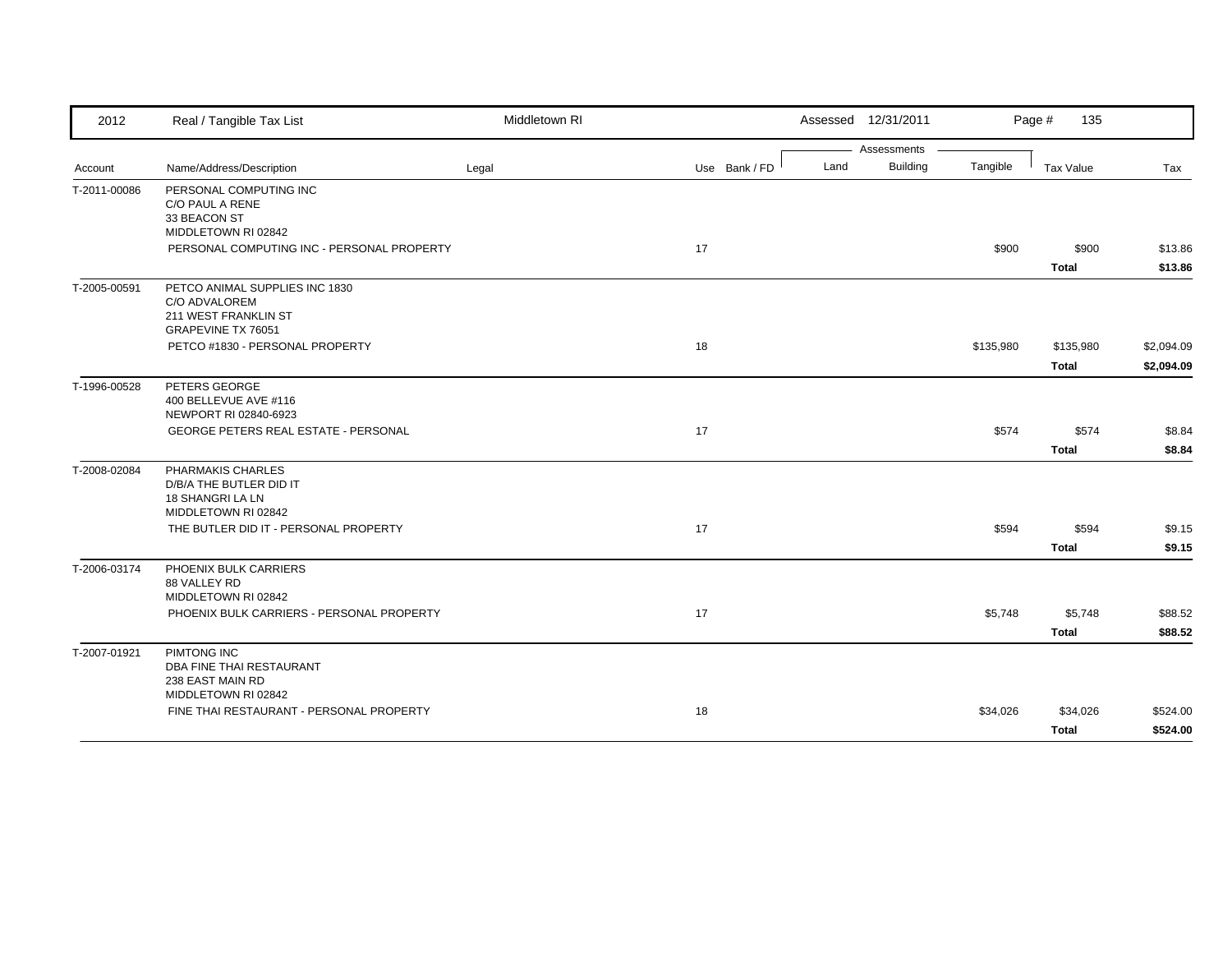| 2012         | Real / Tangible Tax List                                                                             | Middletown RI |               | Assessed 12/31/2011     |           | Page #<br>135             |                          |
|--------------|------------------------------------------------------------------------------------------------------|---------------|---------------|-------------------------|-----------|---------------------------|--------------------------|
|              |                                                                                                      |               |               | Assessments             |           |                           |                          |
| Account      | Name/Address/Description                                                                             | Legal         | Use Bank / FD | <b>Building</b><br>Land | Tangible  | <b>Tax Value</b>          | Tax                      |
| T-2011-00086 | PERSONAL COMPUTING INC<br>C/O PAUL A RENE<br>33 BEACON ST<br>MIDDLETOWN RI 02842                     |               |               |                         |           |                           |                          |
|              | PERSONAL COMPUTING INC - PERSONAL PROPERTY                                                           |               | 17            |                         | \$900     | \$900<br><b>Total</b>     | \$13.86<br>\$13.86       |
| T-2005-00591 | PETCO ANIMAL SUPPLIES INC 1830<br>C/O ADVALOREM<br>211 WEST FRANKLIN ST<br><b>GRAPEVINE TX 76051</b> |               |               |                         |           |                           |                          |
|              | PETCO #1830 - PERSONAL PROPERTY                                                                      |               | 18            |                         | \$135,980 | \$135,980<br><b>Total</b> | \$2,094.09<br>\$2,094.09 |
| T-1996-00528 | PETERS GEORGE<br>400 BELLEVUE AVE #116<br>NEWPORT RI 02840-6923                                      |               |               |                         |           |                           |                          |
|              | GEORGE PETERS REAL ESTATE - PERSONAL                                                                 |               | 17            |                         | \$574     | \$574<br><b>Total</b>     | \$8.84<br>\$8.84         |
| T-2008-02084 | PHARMAKIS CHARLES<br>D/B/A THE BUTLER DID IT<br>18 SHANGRI LA LN<br>MIDDLETOWN RI 02842              |               |               |                         |           |                           |                          |
|              | THE BUTLER DID IT - PERSONAL PROPERTY                                                                |               | 17            |                         | \$594     | \$594<br><b>Total</b>     | \$9.15<br>\$9.15         |
| T-2006-03174 | PHOENIX BULK CARRIERS<br>88 VALLEY RD<br>MIDDLETOWN RI 02842                                         |               |               |                         |           |                           |                          |
|              | PHOENIX BULK CARRIERS - PERSONAL PROPERTY                                                            |               | 17            |                         | \$5,748   | \$5,748<br><b>Total</b>   | \$88.52<br>\$88.52       |
| T-2007-01921 | PIMTONG INC<br>DBA FINE THAI RESTAURANT<br>238 EAST MAIN RD<br>MIDDLETOWN RI 02842                   |               |               |                         |           |                           |                          |
|              | FINE THAI RESTAURANT - PERSONAL PROPERTY                                                             |               | 18            |                         | \$34,026  | \$34,026<br><b>Total</b>  | \$524.00<br>\$524.00     |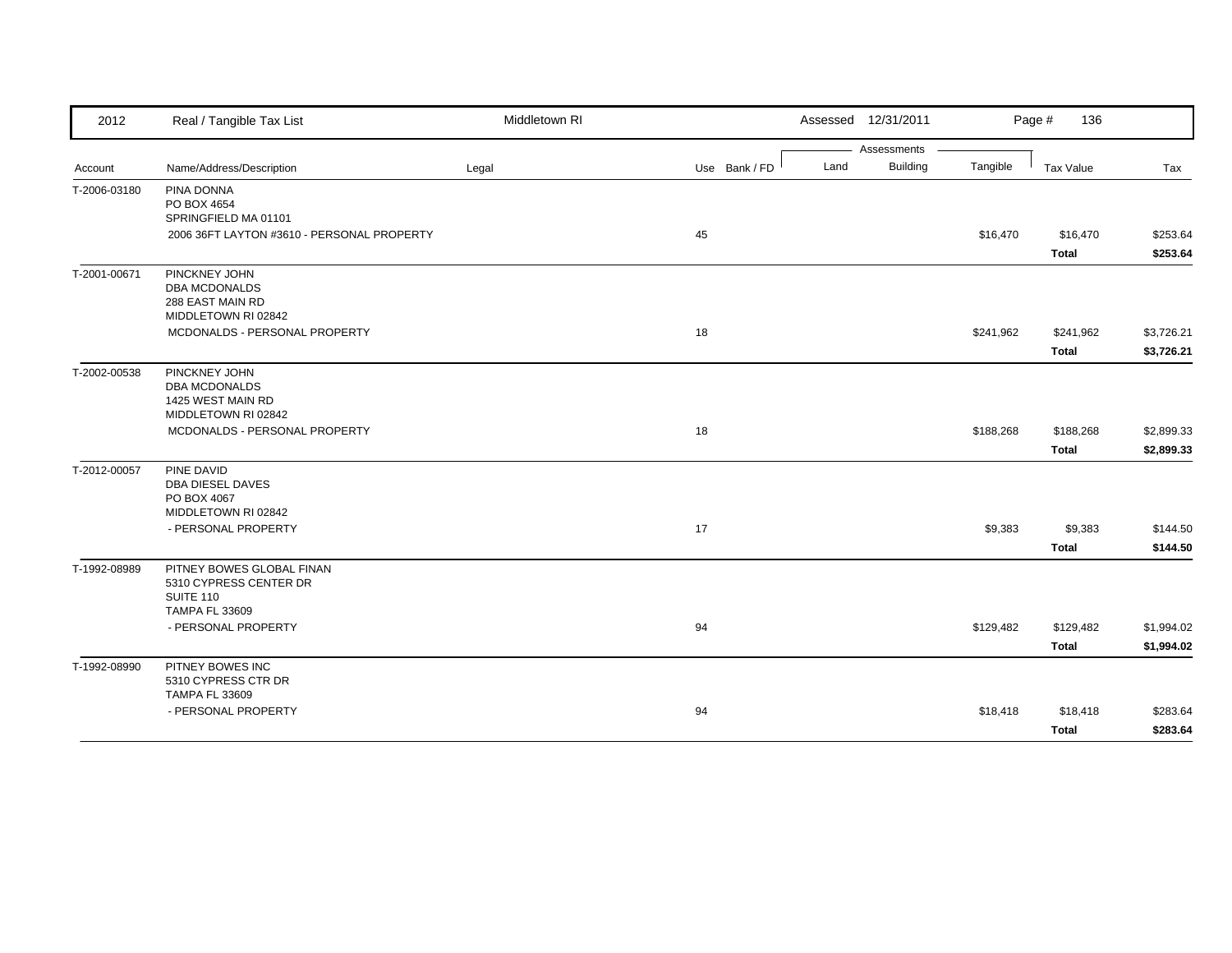| 2012         | Real / Tangible Tax List                                                                  | Middletown RI |               | Assessed 12/31/2011     |           | Page #<br>136             |                          |
|--------------|-------------------------------------------------------------------------------------------|---------------|---------------|-------------------------|-----------|---------------------------|--------------------------|
|              |                                                                                           |               |               | Assessments             |           |                           |                          |
| Account      | Name/Address/Description                                                                  | Legal         | Use Bank / FD | <b>Building</b><br>Land | Tangible  | Tax Value                 | Tax                      |
| T-2006-03180 | PINA DONNA<br>PO BOX 4654<br>SPRINGFIELD MA 01101                                         |               |               |                         |           |                           |                          |
|              | 2006 36FT LAYTON #3610 - PERSONAL PROPERTY                                                |               | 45            |                         | \$16,470  | \$16,470<br><b>Total</b>  | \$253.64<br>\$253.64     |
| T-2001-00671 | PINCKNEY JOHN<br><b>DBA MCDONALDS</b><br>288 EAST MAIN RD<br>MIDDLETOWN RI 02842          |               |               |                         |           |                           |                          |
|              | MCDONALDS - PERSONAL PROPERTY                                                             |               | 18            |                         | \$241,962 | \$241,962<br><b>Total</b> | \$3,726.21<br>\$3,726.21 |
| T-2002-00538 | PINCKNEY JOHN<br><b>DBA MCDONALDS</b><br>1425 WEST MAIN RD<br>MIDDLETOWN RI 02842         |               |               |                         |           |                           |                          |
|              | MCDONALDS - PERSONAL PROPERTY                                                             |               | 18            |                         | \$188,268 | \$188,268<br><b>Total</b> | \$2,899.33<br>\$2,899.33 |
| T-2012-00057 | PINE DAVID<br><b>DBA DIESEL DAVES</b><br>PO BOX 4067<br>MIDDLETOWN RI 02842               |               |               |                         |           |                           |                          |
|              | - PERSONAL PROPERTY                                                                       |               | 17            |                         | \$9,383   | \$9,383<br><b>Total</b>   | \$144.50<br>\$144.50     |
| T-1992-08989 | PITNEY BOWES GLOBAL FINAN<br>5310 CYPRESS CENTER DR<br>SUITE 110<br><b>TAMPA FL 33609</b> |               |               |                         |           |                           |                          |
|              | - PERSONAL PROPERTY                                                                       |               | 94            |                         | \$129,482 | \$129,482<br><b>Total</b> | \$1,994.02<br>\$1,994.02 |
| T-1992-08990 | PITNEY BOWES INC<br>5310 CYPRESS CTR DR<br><b>TAMPA FL 33609</b>                          |               |               |                         |           |                           |                          |
|              | - PERSONAL PROPERTY                                                                       |               | 94            |                         | \$18,418  | \$18,418<br><b>Total</b>  | \$283.64<br>\$283.64     |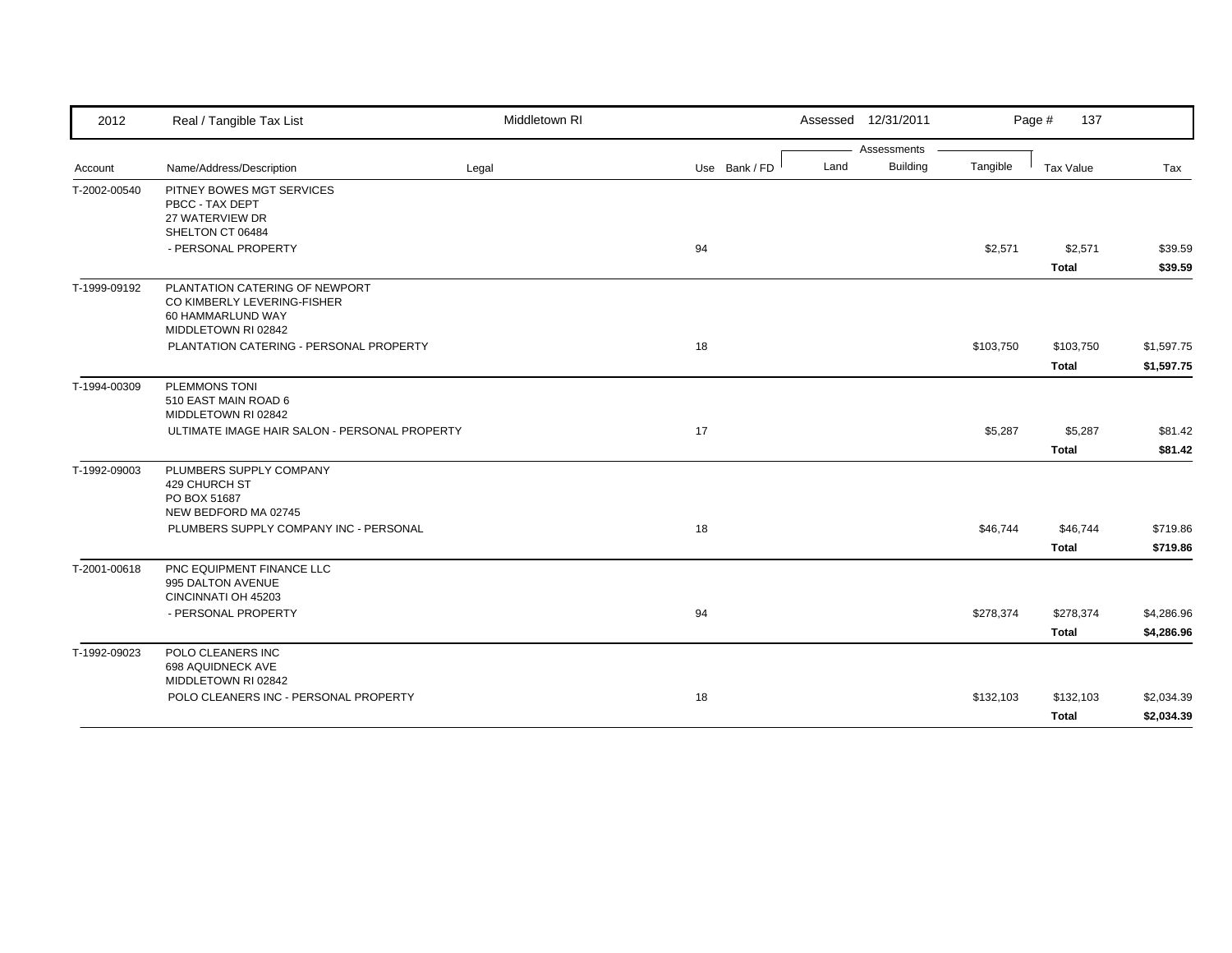| 2012         | Real / Tangible Tax List                                                                                  | Middletown RI |               |      | Assessed 12/31/2011 |           | Page #<br>137 |            |
|--------------|-----------------------------------------------------------------------------------------------------------|---------------|---------------|------|---------------------|-----------|---------------|------------|
|              |                                                                                                           |               |               |      | Assessments         |           |               |            |
| Account      | Name/Address/Description                                                                                  | Legal         | Use Bank / FD | Land | <b>Building</b>     | Tangible  | Tax Value     | Tax        |
| T-2002-00540 | PITNEY BOWES MGT SERVICES<br>PBCC - TAX DEPT<br>27 WATERVIEW DR                                           |               |               |      |                     |           |               |            |
|              | SHELTON CT 06484                                                                                          |               |               |      |                     |           |               |            |
|              | - PERSONAL PROPERTY                                                                                       |               | 94            |      |                     | \$2,571   | \$2,571       | \$39.59    |
|              |                                                                                                           |               |               |      |                     |           | <b>Total</b>  | \$39.59    |
| T-1999-09192 | PLANTATION CATERING OF NEWPORT<br>CO KIMBERLY LEVERING-FISHER<br>60 HAMMARLUND WAY<br>MIDDLETOWN RI 02842 |               |               |      |                     |           |               |            |
|              | PLANTATION CATERING - PERSONAL PROPERTY                                                                   |               | 18            |      |                     | \$103,750 | \$103,750     | \$1,597.75 |
|              |                                                                                                           |               |               |      |                     |           | <b>Total</b>  | \$1,597.75 |
| T-1994-00309 | <b>PLEMMONS TONI</b><br>510 EAST MAIN ROAD 6<br>MIDDLETOWN RI 02842                                       |               |               |      |                     |           |               |            |
|              | ULTIMATE IMAGE HAIR SALON - PERSONAL PROPERTY                                                             |               | 17            |      |                     | \$5,287   | \$5,287       | \$81.42    |
|              |                                                                                                           |               |               |      |                     |           | <b>Total</b>  | \$81.42    |
| T-1992-09003 | PLUMBERS SUPPLY COMPANY<br>429 CHURCH ST<br>PO BOX 51687                                                  |               |               |      |                     |           |               |            |
|              | NEW BEDFORD MA 02745<br>PLUMBERS SUPPLY COMPANY INC - PERSONAL                                            |               | 18            |      |                     | \$46,744  | \$46,744      | \$719.86   |
|              |                                                                                                           |               |               |      |                     |           | <b>Total</b>  | \$719.86   |
| T-2001-00618 | PNC EQUIPMENT FINANCE LLC<br>995 DALTON AVENUE<br>CINCINNATI OH 45203                                     |               |               |      |                     |           |               |            |
|              | - PERSONAL PROPERTY                                                                                       |               | 94            |      |                     | \$278,374 | \$278,374     | \$4,286.96 |
|              |                                                                                                           |               |               |      |                     |           | <b>Total</b>  | \$4,286.96 |
| T-1992-09023 | POLO CLEANERS INC<br>698 AQUIDNECK AVE<br>MIDDLETOWN RI 02842                                             |               |               |      |                     |           |               |            |
|              | POLO CLEANERS INC - PERSONAL PROPERTY                                                                     |               | 18            |      |                     | \$132,103 | \$132,103     | \$2,034.39 |
|              |                                                                                                           |               |               |      |                     |           |               |            |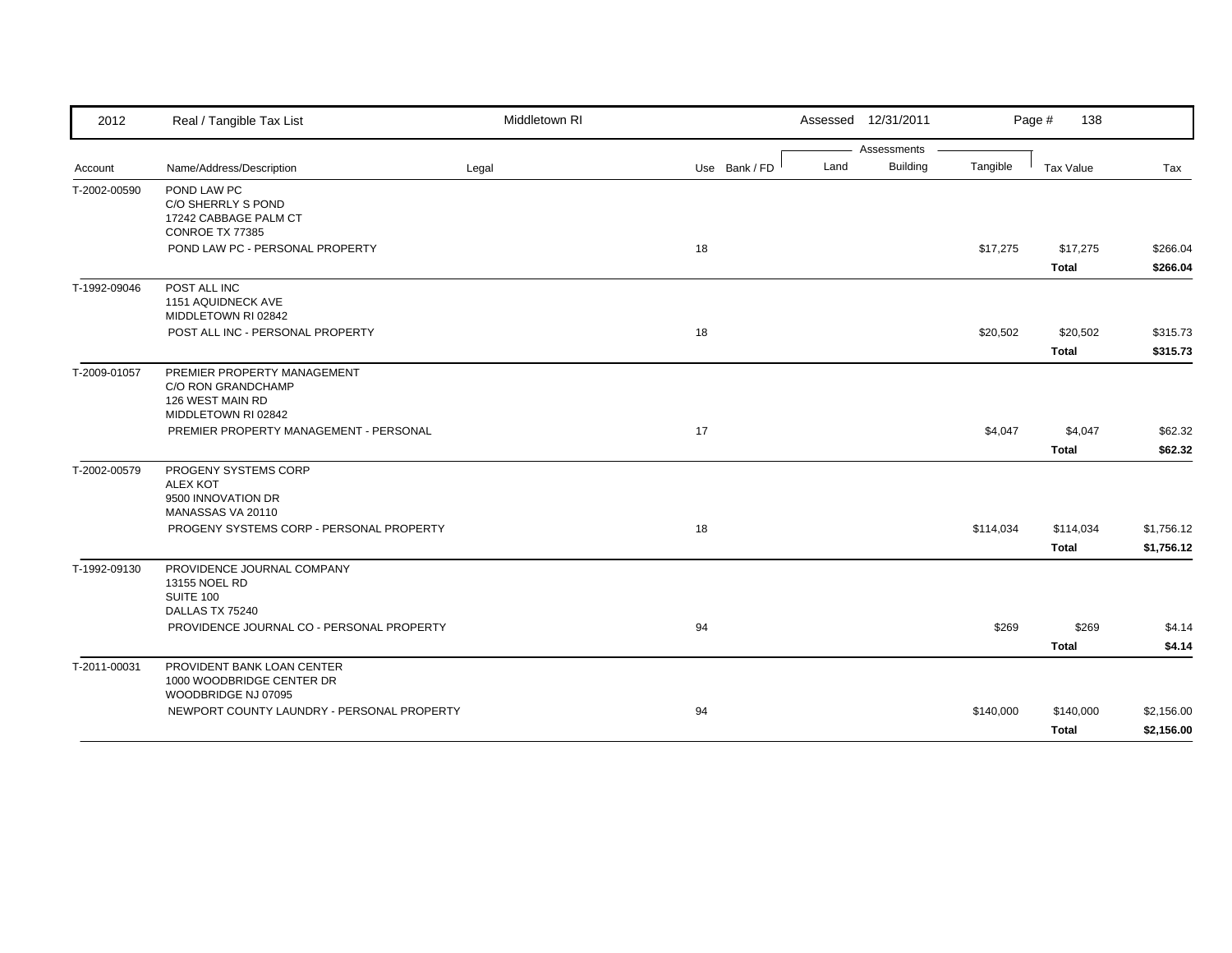| 2012         | Real / Tangible Tax List                                                                     | Middletown RI |               | Assessed 12/31/2011     |           | Page #<br>138             |                          |
|--------------|----------------------------------------------------------------------------------------------|---------------|---------------|-------------------------|-----------|---------------------------|--------------------------|
|              |                                                                                              |               |               | Assessments             |           |                           |                          |
| Account      | Name/Address/Description                                                                     | Legal         | Use Bank / FD | <b>Building</b><br>Land | Tangible  | <b>Tax Value</b>          | Tax                      |
| T-2002-00590 | POND LAW PC<br>C/O SHERRLY S POND<br>17242 CABBAGE PALM CT<br>CONROE TX 77385                |               |               |                         |           |                           |                          |
|              | POND LAW PC - PERSONAL PROPERTY                                                              |               | 18            |                         | \$17,275  | \$17,275<br><b>Total</b>  | \$266.04<br>\$266.04     |
| T-1992-09046 | POST ALL INC<br>1151 AQUIDNECK AVE<br>MIDDLETOWN RI 02842                                    |               |               |                         |           |                           |                          |
|              | POST ALL INC - PERSONAL PROPERTY                                                             |               | 18            |                         | \$20,502  | \$20,502<br><b>Total</b>  | \$315.73<br>\$315.73     |
| T-2009-01057 | PREMIER PROPERTY MANAGEMENT<br>C/O RON GRANDCHAMP<br>126 WEST MAIN RD<br>MIDDLETOWN RI 02842 |               |               |                         |           |                           |                          |
|              | PREMIER PROPERTY MANAGEMENT - PERSONAL                                                       |               | 17            |                         | \$4,047   | \$4,047<br><b>Total</b>   | \$62.32<br>\$62.32       |
| T-2002-00579 | PROGENY SYSTEMS CORP<br><b>ALEX KOT</b><br>9500 INNOVATION DR<br>MANASSAS VA 20110           |               |               |                         |           |                           |                          |
|              | PROGENY SYSTEMS CORP - PERSONAL PROPERTY                                                     |               | 18            |                         | \$114,034 | \$114,034<br><b>Total</b> | \$1,756.12<br>\$1,756.12 |
| T-1992-09130 | PROVIDENCE JOURNAL COMPANY<br>13155 NOEL RD<br>SUITE 100<br>DALLAS TX 75240                  |               |               |                         |           |                           |                          |
|              | PROVIDENCE JOURNAL CO - PERSONAL PROPERTY                                                    |               | 94            |                         | \$269     | \$269<br><b>Total</b>     | \$4.14<br>\$4.14         |
| T-2011-00031 | PROVIDENT BANK LOAN CENTER<br>1000 WOODBRIDGE CENTER DR<br>WOODBRIDGE NJ 07095               |               |               |                         |           |                           |                          |
|              | NEWPORT COUNTY LAUNDRY - PERSONAL PROPERTY                                                   |               | 94            |                         | \$140,000 | \$140,000<br><b>Total</b> | \$2,156.00<br>\$2,156.00 |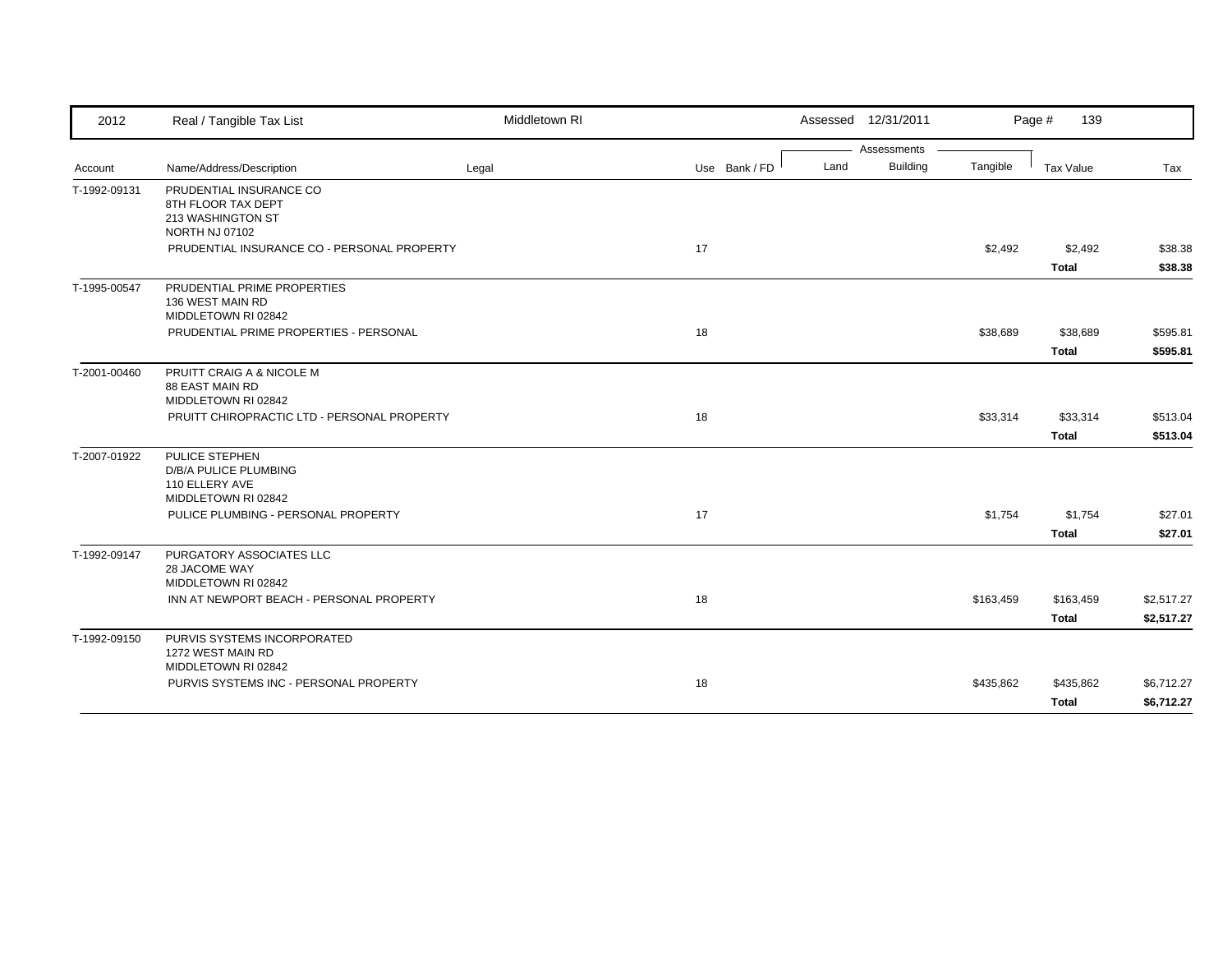| 2012         | Real / Tangible Tax List                                                                    | Middletown RI |               |      | Assessed 12/31/2011 |           | Page #<br>139    |            |
|--------------|---------------------------------------------------------------------------------------------|---------------|---------------|------|---------------------|-----------|------------------|------------|
|              |                                                                                             |               |               |      | Assessments         |           |                  |            |
| Account      | Name/Address/Description                                                                    | Legal         | Use Bank / FD | Land | <b>Building</b>     | Tangible  | <b>Tax Value</b> | Tax        |
| T-1992-09131 | PRUDENTIAL INSURANCE CO<br>8TH FLOOR TAX DEPT<br>213 WASHINGTON ST<br><b>NORTH NJ 07102</b> |               |               |      |                     |           |                  |            |
|              | PRUDENTIAL INSURANCE CO - PERSONAL PROPERTY                                                 |               | 17            |      |                     | \$2,492   | \$2,492          | \$38.38    |
|              |                                                                                             |               |               |      |                     |           | <b>Total</b>     | \$38.38    |
| T-1995-00547 | PRUDENTIAL PRIME PROPERTIES<br>136 WEST MAIN RD<br>MIDDLETOWN RI 02842                      |               |               |      |                     |           |                  |            |
|              | PRUDENTIAL PRIME PROPERTIES - PERSONAL                                                      |               | 18            |      |                     | \$38,689  | \$38,689         | \$595.81   |
|              |                                                                                             |               |               |      |                     |           | Total            | \$595.81   |
| T-2001-00460 | PRUITT CRAIG A & NICOLE M<br><b>88 EAST MAIN RD</b><br>MIDDLETOWN RI 02842                  |               |               |      |                     |           |                  |            |
|              | PRUITT CHIROPRACTIC LTD - PERSONAL PROPERTY                                                 |               | 18            |      |                     | \$33,314  | \$33,314         | \$513.04   |
|              |                                                                                             |               |               |      |                     |           | <b>Total</b>     | \$513.04   |
| T-2007-01922 | PULICE STEPHEN<br>D/B/A PULICE PLUMBING<br>110 ELLERY AVE<br>MIDDLETOWN RI 02842            |               |               |      |                     |           |                  |            |
|              | PULICE PLUMBING - PERSONAL PROPERTY                                                         |               | 17            |      |                     | \$1,754   | \$1,754          | \$27.01    |
|              |                                                                                             |               |               |      |                     |           | <b>Total</b>     | \$27.01    |
| T-1992-09147 | PURGATORY ASSOCIATES LLC<br>28 JACOME WAY<br>MIDDLETOWN RI 02842                            |               |               |      |                     |           |                  |            |
|              | INN AT NEWPORT BEACH - PERSONAL PROPERTY                                                    |               | 18            |      |                     | \$163,459 | \$163,459        | \$2,517.27 |
|              |                                                                                             |               |               |      |                     |           | <b>Total</b>     | \$2,517.27 |
| T-1992-09150 | PURVIS SYSTEMS INCORPORATED<br>1272 WEST MAIN RD<br>MIDDLETOWN RI 02842                     |               |               |      |                     |           |                  |            |
|              | PURVIS SYSTEMS INC - PERSONAL PROPERTY                                                      |               | 18            |      |                     | \$435,862 | \$435,862        | \$6,712.27 |
|              |                                                                                             |               |               |      |                     |           | <b>Total</b>     | \$6,712.27 |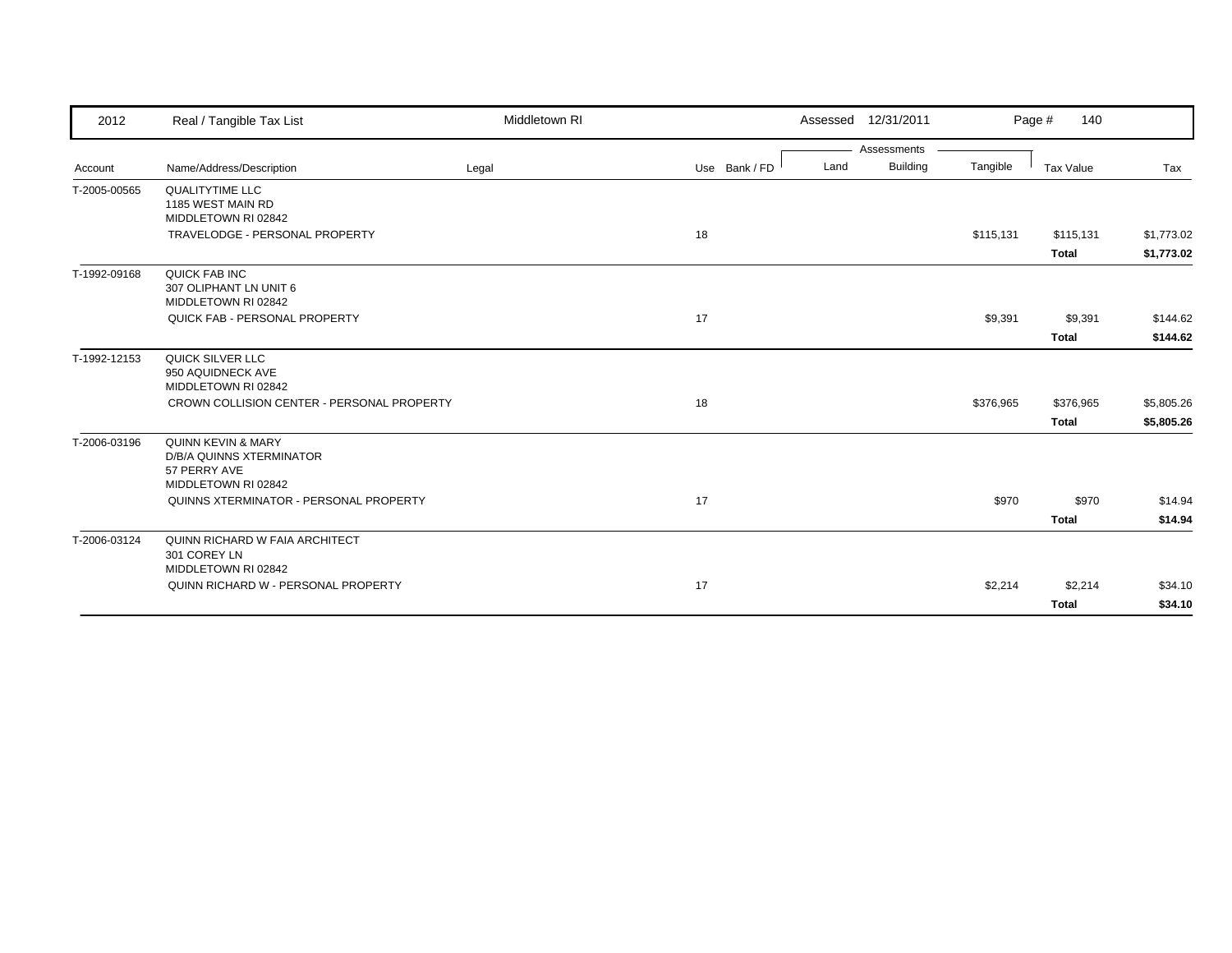| 2012         | Real / Tangible Tax List                                                              | Middletown RI |               | Assessed 12/31/2011     |           | 140<br>Page #    |            |
|--------------|---------------------------------------------------------------------------------------|---------------|---------------|-------------------------|-----------|------------------|------------|
|              |                                                                                       |               |               | Assessments             |           |                  |            |
| Account      | Name/Address/Description                                                              | Legal         | Use Bank / FD | <b>Building</b><br>Land | Tangible  | <b>Tax Value</b> | Tax        |
| T-2005-00565 | <b>QUALITYTIME LLC</b><br>1185 WEST MAIN RD<br>MIDDLETOWN RI 02842                    |               |               |                         |           |                  |            |
|              | TRAVELODGE - PERSONAL PROPERTY                                                        |               | 18            |                         | \$115,131 | \$115,131        | \$1,773.02 |
|              |                                                                                       |               |               |                         |           | <b>Total</b>     | \$1,773.02 |
| T-1992-09168 | QUICK FAB INC<br>307 OLIPHANT LN UNIT 6<br>MIDDLETOWN RI 02842                        |               |               |                         |           |                  |            |
|              | QUICK FAB - PERSONAL PROPERTY                                                         |               | 17            |                         | \$9,391   | \$9,391          | \$144.62   |
|              |                                                                                       |               |               |                         |           | <b>Total</b>     | \$144.62   |
| T-1992-12153 | QUICK SILVER LLC<br>950 AQUIDNECK AVE<br>MIDDLETOWN RI 02842                          |               |               |                         |           |                  |            |
|              | CROWN COLLISION CENTER - PERSONAL PROPERTY                                            |               | 18            |                         | \$376,965 | \$376,965        | \$5,805.26 |
|              |                                                                                       |               |               |                         |           | <b>Total</b>     | \$5,805.26 |
| T-2006-03196 | QUINN KEVIN & MARY<br>D/B/A QUINNS XTERMINATOR<br>57 PERRY AVE<br>MIDDLETOWN RI 02842 |               |               |                         |           |                  |            |
|              | QUINNS XTERMINATOR - PERSONAL PROPERTY                                                |               | 17            |                         | \$970     | \$970            | \$14.94    |
|              |                                                                                       |               |               |                         |           | <b>Total</b>     | \$14.94    |
| T-2006-03124 | QUINN RICHARD W FAIA ARCHITECT<br>301 COREY LN<br>MIDDLETOWN RI 02842                 |               |               |                         |           |                  |            |
|              | QUINN RICHARD W - PERSONAL PROPERTY                                                   |               | 17            |                         | \$2,214   | \$2,214          | \$34.10    |
|              |                                                                                       |               |               |                         |           | <b>Total</b>     | \$34.10    |
|              |                                                                                       |               |               |                         |           |                  |            |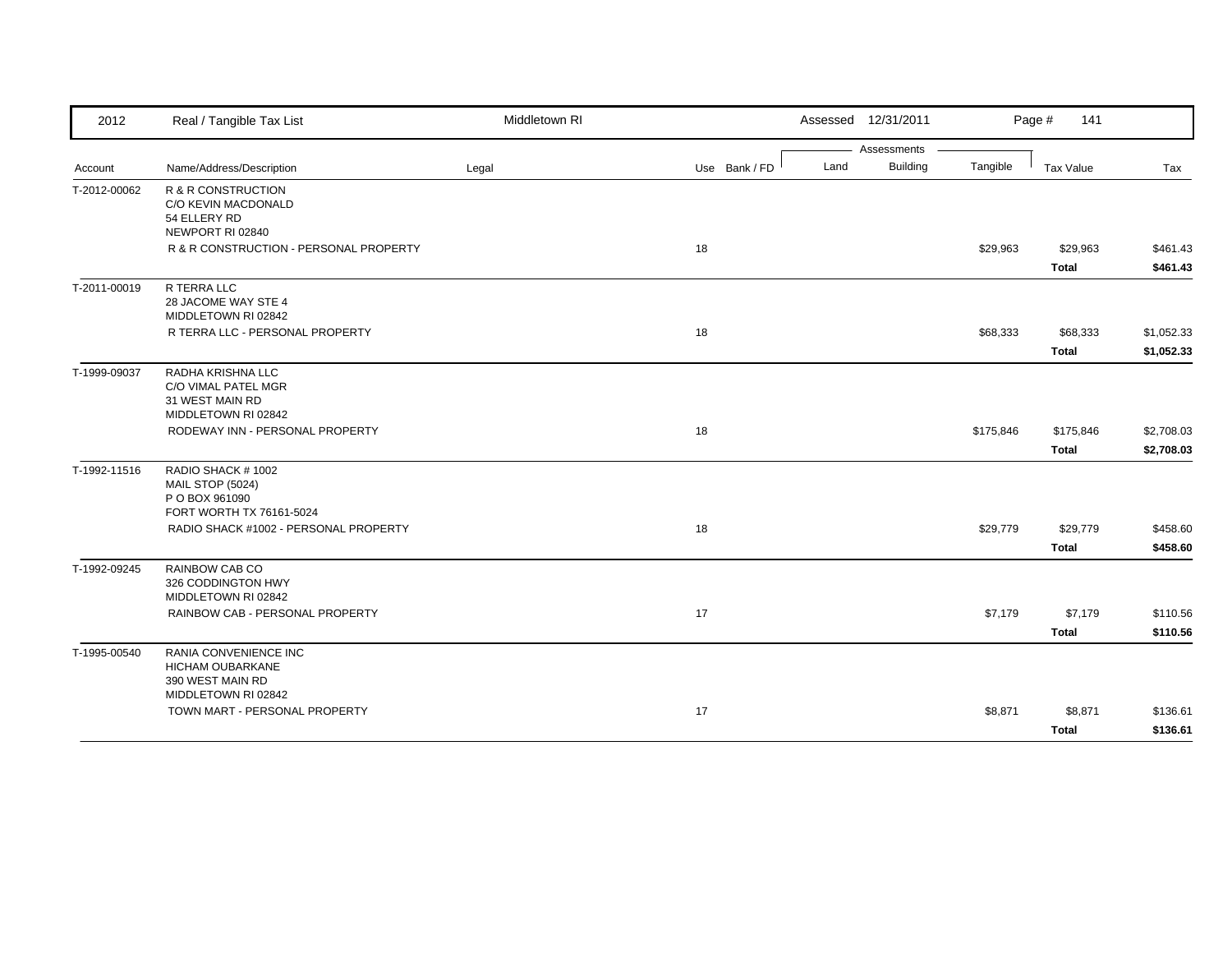| 2012         | Real / Tangible Tax List                                                                    | Middletown RI |               | Assessed 12/31/2011     |           | Page #<br>141            |                          |
|--------------|---------------------------------------------------------------------------------------------|---------------|---------------|-------------------------|-----------|--------------------------|--------------------------|
|              |                                                                                             |               |               | Assessments             |           |                          |                          |
| Account      | Name/Address/Description                                                                    | Legal         | Use Bank / FD | <b>Building</b><br>Land | Tangible  | Tax Value                | Tax                      |
| T-2012-00062 | R & R CONSTRUCTION<br>C/O KEVIN MACDONALD<br>54 ELLERY RD<br>NEWPORT RI 02840               |               |               |                         |           |                          |                          |
|              | R & R CONSTRUCTION - PERSONAL PROPERTY                                                      |               | 18            |                         | \$29,963  | \$29,963<br><b>Total</b> | \$461.43<br>\$461.43     |
| T-2011-00019 | R TERRA LLC<br>28 JACOME WAY STE 4<br>MIDDLETOWN RI 02842                                   |               |               |                         |           |                          |                          |
|              | R TERRA LLC - PERSONAL PROPERTY                                                             |               | 18            |                         | \$68,333  | \$68,333<br><b>Total</b> | \$1,052.33<br>\$1,052.33 |
| T-1999-09037 | RADHA KRISHNA LLC<br>C/O VIMAL PATEL MGR<br>31 WEST MAIN RD<br>MIDDLETOWN RI 02842          |               |               |                         |           |                          |                          |
|              | RODEWAY INN - PERSONAL PROPERTY                                                             |               | 18            |                         | \$175,846 | \$175,846<br>Total       | \$2,708.03<br>\$2,708.03 |
| T-1992-11516 | RADIO SHACK #1002<br>MAIL STOP (5024)<br>P O BOX 961090<br>FORT WORTH TX 76161-5024         |               |               |                         |           |                          |                          |
|              | RADIO SHACK #1002 - PERSONAL PROPERTY                                                       |               | 18            |                         | \$29,779  | \$29,779<br><b>Total</b> | \$458.60<br>\$458.60     |
| T-1992-09245 | RAINBOW CAB CO<br>326 CODDINGTON HWY<br>MIDDLETOWN RI 02842                                 |               |               |                         |           |                          |                          |
|              | RAINBOW CAB - PERSONAL PROPERTY                                                             |               | 17            |                         | \$7,179   | \$7,179<br><b>Total</b>  | \$110.56<br>\$110.56     |
| T-1995-00540 | RANIA CONVENIENCE INC<br><b>HICHAM OUBARKANE</b><br>390 WEST MAIN RD<br>MIDDLETOWN RI 02842 |               |               |                         |           |                          |                          |
|              | TOWN MART - PERSONAL PROPERTY                                                               |               | 17            |                         | \$8,871   | \$8,871<br><b>Total</b>  | \$136.61<br>\$136.61     |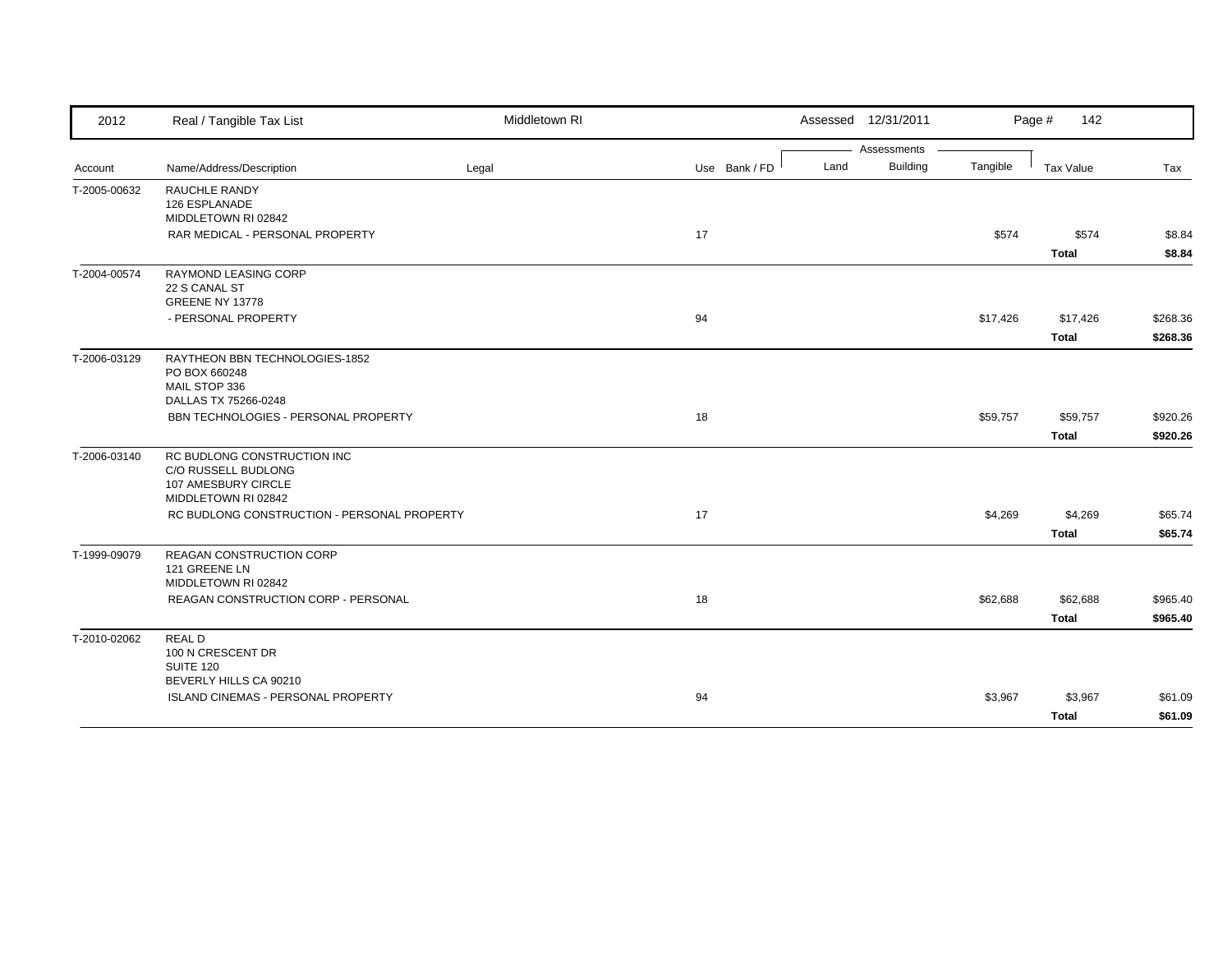| 2012         | Real / Tangible Tax List                    | Middletown RI |               | Assessed 12/31/2011     |          | Page #<br>142    |          |
|--------------|---------------------------------------------|---------------|---------------|-------------------------|----------|------------------|----------|
|              |                                             |               |               | Assessments             |          |                  |          |
| Account      | Name/Address/Description                    | Legal         | Use Bank / FD | <b>Building</b><br>Land | Tangible | <b>Tax Value</b> | Tax      |
| T-2005-00632 | RAUCHLE RANDY                               |               |               |                         |          |                  |          |
|              | 126 ESPLANADE<br>MIDDLETOWN RI 02842        |               |               |                         |          |                  |          |
|              |                                             |               |               |                         |          | \$574            |          |
|              | RAR MEDICAL - PERSONAL PROPERTY             |               | 17            |                         | \$574    |                  | \$8.84   |
|              |                                             |               |               |                         |          | <b>Total</b>     | \$8.84   |
| T-2004-00574 | RAYMOND LEASING CORP                        |               |               |                         |          |                  |          |
|              | 22 S CANAL ST                               |               |               |                         |          |                  |          |
|              | GREENE NY 13778                             |               |               |                         |          |                  |          |
|              | - PERSONAL PROPERTY                         |               | 94            |                         | \$17,426 | \$17,426         | \$268.36 |
|              |                                             |               |               |                         |          | <b>Total</b>     | \$268.36 |
| T-2006-03129 | RAYTHEON BBN TECHNOLOGIES-1852              |               |               |                         |          |                  |          |
|              | PO BOX 660248                               |               |               |                         |          |                  |          |
|              | MAIL STOP 336<br>DALLAS TX 75266-0248       |               |               |                         |          |                  |          |
|              | BBN TECHNOLOGIES - PERSONAL PROPERTY        |               | 18            |                         | \$59,757 | \$59,757         | \$920.26 |
|              |                                             |               |               |                         |          |                  |          |
|              |                                             |               |               |                         |          | <b>Total</b>     | \$920.26 |
| T-2006-03140 | RC BUDLONG CONSTRUCTION INC                 |               |               |                         |          |                  |          |
|              | C/O RUSSELL BUDLONG                         |               |               |                         |          |                  |          |
|              | 107 AMESBURY CIRCLE<br>MIDDLETOWN RI 02842  |               |               |                         |          |                  |          |
|              | RC BUDLONG CONSTRUCTION - PERSONAL PROPERTY |               | 17            |                         | \$4,269  | \$4,269          | \$65.74  |
|              |                                             |               |               |                         |          |                  |          |
|              |                                             |               |               |                         |          | <b>Total</b>     | \$65.74  |
| T-1999-09079 | REAGAN CONSTRUCTION CORP                    |               |               |                         |          |                  |          |
|              | 121 GREENE LN<br>MIDDLETOWN RI 02842        |               |               |                         |          |                  |          |
|              | REAGAN CONSTRUCTION CORP - PERSONAL         |               |               |                         |          |                  | \$965.40 |
|              |                                             |               | 18            |                         | \$62,688 | \$62,688         |          |
|              |                                             |               |               |                         |          | <b>Total</b>     | \$965.40 |
| T-2010-02062 | <b>REALD</b>                                |               |               |                         |          |                  |          |
|              | 100 N CRESCENT DR                           |               |               |                         |          |                  |          |
|              | SUITE 120<br>BEVERLY HILLS CA 90210         |               |               |                         |          |                  |          |
|              | ISLAND CINEMAS - PERSONAL PROPERTY          |               | 94            |                         | \$3,967  | \$3,967          | \$61.09  |
|              |                                             |               |               |                         |          |                  |          |
|              |                                             |               |               |                         |          | <b>Total</b>     | \$61.09  |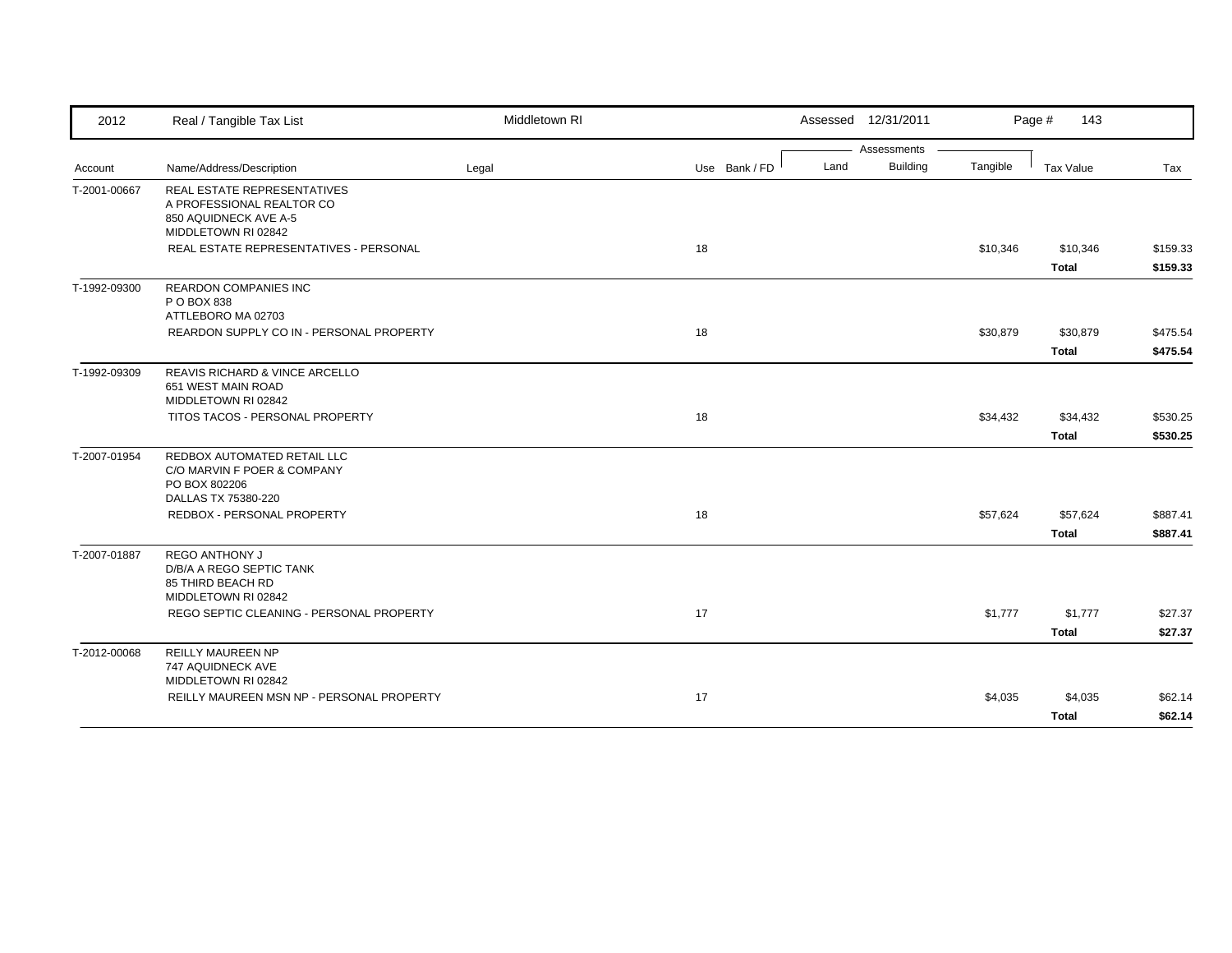| 2012         | Real / Tangible Tax List                                                                                        | Middletown RI |               | Assessed 12/31/2011     |          | Page #<br>143 |          |
|--------------|-----------------------------------------------------------------------------------------------------------------|---------------|---------------|-------------------------|----------|---------------|----------|
|              |                                                                                                                 |               |               | Assessments             |          |               |          |
| Account      | Name/Address/Description                                                                                        | Legal         | Use Bank / FD | <b>Building</b><br>Land | Tangible | Tax Value     | Tax      |
| T-2001-00667 | <b>REAL ESTATE REPRESENTATIVES</b><br>A PROFESSIONAL REALTOR CO<br>850 AQUIDNECK AVE A-5<br>MIDDLETOWN RI 02842 |               |               |                         |          |               |          |
|              | REAL ESTATE REPRESENTATIVES - PERSONAL                                                                          |               | 18            |                         | \$10,346 | \$10,346      | \$159.33 |
|              |                                                                                                                 |               |               |                         |          | <b>Total</b>  | \$159.33 |
| T-1992-09300 | <b>REARDON COMPANIES INC</b><br>P O BOX 838<br>ATTLEBORO MA 02703                                               |               |               |                         |          |               |          |
|              | REARDON SUPPLY CO IN - PERSONAL PROPERTY                                                                        |               | 18            |                         | \$30,879 | \$30,879      | \$475.54 |
|              |                                                                                                                 |               |               |                         |          | <b>Total</b>  | \$475.54 |
| T-1992-09309 | REAVIS RICHARD & VINCE ARCELLO<br>651 WEST MAIN ROAD<br>MIDDLETOWN RI 02842                                     |               |               |                         |          |               |          |
|              | TITOS TACOS - PERSONAL PROPERTY                                                                                 |               | 18            |                         | \$34,432 | \$34,432      | \$530.25 |
|              |                                                                                                                 |               |               |                         |          | <b>Total</b>  | \$530.25 |
| T-2007-01954 | REDBOX AUTOMATED RETAIL LLC<br>C/O MARVIN F POER & COMPANY<br>PO BOX 802206<br>DALLAS TX 75380-220              |               |               |                         |          |               |          |
|              | REDBOX - PERSONAL PROPERTY                                                                                      |               | 18            |                         | \$57,624 | \$57,624      | \$887.41 |
|              |                                                                                                                 |               |               |                         |          | <b>Total</b>  | \$887.41 |
| T-2007-01887 | <b>REGO ANTHONY J</b><br>D/B/A A REGO SEPTIC TANK<br>85 THIRD BEACH RD<br>MIDDLETOWN RI 02842                   |               |               |                         |          |               |          |
|              | REGO SEPTIC CLEANING - PERSONAL PROPERTY                                                                        |               | 17            |                         | \$1,777  | \$1,777       | \$27.37  |
|              |                                                                                                                 |               |               |                         |          | <b>Total</b>  | \$27.37  |
| T-2012-00068 | <b>REILLY MAUREEN NP</b><br>747 AQUIDNECK AVE<br>MIDDLETOWN RI 02842                                            |               |               |                         |          |               |          |
|              | REILLY MAUREEN MSN NP - PERSONAL PROPERTY                                                                       |               | 17            |                         | \$4,035  | \$4,035       | \$62.14  |
|              |                                                                                                                 |               |               |                         |          | <b>Total</b>  | \$62.14  |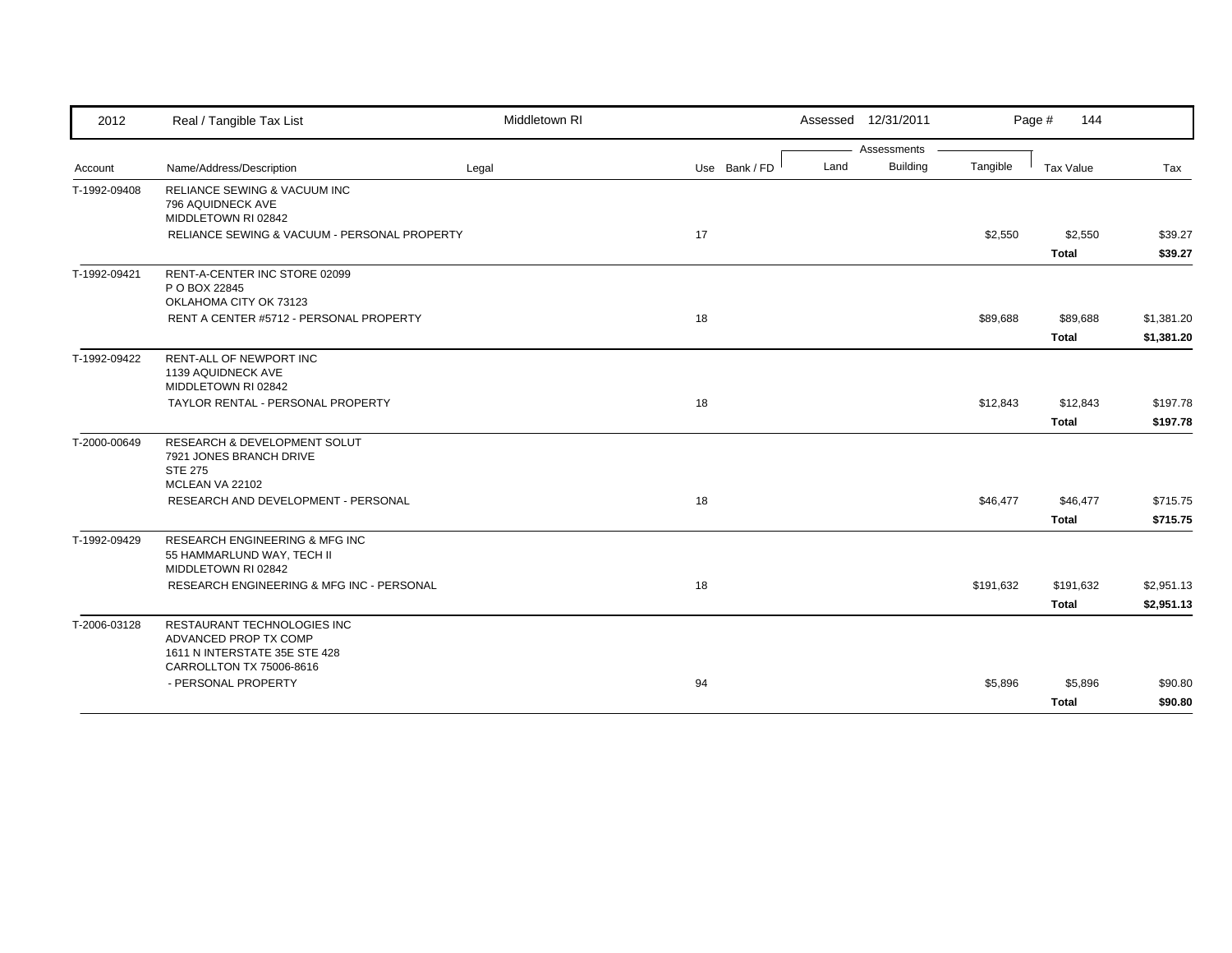| 2012         | Real / Tangible Tax List                                                                                          | Middletown RI |               |      | Assessed 12/31/2011 |           | Page #<br>144             |                          |
|--------------|-------------------------------------------------------------------------------------------------------------------|---------------|---------------|------|---------------------|-----------|---------------------------|--------------------------|
|              |                                                                                                                   |               |               |      | Assessments         |           |                           |                          |
| Account      | Name/Address/Description                                                                                          | Legal         | Use Bank / FD | Land | <b>Building</b>     | Tangible  | <b>Tax Value</b>          | Tax                      |
| T-1992-09408 | RELIANCE SEWING & VACUUM INC<br>796 AQUIDNECK AVE<br>MIDDLETOWN RI 02842                                          |               |               |      |                     |           |                           |                          |
|              | RELIANCE SEWING & VACUUM - PERSONAL PROPERTY                                                                      |               | 17            |      |                     | \$2,550   | \$2,550<br><b>Total</b>   | \$39.27<br>\$39.27       |
| T-1992-09421 | RENT-A-CENTER INC STORE 02099<br>P O BOX 22845<br>OKLAHOMA CITY OK 73123                                          |               |               |      |                     |           |                           |                          |
|              | RENT A CENTER #5712 - PERSONAL PROPERTY                                                                           |               | 18            |      |                     | \$89,688  | \$89,688<br><b>Total</b>  | \$1,381.20<br>\$1,381.20 |
| T-1992-09422 | RENT-ALL OF NEWPORT INC<br>1139 AQUIDNECK AVE<br>MIDDLETOWN RI 02842                                              |               |               |      |                     |           |                           |                          |
|              | TAYLOR RENTAL - PERSONAL PROPERTY                                                                                 |               | 18            |      |                     | \$12,843  | \$12,843<br><b>Total</b>  | \$197.78<br>\$197.78     |
| T-2000-00649 | <b>RESEARCH &amp; DEVELOPMENT SOLUT</b><br>7921 JONES BRANCH DRIVE<br><b>STE 275</b><br>MCLEAN VA 22102           |               |               |      |                     |           |                           |                          |
|              | RESEARCH AND DEVELOPMENT - PERSONAL                                                                               |               | 18            |      |                     | \$46,477  | \$46,477<br><b>Total</b>  | \$715.75<br>\$715.75     |
| T-1992-09429 | <b>RESEARCH ENGINEERING &amp; MFG INC</b><br>55 HAMMARLUND WAY, TECH II<br>MIDDLETOWN RI 02842                    |               |               |      |                     |           |                           |                          |
|              | RESEARCH ENGINEERING & MFG INC - PERSONAL                                                                         |               | 18            |      |                     | \$191,632 | \$191,632<br><b>Total</b> | \$2,951.13<br>\$2,951.13 |
| T-2006-03128 | RESTAURANT TECHNOLOGIES INC<br>ADVANCED PROP TX COMP<br>1611 N INTERSTATE 35E STE 428<br>CARROLLTON TX 75006-8616 |               |               |      |                     |           |                           |                          |
|              | - PERSONAL PROPERTY                                                                                               |               | 94            |      |                     | \$5,896   | \$5,896<br><b>Total</b>   | \$90.80<br>\$90.80       |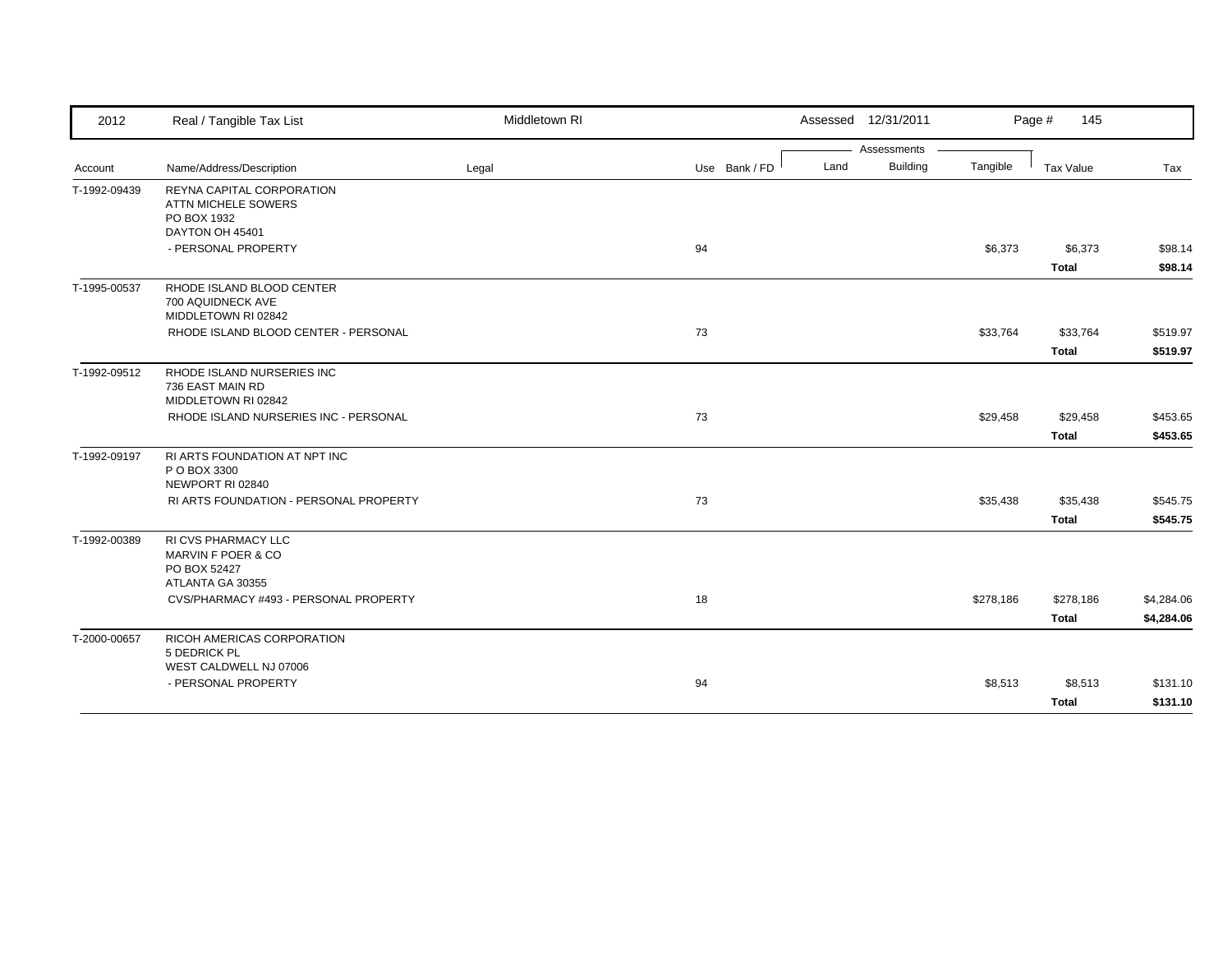| 2012         | Real / Tangible Tax List                                                           | Middletown RI |               | Assessed 12/31/2011     |           | Page #<br>145             |                          |
|--------------|------------------------------------------------------------------------------------|---------------|---------------|-------------------------|-----------|---------------------------|--------------------------|
|              |                                                                                    |               |               | Assessments             |           |                           |                          |
| Account      | Name/Address/Description                                                           | Legal         | Use Bank / FD | <b>Building</b><br>Land | Tangible  | Tax Value                 | Tax                      |
| T-1992-09439 | REYNA CAPITAL CORPORATION<br>ATTN MICHELE SOWERS<br>PO BOX 1932<br>DAYTON OH 45401 |               |               |                         |           |                           |                          |
|              | - PERSONAL PROPERTY                                                                |               | 94            |                         | \$6,373   | \$6,373<br><b>Total</b>   | \$98.14<br>\$98.14       |
| T-1995-00537 | RHODE ISLAND BLOOD CENTER<br>700 AQUIDNECK AVE<br>MIDDLETOWN RI 02842              |               |               |                         |           |                           |                          |
|              | RHODE ISLAND BLOOD CENTER - PERSONAL                                               |               | 73            |                         | \$33,764  | \$33,764<br>Total         | \$519.97<br>\$519.97     |
| T-1992-09512 | RHODE ISLAND NURSERIES INC<br>736 EAST MAIN RD<br>MIDDLETOWN RI 02842              |               |               |                         |           |                           |                          |
|              | RHODE ISLAND NURSERIES INC - PERSONAL                                              |               | 73            |                         | \$29,458  | \$29,458<br><b>Total</b>  | \$453.65<br>\$453.65     |
| T-1992-09197 | RI ARTS FOUNDATION AT NPT INC<br>P O BOX 3300<br>NEWPORT RI 02840                  |               |               |                         |           |                           |                          |
|              | RI ARTS FOUNDATION - PERSONAL PROPERTY                                             |               | 73            |                         | \$35,438  | \$35,438<br><b>Total</b>  | \$545.75<br>\$545.75     |
| T-1992-00389 | RI CVS PHARMACY LLC<br>MARVIN F POER & CO<br>PO BOX 52427<br>ATLANTA GA 30355      |               |               |                         |           |                           |                          |
|              | CVS/PHARMACY #493 - PERSONAL PROPERTY                                              |               | 18            |                         | \$278,186 | \$278,186<br><b>Total</b> | \$4,284.06<br>\$4,284.06 |
| T-2000-00657 | RICOH AMERICAS CORPORATION<br>5 DEDRICK PL                                         |               |               |                         |           |                           |                          |
|              | WEST CALDWELL NJ 07006<br>- PERSONAL PROPERTY                                      |               | 94            |                         | \$8,513   | \$8,513<br><b>Total</b>   | \$131.10<br>\$131.10     |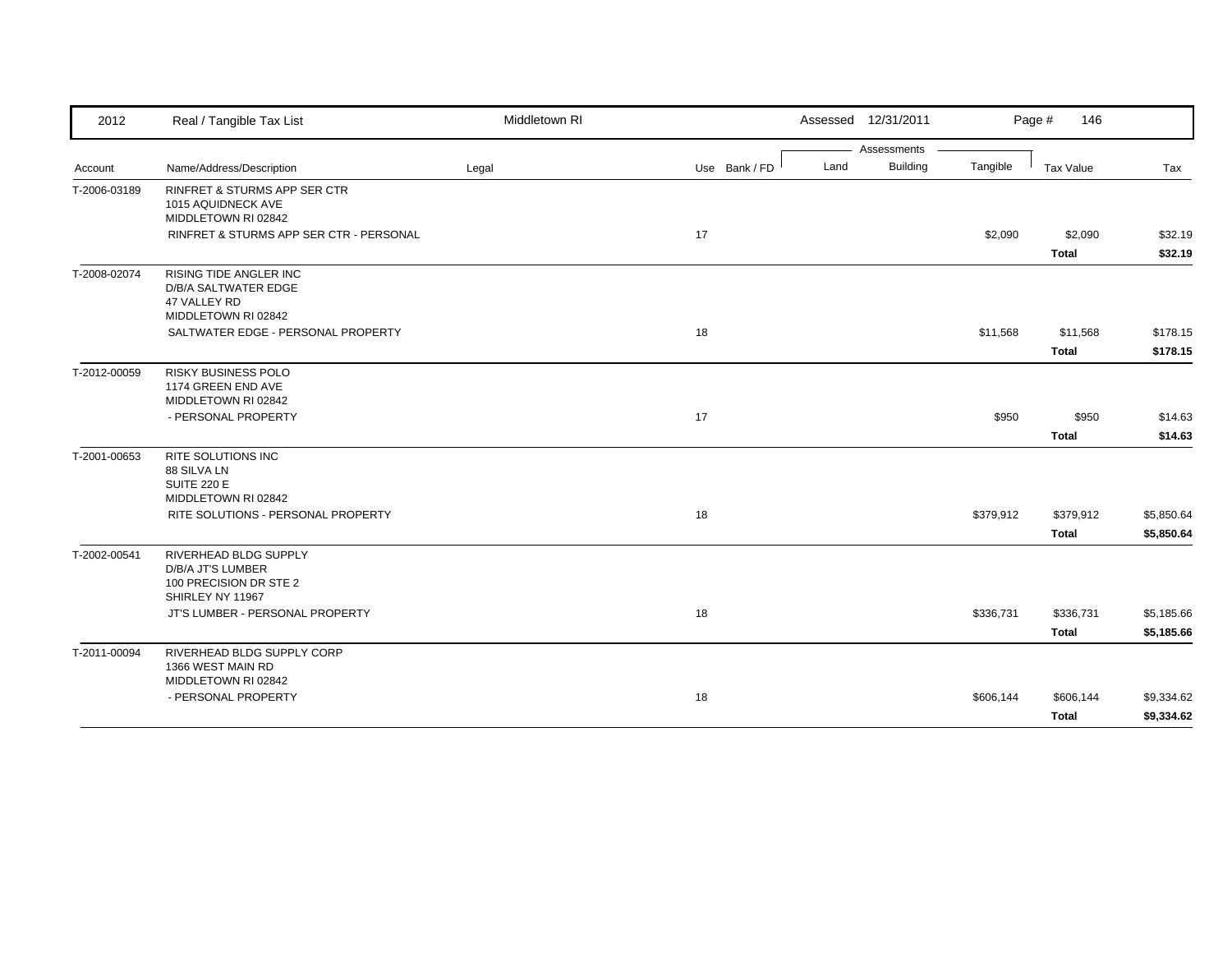| 2012         | Real / Tangible Tax List                  | Middletown RI |               | Assessed 12/31/2011     |           | Page #<br>146 |            |
|--------------|-------------------------------------------|---------------|---------------|-------------------------|-----------|---------------|------------|
|              |                                           |               |               | Assessments             |           |               |            |
| Account      | Name/Address/Description                  | Legal         | Use Bank / FD | <b>Building</b><br>Land | Tangible  | Tax Value     | Tax        |
| T-2006-03189 | <b>RINFRET &amp; STURMS APP SER CTR</b>   |               |               |                         |           |               |            |
|              | 1015 AQUIDNECK AVE                        |               |               |                         |           |               |            |
|              | MIDDLETOWN RI 02842                       |               |               |                         |           |               |            |
|              | RINFRET & STURMS APP SER CTR - PERSONAL   |               | 17            |                         | \$2,090   | \$2,090       | \$32.19    |
|              |                                           |               |               |                         |           | <b>Total</b>  | \$32.19    |
| T-2008-02074 | RISING TIDE ANGLER INC                    |               |               |                         |           |               |            |
|              | D/B/A SALTWATER EDGE                      |               |               |                         |           |               |            |
|              | 47 VALLEY RD<br>MIDDLETOWN RI 02842       |               |               |                         |           |               |            |
|              | SALTWATER EDGE - PERSONAL PROPERTY        |               | 18            |                         | \$11,568  | \$11,568      | \$178.15   |
|              |                                           |               |               |                         |           | <b>Total</b>  | \$178.15   |
|              |                                           |               |               |                         |           |               |            |
| T-2012-00059 | RISKY BUSINESS POLO<br>1174 GREEN END AVE |               |               |                         |           |               |            |
|              | MIDDLETOWN RI 02842                       |               |               |                         |           |               |            |
|              | - PERSONAL PROPERTY                       |               | 17            |                         | \$950     | \$950         | \$14.63    |
|              |                                           |               |               |                         |           |               |            |
|              |                                           |               |               |                         |           | <b>Total</b>  | \$14.63    |
| T-2001-00653 | RITE SOLUTIONS INC                        |               |               |                         |           |               |            |
|              | 88 SILVA LN<br><b>SUITE 220 E</b>         |               |               |                         |           |               |            |
|              | MIDDLETOWN RI 02842                       |               |               |                         |           |               |            |
|              | RITE SOLUTIONS - PERSONAL PROPERTY        |               | 18            |                         | \$379,912 | \$379,912     | \$5,850.64 |
|              |                                           |               |               |                         |           | <b>Total</b>  | \$5,850.64 |
| T-2002-00541 | RIVERHEAD BLDG SUPPLY                     |               |               |                         |           |               |            |
|              | D/B/A JT'S LUMBER                         |               |               |                         |           |               |            |
|              | 100 PRECISION DR STE 2                    |               |               |                         |           |               |            |
|              | SHIRLEY NY 11967                          |               |               |                         |           |               |            |
|              | JT'S LUMBER - PERSONAL PROPERTY           |               | 18            |                         | \$336,731 | \$336,731     | \$5,185.66 |
|              |                                           |               |               |                         |           | Total         | \$5,185.66 |
| T-2011-00094 | RIVERHEAD BLDG SUPPLY CORP                |               |               |                         |           |               |            |
|              | 1366 WEST MAIN RD                         |               |               |                         |           |               |            |
|              | MIDDLETOWN RI 02842                       |               |               |                         |           |               |            |
|              |                                           |               |               |                         |           |               |            |
|              | - PERSONAL PROPERTY                       |               | 18            |                         | \$606,144 | \$606,144     | \$9,334.62 |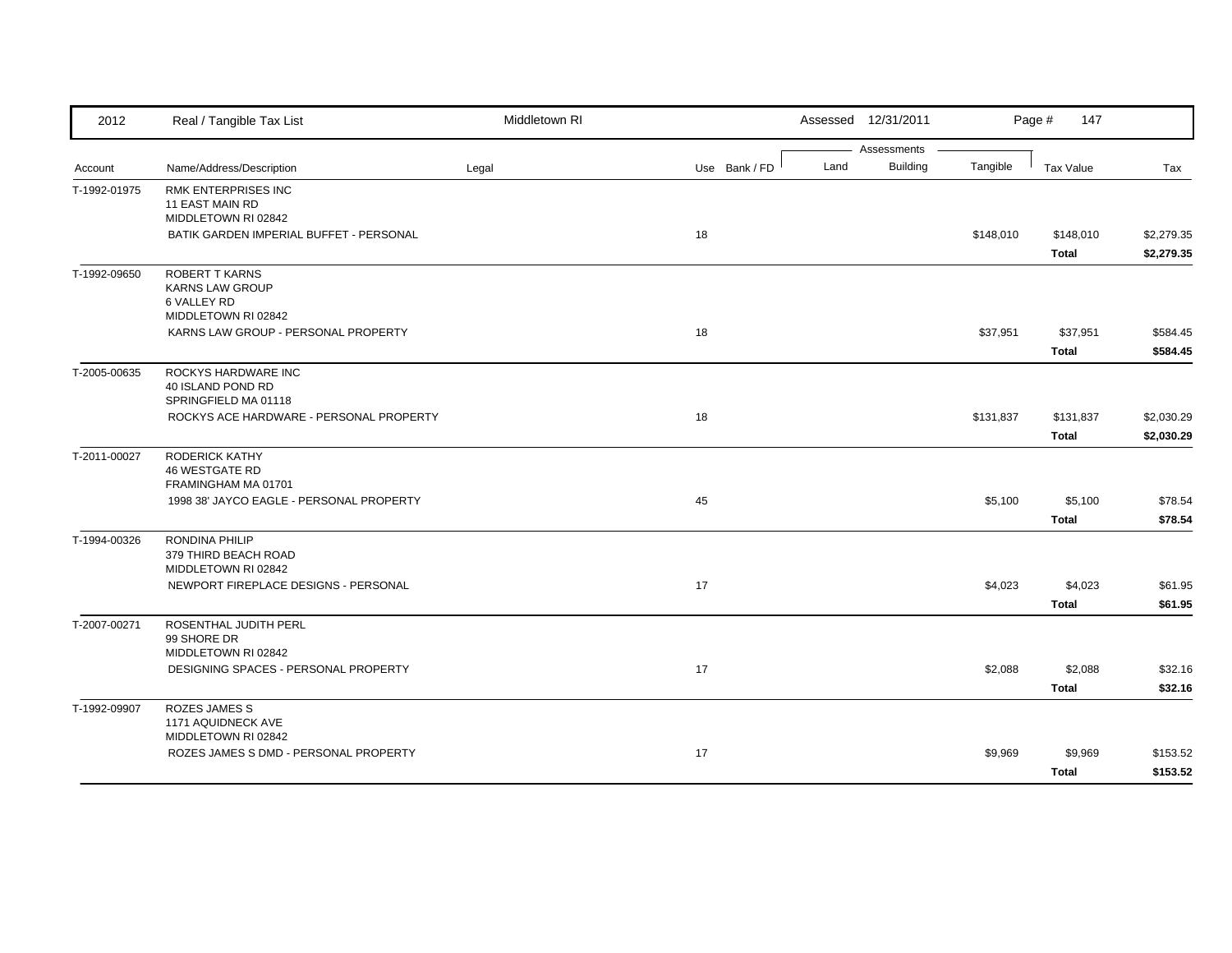| 2012         | Real / Tangible Tax List                                   | Middletown RI |               | Assessed 12/31/2011 |                      | Page #<br>147    |            |
|--------------|------------------------------------------------------------|---------------|---------------|---------------------|----------------------|------------------|------------|
|              | Name/Address/Description                                   | Legal         | Use Bank / FD | Assessments<br>Land | Building<br>Tangible | <b>Tax Value</b> | Tax        |
| Account      |                                                            |               |               |                     |                      |                  |            |
| T-1992-01975 | RMK ENTERPRISES INC<br>11 EAST MAIN RD                     |               |               |                     |                      |                  |            |
|              | MIDDLETOWN RI 02842                                        |               |               |                     |                      |                  |            |
|              | BATIK GARDEN IMPERIAL BUFFET - PERSONAL                    |               | 18            |                     | \$148,010            | \$148,010        | \$2,279.35 |
|              |                                                            |               |               |                     |                      | <b>Total</b>     | \$2,279.35 |
| T-1992-09650 | ROBERT T KARNS                                             |               |               |                     |                      |                  |            |
|              | <b>KARNS LAW GROUP</b>                                     |               |               |                     |                      |                  |            |
|              | 6 VALLEY RD                                                |               |               |                     |                      |                  |            |
|              | MIDDLETOWN RI 02842<br>KARNS LAW GROUP - PERSONAL PROPERTY |               | 18            |                     | \$37,951             | \$37,951         | \$584.45   |
|              |                                                            |               |               |                     |                      |                  |            |
|              |                                                            |               |               |                     |                      | <b>Total</b>     | \$584.45   |
| T-2005-00635 | ROCKYS HARDWARE INC<br>40 ISLAND POND RD                   |               |               |                     |                      |                  |            |
|              | SPRINGFIELD MA 01118                                       |               |               |                     |                      |                  |            |
|              | ROCKYS ACE HARDWARE - PERSONAL PROPERTY                    |               | 18            |                     | \$131,837            | \$131,837        | \$2,030.29 |
|              |                                                            |               |               |                     |                      | <b>Total</b>     | \$2,030.29 |
| T-2011-00027 | <b>RODERICK KATHY</b>                                      |               |               |                     |                      |                  |            |
|              | <b>46 WESTGATE RD</b>                                      |               |               |                     |                      |                  |            |
|              | FRAMINGHAM MA 01701                                        |               |               |                     |                      |                  |            |
|              | 1998 38' JAYCO EAGLE - PERSONAL PROPERTY                   |               | 45            |                     | \$5,100              | \$5,100          | \$78.54    |
|              |                                                            |               |               |                     |                      | <b>Total</b>     | \$78.54    |
| T-1994-00326 | RONDINA PHILIP                                             |               |               |                     |                      |                  |            |
|              | 379 THIRD BEACH ROAD<br>MIDDLETOWN RI 02842                |               |               |                     |                      |                  |            |
|              | NEWPORT FIREPLACE DESIGNS - PERSONAL                       |               | 17            |                     | \$4,023              | \$4,023          | \$61.95    |
|              |                                                            |               |               |                     |                      | <b>Total</b>     |            |
|              |                                                            |               |               |                     |                      |                  | \$61.95    |
| T-2007-00271 | ROSENTHAL JUDITH PERL<br>99 SHORE DR                       |               |               |                     |                      |                  |            |
|              | MIDDLETOWN RI 02842                                        |               |               |                     |                      |                  |            |
|              | DESIGNING SPACES - PERSONAL PROPERTY                       |               | 17            |                     | \$2,088              | \$2,088          | \$32.16    |
|              |                                                            |               |               |                     |                      | <b>Total</b>     | \$32.16    |
| T-1992-09907 | <b>ROZES JAMES S</b>                                       |               |               |                     |                      |                  |            |
|              | 1171 AQUIDNECK AVE                                         |               |               |                     |                      |                  |            |
|              | MIDDLETOWN RI 02842                                        |               |               |                     |                      |                  |            |
|              | ROZES JAMES S DMD - PERSONAL PROPERTY                      |               | 17            |                     | \$9,969              | \$9,969          | \$153.52   |
|              |                                                            |               |               |                     |                      | <b>Total</b>     | \$153.52   |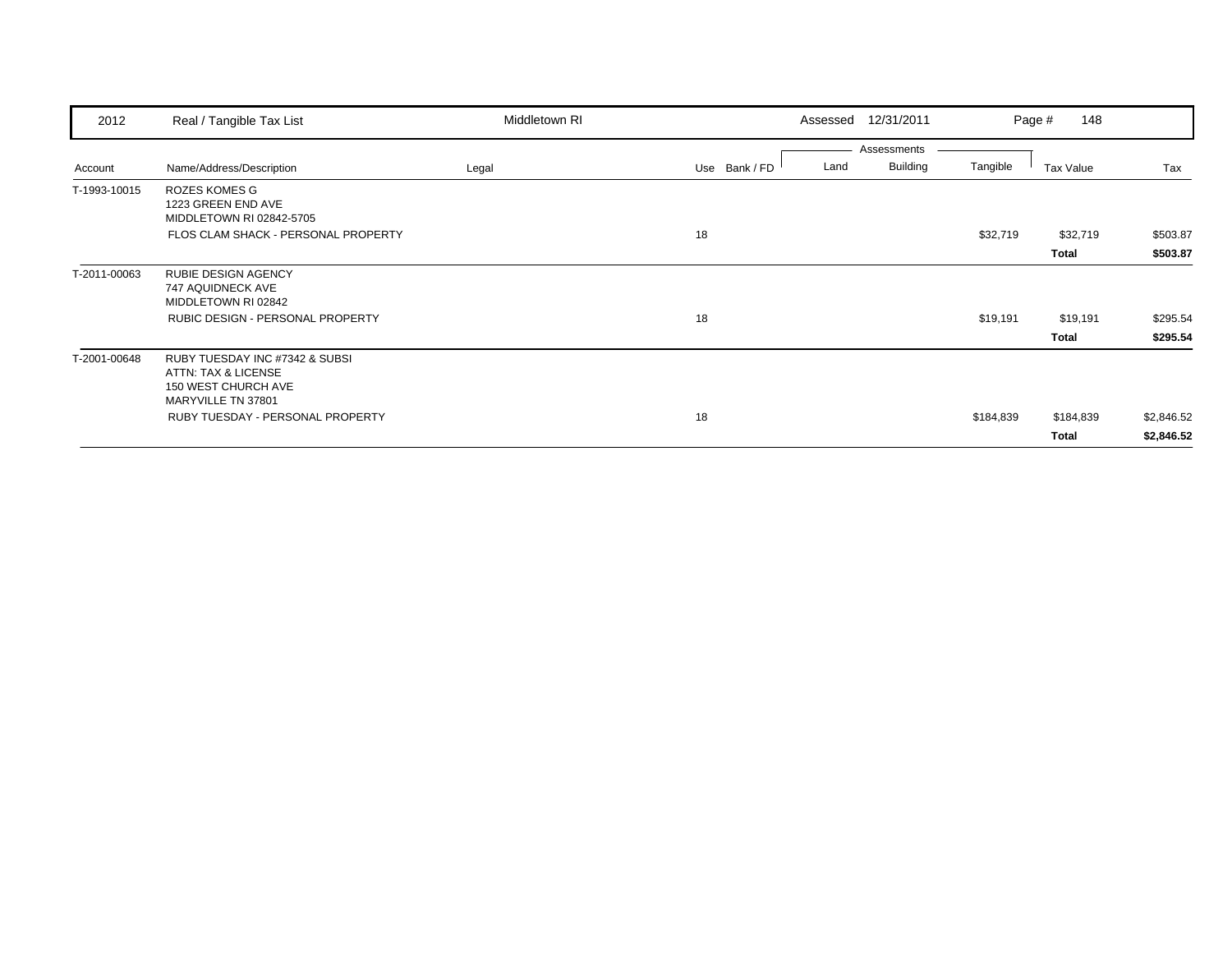| 2012         | Real / Tangible Tax List                                                                           | Middletown RI | Assessed              | 12/31/2011                                 | 148<br>Page #     |                      |
|--------------|----------------------------------------------------------------------------------------------------|---------------|-----------------------|--------------------------------------------|-------------------|----------------------|
| Account      | Name/Address/Description                                                                           | Legal         | Use Bank / FD<br>Land | Assessments<br><b>Building</b><br>Tangible | Tax Value         | Tax                  |
| T-1993-10015 | <b>ROZES KOMES G</b><br>1223 GREEN END AVE<br>MIDDLETOWN RI 02842-5705                             |               |                       |                                            |                   |                      |
|              | FLOS CLAM SHACK - PERSONAL PROPERTY                                                                |               | 18                    | \$32,719                                   | \$32,719<br>Total | \$503.87<br>\$503.87 |
| T-2011-00063 | <b>RUBIE DESIGN AGENCY</b><br>747 AQUIDNECK AVE<br>MIDDLETOWN RI 02842                             |               |                       |                                            |                   |                      |
|              | <b>RUBIC DESIGN - PERSONAL PROPERTY</b>                                                            |               | 18                    | \$19,191                                   | \$19,191          | \$295.54             |
|              |                                                                                                    |               |                       |                                            | Total             | \$295.54             |
| T-2001-00648 | RUBY TUESDAY INC #7342 & SUBSI<br>ATTN: TAX & LICENSE<br>150 WEST CHURCH AVE<br>MARYVILLE TN 37801 |               |                       |                                            |                   |                      |
|              | RUBY TUESDAY - PERSONAL PROPERTY                                                                   |               | 18                    | \$184,839                                  | \$184,839         | \$2,846.52           |
|              |                                                                                                    |               |                       |                                            | Total             | \$2,846.52           |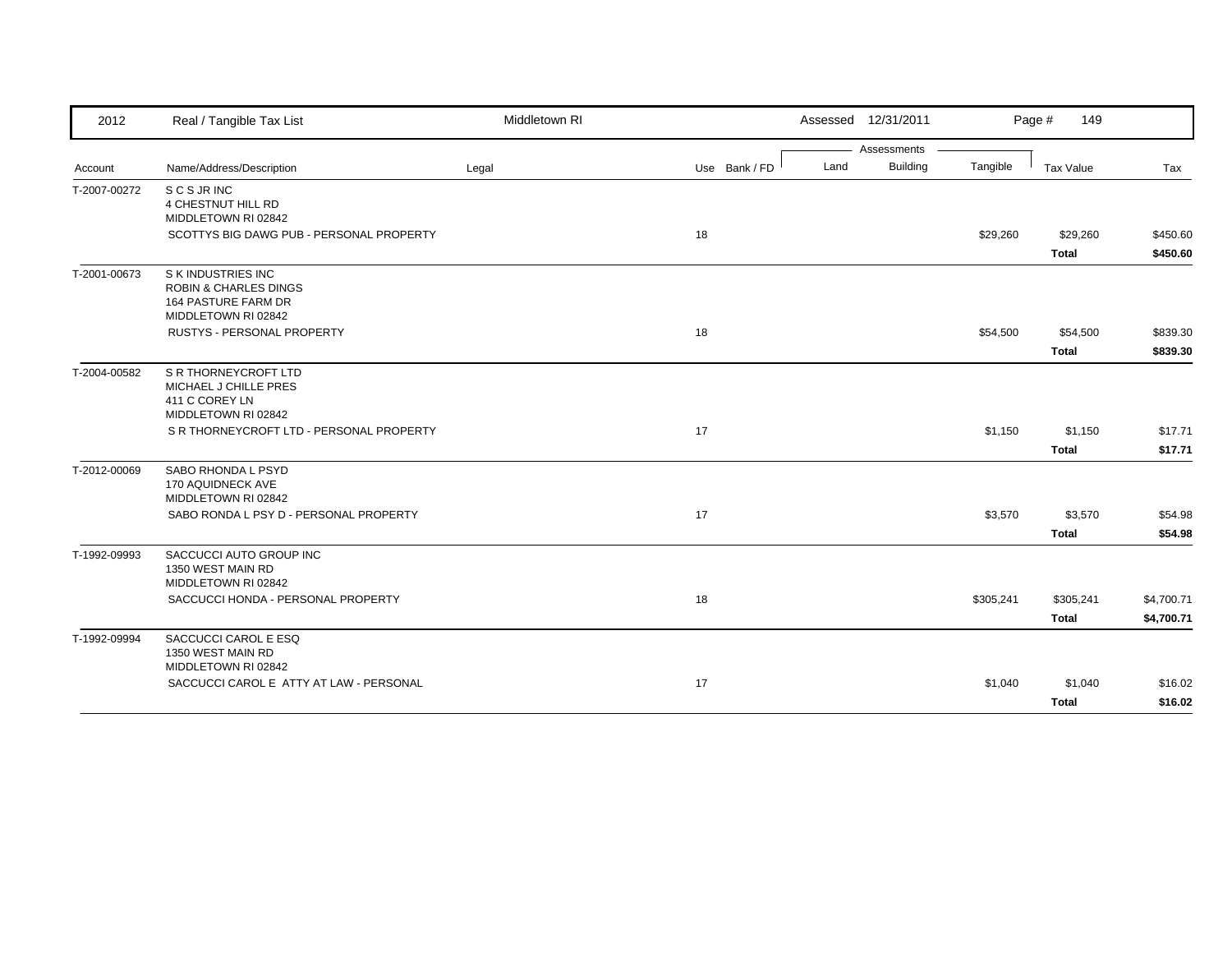| 2012         | Real / Tangible Tax List                                                                             | Middletown RI |               |      | Assessed 12/31/2011 |           | Page #<br>149    |            |
|--------------|------------------------------------------------------------------------------------------------------|---------------|---------------|------|---------------------|-----------|------------------|------------|
|              |                                                                                                      |               |               |      | Assessments         |           |                  |            |
| Account      | Name/Address/Description                                                                             | Legal         | Use Bank / FD | Land | <b>Building</b>     | Tangible  | <b>Tax Value</b> | Tax        |
| T-2007-00272 | S C S JR INC<br>4 CHESTNUT HILL RD<br>MIDDLETOWN RI 02842                                            |               |               |      |                     |           |                  |            |
|              | SCOTTYS BIG DAWG PUB - PERSONAL PROPERTY                                                             |               | 18            |      |                     | \$29,260  | \$29,260         | \$450.60   |
|              |                                                                                                      |               |               |      |                     |           | <b>Total</b>     | \$450.60   |
| T-2001-00673 | S K INDUSTRIES INC<br><b>ROBIN &amp; CHARLES DINGS</b><br>164 PASTURE FARM DR<br>MIDDLETOWN RI 02842 |               |               |      |                     |           |                  |            |
|              | RUSTYS - PERSONAL PROPERTY                                                                           |               | 18            |      |                     | \$54,500  | \$54,500         | \$839.30   |
|              |                                                                                                      |               |               |      |                     |           | <b>Total</b>     | \$839.30   |
| T-2004-00582 | S R THORNEYCROFT LTD<br>MICHAEL J CHILLE PRES<br>411 C COREY LN<br>MIDDLETOWN RI 02842               |               |               |      |                     |           |                  |            |
|              | S R THORNEYCROFT LTD - PERSONAL PROPERTY                                                             |               | 17            |      |                     | \$1,150   | \$1,150          | \$17.71    |
|              |                                                                                                      |               |               |      |                     |           | <b>Total</b>     | \$17.71    |
| T-2012-00069 | SABO RHONDA L PSYD<br>170 AQUIDNECK AVE<br>MIDDLETOWN RI 02842                                       |               |               |      |                     |           |                  |            |
|              | SABO RONDA L PSY D - PERSONAL PROPERTY                                                               |               | 17            |      |                     | \$3,570   | \$3,570          | \$54.98    |
|              |                                                                                                      |               |               |      |                     |           | <b>Total</b>     | \$54.98    |
| T-1992-09993 | SACCUCCI AUTO GROUP INC<br>1350 WEST MAIN RD<br>MIDDLETOWN RI 02842                                  |               |               |      |                     |           |                  |            |
|              | SACCUCCI HONDA - PERSONAL PROPERTY                                                                   |               | 18            |      |                     | \$305,241 | \$305,241        | \$4,700.71 |
|              |                                                                                                      |               |               |      |                     |           | <b>Total</b>     | \$4,700.71 |
| T-1992-09994 | SACCUCCI CAROL E ESQ<br>1350 WEST MAIN RD<br>MIDDLETOWN RI 02842                                     |               |               |      |                     |           |                  |            |
|              | SACCUCCI CAROL E ATTY AT LAW - PERSONAL                                                              |               | 17            |      |                     | \$1,040   | \$1,040          | \$16.02    |
|              |                                                                                                      |               |               |      |                     |           | <b>Total</b>     | \$16.02    |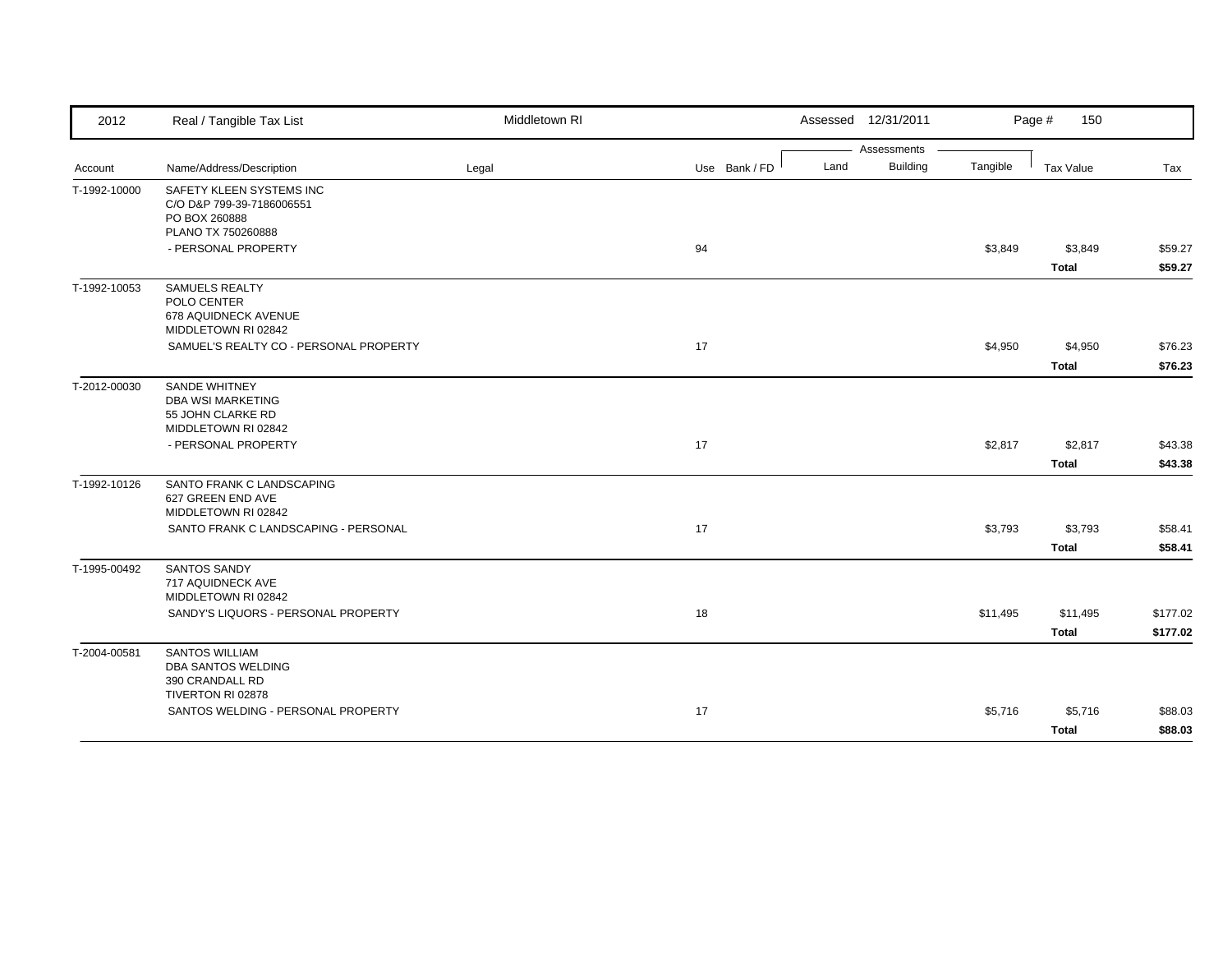| 2012         | Real / Tangible Tax List                                                                     | Middletown RI |                       | Assessed 12/31/2011 |          | Page #<br>150 |          |
|--------------|----------------------------------------------------------------------------------------------|---------------|-----------------------|---------------------|----------|---------------|----------|
|              |                                                                                              |               |                       | Assessments         |          |               |          |
| Account      | Name/Address/Description                                                                     | Legal         | Land<br>Use Bank / FD | <b>Building</b>     | Tangible | Tax Value     | Tax      |
| T-1992-10000 | SAFETY KLEEN SYSTEMS INC<br>C/O D&P 799-39-7186006551<br>PO BOX 260888<br>PLANO TX 750260888 |               |                       |                     |          |               |          |
|              | - PERSONAL PROPERTY                                                                          |               | 94                    |                     | \$3,849  | \$3,849       | \$59.27  |
|              |                                                                                              |               |                       |                     |          | <b>Total</b>  | \$59.27  |
| T-1992-10053 | <b>SAMUELS REALTY</b><br>POLO CENTER<br>678 AQUIDNECK AVENUE<br>MIDDLETOWN RI 02842          |               |                       |                     |          |               |          |
|              | SAMUEL'S REALTY CO - PERSONAL PROPERTY                                                       |               | 17                    |                     | \$4,950  | \$4,950       | \$76.23  |
|              |                                                                                              |               |                       |                     |          | Total         | \$76.23  |
| T-2012-00030 | <b>SANDE WHITNEY</b><br><b>DBA WSI MARKETING</b><br>55 JOHN CLARKE RD<br>MIDDLETOWN RI 02842 |               |                       |                     |          |               |          |
|              | - PERSONAL PROPERTY                                                                          |               | 17                    |                     | \$2,817  | \$2,817       | \$43.38  |
|              |                                                                                              |               |                       |                     |          | <b>Total</b>  | \$43.38  |
| T-1992-10126 | SANTO FRANK C LANDSCAPING<br>627 GREEN END AVE<br>MIDDLETOWN RI 02842                        |               |                       |                     |          |               |          |
|              | SANTO FRANK C LANDSCAPING - PERSONAL                                                         |               | 17                    |                     | \$3,793  | \$3,793       | \$58.41  |
|              |                                                                                              |               |                       |                     |          | <b>Total</b>  | \$58.41  |
| T-1995-00492 | <b>SANTOS SANDY</b><br>717 AQUIDNECK AVE<br>MIDDLETOWN RI 02842                              |               |                       |                     |          |               |          |
|              | SANDY'S LIQUORS - PERSONAL PROPERTY                                                          |               | 18                    |                     | \$11,495 | \$11,495      | \$177.02 |
|              |                                                                                              |               |                       |                     |          | Total         | \$177.02 |
| T-2004-00581 | <b>SANTOS WILLIAM</b><br>DBA SANTOS WELDING<br>390 CRANDALL RD                               |               |                       |                     |          |               |          |
|              | TIVERTON RI 02878<br>SANTOS WELDING - PERSONAL PROPERTY                                      |               | 17                    |                     | \$5,716  | \$5,716       | \$88.03  |
|              |                                                                                              |               |                       |                     |          | <b>Total</b>  | \$88.03  |
|              |                                                                                              |               |                       |                     |          |               |          |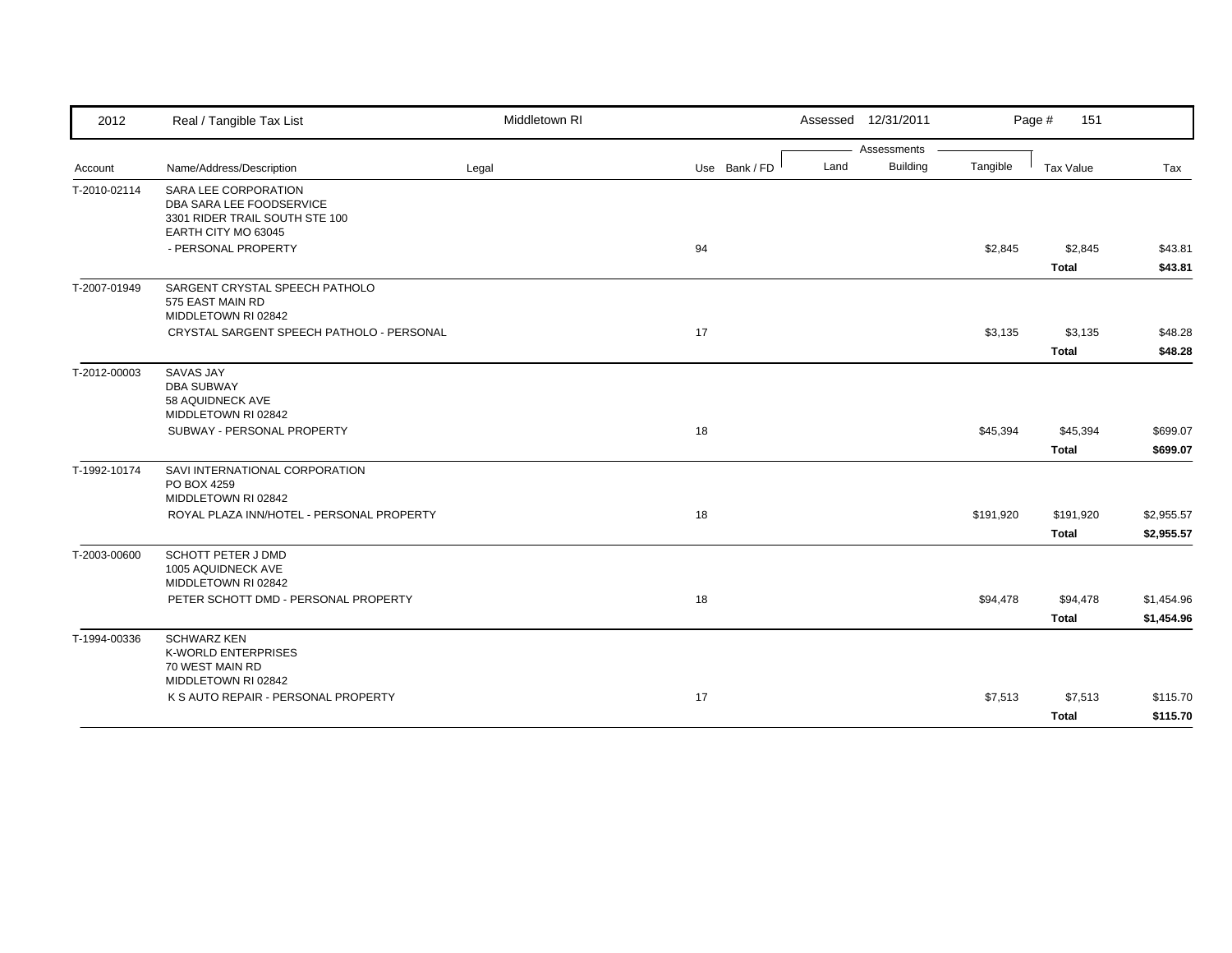| 2012         | Real / Tangible Tax List                                         | Middletown RI |               |      | Assessed 12/31/2011 |           | Page #<br>151    |            |
|--------------|------------------------------------------------------------------|---------------|---------------|------|---------------------|-----------|------------------|------------|
|              |                                                                  |               |               |      | Assessments         |           |                  |            |
| Account      | Name/Address/Description                                         | Legal         | Use Bank / FD | Land | <b>Building</b>     | Tangible  | <b>Tax Value</b> | Tax        |
| T-2010-02114 | SARA LEE CORPORATION                                             |               |               |      |                     |           |                  |            |
|              | DBA SARA LEE FOODSERVICE                                         |               |               |      |                     |           |                  |            |
|              | 3301 RIDER TRAIL SOUTH STE 100                                   |               |               |      |                     |           |                  |            |
|              | EARTH CITY MO 63045<br>- PERSONAL PROPERTY                       |               |               |      |                     |           |                  |            |
|              |                                                                  |               | 94            |      |                     | \$2,845   | \$2,845          | \$43.81    |
|              |                                                                  |               |               |      |                     |           | <b>Total</b>     | \$43.81    |
| T-2007-01949 | SARGENT CRYSTAL SPEECH PATHOLO                                   |               |               |      |                     |           |                  |            |
|              | 575 EAST MAIN RD                                                 |               |               |      |                     |           |                  |            |
|              | MIDDLETOWN RI 02842                                              |               |               |      |                     |           |                  |            |
|              | CRYSTAL SARGENT SPEECH PATHOLO - PERSONAL                        |               | 17            |      |                     | \$3,135   | \$3,135          | \$48.28    |
|              |                                                                  |               |               |      |                     |           | <b>Total</b>     | \$48.28    |
| T-2012-00003 | <b>SAVAS JAY</b>                                                 |               |               |      |                     |           |                  |            |
|              | <b>DBA SUBWAY</b>                                                |               |               |      |                     |           |                  |            |
|              | 58 AQUIDNECK AVE<br>MIDDLETOWN RI 02842                          |               |               |      |                     |           |                  |            |
|              | SUBWAY - PERSONAL PROPERTY                                       |               | 18            |      |                     | \$45,394  | \$45,394         | \$699.07   |
|              |                                                                  |               |               |      |                     |           |                  |            |
|              |                                                                  |               |               |      |                     |           | <b>Total</b>     | \$699.07   |
| T-1992-10174 | SAVI INTERNATIONAL CORPORATION                                   |               |               |      |                     |           |                  |            |
|              | PO BOX 4259                                                      |               |               |      |                     |           |                  |            |
|              | MIDDLETOWN RI 02842<br>ROYAL PLAZA INN/HOTEL - PERSONAL PROPERTY |               | 18            |      |                     |           | \$191,920        |            |
|              |                                                                  |               |               |      |                     | \$191,920 |                  | \$2,955.57 |
|              |                                                                  |               |               |      |                     |           | <b>Total</b>     | \$2,955.57 |
| T-2003-00600 | <b>SCHOTT PETER J DMD</b>                                        |               |               |      |                     |           |                  |            |
|              | 1005 AQUIDNECK AVE                                               |               |               |      |                     |           |                  |            |
|              | MIDDLETOWN RI 02842                                              |               |               |      |                     |           |                  |            |
|              | PETER SCHOTT DMD - PERSONAL PROPERTY                             |               | 18            |      |                     | \$94,478  | \$94,478         | \$1,454.96 |
|              |                                                                  |               |               |      |                     |           | <b>Total</b>     | \$1,454.96 |
| T-1994-00336 | <b>SCHWARZ KEN</b>                                               |               |               |      |                     |           |                  |            |
|              | <b>K-WORLD ENTERPRISES</b>                                       |               |               |      |                     |           |                  |            |
|              | 70 WEST MAIN RD<br>MIDDLETOWN RI 02842                           |               |               |      |                     |           |                  |            |
|              | K S AUTO REPAIR - PERSONAL PROPERTY                              |               | 17            |      |                     | \$7,513   | \$7,513          |            |
|              |                                                                  |               |               |      |                     |           |                  | \$115.70   |
|              |                                                                  |               |               |      |                     |           | <b>Total</b>     | \$115.70   |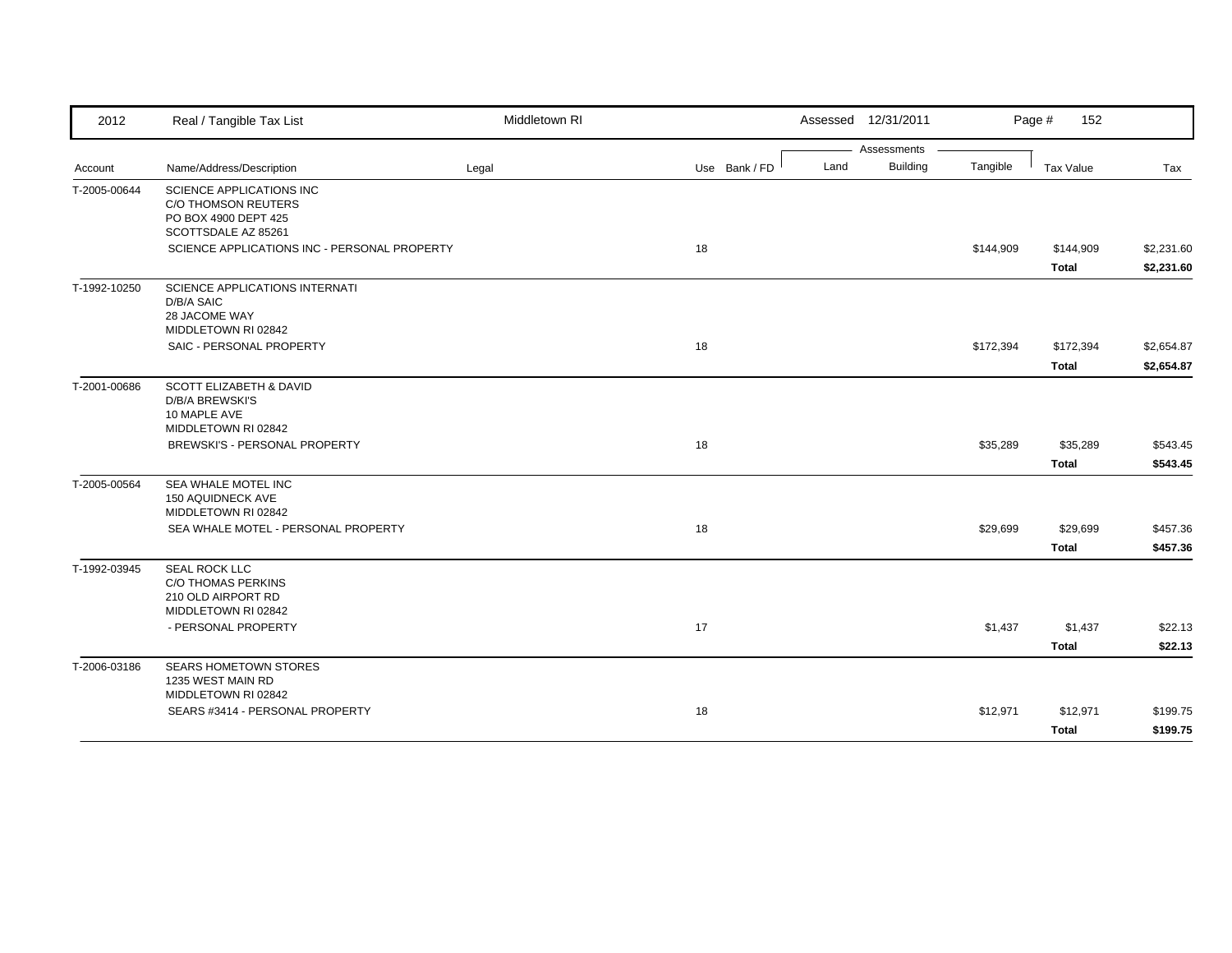| 2012         | Real / Tangible Tax List                                                                               | Middletown RI |               |      | Assessed 12/31/2011 |           | Page #<br>152 |            |
|--------------|--------------------------------------------------------------------------------------------------------|---------------|---------------|------|---------------------|-----------|---------------|------------|
|              |                                                                                                        |               |               |      | Assessments         |           |               |            |
| Account      | Name/Address/Description                                                                               | Legal         | Use Bank / FD | Land | <b>Building</b>     | Tangible  | Tax Value     | Tax        |
| T-2005-00644 | SCIENCE APPLICATIONS INC<br><b>C/O THOMSON REUTERS</b><br>PO BOX 4900 DEPT 425<br>SCOTTSDALE AZ 85261  |               |               |      |                     |           |               |            |
|              | SCIENCE APPLICATIONS INC - PERSONAL PROPERTY                                                           |               | 18            |      |                     | \$144,909 | \$144,909     | \$2,231.60 |
|              |                                                                                                        |               |               |      |                     |           | Total         | \$2,231.60 |
| T-1992-10250 | SCIENCE APPLICATIONS INTERNATI<br>D/B/A SAIC<br>28 JACOME WAY<br>MIDDLETOWN RI 02842                   |               |               |      |                     |           |               |            |
|              | SAIC - PERSONAL PROPERTY                                                                               |               | 18            |      |                     | \$172,394 | \$172,394     | \$2,654.87 |
|              |                                                                                                        |               |               |      |                     |           | <b>Total</b>  | \$2,654.87 |
| T-2001-00686 | <b>SCOTT ELIZABETH &amp; DAVID</b><br><b>D/B/A BREWSKI'S</b><br>10 MAPLE AVE<br>MIDDLETOWN RI 02842    |               |               |      |                     |           |               |            |
|              | BREWSKI'S - PERSONAL PROPERTY                                                                          |               | 18            |      |                     | \$35,289  | \$35,289      | \$543.45   |
|              |                                                                                                        |               |               |      |                     |           | <b>Total</b>  | \$543.45   |
| T-2005-00564 | SEA WHALE MOTEL INC<br>150 AQUIDNECK AVE<br>MIDDLETOWN RI 02842<br>SEA WHALE MOTEL - PERSONAL PROPERTY |               | 18            |      |                     | \$29,699  | \$29,699      | \$457.36   |
|              |                                                                                                        |               |               |      |                     |           | <b>Total</b>  | \$457.36   |
| T-1992-03945 | <b>SEAL ROCK LLC</b><br><b>C/O THOMAS PERKINS</b><br>210 OLD AIRPORT RD<br>MIDDLETOWN RI 02842         |               |               |      |                     |           |               |            |
|              | - PERSONAL PROPERTY                                                                                    |               | 17            |      |                     | \$1,437   | \$1,437       | \$22.13    |
|              |                                                                                                        |               |               |      |                     |           | <b>Total</b>  | \$22.13    |
| T-2006-03186 | <b>SEARS HOMETOWN STORES</b><br>1235 WEST MAIN RD<br>MIDDLETOWN RI 02842                               |               |               |      |                     |           |               |            |
|              | SEARS #3414 - PERSONAL PROPERTY                                                                        |               | 18            |      |                     | \$12,971  | \$12,971      | \$199.75   |
|              |                                                                                                        |               |               |      |                     |           | <b>Total</b>  | \$199.75   |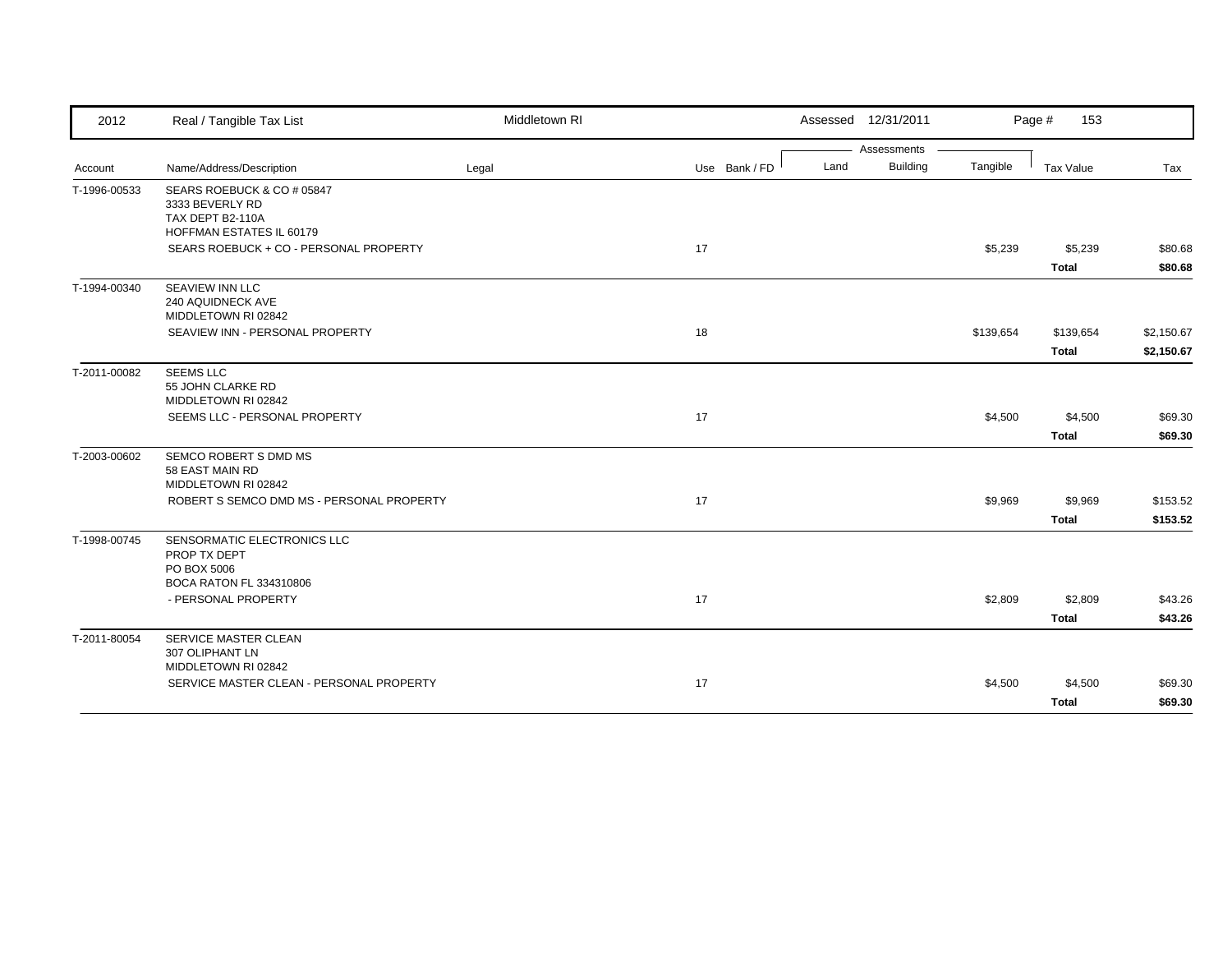| 2012         | Real / Tangible Tax List                                                                      | Middletown RI |               |      | Assessed 12/31/2011 |           | Page #<br>153 |            |
|--------------|-----------------------------------------------------------------------------------------------|---------------|---------------|------|---------------------|-----------|---------------|------------|
|              |                                                                                               |               |               |      | Assessments         |           |               |            |
| Account      | Name/Address/Description                                                                      | Legal         | Use Bank / FD | Land | Building            | Tangible  | Tax Value     | Tax        |
| T-1996-00533 | SEARS ROEBUCK & CO # 05847<br>3333 BEVERLY RD<br>TAX DEPT B2-110A<br>HOFFMAN ESTATES IL 60179 |               |               |      |                     |           |               |            |
|              | SEARS ROEBUCK + CO - PERSONAL PROPERTY                                                        |               | 17            |      |                     | \$5,239   | \$5,239       | \$80.68    |
|              |                                                                                               |               |               |      |                     |           | Total         | \$80.68    |
| T-1994-00340 | SEAVIEW INN LLC<br>240 AQUIDNECK AVE<br>MIDDLETOWN RI 02842                                   |               |               |      |                     |           |               |            |
|              | SEAVIEW INN - PERSONAL PROPERTY                                                               |               | 18            |      |                     | \$139,654 | \$139,654     | \$2,150.67 |
|              |                                                                                               |               |               |      |                     |           | <b>Total</b>  | \$2,150.67 |
| T-2011-00082 | <b>SEEMS LLC</b><br>55 JOHN CLARKE RD<br>MIDDLETOWN RI 02842                                  |               |               |      |                     |           |               |            |
|              | SEEMS LLC - PERSONAL PROPERTY                                                                 |               | 17            |      |                     | \$4,500   | \$4,500       | \$69.30    |
|              |                                                                                               |               |               |      |                     |           | <b>Total</b>  | \$69.30    |
| T-2003-00602 | SEMCO ROBERT S DMD MS<br>58 EAST MAIN RD<br>MIDDLETOWN RI 02842                               |               |               |      |                     |           |               |            |
|              | ROBERT S SEMCO DMD MS - PERSONAL PROPERTY                                                     |               | 17            |      |                     | \$9,969   | \$9,969       | \$153.52   |
|              |                                                                                               |               |               |      |                     |           | <b>Total</b>  | \$153.52   |
| T-1998-00745 | SENSORMATIC ELECTRONICS LLC<br>PROP TX DEPT<br>PO BOX 5006                                    |               |               |      |                     |           |               |            |
|              | BOCA RATON FL 334310806                                                                       |               |               |      |                     |           |               |            |
|              | - PERSONAL PROPERTY                                                                           |               | 17            |      |                     | \$2,809   | \$2,809       | \$43.26    |
|              |                                                                                               |               |               |      |                     |           | <b>Total</b>  | \$43.26    |
| T-2011-80054 | SERVICE MASTER CLEAN<br>307 OLIPHANT LN<br>MIDDLETOWN RI 02842                                |               |               |      |                     |           |               |            |
|              | SERVICE MASTER CLEAN - PERSONAL PROPERTY                                                      |               | 17            |      |                     | \$4,500   | \$4,500       | \$69.30    |
|              |                                                                                               |               |               |      |                     |           | <b>Total</b>  | \$69.30    |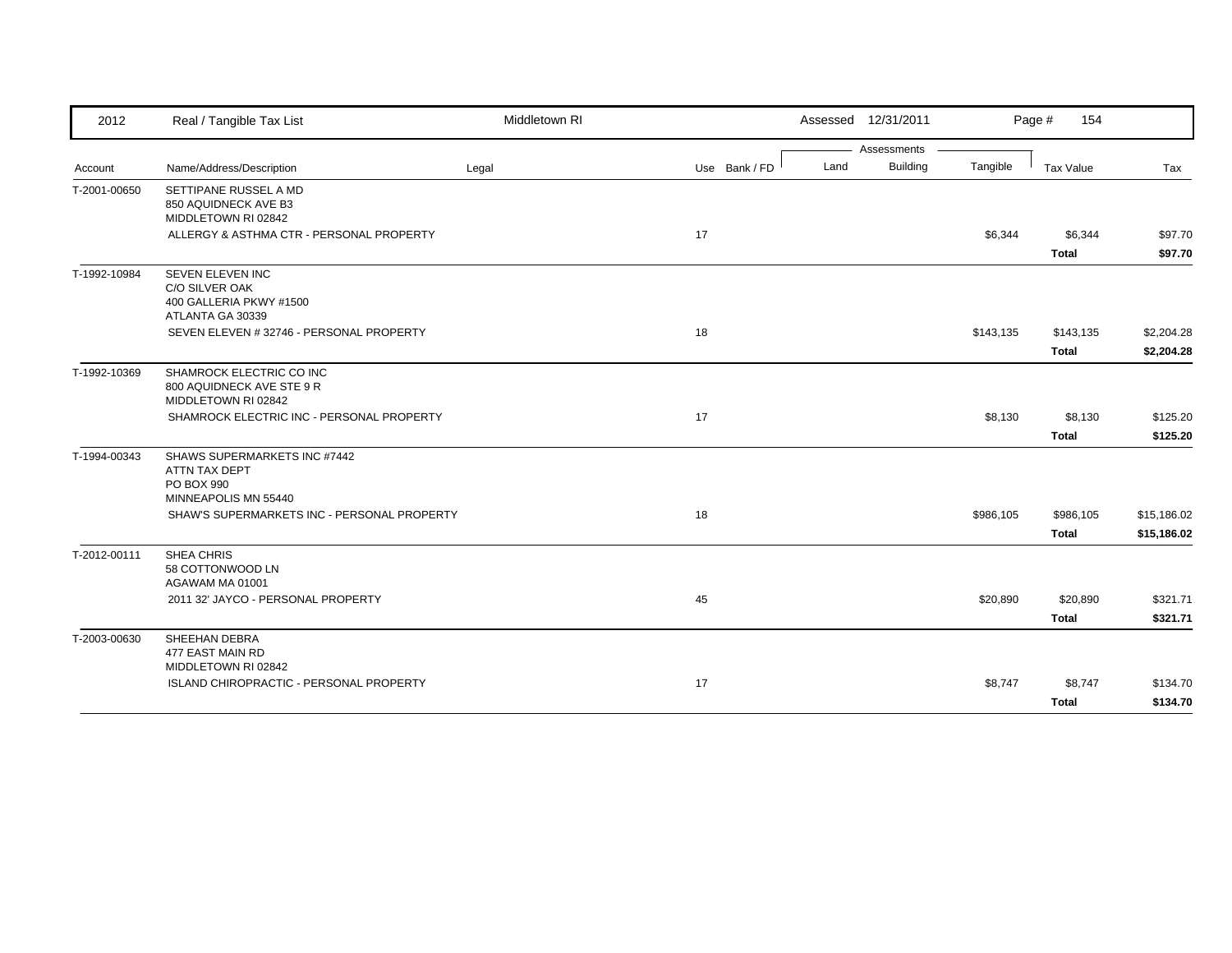| 2012         | Real / Tangible Tax List                                                            | Middletown RI |               | Assessed 12/31/2011     |           | Page #<br>154           |                    |
|--------------|-------------------------------------------------------------------------------------|---------------|---------------|-------------------------|-----------|-------------------------|--------------------|
|              |                                                                                     |               |               | Assessments             |           |                         |                    |
| Account      | Name/Address/Description                                                            | Legal         | Use Bank / FD | <b>Building</b><br>Land | Tangible  | <b>Tax Value</b>        | Tax                |
| T-2001-00650 | SETTIPANE RUSSEL A MD<br>850 AQUIDNECK AVE B3<br>MIDDLETOWN RI 02842                |               |               |                         |           |                         |                    |
|              | ALLERGY & ASTHMA CTR - PERSONAL PROPERTY                                            |               | 17            |                         | \$6,344   | \$6,344<br><b>Total</b> | \$97.70<br>\$97.70 |
| T-1992-10984 | SEVEN ELEVEN INC<br>C/O SILVER OAK<br>400 GALLERIA PKWY #1500<br>ATLANTA GA 30339   |               |               |                         |           |                         |                    |
|              | SEVEN ELEVEN #32746 - PERSONAL PROPERTY                                             |               | 18            |                         | \$143,135 | \$143,135               | \$2,204.28         |
|              |                                                                                     |               |               |                         |           | <b>Total</b>            | \$2,204.28         |
| T-1992-10369 | SHAMROCK ELECTRIC CO INC<br>800 AQUIDNECK AVE STE 9 R<br>MIDDLETOWN RI 02842        |               |               |                         |           |                         |                    |
|              | SHAMROCK ELECTRIC INC - PERSONAL PROPERTY                                           |               | 17            |                         | \$8,130   | \$8,130                 | \$125.20           |
|              |                                                                                     |               |               |                         |           | Total                   | \$125.20           |
| T-1994-00343 | SHAWS SUPERMARKETS INC #7442<br>ATTN TAX DEPT<br>PO BOX 990<br>MINNEAPOLIS MN 55440 |               |               |                         |           |                         |                    |
|              | SHAW'S SUPERMARKETS INC - PERSONAL PROPERTY                                         |               | 18            |                         | \$986,105 | \$986,105               | \$15,186.02        |
|              |                                                                                     |               |               |                         |           | <b>Total</b>            | \$15,186.02        |
| T-2012-00111 | SHEA CHRIS<br>58 COTTONWOOD LN<br>AGAWAM MA 01001                                   |               |               |                         |           |                         |                    |
|              | 2011 32' JAYCO - PERSONAL PROPERTY                                                  |               | 45            |                         | \$20,890  | \$20,890                | \$321.71           |
|              |                                                                                     |               |               |                         |           | <b>Total</b>            | \$321.71           |
| T-2003-00630 | SHEEHAN DEBRA<br>477 EAST MAIN RD<br>MIDDLETOWN RI 02842                            |               |               |                         |           |                         |                    |
|              | ISLAND CHIROPRACTIC - PERSONAL PROPERTY                                             |               | 17            |                         | \$8,747   | \$8,747                 | \$134.70           |
|              |                                                                                     |               |               |                         |           | <b>Total</b>            | \$134.70           |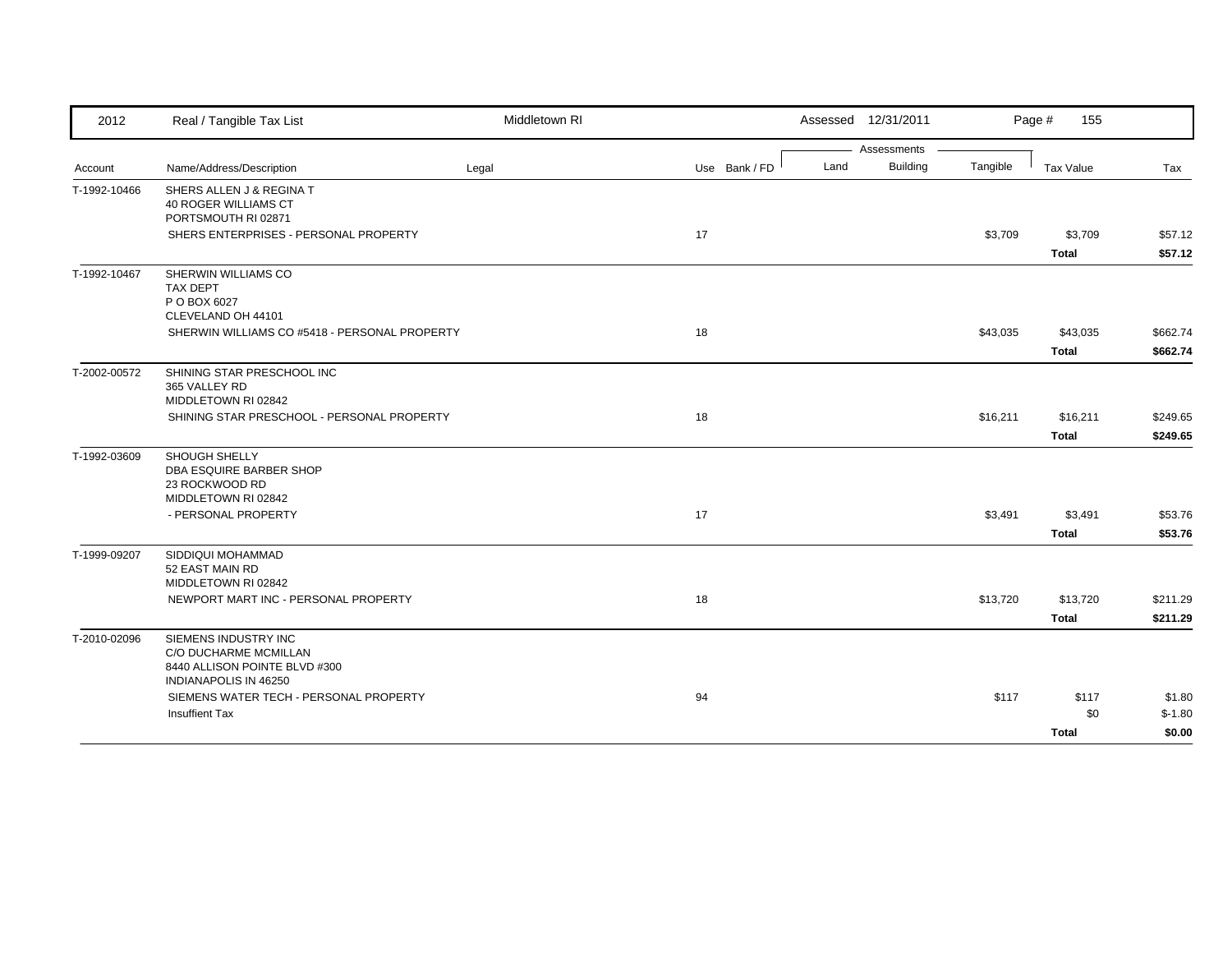| 2012         | Real / Tangible Tax List                                                                                | Middletown RI |               | Assessed 12/31/2011 |                 |          | Page #<br>155 |          |
|--------------|---------------------------------------------------------------------------------------------------------|---------------|---------------|---------------------|-----------------|----------|---------------|----------|
|              |                                                                                                         |               |               |                     | Assessments     |          |               |          |
| Account      | Name/Address/Description                                                                                | Legal         | Use Bank / FD | Land                | <b>Building</b> | Tangible | Tax Value     | Tax      |
| T-1992-10466 | SHERS ALLEN J & REGINA T<br><b>40 ROGER WILLIAMS CT</b><br>PORTSMOUTH RI 02871                          |               |               |                     |                 |          |               |          |
|              | SHERS ENTERPRISES - PERSONAL PROPERTY                                                                   |               | 17            |                     |                 | \$3,709  | \$3,709       | \$57.12  |
|              |                                                                                                         |               |               |                     |                 |          | <b>Total</b>  | \$57.12  |
| T-1992-10467 | SHERWIN WILLIAMS CO<br><b>TAX DEPT</b><br>P O BOX 6027<br>CLEVELAND OH 44101                            |               |               |                     |                 |          |               |          |
|              | SHERWIN WILLIAMS CO #5418 - PERSONAL PROPERTY                                                           |               | 18            |                     |                 | \$43,035 | \$43,035      | \$662.74 |
|              |                                                                                                         |               |               |                     |                 |          | <b>Total</b>  | \$662.74 |
| T-2002-00572 | SHINING STAR PRESCHOOL INC<br>365 VALLEY RD<br>MIDDLETOWN RI 02842                                      |               |               |                     |                 |          |               |          |
|              | SHINING STAR PRESCHOOL - PERSONAL PROPERTY                                                              |               | 18            |                     |                 | \$16,211 | \$16,211      | \$249.65 |
|              |                                                                                                         |               |               |                     |                 |          | <b>Total</b>  | \$249.65 |
| T-1992-03609 | SHOUGH SHELLY<br>DBA ESQUIRE BARBER SHOP<br>23 ROCKWOOD RD<br>MIDDLETOWN RI 02842                       |               |               |                     |                 |          |               |          |
|              | - PERSONAL PROPERTY                                                                                     |               | 17            |                     |                 | \$3,491  | \$3,491       | \$53.76  |
|              |                                                                                                         |               |               |                     |                 |          | <b>Total</b>  | \$53.76  |
| T-1999-09207 | SIDDIQUI MOHAMMAD<br>52 EAST MAIN RD<br>MIDDLETOWN RI 02842                                             |               |               |                     |                 |          |               |          |
|              | NEWPORT MART INC - PERSONAL PROPERTY                                                                    |               | 18            |                     |                 | \$13,720 | \$13,720      | \$211.29 |
|              |                                                                                                         |               |               |                     |                 |          | <b>Total</b>  | \$211.29 |
| T-2010-02096 | SIEMENS INDUSTRY INC<br>C/O DUCHARME MCMILLAN<br>8440 ALLISON POINTE BLVD #300<br>INDIANAPOLIS IN 46250 |               |               |                     |                 |          |               |          |
|              | SIEMENS WATER TECH - PERSONAL PROPERTY                                                                  |               | 94            |                     |                 | \$117    | \$117         | \$1.80   |
|              | <b>Insuffient Tax</b>                                                                                   |               |               |                     |                 |          | \$0           | $$-1.80$ |
|              |                                                                                                         |               |               |                     |                 |          | <b>Total</b>  | \$0.00   |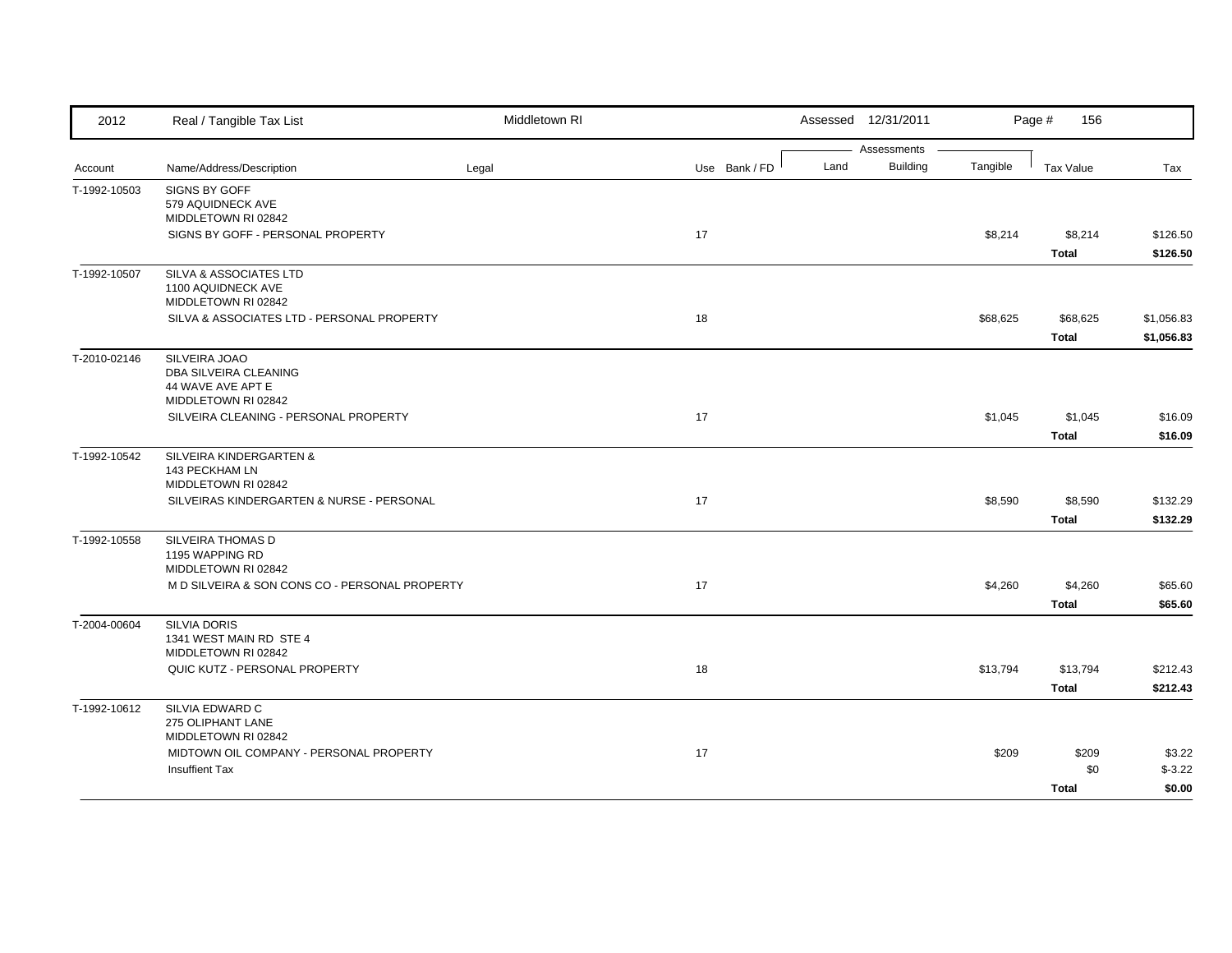| 2012         | Real / Tangible Tax List                                                                       | Middletown RI |               |      | Assessed 12/31/2011            |          | Page #<br>156            |                          |
|--------------|------------------------------------------------------------------------------------------------|---------------|---------------|------|--------------------------------|----------|--------------------------|--------------------------|
| Account      | Name/Address/Description                                                                       | Legal         | Use Bank / FD | Land | Assessments<br><b>Building</b> | Tangible | <b>Tax Value</b>         | Tax                      |
| T-1992-10503 | SIGNS BY GOFF<br>579 AQUIDNECK AVE<br>MIDDLETOWN RI 02842<br>SIGNS BY GOFF - PERSONAL PROPERTY |               | 17            |      |                                | \$8,214  | \$8,214                  | \$126.50                 |
| T-1992-10507 | SILVA & ASSOCIATES LTD<br>1100 AQUIDNECK AVE<br>MIDDLETOWN RI 02842                            |               |               |      |                                |          | <b>Total</b>             | \$126.50                 |
|              | SILVA & ASSOCIATES LTD - PERSONAL PROPERTY                                                     |               | 18            |      |                                | \$68,625 | \$68,625<br><b>Total</b> | \$1,056.83<br>\$1,056.83 |
| T-2010-02146 | SILVEIRA JOAO<br>DBA SILVEIRA CLEANING<br>44 WAVE AVE APT E<br>MIDDLETOWN RI 02842             |               |               |      |                                |          |                          |                          |
|              | SILVEIRA CLEANING - PERSONAL PROPERTY                                                          |               | 17            |      |                                | \$1,045  | \$1,045<br><b>Total</b>  | \$16.09<br>\$16.09       |
| T-1992-10542 | SILVEIRA KINDERGARTEN &<br>143 PECKHAM LN<br>MIDDLETOWN RI 02842                               |               |               |      |                                |          |                          |                          |
|              | SILVEIRAS KINDERGARTEN & NURSE - PERSONAL                                                      |               | 17            |      |                                | \$8,590  | \$8,590<br><b>Total</b>  | \$132.29<br>\$132.29     |
| T-1992-10558 | SILVEIRA THOMAS D<br>1195 WAPPING RD<br>MIDDLETOWN RI 02842                                    |               |               |      |                                |          |                          |                          |
|              | M D SILVEIRA & SON CONS CO - PERSONAL PROPERTY                                                 |               | 17            |      |                                | \$4,260  | \$4,260<br><b>Total</b>  | \$65.60<br>\$65.60       |
| T-2004-00604 | <b>SILVIA DORIS</b><br>1341 WEST MAIN RD STE 4<br>MIDDLETOWN RI 02842                          |               |               |      |                                |          |                          |                          |
|              | QUIC KUTZ - PERSONAL PROPERTY                                                                  |               | 18            |      |                                | \$13,794 | \$13,794<br><b>Total</b> | \$212.43<br>\$212.43     |
| T-1992-10612 | SILVIA EDWARD C<br>275 OLIPHANT LANE<br>MIDDLETOWN RI 02842                                    |               |               |      |                                |          |                          |                          |
|              | MIDTOWN OIL COMPANY - PERSONAL PROPERTY<br><b>Insuffient Tax</b>                               |               | 17            |      |                                | \$209    | \$209<br>\$0             | \$3.22<br>$$-3.22$       |
|              |                                                                                                |               |               |      |                                |          | Total                    | \$0.00                   |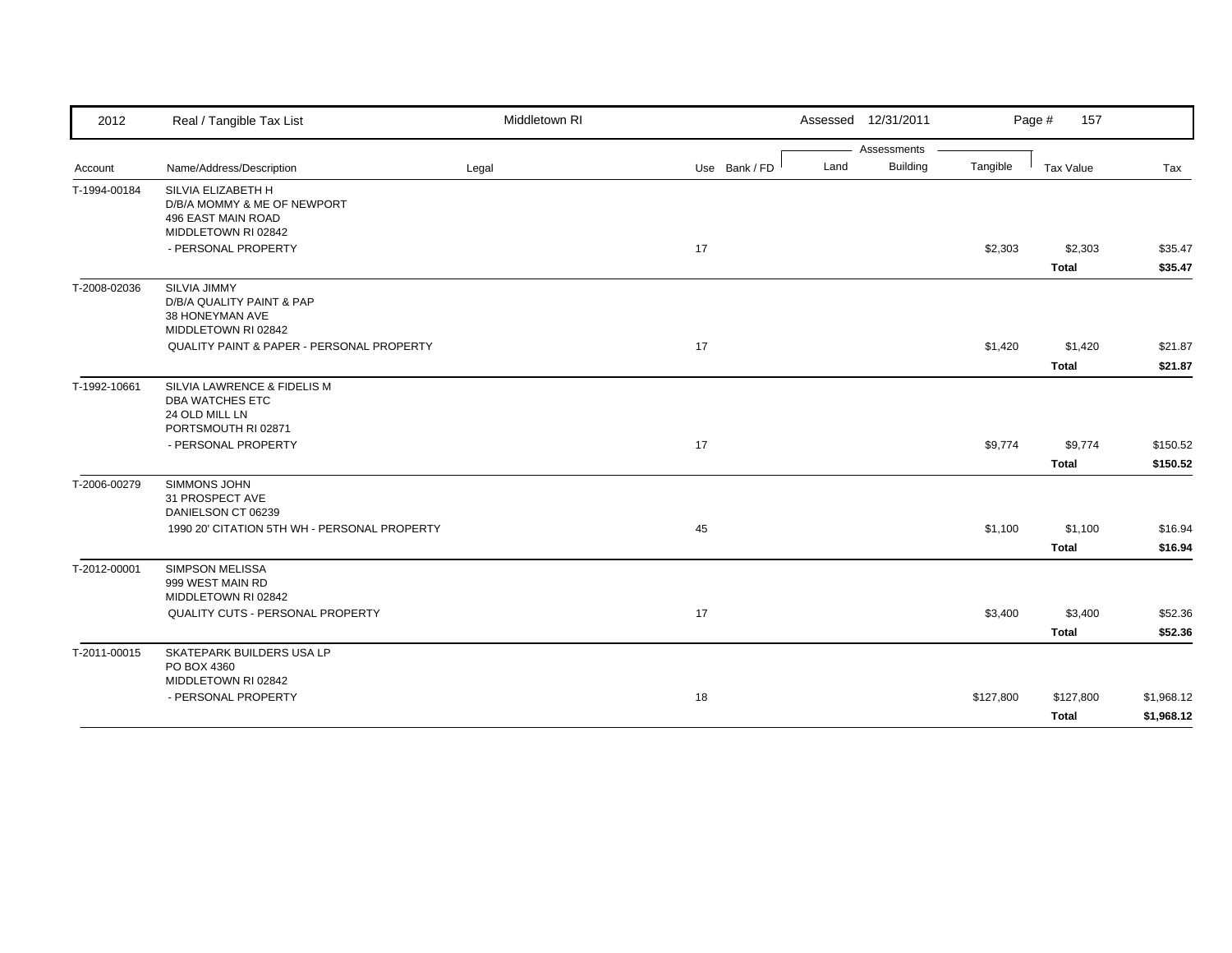| 2012         | Real / Tangible Tax List                              | Middletown RI |               |      | Assessed 12/31/2011 |           | Page #<br>157    |            |
|--------------|-------------------------------------------------------|---------------|---------------|------|---------------------|-----------|------------------|------------|
|              |                                                       |               |               |      | Assessments         |           |                  |            |
| Account      | Name/Address/Description                              | Legal         | Use Bank / FD | Land | <b>Building</b>     | Tangible  | <b>Tax Value</b> | Tax        |
| T-1994-00184 | SILVIA ELIZABETH H                                    |               |               |      |                     |           |                  |            |
|              | D/B/A MOMMY & ME OF NEWPORT                           |               |               |      |                     |           |                  |            |
|              | <b>496 EAST MAIN ROAD</b><br>MIDDLETOWN RI 02842      |               |               |      |                     |           |                  |            |
|              | - PERSONAL PROPERTY                                   |               | 17            |      |                     | \$2,303   | \$2,303          | \$35.47    |
|              |                                                       |               |               |      |                     |           |                  |            |
|              |                                                       |               |               |      |                     |           | <b>Total</b>     | \$35.47    |
| T-2008-02036 | SILVIA JIMMY                                          |               |               |      |                     |           |                  |            |
|              | D/B/A QUALITY PAINT & PAP<br>38 HONEYMAN AVE          |               |               |      |                     |           |                  |            |
|              | MIDDLETOWN RI 02842                                   |               |               |      |                     |           |                  |            |
|              | QUALITY PAINT & PAPER - PERSONAL PROPERTY             |               | 17            |      |                     | \$1,420   | \$1,420          | \$21.87    |
|              |                                                       |               |               |      |                     |           | <b>Total</b>     | \$21.87    |
|              |                                                       |               |               |      |                     |           |                  |            |
| T-1992-10661 | SILVIA LAWRENCE & FIDELIS M<br><b>DBA WATCHES ETC</b> |               |               |      |                     |           |                  |            |
|              | 24 OLD MILL LN                                        |               |               |      |                     |           |                  |            |
|              | PORTSMOUTH RI 02871                                   |               |               |      |                     |           |                  |            |
|              | - PERSONAL PROPERTY                                   |               | 17            |      |                     | \$9,774   | \$9,774          | \$150.52   |
|              |                                                       |               |               |      |                     |           | <b>Total</b>     | \$150.52   |
| T-2006-00279 | SIMMONS JOHN                                          |               |               |      |                     |           |                  |            |
|              | 31 PROSPECT AVE                                       |               |               |      |                     |           |                  |            |
|              | DANIELSON CT 06239                                    |               |               |      |                     |           |                  |            |
|              | 1990 20' CITATION 5TH WH - PERSONAL PROPERTY          |               | 45            |      |                     | \$1,100   | \$1,100          | \$16.94    |
|              |                                                       |               |               |      |                     |           | <b>Total</b>     | \$16.94    |
| T-2012-00001 | SIMPSON MELISSA                                       |               |               |      |                     |           |                  |            |
|              | 999 WEST MAIN RD                                      |               |               |      |                     |           |                  |            |
|              | MIDDLETOWN RI 02842                                   |               |               |      |                     |           |                  |            |
|              | QUALITY CUTS - PERSONAL PROPERTY                      |               | 17            |      |                     | \$3,400   | \$3,400          | \$52.36    |
|              |                                                       |               |               |      |                     |           | <b>Total</b>     | \$52.36    |
| T-2011-00015 | SKATEPARK BUILDERS USA LP                             |               |               |      |                     |           |                  |            |
|              | PO BOX 4360                                           |               |               |      |                     |           |                  |            |
|              | MIDDLETOWN RI 02842                                   |               |               |      |                     |           |                  |            |
|              | - PERSONAL PROPERTY                                   |               | 18            |      |                     | \$127,800 | \$127,800        | \$1,968.12 |
|              |                                                       |               |               |      |                     |           | <b>Total</b>     | \$1,968.12 |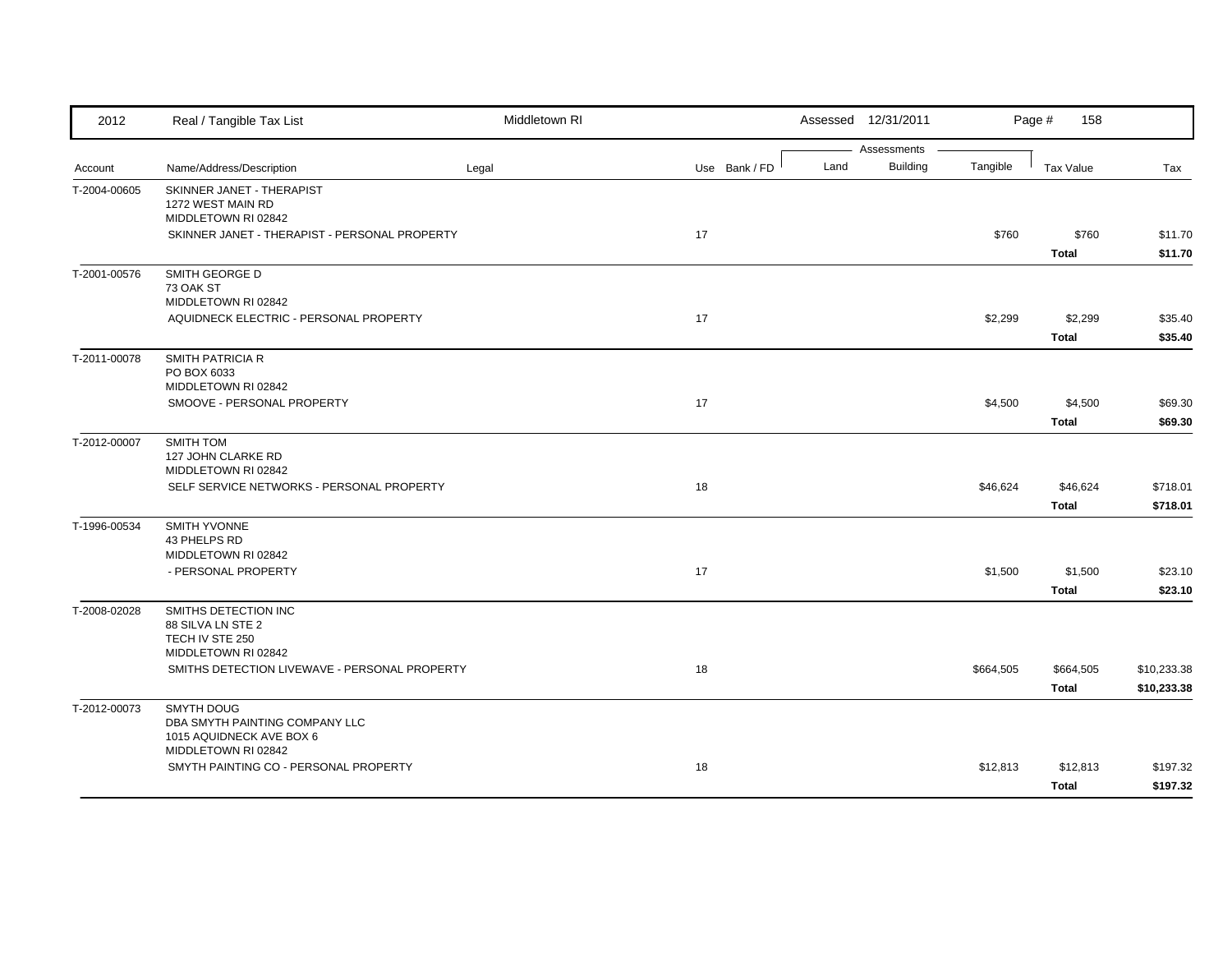| 2012         | Real / Tangible Tax List                                                        | Middletown RI |               |      | Assessed 12/31/2011            |           | Page #<br>158             |                            |
|--------------|---------------------------------------------------------------------------------|---------------|---------------|------|--------------------------------|-----------|---------------------------|----------------------------|
| Account      | Name/Address/Description                                                        | Legal         | Use Bank / FD | Land | Assessments<br><b>Building</b> | Tangible  | Tax Value                 | Tax                        |
| T-2004-00605 | SKINNER JANET - THERAPIST<br>1272 WEST MAIN RD<br>MIDDLETOWN RI 02842           |               |               |      |                                |           |                           |                            |
|              | SKINNER JANET - THERAPIST - PERSONAL PROPERTY                                   |               | 17            |      |                                | \$760     | \$760<br><b>Total</b>     | \$11.70<br>\$11.70         |
| T-2001-00576 | SMITH GEORGE D<br>73 OAK ST<br>MIDDLETOWN RI 02842                              |               |               |      |                                |           |                           |                            |
|              | AQUIDNECK ELECTRIC - PERSONAL PROPERTY                                          |               | 17            |      |                                | \$2,299   | \$2,299<br><b>Total</b>   | \$35.40<br>\$35.40         |
| T-2011-00078 | <b>SMITH PATRICIA R</b><br>PO BOX 6033<br>MIDDLETOWN RI 02842                   |               |               |      |                                |           |                           |                            |
|              | SMOOVE - PERSONAL PROPERTY                                                      |               | 17            |      |                                | \$4,500   | \$4,500<br><b>Total</b>   | \$69.30<br>\$69.30         |
| T-2012-00007 | SMITH TOM<br>127 JOHN CLARKE RD                                                 |               |               |      |                                |           |                           |                            |
|              | MIDDLETOWN RI 02842<br>SELF SERVICE NETWORKS - PERSONAL PROPERTY                |               | 18            |      |                                | \$46,624  | \$46,624<br><b>Total</b>  | \$718.01<br>\$718.01       |
| T-1996-00534 | <b>SMITH YVONNE</b><br>43 PHELPS RD<br>MIDDLETOWN RI 02842                      |               |               |      |                                |           |                           |                            |
|              | - PERSONAL PROPERTY                                                             |               | 17            |      |                                | \$1,500   | \$1,500<br><b>Total</b>   | \$23.10<br>\$23.10         |
| T-2008-02028 | SMITHS DETECTION INC<br>88 SILVA LN STE 2<br>TECH IV STE 250                    |               |               |      |                                |           |                           |                            |
|              | MIDDLETOWN RI 02842<br>SMITHS DETECTION LIVEWAVE - PERSONAL PROPERTY            |               | 18            |      |                                | \$664,505 | \$664,505<br><b>Total</b> | \$10,233.38<br>\$10,233.38 |
| T-2012-00073 | <b>SMYTH DOUG</b><br>DBA SMYTH PAINTING COMPANY LLC<br>1015 AQUIDNECK AVE BOX 6 |               |               |      |                                |           |                           |                            |
|              | MIDDLETOWN RI 02842<br>SMYTH PAINTING CO - PERSONAL PROPERTY                    |               | 18            |      |                                | \$12,813  | \$12,813<br><b>Total</b>  | \$197.32<br>\$197.32       |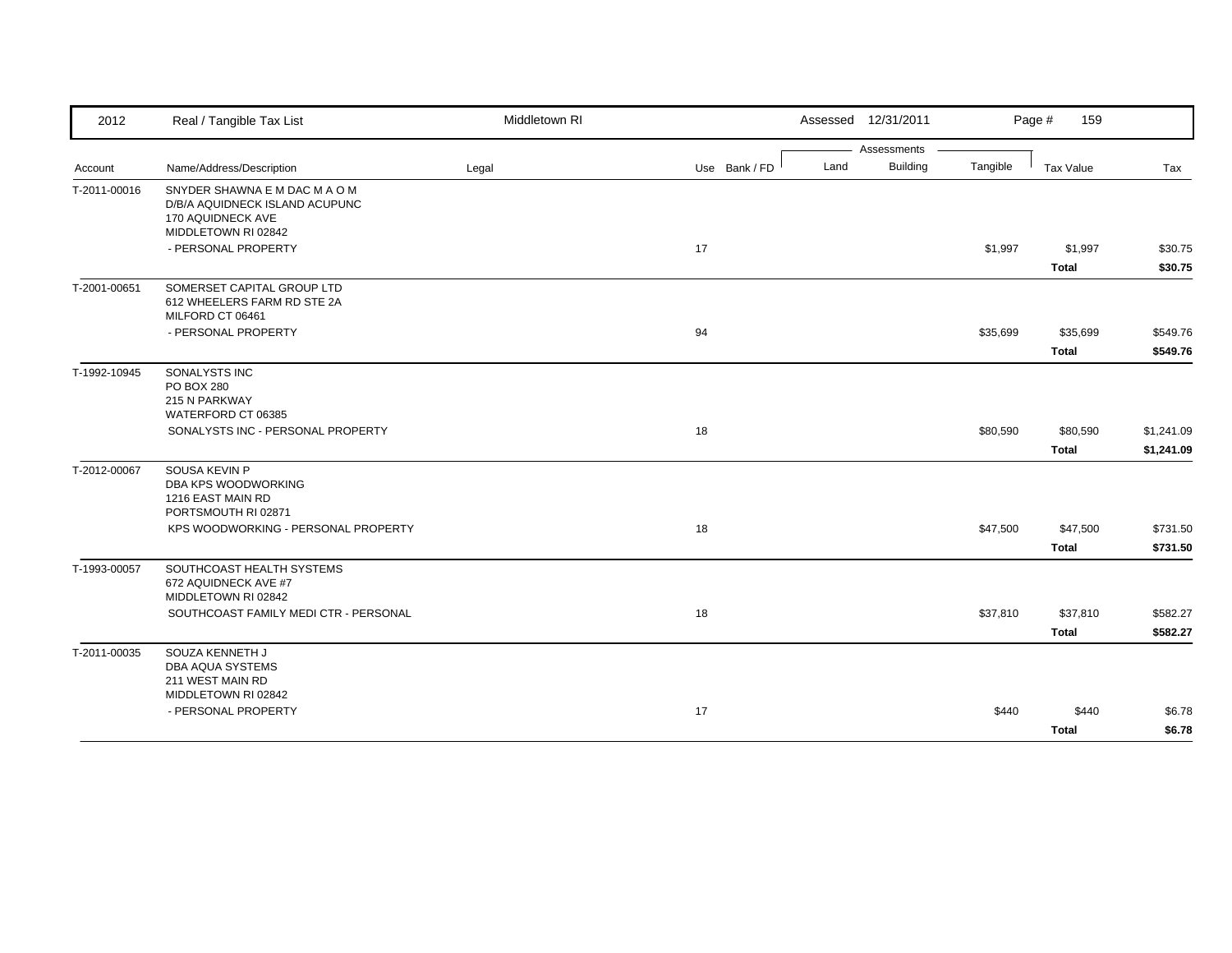| Assessments<br><b>Building</b><br>Land<br>Tangible<br>Name/Address/Description<br>Use Bank / FD<br>Tax Value<br>Legal<br>Tax<br>SNYDER SHAWNA E M DAC M A O M<br>D/B/A AQUIDNECK ISLAND ACUPUNC<br>170 AQUIDNECK AVE<br>MIDDLETOWN RI 02842<br>- PERSONAL PROPERTY<br>17<br>\$1,997<br>\$1,997<br>\$30.75<br>\$30.75<br>Total<br>SOMERSET CAPITAL GROUP LTD<br>612 WHEELERS FARM RD STE 2A<br>MILFORD CT 06461<br>- PERSONAL PROPERTY<br>94<br>\$35,699<br>\$35,699<br>\$549.76<br><b>Total</b><br>\$549.76<br>SONALYSTS INC<br><b>PO BOX 280</b><br>215 N PARKWAY<br>WATERFORD CT 06385<br>SONALYSTS INC - PERSONAL PROPERTY<br>18<br>\$80,590<br>\$80,590<br>\$1,241.09<br><b>Total</b><br>\$1,241.09<br>SOUSA KEVIN P<br>DBA KPS WOODWORKING<br>1216 EAST MAIN RD<br>PORTSMOUTH RI 02871<br>KPS WOODWORKING - PERSONAL PROPERTY<br>18<br>\$47,500<br>\$47,500<br>\$731.50 | 2012         | Real / Tangible Tax List | Middletown RI | Assessed 12/31/2011 | Page #<br>159 |  |
|------------------------------------------------------------------------------------------------------------------------------------------------------------------------------------------------------------------------------------------------------------------------------------------------------------------------------------------------------------------------------------------------------------------------------------------------------------------------------------------------------------------------------------------------------------------------------------------------------------------------------------------------------------------------------------------------------------------------------------------------------------------------------------------------------------------------------------------------------------------------------|--------------|--------------------------|---------------|---------------------|---------------|--|
|                                                                                                                                                                                                                                                                                                                                                                                                                                                                                                                                                                                                                                                                                                                                                                                                                                                                              |              |                          |               |                     |               |  |
|                                                                                                                                                                                                                                                                                                                                                                                                                                                                                                                                                                                                                                                                                                                                                                                                                                                                              | Account      |                          |               |                     |               |  |
|                                                                                                                                                                                                                                                                                                                                                                                                                                                                                                                                                                                                                                                                                                                                                                                                                                                                              | T-2011-00016 |                          |               |                     |               |  |
|                                                                                                                                                                                                                                                                                                                                                                                                                                                                                                                                                                                                                                                                                                                                                                                                                                                                              |              |                          |               |                     |               |  |
|                                                                                                                                                                                                                                                                                                                                                                                                                                                                                                                                                                                                                                                                                                                                                                                                                                                                              |              |                          |               |                     |               |  |
|                                                                                                                                                                                                                                                                                                                                                                                                                                                                                                                                                                                                                                                                                                                                                                                                                                                                              | T-2001-00651 |                          |               |                     |               |  |
|                                                                                                                                                                                                                                                                                                                                                                                                                                                                                                                                                                                                                                                                                                                                                                                                                                                                              |              |                          |               |                     |               |  |
|                                                                                                                                                                                                                                                                                                                                                                                                                                                                                                                                                                                                                                                                                                                                                                                                                                                                              | T-1992-10945 |                          |               |                     |               |  |
|                                                                                                                                                                                                                                                                                                                                                                                                                                                                                                                                                                                                                                                                                                                                                                                                                                                                              |              |                          |               |                     |               |  |
|                                                                                                                                                                                                                                                                                                                                                                                                                                                                                                                                                                                                                                                                                                                                                                                                                                                                              |              |                          |               |                     |               |  |
|                                                                                                                                                                                                                                                                                                                                                                                                                                                                                                                                                                                                                                                                                                                                                                                                                                                                              | T-2012-00067 |                          |               |                     |               |  |
|                                                                                                                                                                                                                                                                                                                                                                                                                                                                                                                                                                                                                                                                                                                                                                                                                                                                              |              |                          |               |                     |               |  |
| <b>Total</b><br>\$731.50                                                                                                                                                                                                                                                                                                                                                                                                                                                                                                                                                                                                                                                                                                                                                                                                                                                     |              |                          |               |                     |               |  |
| SOUTHCOAST HEALTH SYSTEMS<br>672 AQUIDNECK AVE #7<br>MIDDLETOWN RI 02842                                                                                                                                                                                                                                                                                                                                                                                                                                                                                                                                                                                                                                                                                                                                                                                                     | T-1993-00057 |                          |               |                     |               |  |
| SOUTHCOAST FAMILY MEDI CTR - PERSONAL<br>18<br>\$37,810<br>\$37,810<br>\$582.27                                                                                                                                                                                                                                                                                                                                                                                                                                                                                                                                                                                                                                                                                                                                                                                              |              |                          |               |                     |               |  |
| Total<br>\$582.27                                                                                                                                                                                                                                                                                                                                                                                                                                                                                                                                                                                                                                                                                                                                                                                                                                                            |              |                          |               |                     |               |  |
| SOUZA KENNETH J<br>DBA AQUA SYSTEMS<br>211 WEST MAIN RD                                                                                                                                                                                                                                                                                                                                                                                                                                                                                                                                                                                                                                                                                                                                                                                                                      | T-2011-00035 |                          |               |                     |               |  |
| MIDDLETOWN RI 02842<br>- PERSONAL PROPERTY<br>17<br>\$440<br>\$440<br>\$6.78                                                                                                                                                                                                                                                                                                                                                                                                                                                                                                                                                                                                                                                                                                                                                                                                 |              |                          |               |                     |               |  |
| \$6.78<br><b>Total</b>                                                                                                                                                                                                                                                                                                                                                                                                                                                                                                                                                                                                                                                                                                                                                                                                                                                       |              |                          |               |                     |               |  |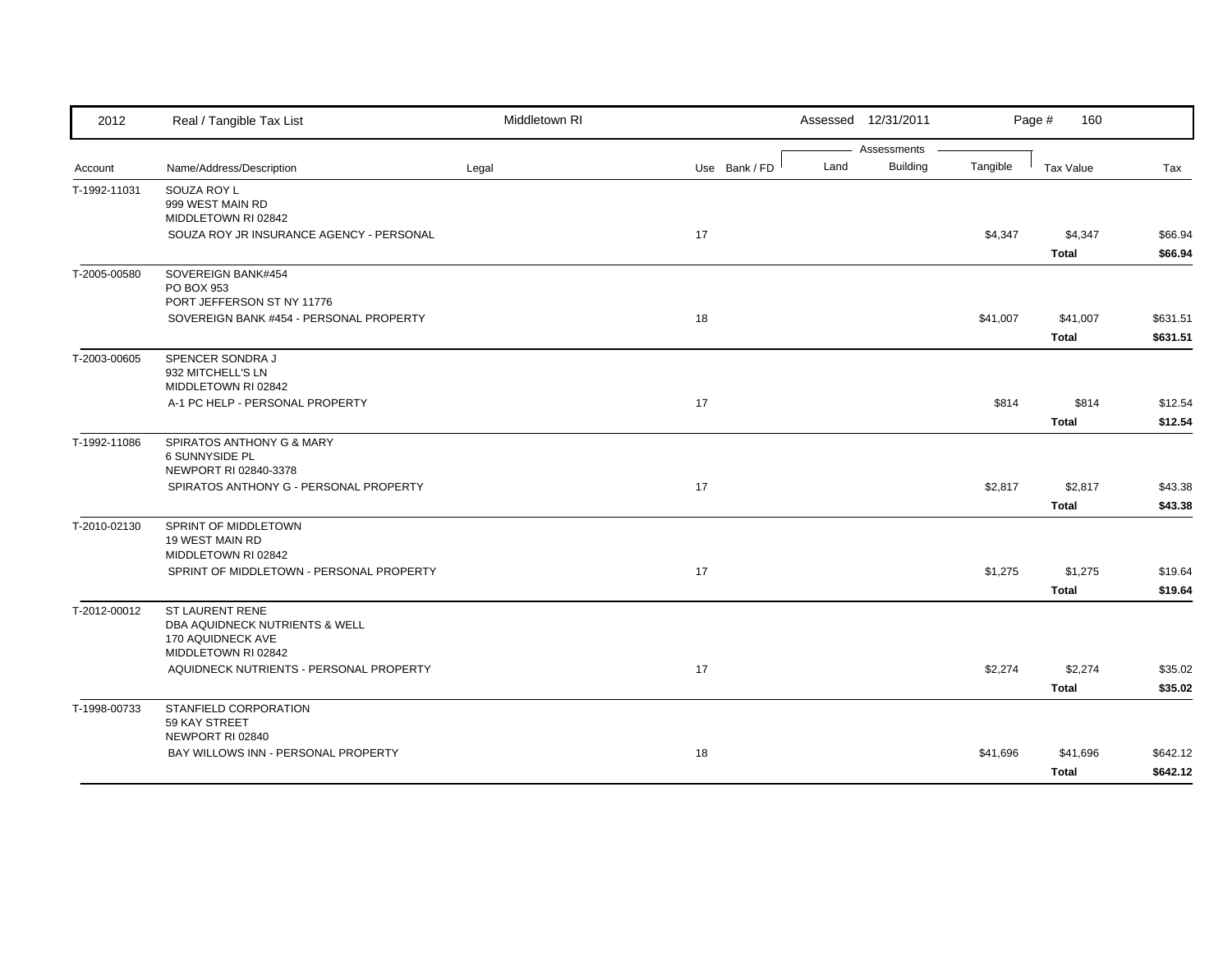| 2012         | Real / Tangible Tax List                                              | Middletown RI |               |      | Assessed 12/31/2011            |          | Page #<br>160 |          |
|--------------|-----------------------------------------------------------------------|---------------|---------------|------|--------------------------------|----------|---------------|----------|
| Account      | Name/Address/Description                                              | Legal         | Use Bank / FD | Land | Assessments<br><b>Building</b> | Tangible | Tax Value     | Tax      |
|              |                                                                       |               |               |      |                                |          |               |          |
| T-1992-11031 | SOUZA ROY L<br>999 WEST MAIN RD                                       |               |               |      |                                |          |               |          |
|              | MIDDLETOWN RI 02842                                                   |               |               |      |                                |          |               |          |
|              | SOUZA ROY JR INSURANCE AGENCY - PERSONAL                              |               | 17            |      |                                | \$4,347  | \$4,347       | \$66.94  |
|              |                                                                       |               |               |      |                                |          | <b>Total</b>  | \$66.94  |
| T-2005-00580 | SOVEREIGN BANK#454                                                    |               |               |      |                                |          |               |          |
|              | PO BOX 953                                                            |               |               |      |                                |          |               |          |
|              | PORT JEFFERSON ST NY 11776<br>SOVEREIGN BANK #454 - PERSONAL PROPERTY |               | 18            |      |                                | \$41,007 | \$41,007      | \$631.51 |
|              |                                                                       |               |               |      |                                |          | Total         | \$631.51 |
| T-2003-00605 | SPENCER SONDRA J                                                      |               |               |      |                                |          |               |          |
|              | 932 MITCHELL'S LN                                                     |               |               |      |                                |          |               |          |
|              | MIDDLETOWN RI 02842                                                   |               |               |      |                                |          |               |          |
|              | A-1 PC HELP - PERSONAL PROPERTY                                       |               | 17            |      |                                | \$814    | \$814         | \$12.54  |
|              |                                                                       |               |               |      |                                |          | <b>Total</b>  | \$12.54  |
| T-1992-11086 | SPIRATOS ANTHONY G & MARY                                             |               |               |      |                                |          |               |          |
|              | 6 SUNNYSIDE PL<br>NEWPORT RI 02840-3378                               |               |               |      |                                |          |               |          |
|              | SPIRATOS ANTHONY G - PERSONAL PROPERTY                                |               | 17            |      |                                | \$2,817  | \$2,817       | \$43.38  |
|              |                                                                       |               |               |      |                                |          | <b>Total</b>  | \$43.38  |
| T-2010-02130 | SPRINT OF MIDDLETOWN                                                  |               |               |      |                                |          |               |          |
|              | 19 WEST MAIN RD                                                       |               |               |      |                                |          |               |          |
|              | MIDDLETOWN RI 02842                                                   |               |               |      |                                |          |               |          |
|              | SPRINT OF MIDDLETOWN - PERSONAL PROPERTY                              |               | 17            |      |                                | \$1,275  | \$1,275       | \$19.64  |
|              |                                                                       |               |               |      |                                |          | <b>Total</b>  | \$19.64  |
| T-2012-00012 | <b>ST LAURENT RENE</b><br>DBA AQUIDNECK NUTRIENTS & WELL              |               |               |      |                                |          |               |          |
|              | 170 AQUIDNECK AVE                                                     |               |               |      |                                |          |               |          |
|              | MIDDLETOWN RI 02842                                                   |               |               |      |                                |          |               |          |
|              | AQUIDNECK NUTRIENTS - PERSONAL PROPERTY                               |               | 17            |      |                                | \$2,274  | \$2,274       | \$35.02  |
|              |                                                                       |               |               |      |                                |          | <b>Total</b>  | \$35.02  |
| T-1998-00733 | STANFIELD CORPORATION                                                 |               |               |      |                                |          |               |          |
|              | 59 KAY STREET<br>NEWPORT RI 02840                                     |               |               |      |                                |          |               |          |
|              | BAY WILLOWS INN - PERSONAL PROPERTY                                   |               | 18            |      |                                | \$41,696 | \$41,696      | \$642.12 |
|              |                                                                       |               |               |      |                                |          | <b>Total</b>  | \$642.12 |
|              |                                                                       |               |               |      |                                |          |               |          |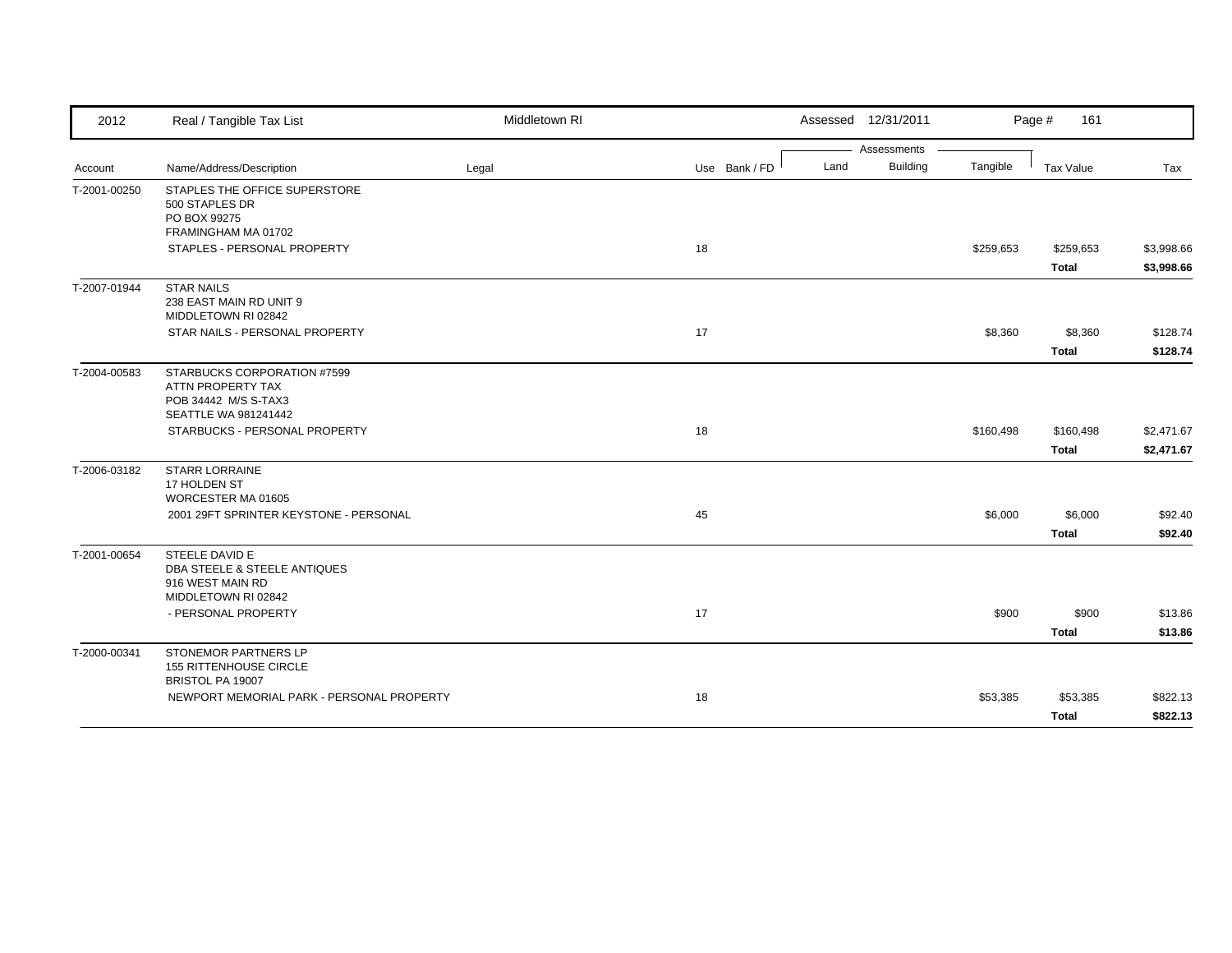| 2012         | Real / Tangible Tax List                                                                         | Middletown RI |               |      | Assessed 12/31/2011 |           | Page #<br>161 |                          |
|--------------|--------------------------------------------------------------------------------------------------|---------------|---------------|------|---------------------|-----------|---------------|--------------------------|
|              |                                                                                                  |               |               |      | Assessments         |           |               |                          |
| Account      | Name/Address/Description                                                                         | Legal         | Use Bank / FD | Land | <b>Building</b>     | Tangible  | Tax Value     | Tax                      |
| T-2001-00250 | STAPLES THE OFFICE SUPERSTORE<br>500 STAPLES DR<br>PO BOX 99275                                  |               |               |      |                     |           |               |                          |
|              | FRAMINGHAM MA 01702<br>STAPLES - PERSONAL PROPERTY                                               |               | 18            |      |                     | \$259,653 | \$259,653     |                          |
|              |                                                                                                  |               |               |      |                     |           | Total         | \$3,998.66<br>\$3,998.66 |
| T-2007-01944 | <b>STAR NAILS</b><br>238 EAST MAIN RD UNIT 9<br>MIDDLETOWN RI 02842                              |               |               |      |                     |           |               |                          |
|              | STAR NAILS - PERSONAL PROPERTY                                                                   |               | 17            |      |                     | \$8,360   | \$8,360       | \$128.74                 |
|              |                                                                                                  |               |               |      |                     |           | <b>Total</b>  | \$128.74                 |
| T-2004-00583 | STARBUCKS CORPORATION #7599<br>ATTN PROPERTY TAX<br>POB 34442 M/S S-TAX3<br>SEATTLE WA 981241442 |               |               |      |                     |           |               |                          |
|              | STARBUCKS - PERSONAL PROPERTY                                                                    |               | 18            |      |                     | \$160,498 | \$160,498     | \$2,471.67               |
|              |                                                                                                  |               |               |      |                     |           | <b>Total</b>  | \$2,471.67               |
| T-2006-03182 | <b>STARR LORRAINE</b><br>17 HOLDEN ST<br>WORCESTER MA 01605                                      |               |               |      |                     |           |               |                          |
|              | 2001 29FT SPRINTER KEYSTONE - PERSONAL                                                           |               | 45            |      |                     | \$6,000   | \$6,000       | \$92.40                  |
|              |                                                                                                  |               |               |      |                     |           | <b>Total</b>  | \$92.40                  |
| T-2001-00654 | STEELE DAVID E<br>DBA STEELE & STEELE ANTIQUES<br>916 WEST MAIN RD<br>MIDDLETOWN RI 02842        |               |               |      |                     |           |               |                          |
|              | - PERSONAL PROPERTY                                                                              |               | 17            |      |                     | \$900     | \$900         | \$13.86                  |
|              |                                                                                                  |               |               |      |                     |           | <b>Total</b>  | \$13.86                  |
| T-2000-00341 | <b>STONEMOR PARTNERS LP</b><br><b>155 RITTENHOUSE CIRCLE</b><br>BRISTOL PA 19007                 |               |               |      |                     |           |               |                          |
|              | NEWPORT MEMORIAL PARK - PERSONAL PROPERTY                                                        |               | 18            |      |                     | \$53,385  | \$53,385      | \$822.13                 |
|              |                                                                                                  |               |               |      |                     |           | <b>Total</b>  | \$822.13                 |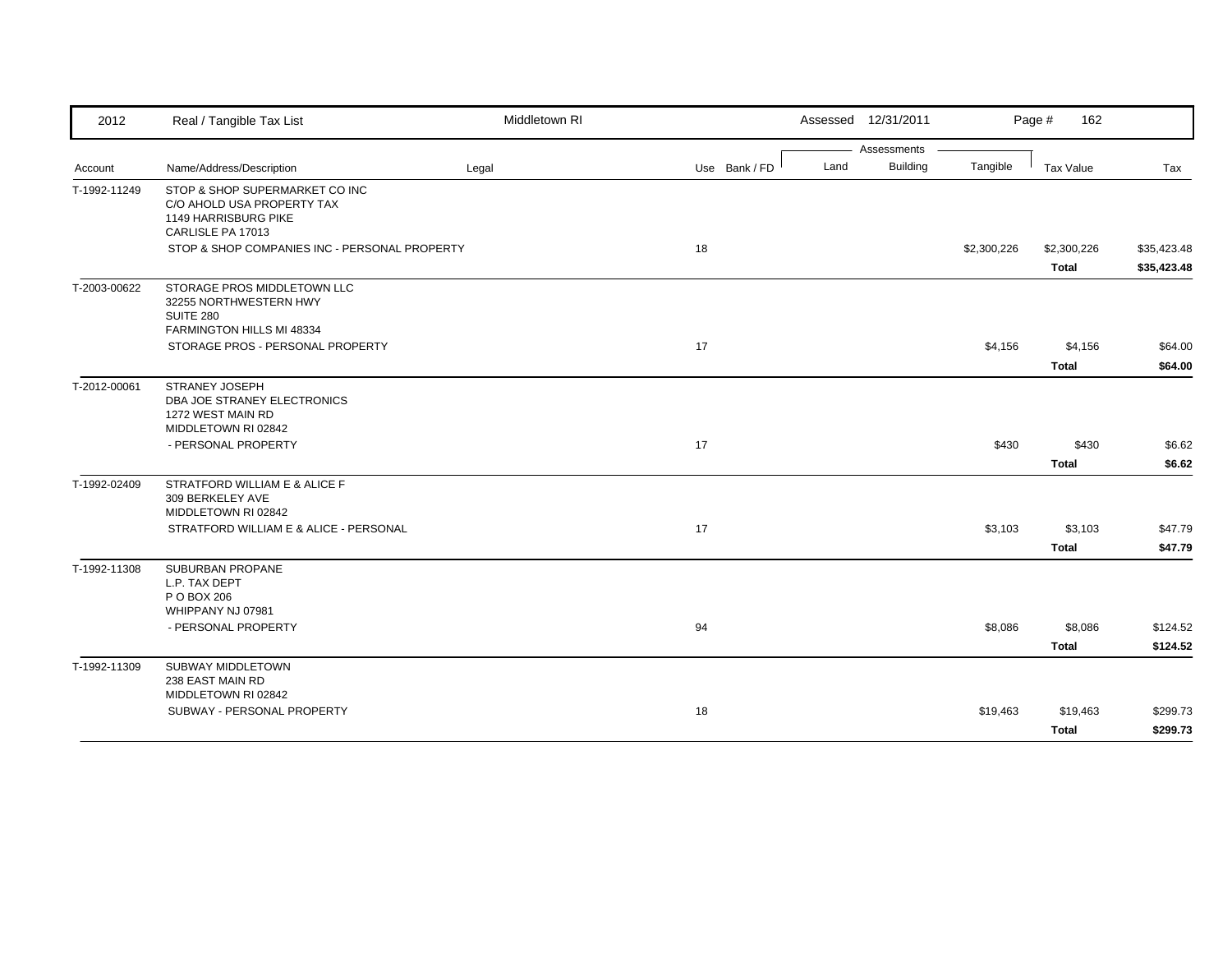| 2012         | Real / Tangible Tax List                                                                                  | Middletown RI |               | Assessed 12/31/2011     |             | Page #<br>162               |                            |
|--------------|-----------------------------------------------------------------------------------------------------------|---------------|---------------|-------------------------|-------------|-----------------------------|----------------------------|
|              |                                                                                                           |               |               | Assessments             |             |                             |                            |
| Account      | Name/Address/Description                                                                                  | Legal         | Use Bank / FD | Land<br><b>Building</b> | Tangible    | Tax Value                   | Tax                        |
| T-1992-11249 | STOP & SHOP SUPERMARKET CO INC<br>C/O AHOLD USA PROPERTY TAX<br>1149 HARRISBURG PIKE<br>CARLISLE PA 17013 |               |               |                         |             |                             |                            |
|              | STOP & SHOP COMPANIES INC - PERSONAL PROPERTY                                                             |               | 18            |                         | \$2,300,226 | \$2,300,226<br><b>Total</b> | \$35,423.48<br>\$35,423.48 |
| T-2003-00622 | STORAGE PROS MIDDLETOWN LLC<br>32255 NORTHWESTERN HWY<br>SUITE 280<br>FARMINGTON HILLS MI 48334           |               |               |                         |             |                             |                            |
|              | STORAGE PROS - PERSONAL PROPERTY                                                                          |               | 17            |                         | \$4,156     | \$4,156<br><b>Total</b>     | \$64.00<br>\$64.00         |
| T-2012-00061 | <b>STRANEY JOSEPH</b><br>DBA JOE STRANEY ELECTRONICS<br>1272 WEST MAIN RD<br>MIDDLETOWN RI 02842          |               |               |                         |             |                             |                            |
|              | - PERSONAL PROPERTY                                                                                       |               | 17            |                         | \$430       | \$430<br><b>Total</b>       | \$6.62<br>\$6.62           |
| T-1992-02409 | STRATFORD WILLIAM E & ALICE F<br>309 BERKELEY AVE<br>MIDDLETOWN RI 02842                                  |               |               |                         |             |                             |                            |
|              | STRATFORD WILLIAM E & ALICE - PERSONAL                                                                    |               | 17            |                         | \$3,103     | \$3,103<br><b>Total</b>     | \$47.79<br>\$47.79         |
| T-1992-11308 | SUBURBAN PROPANE<br>L.P. TAX DEPT<br>P O BOX 206<br>WHIPPANY NJ 07981                                     |               |               |                         |             |                             |                            |
|              | - PERSONAL PROPERTY                                                                                       |               | 94            |                         | \$8,086     | \$8,086<br><b>Total</b>     | \$124.52<br>\$124.52       |
| T-1992-11309 | <b>SUBWAY MIDDLETOWN</b><br>238 EAST MAIN RD<br>MIDDLETOWN RI 02842                                       |               |               |                         |             |                             |                            |
|              | SUBWAY - PERSONAL PROPERTY                                                                                |               | 18            |                         | \$19,463    | \$19,463<br><b>Total</b>    | \$299.73<br>\$299.73       |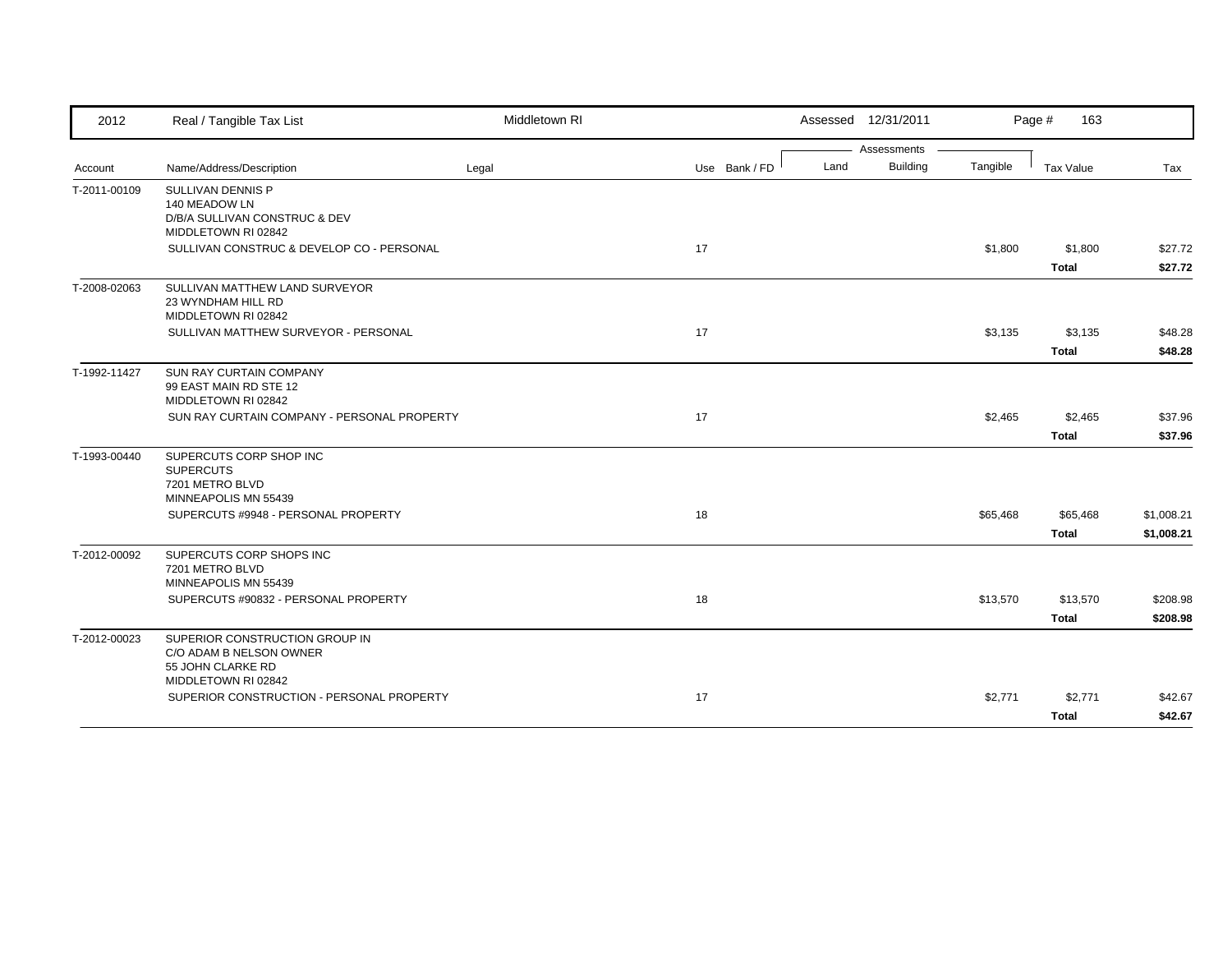| 2012         | Real / Tangible Tax List                             | Middletown RI |               | Assessed 12/31/2011     |          | Page #<br>163 |            |
|--------------|------------------------------------------------------|---------------|---------------|-------------------------|----------|---------------|------------|
|              |                                                      |               |               | Assessments             |          |               |            |
| Account      | Name/Address/Description                             | Legal         | Use Bank / FD | <b>Building</b><br>Land | Tangible | Tax Value     | Tax        |
| T-2011-00109 | SULLIVAN DENNIS P                                    |               |               |                         |          |               |            |
|              | 140 MEADOW LN                                        |               |               |                         |          |               |            |
|              | D/B/A SULLIVAN CONSTRUC & DEV<br>MIDDLETOWN RI 02842 |               |               |                         |          |               |            |
|              | SULLIVAN CONSTRUC & DEVELOP CO - PERSONAL            |               | 17            |                         | \$1,800  | \$1,800       | \$27.72    |
|              |                                                      |               |               |                         |          | <b>Total</b>  | \$27.72    |
| T-2008-02063 | SULLIVAN MATTHEW LAND SURVEYOR                       |               |               |                         |          |               |            |
|              | 23 WYNDHAM HILL RD                                   |               |               |                         |          |               |            |
|              | MIDDLETOWN RI 02842                                  |               |               |                         |          |               |            |
|              | SULLIVAN MATTHEW SURVEYOR - PERSONAL                 |               | 17            |                         | \$3,135  | \$3,135       | \$48.28    |
|              |                                                      |               |               |                         |          | <b>Total</b>  | \$48.28    |
| T-1992-11427 | <b>SUN RAY CURTAIN COMPANY</b>                       |               |               |                         |          |               |            |
|              | 99 EAST MAIN RD STE 12<br>MIDDLETOWN RI 02842        |               |               |                         |          |               |            |
|              | SUN RAY CURTAIN COMPANY - PERSONAL PROPERTY          |               | 17            |                         | \$2,465  | \$2,465       | \$37.96    |
|              |                                                      |               |               |                         |          | <b>Total</b>  | \$37.96    |
|              |                                                      |               |               |                         |          |               |            |
| T-1993-00440 | SUPERCUTS CORP SHOP INC<br><b>SUPERCUTS</b>          |               |               |                         |          |               |            |
|              | 7201 METRO BLVD                                      |               |               |                         |          |               |            |
|              | MINNEAPOLIS MN 55439                                 |               |               |                         |          |               |            |
|              | SUPERCUTS #9948 - PERSONAL PROPERTY                  |               | 18            |                         | \$65,468 | \$65,468      | \$1,008.21 |
|              |                                                      |               |               |                         |          | <b>Total</b>  | \$1,008.21 |
| T-2012-00092 | SUPERCUTS CORP SHOPS INC                             |               |               |                         |          |               |            |
|              | 7201 METRO BLVD                                      |               |               |                         |          |               |            |
|              | MINNEAPOLIS MN 55439                                 |               |               |                         |          |               |            |
|              | SUPERCUTS #90832 - PERSONAL PROPERTY                 |               | 18            |                         | \$13,570 | \$13,570      | \$208.98   |
|              |                                                      |               |               |                         |          | <b>Total</b>  | \$208.98   |
| T-2012-00023 | SUPERIOR CONSTRUCTION GROUP IN                       |               |               |                         |          |               |            |
|              | C/O ADAM B NELSON OWNER                              |               |               |                         |          |               |            |
|              | 55 JOHN CLARKE RD<br>MIDDLETOWN RI 02842             |               |               |                         |          |               |            |
|              | SUPERIOR CONSTRUCTION - PERSONAL PROPERTY            |               | 17            |                         | \$2,771  | \$2,771       | \$42.67    |
|              |                                                      |               |               |                         |          | <b>Total</b>  | \$42.67    |
|              |                                                      |               |               |                         |          |               |            |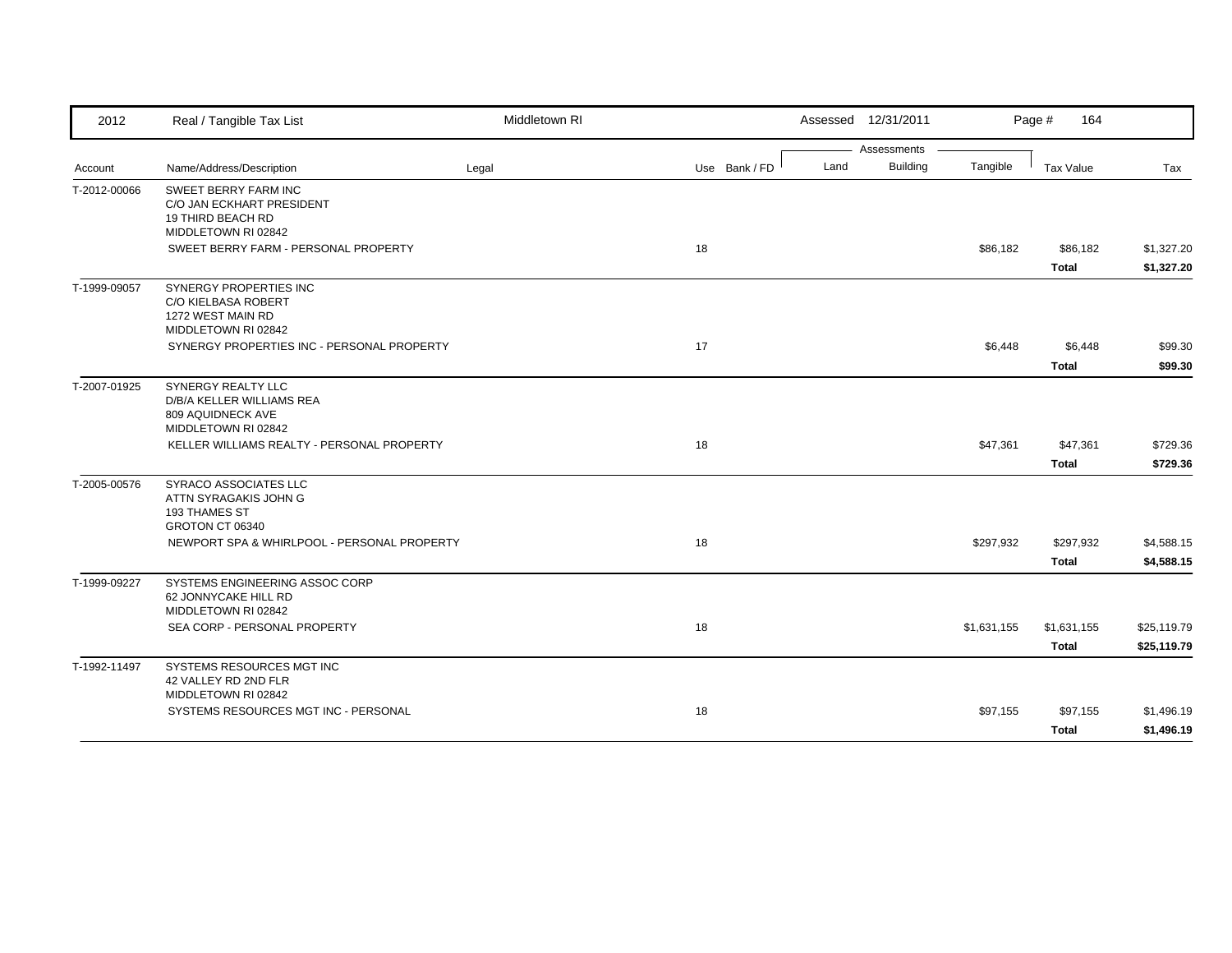| 2012         | Real / Tangible Tax List                                                                             | Middletown RI |               | Assessed 12/31/2011     |             | Page #<br>164    |             |
|--------------|------------------------------------------------------------------------------------------------------|---------------|---------------|-------------------------|-------------|------------------|-------------|
|              |                                                                                                      |               |               | Assessments             |             |                  |             |
| Account      | Name/Address/Description                                                                             | Legal         | Use Bank / FD | <b>Building</b><br>Land | Tangible    | <b>Tax Value</b> | Tax         |
| T-2012-00066 | <b>SWEET BERRY FARM INC</b><br>C/O JAN ECKHART PRESIDENT<br>19 THIRD BEACH RD<br>MIDDLETOWN RI 02842 |               |               |                         |             |                  |             |
|              | SWEET BERRY FARM - PERSONAL PROPERTY                                                                 |               | 18            |                         | \$86,182    | \$86,182         | \$1,327.20  |
|              |                                                                                                      |               |               |                         |             | <b>Total</b>     | \$1,327.20  |
| T-1999-09057 | SYNERGY PROPERTIES INC<br>C/O KIELBASA ROBERT<br>1272 WEST MAIN RD<br>MIDDLETOWN RI 02842            |               |               |                         |             |                  |             |
|              | SYNERGY PROPERTIES INC - PERSONAL PROPERTY                                                           |               | 17            |                         | \$6,448     | \$6,448          | \$99.30     |
|              |                                                                                                      |               |               |                         |             | <b>Total</b>     | \$99.30     |
| T-2007-01925 | <b>SYNERGY REALTY LLC</b><br>D/B/A KELLER WILLIAMS REA<br>809 AQUIDNECK AVE<br>MIDDLETOWN RI 02842   |               |               |                         |             |                  |             |
|              | KELLER WILLIAMS REALTY - PERSONAL PROPERTY                                                           |               | 18            |                         | \$47,361    | \$47,361         | \$729.36    |
|              |                                                                                                      |               |               |                         |             | <b>Total</b>     | \$729.36    |
| T-2005-00576 | <b>SYRACO ASSOCIATES LLC</b><br>ATTN SYRAGAKIS JOHN G<br>193 THAMES ST<br>GROTON CT 06340            |               |               |                         |             |                  |             |
|              | NEWPORT SPA & WHIRLPOOL - PERSONAL PROPERTY                                                          |               | 18            |                         | \$297,932   | \$297,932        | \$4,588.15  |
|              |                                                                                                      |               |               |                         |             | <b>Total</b>     | \$4,588.15  |
| T-1999-09227 | SYSTEMS ENGINEERING ASSOC CORP<br>62 JONNYCAKE HILL RD<br>MIDDLETOWN RI 02842                        |               |               |                         |             |                  |             |
|              | SEA CORP - PERSONAL PROPERTY                                                                         |               | 18            |                         | \$1,631,155 | \$1,631,155      | \$25,119.79 |
|              |                                                                                                      |               |               |                         |             | Total            | \$25,119.79 |
| T-1992-11497 | SYSTEMS RESOURCES MGT INC<br>42 VALLEY RD 2ND FLR<br>MIDDLETOWN RI 02842                             |               |               |                         |             |                  |             |
|              | SYSTEMS RESOURCES MGT INC - PERSONAL                                                                 |               | 18            |                         | \$97,155    | \$97,155         | \$1,496.19  |
|              |                                                                                                      |               |               |                         |             | <b>Total</b>     | \$1,496.19  |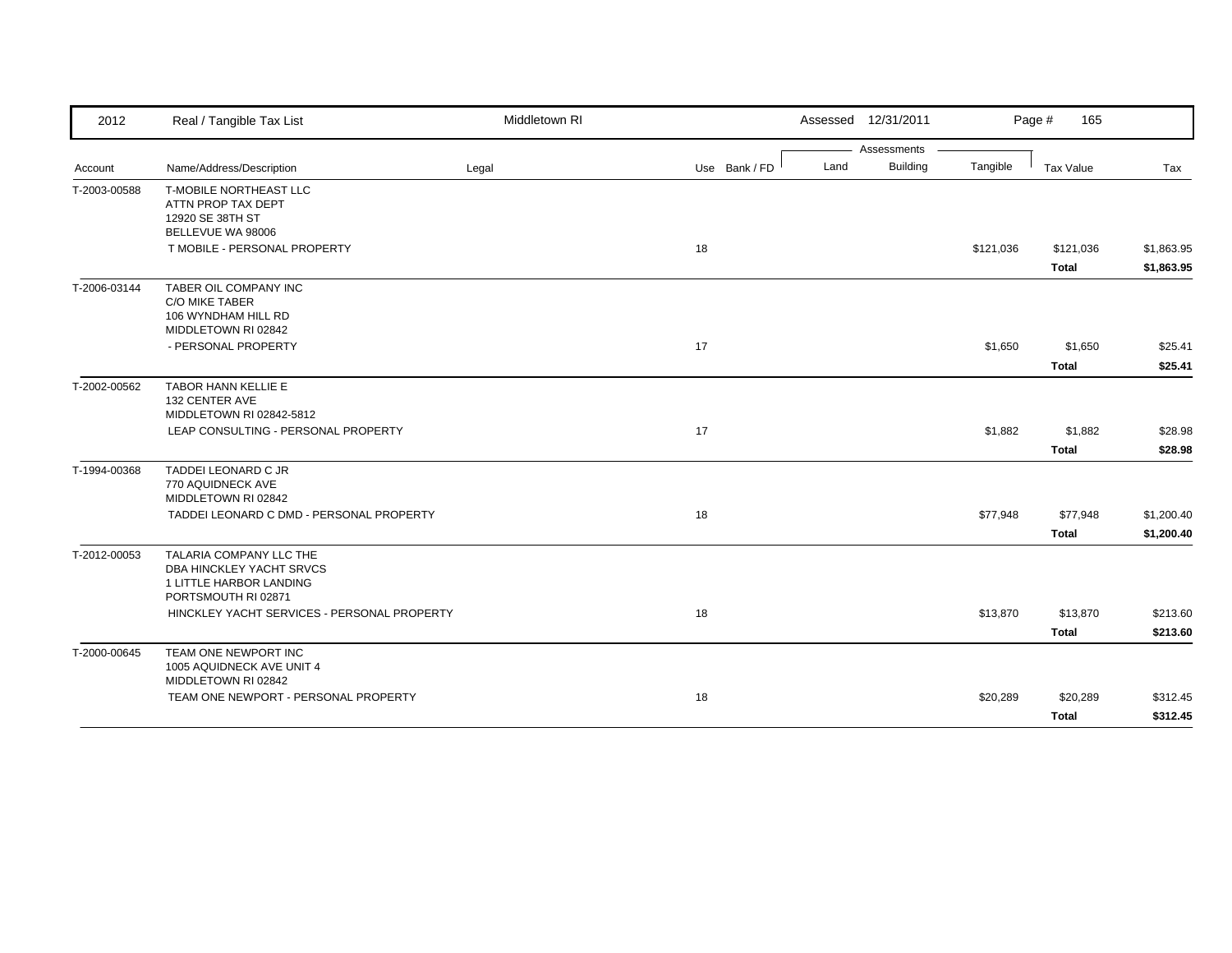| 2012         | Real / Tangible Tax List                                                                                 | Middletown RI |               | Assessed 12/31/2011     |           | Page #<br>165             |                          |
|--------------|----------------------------------------------------------------------------------------------------------|---------------|---------------|-------------------------|-----------|---------------------------|--------------------------|
|              |                                                                                                          |               |               | Assessments             |           |                           |                          |
| Account      | Name/Address/Description                                                                                 | Legal         | Use Bank / FD | <b>Building</b><br>Land | Tangible  | <b>Tax Value</b>          | Tax                      |
| T-2003-00588 | T-MOBILE NORTHEAST LLC<br>ATTN PROP TAX DEPT<br>12920 SE 38TH ST                                         |               |               |                         |           |                           |                          |
|              | BELLEVUE WA 98006                                                                                        |               |               |                         |           |                           |                          |
|              | T MOBILE - PERSONAL PROPERTY                                                                             |               | 18            |                         | \$121,036 | \$121,036<br><b>Total</b> | \$1,863.95<br>\$1,863.95 |
| T-2006-03144 | TABER OIL COMPANY INC<br><b>C/O MIKE TABER</b><br>106 WYNDHAM HILL RD<br>MIDDLETOWN RI 02842             |               |               |                         |           |                           |                          |
|              | - PERSONAL PROPERTY                                                                                      |               | 17            |                         | \$1,650   | \$1,650<br><b>Total</b>   | \$25.41<br>\$25.41       |
| T-2002-00562 | TABOR HANN KELLIE E<br>132 CENTER AVE<br>MIDDLETOWN RI 02842-5812<br>LEAP CONSULTING - PERSONAL PROPERTY |               | 17            |                         | \$1,882   | \$1,882                   | \$28.98                  |
|              |                                                                                                          |               |               |                         |           | <b>Total</b>              | \$28.98                  |
| T-1994-00368 | TADDEI LEONARD C JR<br>770 AQUIDNECK AVE<br>MIDDLETOWN RI 02842                                          |               |               |                         |           |                           |                          |
|              | TADDEI LEONARD C DMD - PERSONAL PROPERTY                                                                 |               | 18            |                         | \$77,948  | \$77,948<br><b>Total</b>  | \$1,200.40<br>\$1,200.40 |
| T-2012-00053 | TALARIA COMPANY LLC THE<br>DBA HINCKLEY YACHT SRVCS<br>1 LITTLE HARBOR LANDING<br>PORTSMOUTH RI 02871    |               |               |                         |           |                           |                          |
|              | HINCKLEY YACHT SERVICES - PERSONAL PROPERTY                                                              |               | 18            |                         | \$13,870  | \$13,870                  | \$213.60                 |
|              |                                                                                                          |               |               |                         |           | <b>Total</b>              | \$213.60                 |
| T-2000-00645 | TEAM ONE NEWPORT INC<br>1005 AQUIDNECK AVE UNIT 4<br>MIDDLETOWN RI 02842                                 |               |               |                         |           |                           |                          |
|              | TEAM ONE NEWPORT - PERSONAL PROPERTY                                                                     |               | 18            |                         | \$20,289  | \$20,289                  | \$312.45                 |
|              |                                                                                                          |               |               |                         |           | <b>Total</b>              | \$312.45                 |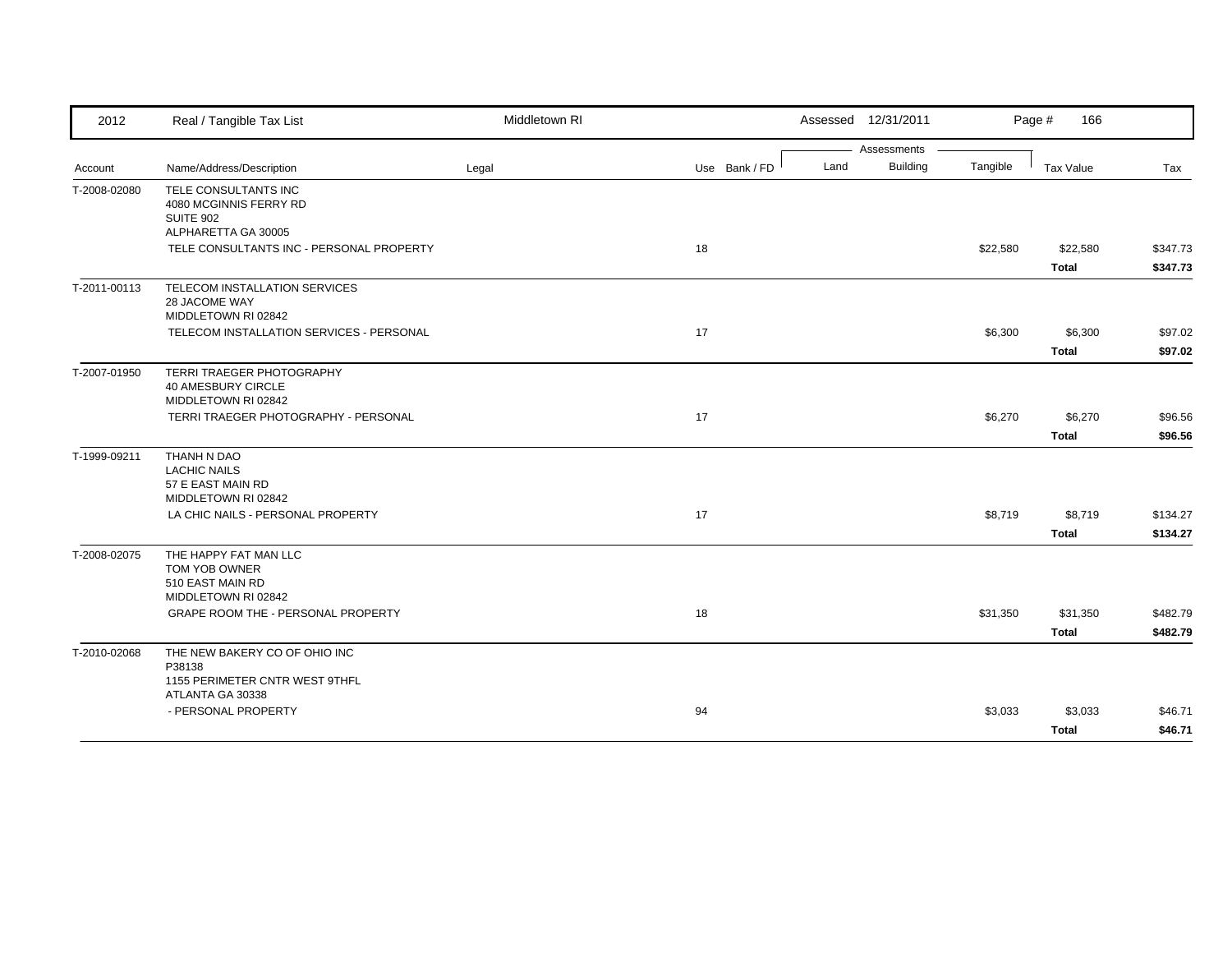| 2012         | Real / Tangible Tax List                                                                  | Middletown RI |               | Assessed 12/31/2011     |          | Page #<br>166 |          |
|--------------|-------------------------------------------------------------------------------------------|---------------|---------------|-------------------------|----------|---------------|----------|
|              |                                                                                           |               |               | Assessments             |          |               |          |
| Account      | Name/Address/Description                                                                  | Legal         | Use Bank / FD | <b>Building</b><br>Land | Tangible | Tax Value     | Tax      |
| T-2008-02080 | TELE CONSULTANTS INC<br>4080 MCGINNIS FERRY RD<br><b>SUITE 902</b><br>ALPHARETTA GA 30005 |               |               |                         |          |               |          |
|              | TELE CONSULTANTS INC - PERSONAL PROPERTY                                                  |               | 18            |                         | \$22,580 | \$22,580      | \$347.73 |
|              |                                                                                           |               |               |                         |          | <b>Total</b>  | \$347.73 |
| T-2011-00113 | TELECOM INSTALLATION SERVICES<br>28 JACOME WAY<br>MIDDLETOWN RI 02842                     |               |               |                         |          |               |          |
|              | TELECOM INSTALLATION SERVICES - PERSONAL                                                  |               | 17            |                         | \$6,300  | \$6,300       | \$97.02  |
|              |                                                                                           |               |               |                         |          | <b>Total</b>  | \$97.02  |
| T-2007-01950 | TERRI TRAEGER PHOTOGRAPHY<br>40 AMESBURY CIRCLE<br>MIDDLETOWN RI 02842                    |               |               |                         |          |               |          |
|              | TERRI TRAEGER PHOTOGRAPHY - PERSONAL                                                      |               | 17            |                         | \$6,270  | \$6,270       | \$96.56  |
|              |                                                                                           |               |               |                         |          | <b>Total</b>  | \$96.56  |
| T-1999-09211 | THANH N DAO<br><b>LACHIC NAILS</b><br>57 E EAST MAIN RD<br>MIDDLETOWN RI 02842            |               |               |                         |          |               |          |
|              | LA CHIC NAILS - PERSONAL PROPERTY                                                         |               | 17            |                         | \$8,719  | \$8,719       | \$134.27 |
|              |                                                                                           |               |               |                         |          | <b>Total</b>  | \$134.27 |
| T-2008-02075 | THE HAPPY FAT MAN LLC<br>TOM YOB OWNER<br>510 EAST MAIN RD<br>MIDDLETOWN RI 02842         |               |               |                         |          |               |          |
|              | GRAPE ROOM THE - PERSONAL PROPERTY                                                        |               | 18            |                         | \$31,350 | \$31,350      | \$482.79 |
|              |                                                                                           |               |               |                         |          | <b>Total</b>  | \$482.79 |
| T-2010-02068 | THE NEW BAKERY CO OF OHIO INC<br>P38138<br>1155 PERIMETER CNTR WEST 9THFL                 |               |               |                         |          |               |          |
|              | ATLANTA GA 30338<br>- PERSONAL PROPERTY                                                   |               | 94            |                         | \$3,033  | \$3,033       | \$46.71  |
|              |                                                                                           |               |               |                         |          | <b>Total</b>  | \$46.71  |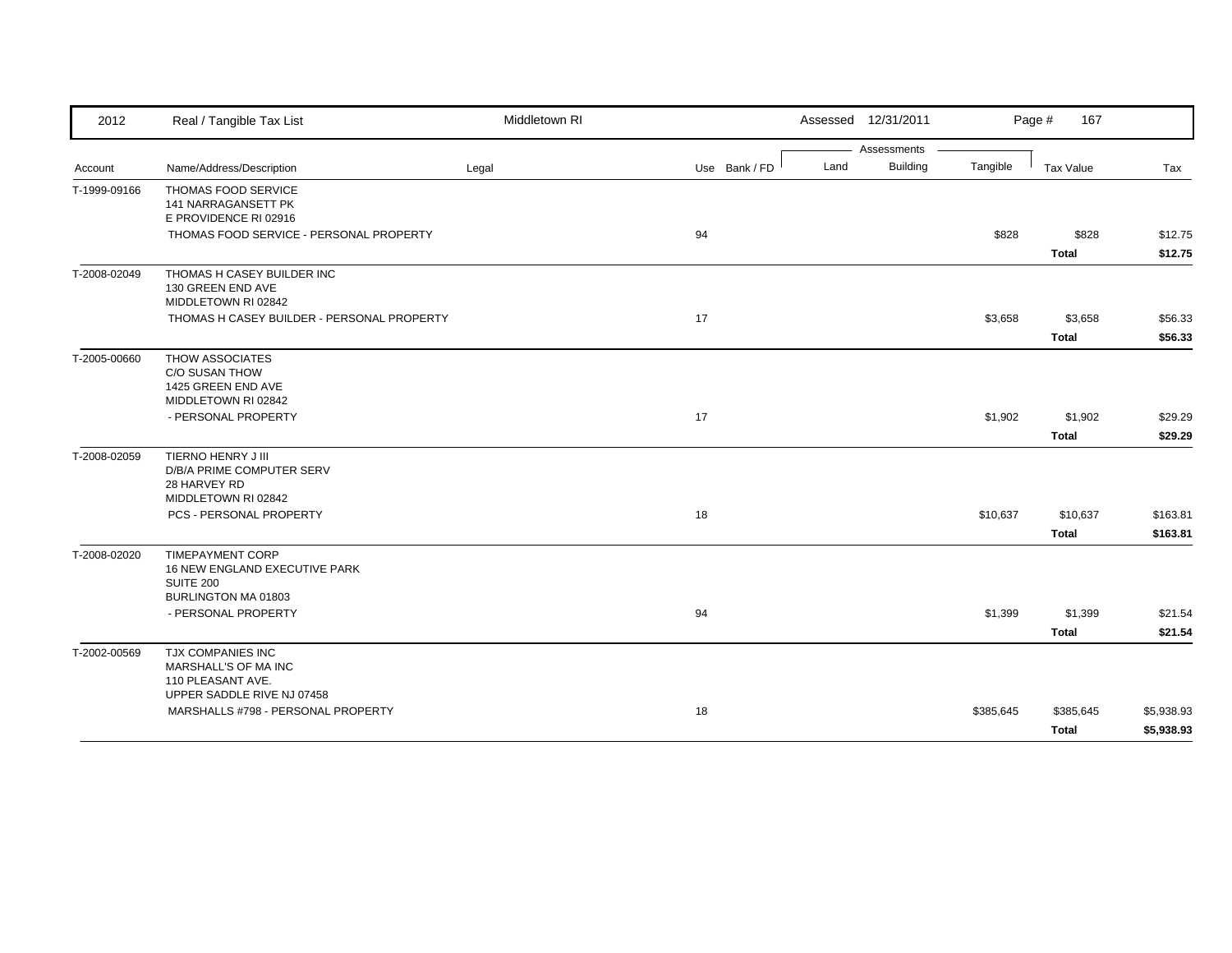| 2012         | Real / Tangible Tax List                                                                            | Middletown RI |               | Assessed 12/31/2011 |                 |           | Page #<br>167 |            |
|--------------|-----------------------------------------------------------------------------------------------------|---------------|---------------|---------------------|-----------------|-----------|---------------|------------|
|              |                                                                                                     |               |               |                     | Assessments     |           |               |            |
| Account      | Name/Address/Description                                                                            | Legal         | Use Bank / FD | Land                | <b>Building</b> | Tangible  | Tax Value     | Tax        |
| T-1999-09166 | THOMAS FOOD SERVICE<br><b>141 NARRAGANSETT PK</b><br>E PROVIDENCE RI 02916                          |               |               |                     |                 |           |               |            |
|              | THOMAS FOOD SERVICE - PERSONAL PROPERTY                                                             |               | 94            |                     |                 | \$828     | \$828         | \$12.75    |
|              |                                                                                                     |               |               |                     |                 |           | <b>Total</b>  | \$12.75    |
| T-2008-02049 | THOMAS H CASEY BUILDER INC<br>130 GREEN END AVE<br>MIDDLETOWN RI 02842                              |               |               |                     |                 |           |               |            |
|              | THOMAS H CASEY BUILDER - PERSONAL PROPERTY                                                          |               | 17            |                     |                 | \$3,658   | \$3,658       | \$56.33    |
|              |                                                                                                     |               |               |                     |                 |           | <b>Total</b>  | \$56.33    |
| T-2005-00660 | THOW ASSOCIATES<br>C/O SUSAN THOW<br>1425 GREEN END AVE<br>MIDDLETOWN RI 02842                      |               |               |                     |                 |           |               |            |
|              | - PERSONAL PROPERTY                                                                                 |               | 17            |                     |                 | \$1,902   | \$1,902       | \$29.29    |
|              |                                                                                                     |               |               |                     |                 |           |               |            |
|              |                                                                                                     |               |               |                     |                 |           | <b>Total</b>  | \$29.29    |
| T-2008-02059 | TIERNO HENRY J III<br>D/B/A PRIME COMPUTER SERV<br>28 HARVEY RD<br>MIDDLETOWN RI 02842              |               |               |                     |                 |           |               |            |
|              | PCS - PERSONAL PROPERTY                                                                             |               | 18            |                     |                 | \$10,637  | \$10,637      | \$163.81   |
|              |                                                                                                     |               |               |                     |                 |           | Total         | \$163.81   |
| T-2008-02020 | <b>TIMEPAYMENT CORP</b><br>16 NEW ENGLAND EXECUTIVE PARK<br><b>SUITE 200</b><br>BURLINGTON MA 01803 |               |               |                     |                 |           |               |            |
|              | - PERSONAL PROPERTY                                                                                 |               | 94            |                     |                 | \$1,399   | \$1,399       | \$21.54    |
|              |                                                                                                     |               |               |                     |                 |           | <b>Total</b>  | \$21.54    |
| T-2002-00569 | TJX COMPANIES INC<br>MARSHALL'S OF MA INC<br>110 PLEASANT AVE.                                      |               |               |                     |                 |           |               |            |
|              | UPPER SADDLE RIVE NJ 07458<br>MARSHALLS #798 - PERSONAL PROPERTY                                    |               | 18            |                     |                 | \$385,645 | \$385,645     | \$5,938.93 |
|              |                                                                                                     |               |               |                     |                 |           |               |            |
|              |                                                                                                     |               |               |                     |                 |           | <b>Total</b>  | \$5,938.93 |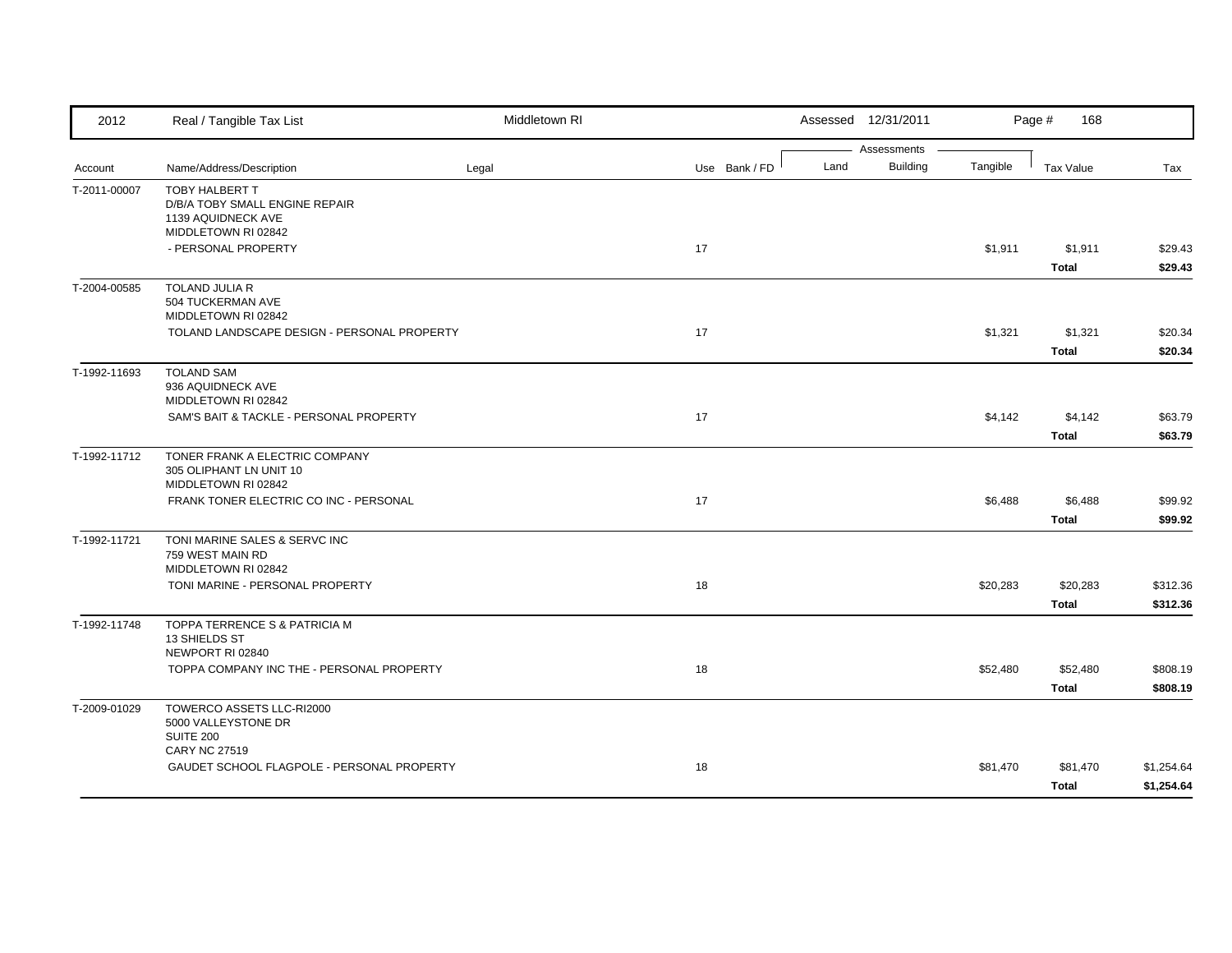| 2012         | Real / Tangible Tax List                                                                     | Middletown RI |               |      | Assessed 12/31/2011            |          | Page #<br>168            |                          |
|--------------|----------------------------------------------------------------------------------------------|---------------|---------------|------|--------------------------------|----------|--------------------------|--------------------------|
| Account      | Name/Address/Description                                                                     | Legal         | Use Bank / FD | Land | Assessments<br><b>Building</b> | Tangible | <b>Tax Value</b>         | Tax                      |
| T-2011-00007 | TOBY HALBERT T<br>D/B/A TOBY SMALL ENGINE REPAIR<br>1139 AQUIDNECK AVE                       |               |               |      |                                |          |                          |                          |
|              | MIDDLETOWN RI 02842<br>- PERSONAL PROPERTY                                                   |               | 17            |      |                                | \$1,911  | \$1,911<br><b>Total</b>  | \$29.43<br>\$29.43       |
| T-2004-00585 | <b>TOLAND JULIA R</b><br>504 TUCKERMAN AVE<br>MIDDLETOWN RI 02842                            |               |               |      |                                |          |                          |                          |
|              | TOLAND LANDSCAPE DESIGN - PERSONAL PROPERTY                                                  |               | 17            |      |                                | \$1,321  | \$1,321<br><b>Total</b>  | \$20.34<br>\$20.34       |
| T-1992-11693 | <b>TOLAND SAM</b><br>936 AQUIDNECK AVE<br>MIDDLETOWN RI 02842                                |               |               |      |                                |          |                          |                          |
|              | SAM'S BAIT & TACKLE - PERSONAL PROPERTY                                                      |               | 17            |      |                                | \$4,142  | \$4,142<br><b>Total</b>  | \$63.79<br>\$63.79       |
| T-1992-11712 | TONER FRANK A ELECTRIC COMPANY<br>305 OLIPHANT LN UNIT 10<br>MIDDLETOWN RI 02842             |               |               |      |                                |          |                          |                          |
|              | FRANK TONER ELECTRIC CO INC - PERSONAL                                                       |               | 17            |      |                                | \$6,488  | \$6,488<br><b>Total</b>  | \$99.92<br>\$99.92       |
| T-1992-11721 | TONI MARINE SALES & SERVC INC<br>759 WEST MAIN RD<br>MIDDLETOWN RI 02842                     |               |               |      |                                |          |                          |                          |
|              | TONI MARINE - PERSONAL PROPERTY                                                              |               | 18            |      |                                | \$20,283 | \$20,283<br><b>Total</b> | \$312.36<br>\$312.36     |
| T-1992-11748 | TOPPA TERRENCE S & PATRICIA M<br>13 SHIELDS ST<br>NEWPORT RI 02840                           |               |               |      |                                |          |                          |                          |
|              | TOPPA COMPANY INC THE - PERSONAL PROPERTY                                                    |               | 18            |      |                                | \$52,480 | \$52,480<br><b>Total</b> | \$808.19<br>\$808.19     |
| T-2009-01029 | TOWERCO ASSETS LLC-RI2000<br>5000 VALLEYSTONE DR<br><b>SUITE 200</b><br><b>CARY NC 27519</b> |               |               |      |                                |          |                          |                          |
|              | GAUDET SCHOOL FLAGPOLE - PERSONAL PROPERTY                                                   |               | 18            |      |                                | \$81,470 | \$81,470<br>Total        | \$1,254.64<br>\$1,254.64 |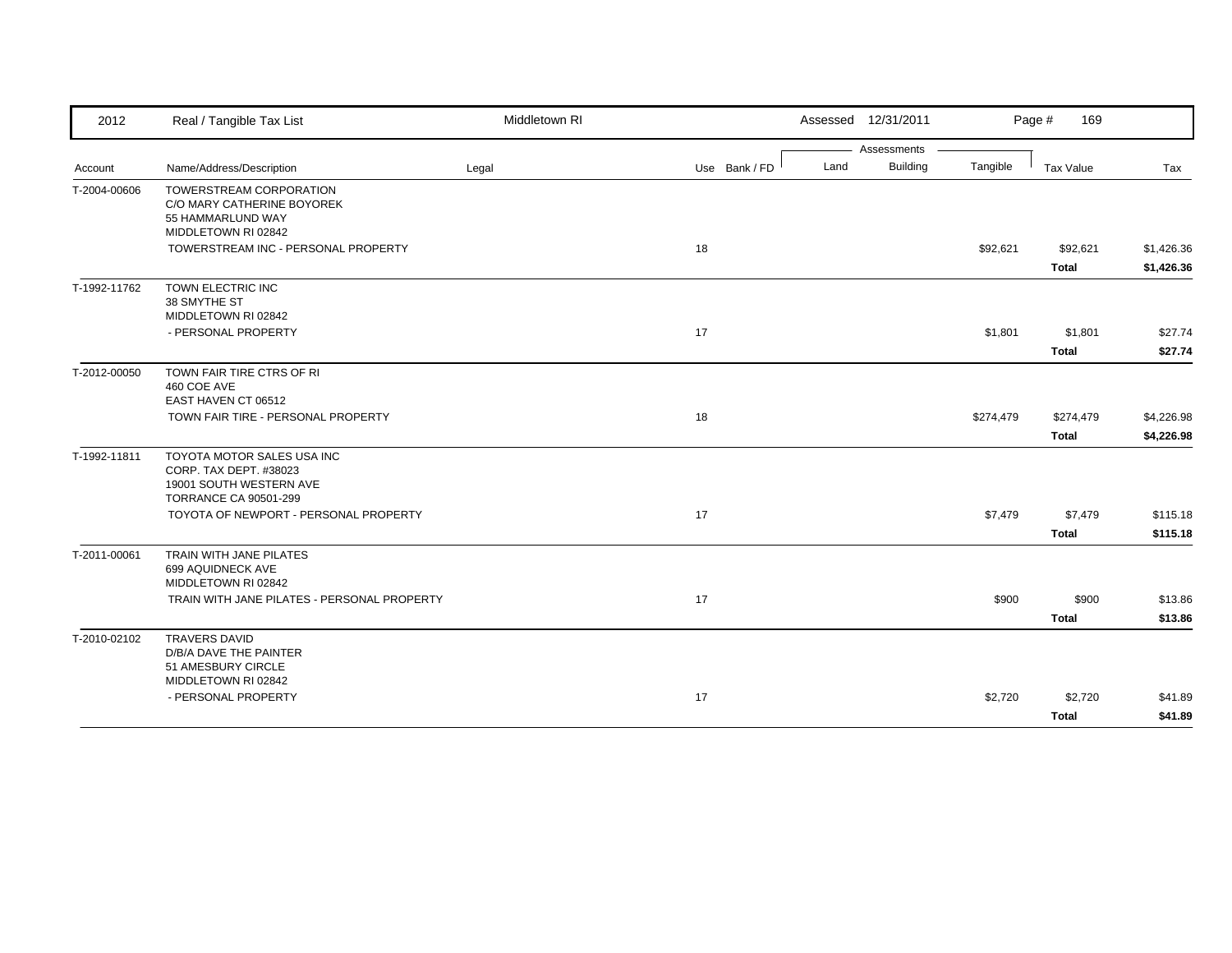| 2012         | Real / Tangible Tax List                                                                                        | Middletown RI |               | Assessed 12/31/2011     |           | Page #<br>169            |                          |
|--------------|-----------------------------------------------------------------------------------------------------------------|---------------|---------------|-------------------------|-----------|--------------------------|--------------------------|
|              |                                                                                                                 |               |               | Assessments             |           |                          |                          |
| Account      | Name/Address/Description                                                                                        | Legal         | Use Bank / FD | <b>Building</b><br>Land | Tangible  | Tax Value                | Tax                      |
| T-2004-00606 | TOWERSTREAM CORPORATION<br>C/O MARY CATHERINE BOYOREK<br>55 HAMMARLUND WAY                                      |               |               |                         |           |                          |                          |
|              | MIDDLETOWN RI 02842                                                                                             |               |               |                         |           |                          |                          |
|              | TOWERSTREAM INC - PERSONAL PROPERTY                                                                             |               | 18            |                         | \$92,621  | \$92,621<br><b>Total</b> | \$1,426.36<br>\$1,426.36 |
| T-1992-11762 | TOWN ELECTRIC INC<br>38 SMYTHE ST<br>MIDDLETOWN RI 02842                                                        |               |               |                         |           |                          |                          |
|              | - PERSONAL PROPERTY                                                                                             |               | 17            |                         | \$1,801   | \$1,801                  | \$27.74                  |
|              |                                                                                                                 |               |               |                         |           | <b>Total</b>             | \$27.74                  |
| T-2012-00050 | TOWN FAIR TIRE CTRS OF RI<br>460 COE AVE<br>EAST HAVEN CT 06512                                                 |               |               |                         |           |                          |                          |
|              | TOWN FAIR TIRE - PERSONAL PROPERTY                                                                              |               | 18            |                         | \$274,479 | \$274,479                | \$4,226.98               |
|              |                                                                                                                 |               |               |                         |           | <b>Total</b>             | \$4,226.98               |
| T-1992-11811 | TOYOTA MOTOR SALES USA INC<br>CORP. TAX DEPT. #38023<br>19001 SOUTH WESTERN AVE<br><b>TORRANCE CA 90501-299</b> |               |               |                         |           |                          |                          |
|              | TOYOTA OF NEWPORT - PERSONAL PROPERTY                                                                           |               | 17            |                         | \$7,479   | \$7,479                  | \$115.18                 |
|              |                                                                                                                 |               |               |                         |           | <b>Total</b>             | \$115.18                 |
| T-2011-00061 | TRAIN WITH JANE PILATES<br>699 AQUIDNECK AVE<br>MIDDLETOWN RI 02842                                             |               |               |                         |           |                          |                          |
|              | TRAIN WITH JANE PILATES - PERSONAL PROPERTY                                                                     |               | 17            |                         | \$900     | \$900                    | \$13.86                  |
|              |                                                                                                                 |               |               |                         |           | <b>Total</b>             | \$13.86                  |
| T-2010-02102 | <b>TRAVERS DAVID</b><br>D/B/A DAVE THE PAINTER<br>51 AMESBURY CIRCLE                                            |               |               |                         |           |                          |                          |
|              | MIDDLETOWN RI 02842                                                                                             |               |               |                         |           |                          |                          |
|              | - PERSONAL PROPERTY                                                                                             |               | 17            |                         | \$2,720   | \$2,720                  | \$41.89                  |
|              |                                                                                                                 |               |               |                         |           | Total                    | \$41.89                  |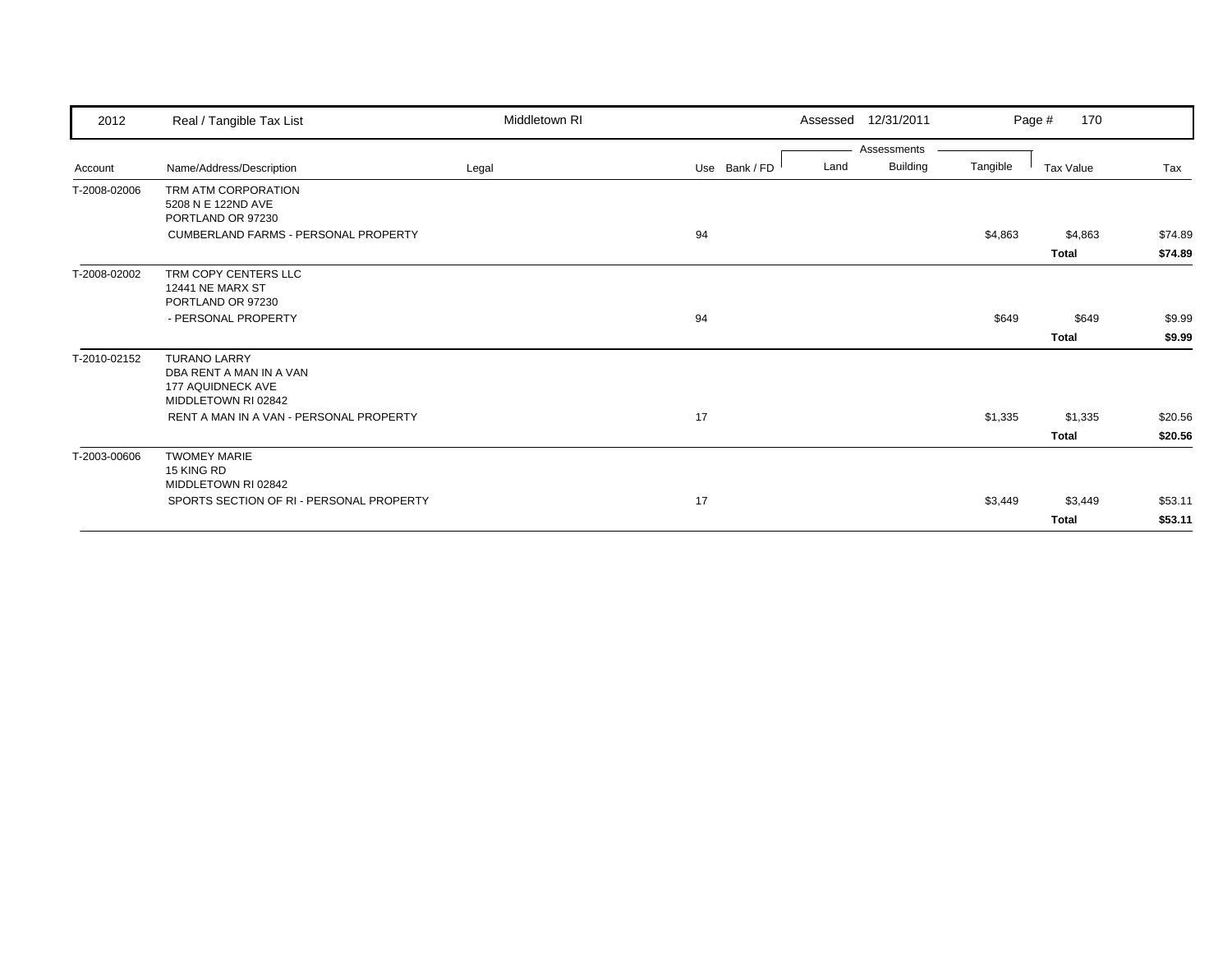| 2012         | Real / Tangible Tax List                    | Middletown RI |               |      | Assessed 12/31/2011 |          | 170<br>Page # |         |
|--------------|---------------------------------------------|---------------|---------------|------|---------------------|----------|---------------|---------|
|              |                                             |               |               |      | Assessments         |          |               |         |
| Account      | Name/Address/Description                    | Legal         | Use Bank / FD | Land | <b>Building</b>     | Tangible | Tax Value     | Tax     |
| T-2008-02006 | TRM ATM CORPORATION                         |               |               |      |                     |          |               |         |
|              | 5208 N E 122ND AVE                          |               |               |      |                     |          |               |         |
|              | PORTLAND OR 97230                           |               |               |      |                     |          |               |         |
|              | <b>CUMBERLAND FARMS - PERSONAL PROPERTY</b> |               | 94            |      |                     | \$4,863  | \$4,863       | \$74.89 |
|              |                                             |               |               |      |                     |          | <b>Total</b>  | \$74.89 |
| T-2008-02002 | TRM COPY CENTERS LLC                        |               |               |      |                     |          |               |         |
|              | <b>12441 NE MARX ST</b>                     |               |               |      |                     |          |               |         |
|              | PORTLAND OR 97230                           |               |               |      |                     |          |               |         |
|              | - PERSONAL PROPERTY                         |               | 94            |      |                     | \$649    | \$649         | \$9.99  |
|              |                                             |               |               |      |                     |          | <b>Total</b>  | \$9.99  |
| T-2010-02152 | <b>TURANO LARRY</b>                         |               |               |      |                     |          |               |         |
|              | DBA RENT A MAN IN A VAN                     |               |               |      |                     |          |               |         |
|              | 177 AQUIDNECK AVE                           |               |               |      |                     |          |               |         |
|              | MIDDLETOWN RI 02842                         |               |               |      |                     |          |               |         |
|              | RENT A MAN IN A VAN - PERSONAL PROPERTY     |               | 17            |      |                     | \$1,335  | \$1,335       | \$20.56 |
|              |                                             |               |               |      |                     |          | <b>Total</b>  | \$20.56 |
| T-2003-00606 | <b>TWOMEY MARIE</b>                         |               |               |      |                     |          |               |         |
|              | 15 KING RD                                  |               |               |      |                     |          |               |         |
|              | MIDDLETOWN RI 02842                         |               |               |      |                     |          |               |         |
|              | SPORTS SECTION OF RI - PERSONAL PROPERTY    |               | 17            |      |                     | \$3,449  | \$3,449       | \$53.11 |
|              |                                             |               |               |      |                     |          | <b>Total</b>  | \$53.11 |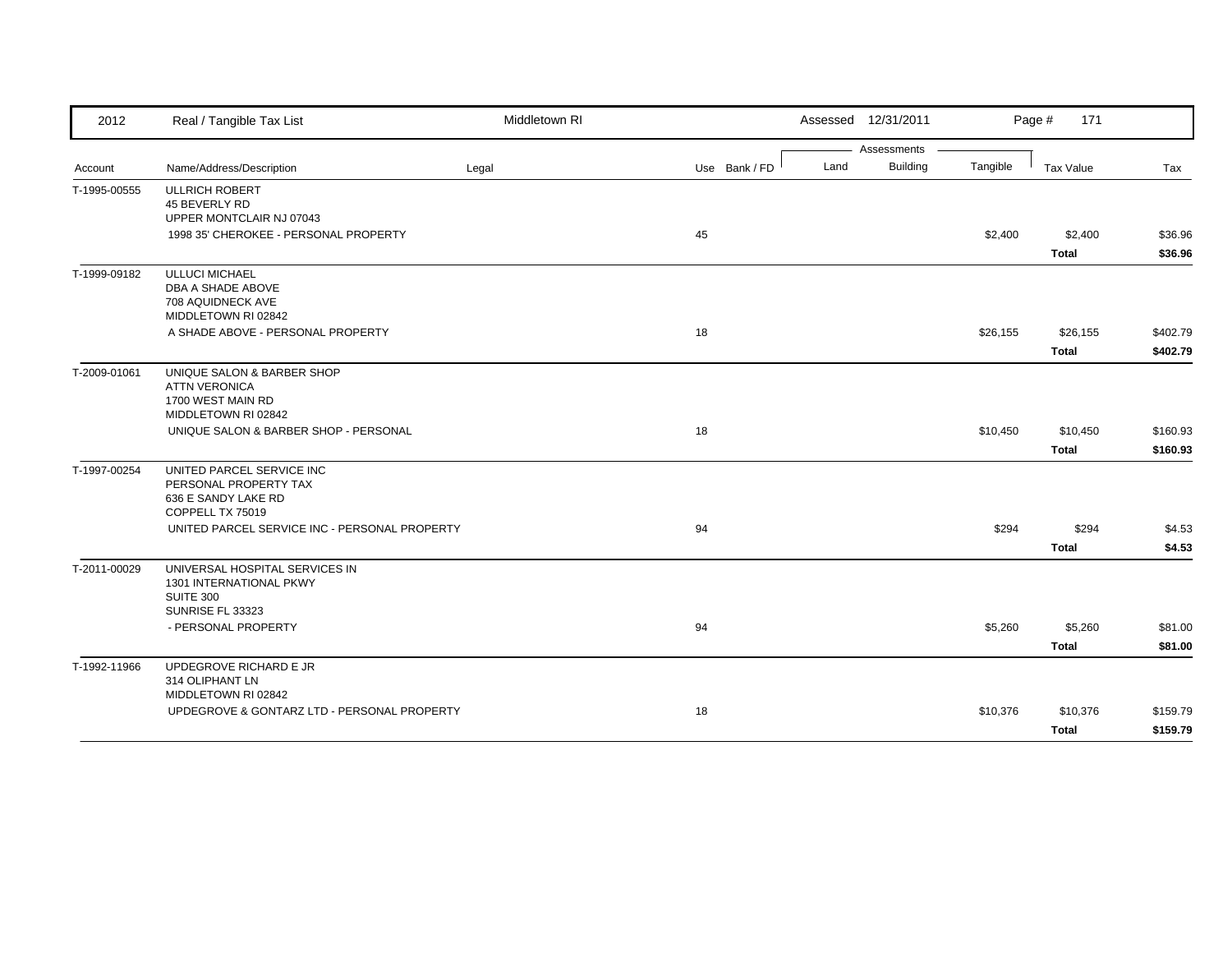| 2012         | Real / Tangible Tax List                      | Middletown RI |               | Assessed 12/31/2011     |          | Page #<br>171    |          |
|--------------|-----------------------------------------------|---------------|---------------|-------------------------|----------|------------------|----------|
|              |                                               |               |               | Assessments             |          |                  |          |
| Account      | Name/Address/Description                      | Legal         | Use Bank / FD | <b>Building</b><br>Land | Tangible | <b>Tax Value</b> | Tax      |
| T-1995-00555 | <b>ULLRICH ROBERT</b><br>45 BEVERLY RD        |               |               |                         |          |                  |          |
|              | UPPER MONTCLAIR NJ 07043                      |               |               |                         |          |                  |          |
|              | 1998 35' CHEROKEE - PERSONAL PROPERTY         |               | 45            |                         | \$2,400  | \$2,400          | \$36.96  |
|              |                                               |               |               |                         |          | <b>Total</b>     | \$36.96  |
| T-1999-09182 | <b>ULLUCI MICHAEL</b>                         |               |               |                         |          |                  |          |
|              | DBA A SHADE ABOVE                             |               |               |                         |          |                  |          |
|              | 708 AQUIDNECK AVE<br>MIDDLETOWN RI 02842      |               |               |                         |          |                  |          |
|              | A SHADE ABOVE - PERSONAL PROPERTY             |               | 18            |                         | \$26,155 | \$26,155         | \$402.79 |
|              |                                               |               |               |                         |          | <b>Total</b>     | \$402.79 |
| T-2009-01061 | UNIQUE SALON & BARBER SHOP                    |               |               |                         |          |                  |          |
|              | <b>ATTN VERONICA</b>                          |               |               |                         |          |                  |          |
|              | 1700 WEST MAIN RD                             |               |               |                         |          |                  |          |
|              | MIDDLETOWN RI 02842                           |               |               |                         |          |                  |          |
|              | UNIQUE SALON & BARBER SHOP - PERSONAL         |               | 18            |                         | \$10,450 | \$10,450         | \$160.93 |
|              |                                               |               |               |                         |          | <b>Total</b>     | \$160.93 |
| T-1997-00254 | UNITED PARCEL SERVICE INC                     |               |               |                         |          |                  |          |
|              | PERSONAL PROPERTY TAX                         |               |               |                         |          |                  |          |
|              | 636 E SANDY LAKE RD                           |               |               |                         |          |                  |          |
|              | COPPELL TX 75019                              |               |               |                         |          |                  |          |
|              | UNITED PARCEL SERVICE INC - PERSONAL PROPERTY |               | 94            |                         | \$294    | \$294            | \$4.53   |
|              |                                               |               |               |                         |          | <b>Total</b>     | \$4.53   |
| T-2011-00029 | UNIVERSAL HOSPITAL SERVICES IN                |               |               |                         |          |                  |          |
|              | 1301 INTERNATIONAL PKWY<br><b>SUITE 300</b>   |               |               |                         |          |                  |          |
|              | SUNRISE FL 33323                              |               |               |                         |          |                  |          |
|              | - PERSONAL PROPERTY                           |               | 94            |                         | \$5,260  | \$5,260          | \$81.00  |
|              |                                               |               |               |                         |          | <b>Total</b>     | \$81.00  |
| T-1992-11966 | UPDEGROVE RICHARD E JR                        |               |               |                         |          |                  |          |
|              | 314 OLIPHANT LN                               |               |               |                         |          |                  |          |
|              | MIDDLETOWN RI 02842                           |               |               |                         |          |                  |          |
|              | UPDEGROVE & GONTARZ LTD - PERSONAL PROPERTY   |               | 18            |                         | \$10,376 | \$10,376         | \$159.79 |
|              |                                               |               |               |                         |          | <b>Total</b>     | \$159.79 |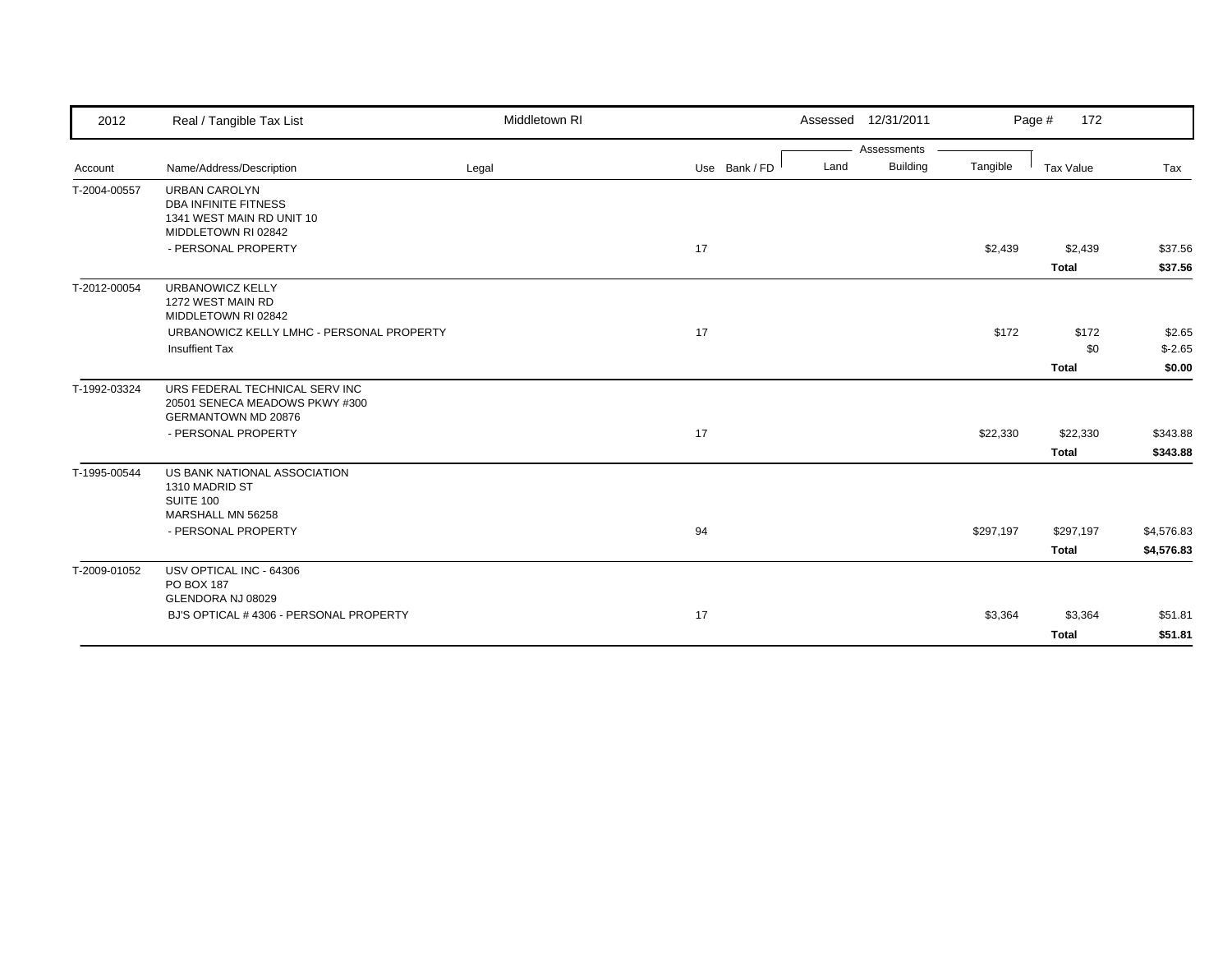| 2012         | Real / Tangible Tax List                                                                                | Middletown RI |               |      | Assessed 12/31/2011 |           | 172<br>Page # |            |
|--------------|---------------------------------------------------------------------------------------------------------|---------------|---------------|------|---------------------|-----------|---------------|------------|
|              |                                                                                                         |               |               |      | Assessments         |           |               |            |
| Account      | Name/Address/Description                                                                                | Legal         | Use Bank / FD | Land | Building            | Tangible  | Tax Value     | Tax        |
| T-2004-00557 | <b>URBAN CAROLYN</b><br><b>DBA INFINITE FITNESS</b><br>1341 WEST MAIN RD UNIT 10<br>MIDDLETOWN RI 02842 |               |               |      |                     |           |               |            |
|              | - PERSONAL PROPERTY                                                                                     |               | 17            |      |                     | \$2,439   | \$2,439       | \$37.56    |
|              |                                                                                                         |               |               |      |                     |           | <b>Total</b>  | \$37.56    |
| T-2012-00054 | <b>URBANOWICZ KELLY</b><br>1272 WEST MAIN RD<br>MIDDLETOWN RI 02842                                     |               |               |      |                     |           |               |            |
|              | URBANOWICZ KELLY LMHC - PERSONAL PROPERTY                                                               |               | 17            |      |                     | \$172     | \$172         | \$2.65     |
|              | <b>Insuffient Tax</b>                                                                                   |               |               |      |                     |           | \$0           | $$-2.65$   |
|              |                                                                                                         |               |               |      |                     |           | <b>Total</b>  | \$0.00     |
| T-1992-03324 | URS FEDERAL TECHNICAL SERV INC<br>20501 SENECA MEADOWS PKWY #300<br>GERMANTOWN MD 20876                 |               |               |      |                     |           |               |            |
|              | - PERSONAL PROPERTY                                                                                     |               | 17            |      |                     | \$22,330  | \$22,330      | \$343.88   |
|              |                                                                                                         |               |               |      |                     |           | <b>Total</b>  | \$343.88   |
| T-1995-00544 | US BANK NATIONAL ASSOCIATION<br>1310 MADRID ST<br>SUITE 100                                             |               |               |      |                     |           |               |            |
|              | MARSHALL MN 56258<br>- PERSONAL PROPERTY                                                                |               | 94            |      |                     | \$297,197 | \$297,197     | \$4,576.83 |
|              |                                                                                                         |               |               |      |                     |           | <b>Total</b>  |            |
| T-2009-01052 | USV OPTICAL INC - 64306                                                                                 |               |               |      |                     |           |               | \$4,576.83 |
|              | PO BOX 187                                                                                              |               |               |      |                     |           |               |            |
|              | GLENDORA NJ 08029                                                                                       |               |               |      |                     |           |               |            |
|              | BJ'S OPTICAL #4306 - PERSONAL PROPERTY                                                                  |               | 17            |      |                     | \$3,364   | \$3,364       | \$51.81    |
|              |                                                                                                         |               |               |      |                     |           | <b>Total</b>  | \$51.81    |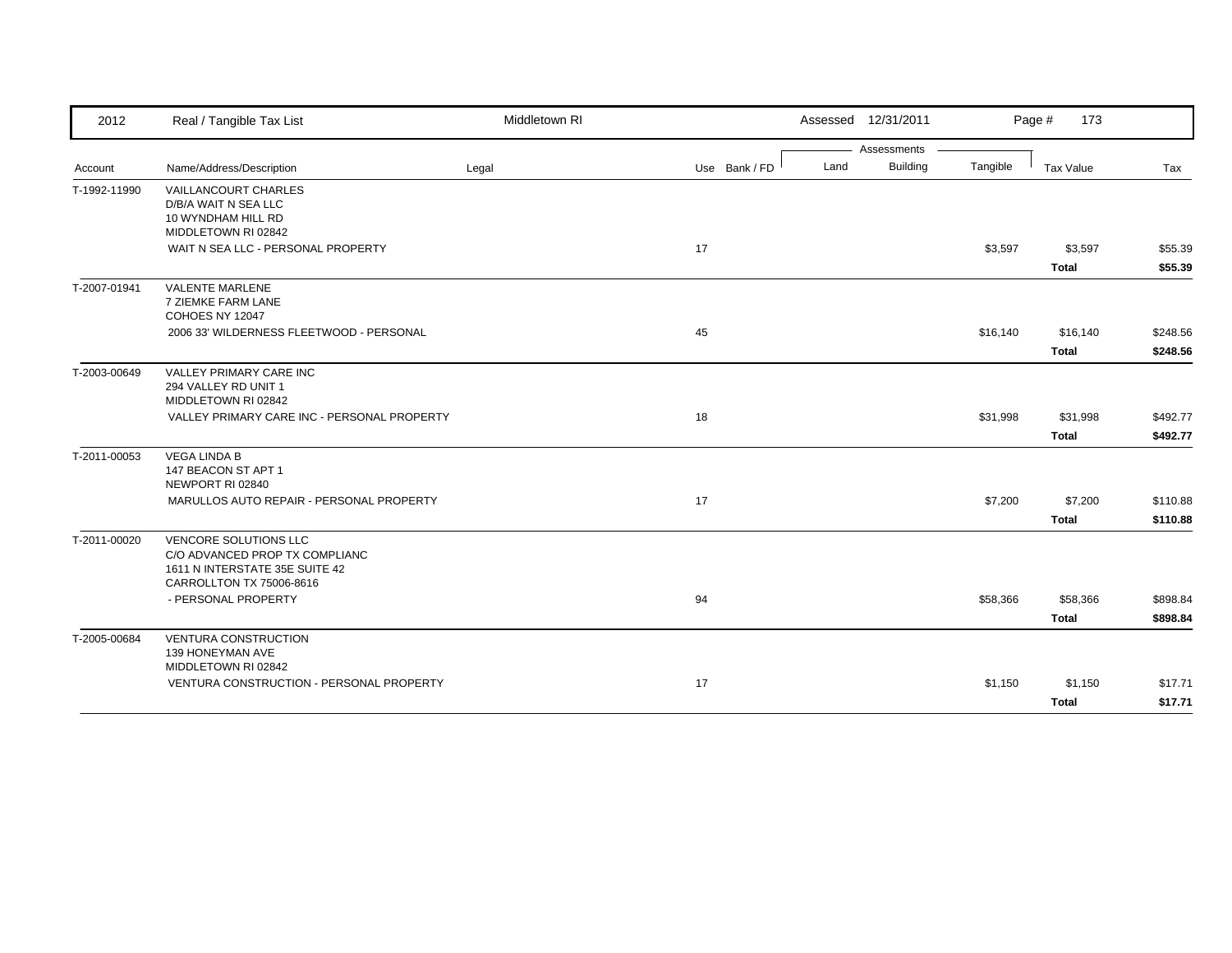| 2012         | Real / Tangible Tax List                                                                                                     | Middletown RI |               |      | Assessed 12/31/2011 |          | Page #<br>173            |                      |
|--------------|------------------------------------------------------------------------------------------------------------------------------|---------------|---------------|------|---------------------|----------|--------------------------|----------------------|
|              |                                                                                                                              |               |               |      | Assessments         |          |                          |                      |
| Account      | Name/Address/Description                                                                                                     | Legal         | Use Bank / FD | Land | Building            | Tangible | Tax Value                | Tax                  |
| T-1992-11990 | VAILLANCOURT CHARLES<br>D/B/A WAIT N SEA LLC<br>10 WYNDHAM HILL RD<br>MIDDLETOWN RI 02842                                    |               |               |      |                     |          |                          |                      |
|              | WAIT N SEA LLC - PERSONAL PROPERTY                                                                                           |               | 17            |      |                     | \$3,597  | \$3,597<br><b>Total</b>  | \$55.39<br>\$55.39   |
| T-2007-01941 | <b>VALENTE MARLENE</b><br>7 ZIEMKE FARM LANE<br>COHOES NY 12047                                                              |               |               |      |                     |          |                          |                      |
|              | 2006 33' WILDERNESS FLEETWOOD - PERSONAL                                                                                     |               | 45            |      |                     | \$16,140 | \$16,140<br><b>Total</b> | \$248.56<br>\$248.56 |
| T-2003-00649 | <b>VALLEY PRIMARY CARE INC</b><br>294 VALLEY RD UNIT 1<br>MIDDLETOWN RI 02842                                                |               |               |      |                     |          |                          |                      |
|              | VALLEY PRIMARY CARE INC - PERSONAL PROPERTY                                                                                  |               | 18            |      |                     | \$31,998 | \$31,998<br><b>Total</b> | \$492.77<br>\$492.77 |
| T-2011-00053 | <b>VEGA LINDA B</b><br>147 BEACON ST APT 1<br>NEWPORT RI 02840                                                               |               |               |      |                     |          |                          |                      |
|              | MARULLOS AUTO REPAIR - PERSONAL PROPERTY                                                                                     |               | 17            |      |                     | \$7,200  | \$7,200<br><b>Total</b>  | \$110.88<br>\$110.88 |
| T-2011-00020 | <b>VENCORE SOLUTIONS LLC</b><br>C/O ADVANCED PROP TX COMPLIANC<br>1611 N INTERSTATE 35E SUITE 42<br>CARROLLTON TX 75006-8616 |               |               |      |                     |          |                          |                      |
|              | - PERSONAL PROPERTY                                                                                                          |               | 94            |      |                     | \$58,366 | \$58,366<br><b>Total</b> | \$898.84<br>\$898.84 |
| T-2005-00684 | <b>VENTURA CONSTRUCTION</b><br>139 HONEYMAN AVE<br>MIDDLETOWN RI 02842                                                       |               |               |      |                     |          |                          |                      |
|              | VENTURA CONSTRUCTION - PERSONAL PROPERTY                                                                                     |               | 17            |      |                     | \$1,150  | \$1,150<br><b>Total</b>  | \$17.71<br>\$17.71   |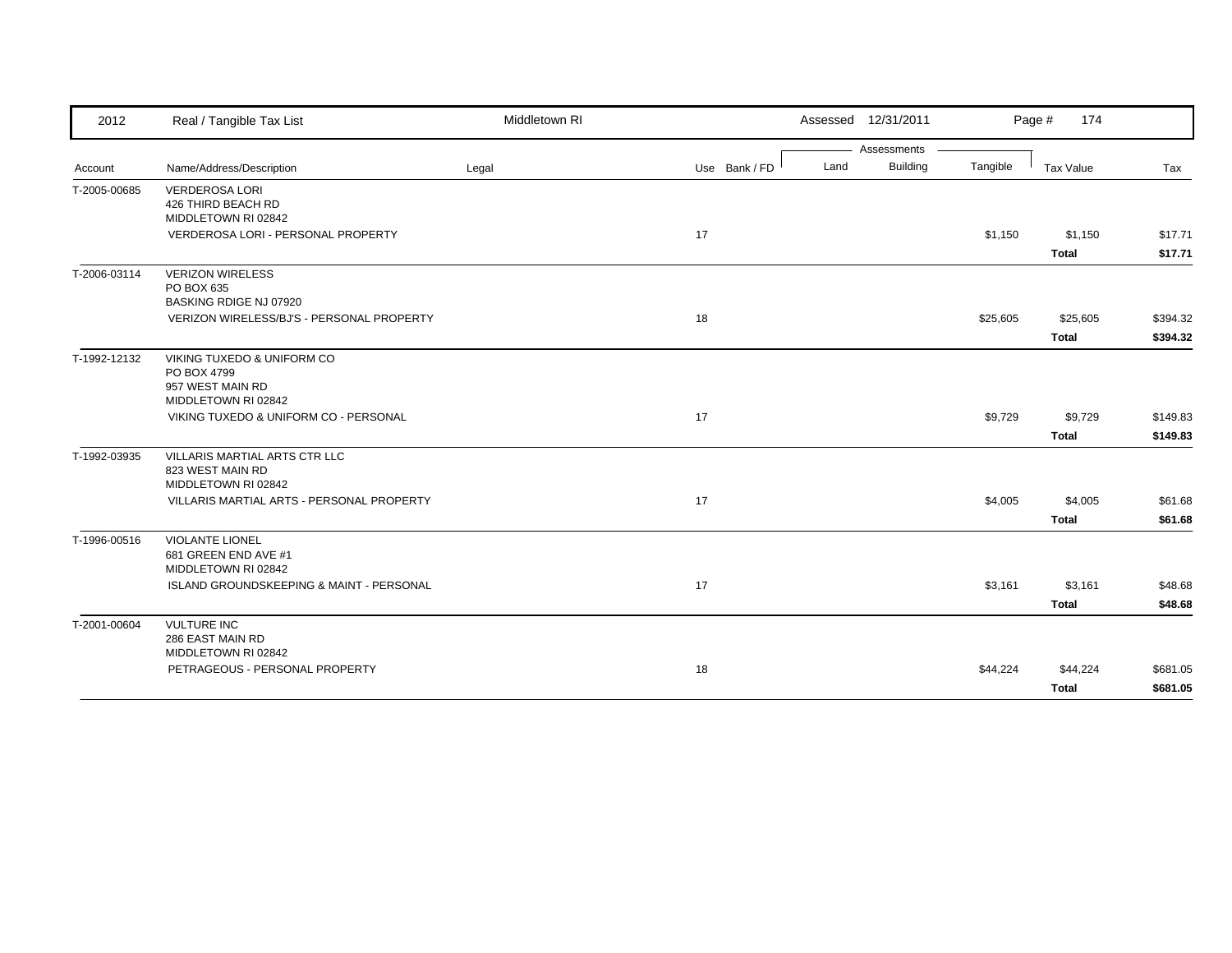| 2012         | Real / Tangible Tax List                                                             | Middletown RI |               |      | Assessed 12/31/2011 |          | Page #<br>174            |                      |
|--------------|--------------------------------------------------------------------------------------|---------------|---------------|------|---------------------|----------|--------------------------|----------------------|
|              |                                                                                      |               |               |      | Assessments         |          |                          |                      |
| Account      | Name/Address/Description                                                             | Legal         | Use Bank / FD | Land | <b>Building</b>     | Tangible | <b>Tax Value</b>         | Tax                  |
| T-2005-00685 | <b>VERDEROSA LORI</b><br>426 THIRD BEACH RD<br>MIDDLETOWN RI 02842                   |               |               |      |                     |          |                          |                      |
|              | <b>VERDEROSA LORI - PERSONAL PROPERTY</b>                                            |               | 17            |      |                     | \$1.150  | \$1,150                  | \$17.71              |
|              |                                                                                      |               |               |      |                     |          | <b>Total</b>             | \$17.71              |
| T-2006-03114 | <b>VERIZON WIRELESS</b><br>PO BOX 635<br>BASKING RDIGE NJ 07920                      |               |               |      |                     |          |                          |                      |
|              | VERIZON WIRELESS/BJ'S - PERSONAL PROPERTY                                            |               | 18            |      |                     | \$25,605 | \$25,605<br><b>Total</b> | \$394.32<br>\$394.32 |
| T-1992-12132 | VIKING TUXEDO & UNIFORM CO<br>PO BOX 4799<br>957 WEST MAIN RD<br>MIDDLETOWN RI 02842 |               |               |      |                     |          |                          |                      |
|              | VIKING TUXEDO & UNIFORM CO - PERSONAL                                                |               | 17            |      |                     | \$9,729  | \$9,729<br><b>Total</b>  | \$149.83<br>\$149.83 |
| T-1992-03935 | VILLARIS MARTIAL ARTS CTR LLC<br>823 WEST MAIN RD<br>MIDDLETOWN RI 02842             |               |               |      |                     |          |                          |                      |
|              | VILLARIS MARTIAL ARTS - PERSONAL PROPERTY                                            |               | 17            |      |                     | \$4,005  | \$4,005                  | \$61.68              |
|              |                                                                                      |               |               |      |                     |          | <b>Total</b>             | \$61.68              |
| T-1996-00516 | <b>VIOLANTE LIONEL</b><br>681 GREEN END AVE #1<br>MIDDLETOWN RI 02842                |               |               |      |                     |          |                          |                      |
|              | ISLAND GROUNDSKEEPING & MAINT - PERSONAL                                             |               | 17            |      |                     | \$3,161  | \$3,161                  | \$48.68              |
|              |                                                                                      |               |               |      |                     |          | <b>Total</b>             | \$48.68              |
| T-2001-00604 | <b>VULTURE INC</b><br>286 EAST MAIN RD<br>MIDDLETOWN RI 02842                        |               |               |      |                     |          |                          |                      |
|              | PETRAGEOUS - PERSONAL PROPERTY                                                       |               | 18            |      |                     | \$44,224 | \$44,224                 | \$681.05             |
|              |                                                                                      |               |               |      |                     |          | <b>Total</b>             | \$681.05             |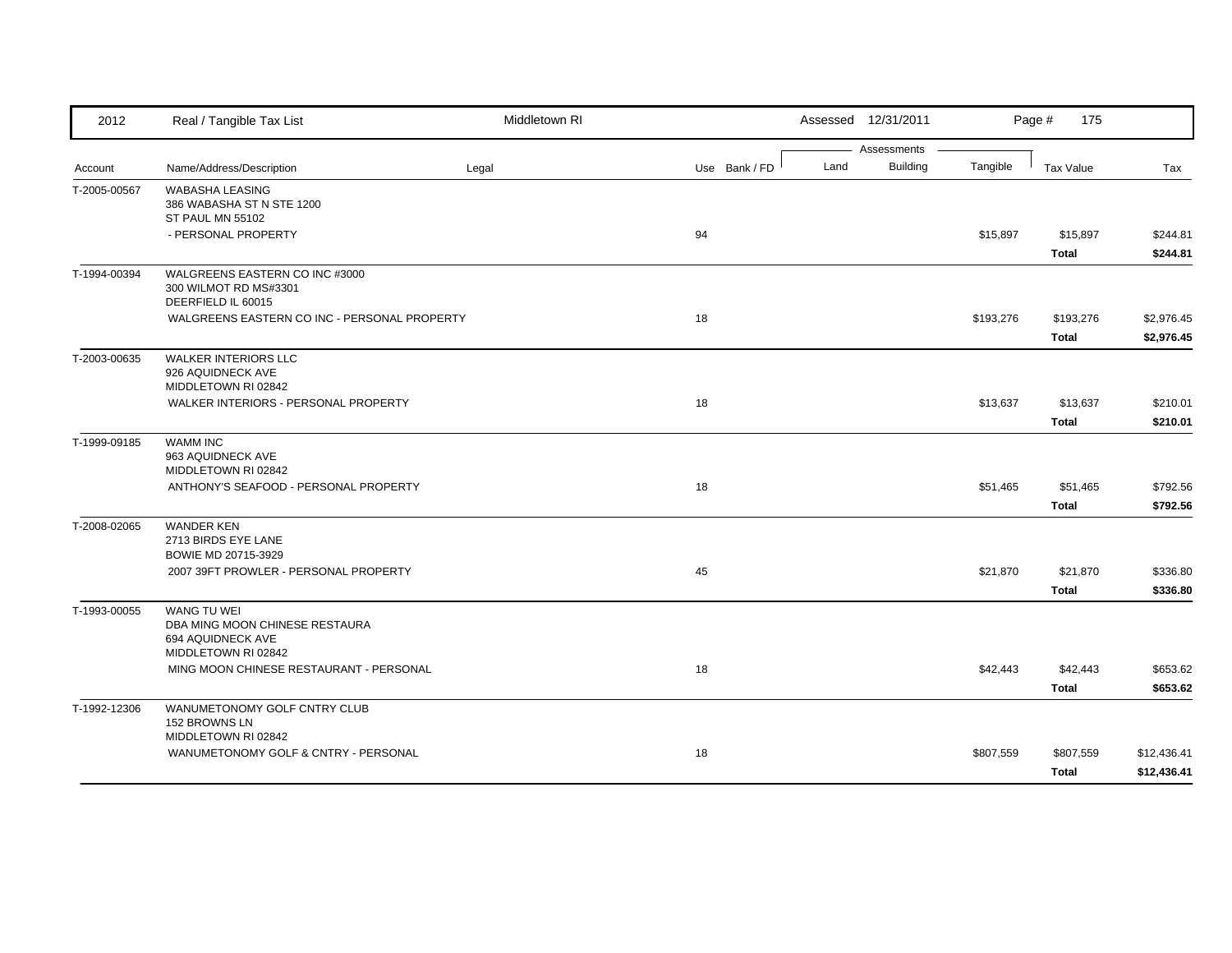| 2012         | Real / Tangible Tax List                                                                         | Middletown RI |               |      | Assessed 12/31/2011            |           | Page #<br>175             |                            |
|--------------|--------------------------------------------------------------------------------------------------|---------------|---------------|------|--------------------------------|-----------|---------------------------|----------------------------|
| Account      | Name/Address/Description                                                                         | Legal         | Use Bank / FD | Land | Assessments<br><b>Building</b> | Tangible  | Tax Value                 | Tax                        |
| T-2005-00567 | <b>WABASHA LEASING</b><br>386 WABASHA ST N STE 1200<br>ST PAUL MN 55102                          |               |               |      |                                |           |                           |                            |
|              | - PERSONAL PROPERTY                                                                              |               | 94            |      |                                | \$15,897  | \$15,897<br>Total         | \$244.81<br>\$244.81       |
| T-1994-00394 | WALGREENS EASTERN CO INC #3000<br>300 WILMOT RD MS#3301<br>DEERFIELD IL 60015                    |               |               |      |                                |           |                           |                            |
|              | WALGREENS EASTERN CO INC - PERSONAL PROPERTY                                                     |               | 18            |      |                                | \$193,276 | \$193,276<br><b>Total</b> | \$2,976.45<br>\$2,976.45   |
| T-2003-00635 | <b>WALKER INTERIORS LLC</b><br>926 AQUIDNECK AVE<br>MIDDLETOWN RI 02842                          |               |               |      |                                |           |                           |                            |
|              | WALKER INTERIORS - PERSONAL PROPERTY                                                             |               | 18            |      |                                | \$13,637  | \$13,637<br><b>Total</b>  | \$210.01<br>\$210.01       |
| T-1999-09185 | <b>WAMM INC</b><br>963 AQUIDNECK AVE<br>MIDDLETOWN RI 02842                                      |               |               |      |                                |           |                           |                            |
|              | ANTHONY'S SEAFOOD - PERSONAL PROPERTY                                                            |               | 18            |      |                                | \$51,465  | \$51,465<br><b>Total</b>  | \$792.56<br>\$792.56       |
| T-2008-02065 | <b>WANDER KEN</b><br>2713 BIRDS EYE LANE<br>BOWIE MD 20715-3929                                  |               |               |      |                                |           |                           |                            |
|              | 2007 39FT PROWLER - PERSONAL PROPERTY                                                            |               | 45            |      |                                | \$21,870  | \$21,870<br><b>Total</b>  | \$336.80<br>\$336.80       |
| T-1993-00055 | <b>WANG TU WEI</b><br>DBA MING MOON CHINESE RESTAURA<br>694 AQUIDNECK AVE<br>MIDDLETOWN RI 02842 |               |               |      |                                |           |                           |                            |
|              | MING MOON CHINESE RESTAURANT - PERSONAL                                                          |               | 18            |      |                                | \$42,443  | \$42,443<br><b>Total</b>  | \$653.62<br>\$653.62       |
| T-1992-12306 | WANUMETONOMY GOLF CNTRY CLUB<br>152 BROWNS LN<br>MIDDLETOWN RI 02842                             |               |               |      |                                |           |                           |                            |
|              | WANUMETONOMY GOLF & CNTRY - PERSONAL                                                             |               | 18            |      |                                | \$807,559 | \$807,559<br><b>Total</b> | \$12,436.41<br>\$12,436.41 |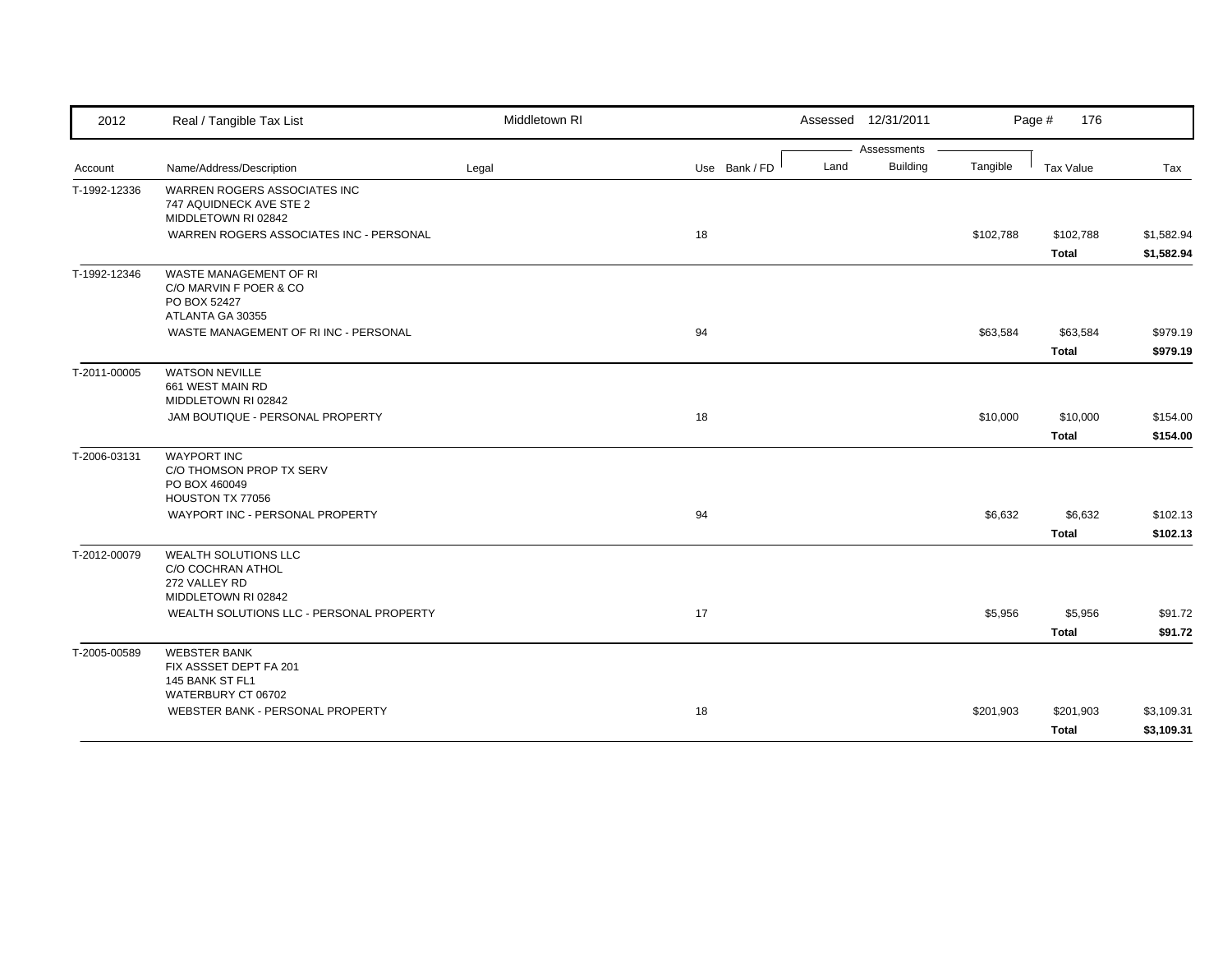| 2012         | Real / Tangible Tax List                                                               | Middletown RI |               | Assessed 12/31/2011     |           | Page #<br>176             |                          |
|--------------|----------------------------------------------------------------------------------------|---------------|---------------|-------------------------|-----------|---------------------------|--------------------------|
|              |                                                                                        |               |               | Assessments             |           |                           |                          |
| Account      | Name/Address/Description                                                               | Legal         | Use Bank / FD | <b>Building</b><br>Land | Tangible  | <b>Tax Value</b>          | Tax                      |
| T-1992-12336 | WARREN ROGERS ASSOCIATES INC<br>747 AQUIDNECK AVE STE 2<br>MIDDLETOWN RI 02842         |               |               |                         |           |                           |                          |
|              | WARREN ROGERS ASSOCIATES INC - PERSONAL                                                |               | 18            |                         | \$102,788 | \$102,788<br>Total        | \$1,582.94<br>\$1,582.94 |
| T-1992-12346 | WASTE MANAGEMENT OF RI<br>C/O MARVIN F POER & CO<br>PO BOX 52427<br>ATLANTA GA 30355   |               |               |                         |           |                           |                          |
|              | WASTE MANAGEMENT OF RIINC - PERSONAL                                                   |               | 94            |                         | \$63,584  | \$63,584<br><b>Total</b>  | \$979.19<br>\$979.19     |
| T-2011-00005 | <b>WATSON NEVILLE</b><br>661 WEST MAIN RD<br>MIDDLETOWN RI 02842                       |               |               |                         |           |                           |                          |
|              | JAM BOUTIQUE - PERSONAL PROPERTY                                                       |               | 18            |                         | \$10,000  | \$10,000<br>Total         | \$154.00<br>\$154.00     |
| T-2006-03131 | <b>WAYPORT INC</b><br>C/O THOMSON PROP TX SERV<br>PO BOX 460049<br>HOUSTON TX 77056    |               |               |                         |           |                           |                          |
|              | WAYPORT INC - PERSONAL PROPERTY                                                        |               | 94            |                         | \$6,632   | \$6,632<br><b>Total</b>   | \$102.13<br>\$102.13     |
| T-2012-00079 | WEALTH SOLUTIONS LLC<br>C/O COCHRAN ATHOL<br>272 VALLEY RD<br>MIDDLETOWN RI 02842      |               |               |                         |           |                           |                          |
|              | WEALTH SOLUTIONS LLC - PERSONAL PROPERTY                                               |               | 17            |                         | \$5,956   | \$5,956<br><b>Total</b>   | \$91.72<br>\$91.72       |
| T-2005-00589 | <b>WEBSTER BANK</b><br>FIX ASSSET DEPT FA 201<br>145 BANK ST FL1<br>WATERBURY CT 06702 |               |               |                         |           |                           |                          |
|              | WEBSTER BANK - PERSONAL PROPERTY                                                       |               | 18            |                         | \$201,903 | \$201,903<br><b>Total</b> | \$3,109.31<br>\$3,109.31 |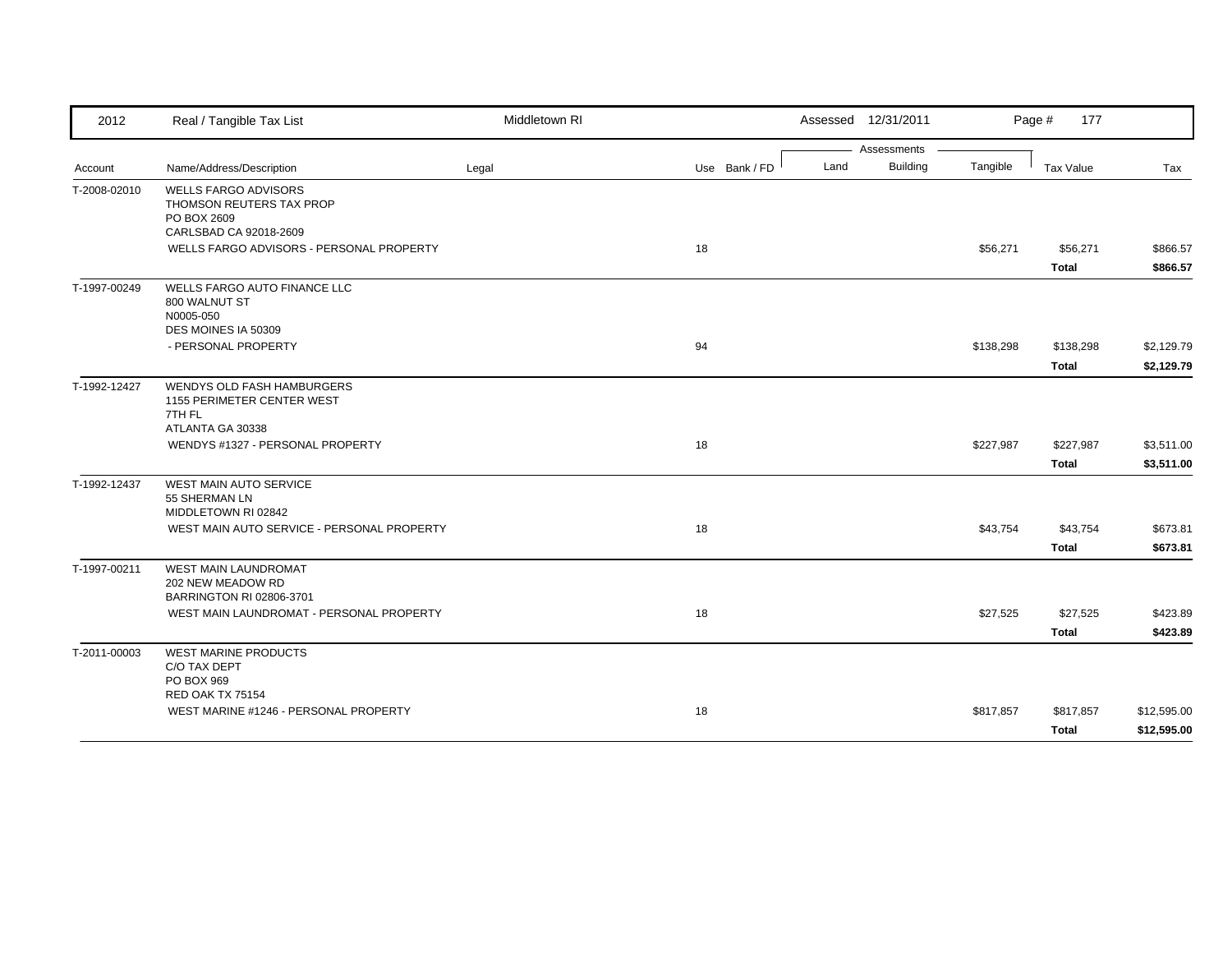| 2012         | Real / Tangible Tax List                                                                                | Middletown RI |               | Assessed 12/31/2011     |           | Page #<br>177    |             |
|--------------|---------------------------------------------------------------------------------------------------------|---------------|---------------|-------------------------|-----------|------------------|-------------|
|              |                                                                                                         |               |               | Assessments             |           |                  |             |
| Account      | Name/Address/Description                                                                                | Legal         | Use Bank / FD | <b>Building</b><br>Land | Tangible  | <b>Tax Value</b> | Tax         |
| T-2008-02010 | <b>WELLS FARGO ADVISORS</b><br><b>THOMSON REUTERS TAX PROP</b><br>PO BOX 2609<br>CARLSBAD CA 92018-2609 |               |               |                         |           |                  |             |
|              | WELLS FARGO ADVISORS - PERSONAL PROPERTY                                                                |               | 18            |                         | \$56,271  | \$56,271         | \$866.57    |
|              |                                                                                                         |               |               |                         |           | <b>Total</b>     | \$866.57    |
| T-1997-00249 | WELLS FARGO AUTO FINANCE LLC<br>800 WALNUT ST<br>N0005-050<br>DES MOINES IA 50309                       |               |               |                         |           |                  |             |
|              | - PERSONAL PROPERTY                                                                                     |               | 94            |                         | \$138,298 | \$138,298        | \$2,129.79  |
|              |                                                                                                         |               |               |                         |           | <b>Total</b>     | \$2,129.79  |
| T-1992-12427 | WENDYS OLD FASH HAMBURGERS<br>1155 PERIMETER CENTER WEST<br>7TH FL<br>ATLANTA GA 30338                  |               |               |                         |           |                  |             |
|              | WENDYS #1327 - PERSONAL PROPERTY                                                                        |               | 18            |                         | \$227,987 | \$227,987        | \$3,511.00  |
|              |                                                                                                         |               |               |                         |           | <b>Total</b>     | \$3,511.00  |
| T-1992-12437 | <b>WEST MAIN AUTO SERVICE</b><br>55 SHERMAN LN<br>MIDDLETOWN RI 02842                                   |               |               |                         |           |                  |             |
|              | WEST MAIN AUTO SERVICE - PERSONAL PROPERTY                                                              |               | 18            |                         | \$43,754  | \$43,754         | \$673.81    |
|              |                                                                                                         |               |               |                         |           | <b>Total</b>     | \$673.81    |
| T-1997-00211 | WEST MAIN LAUNDROMAT<br>202 NEW MEADOW RD<br>BARRINGTON RI 02806-3701                                   |               |               |                         |           |                  |             |
|              | WEST MAIN LAUNDROMAT - PERSONAL PROPERTY                                                                |               | 18            |                         | \$27,525  | \$27,525         | \$423.89    |
|              |                                                                                                         |               |               |                         |           | <b>Total</b>     | \$423.89    |
| T-2011-00003 | <b>WEST MARINE PRODUCTS</b><br>C/O TAX DEPT<br>PO BOX 969                                               |               |               |                         |           |                  |             |
|              | RED OAK TX 75154<br>WEST MARINE #1246 - PERSONAL PROPERTY                                               |               | 18            |                         | \$817,857 | \$817,857        | \$12,595.00 |
|              |                                                                                                         |               |               |                         |           | <b>Total</b>     | \$12,595.00 |
|              |                                                                                                         |               |               |                         |           |                  |             |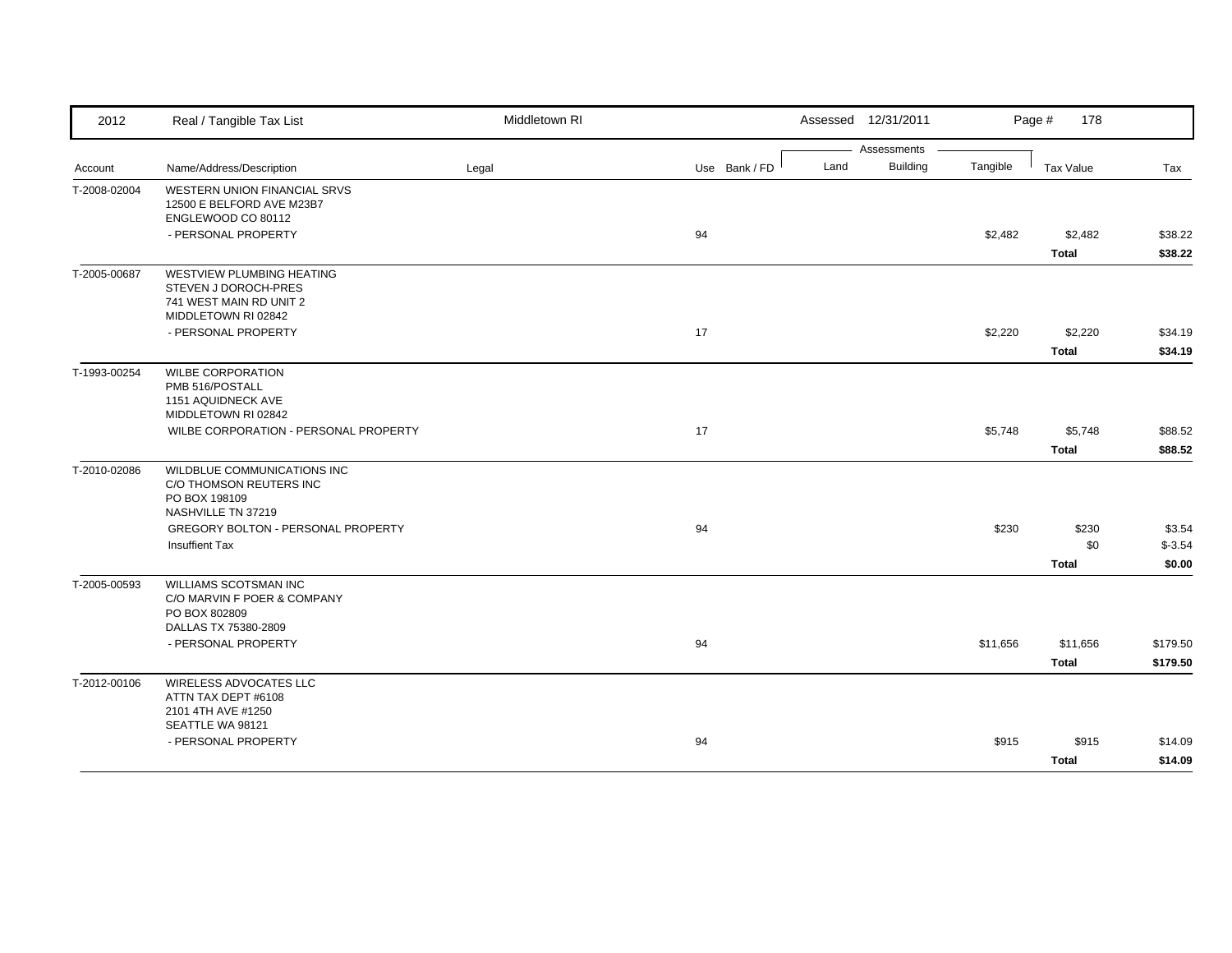| 2012         | Real / Tangible Tax List                                                                                                          | Middletown RI |               | Assessed 12/31/2011 |                                |          | Page #<br>178                |                               |
|--------------|-----------------------------------------------------------------------------------------------------------------------------------|---------------|---------------|---------------------|--------------------------------|----------|------------------------------|-------------------------------|
| Account      | Name/Address/Description                                                                                                          | Legal         | Use Bank / FD | Land                | Assessments<br><b>Building</b> | Tangible | Tax Value                    | Tax                           |
| T-2008-02004 | WESTERN UNION FINANCIAL SRVS<br>12500 E BELFORD AVE M23B7<br>ENGLEWOOD CO 80112<br>- PERSONAL PROPERTY                            |               | 94            |                     |                                | \$2,482  | \$2,482<br><b>Total</b>      | \$38.22<br>\$38.22            |
| T-2005-00687 | WESTVIEW PLUMBING HEATING<br>STEVEN J DOROCH-PRES<br>741 WEST MAIN RD UNIT 2<br>MIDDLETOWN RI 02842                               |               |               |                     |                                |          |                              |                               |
|              | - PERSONAL PROPERTY                                                                                                               |               | 17            |                     |                                | \$2,220  | \$2,220<br><b>Total</b>      | \$34.19<br>\$34.19            |
| T-1993-00254 | <b>WILBE CORPORATION</b><br>PMB 516/POSTALL<br>1151 AQUIDNECK AVE<br>MIDDLETOWN RI 02842<br>WILBE CORPORATION - PERSONAL PROPERTY |               | 17            |                     |                                | \$5,748  | \$5,748                      | \$88.52                       |
| T-2010-02086 | WILDBLUE COMMUNICATIONS INC<br>C/O THOMSON REUTERS INC                                                                            |               |               |                     |                                |          | <b>Total</b>                 | \$88.52                       |
|              | PO BOX 198109<br>NASHVILLE TN 37219<br>GREGORY BOLTON - PERSONAL PROPERTY<br><b>Insuffient Tax</b>                                |               | 94            |                     |                                | \$230    | \$230<br>\$0<br><b>Total</b> | \$3.54<br>$$ -3.54$<br>\$0.00 |
| T-2005-00593 | WILLIAMS SCOTSMAN INC<br>C/O MARVIN F POER & COMPANY<br>PO BOX 802809<br>DALLAS TX 75380-2809                                     |               |               |                     |                                |          |                              |                               |
|              | - PERSONAL PROPERTY                                                                                                               |               | 94            |                     |                                | \$11,656 | \$11,656<br><b>Total</b>     | \$179.50<br>\$179.50          |
| T-2012-00106 | WIRELESS ADVOCATES LLC<br>ATTN TAX DEPT #6108<br>2101 4TH AVE #1250<br>SEATTLE WA 98121                                           |               |               |                     |                                |          |                              |                               |
|              | - PERSONAL PROPERTY                                                                                                               |               | 94            |                     |                                | \$915    | \$915<br><b>Total</b>        | \$14.09<br>\$14.09            |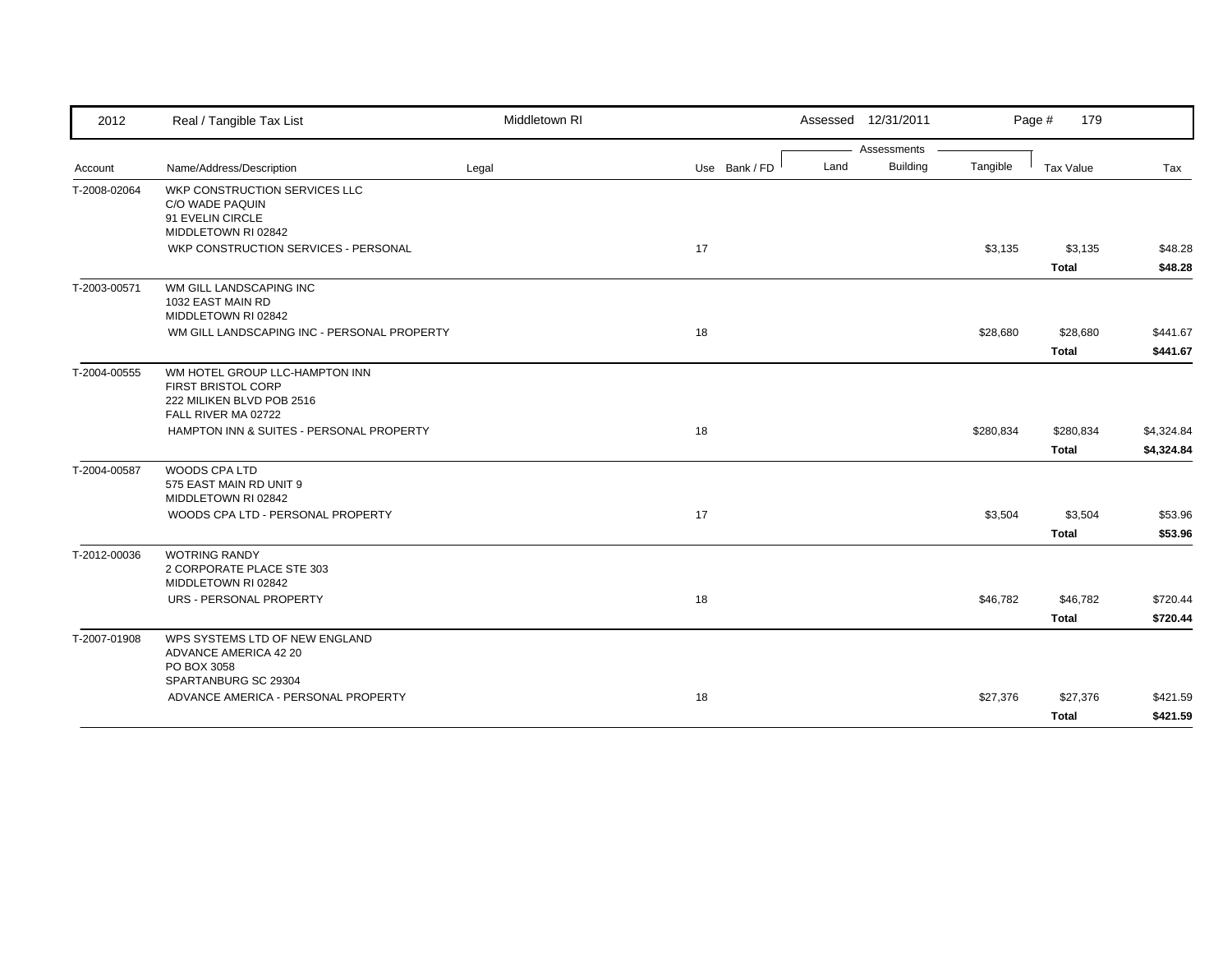| 2012         | Real / Tangible Tax List                             | Middletown RI |               | Assessed 12/31/2011 |                 |           | 179<br>Page #    |            |
|--------------|------------------------------------------------------|---------------|---------------|---------------------|-----------------|-----------|------------------|------------|
|              |                                                      |               |               |                     | Assessments     |           |                  |            |
| Account      | Name/Address/Description                             | Legal         | Use Bank / FD | Land                | <b>Building</b> | Tangible  | <b>Tax Value</b> | Tax        |
| T-2008-02064 | WKP CONSTRUCTION SERVICES LLC                        |               |               |                     |                 |           |                  |            |
|              | C/O WADE PAQUIN                                      |               |               |                     |                 |           |                  |            |
|              | 91 EVELIN CIRCLE<br>MIDDLETOWN RI 02842              |               |               |                     |                 |           |                  |            |
|              | WKP CONSTRUCTION SERVICES - PERSONAL                 |               | 17            |                     |                 | \$3,135   | \$3,135          | \$48.28    |
|              |                                                      |               |               |                     |                 |           |                  |            |
|              |                                                      |               |               |                     |                 |           | <b>Total</b>     | \$48.28    |
| T-2003-00571 | WM GILL LANDSCAPING INC                              |               |               |                     |                 |           |                  |            |
|              | 1032 EAST MAIN RD<br>MIDDLETOWN RI 02842             |               |               |                     |                 |           |                  |            |
|              | WM GILL LANDSCAPING INC - PERSONAL PROPERTY          |               | 18            |                     |                 | \$28,680  | \$28,680         | \$441.67   |
|              |                                                      |               |               |                     |                 |           | <b>Total</b>     | \$441.67   |
|              |                                                      |               |               |                     |                 |           |                  |            |
| T-2004-00555 | WM HOTEL GROUP LLC-HAMPTON INN<br>FIRST BRISTOL CORP |               |               |                     |                 |           |                  |            |
|              | 222 MILIKEN BLVD POB 2516                            |               |               |                     |                 |           |                  |            |
|              | FALL RIVER MA 02722                                  |               |               |                     |                 |           |                  |            |
|              | HAMPTON INN & SUITES - PERSONAL PROPERTY             |               | 18            |                     |                 | \$280,834 | \$280,834        | \$4,324.84 |
|              |                                                      |               |               |                     |                 |           | <b>Total</b>     | \$4,324.84 |
|              |                                                      |               |               |                     |                 |           |                  |            |
| T-2004-00587 | <b>WOODS CPA LTD</b><br>575 EAST MAIN RD UNIT 9      |               |               |                     |                 |           |                  |            |
|              | MIDDLETOWN RI 02842                                  |               |               |                     |                 |           |                  |            |
|              | WOODS CPA LTD - PERSONAL PROPERTY                    |               | 17            |                     |                 | \$3,504   | \$3,504          | \$53.96    |
|              |                                                      |               |               |                     |                 |           | <b>Total</b>     | \$53.96    |
| T-2012-00036 | <b>WOTRING RANDY</b>                                 |               |               |                     |                 |           |                  |            |
|              | 2 CORPORATE PLACE STE 303                            |               |               |                     |                 |           |                  |            |
|              | MIDDLETOWN RI 02842                                  |               |               |                     |                 |           |                  |            |
|              | URS - PERSONAL PROPERTY                              |               | 18            |                     |                 | \$46,782  | \$46,782         | \$720.44   |
|              |                                                      |               |               |                     |                 |           | <b>Total</b>     | \$720.44   |
| T-2007-01908 | WPS SYSTEMS LTD OF NEW ENGLAND                       |               |               |                     |                 |           |                  |            |
|              | ADVANCE AMERICA 42 20                                |               |               |                     |                 |           |                  |            |
|              | PO BOX 3058                                          |               |               |                     |                 |           |                  |            |
|              | SPARTANBURG SC 29304                                 |               |               |                     |                 |           |                  |            |
|              | ADVANCE AMERICA - PERSONAL PROPERTY                  |               | 18            |                     |                 | \$27,376  | \$27,376         | \$421.59   |
|              |                                                      |               |               |                     |                 |           | <b>Total</b>     | \$421.59   |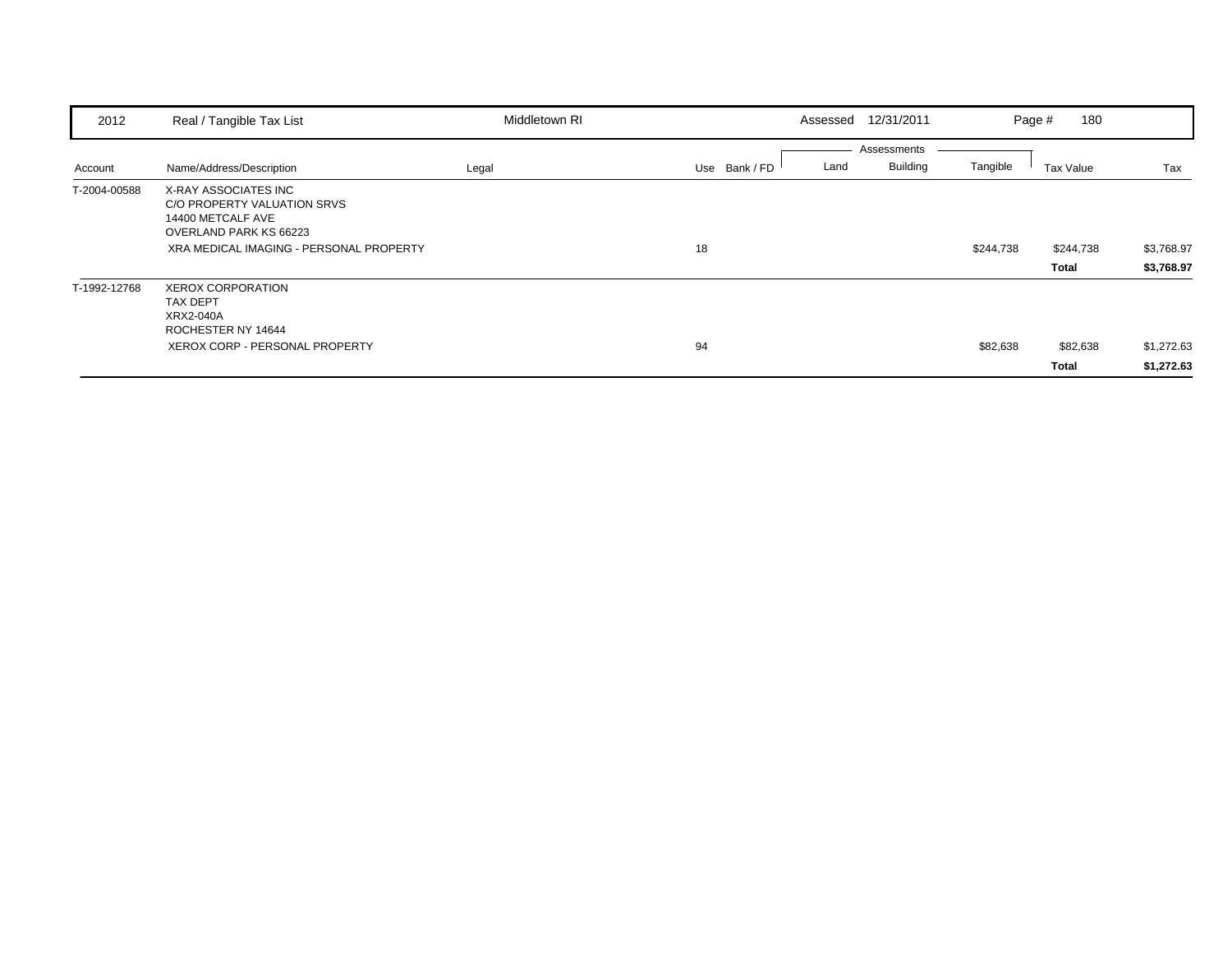| 2012         | Real / Tangible Tax List                                                                                                                      | Middletown RI | Assessed      | 12/31/2011                             | Page #    | 180                |                          |
|--------------|-----------------------------------------------------------------------------------------------------------------------------------------------|---------------|---------------|----------------------------------------|-----------|--------------------|--------------------------|
| Account      | Name/Address/Description                                                                                                                      | Legal         | Use Bank / FD | Assessments<br><b>Building</b><br>Land | Tangible  | Tax Value          | Tax                      |
| T-2004-00588 | X-RAY ASSOCIATES INC<br>C/O PROPERTY VALUATION SRVS<br>14400 METCALF AVE<br>OVERLAND PARK KS 66223<br>XRA MEDICAL IMAGING - PERSONAL PROPERTY |               | 18            |                                        | \$244,738 | \$244,738<br>Total | \$3,768.97<br>\$3,768.97 |
| T-1992-12768 | <b>XEROX CORPORATION</b><br><b>TAX DEPT</b><br>XRX2-040A<br>ROCHESTER NY 14644<br>XEROX CORP - PERSONAL PROPERTY                              |               | 94            |                                        | \$82,638  | \$82,638<br>Total  | \$1,272.63<br>\$1,272.63 |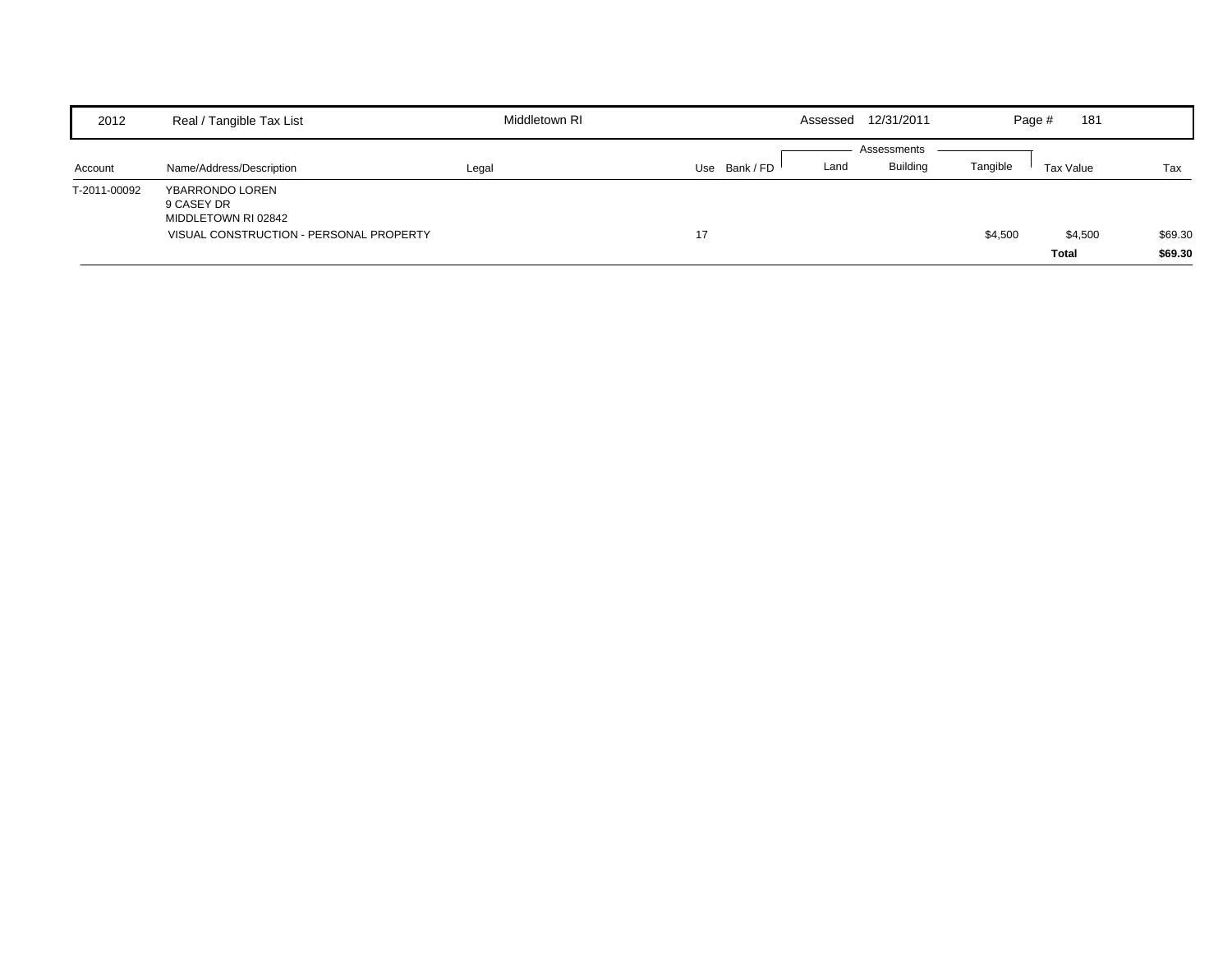| 2012         | Real / Tangible Tax List                                                                        | Middletown RI |             |      | Assessed 12/31/2011            |          | 181<br>Page #           |                    |
|--------------|-------------------------------------------------------------------------------------------------|---------------|-------------|------|--------------------------------|----------|-------------------------|--------------------|
| Account      | Name/Address/Description                                                                        | Legal         | Use Bank/FD | Land | Assessments<br><b>Building</b> | Tangible | Tax Value               | Tax                |
| T-2011-00092 | YBARRONDO LOREN<br>9 CASEY DR<br>MIDDLETOWN RI 02842<br>VISUAL CONSTRUCTION - PERSONAL PROPERTY |               | 17          |      |                                | \$4,500  | \$4,500<br><b>Total</b> | \$69.30<br>\$69.30 |